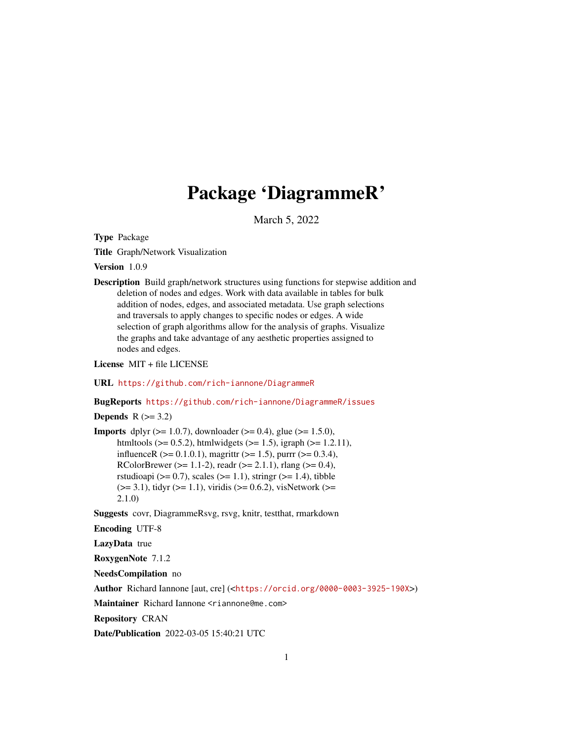# Package 'DiagrammeR'

March 5, 2022

Type Package

Title Graph/Network Visualization

Version 1.0.9

Description Build graph/network structures using functions for stepwise addition and deletion of nodes and edges. Work with data available in tables for bulk addition of nodes, edges, and associated metadata. Use graph selections and traversals to apply changes to specific nodes or edges. A wide selection of graph algorithms allow for the analysis of graphs. Visualize the graphs and take advantage of any aesthetic properties assigned to nodes and edges.

License MIT + file LICENSE

URL <https://github.com/rich-iannone/DiagrammeR>

BugReports <https://github.com/rich-iannone/DiagrammeR/issues>

Depends  $R$  ( $>= 3.2$ )

**Imports** dplyr ( $>= 1.0.7$ ), downloader ( $>= 0.4$ ), glue ( $>= 1.5.0$ ), htmltools ( $> = 0.5.2$ ), htmlwidgets ( $> = 1.5$ ), igraph ( $> = 1.2.11$ ), influenceR ( $>= 0.1.0.1$ ), magrittr ( $>= 1.5$ ), purrr ( $>= 0.3.4$ ), RColorBrewer ( $>= 1.1-2$ ), readr ( $>= 2.1.1$ ), rlang ( $>= 0.4$ ), rstudioapi ( $> = 0.7$ ), scales ( $> = 1.1$ ), stringr ( $> = 1.4$ ), tibble  $(>= 3.1)$ , tidyr  $(>= 1.1)$ , viridis  $(>= 0.6.2)$ , visNetwork  $(>= 1.1)$ 2.1.0)

Suggests covr, DiagrammeRsvg, rsvg, knitr, testthat, rmarkdown

Encoding UTF-8

LazyData true

RoxygenNote 7.1.2

NeedsCompilation no

Author Richard Iannone [aut, cre] (<<https://orcid.org/0000-0003-3925-190X>>)

Maintainer Richard Iannone <riannone@me.com>

Repository CRAN

Date/Publication 2022-03-05 15:40:21 UTC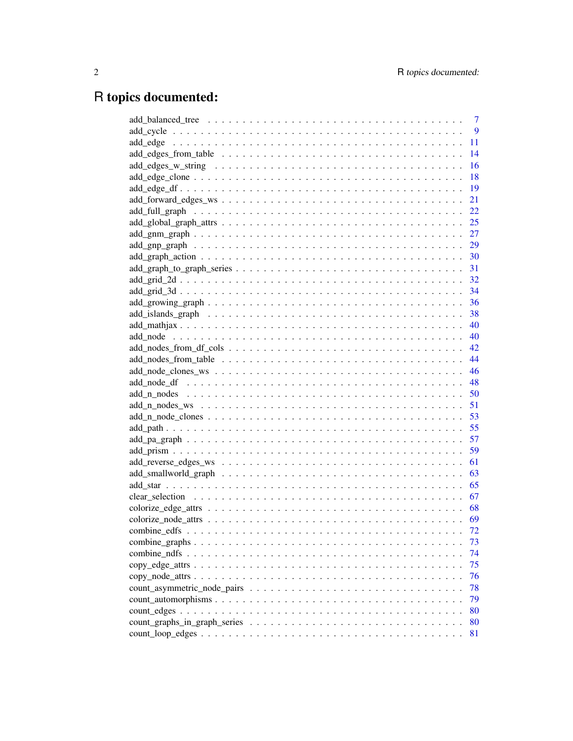# R topics documented:

| 7    |
|------|
| 9    |
| 11   |
| 14   |
| 16   |
| 18   |
| 19   |
| 21   |
| 22   |
| 25   |
| 27   |
|      |
|      |
| 31   |
|      |
|      |
|      |
|      |
| - 40 |
| - 40 |
|      |
| 44   |
| 46   |
|      |
| 50   |
| 51   |
|      |
| 55   |
| 57   |
| 59   |
| 61   |
| 63   |
| 65   |
| 67   |
| 68   |
| - 69 |
| 72   |
| 73   |
| 74   |
| 75   |
| 76   |
| 78   |
| 79   |
| 80   |
| 80   |
| 81   |
|      |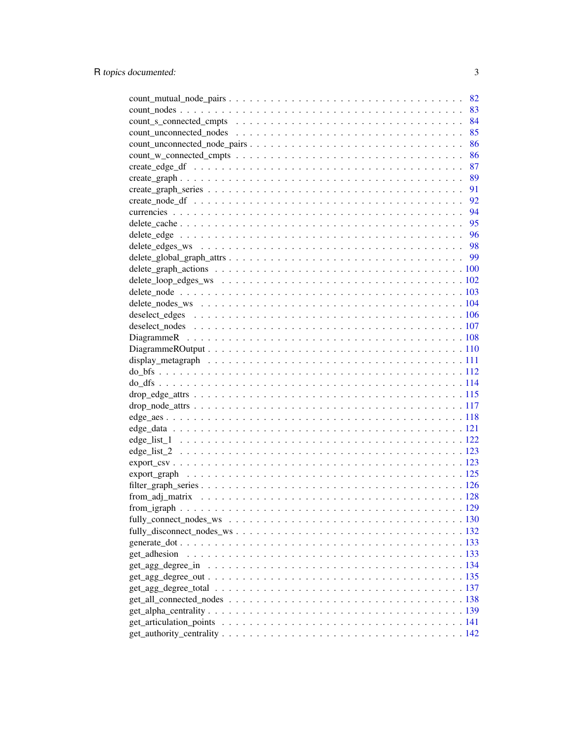|                                                                                                                                                                                                                               | 82 |
|-------------------------------------------------------------------------------------------------------------------------------------------------------------------------------------------------------------------------------|----|
|                                                                                                                                                                                                                               | 83 |
|                                                                                                                                                                                                                               | 84 |
|                                                                                                                                                                                                                               | 85 |
|                                                                                                                                                                                                                               | 86 |
|                                                                                                                                                                                                                               | 86 |
|                                                                                                                                                                                                                               | 87 |
|                                                                                                                                                                                                                               | 89 |
|                                                                                                                                                                                                                               | 91 |
|                                                                                                                                                                                                                               | 92 |
|                                                                                                                                                                                                                               | 94 |
|                                                                                                                                                                                                                               |    |
|                                                                                                                                                                                                                               |    |
|                                                                                                                                                                                                                               |    |
|                                                                                                                                                                                                                               |    |
|                                                                                                                                                                                                                               |    |
|                                                                                                                                                                                                                               |    |
|                                                                                                                                                                                                                               |    |
| delete_nodes_ws \numbers \to \numbers \text{ nodes_ws \mathbb{s} \text{ nodes_ws \mathbf{s} \text{ nodes_ws \mathbf{s} \text{ nodes_ws \mathbf{s}} \text{ nodes_ws \mathbf{s}} \text{ nodes_ws \mathbf{s}} \text{ nodes_ws \m |    |
|                                                                                                                                                                                                                               |    |
|                                                                                                                                                                                                                               |    |
|                                                                                                                                                                                                                               |    |
|                                                                                                                                                                                                                               |    |
|                                                                                                                                                                                                                               |    |
|                                                                                                                                                                                                                               |    |
|                                                                                                                                                                                                                               |    |
|                                                                                                                                                                                                                               |    |
|                                                                                                                                                                                                                               |    |
|                                                                                                                                                                                                                               |    |
|                                                                                                                                                                                                                               |    |
|                                                                                                                                                                                                                               |    |
|                                                                                                                                                                                                                               |    |
|                                                                                                                                                                                                                               |    |
|                                                                                                                                                                                                                               |    |
|                                                                                                                                                                                                                               |    |
|                                                                                                                                                                                                                               |    |
|                                                                                                                                                                                                                               |    |
|                                                                                                                                                                                                                               |    |
|                                                                                                                                                                                                                               |    |
|                                                                                                                                                                                                                               |    |
| get_adhesion                                                                                                                                                                                                                  |    |
|                                                                                                                                                                                                                               |    |
|                                                                                                                                                                                                                               |    |
|                                                                                                                                                                                                                               |    |
|                                                                                                                                                                                                                               |    |
|                                                                                                                                                                                                                               |    |
|                                                                                                                                                                                                                               |    |
|                                                                                                                                                                                                                               |    |
|                                                                                                                                                                                                                               |    |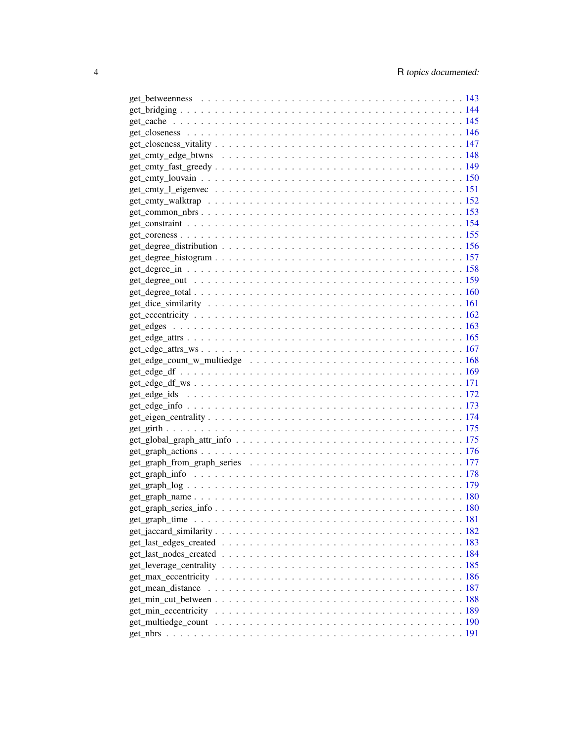| $get\_common\_nbrs$ . 153 |  |
|---------------------------|--|
|                           |  |
|                           |  |
|                           |  |
|                           |  |
|                           |  |
|                           |  |
|                           |  |
|                           |  |
|                           |  |
|                           |  |
|                           |  |
|                           |  |
|                           |  |
|                           |  |
|                           |  |
|                           |  |
|                           |  |
|                           |  |
|                           |  |
|                           |  |
|                           |  |
|                           |  |
|                           |  |
|                           |  |
|                           |  |
|                           |  |
|                           |  |
|                           |  |
|                           |  |
|                           |  |
|                           |  |
|                           |  |
|                           |  |
|                           |  |
|                           |  |
|                           |  |
|                           |  |
|                           |  |
|                           |  |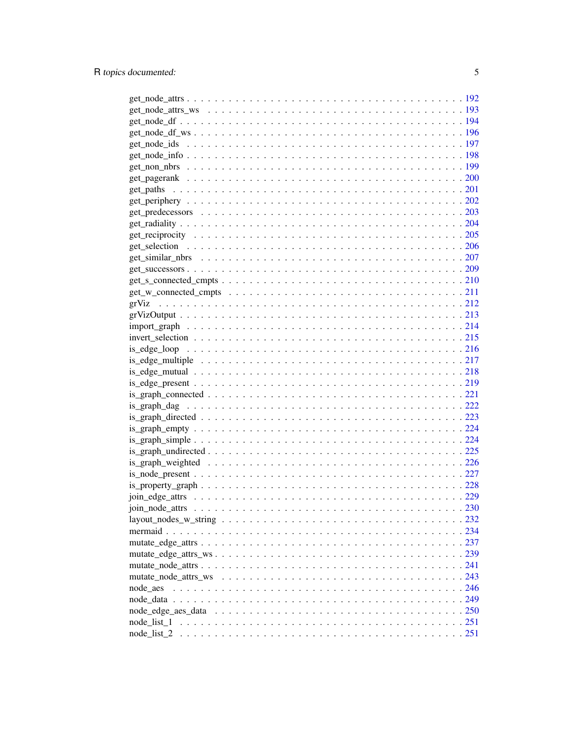| node aes |  |  |  |  |  |  |  |  |  |  |  |
|----------|--|--|--|--|--|--|--|--|--|--|--|
|          |  |  |  |  |  |  |  |  |  |  |  |
|          |  |  |  |  |  |  |  |  |  |  |  |
|          |  |  |  |  |  |  |  |  |  |  |  |
|          |  |  |  |  |  |  |  |  |  |  |  |
|          |  |  |  |  |  |  |  |  |  |  |  |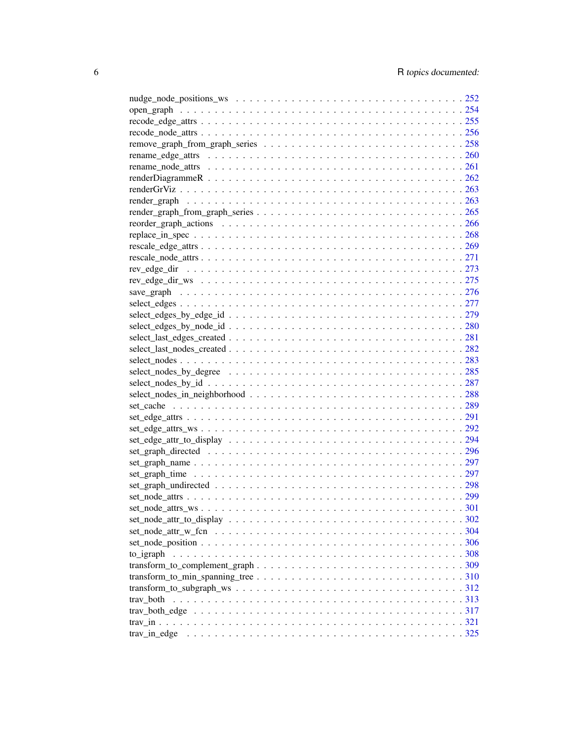| $rescale\_node\_attrs \ldots \ldots \ldots \ldots \ldots \ldots \ldots \ldots \ldots \ldots \ldots \ldots \ldots 271$ |  |
|-----------------------------------------------------------------------------------------------------------------------|--|
|                                                                                                                       |  |
|                                                                                                                       |  |
|                                                                                                                       |  |
|                                                                                                                       |  |
|                                                                                                                       |  |
|                                                                                                                       |  |
|                                                                                                                       |  |
|                                                                                                                       |  |
|                                                                                                                       |  |
|                                                                                                                       |  |
|                                                                                                                       |  |
|                                                                                                                       |  |
|                                                                                                                       |  |
|                                                                                                                       |  |
|                                                                                                                       |  |
|                                                                                                                       |  |
|                                                                                                                       |  |
|                                                                                                                       |  |
|                                                                                                                       |  |
|                                                                                                                       |  |
|                                                                                                                       |  |
|                                                                                                                       |  |
|                                                                                                                       |  |
|                                                                                                                       |  |
|                                                                                                                       |  |
|                                                                                                                       |  |
|                                                                                                                       |  |
|                                                                                                                       |  |
|                                                                                                                       |  |
|                                                                                                                       |  |
|                                                                                                                       |  |
|                                                                                                                       |  |
|                                                                                                                       |  |
|                                                                                                                       |  |
|                                                                                                                       |  |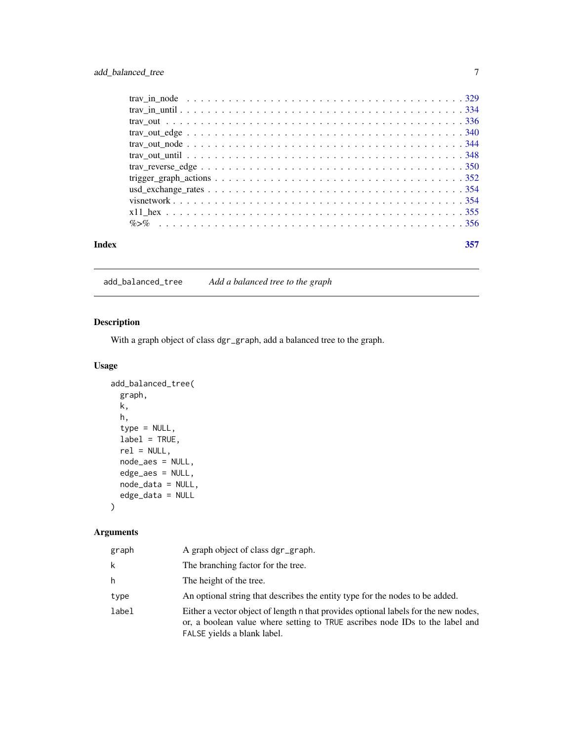<span id="page-6-0"></span>

| Index | 357 |
|-------|-----|
|       |     |
|       |     |
|       |     |
|       |     |
|       |     |
|       |     |
|       |     |
|       |     |
|       |     |
|       |     |
|       |     |
|       |     |

add\_balanced\_tree *Add a balanced tree to the graph*

# Description

With a graph object of class dgr\_graph, add a balanced tree to the graph.

# Usage

```
add_balanced_tree(
 graph,
 k,
  h,
  type = NULL,
 label = TRUE,rel = NULL,
 node_aes = NULL,
  edge_aes = NULL,
  node_data = NULL,
 edge_data = NULL
)
```

| graph | A graph object of class dgr_graph.                                                                                                                                                                 |
|-------|----------------------------------------------------------------------------------------------------------------------------------------------------------------------------------------------------|
| k     | The branching factor for the tree.                                                                                                                                                                 |
| h     | The height of the tree.                                                                                                                                                                            |
| type  | An optional string that describes the entity type for the nodes to be added.                                                                                                                       |
| label | Either a vector object of length n that provides optional labels for the new nodes,<br>or, a boolean value where setting to TRUE ascribes node IDs to the label and<br>FALSE yields a blank label. |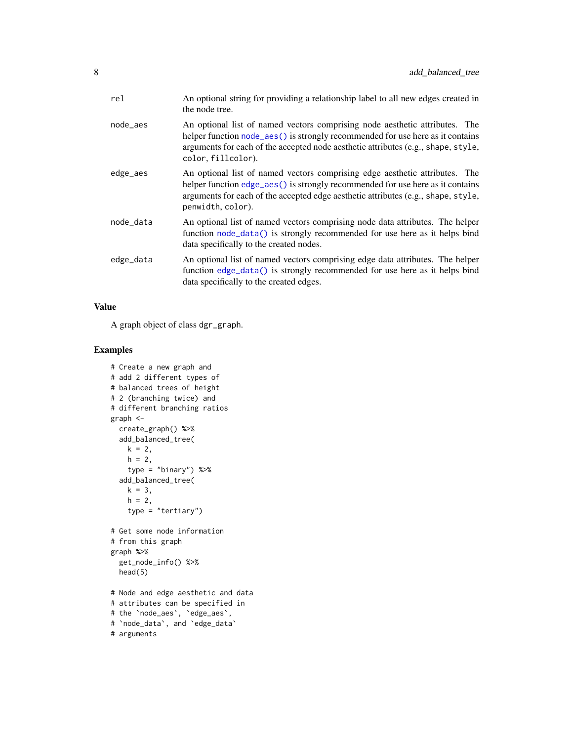| rel       | An optional string for providing a relationship label to all new edges created in<br>the node tree.                                                                                                                                                                      |
|-----------|--------------------------------------------------------------------------------------------------------------------------------------------------------------------------------------------------------------------------------------------------------------------------|
| node_aes  | An optional list of named vectors comprising node aesthetic attributes. The<br>helper function node_aes() is strongly recommended for use here as it contains<br>arguments for each of the accepted node aesthetic attributes (e.g., shape, style,<br>color, fillcolor). |
| edge_aes  | An optional list of named vectors comprising edge aesthetic attributes. The<br>helper function edge_aes() is strongly recommended for use here as it contains<br>arguments for each of the accepted edge aesthetic attributes (e.g., shape, style,<br>penwidth, color).  |
| node_data | An optional list of named vectors comprising node data attributes. The helper<br>function node_data() is strongly recommended for use here as it helps bind<br>data specifically to the created nodes.                                                                   |
| edge_data | An optional list of named vectors comprising edge data attributes. The helper<br>function edge_data() is strongly recommended for use here as it helps bind<br>data specifically to the created edges.                                                                   |

# Value

A graph object of class dgr\_graph.

```
# Create a new graph and
# add 2 different types of
# balanced trees of height
# 2 (branching twice) and
# different branching ratios
graph <-
 create_graph() %>%
  add_balanced_tree(
   k = 2,
   h = 2,type = "binary") %>%
  add_balanced_tree(
   k = 3,h = 2,
    type = "tertiary")
# Get some node information
# from this graph
graph %>%
  get_node_info() %>%
  head(5)
# Node and edge aesthetic and data
# attributes can be specified in
# the `node_aes`, `edge_aes`,
# `node_data`, and `edge_data`
# arguments
```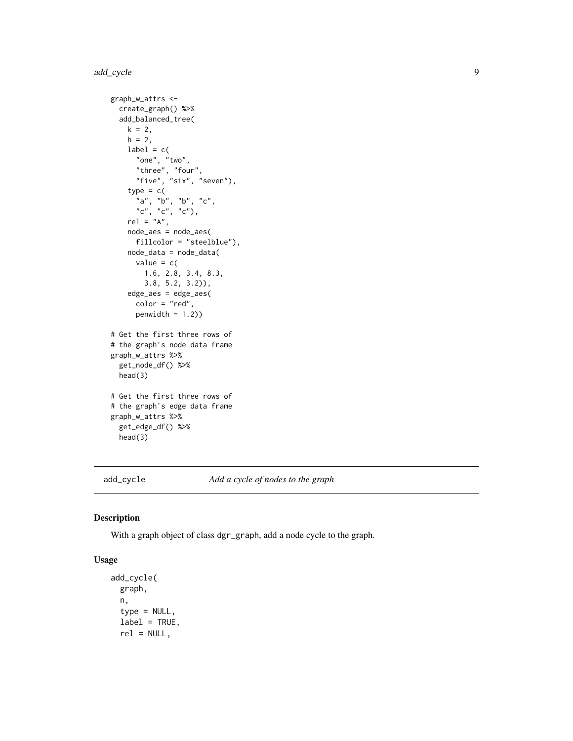```
graph_w_attrs <-
  create_graph() %>%
  add_balanced_tree(
   k = 2,h = 2,
   label = c("one", "two",
      "three", "four",
      "five", "six", "seven"),
    type = c("a", "b", "b", "c",
      "c", "c", "c"),
    rel = "A",node_aes = node_aes(
      fillcolor = "steelblue"),
   node_data = node_data(
     value = c(1.6, 2.8, 3.4, 8.3,
       3.8, 5.2, 3.2)),
    edge_aes = edge_aes(
      color = "red",
      penwidth = 1.2))
# Get the first three rows of
# the graph's node data frame
graph_w_attrs %>%
  get_node_df() %>%
  head(3)
# Get the first three rows of
# the graph's edge data frame
graph_w_attrs %>%
  get_edge_df() %>%
  head(3)
```
add\_cycle *Add a cycle of nodes to the graph*

#### Description

With a graph object of class dgr\_graph, add a node cycle to the graph.

#### Usage

```
add_cycle(
  graph,
 n,
  type = NULL,
  label = TRUE,
  rel = NULL,
```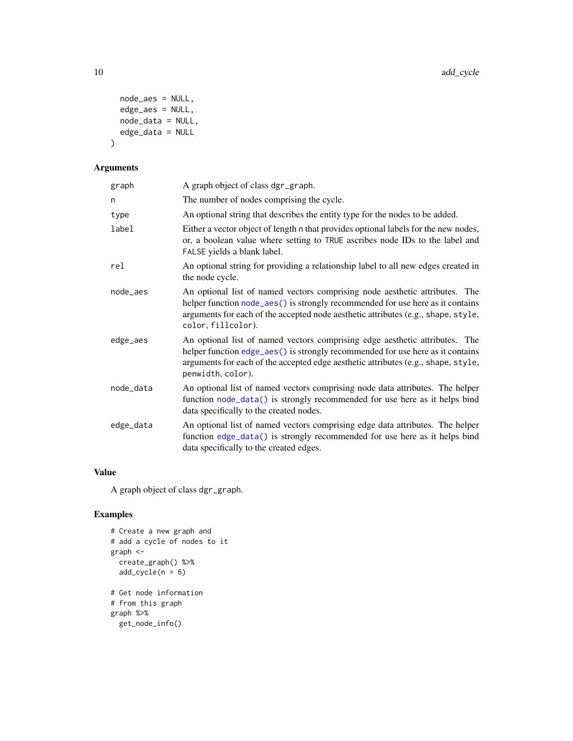```
node_aes = NULL,
 edge_aes = NULL,
 node_data = NULL,
 edge_data = NULL
\mathcal{L}
```
# Arguments

| graph     | A graph object of class dgr_graph.                                                                                                                                                                                                                                       |
|-----------|--------------------------------------------------------------------------------------------------------------------------------------------------------------------------------------------------------------------------------------------------------------------------|
| n         | The number of nodes comprising the cycle.                                                                                                                                                                                                                                |
| type      | An optional string that describes the entity type for the nodes to be added.                                                                                                                                                                                             |
| label     | Either a vector object of length n that provides optional labels for the new nodes,<br>or, a boolean value where setting to TRUE ascribes node IDs to the label and<br>FALSE yields a blank label.                                                                       |
| rel       | An optional string for providing a relationship label to all new edges created in<br>the node cycle.                                                                                                                                                                     |
| node_aes  | An optional list of named vectors comprising node aesthetic attributes. The<br>helper function node_aes() is strongly recommended for use here as it contains<br>arguments for each of the accepted node aesthetic attributes (e.g., shape, style,<br>color, fillcolor). |
| edge_aes  | An optional list of named vectors comprising edge aesthetic attributes. The<br>helper function edge_aes() is strongly recommended for use here as it contains<br>arguments for each of the accepted edge aesthetic attributes (e.g., shape, style,<br>penwidth, color).  |
| node_data | An optional list of named vectors comprising node data attributes. The helper<br>function node_data() is strongly recommended for use here as it helps bind<br>data specifically to the created nodes.                                                                   |
| edge_data | An optional list of named vectors comprising edge data attributes. The helper<br>function edge_data() is strongly recommended for use here as it helps bind<br>data specifically to the created edges.                                                                   |

## Value

A graph object of class dgr\_graph.

```
# Create a new graph and
# add a cycle of nodes to it
graph <-
  create_graph() %>%
  add\_cycle(n = 6)# Get node information
# from this graph
graph %>%
  get_node_info()
```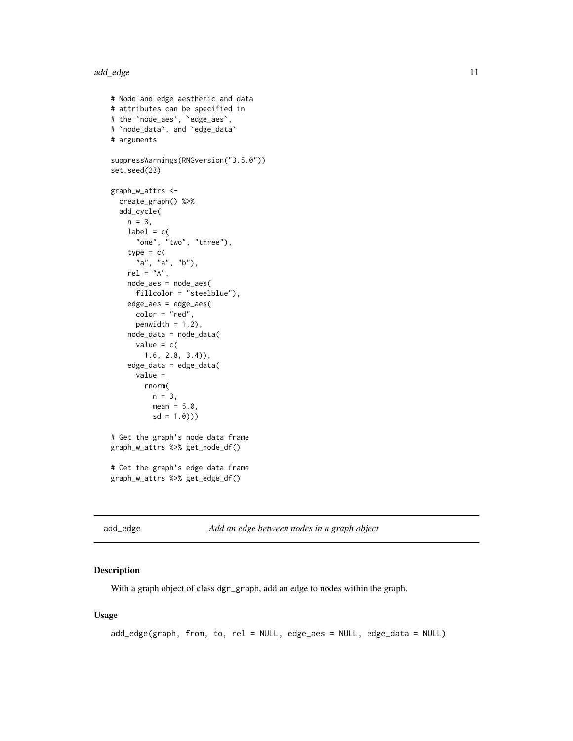#### <span id="page-10-0"></span>add\_edge 11

```
# Node and edge aesthetic and data
# attributes can be specified in
# the `node_aes`, `edge_aes`,
# `node_data`, and `edge_data`
# arguments
suppressWarnings(RNGversion("3.5.0"))
set.seed(23)
graph_w_attrs <-
  create_graph() %>%
  add_cycle(
   n = 3,
   label = c("one", "two", "three"),
    type = c("a", "a", "b"),
    rel = "A",node_aes = node_aes(
      fillcolor = "steelblue"),
    edge_aes = edge_aes(
     color = "red",
     penwidth = 1.2,
    node_data = node_data(
     value = c(1.6, 2.8, 3.4)),
    edge_data = edge_data(
      value =
       rnorm(
         n = 3,
         mean = 5.0,
         sd = 1.0))
# Get the graph's node data frame
graph_w_attrs %>% get_node_df()
# Get the graph's edge data frame
graph_w_attrs %>% get_edge_df()
```
<span id="page-10-1"></span>add\_edge *Add an edge between nodes in a graph object*

#### Description

With a graph object of class dgr\_graph, add an edge to nodes within the graph.

#### Usage

```
add_edge(graph, from, to, rel = NULL, edge_aes = NULL, edge_data = NULL)
```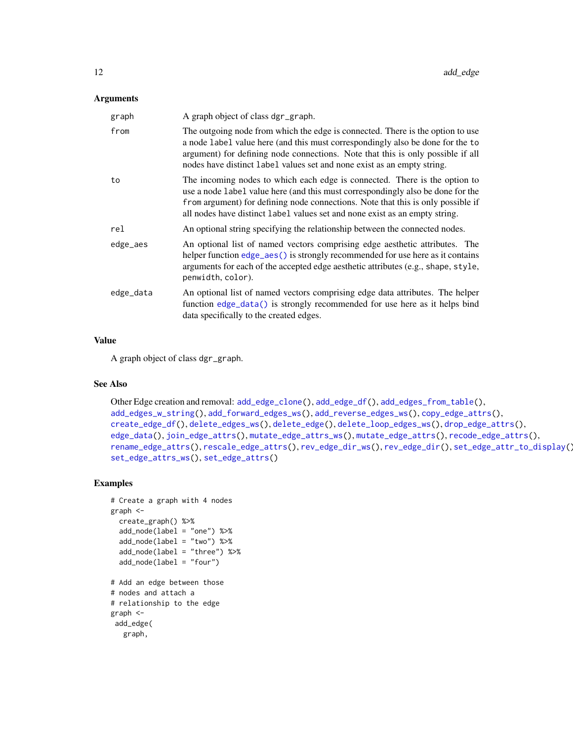#### Arguments

| A graph object of class dgr_graph.                                                                                                                                                                                                                                                                                               |
|----------------------------------------------------------------------------------------------------------------------------------------------------------------------------------------------------------------------------------------------------------------------------------------------------------------------------------|
| The outgoing node from which the edge is connected. There is the option to use<br>a node label value here (and this must correspondingly also be done for the to<br>argument) for defining node connections. Note that this is only possible if all<br>nodes have distinct label values set and none exist as an empty string.   |
| The incoming nodes to which each edge is connected. There is the option to<br>use a node label value here (and this must correspondingly also be done for the<br>from argument) for defining node connections. Note that this is only possible if<br>all nodes have distinct label values set and none exist as an empty string. |
| An optional string specifying the relationship between the connected nodes.                                                                                                                                                                                                                                                      |
| An optional list of named vectors comprising edge aesthetic attributes. The<br>helper function edge_aes() is strongly recommended for use here as it contains<br>arguments for each of the accepted edge aesthetic attributes (e.g., shape, style,<br>penwidth, color).                                                          |
| An optional list of named vectors comprising edge data attributes. The helper<br>function edge_data() is strongly recommended for use here as it helps bind<br>data specifically to the created edges.                                                                                                                           |
|                                                                                                                                                                                                                                                                                                                                  |

#### Value

A graph object of class dgr\_graph.

# See Also

```
Other Edge creation and removal: add_edge_clone(), add_edge_df(), add_edges_from_table(),
add_edges_w_string(), add_forward_edges_ws(), add_reverse_edges_ws(), copy_edge_attrs(),
create_edge_df(), delete_edges_ws(), delete_edge(), delete_loop_edges_ws(), drop_edge_attrs(),
edge_data(), join_edge_attrs(), mutate_edge_attrs_ws(), mutate_edge_attrs(), recode_edge_attrs(),
rename_edge_attrs(), rescale_edge_attrs(), rev_edge_dir_ws(), rev_edge_dir(), set_edge_attr_to_display(),
set_edge_attrs_ws(), set_edge_attrs()
```
# Examples

graph,

```
# Create a graph with 4 nodes
graph <-
  create_graph() %>%
  add_node(label = "one") %>%
  add_node(label = "two") %>%
  add_node(label = "three") %>%
  add_node(label = "four")
# Add an edge between those
# nodes and attach a
# relationship to the edge
graph <-
 add_edge(
```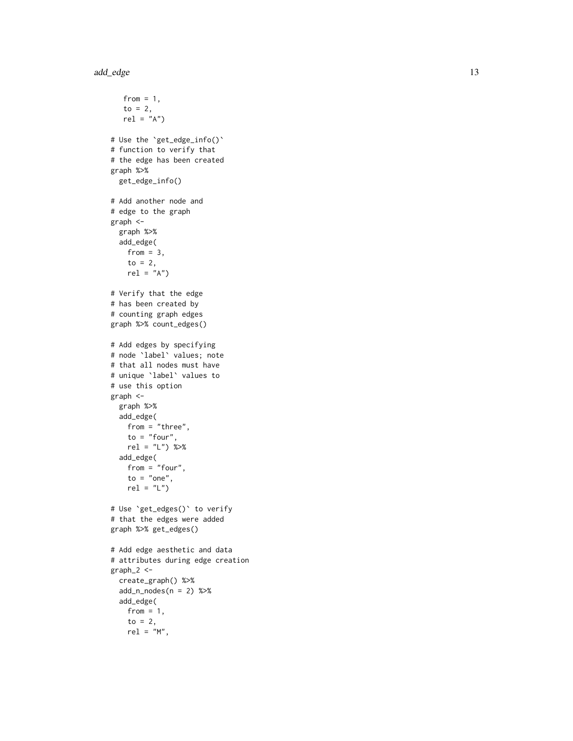```
from = 1,
   to = 2,
   rel = "A")# Use the
`get_edge_info()
`
# function to verify that
# the edge has been created
graph %>%
  get_edge_info()
# Add another node and
# edge to the graph
graph <-
  graph %>%
  add_edge(
   from = 3,
    to = 2,
   rel = "A")# Verify that the edge
# has been created by
# counting graph edges
graph %>% count_edges()
# Add edges by specifying
# node
`label
` values; note
# that all nodes must have
# unique
`label
` values to
# use this option
graph <-
  graph %>%
  add_edge(
   from = "three",
   to = "four",rel = "L") %>%
  add_edge(
   from = "four",
   to = "one",rel = "L")# Use
`get_edges()
` to verify
# that the edges were added
graph %>% get_edges()
# Add edge aesthetic and data
# attributes during edge creation
graph_2 < -create_graph() %>%
  add_n_nodes(n = 2) %>%
  add_edge(
   from = 1,
    to = 2,
   rel = "M",
```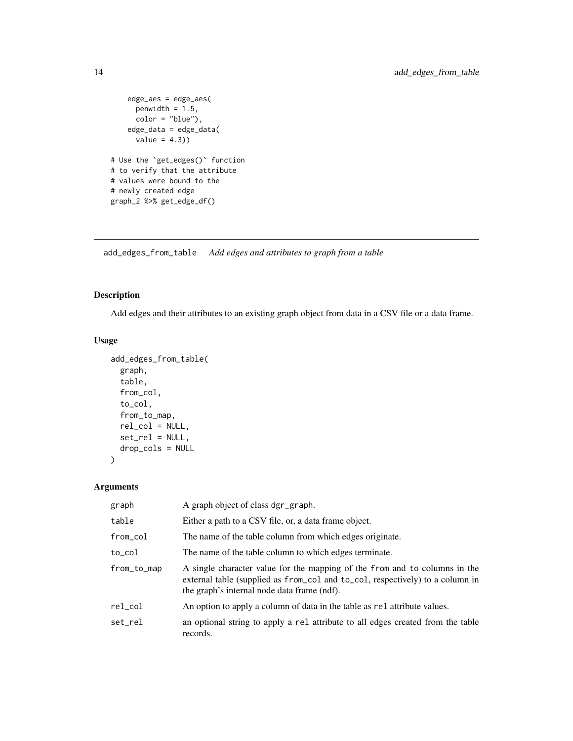```
edge_aes = edge_aes(
     penwidth = 1.5,
     color = "blue"),
   edge_data = edge_data(
     value = 4.3))
# Use the `get_edges()` function
# to verify that the attribute
# values were bound to the
# newly created edge
graph_2 %>% get_edge_df()
```
<span id="page-13-1"></span>add\_edges\_from\_table *Add edges and attributes to graph from a table*

#### Description

Add edges and their attributes to an existing graph object from data in a CSV file or a data frame.

#### Usage

```
add_edges_from_table(
  graph,
  table,
  from_col,
  to_col,
  from_to_map,
 rel_col = NULL,
 set_rel = NULL,
 drop_cols = NULL
```
 $\lambda$ 

| graph       | A graph object of class dgr_graph.                                                                                                                                                                         |
|-------------|------------------------------------------------------------------------------------------------------------------------------------------------------------------------------------------------------------|
| table       | Either a path to a CSV file, or, a data frame object.                                                                                                                                                      |
| from_col    | The name of the table column from which edges originate.                                                                                                                                                   |
| to_col      | The name of the table column to which edges terminate.                                                                                                                                                     |
| from_to_map | A single character value for the mapping of the from and to columns in the<br>external table (supplied as from col and to col, respectively) to a column in<br>the graph's internal node data frame (ndf). |
| rel col     | An option to apply a column of data in the table as rel attribute values.                                                                                                                                  |
| set_rel     | an optional string to apply a rel attribute to all edges created from the table<br>records.                                                                                                                |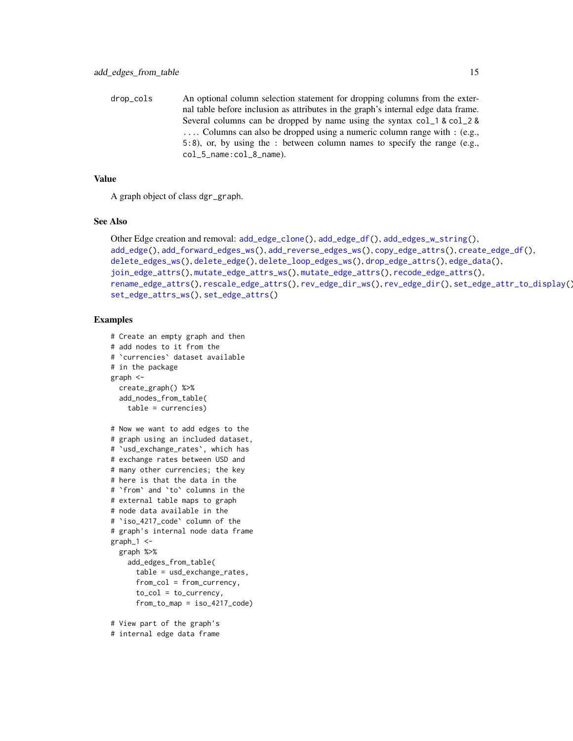drop\_cols An optional column selection statement for dropping columns from the external table before inclusion as attributes in the graph's internal edge data frame. Several columns can be dropped by name using the syntax col\_1 & col\_2 & .... Columns can also be dropped using a numeric column range with : (e.g., 5:8), or, by using the : between column names to specify the range (e.g., col\_5\_name:col\_8\_name).

#### Value

A graph object of class dgr\_graph.

#### See Also

```
Other Edge creation and removal: add_edge_clone(), add_edge_df(), add_edges_w_string(),
add_edge(), add_forward_edges_ws(), add_reverse_edges_ws(), copy_edge_attrs(), create_edge_df(),
delete_edges_ws(), delete_edge(), delete_loop_edges_ws(), drop_edge_attrs(), edge_data(),
join_edge_attrs(), mutate_edge_attrs_ws(), mutate_edge_attrs(), recode_edge_attrs(),
rename_edge_attrs(), rescale_edge_attrs(), rev_edge_dir_ws(), rev_edge_dir(), set_edge_attr_to_display(),
set_edge_attrs_ws(), set_edge_attrs()
```

```
# Create an empty graph and then
# add nodes to it from the
# `currencies` dataset available
# in the package
graph <-
 create_graph() %>%
 add_nodes_from_table(
    table = currencies)
# Now we want to add edges to the
# graph using an included dataset,
# `usd_exchange_rates`, which has
# exchange rates between USD and
# many other currencies; the key
# here is that the data in the
# `from` and `to` columns in the
# external table maps to graph
# node data available in the
# `iso_4217_code` column of the
# graph's internal node data frame
graph_1 < -graph %>%
   add_edges_from_table(
     table = usd_exchange_rates,
      from_col = from_currency,
      to\_col = to\_currency,from_to_map = iso_4217_code)
# View part of the graph's
# internal edge data frame
```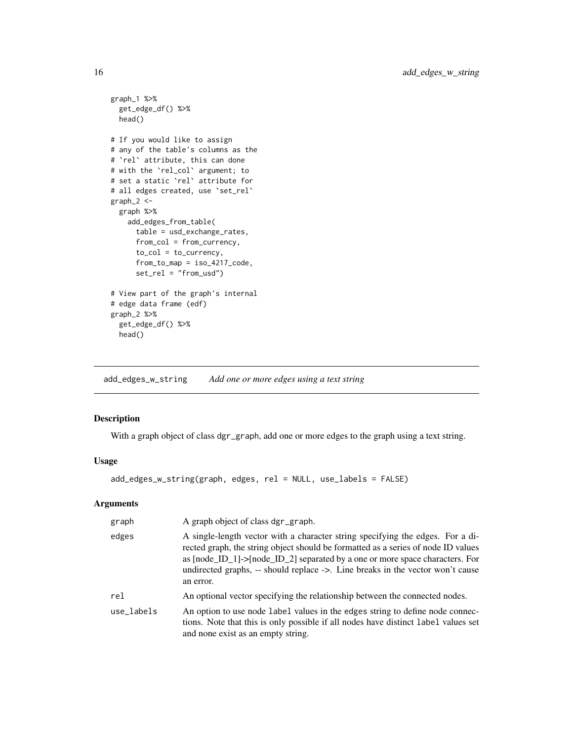```
graph_1 %>%
  get_edge_df() %>%
  head()
# If you would like to assign
# any of the table's columns as the
# `rel` attribute, this can done
# with the `rel_col` argument; to
# set a static `rel` attribute for
# all edges created, use 'set_rel'
graph_2 <-
  graph %>%
   add_edges_from_table(
      table = usd_exchange_rates,
      from_col = from_currency,
     to_col = to_currency,
      from_to_map = iso_4217_code,
      set_rel = "from_usd")
# View part of the graph's internal
# edge data frame (edf)
graph_2 %>%
  get_edge_df() %>%
  head()
```
<span id="page-15-1"></span>add\_edges\_w\_string *Add one or more edges using a text string*

# Description

With a graph object of class dgr\_graph, add one or more edges to the graph using a text string.

# Usage

add\_edges\_w\_string(graph, edges, rel = NULL, use\_labels = FALSE)

| graph      | A graph object of class dgr_graph.                                                                                                                                                                                                                                                                                                                 |
|------------|----------------------------------------------------------------------------------------------------------------------------------------------------------------------------------------------------------------------------------------------------------------------------------------------------------------------------------------------------|
| edges      | A single-length vector with a character string specifying the edges. For a di-<br>rected graph, the string object should be formatted as a series of node ID values<br>as [node_ID_1]->[node_ID_2] separated by a one or more space characters. For<br>undirected graphs, -- should replace ->. Line breaks in the vector won't cause<br>an error. |
| rel        | An optional vector specifying the relationship between the connected nodes.                                                                                                                                                                                                                                                                        |
| use labels | An option to use node label values in the edges string to define node connec-<br>tions. Note that this is only possible if all nodes have distinct label values set<br>and none exist as an empty string.                                                                                                                                          |

<span id="page-15-0"></span>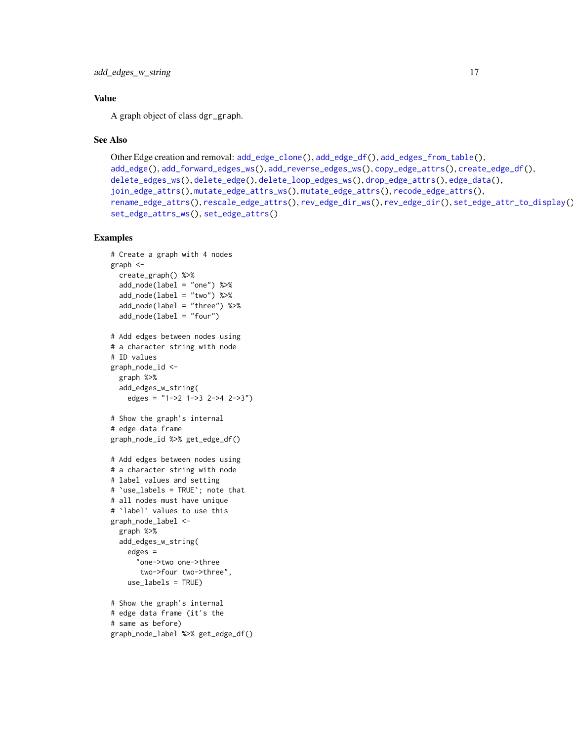# Value

A graph object of class dgr\_graph.

#### See Also

```
Other Edge creation and removal: add_edge_clone(), add_edge_df(), add_edges_from_table(),
add_edge(), add_forward_edges_ws(), add_reverse_edges_ws(), copy_edge_attrs(), create_edge_df(),
delete_edges_ws(), delete_edge(), delete_loop_edges_ws(), drop_edge_attrs(), edge_data(),
join_edge_attrs(), mutate_edge_attrs_ws(), mutate_edge_attrs(), recode_edge_attrs(),
rename_edge_attrs(), rescale_edge_attrs(), rev_edge_dir_ws(), rev_edge_dir(), set_edge_attr_to_display(),
set_edge_attrs_ws(), set_edge_attrs()
```

```
# Create a graph with 4 nodes
graph <-
  create_graph() %>%
  add_node(label = "one") %>%
  add_node(label = "two") %>%
  add_node(label = "three") %>%
  add_node(label = "four")
# Add edges between nodes using
# a character string with node
# ID values
graph_node_id <-
  graph %>%
  add_edges_w_string(
    edges = "1->2 1->3 2->4 2->3")
# Show the graph's internal
# edge data frame
graph_node_id %>% get_edge_df()
# Add edges between nodes using
# a character string with node
# label values and setting
# `use_labels = TRUE`; note that
# all nodes must have unique
# `label` values to use this
graph_node_label <-
  graph %>%
  add_edges_w_string(
    edges =
      "one->two one->three
       two->four two->three",
    use_labels = TRUE)
# Show the graph's internal
# edge data frame (it's the
# same as before)
graph_node_label %>% get_edge_df()
```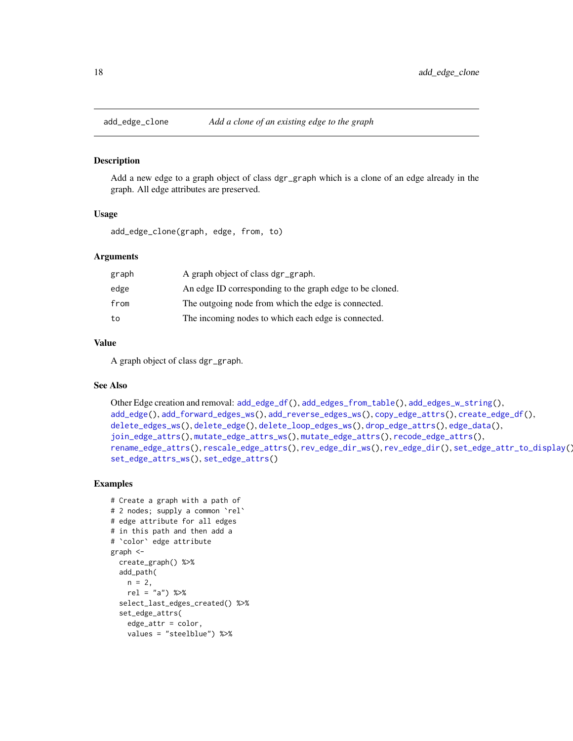<span id="page-17-1"></span><span id="page-17-0"></span>

#### **Description**

Add a new edge to a graph object of class dgr\_graph which is a clone of an edge already in the graph. All edge attributes are preserved.

#### Usage

add\_edge\_clone(graph, edge, from, to)

#### Arguments

| graph | A graph object of class dgr_graph.                       |
|-------|----------------------------------------------------------|
| edge  | An edge ID corresponding to the graph edge to be cloned. |
| from  | The outgoing node from which the edge is connected.      |
| to    | The incoming nodes to which each edge is connected.      |

#### Value

A graph object of class dgr\_graph.

# See Also

```
Other Edge creation and removal: add_edge_df(), add_edges_from_table(), add_edges_w_string(),
add_edge(), add_forward_edges_ws(), add_reverse_edges_ws(), copy_edge_attrs(), create_edge_df(),
delete_edges_ws(), delete_edge(), delete_loop_edges_ws(), drop_edge_attrs(), edge_data(),
join_edge_attrs(), mutate_edge_attrs_ws(), mutate_edge_attrs(), recode_edge_attrs(),
rename_edge_attrs(), rescale_edge_attrs(), rev_edge_dir_ws(), rev_edge_dir(), set_edge_attr_to_display(),
set_edge_attrs_ws(), set_edge_attrs()
```

```
# Create a graph with a path of
# 2 nodes; supply a common `rel`
# edge attribute for all edges
# in this path and then add a
# `color` edge attribute
graph <-
  create_graph() %>%
  add_path(
   n = 2,
   rel = "a") %>%
  select_last_edges_created() %>%
  set_edge_attrs(
   edge_attr = color,
   values = "steelblue") %>%
```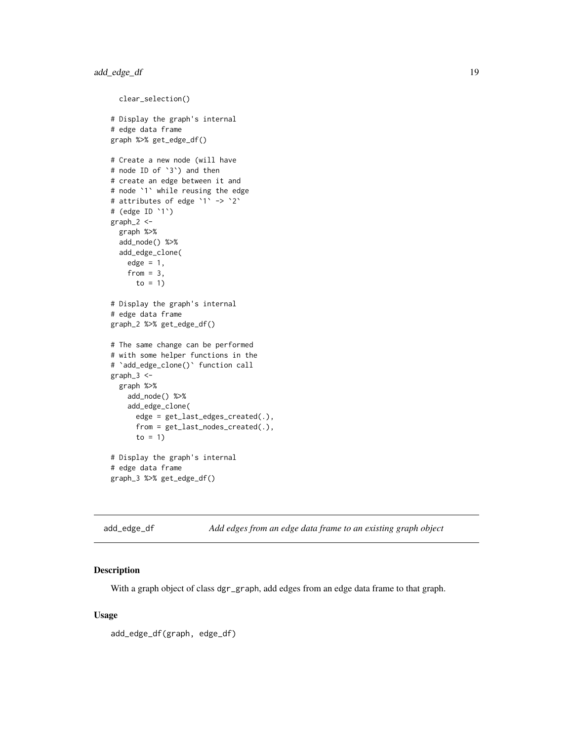```
clear_selection()
# Display the graph's internal
# edge data frame
graph %>% get_edge_df()
# Create a new node (will have
# node ID of `3`) and then
# create an edge between it and
# node `1` while reusing the edge
# attributes of edge `1` -> `2`
# (edge ID `1`)
graph_2 <-
  graph %>%
  add_node() %>%
  add_edge_clone(
   edge = 1,
    from = 3,
     to = 1)
# Display the graph's internal
# edge data frame
graph_2 %>% get_edge_df()
# The same change can be performed
# with some helper functions in the
# `add_edge_clone()` function call
graph_3 <-
  graph %>%
    add_node() %>%
    add_edge_clone(
      edge = get_last_edges_created(.),
      from = get_last_nodes_created(.),
      to = 1)
# Display the graph's internal
# edge data frame
graph_3 %>% get_edge_df()
```
<span id="page-18-1"></span>add\_edge\_df *Add edges from an edge data frame to an existing graph object*

# Description

With a graph object of class dgr\_graph, add edges from an edge data frame to that graph.

#### Usage

```
add_edge_df(graph, edge_df)
```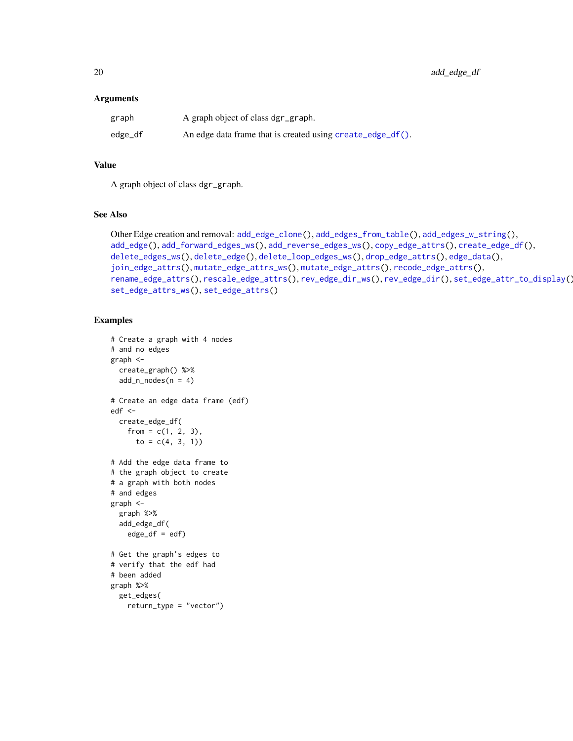#### Arguments

| graph   | A graph object of class dgr_graph.                             |
|---------|----------------------------------------------------------------|
| edge_df | An edge data frame that is created using $create\_edge_d(f)$ . |

# Value

A graph object of class dgr\_graph.

#### See Also

```
Other Edge creation and removal: add_edge_clone(), add_edges_from_table(), add_edges_w_string(),
add_edge(), add_forward_edges_ws(), add_reverse_edges_ws(), copy_edge_attrs(), create_edge_df(),
delete_edges_ws(), delete_edge(), delete_loop_edges_ws(), drop_edge_attrs(), edge_data(),
join_edge_attrs(), mutate_edge_attrs_ws(), mutate_edge_attrs(), recode_edge_attrs(),
rename_edge_attrs(), rescale_edge_attrs(), rev_edge_dir_ws(), rev_edge_dir(), set_edge_attr_to_display(),
set_edge_attrs_ws(), set_edge_attrs()
```

```
# Create a graph with 4 nodes
# and no edges
graph <-
  create_graph() %>%
  add_n nodes(n = 4)# Create an edge data frame (edf)
edf <-
  create_edge_df(
    from = c(1, 2, 3),
      to = c(4, 3, 1))# Add the edge data frame to
# the graph object to create
# a graph with both nodes
# and edges
graph <-
  graph %>%
  add_edge_df(
   edge_d f = edf)
# Get the graph's edges to
# verify that the edf had
# been added
graph %>%
  get_edges(
   return_type = "vector")
```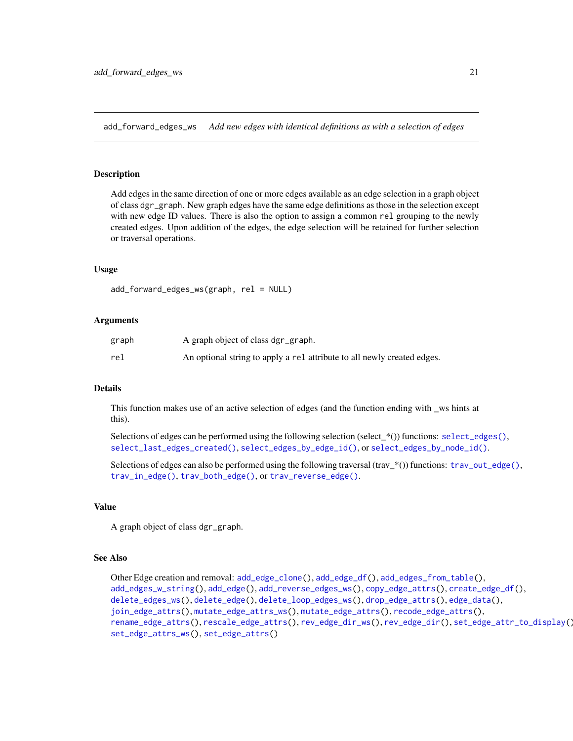<span id="page-20-1"></span><span id="page-20-0"></span>add\_forward\_edges\_ws *Add new edges with identical definitions as with a selection of edges*

#### Description

Add edges in the same direction of one or more edges available as an edge selection in a graph object of class dgr\_graph. New graph edges have the same edge definitions as those in the selection except with new edge ID values. There is also the option to assign a common rel grouping to the newly created edges. Upon addition of the edges, the edge selection will be retained for further selection or traversal operations.

#### Usage

```
add_forward_edges_ws(graph, rel = NULL)
```
#### Arguments

| graph | A graph object of class dgr_graph.                                      |
|-------|-------------------------------------------------------------------------|
| rel   | An optional string to apply a rel attribute to all newly created edges. |

#### Details

This function makes use of an active selection of edges (and the function ending with \_ws hints at this).

Selections of edges can be performed using the following selection (select\_\*()) functions: [select\\_edges\(\)](#page-276-1), [select\\_last\\_edges\\_created\(\)](#page-280-1), [select\\_edges\\_by\\_edge\\_id\(\)](#page-278-1), or [select\\_edges\\_by\\_node\\_id\(\)](#page-279-1).

Selections of edges can also be performed using the following traversal (trav\_\*()) functions: [trav\\_out\\_edge\(\)](#page-339-1), [trav\\_in\\_edge\(\)](#page-324-1), [trav\\_both\\_edge\(\)](#page-316-1), or [trav\\_reverse\\_edge\(\)](#page-349-1).

#### Value

A graph object of class dgr\_graph.

#### See Also

```
Other Edge creation and removal: add_edge_clone(), add_edge_df(), add_edges_from_table(),
add_edges_w_string(), add_edge(), add_reverse_edges_ws(), copy_edge_attrs(), create_edge_df(),
delete_edges_ws(), delete_edge(), delete_loop_edges_ws(), drop_edge_attrs(), edge_data(),
join_edge_attrs(), mutate_edge_attrs_ws(), mutate_edge_attrs(), recode_edge_attrs(),
rename_edge_attrs(), rescale_edge_attrs(), rev_edge_dir_ws(), rev_edge_dir(), set_edge_attr_to_display(),
set_edge_attrs_ws(), set_edge_attrs()
```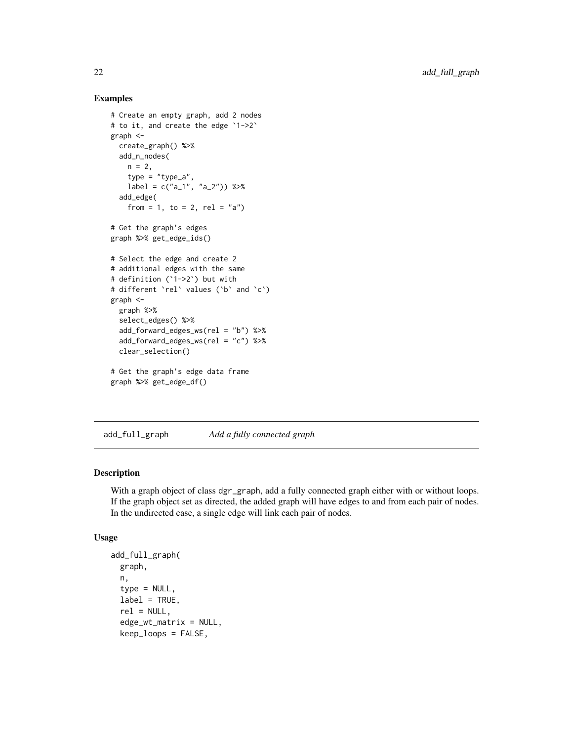#### Examples

```
# Create an empty graph, add 2 nodes
# to it, and create the edge `1->2`
graph <-
  create_graph() %>%
  add_n_nodes(
   n = 2,type = "type_a",
   label = c("a_1", "a_2") %>%
  add_edge(
    from = 1, to = 2, rel = "a")
# Get the graph's edges
graph %>% get_edge_ids()
# Select the edge and create 2
# additional edges with the same
# definition (`1->2`) but with
# different `rel` values (`b` and `c`)
graph <-
  graph %>%
  select_edges() %>%
  add_forward_edges_ws(rel = "b") %>%
  add_forward_edges_ws(rel = "c") %>%
  clear_selection()
# Get the graph's edge data frame
graph %>% get_edge_df()
```
add\_full\_graph *Add a fully connected graph*

#### Description

With a graph object of class dgr\_graph, add a fully connected graph either with or without loops. If the graph object set as directed, the added graph will have edges to and from each pair of nodes. In the undirected case, a single edge will link each pair of nodes.

### Usage

```
add_full_graph(
  graph,
 n,
  type = NULL,
  label = TRUE,
  rel = NULL,edge_wt_matrix = NULL,
 keep_loops = FALSE,
```
<span id="page-21-0"></span>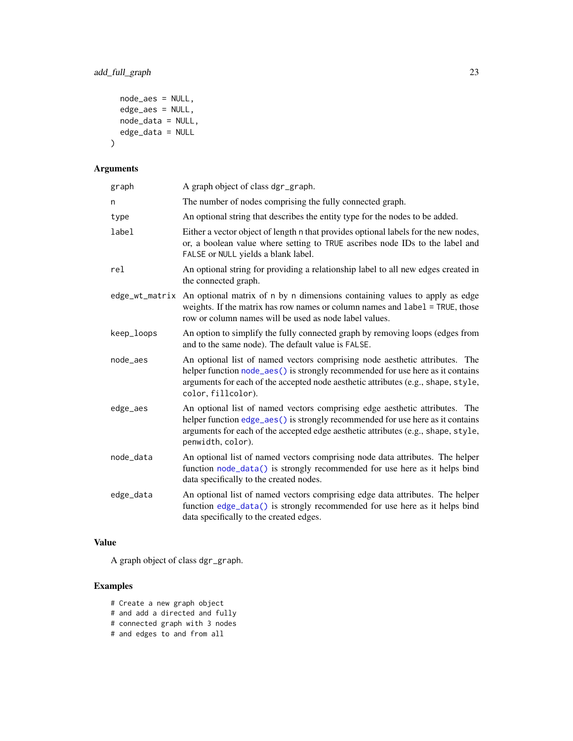```
node_aes = NULL,
 edge_aes = NULL,
 node_data = NULL,
 edge_data = NULL
\mathcal{L}
```
# Arguments

| graph          | A graph object of class dgr_graph.                                                                                                                                                                                                                                       |
|----------------|--------------------------------------------------------------------------------------------------------------------------------------------------------------------------------------------------------------------------------------------------------------------------|
| n              | The number of nodes comprising the fully connected graph.                                                                                                                                                                                                                |
| type           | An optional string that describes the entity type for the nodes to be added.                                                                                                                                                                                             |
| label          | Either a vector object of length n that provides optional labels for the new nodes,<br>or, a boolean value where setting to TRUE ascribes node IDs to the label and<br>FALSE or NULL yields a blank label.                                                               |
| rel            | An optional string for providing a relationship label to all new edges created in<br>the connected graph.                                                                                                                                                                |
| edge_wt_matrix | An optional matrix of n by n dimensions containing values to apply as edge<br>weights. If the matrix has row names or column names and label = TRUE, those<br>row or column names will be used as node label values.                                                     |
| keep_loops     | An option to simplify the fully connected graph by removing loops (edges from<br>and to the same node). The default value is FALSE.                                                                                                                                      |
| node_aes       | An optional list of named vectors comprising node aesthetic attributes. The<br>helper function node_aes() is strongly recommended for use here as it contains<br>arguments for each of the accepted node aesthetic attributes (e.g., shape, style,<br>color, fillcolor). |
| edge_aes       | An optional list of named vectors comprising edge aesthetic attributes. The<br>helper function edge_aes() is strongly recommended for use here as it contains<br>arguments for each of the accepted edge aesthetic attributes (e.g., shape, style,<br>penwidth, color).  |
| node_data      | An optional list of named vectors comprising node data attributes. The helper<br>function node_data() is strongly recommended for use here as it helps bind<br>data specifically to the created nodes.                                                                   |
| edge_data      | An optional list of named vectors comprising edge data attributes. The helper<br>function edge_data() is strongly recommended for use here as it helps bind<br>data specifically to the created edges.                                                                   |

# Value

A graph object of class dgr\_graph.

- # Create a new graph object
- # and add a directed and fully
- # connected graph with 3 nodes
- # and edges to and from all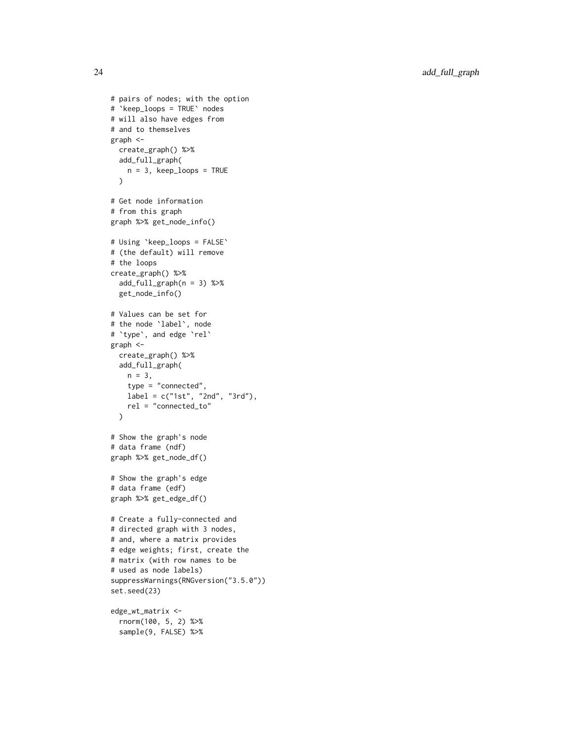```
# pairs of nodes; with the option
# `keep_loops = TRUE` nodes
# will also have edges from
# and to themselves
graph <-
 create_graph() %>%
  add_full_graph(
   n = 3, keep_loops = TRUE
  \lambda# Get node information
# from this graph
graph %>% get_node_info()
# Using `keep_loops = FALSE`
# (the default) will remove
# the loops
create_graph() %>%
  add_full_graph(n = 3) %>%
  get_node_info()
# Values can be set for
# the node `label`, node
# `type`, and edge `rel`
graph <-
  create_graph() %>%
  add_full_graph(
   n = 3,
   type = "connected",
   label = c("1st", "2nd", "3rd"),
   rel = "connected_to"
  )
# Show the graph's node
# data frame (ndf)
graph %>% get_node_df()
# Show the graph's edge
# data frame (edf)
graph %>% get_edge_df()
# Create a fully-connected and
# directed graph with 3 nodes,
# and, where a matrix provides
# edge weights; first, create the
# matrix (with row names to be
# used as node labels)
suppressWarnings(RNGversion("3.5.0"))
set.seed(23)
edge_wt_matrix <-
  rnorm(100, 5, 2) %>%
```

```
sample(9, FALSE) %>%
```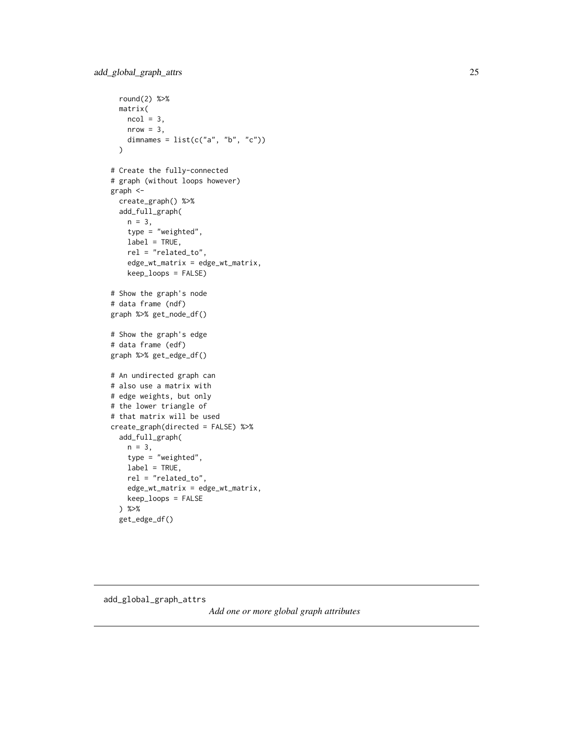```
round(2) %>%
  matrix(
   ncol = 3,
   nrow = 3,
   dimnames = list(c("a", "b", "c"))\mathcal{L}# Create the fully-connected
# graph (without loops however)
graph <-
  create_graph() %>%
  add_full_graph(
   n = 3,
   type = "weighted",
   label = TRUE,
   rel = "related_to",
   edge_wt_matrix = edge_wt_matrix,
   keep_loops = FALSE)
# Show the graph's node
# data frame (ndf)
graph %>% get_node_df()
# Show the graph's edge
# data frame (edf)
graph %>% get_edge_df()
# An undirected graph can
# also use a matrix with
# edge weights, but only
# the lower triangle of
# that matrix will be used
create_graph(directed = FALSE) %>%
  add_full_graph(
   n = 3,
   type = "weighted",
   label = TRUE,rel = "related_to",
   edge_wt_matrix = edge_wt_matrix,
   keep_loops = FALSE
  ) %>%
  get_edge_df()
```
add\_global\_graph\_attrs

*Add one or more global graph attributes*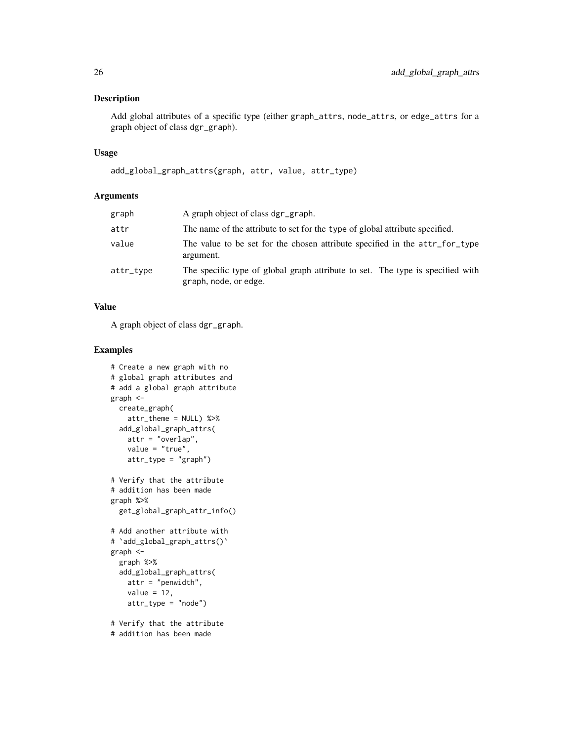# Description

Add global attributes of a specific type (either graph\_attrs, node\_attrs, or edge\_attrs for a graph object of class dgr\_graph).

#### Usage

```
add_global_graph_attrs(graph, attr, value, attr_type)
```
# Arguments

| graph     | A graph object of class dgr_graph.                                                                      |
|-----------|---------------------------------------------------------------------------------------------------------|
| attr      | The name of the attribute to set for the type of global attribute specified.                            |
| value     | The value to be set for the chosen attribute specified in the attr_for_type<br>argument.                |
| attr_type | The specific type of global graph attribute to set. The type is specified with<br>graph, node, or edge. |

# Value

A graph object of class dgr\_graph.

```
# Create a new graph with no
# global graph attributes and
# add a global graph attribute
graph <-
 create_graph(
   attr_theme = NULL) %>%
  add_global_graph_attrs(
   attr = "overlap",
   value = "true",
   attr_type = "graph")
# Verify that the attribute
# addition has been made
graph %>%
  get_global_graph_attr_info()
# Add another attribute with
# `add_global_graph_attrs()`
graph <-
  graph %>%
  add_global_graph_attrs(
   attr = "penwidth",
   value = 12,
   attr_type = "node")
# Verify that the attribute
# addition has been made
```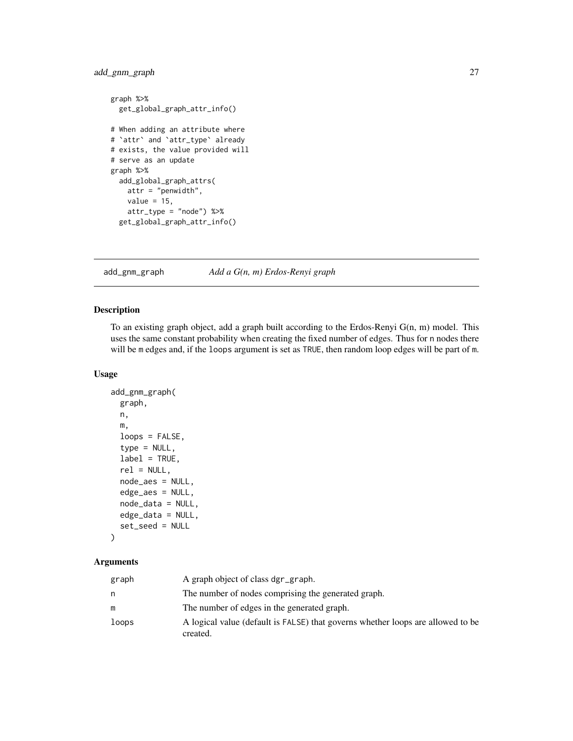# <span id="page-26-0"></span>add\_gnm\_graph 27

```
graph %>%
  get_global_graph_attr_info()
# When adding an attribute where
# `attr` and `attr_type` already
# exists, the value provided will
# serve as an update
graph %>%
  add_global_graph_attrs(
   attr = "penwidth",
   value = 15,
   attr_type = "node") %>%
  get_global_graph_attr_info()
```
add\_gnm\_graph *Add a G(n, m) Erdos-Renyi graph*

## Description

To an existing graph object, add a graph built according to the Erdos-Renyi G(n, m) model. This uses the same constant probability when creating the fixed number of edges. Thus for n nodes there will be m edges and, if the loops argument is set as TRUE, then random loop edges will be part of m.

#### Usage

```
add_gnm_graph(
 graph,
 n,
 m,
  loops = FALSE,
  type = NULL,
  label = TRUE,rel = NULL,node_aes = NULL,
  edge_aes = NULL,
  node_data = NULL,
  edge_data = NULL,
  set_seed = NULL
)
```

| graph | A graph object of class dgr_graph.                                                          |
|-------|---------------------------------------------------------------------------------------------|
| n     | The number of nodes comprising the generated graph.                                         |
| m     | The number of edges in the generated graph.                                                 |
| loops | A logical value (default is FALSE) that governs whether loops are allowed to be<br>created. |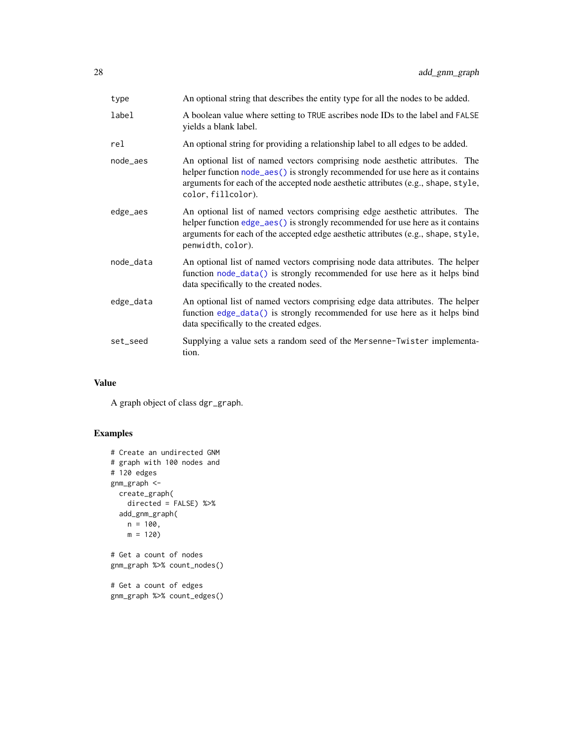| type      | An optional string that describes the entity type for all the nodes to be added.                                                                                                                                                                                         |
|-----------|--------------------------------------------------------------------------------------------------------------------------------------------------------------------------------------------------------------------------------------------------------------------------|
| label     | A boolean value where setting to TRUE ascribes node IDs to the label and FALSE<br>yields a blank label.                                                                                                                                                                  |
| rel       | An optional string for providing a relationship label to all edges to be added.                                                                                                                                                                                          |
| node_aes  | An optional list of named vectors comprising node aesthetic attributes. The<br>helper function node_aes() is strongly recommended for use here as it contains<br>arguments for each of the accepted node aesthetic attributes (e.g., shape, style,<br>color, fillcolor). |
| edge_aes  | An optional list of named vectors comprising edge aesthetic attributes. The<br>helper function edge_aes() is strongly recommended for use here as it contains<br>arguments for each of the accepted edge aesthetic attributes (e.g., shape, style,<br>penwidth, color).  |
| node_data | An optional list of named vectors comprising node data attributes. The helper<br>function node_data() is strongly recommended for use here as it helps bind<br>data specifically to the created nodes.                                                                   |
| edge_data | An optional list of named vectors comprising edge data attributes. The helper<br>function edge_data() is strongly recommended for use here as it helps bind<br>data specifically to the created edges.                                                                   |
| set_seed  | Supplying a value sets a random seed of the Mersenne-Twister implementa-<br>tion.                                                                                                                                                                                        |

# Value

A graph object of class dgr\_graph.

```
# Create an undirected GNM
# graph with 100 nodes and
# 120 edges
gnm_graph <-
 create_graph(
   directed = FALSE) %>%
 add_gnm_graph(
   n = 100,m = 120# Get a count of nodes
gnm_graph %>% count_nodes()
# Get a count of edges
gnm_graph %>% count_edges()
```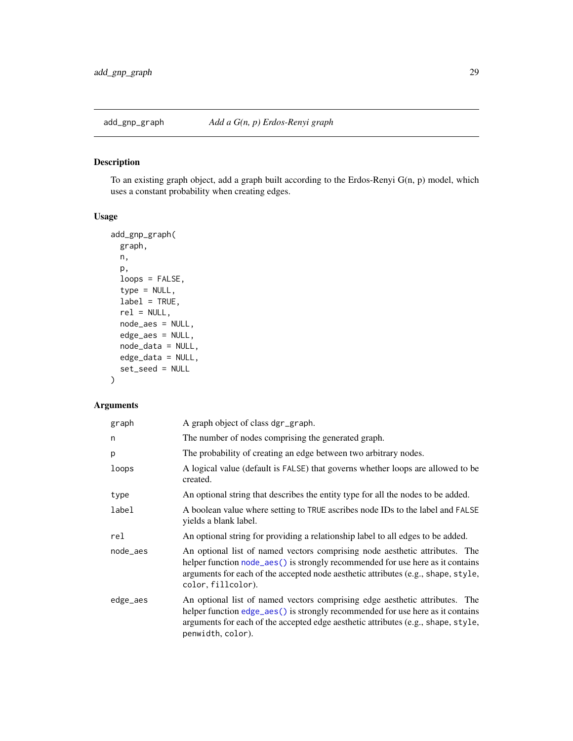<span id="page-28-0"></span>

# Description

To an existing graph object, add a graph built according to the Erdos-Renyi G(n, p) model, which uses a constant probability when creating edges.

# Usage

```
add_gnp_graph(
 graph,
 n,
 p,
  loops = FALSE,
  type = NULL,
 label = TRUE,rel = NULL,node_aes = NULL,
 edge_aes = NULL,
 node_data = NULL,
 edge_data = NULL,
  set_seed = NULL
\mathcal{L}
```

| graph    | A graph object of class dgr_graph.                                                                                                                                                                                                                                       |
|----------|--------------------------------------------------------------------------------------------------------------------------------------------------------------------------------------------------------------------------------------------------------------------------|
| n        | The number of nodes comprising the generated graph.                                                                                                                                                                                                                      |
| p        | The probability of creating an edge between two arbitrary nodes.                                                                                                                                                                                                         |
| loops    | A logical value (default is FALSE) that governs whether loops are allowed to be<br>created.                                                                                                                                                                              |
| type     | An optional string that describes the entity type for all the nodes to be added.                                                                                                                                                                                         |
| label    | A boolean value where setting to TRUE ascribes node IDs to the label and FALSE<br>yields a blank label.                                                                                                                                                                  |
| rel      | An optional string for providing a relationship label to all edges to be added.                                                                                                                                                                                          |
| node_aes | An optional list of named vectors comprising node aesthetic attributes. The<br>helper function node_aes() is strongly recommended for use here as it contains<br>arguments for each of the accepted node aesthetic attributes (e.g., shape, style,<br>color, fillcolor). |
| edge_aes | An optional list of named vectors comprising edge aesthetic attributes. The<br>helper function edge_aes() is strongly recommended for use here as it contains<br>arguments for each of the accepted edge aesthetic attributes (e.g., shape, style,<br>penwidth, color).  |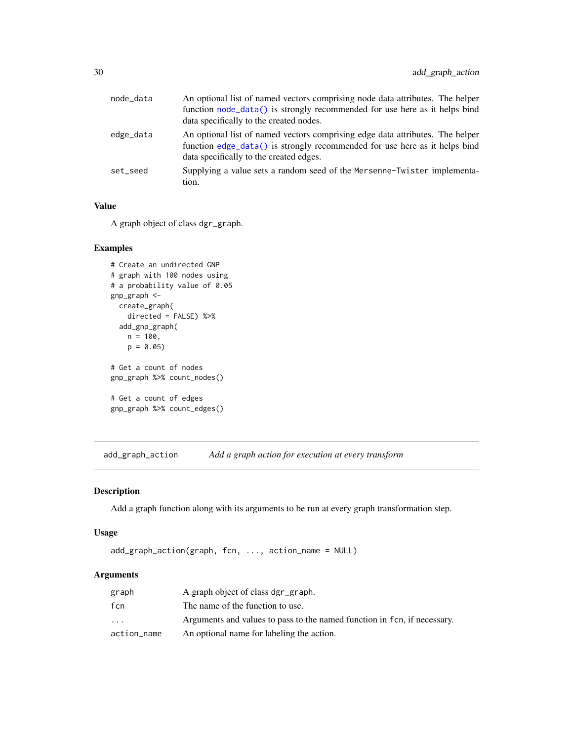<span id="page-29-0"></span>

| node_data | An optional list of named vectors comprising node data attributes. The helper<br>function node_data() is strongly recommended for use here as it helps bind<br>data specifically to the created nodes. |
|-----------|--------------------------------------------------------------------------------------------------------------------------------------------------------------------------------------------------------|
| edge_data | An optional list of named vectors comprising edge data attributes. The helper<br>function edge_data() is strongly recommended for use here as it helps bind<br>data specifically to the created edges. |
| set seed  | Supplying a value sets a random seed of the Mersenne-Twister implementa-<br>tion.                                                                                                                      |

# Value

A graph object of class dgr\_graph.

#### Examples

```
# Create an undirected GNP
# graph with 100 nodes using
# a probability value of 0.05
gnp_graph <-
 create_graph(
   directed = FALSE) %>%
  add_gnp_graph(
   n = 100,p = 0.05# Get a count of nodes
gnp_graph %>% count_nodes()
# Get a count of edges
gnp_graph %>% count_edges()
```
add\_graph\_action *Add a graph action for execution at every transform*

#### Description

Add a graph function along with its arguments to be run at every graph transformation step.

#### Usage

```
add_graph_action(graph, fcn, ..., action_name = NULL)
```

| graph                   | A graph object of class dgr_graph.                                       |
|-------------------------|--------------------------------------------------------------------------|
| fcn                     | The name of the function to use.                                         |
| $\cdot$ $\cdot$ $\cdot$ | Arguments and values to pass to the named function in fcn, if necessary. |
| action_name             | An optional name for labeling the action.                                |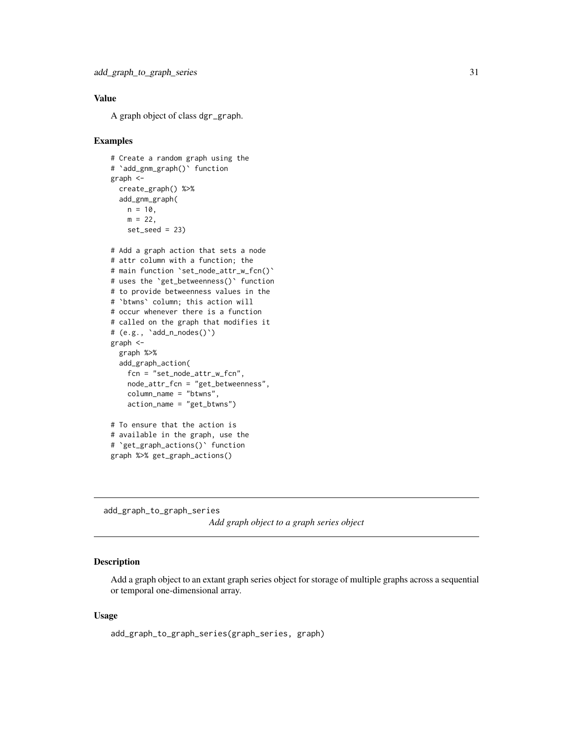# <span id="page-30-0"></span>Value

A graph object of class dgr\_graph.

#### Examples

```
# Create a random graph using the
# `add_gnm_graph()` function
graph <-
  create_graph() %>%
  add_gnm_graph(
   n = 10,
   m = 22,
   set\_seed = 23# Add a graph action that sets a node
# attr column with a function; the
# main function `set_node_attr_w_fcn()`
# uses the `get_betweenness()` function
# to provide betweenness values in the
# `btwns` column; this action will
# occur whenever there is a function
# called on the graph that modifies it
# (e.g., `add_n_nodes()`)
graph <-
  graph %>%
  add_graph_action(
   fcn = "set_node_attr_w_fcn",
   node_attr_fcn = "get_betweenness",
   column_name = "btwns",
    action_name = "get_btwns")
# To ensure that the action is
# available in the graph, use the
# `get_graph_actions()` function
graph %>% get_graph_actions()
```
add\_graph\_to\_graph\_series *Add graph object to a graph series object*

# Description

Add a graph object to an extant graph series object for storage of multiple graphs across a sequential or temporal one-dimensional array.

#### Usage

add\_graph\_to\_graph\_series(graph\_series, graph)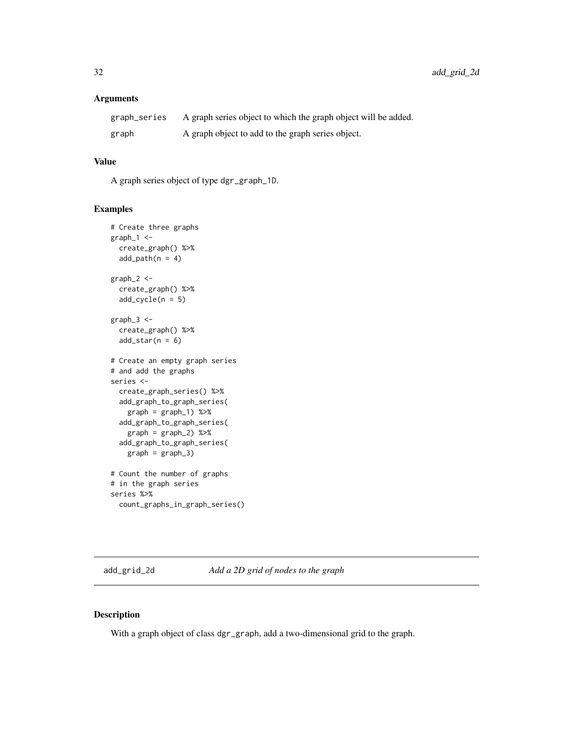# <span id="page-31-0"></span>Arguments

| graph_series | A graph series object to which the graph object will be added. |
|--------------|----------------------------------------------------------------|
| graph        | A graph object to add to the graph series object.              |

# Value

A graph series object of type dgr\_graph\_1D.

#### Examples

```
# Create three graphs
graph_1 <-
  create_graph() %>%
  add\_path(n = 4)graph_2 <-
  create_graph() %>%
  add\_cycle(n = 5)graph_3 <-
  create_graph() %>%
  add\_star(n = 6)# Create an empty graph series
# and add the graphs
series <-
  create_graph_series() %>%
  add_graph_to_graph_series(
   graph = graph_1) %>%
  add_graph_to_graph_series(
   graph = graph_2) %>%
  add_graph_to_graph_series(
   graph = graph_3)
# Count the number of graphs
# in the graph series
series %>%
  count_graphs_in_graph_series()
```
add\_grid\_2d *Add a 2D grid of nodes to the graph*

#### Description

With a graph object of class dgr\_graph, add a two-dimensional grid to the graph.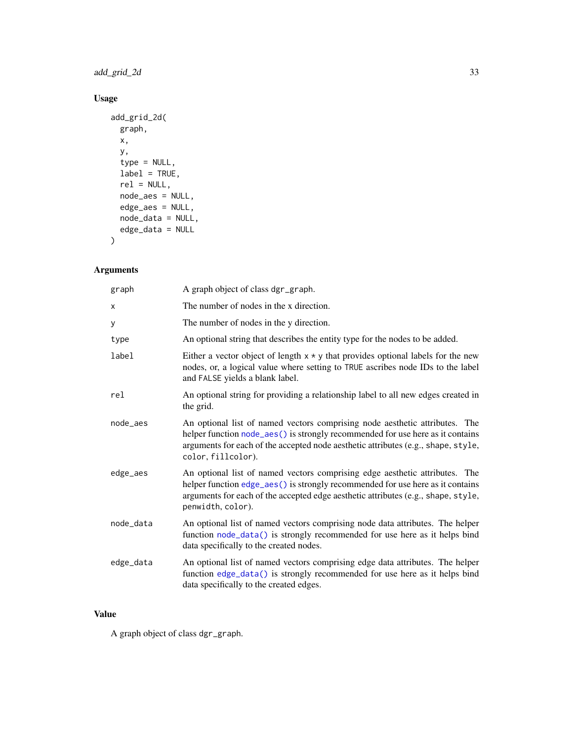# add\_grid\_2d 33

# Usage

```
add_grid_2d(
 graph,
 x,
 y,
  type = NULL,
 label = TRUE,rel = NULL,node_aes = NULL,
 edge_aes = NULL,
 node_data = NULL,
 edge_data = NULL
\mathcal{L}
```
# Arguments

| graph     | A graph object of class dgr_graph.                                                                                                                                                                                                                                       |
|-----------|--------------------------------------------------------------------------------------------------------------------------------------------------------------------------------------------------------------------------------------------------------------------------|
| X         | The number of nodes in the x direction.                                                                                                                                                                                                                                  |
| У         | The number of nodes in the y direction.                                                                                                                                                                                                                                  |
| type      | An optional string that describes the entity type for the nodes to be added.                                                                                                                                                                                             |
| label     | Either a vector object of length $x * y$ that provides optional labels for the new<br>nodes, or, a logical value where setting to TRUE ascribes node IDs to the label<br>and FALSE yields a blank label.                                                                 |
| rel       | An optional string for providing a relationship label to all new edges created in<br>the grid.                                                                                                                                                                           |
| node_aes  | An optional list of named vectors comprising node aesthetic attributes. The<br>helper function node_aes() is strongly recommended for use here as it contains<br>arguments for each of the accepted node aesthetic attributes (e.g., shape, style,<br>color, fillcolor). |
| edge_aes  | An optional list of named vectors comprising edge aesthetic attributes. The<br>helper function edge_aes() is strongly recommended for use here as it contains<br>arguments for each of the accepted edge aesthetic attributes (e.g., shape, style,<br>penwidth, color).  |
| node_data | An optional list of named vectors comprising node data attributes. The helper<br>function node_data() is strongly recommended for use here as it helps bind<br>data specifically to the created nodes.                                                                   |
| edge_data | An optional list of named vectors comprising edge data attributes. The helper<br>function edge_data() is strongly recommended for use here as it helps bind<br>data specifically to the created edges.                                                                   |

# Value

A graph object of class dgr\_graph.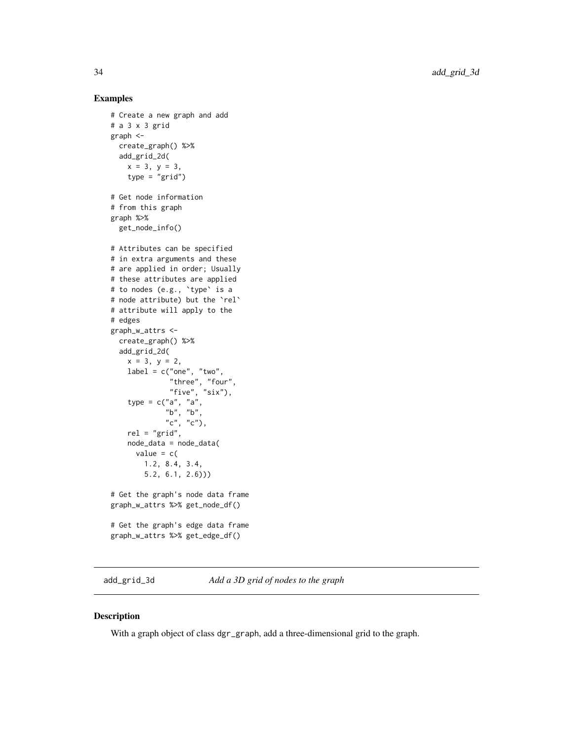#### Examples

```
# Create a new graph and add
# a 3 x 3 grid
graph <-
  create_graph() %>%
  add_grid_2d(
   x = 3, y = 3,type = "grid")
# Get node information
# from this graph
graph %>%
  get_node_info()
# Attributes can be specified
# in extra arguments and these
# are applied in order; Usually
# these attributes are applied
# to nodes (e.g., `type` is a
# node attribute) but the `rel`
# attribute will apply to the
# edges
graph_w_attrs <-
  create_graph() %>%
  add_grid_2d(
    x = 3, y = 2,label = c("one", "two","three", "four",
              "five", "six"),
    type = c("a", "a",
             "b", "b",
             ^{\prime\prime} c", ^{\prime\prime} c"),
    rel = "grid",
    node_data = node_data(
      value = c(1.2, 8.4, 3.4,
        5.2, 6.1, 2.6)))
# Get the graph's node data frame
graph_w_attrs %>% get_node_df()
# Get the graph's edge data frame
graph_w_attrs %>% get_edge_df()
```
add\_grid\_3d *Add a 3D grid of nodes to the graph*

# Description

With a graph object of class dgr\_graph, add a three-dimensional grid to the graph.

<span id="page-33-0"></span>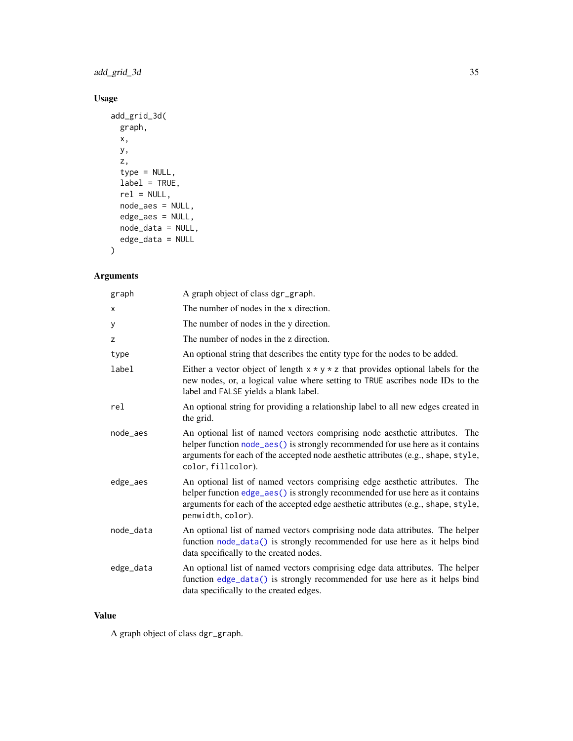# add\_grid\_3d 35

# Usage

```
add_grid_3d(
 graph,
 x,
 y,
 z,
 type = NULL,
 label = TRUE,rel = NULL,
 node_aes = NULL,
 edge_aes = NULL,
 node_data = NULL,
 edge_data = NULL
\mathcal{L}
```
# Arguments

| graph     | A graph object of class dgr_graph.                                                                                                                                                                                                                                       |
|-----------|--------------------------------------------------------------------------------------------------------------------------------------------------------------------------------------------------------------------------------------------------------------------------|
| X         | The number of nodes in the x direction.                                                                                                                                                                                                                                  |
| У         | The number of nodes in the y direction.                                                                                                                                                                                                                                  |
| Z         | The number of nodes in the z direction.                                                                                                                                                                                                                                  |
| type      | An optional string that describes the entity type for the nodes to be added.                                                                                                                                                                                             |
| label     | Either a vector object of length $x * y * z$ that provides optional labels for the<br>new nodes, or, a logical value where setting to TRUE ascribes node IDs to the<br>label and FALSE yields a blank label.                                                             |
| rel       | An optional string for providing a relationship label to all new edges created in<br>the grid.                                                                                                                                                                           |
| node aes  | An optional list of named vectors comprising node aesthetic attributes. The<br>helper function node_aes() is strongly recommended for use here as it contains<br>arguments for each of the accepted node aesthetic attributes (e.g., shape, style,<br>color, fillcolor). |
| edge_aes  | An optional list of named vectors comprising edge aesthetic attributes. The<br>helper function edge_aes() is strongly recommended for use here as it contains<br>arguments for each of the accepted edge aesthetic attributes (e.g., shape, style,<br>penwidth, color).  |
| node_data | An optional list of named vectors comprising node data attributes. The helper<br>function node_data() is strongly recommended for use here as it helps bind<br>data specifically to the created nodes.                                                                   |
| edge_data | An optional list of named vectors comprising edge data attributes. The helper<br>function edge_data() is strongly recommended for use here as it helps bind<br>data specifically to the created edges.                                                                   |

# Value

A graph object of class dgr\_graph.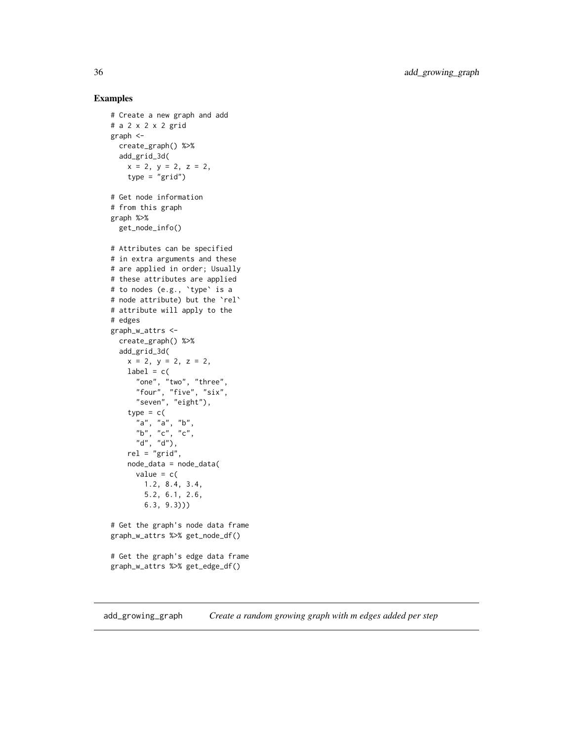### Examples

```
# Create a new graph and add
# a 2 x 2 x 2 grid
graph <-
  create_graph() %>%
  add_grid_3d(
   x = 2, y = 2, z = 2,
   type = "grid")
# Get node information
# from this graph
graph %>%
  get_node_info()
# Attributes can be specified
# in extra arguments and these
# are applied in order; Usually
# these attributes are applied
# to nodes (e.g., `type` is a
# node attribute) but the `rel`
# attribute will apply to the
# edges
graph_w_attrs <-
  create_graph() %>%
  add_grid_3d(
   x = 2, y = 2, z = 2,
   label = c("one", "two", "three",
      "four", "five", "six",
      "seven", "eight"),
    type = c("a", "a", "b",
      "b", "c", "c",
      "d", "d"),
    rel = "grid",node_data = node_data(
      value = c(1.2, 8.4, 3.4,
       5.2, 6.1, 2.6,
       6.3, 9.3)))
# Get the graph's node data frame
graph_w_attrs %>% get_node_df()
# Get the graph's edge data frame
graph_w_attrs %>% get_edge_df()
```
add\_growing\_graph *Create a random growing graph with m edges added per step*

<span id="page-35-0"></span>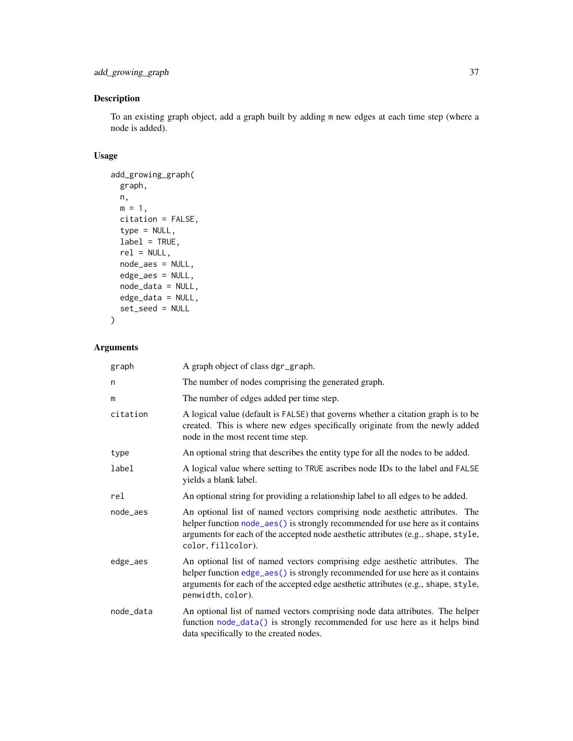```
add_growing_graph 37
```
# Description

To an existing graph object, add a graph built by adding m new edges at each time step (where a node is added).

# Usage

```
add_growing_graph(
  graph,
  n,
  m = 1,
  citation = FALSE,
  type = NULL,
  label = TRUE,rel = NULL,node_aes = NULL,
  edge_aes = NULL,
  node_data = NULL,
  edge_data = NULL,
  set_seed = NULL
\overline{\phantom{a}}
```

| graph     | A graph object of class dgr_graph.                                                                                                                                                                                                                                       |
|-----------|--------------------------------------------------------------------------------------------------------------------------------------------------------------------------------------------------------------------------------------------------------------------------|
| n         | The number of nodes comprising the generated graph.                                                                                                                                                                                                                      |
| m         | The number of edges added per time step.                                                                                                                                                                                                                                 |
| citation  | A logical value (default is FALSE) that governs whether a citation graph is to be<br>created. This is where new edges specifically originate from the newly added<br>node in the most recent time step.                                                                  |
| type      | An optional string that describes the entity type for all the nodes to be added.                                                                                                                                                                                         |
| label     | A logical value where setting to TRUE ascribes node IDs to the label and FALSE<br>yields a blank label.                                                                                                                                                                  |
| rel       | An optional string for providing a relationship label to all edges to be added.                                                                                                                                                                                          |
| node_aes  | An optional list of named vectors comprising node aesthetic attributes. The<br>helper function node_aes() is strongly recommended for use here as it contains<br>arguments for each of the accepted node aesthetic attributes (e.g., shape, style,<br>color, fillcolor). |
| edge_aes  | An optional list of named vectors comprising edge aesthetic attributes. The<br>helper function edge_aes() is strongly recommended for use here as it contains<br>arguments for each of the accepted edge aesthetic attributes (e.g., shape, style,<br>penwidth, color).  |
| node_data | An optional list of named vectors comprising node data attributes. The helper<br>function node_data() is strongly recommended for use here as it helps bind<br>data specifically to the created nodes.                                                                   |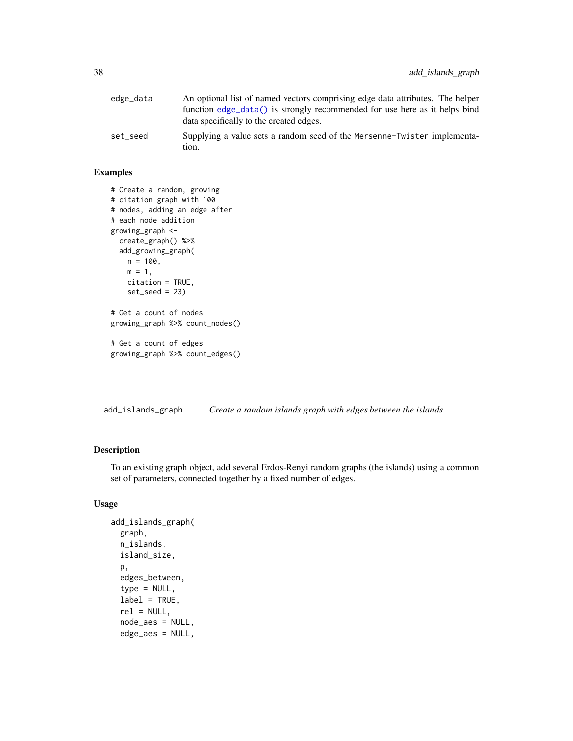| edge_data | An optional list of named vectors comprising edge data attributes. The helper     |
|-----------|-----------------------------------------------------------------------------------|
|           | function edge_data() is strongly recommended for use here as it helps bind        |
|           | data specifically to the created edges.                                           |
| set seed  | Supplying a value sets a random seed of the Mersenne-Twister implementa-<br>tion. |

### Examples

```
# Create a random, growing
# citation graph with 100
# nodes, adding an edge after
# each node addition
growing_graph <-
  create_graph() %>%
  add_growing_graph(
   n = 100,m = 1,
   citation = TRUE,
    set_seed = 23)
# Get a count of nodes
growing_graph %>% count_nodes()
# Get a count of edges
growing_graph %>% count_edges()
```
add\_islands\_graph *Create a random islands graph with edges between the islands*

# Description

To an existing graph object, add several Erdos-Renyi random graphs (the islands) using a common set of parameters, connected together by a fixed number of edges.

### Usage

```
add_islands_graph(
  graph,
 n_islands,
  island_size,
  p,
  edges_between,
  type = NULL,
  label = TRUE,rel = NULL,node_aes = NULL,
  edge_aes = NULL,
```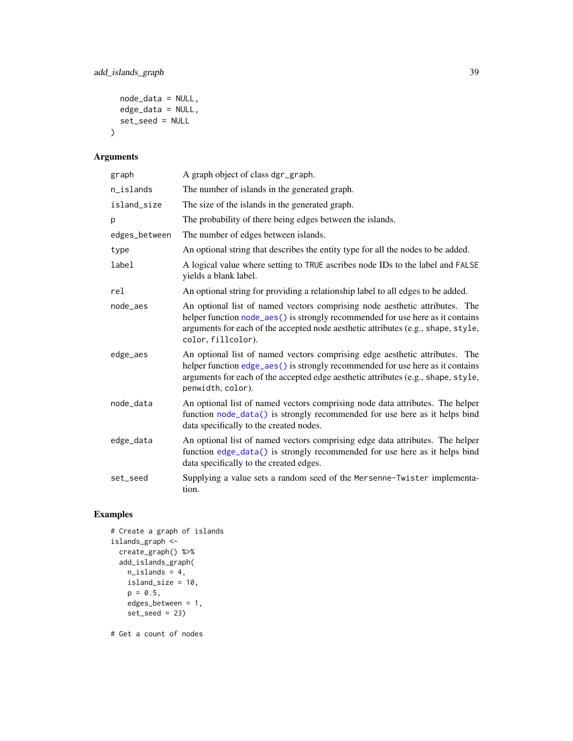```
node_data = NULL,
  edge_data = NULL,
  set_seed = NULL
\mathcal{L}
```
# Arguments

| graph         | A graph object of class dgr_graph.                                                                                                                                                                                                                                       |
|---------------|--------------------------------------------------------------------------------------------------------------------------------------------------------------------------------------------------------------------------------------------------------------------------|
| n_islands     | The number of islands in the generated graph.                                                                                                                                                                                                                            |
| island_size   | The size of the islands in the generated graph.                                                                                                                                                                                                                          |
| p             | The probability of there being edges between the islands.                                                                                                                                                                                                                |
| edges_between | The number of edges between islands.                                                                                                                                                                                                                                     |
| type          | An optional string that describes the entity type for all the nodes to be added.                                                                                                                                                                                         |
| label         | A logical value where setting to TRUE ascribes node IDs to the label and FALSE<br>yields a blank label.                                                                                                                                                                  |
| rel           | An optional string for providing a relationship label to all edges to be added.                                                                                                                                                                                          |
| node_aes      | An optional list of named vectors comprising node aesthetic attributes. The<br>helper function node_aes() is strongly recommended for use here as it contains<br>arguments for each of the accepted node aesthetic attributes (e.g., shape, style,<br>color, fillcolor). |
| edge_aes      | An optional list of named vectors comprising edge aesthetic attributes. The<br>helper function edge_aes() is strongly recommended for use here as it contains<br>arguments for each of the accepted edge aesthetic attributes (e.g., shape, style,<br>penwidth, color).  |
| node_data     | An optional list of named vectors comprising node data attributes. The helper<br>function node_data() is strongly recommended for use here as it helps bind<br>data specifically to the created nodes.                                                                   |
| edge_data     | An optional list of named vectors comprising edge data attributes. The helper<br>function edge_data() is strongly recommended for use here as it helps bind<br>data specifically to the created edges.                                                                   |
| set_seed      | Supplying a value sets a random seed of the Mersenne-Twister implementa-<br>tion.                                                                                                                                                                                        |

# Examples

```
# Create a graph of islands
islands_graph <-
 create_graph() %>%
  add_islands_graph(
    n<sub>l</sub>islands = 4,
   island_size = 10,
    p = 0.5,
    edges_between = 1,
    set_seed = 23)
```
# Get a count of nodes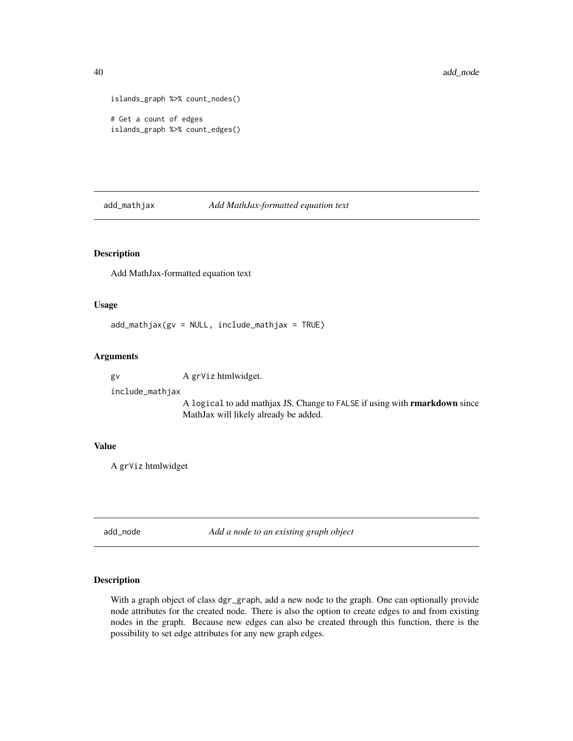```
islands_graph %>% count_nodes()
# Get a count of edges
islands_graph %>% count_edges()
```
add\_mathjax *Add MathJax-formatted equation text*

# Description

Add MathJax-formatted equation text

# Usage

 $add\_math$ jax(gv = NULL, include\_mathjax = TRUE)

### Arguments

gv A grViz htmlwidget.

include\_mathjax

A logical to add mathjax JS. Change to FALSE if using with rmarkdown since MathJax will likely already be added.

#### Value

A grViz htmlwidget

<span id="page-39-0"></span>add\_node *Add a node to an existing graph object*

#### Description

With a graph object of class dgr\_graph, add a new node to the graph. One can optionally provide node attributes for the created node. There is also the option to create edges to and from existing nodes in the graph. Because new edges can also be created through this function, there is the possibility to set edge attributes for any new graph edges.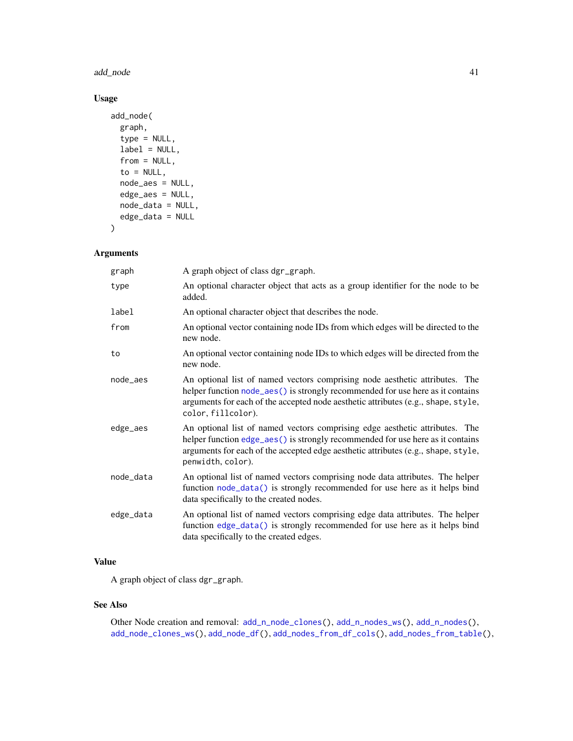#### add\_node 41

# Usage

```
add_node(
 graph,
  type = NULL,
  label = NULL,from = NULL,to = NULL,
  node_aes = NULL,
  edge_aes = NULL,
 node_data = NULL,
  edge_data = NULL
\mathcal{L}
```
# Arguments

| graph     | A graph object of class dgr_graph.                                                                                                                                                                                                                                       |
|-----------|--------------------------------------------------------------------------------------------------------------------------------------------------------------------------------------------------------------------------------------------------------------------------|
| type      | An optional character object that acts as a group identifier for the node to be<br>added.                                                                                                                                                                                |
| label     | An optional character object that describes the node.                                                                                                                                                                                                                    |
| from      | An optional vector containing node IDs from which edges will be directed to the<br>new node.                                                                                                                                                                             |
| to        | An optional vector containing node IDs to which edges will be directed from the<br>new node.                                                                                                                                                                             |
| node_aes  | An optional list of named vectors comprising node aesthetic attributes. The<br>helper function node_aes() is strongly recommended for use here as it contains<br>arguments for each of the accepted node aesthetic attributes (e.g., shape, style,<br>color, fillcolor). |
| edge_aes  | An optional list of named vectors comprising edge aesthetic attributes. The<br>helper function edge_aes() is strongly recommended for use here as it contains<br>arguments for each of the accepted edge aesthetic attributes (e.g., shape, style,<br>penwidth, color).  |
| node_data | An optional list of named vectors comprising node data attributes. The helper<br>function node_data() is strongly recommended for use here as it helps bind<br>data specifically to the created nodes.                                                                   |
| edge_data | An optional list of named vectors comprising edge data attributes. The helper<br>function edge_data() is strongly recommended for use here as it helps bind<br>data specifically to the created edges.                                                                   |

# Value

A graph object of class dgr\_graph.

#### See Also

Other Node creation and removal:  $add_n_model{\gt{0}}$ ,  $add_n,{add_n}{\gt{0}}$ ,  $add_n,{add_n}{\gt{0}}$ ,  $add_n,{add_n}{\gt{0}}$ [add\\_node\\_clones\\_ws\(](#page-45-0)), [add\\_node\\_df\(](#page-47-0)), [add\\_nodes\\_from\\_df\\_cols\(](#page-41-0)), [add\\_nodes\\_from\\_table\(](#page-43-0)),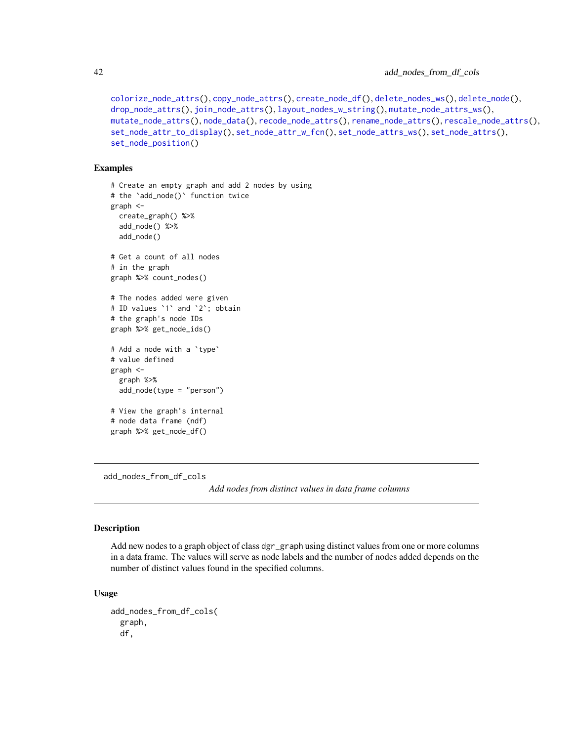```
colorize_node_attrs(), copy_node_attrs(), create_node_df(), delete_nodes_ws(), delete_node(),
drop_node_attrs(), join_node_attrs(), layout_nodes_w_string(), mutate_node_attrs_ws(),
mutate_node_attrs(), node_data(), recode_node_attrs(), rename_node_attrs(), rescale_node_attrs(),
set_node_attr_to_display(), set_node_attr_w_fcn(), set_node_attrs_ws(), set_node_attrs(),
set_node_position()
```
#### Examples

```
# Create an empty graph and add 2 nodes by using
# the `add_node()` function twice
graph <-
 create_graph() %>%
 add_node() %>%
 add_node()
# Get a count of all nodes
# in the graph
graph %>% count_nodes()
# The nodes added were given
# ID values `1` and `2`; obtain
# the graph's node IDs
graph %>% get_node_ids()
# Add a node with a `type`
# value defined
graph <-
 graph %>%
 add_node(type = "person")
# View the graph's internal
# node data frame (ndf)
graph %>% get_node_df()
```
<span id="page-41-0"></span>add\_nodes\_from\_df\_cols

*Add nodes from distinct values in data frame columns*

### Description

Add new nodes to a graph object of class dgr\_graph using distinct values from one or more columns in a data frame. The values will serve as node labels and the number of nodes added depends on the number of distinct values found in the specified columns.

### Usage

```
add_nodes_from_df_cols(
  graph,
  df,
```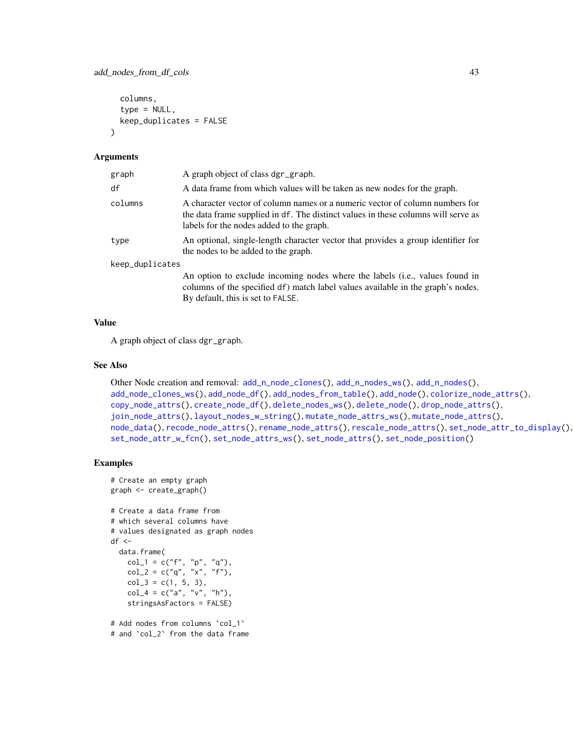```
columns,
  type = NULL,
  keep_duplicates = FALSE
\lambda
```
#### Arguments

| graph           | A graph object of class dgr_graph.                                                                                                                                                                            |  |
|-----------------|---------------------------------------------------------------------------------------------------------------------------------------------------------------------------------------------------------------|--|
| df              | A data frame from which values will be taken as new nodes for the graph.                                                                                                                                      |  |
| columns         | A character vector of column names or a numeric vector of column numbers for<br>the data frame supplied in df. The distinct values in these columns will serve as<br>labels for the nodes added to the graph. |  |
| type            | An optional, single-length character vector that provides a group identifier for<br>the nodes to be added to the graph.                                                                                       |  |
| keep_duplicates |                                                                                                                                                                                                               |  |
|                 | An option to exclude incoming nodes where the labels (i.e., values found in<br>columns of the specified df) match label values available in the graph's nodes.<br>By default, this is set to FALSE.           |  |

### Value

A graph object of class dgr\_graph.

#### See Also

```
Other Node creation and removal: add_n_node_clones(), add_n_nodes_ws(), add_n_nodes(),
add_node_clones_ws(), add_node_df(), add_nodes_from_table(), add_node(), colorize_node_attrs(),
copy_node_attrs(), create_node_df(), delete_nodes_ws(), delete_node(), drop_node_attrs(),
join_node_attrs(), layout_nodes_w_string(), mutate_node_attrs_ws(), mutate_node_attrs(),
node_data(), recode_node_attrs(), rename_node_attrs(), rescale_node_attrs(), set_node_attr_to_display(),
set_node_attr_w_fcn(), set_node_attrs_ws(), set_node_attrs(), set_node_position()
```

```
# Create an empty graph
graph <- create_graph()
# Create a data frame from
# which several columns have
# values designated as graph nodes
df \leftarrowdata.frame(
   col_1 = c("f", "p", "q"),
   col_2 = c("q", "x", "f"),
   col_3 = c(1, 5, 3),
    col_4 = c("a", "v", "h"),
    stringsAsFactors = FALSE)
# Add nodes from columns `col_1`
# and `col_2` from the data frame
```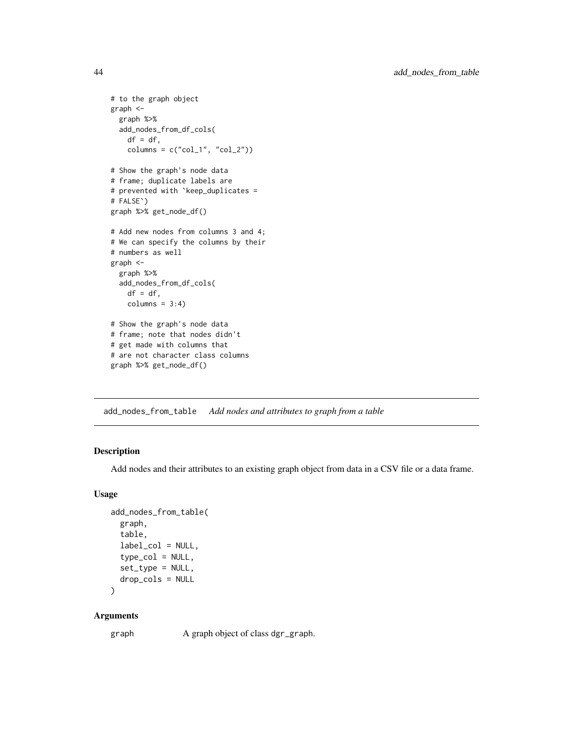```
# to the graph object
graph <-
  graph %>%
  add_nodes_from_df_cols(
   df = df,
   columns = c("col_1", "col_2"))# Show the graph's node data
# frame; duplicate labels are
# prevented with `keep_duplicates =
# FALSE`)
graph %>% get_node_df()
# Add new nodes from columns 3 and 4;
# We can specify the columns by their
# numbers as well
graph <-
  graph %>%
  add_nodes_from_df_cols(
   df = df,
    columns = 3:4)# Show the graph's node data
# frame; note that nodes didn't
# get made with columns that
# are not character class columns
graph %>% get_node_df()
```
<span id="page-43-0"></span>add\_nodes\_from\_table *Add nodes and attributes to graph from a table*

### Description

Add nodes and their attributes to an existing graph object from data in a CSV file or a data frame.

# Usage

```
add_nodes_from_table(
  graph,
  table,
  label_col = NULL,
  type\_col = NULL,set_type = NULL,
 drop_cols = NULL
```

```
)
```
### Arguments

graph A graph object of class dgr\_graph.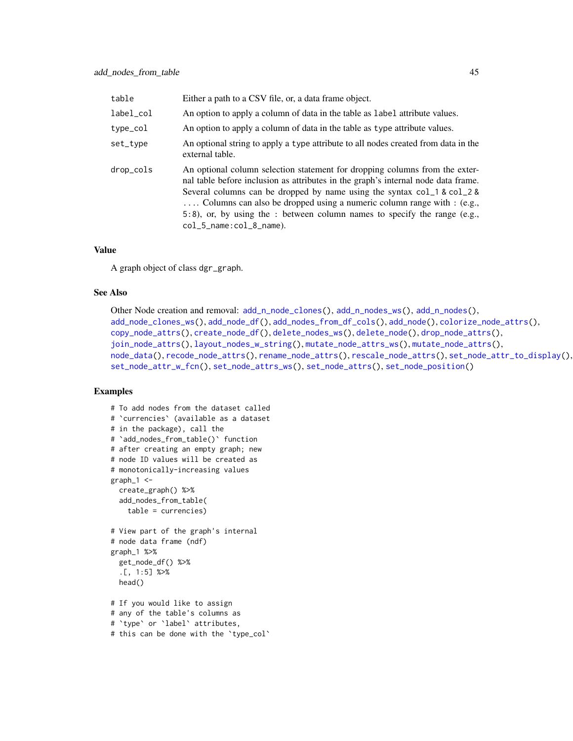| table     | Either a path to a CSV file, or, a data frame object.                                                                                                                                                                                                                                                                                                                                                                         |
|-----------|-------------------------------------------------------------------------------------------------------------------------------------------------------------------------------------------------------------------------------------------------------------------------------------------------------------------------------------------------------------------------------------------------------------------------------|
| label_col | An option to apply a column of data in the table as label attribute values.                                                                                                                                                                                                                                                                                                                                                   |
| type_col  | An option to apply a column of data in the table as type attribute values.                                                                                                                                                                                                                                                                                                                                                    |
| set_type  | An optional string to apply a type attribute to all nodes created from data in the<br>external table.                                                                                                                                                                                                                                                                                                                         |
| drop_cols | An optional column selection statement for dropping columns from the exter-<br>nal table before inclusion as attributes in the graph's internal node data frame.<br>Several columns can be dropped by name using the syntax col 1 & col 2 &<br>Columns can also be dropped using a numeric column range with : (e.g.,<br>5:8), or, by using the : between column names to specify the range (e.g.,<br>col_5_name:col_8_name). |

#### Value

A graph object of class dgr\_graph.

#### See Also

```
Other Node creation and removal: add_n_node_clones(), add_n_nodes_ws(), add_n_nodes(),
add_node_clones_ws(), add_node_df(), add_nodes_from_df_cols(), add_node(), colorize_node_attrs(),
copy_node_attrs(), create_node_df(), delete_nodes_ws(), delete_node(), drop_node_attrs(),
join_node_attrs(), layout_nodes_w_string(), mutate_node_attrs_ws(), mutate_node_attrs(),
node_data(), recode_node_attrs(), rename_node_attrs(), rescale_node_attrs(), set_node_attr_to_display(),
set_node_attr_w_fcn(), set_node_attrs_ws(), set_node_attrs(), set_node_position()
```

```
# To add nodes from the dataset called
# `currencies` (available as a dataset
# in the package), call the
# `add_nodes_from_table()` function
# after creating an empty graph; new
# node ID values will be created as
# monotonically-increasing values
graph_1 < -create_graph() %>%
  add_nodes_from_table(
   table = currencies)
# View part of the graph's internal
# node data frame (ndf)
graph_1 %>%
  get_node_df() %>%
  .[, 1:5] %>%
  head()
# If you would like to assign
# any of the table's columns as
# `type` or `label` attributes,
# this can be done with the `type_col`
```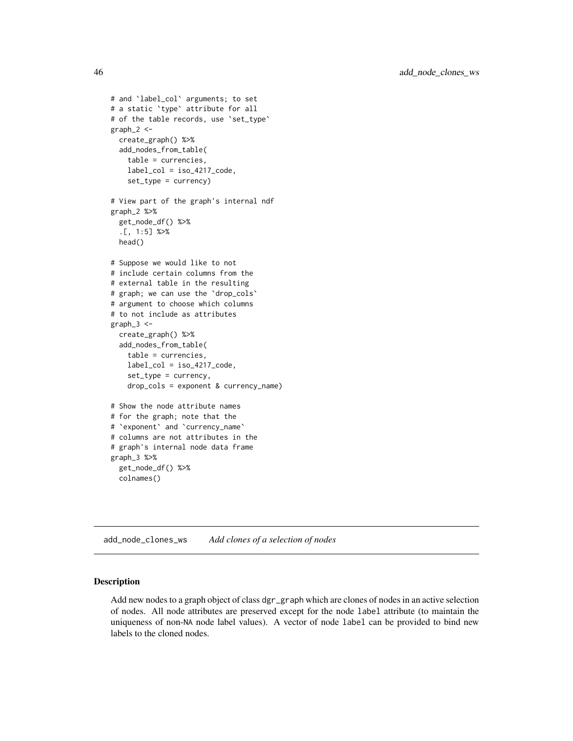```
# and `label_col` arguments; to set
# a static `type` attribute for all
# of the table records, use 'set_type'
graph_2 < -create_graph() %>%
  add_nodes_from_table(
   table = currencies,
   label\_col = iso_4217\_code,set_type = currency)
# View part of the graph's internal ndf
graph_2 %>%
  get_node_df() %>%
  .[, 1:5] %>%
  head()
# Suppose we would like to not
# include certain columns from the
# external table in the resulting
# graph; we can use the `drop_cols`
# argument to choose which columns
# to not include as attributes
graph_3 < -create_graph() %>%
  add_nodes_from_table(
    table = currencies,
    label\_col = iso_4217\_code,set_type = currency,
    drop_cols = exponent & currency_name)
# Show the node attribute names
# for the graph; note that the
# `exponent` and `currency_name`
# columns are not attributes in the
# graph's internal node data frame
graph_3 %>%
  get_node_df() %>%
  colnames()
```
<span id="page-45-0"></span>add\_node\_clones\_ws *Add clones of a selection of nodes*

# Description

Add new nodes to a graph object of class dgr\_graph which are clones of nodes in an active selection of nodes. All node attributes are preserved except for the node label attribute (to maintain the uniqueness of non-NA node label values). A vector of node label can be provided to bind new labels to the cloned nodes.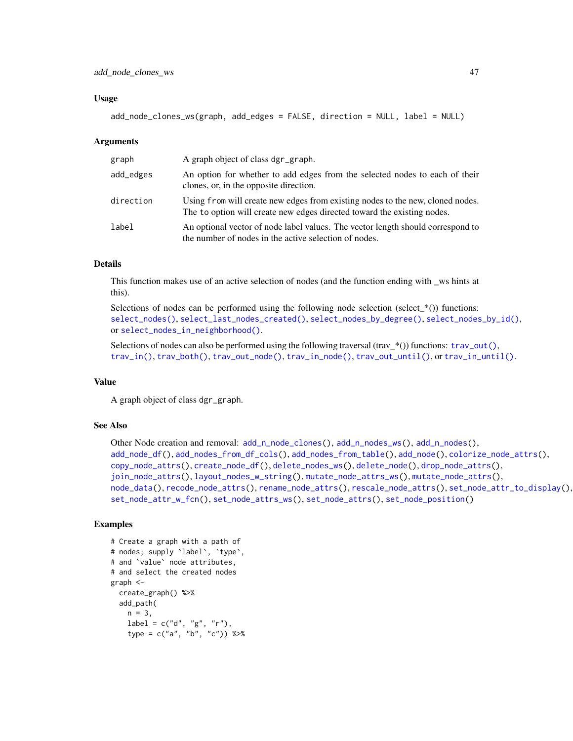#### Usage

```
add_node_clones_ws(graph, add_edges = FALSE, direction = NULL, label = NULL)
```
#### Arguments

| graph     | A graph object of class dgr_graph.                                                                                                                        |
|-----------|-----------------------------------------------------------------------------------------------------------------------------------------------------------|
| add_edges | An option for whether to add edges from the selected nodes to each of their<br>clones, or, in the opposite direction.                                     |
| direction | Using from will create new edges from existing nodes to the new, cloned nodes.<br>The to option will create new edges directed toward the existing nodes. |
| label     | An optional vector of node label values. The vector length should correspond to<br>the number of nodes in the active selection of nodes.                  |

## Details

This function makes use of an active selection of nodes (and the function ending with \_ws hints at this).

Selections of nodes can be performed using the following node selection (select\_ $*($ )) functions: [select\\_nodes\(\)](#page-282-0), [select\\_last\\_nodes\\_created\(\)](#page-281-0), [select\\_nodes\\_by\\_degree\(\)](#page-284-0), [select\\_nodes\\_by\\_id\(\)](#page-286-0), or [select\\_nodes\\_in\\_neighborhood\(\)](#page-287-0).

Selections of nodes can also be performed using the following traversal (trav\_\*()) functions:  $\text{trav\_out}($ ), [trav\\_in\(\)](#page-320-0), [trav\\_both\(\)](#page-312-0), [trav\\_out\\_node\(\)](#page-343-0), [trav\\_in\\_node\(\)](#page-328-0), [trav\\_out\\_until\(\)](#page-347-0), or [trav\\_in\\_until\(\)](#page-333-0).

#### Value

A graph object of class dgr\_graph.

#### See Also

```
Other Node creation and removal: add_nnode\_clones(), add_n nodes_ws(), add_n nodes(),add_node_df(), add_nodes_from_df_cols(), add_nodes_from_table(), add_node(), colorize_node_attrs(),
copy_node_attrs(), create_node_df(), delete_nodes_ws(), delete_node(), drop_node_attrs(),
join_node_attrs(), layout_nodes_w_string(), mutate_node_attrs_ws(), mutate_node_attrs(),
node_data(), recode_node_attrs(), rename_node_attrs(), rescale_node_attrs(), set_node_attr_to_display(),
set_node_attr_w_fcn(), set_node_attrs_ws(), set_node_attrs(), set_node_position()
```

```
# Create a graph with a path of
# nodes; supply `label`, `type`,
# and `value` node attributes,
# and select the created nodes
graph <-
  create_graph() %>%
  add_path(
   n = 3,
   label = c("d", "g", "r"),
    type = c("a", "b", "c")) %>%
```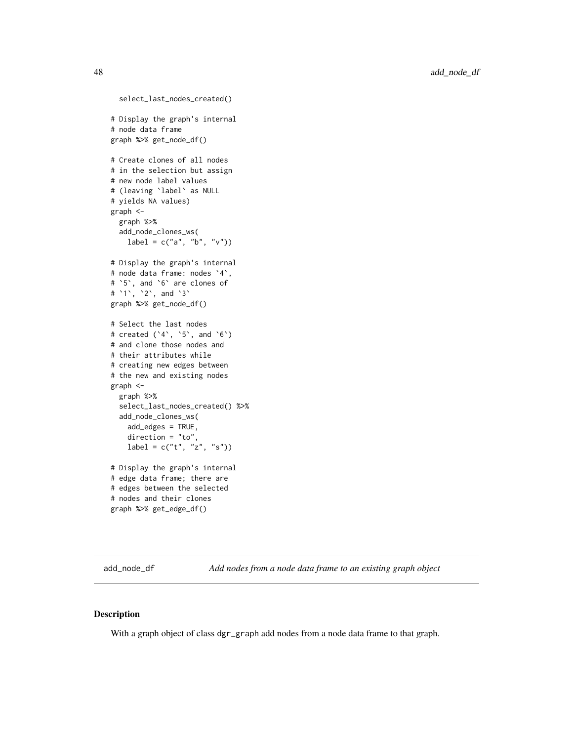```
select_last_nodes_created()
# Display the graph's internal
# node data frame
graph %>% get_node_df()
# Create clones of all nodes
# in the selection but assign
# new node label values
# (leaving `label` as NULL
# yields NA values)
graph <-
  graph %>%
  add_node_clones_ws(
   label = c("a", "b", "v")# Display the graph's internal
# node data frame: nodes `4`,
# `5`, and `6` are clones of
# `1`, `2`, and `3`
graph %>% get_node_df()
# Select the last nodes
# created (`4`, `5`, and `6`)
# and clone those nodes and
# their attributes while
# creating new edges between
# the new and existing nodes
graph <-
  graph %>%
  select_last_nodes_created() %>%
  add_node_clones_ws(
   add_edges = TRUE,
   direction = "to",
   label = c("t", "z", "s")# Display the graph's internal
# edge data frame; there are
# edges between the selected
# nodes and their clones
graph %>% get_edge_df()
```
<span id="page-47-0"></span>add\_node\_df *Add nodes from a node data frame to an existing graph object*

#### Description

With a graph object of class dgr\_graph add nodes from a node data frame to that graph.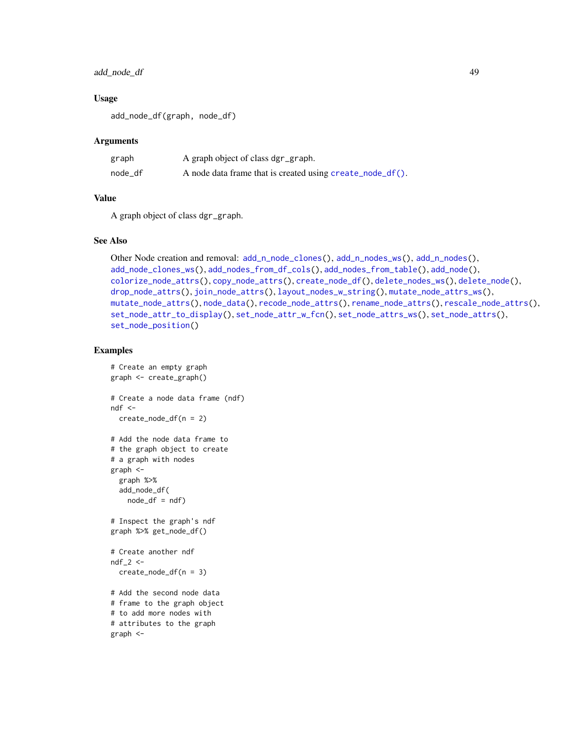### add\_node\_df 49

### Usage

add\_node\_df(graph, node\_df)

### Arguments

| graph   | A graph object of class dgr_graph.                        |
|---------|-----------------------------------------------------------|
| node df | A node data frame that is created using create_node_df(). |

### Value

A graph object of class dgr\_graph.

#### See Also

```
Other Node creation and removal: add_nnode_clones(), add_nnode\_wss(), add_nnodes(),add_node_clones_ws(), add_nodes_from_df_cols(), add_nodes_from_table(), add_node(),
colorize_node_attrs(), copy_node_attrs(), create_node_df(), delete_nodes_ws(), delete_node(),
drop_node_attrs(), join_node_attrs(), layout_nodes_w_string(), mutate_node_attrs_ws(),
mutate_node_attrs(), node_data(), recode_node_attrs(), rename_node_attrs(), rescale_node_attrs(),
set_node_attr_to_display(), set_node_attr_w_fcn(), set_node_attrs_ws(), set_node_attrs(),
set_node_position()
```

```
# Create an empty graph
graph <- create_graph()
# Create a node data frame (ndf)
ndf < -create_node_df(n = 2)
# Add the node data frame to
# the graph object to create
# a graph with nodes
graph <-
  graph %>%
  add_node_df(
   node_df = ndf# Inspect the graph's ndf
graph %>% get_node_df()
# Create another ndf
ndf_2 < -create_node_df(n = 3)
# Add the second node data
# frame to the graph object
# to add more nodes with
# attributes to the graph
graph <-
```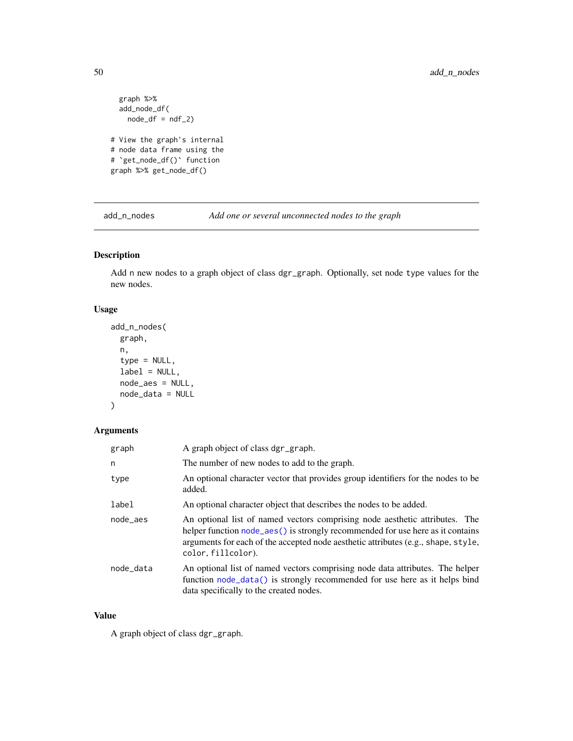```
graph %>%
  add_node_df(
   node_df = ndf_2)# View the graph's internal
# node data frame using the
# `get_node_df()` function
graph %>% get_node_df()
```
<span id="page-49-0"></span>add\_n\_nodes *Add one or several unconnected nodes to the graph*

# Description

Add n new nodes to a graph object of class dgr\_graph. Optionally, set node type values for the new nodes.

# Usage

```
add_n_nodes(
 graph,
 n,
  type = NULL,
 label = NULL,node_aes = NULL,
 node_data = NULL
)
```
# Arguments

| graph     | A graph object of class dgr_graph.                                                                                                                                                                                                                                       |
|-----------|--------------------------------------------------------------------------------------------------------------------------------------------------------------------------------------------------------------------------------------------------------------------------|
| n         | The number of new nodes to add to the graph.                                                                                                                                                                                                                             |
| type      | An optional character vector that provides group identifiers for the nodes to be<br>added.                                                                                                                                                                               |
| label     | An optional character object that describes the nodes to be added.                                                                                                                                                                                                       |
| node aes  | An optional list of named vectors comprising node aesthetic attributes. The<br>helper function node_aes() is strongly recommended for use here as it contains<br>arguments for each of the accepted node aesthetic attributes (e.g., shape, style,<br>color, fillcolor). |
| node_data | An optional list of named vectors comprising node data attributes. The helper<br>function node_data() is strongly recommended for use here as it helps bind<br>data specifically to the created nodes.                                                                   |

## Value

A graph object of class dgr\_graph.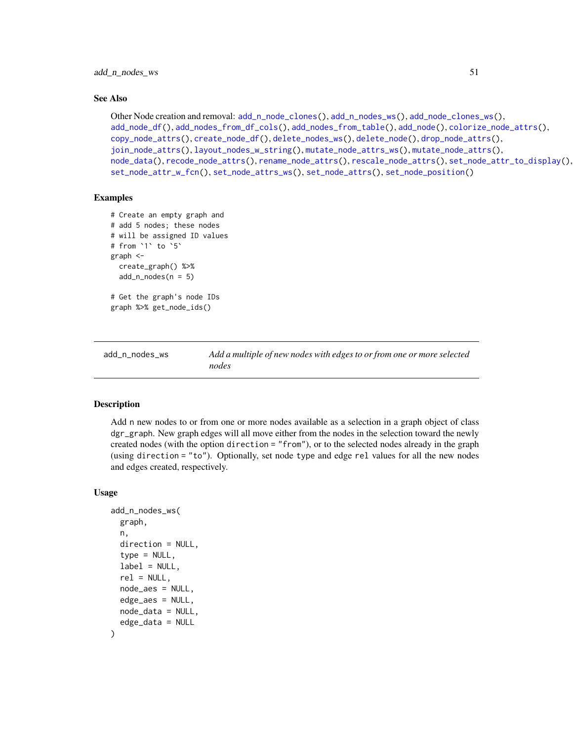#### See Also

```
Other Node creation and removal: add_n_node_clones(), add_n_nodes_ws(), add_node_clones_ws(),
add_node_df(), add_nodes_from_df_cols(), add_nodes_from_table(), add_node(), colorize_node_attrs(),
copy_node_attrs(), create_node_df(), delete_nodes_ws(), delete_node(), drop_node_attrs(),
join_node_attrs(), layout_nodes_w_string(), mutate_node_attrs_ws(), mutate_node_attrs(),
node_data(), recode_node_attrs(), rename_node_attrs(), rescale_node_attrs(), set_node_attr_to_display(),
set_node_attr_w_fcn(), set_node_attrs_ws(), set_node_attrs(), set_node_position()
```
### Examples

```
# Create an empty graph and
# add 5 nodes; these nodes
# will be assigned ID values
# from `1` to `5`
graph <-
 create_graph() %>%
 add_n nodes(n = 5)# Get the graph's node IDs
graph %>% get_node_ids()
```
<span id="page-50-0"></span>add\_n\_nodes\_ws *Add a multiple of new nodes with edges to or from one or more selected nodes*

#### Description

Add n new nodes to or from one or more nodes available as a selection in a graph object of class dgr\_graph. New graph edges will all move either from the nodes in the selection toward the newly created nodes (with the option direction = "from"), or to the selected nodes already in the graph (using direction = "to"). Optionally, set node type and edge rel values for all the new nodes and edges created, respectively.

#### Usage

```
add_n_nodes_ws(
  graph,
  n,
  direction = NULL,
  type = NULL,label = NULL,rel = NULL,node_aes = NULL,
  edge_aes = NULL,
  node_data = NULL,
  edge_data = NULL
)
```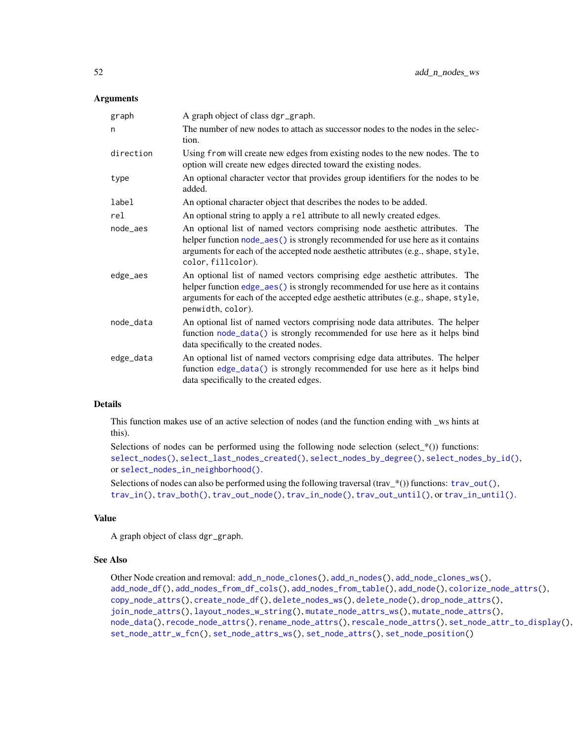#### Arguments

| graph     | A graph object of class dgr_graph.                                                                                                                                                                                                                                       |
|-----------|--------------------------------------------------------------------------------------------------------------------------------------------------------------------------------------------------------------------------------------------------------------------------|
| n         | The number of new nodes to attach as successor nodes to the nodes in the selec-<br>tion.                                                                                                                                                                                 |
| direction | Using from will create new edges from existing nodes to the new nodes. The to<br>option will create new edges directed toward the existing nodes.                                                                                                                        |
| type      | An optional character vector that provides group identifiers for the nodes to be<br>added.                                                                                                                                                                               |
| label     | An optional character object that describes the nodes to be added.                                                                                                                                                                                                       |
| rel       | An optional string to apply a rel attribute to all newly created edges.                                                                                                                                                                                                  |
| node_aes  | An optional list of named vectors comprising node aesthetic attributes. The<br>helper function node_aes() is strongly recommended for use here as it contains<br>arguments for each of the accepted node aesthetic attributes (e.g., shape, style,<br>color, fillcolor). |
| edge_aes  | An optional list of named vectors comprising edge aesthetic attributes. The<br>helper function edge_aes() is strongly recommended for use here as it contains<br>arguments for each of the accepted edge aesthetic attributes (e.g., shape, style,<br>penwidth, color).  |
| node_data | An optional list of named vectors comprising node data attributes. The helper<br>function node_data() is strongly recommended for use here as it helps bind<br>data specifically to the created nodes.                                                                   |
| edge_data | An optional list of named vectors comprising edge data attributes. The helper<br>function edge_data() is strongly recommended for use here as it helps bind<br>data specifically to the created edges.                                                                   |

### Details

This function makes use of an active selection of nodes (and the function ending with \_ws hints at this).

Selections of nodes can be performed using the following node selection (select\_ $*($ )) functions: [select\\_nodes\(\)](#page-282-0), [select\\_last\\_nodes\\_created\(\)](#page-281-0), [select\\_nodes\\_by\\_degree\(\)](#page-284-0), [select\\_nodes\\_by\\_id\(\)](#page-286-0), or [select\\_nodes\\_in\\_neighborhood\(\)](#page-287-0).

Selections of nodes can also be performed using the following traversal (trav\_\*()) functions:  $\text{trav\_out}($ ), [trav\\_in\(\)](#page-320-0), [trav\\_both\(\)](#page-312-0), [trav\\_out\\_node\(\)](#page-343-0), [trav\\_in\\_node\(\)](#page-328-0), [trav\\_out\\_until\(\)](#page-347-0), or [trav\\_in\\_until\(\)](#page-333-0).

#### Value

A graph object of class dgr\_graph.

#### See Also

```
Other Node creation and removal: add_n_node_clones(), add_n_nodes(), add_node_clones_ws(),
add_node_df(), add_nodes_from_df_cols(), add_nodes_from_table(), add_node(), colorize_node_attrs(),
copy_node_attrs(), create_node_df(), delete_nodes_ws(), delete_node(), drop_node_attrs(),
join_node_attrs(), layout_nodes_w_string(), mutate_node_attrs_ws(), mutate_node_attrs(),
node_data(), recode_node_attrs(), rename_node_attrs(), rescale_node_attrs(), set_node_attr_to_display(),
set_node_attr_w_fcn(), set_node_attrs_ws(), set_node_attrs(), set_node_position()
```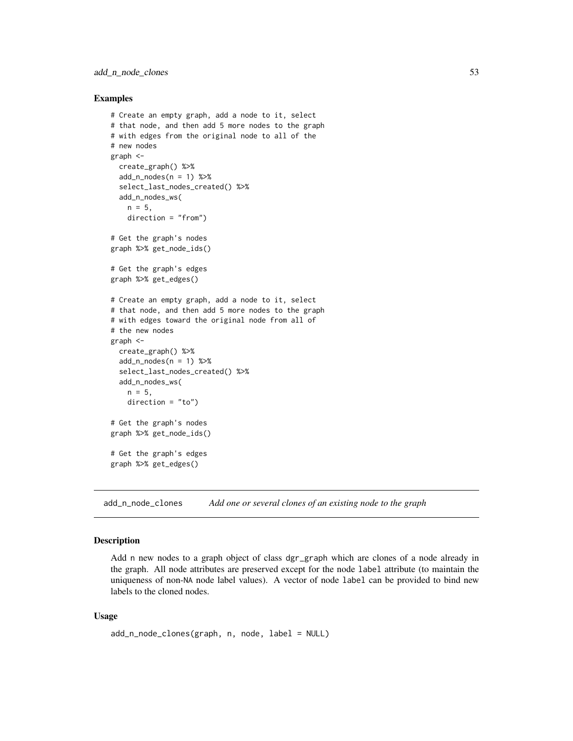#### Examples

```
# Create an empty graph, add a node to it, select
# that node, and then add 5 more nodes to the graph
# with edges from the original node to all of the
# new nodes
graph <-
  create_graph() %>%
  add_n_nodes(n = 1) %>%
  select_last_nodes_created() %>%
  add_n_nodes_ws(
   n = 5,
    direction = "from")
# Get the graph's nodes
graph %>% get_node_ids()
# Get the graph's edges
graph %>% get_edges()
# Create an empty graph, add a node to it, select
# that node, and then add 5 more nodes to the graph
# with edges toward the original node from all of
# the new nodes
graph <-
  create_graph() %>%
  add_n_nodes(n = 1) %>%
  select_last_nodes_created() %>%
  add_n_nodes_ws(
   n = 5,
    direction = "to")
# Get the graph's nodes
graph %>% get_node_ids()
# Get the graph's edges
graph %>% get_edges()
```
<span id="page-52-0"></span>add\_n\_node\_clones *Add one or several clones of an existing node to the graph*

#### Description

Add n new nodes to a graph object of class dgr\_graph which are clones of a node already in the graph. All node attributes are preserved except for the node label attribute (to maintain the uniqueness of non-NA node label values). A vector of node label can be provided to bind new labels to the cloned nodes.

### Usage

```
add_n_node_clones(graph, n, node, label = NULL)
```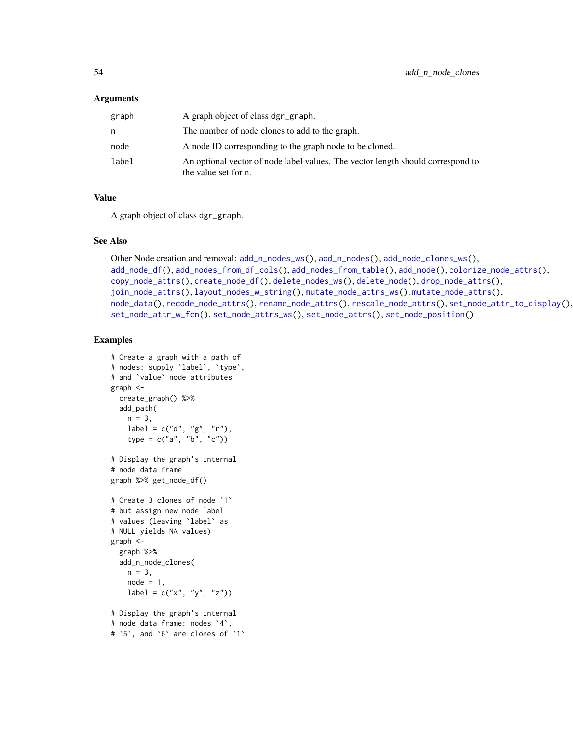#### **Arguments**

| graph | A graph object of class dgr_graph.                                                                      |
|-------|---------------------------------------------------------------------------------------------------------|
| n     | The number of node clones to add to the graph.                                                          |
| node  | A node ID corresponding to the graph node to be cloned.                                                 |
| label | An optional vector of node label values. The vector length should correspond to<br>the value set for n. |

#### Value

A graph object of class dgr\_graph.

### See Also

```
Other Node creation and removal: add_n_nodes_ws(), add_n_nodes(), add_node_clones_ws(),
add_node_df(), add_nodes_from_df_cols(), add_nodes_from_table(), add_node(), colorize_node_attrs(),
copy_node_attrs(), create_node_df(), delete_nodes_ws(), delete_node(), drop_node_attrs(),
join_node_attrs(), layout_nodes_w_string(), mutate_node_attrs_ws(), mutate_node_attrs(),
node_data(), recode_node_attrs(), rename_node_attrs(), rescale_node_attrs(), set_node_attr_to_display(),
set_node_attr_w_fcn(), set_node_attrs_ws(), set_node_attrs(), set_node_position()
```

```
# Create a graph with a path of
# nodes; supply `label`, `type`,
# and `value` node attributes
graph <-
 create_graph() %>%
 add_path(
   n = 3,
    label = c("d", "g", "r"),type = c("a", "b", "c"))
# Display the graph's internal
# node data frame
graph %>% get_node_df()
# Create 3 clones of node `1`
# but assign new node label
# values (leaving `label` as
# NULL yields NA values)
graph <-
  graph %>%
  add_n_node_clones(
   n = 3,
   node = 1,label = c("x", "y", "z")# Display the graph's internal
# node data frame: nodes `4`,
# `5`, and `6` are clones of `1`
```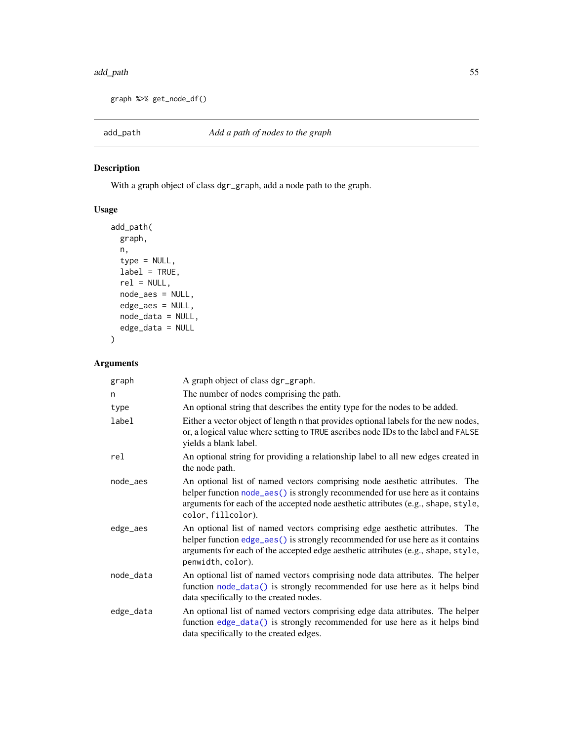#### add\_path 55

graph %>% get\_node\_df()

# Description

With a graph object of class dgr\_graph, add a node path to the graph.

# Usage

```
add_path(
 graph,
 n,
  type = NULL,
 label = TRUE,
 rel = NULL,
 node_aes = NULL,
 edge_aes = NULL,
 node_data = NULL,
 edge_data = NULL
)
```

| graph     | A graph object of class dgr_graph.                                                                                                                                                                                                                                       |
|-----------|--------------------------------------------------------------------------------------------------------------------------------------------------------------------------------------------------------------------------------------------------------------------------|
| n         | The number of nodes comprising the path.                                                                                                                                                                                                                                 |
| type      | An optional string that describes the entity type for the nodes to be added.                                                                                                                                                                                             |
| label     | Either a vector object of length n that provides optional labels for the new nodes,<br>or, a logical value where setting to TRUE ascribes node IDs to the label and FALSE<br>yields a blank label.                                                                       |
| rel       | An optional string for providing a relationship label to all new edges created in<br>the node path.                                                                                                                                                                      |
| node aes  | An optional list of named vectors comprising node aesthetic attributes. The<br>helper function node_aes() is strongly recommended for use here as it contains<br>arguments for each of the accepted node aesthetic attributes (e.g., shape, style,<br>color, fillcolor). |
| edge_aes  | An optional list of named vectors comprising edge aesthetic attributes. The<br>helper function edge_aes() is strongly recommended for use here as it contains<br>arguments for each of the accepted edge aesthetic attributes (e.g., shape, style,<br>penwidth, color).  |
| node_data | An optional list of named vectors comprising node data attributes. The helper<br>function node_data() is strongly recommended for use here as it helps bind<br>data specifically to the created nodes.                                                                   |
| edge_data | An optional list of named vectors comprising edge data attributes. The helper<br>function edge_data() is strongly recommended for use here as it helps bind<br>data specifically to the created edges.                                                                   |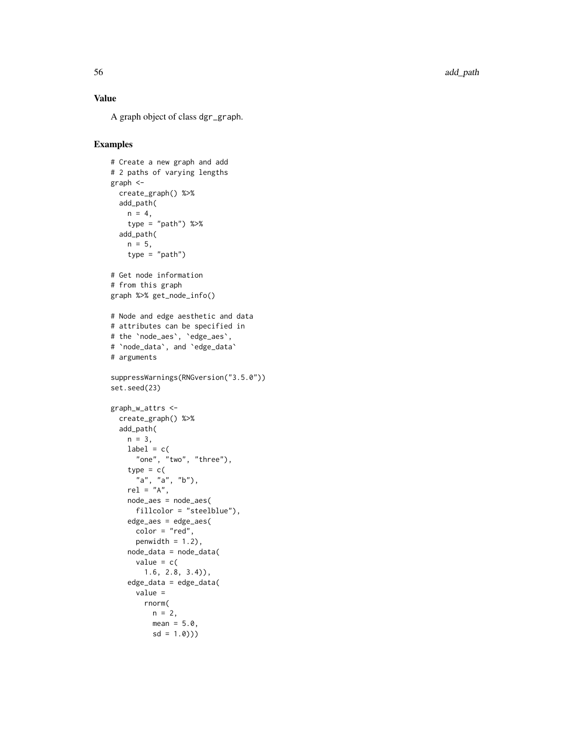56 add\_path and the contract of the contract of the contract of the contract of the contract of the contract of the contract of the contract of the contract of the contract of the contract of the contract of the contract o

# Value

A graph object of class dgr\_graph .

```
# Create a new graph and add
# 2 paths of varying lengths
graph <-
 create_graph() %>%
 add_path(
   n = 4,
    type = "path") %>%
  add_path(
   n = 5,
    type = "path")
# Get node information
# from this graph
graph %>% get_node_info()
# Node and edge aesthetic and data
# attributes can be specified in
# the
`node_aes
`
,
`edge_aes
`
,
#
`node_data
`, and
`edge_data
`
# arguments
suppressWarnings(RNGversion("3.5.0"))
set.seed(23)
graph_w_attrs <-
  create_graph() %>%
  add_path(
   n = 3,
   label = c("one", "two", "three"),
    type = c("a", "a", "b"),
   rel = "A",node_aes = node_aes(
     fillcolor = "steelblue"),
    edge_aes = edge_aes(
     color = "red",
     penwidth = 1.2,
   node_data = node_data(
     value = c(1.6, 2.8, 3.4)),
    edge_data = edge_data(
      value =
       rnorm(
         n = 2,mean = 5.0,
          sd = 1.0))
```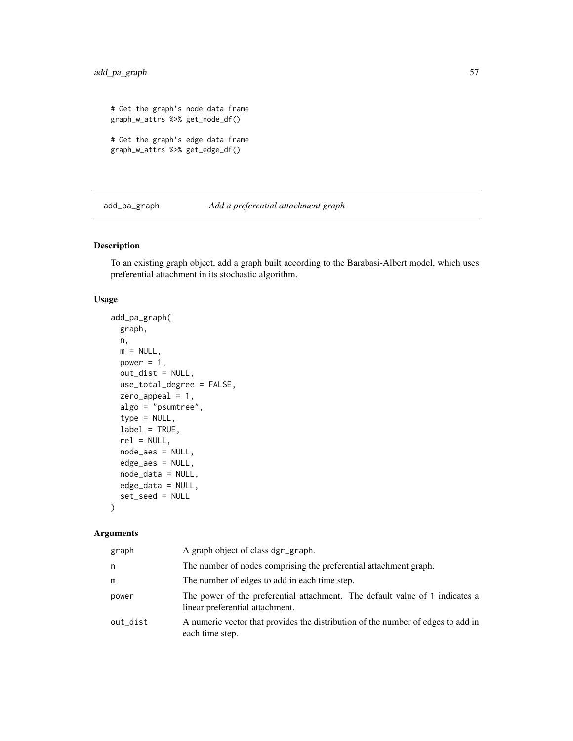```
# Get the graph's node data frame
graph_w_attrs %>% get_node_df()
# Get the graph's edge data frame
graph_w_attrs %>% get_edge_df()
```
add\_pa\_graph *Add a preferential attachment graph*

### Description

To an existing graph object, add a graph built according to the Barabasi-Albert model, which uses preferential attachment in its stochastic algorithm.

### Usage

```
add_pa_graph(
 graph,
 n,
 m = NULL,power = 1,
 out_dist = NULL,
 use_total_degree = FALSE,
  zero_appeal = 1,
 algo = "psumtree",
  type = NULL,
  label = TRUE,rel = NULL,node_aes = NULL,
 edge_aes = NULL,
  node_data = NULL,
 edge_data = NULL,
  set_seed = NULL
```
# )

| graph    | A graph object of class dgr_graph.                                                                              |
|----------|-----------------------------------------------------------------------------------------------------------------|
| n        | The number of nodes comprising the preferential attachment graph.                                               |
| m        | The number of edges to add in each time step.                                                                   |
| power    | The power of the preferential attachment. The default value of 1 indicates a<br>linear preferential attachment. |
| out_dist | A numeric vector that provides the distribution of the number of edges to add in<br>each time step.             |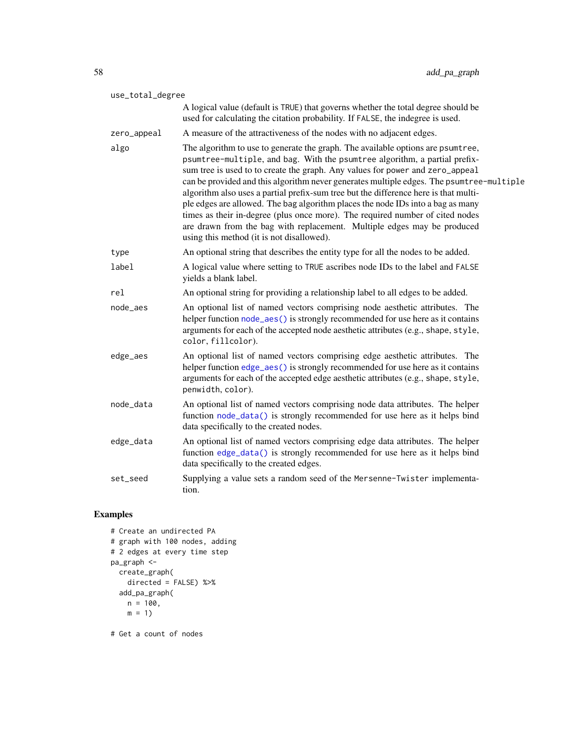| use_total_degree |                                                                                                                                                                                                                                                                                                                                                                                                                                                                                                                                                                                                                                                                                                                                |
|------------------|--------------------------------------------------------------------------------------------------------------------------------------------------------------------------------------------------------------------------------------------------------------------------------------------------------------------------------------------------------------------------------------------------------------------------------------------------------------------------------------------------------------------------------------------------------------------------------------------------------------------------------------------------------------------------------------------------------------------------------|
|                  | A logical value (default is TRUE) that governs whether the total degree should be<br>used for calculating the citation probability. If FALSE, the indegree is used.                                                                                                                                                                                                                                                                                                                                                                                                                                                                                                                                                            |
| zero_appeal      | A measure of the attractiveness of the nodes with no adjacent edges.                                                                                                                                                                                                                                                                                                                                                                                                                                                                                                                                                                                                                                                           |
| algo             | The algorithm to use to generate the graph. The available options are psumtree,<br>psumtree-multiple, and bag. With the psumtree algorithm, a partial prefix-<br>sum tree is used to to create the graph. Any values for power and zero_appeal<br>can be provided and this algorithm never generates multiple edges. The psumtree-multiple<br>algorithm also uses a partial prefix-sum tree but the difference here is that multi-<br>ple edges are allowed. The bag algorithm places the node IDs into a bag as many<br>times as their in-degree (plus once more). The required number of cited nodes<br>are drawn from the bag with replacement. Multiple edges may be produced<br>using this method (it is not disallowed). |
| type             | An optional string that describes the entity type for all the nodes to be added.                                                                                                                                                                                                                                                                                                                                                                                                                                                                                                                                                                                                                                               |
| label            | A logical value where setting to TRUE ascribes node IDs to the label and FALSE<br>yields a blank label.                                                                                                                                                                                                                                                                                                                                                                                                                                                                                                                                                                                                                        |
| rel              | An optional string for providing a relationship label to all edges to be added.                                                                                                                                                                                                                                                                                                                                                                                                                                                                                                                                                                                                                                                |
| node_aes         | An optional list of named vectors comprising node aesthetic attributes. The<br>helper function node_aes() is strongly recommended for use here as it contains<br>arguments for each of the accepted node aesthetic attributes (e.g., shape, style,<br>color, fillcolor).                                                                                                                                                                                                                                                                                                                                                                                                                                                       |
| edge_aes         | An optional list of named vectors comprising edge aesthetic attributes. The<br>helper function edge_aes() is strongly recommended for use here as it contains<br>arguments for each of the accepted edge aesthetic attributes (e.g., shape, style,<br>penwidth, color).                                                                                                                                                                                                                                                                                                                                                                                                                                                        |
| node_data        | An optional list of named vectors comprising node data attributes. The helper<br>function node_data() is strongly recommended for use here as it helps bind<br>data specifically to the created nodes.                                                                                                                                                                                                                                                                                                                                                                                                                                                                                                                         |
| edge_data        | An optional list of named vectors comprising edge data attributes. The helper<br>function edge_data() is strongly recommended for use here as it helps bind<br>data specifically to the created edges.                                                                                                                                                                                                                                                                                                                                                                                                                                                                                                                         |
| set_seed         | Supplying a value sets a random seed of the Mersenne-Twister implementa-<br>tion.                                                                                                                                                                                                                                                                                                                                                                                                                                                                                                                                                                                                                                              |

# Examples

```
# Create an undirected PA
# graph with 100 nodes, adding
# 2 edges at every time step
pa_graph <-
 create_graph(
   directed = FALSE) %>%
 add_pa_graph(
   n = 100,m = 1
```
# Get a count of nodes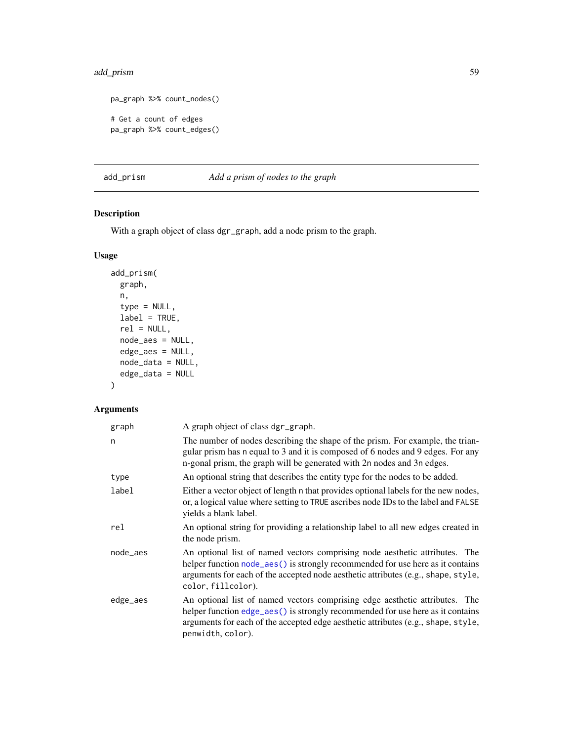# add\_prism 59

```
pa_graph %>% count_nodes()
# Get a count of edges
pa_graph %>% count_edges()
```
add\_prism *Add a prism of nodes to the graph*

# Description

With a graph object of class dgr\_graph, add a node prism to the graph.

# Usage

```
add_prism(
 graph,
 n,
  type = NULL,
 label = TRUE,rel = NULL,node_aes = NULL,
 edge_aes = NULL,
 node_data = NULL,
 edge_data = NULL
)
```

| graph    | A graph object of class dgr_graph.                                                                                                                                                                                                                                       |
|----------|--------------------------------------------------------------------------------------------------------------------------------------------------------------------------------------------------------------------------------------------------------------------------|
| n        | The number of nodes describing the shape of the prism. For example, the trian-<br>gular prism has n equal to 3 and it is composed of 6 nodes and 9 edges. For any<br>n-gonal prism, the graph will be generated with 2n nodes and 3n edges.                              |
| type     | An optional string that describes the entity type for the nodes to be added.                                                                                                                                                                                             |
| label    | Either a vector object of length n that provides optional labels for the new nodes,<br>or, a logical value where setting to TRUE ascribes node IDs to the label and FALSE<br>yields a blank label.                                                                       |
| rel      | An optional string for providing a relationship label to all new edges created in<br>the node prism.                                                                                                                                                                     |
| node_aes | An optional list of named vectors comprising node aesthetic attributes. The<br>helper function node_aes() is strongly recommended for use here as it contains<br>arguments for each of the accepted node aesthetic attributes (e.g., shape, style,<br>color, fillcolor). |
| edge_aes | An optional list of named vectors comprising edge aesthetic attributes. The<br>helper function edge_aes() is strongly recommended for use here as it contains<br>arguments for each of the accepted edge aesthetic attributes (e.g., shape, style,<br>penwidth, color).  |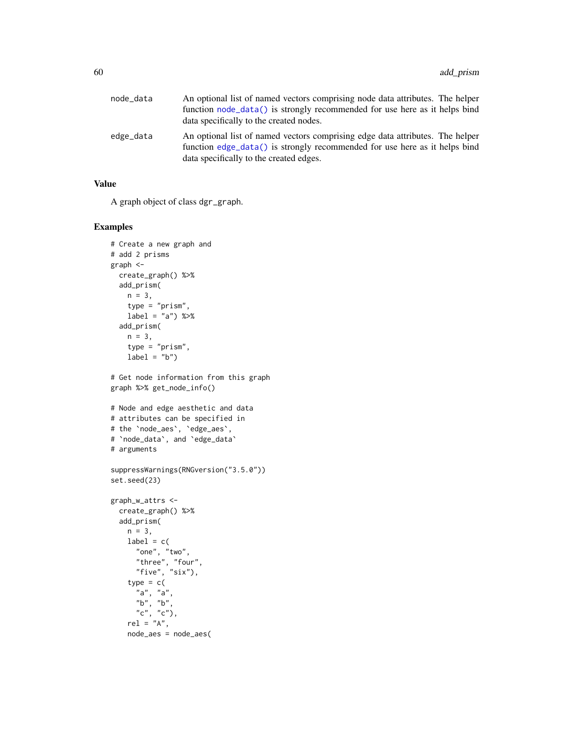| node_data | An optional list of named vectors comprising node data attributes. The helper<br>function node_data() is strongly recommended for use here as it helps bind<br>data specifically to the created nodes. |
|-----------|--------------------------------------------------------------------------------------------------------------------------------------------------------------------------------------------------------|
| edge_data | An optional list of named vectors comprising edge data attributes. The helper<br>function edge_data() is strongly recommended for use here as it helps bind<br>data specifically to the created edges. |

# Value

A graph object of class dgr\_graph.

```
# Create a new graph and
# add 2 prisms
graph <-
 create_graph() %>%
 add_prism(
   n = 3,
   type = "prism",
   label = "a") %>%
  add_prism(
   n = 3,
   type = "prism",
   label = "b")# Get node information from this graph
graph %>% get_node_info()
# Node and edge aesthetic and data
# attributes can be specified in
# the `node_aes`, `edge_aes`,
# `node_data`, and `edge_data`
# arguments
suppressWarnings(RNGversion("3.5.0"))
set.seed(23)
graph_w_attrs <-
  create_graph() %>%
  add_prism(
   n = 3,
   label = c("one", "two",
      "three", "four",
      "five", "six"),
    type = c("a", "a",
      "b", "b",
      "c", "c"),
    rel = n_A,
   node_aes = node_aes(
```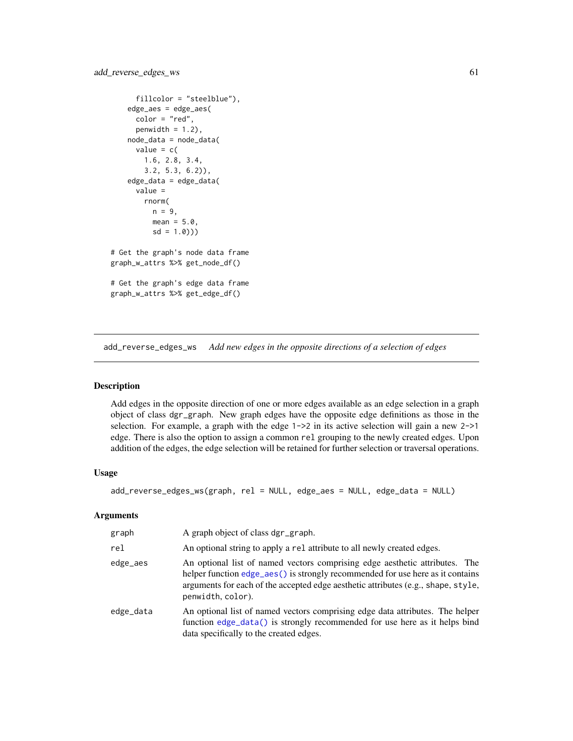```
fillcolor = "steelblue"),
   edge_aes = edge_aes(
     color = "red",
     penwidth = 1.2,
   node_data = node_data(
     value = c(1.6, 2.8, 3.4,
       3.2, 5.3, 6.2)),
    edge_data = edge_data(
     value =
       rnorm(
         n = 9,
         mean = 5.0,
         sd = 1.0))
# Get the graph's node data frame
graph_w_attrs %>% get_node_df()
# Get the graph's edge data frame
graph_w_attrs %>% get_edge_df()
```
add\_reverse\_edges\_ws *Add new edges in the opposite directions of a selection of edges*

# Description

Add edges in the opposite direction of one or more edges available as an edge selection in a graph object of class dgr\_graph. New graph edges have the opposite edge definitions as those in the selection. For example, a graph with the edge 1->2 in its active selection will gain a new 2->1 edge. There is also the option to assign a common rel grouping to the newly created edges. Upon addition of the edges, the edge selection will be retained for further selection or traversal operations.

#### Usage

```
add_reverse_edges_ws(graph, rel = NULL, edge_aes = NULL, edge_data = NULL)
```

| graph     | A graph object of class dgr_graph.                                                                                                                                                                                                                                         |
|-----------|----------------------------------------------------------------------------------------------------------------------------------------------------------------------------------------------------------------------------------------------------------------------------|
| rel       | An optional string to apply a rel attribute to all newly created edges.                                                                                                                                                                                                    |
| edge_aes  | An optional list of named vectors comprising edge aesthetic attributes. The<br>helper function $edge_$ aes() is strongly recommended for use here as it contains<br>arguments for each of the accepted edge aesthetic attributes (e.g., shape, style,<br>penwidth, color). |
| edge_data | An optional list of named vectors comprising edge data attributes. The helper<br>function edge_data() is strongly recommended for use here as it helps bind<br>data specifically to the created edges.                                                                     |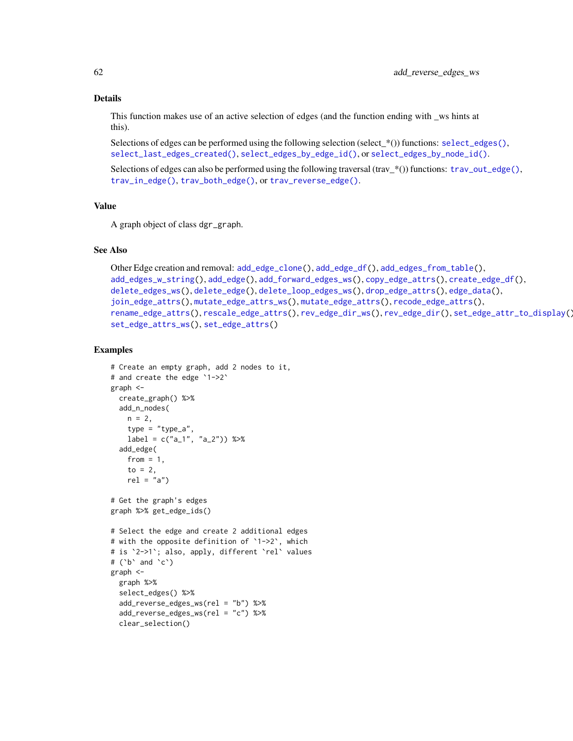#### Details

This function makes use of an active selection of edges (and the function ending with \_ws hints at this).

Selections of edges can be performed using the following selection (select\_\*()) functions:  $select\_edges($ ), [select\\_last\\_edges\\_created\(\)](#page-280-0), [select\\_edges\\_by\\_edge\\_id\(\)](#page-278-0), or [select\\_edges\\_by\\_node\\_id\(\)](#page-279-0).

Selections of edges can also be performed using the following traversal (trav\_\*()) functions:  $\text{trav\_out\_edge}($ , [trav\\_in\\_edge\(\)](#page-324-0), [trav\\_both\\_edge\(\)](#page-316-0), or [trav\\_reverse\\_edge\(\)](#page-349-0).

# Value

A graph object of class dgr\_graph.

### See Also

```
Other Edge creation and removal: add_edge_clone(), add_edge_df(), add_edges_from_table(),
add_edges_w_string(), add_edge(), add_forward_edges_ws(), copy_edge_attrs(), create_edge_df(),
delete_edges_ws(), delete_edge(), delete_loop_edges_ws(), drop_edge_attrs(), edge_data(),
join_edge_attrs(), mutate_edge_attrs_ws(), mutate_edge_attrs(), recode_edge_attrs(),
rename_edge_attrs(), rescale_edge_attrs(), rev_edge_dir_ws(), rev_edge_dir(), set_edge_attr_to_display(),
set_edge_attrs_ws(), set_edge_attrs()
```

```
# Create an empty graph, add 2 nodes to it,
# and create the edge `1->2`
graph <-
 create_graph() %>%
  add_n_nodes(
   n = 2,
   type = "type_a",
   label = c("a_1", "a_2") %>%
  add_edge(
   from = 1,
    to = 2,
   rel = "a")# Get the graph's edges
graph %>% get_edge_ids()
# Select the edge and create 2 additional edges
# with the opposite definition of `1->2`, which
# is `2->1`; also, apply, different `rel` values
# ('b' and 'c')graph <-
  graph %>%
  select_edges() %>%
  add_reverse_edges_ws(rel = "b") %>%
  add_reverse_edges_ws(rel = "c") %>%
  clear_selection()
```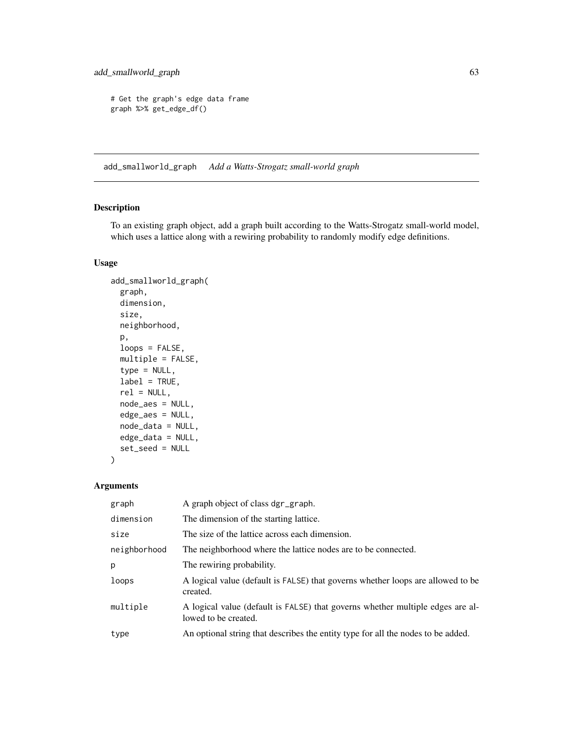```
# Get the graph's edge data frame
graph %>% get_edge_df()
```
add\_smallworld\_graph *Add a Watts-Strogatz small-world graph*

# Description

To an existing graph object, add a graph built according to the Watts-Strogatz small-world model, which uses a lattice along with a rewiring probability to randomly modify edge definitions.

# Usage

```
add_smallworld_graph(
  graph,
 dimension,
 size,
 neighborhood,
 p,
  loops = FALSE,
 multiple = FALSE,
  type = NULL,
 label = TRUE,rel = NULL,node_aes = NULL,
 edge_aes = NULL,
 node_data = NULL,
 edge_data = NULL,
  set_seed = NULL
)
```

| graph        | A graph object of class dgr_graph.                                                                     |
|--------------|--------------------------------------------------------------------------------------------------------|
| dimension    | The dimension of the starting lattice.                                                                 |
| size         | The size of the lattice across each dimension.                                                         |
| neighborhood | The neighborhood where the lattice nodes are to be connected.                                          |
| p            | The rewiring probability.                                                                              |
| loops        | A logical value (default is FALSE) that governs whether loops are allowed to be<br>created.            |
| multiple     | A logical value (default is FALSE) that governs whether multiple edges are al-<br>lowed to be created. |
| type         | An optional string that describes the entity type for all the nodes to be added.                       |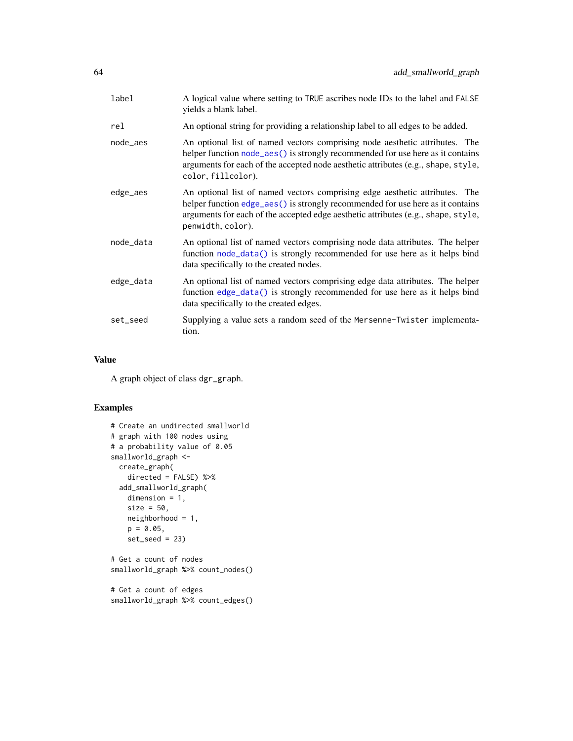| label     | A logical value where setting to TRUE ascribes node IDs to the label and FALSE<br>yields a blank label.                                                                                                                                                                  |
|-----------|--------------------------------------------------------------------------------------------------------------------------------------------------------------------------------------------------------------------------------------------------------------------------|
| rel       | An optional string for providing a relationship label to all edges to be added.                                                                                                                                                                                          |
| node_aes  | An optional list of named vectors comprising node aesthetic attributes. The<br>helper function node_aes() is strongly recommended for use here as it contains<br>arguments for each of the accepted node aesthetic attributes (e.g., shape, style,<br>color, fillcolor). |
| edge_aes  | An optional list of named vectors comprising edge aesthetic attributes. The<br>helper function edge_aes() is strongly recommended for use here as it contains<br>arguments for each of the accepted edge aesthetic attributes (e.g., shape, style,<br>penwidth, color).  |
| node_data | An optional list of named vectors comprising node data attributes. The helper<br>function node_data() is strongly recommended for use here as it helps bind<br>data specifically to the created nodes.                                                                   |
| edge_data | An optional list of named vectors comprising edge data attributes. The helper<br>function edge_data() is strongly recommended for use here as it helps bind<br>data specifically to the created edges.                                                                   |
| set_seed  | Supplying a value sets a random seed of the Mersenne-Twister implementa-<br>tion.                                                                                                                                                                                        |

### Value

A graph object of class dgr\_graph.

```
# Create an undirected smallworld
# graph with 100 nodes using
# a probability value of 0.05
smallworld_graph <-
 create_graph(
    directed = FALSE) %>%
  add_smallworld_graph(
    dimension = 1,
    size = 50,neighborhood = 1,
    p = 0.05,
    set_seed = 23)
# Get a count of nodes
smallworld_graph %>% count_nodes()
# Get a count of edges
smallworld_graph %>% count_edges()
```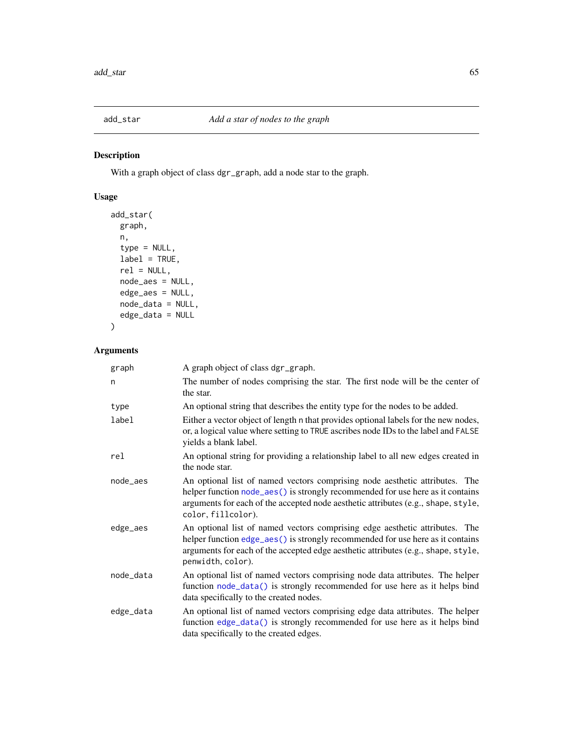# Description

With a graph object of class dgr\_graph, add a node star to the graph.

# Usage

```
add_star(
 graph,
 n,
 type = NULL,
 label = TRUE,rel = NULL,
 node_aes = NULL,
 edge_aes = NULL,
 node_data = NULL,
 edge_data = NULL
)
```

| graph     | A graph object of class dgr_graph.                                                                                                                                                                                                                                       |
|-----------|--------------------------------------------------------------------------------------------------------------------------------------------------------------------------------------------------------------------------------------------------------------------------|
| n         | The number of nodes comprising the star. The first node will be the center of<br>the star.                                                                                                                                                                               |
| type      | An optional string that describes the entity type for the nodes to be added.                                                                                                                                                                                             |
| label     | Either a vector object of length n that provides optional labels for the new nodes,<br>or, a logical value where setting to TRUE ascribes node IDs to the label and FALSE<br>yields a blank label.                                                                       |
| rel       | An optional string for providing a relationship label to all new edges created in<br>the node star.                                                                                                                                                                      |
| node_aes  | An optional list of named vectors comprising node aesthetic attributes. The<br>helper function node_aes() is strongly recommended for use here as it contains<br>arguments for each of the accepted node aesthetic attributes (e.g., shape, style,<br>color, fillcolor). |
| edge_aes  | An optional list of named vectors comprising edge aesthetic attributes. The<br>helper function edge_aes() is strongly recommended for use here as it contains<br>arguments for each of the accepted edge aesthetic attributes (e.g., shape, style,<br>penwidth, color).  |
| node_data | An optional list of named vectors comprising node data attributes. The helper<br>function node_data() is strongly recommended for use here as it helps bind<br>data specifically to the created nodes.                                                                   |
| edge_data | An optional list of named vectors comprising edge data attributes. The helper<br>function edge_data() is strongly recommended for use here as it helps bind<br>data specifically to the created edges.                                                                   |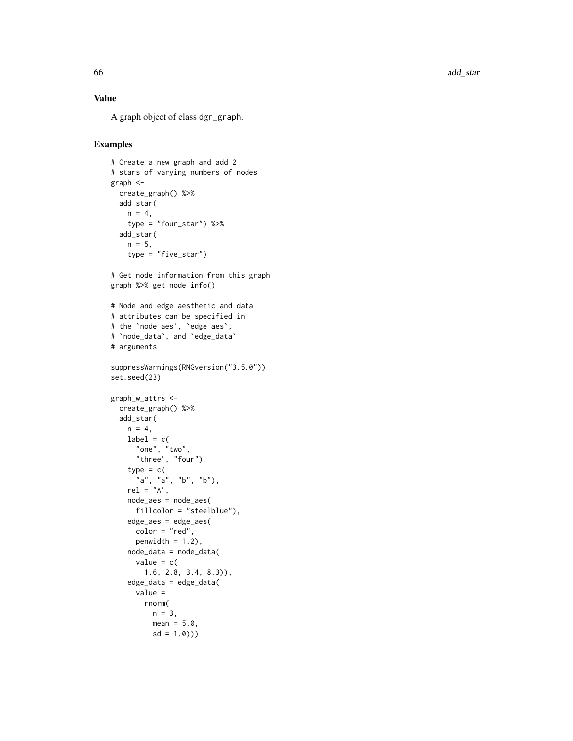66 add\_star and 200 add\_star and 200 add\_star and 200 add\_star and 200 add\_star

## Value

A graph object of class dgr\_graph .

```
# Create a new graph and add 2
# stars of varying numbers of nodes
graph <-
 create_graph() %>%
 add_star(
   n = 4,
    type = "four_star") %>%
  add_star(
   n = 5,
    type = "five_star"# Get node information from this graph
graph %>% get_node_info()
# Node and edge aesthetic and data
# attributes can be specified in
# the
`node_aes
`
,
`edge_aes
`
,
#
`node_data
`, and
`edge_data
`
# arguments
suppressWarnings(RNGversion("3.5.0"))
set.seed(23)
graph_w_attrs <-
  create_graph() %>%
  add_star(
   n = 4,
   label = c("one", "two",
      "three", "four"),
    type = c("a", "a", "b", "b"),
    rel = "A",node_aes = node_aes(
     fillcolor = "steelblue"),
    edge_aes = edge_aes(
     color = "red",
     penwidth = 1.2,
   node_data = node_data(
      value = c(1.6, 2.8, 3.4, 8.3)),
    edge_data = edge_data(
      value =
       rnorm(
         n = 3,
         mean = 5.0,
          sd = 1.0))
```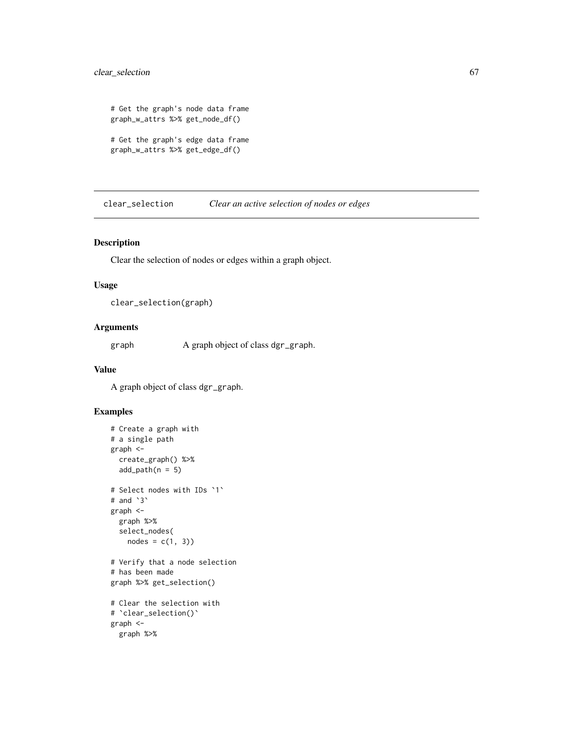# clear\_selection 67

```
# Get the graph's node data frame
graph_w_attrs %>% get_node_df()
```

```
# Get the graph's edge data frame
graph_w_attrs %>% get_edge_df()
```
clear\_selection *Clear an active selection of nodes or edges*

### Description

Clear the selection of nodes or edges within a graph object.

### Usage

```
clear_selection(graph)
```
### Arguments

graph A graph object of class dgr\_graph.

### Value

A graph object of class dgr\_graph.

```
# Create a graph with
# a single path
graph <-
  create_graph() %>%
  add\_path(n = 5)# Select nodes with IDs `1`
# and `3`
graph <-
 graph %>%
 select_nodes(
   nodes = c(1, 3)# Verify that a node selection
# has been made
graph %>% get_selection()
# Clear the selection with
# `clear_selection()`
graph <-
 graph %>%
```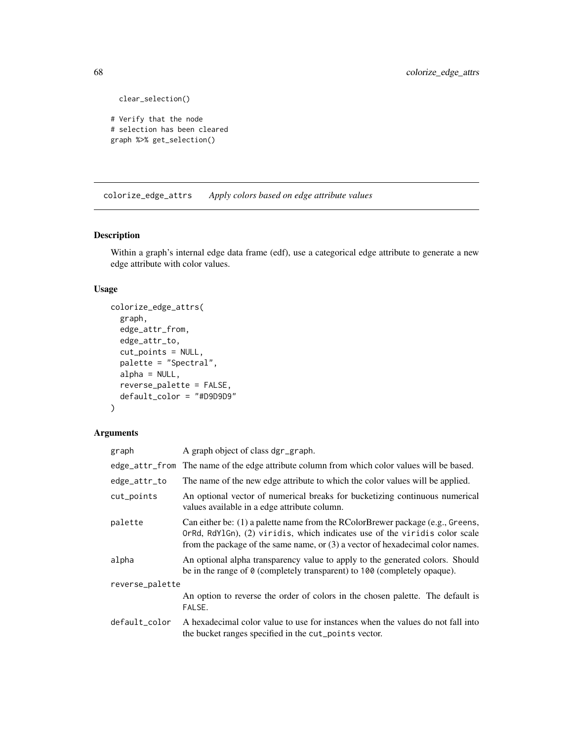```
clear_selection()
```

```
# Verify that the node
# selection has been cleared
graph %>% get_selection()
```
colorize\_edge\_attrs *Apply colors based on edge attribute values*

# Description

Within a graph's internal edge data frame (edf), use a categorical edge attribute to generate a new edge attribute with color values.

# Usage

```
colorize_edge_attrs(
  graph,
  edge_attr_from,
  edge_attr_to,
  cut_points = NULL,
 palette = "Spectral",
  alpha = NULL,
  reverse_palette = FALSE,
  default_color = "#D9D9D9"
\mathcal{L}
```

| graph           | A graph object of class dgr_graph.                                                                                                                                                                                                                 |
|-----------------|----------------------------------------------------------------------------------------------------------------------------------------------------------------------------------------------------------------------------------------------------|
|                 | edge_attr_from The name of the edge attribute column from which color values will be based.                                                                                                                                                        |
| edge_attr_to    | The name of the new edge attribute to which the color values will be applied.                                                                                                                                                                      |
| cut_points      | An optional vector of numerical breaks for bucketizing continuous numerical<br>values available in a edge attribute column.                                                                                                                        |
| palette         | Can either be: $(1)$ a palette name from the RColorBrewer package (e.g., Greens,<br>OrRd, RdY1Gn), (2) viridis, which indicates use of the viridis color scale<br>from the package of the same name, or $(3)$ a vector of hexadecimal color names. |
| alpha           | An optional alpha transparency value to apply to the generated colors. Should<br>be in the range of 0 (completely transparent) to 100 (completely opaque).                                                                                         |
| reverse_palette |                                                                                                                                                                                                                                                    |
|                 | An option to reverse the order of colors in the chosen palette. The default is<br>FALSE.                                                                                                                                                           |
| default_color   | A hexadecimal color value to use for instances when the values do not fall into<br>the bucket ranges specified in the cut_points vector.                                                                                                           |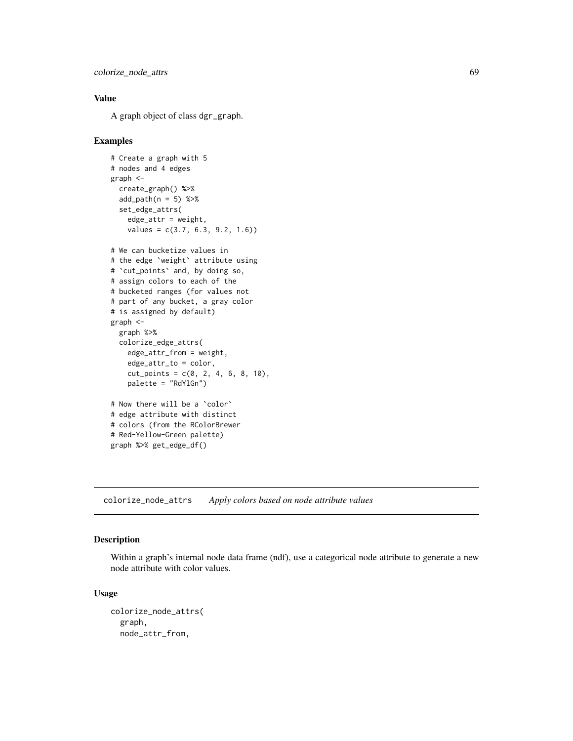```
colorize_node_attrs 69
```
# Value

A graph object of class dgr\_graph.

#### Examples

```
# Create a graph with 5
# nodes and 4 edges
graph <-
  create_graph() %>%
  add\_path(n = 5) %>%
  set_edge_attrs(
   edge_attr = weight,values = c(3.7, 6.3, 9.2, 1.6)# We can bucketize values in
# the edge `weight` attribute using
# `cut_points` and, by doing so,
# assign colors to each of the
# bucketed ranges (for values not
# part of any bucket, a gray color
# is assigned by default)
graph <-
  graph %>%
  colorize_edge_attrs(
   edge_attr_from = weight,
    edge_attr_to = color,
   cut\_points = c(0, 2, 4, 6, 8, 10),palette = "RdYlGn")
# Now there will be a `color`
# edge attribute with distinct
# colors (from the RColorBrewer
# Red-Yellow-Green palette)
graph %>% get_edge_df()
```
<span id="page-68-0"></span>colorize\_node\_attrs *Apply colors based on node attribute values*

# Description

Within a graph's internal node data frame (ndf), use a categorical node attribute to generate a new node attribute with color values.

#### Usage

```
colorize_node_attrs(
  graph,
  node_attr_from,
```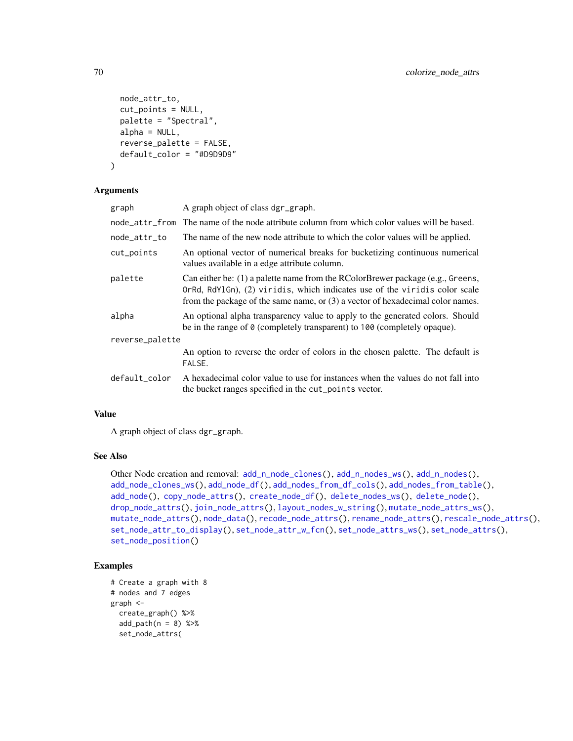```
node_attr_to,
 cut_points = NULL,
 palette = "Spectral",
 alpha = NULL,
  reverse_palette = FALSE,
 default_color = "#D9D9D9"
\lambda
```
#### Arguments

| graph           | A graph object of class dgr_graph.                                                                                                                                                                                                                |
|-----------------|---------------------------------------------------------------------------------------------------------------------------------------------------------------------------------------------------------------------------------------------------|
| node_attr_from  | The name of the node attribute column from which color values will be based.                                                                                                                                                                      |
| node_attr_to    | The name of the new node attribute to which the color values will be applied.                                                                                                                                                                     |
| cut_points      | An optional vector of numerical breaks for bucketizing continuous numerical<br>values available in a edge attribute column.                                                                                                                       |
| palette         | Can either be: $(1)$ a palette name from the RColorBrewer package (e.g., Greens,<br>$OrRd, RdYlGn, (2)$ viridis, which indicates use of the viridis color scale<br>from the package of the same name, or (3) a vector of hexadecimal color names. |
| alpha           | An optional alpha transparency value to apply to the generated colors. Should<br>be in the range of 0 (completely transparent) to 100 (completely opaque).                                                                                        |
| reverse_palette |                                                                                                                                                                                                                                                   |
|                 | An option to reverse the order of colors in the chosen palette. The default is<br>FALSE.                                                                                                                                                          |
| default_color   | A hexadecimal color value to use for instances when the values do not fall into<br>the bucket ranges specified in the cut_points vector.                                                                                                          |
|                 |                                                                                                                                                                                                                                                   |

### Value

A graph object of class dgr\_graph.

#### See Also

Other Node creation and removal:  $add_nnode_clones(), add_n nodes_ws(), add_n nodes(),$ [add\\_node\\_clones\\_ws\(](#page-45-0)), [add\\_node\\_df\(](#page-47-0)), [add\\_nodes\\_from\\_df\\_cols\(](#page-41-0)), [add\\_nodes\\_from\\_table\(](#page-43-0)), [add\\_node\(](#page-39-0)), [copy\\_node\\_attrs\(](#page-75-0)), [create\\_node\\_df\(](#page-91-0)), [delete\\_nodes\\_ws\(](#page-103-0)), [delete\\_node\(](#page-102-0)), [drop\\_node\\_attrs\(](#page-116-0)), [join\\_node\\_attrs\(](#page-229-0)), [layout\\_nodes\\_w\\_string\(](#page-231-0)), [mutate\\_node\\_attrs\\_ws\(](#page-242-0)), [mutate\\_node\\_attrs\(](#page-240-0)), [node\\_data\(](#page-248-0)), [recode\\_node\\_attrs\(](#page-255-0)), [rename\\_node\\_attrs\(](#page-260-0)), [rescale\\_node\\_attrs\(](#page-270-0)), [set\\_node\\_attr\\_to\\_display\(](#page-301-0)), [set\\_node\\_attr\\_w\\_fcn\(](#page-303-0)), [set\\_node\\_attrs\\_ws\(](#page-300-0)), [set\\_node\\_attrs\(](#page-298-0)), [set\\_node\\_position\(](#page-305-0))

```
# Create a graph with 8
# nodes and 7 edges
graph <-
  create_graph() %>%
  add\_path(n = 8) %>%
  set_node_attrs(
```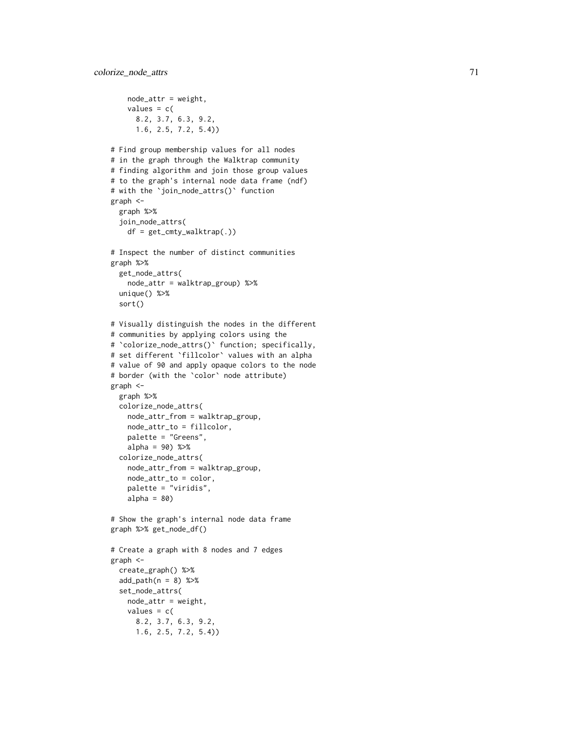```
node_attr = weight,values = c(8.2, 3.7, 6.3, 9.2,
      1.6, 2.5, 7.2, 5.4))
# Find group membership values for all nodes
# in the graph through the Walktrap community
# finding algorithm and join those group values
# to the graph's internal node data frame (ndf)
# with the
`join_node_attrs()
` function
graph <-
  graph %>%
  join_node_attrs(
    df = get\_cmty\_walktrap(.)# Inspect the number of distinct communities
graph %>%
  get_node_attrs(
   node_attr = walktrap_group) %>%
  unique() %>%
  sort()
# Visually distinguish the nodes in the different
# communities by applying colors using the # `colorize_node_attrs()` function; specifically,
# set different
`fillcolor
` values with an alpha
# value of 90 and apply opaque colors to the node
# border (with the
`color
` node attribute)
graph <-
  graph %>%
  colorize_node_attrs(
   node_attr_from = walktrap_group,
   node_attr_to = fillcolor,
   palette = "Greens",
    alpha = 90) %>%
  colorize_node_attrs(
    node_attr_from = walktrap_group,
    node_attr_to = color,
    palette = "viridis",
   alpha = 80)
# Show the graph's internal node data frame
graph %>% get_node_df()
# Create a graph with 8 nodes and 7 edges
graph <-
  create_graph() %>%
  add\_path(n = 8) %>%
  set_node_attrs(
   node_attr = weight,values = c(8.2, 3.7, 6.3, 9.2,
      1.6, 2.5, 7.2, 5.4))
```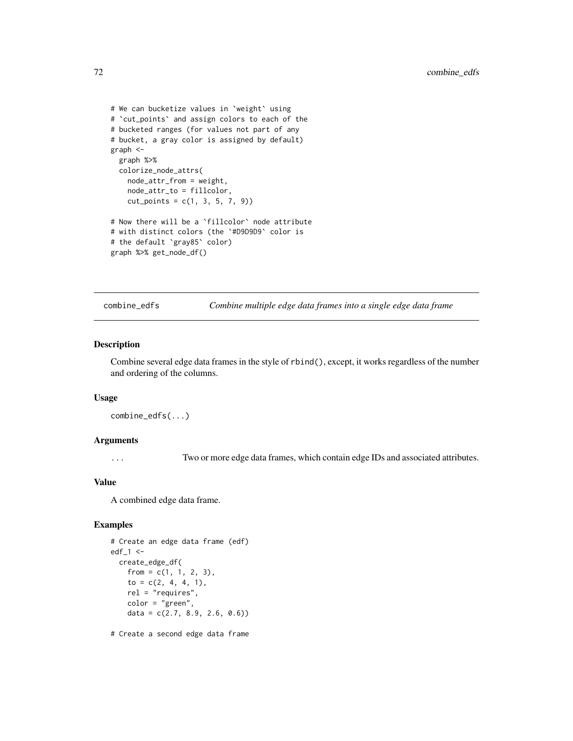```
# We can bucketize values in `weight` using
# `cut_points` and assign colors to each of the
# bucketed ranges (for values not part of any
# bucket, a gray color is assigned by default)
graph <-
 graph %>%
 colorize_node_attrs(
   node_attr_from = weight,
   node_attr_to = fillcolor,
   cut\_points = c(1, 3, 5, 7, 9))# Now there will be a `fillcolor` node attribute
# with distinct colors (the `#D9D9D9` color is
# the default `gray85` color)
graph %>% get_node_df()
```
combine\_edfs *Combine multiple edge data frames into a single edge data frame*

#### Description

Combine several edge data frames in the style of rbind(), except, it works regardless of the number and ordering of the columns.

#### Usage

```
combine_edfs(...)
```
#### Arguments

... Two or more edge data frames, which contain edge IDs and associated attributes.

#### Value

A combined edge data frame.

# Examples

```
# Create an edge data frame (edf)
edf_1 < -create_edge_df(
   from = c(1, 1, 2, 3),
    to = c(2, 4, 4, 1),rel = "requires",
   color = "green",
   data = c(2.7, 8.9, 2.6, 0.6)
```
# Create a second edge data frame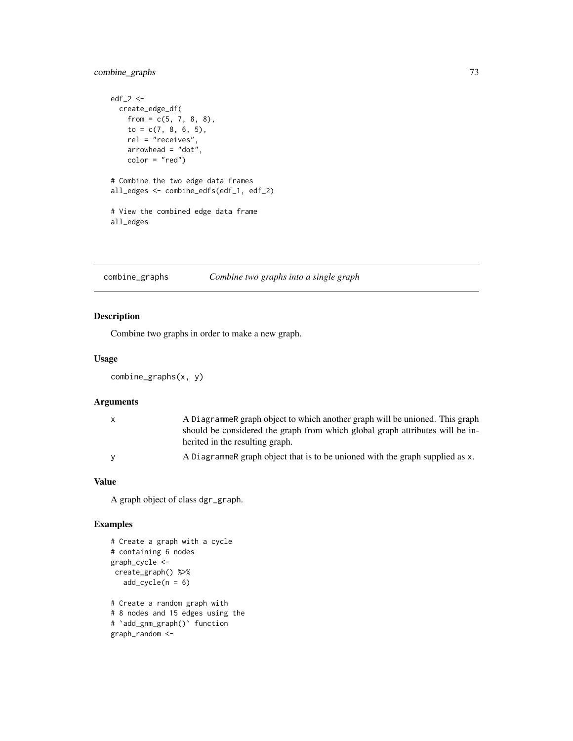combine\_graphs 73

```
edf_2 < -create_edge_df(
   from = c(5, 7, 8, 8),
   to = c(7, 8, 6, 5),
   rel = "receives",
   arrowhead = "dot",
   color = "red")
# Combine the two edge data frames
all_edges <- combine_edfs(edf_1, edf_2)
# View the combined edge data frame
all_edges
```
# combine\_graphs *Combine two graphs into a single graph*

# Description

Combine two graphs in order to make a new graph.

## Usage

```
combine_graphs(x, y)
```
# Arguments

| X | A DiagrammeR graph object to which another graph will be unioned. This graph                                     |
|---|------------------------------------------------------------------------------------------------------------------|
|   | should be considered the graph from which global graph attributes will be in-<br>herited in the resulting graph. |
|   | A Diagrammere graph object that is to be unioned with the graph supplied as x.                                   |

## Value

A graph object of class dgr\_graph.

```
# Create a graph with a cycle
# containing 6 nodes
graph_cycle <-
create_graph() %>%
  add\_cycle(n = 6)# Create a random graph with
# 8 nodes and 15 edges using the
# `add_gnm_graph()` function
graph_random <-
```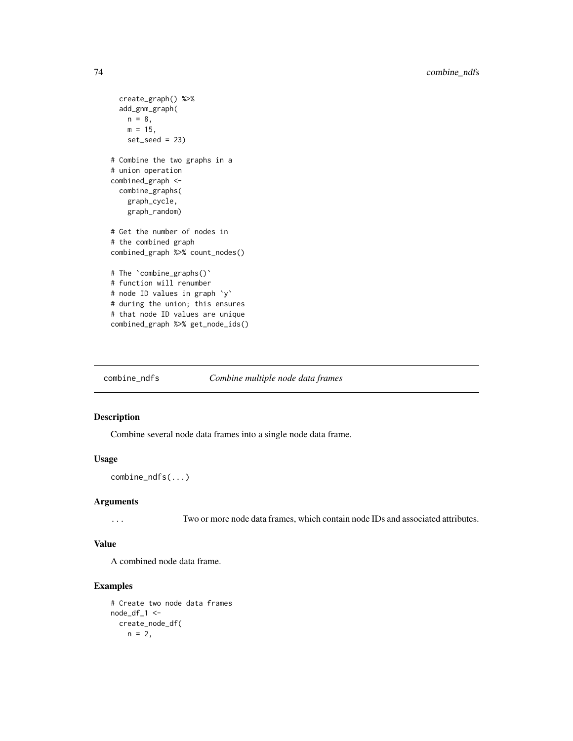```
create_graph() %>%
 add_gnm_graph(
   n = 8,
   m = 15,
   set\_seed = 23)# Combine the two graphs in a
# union operation
combined_graph <-
 combine_graphs(
   graph_cycle,
   graph_random)
# Get the number of nodes in
# the combined graph
combined_graph %>% count_nodes()
# The `combine_graphs()`
# function will renumber
# node ID values in graph `y`
# during the union; this ensures
# that node ID values are unique
combined_graph %>% get_node_ids()
```
combine\_ndfs *Combine multiple node data frames*

# Description

Combine several node data frames into a single node data frame.

#### Usage

combine\_ndfs(...)

#### Arguments

... Two or more node data frames, which contain node IDs and associated attributes.

## Value

A combined node data frame.

```
# Create two node data frames
node_df_1 < -create_node_df(
   n = 2,
```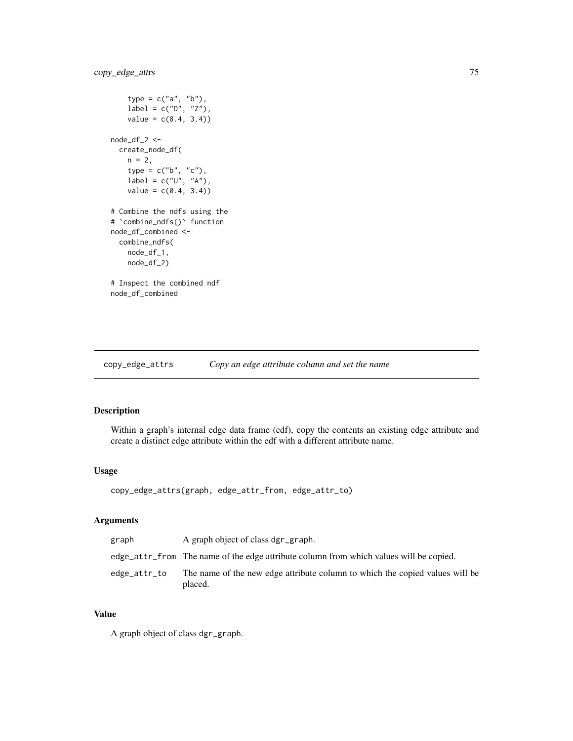```
type = c("a", "b"),
    label = c("D", "Z"),
   value = c(8.4, 3.4)node_df_2 <-
  create_node_df(
   n = 2,type = c("b", "c"),
   label = c("U", "A"),
   value = c(0.4, 3.4)# Combine the ndfs using the
# `combine_ndfs()` function
node_df_combined <-
  combine_ndfs(
   node_df_1,
   node_df_2)
# Inspect the combined ndf
node_df_combined
```
<span id="page-74-0"></span>copy\_edge\_attrs *Copy an edge attribute column and set the name*

# Description

Within a graph's internal edge data frame (edf), copy the contents an existing edge attribute and create a distinct edge attribute within the edf with a different attribute name.

#### Usage

```
copy_edge_attrs(graph, edge_attr_from, edge_attr_to)
```
# Arguments

| graph        | A graph object of class dgr_graph.                                                      |
|--------------|-----------------------------------------------------------------------------------------|
|              | edge_attr_from The name of the edge attribute column from which values will be copied.  |
| edge_attr_to | The name of the new edge attribute column to which the copied values will be<br>placed. |

## Value

A graph object of class dgr\_graph.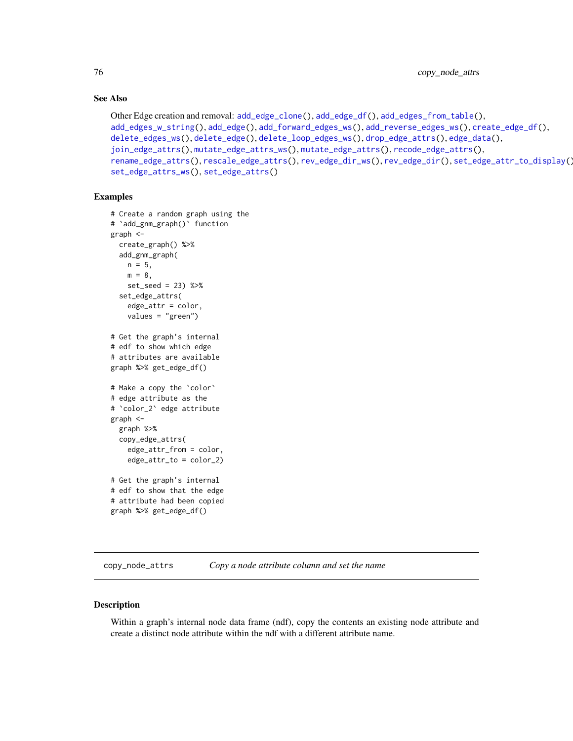# See Also

```
Other Edge creation and removal: add_edge_clone(), add_edge_df(), add_edges_from_table(),
add_edges_w_string(), add_edge(), add_forward_edges_ws(), add_reverse_edges_ws(), create_edge_df(),
delete_edges_ws(), delete_edge(), delete_loop_edges_ws(), drop_edge_attrs(), edge_data(),
join_edge_attrs(), mutate_edge_attrs_ws(), mutate_edge_attrs(), recode_edge_attrs(),
rename_edge_attrs(), rescale_edge_attrs(), rev_edge_dir_ws(), rev_edge_dir(), set_edge_attr_to_display(),
set_edge_attrs_ws(), set_edge_attrs()
```
## Examples

```
# Create a random graph using the
# `add_gnm_graph()` function
graph <-
  create_graph() %>%
  add_gnm_graph(
   n = 5.
   m = 8,
    set_seed = 23) %>%
  set_edge_attrs(
    edge_attr = color,
    values = "green")
# Get the graph's internal
# edf to show which edge
# attributes are available
graph %>% get_edge_df()
# Make a copy the `color`
# edge attribute as the
# `color_2` edge attribute
graph <-
  graph %>%
  copy_edge_attrs(
    edge_attr_from = color,
    edge_attr_to = color_2)
# Get the graph's internal
# edf to show that the edge
# attribute had been copied
graph %>% get_edge_df()
```
<span id="page-75-0"></span>copy\_node\_attrs *Copy a node attribute column and set the name*

## Description

Within a graph's internal node data frame (ndf), copy the contents an existing node attribute and create a distinct node attribute within the ndf with a different attribute name.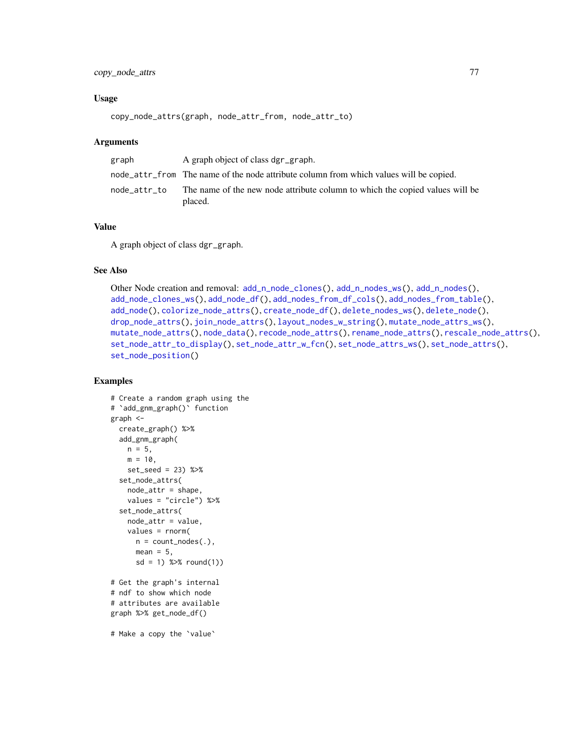## Usage

```
copy_node_attrs(graph, node_attr_from, node_attr_to)
```
## **Arguments**

| graph        | A graph object of class dgr_graph.                                                      |
|--------------|-----------------------------------------------------------------------------------------|
|              | node_attr_from The name of the node attribute column from which values will be copied.  |
| node_attr_to | The name of the new node attribute column to which the copied values will be<br>placed. |

# Value

A graph object of class dgr\_graph.

## See Also

```
Other Node creation and removal: add_nnode\_clones(), add_n nodes_ws(), add_n nodes(),add_node_clones_ws(), add_node_df(), add_nodes_from_df_cols(), add_nodes_from_table(),
add_node(), colorize_node_attrs(), create_node_df(), delete_nodes_ws(), delete_node(),
drop_node_attrs(), join_node_attrs(), layout_nodes_w_string(), mutate_node_attrs_ws(),
mutate_node_attrs(), node_data(), recode_node_attrs(), rename_node_attrs(), rescale_node_attrs(),
set_node_attr_to_display(), set_node_attr_w_fcn(), set_node_attrs_ws(), set_node_attrs(),
set_node_position()
```

```
# Create a random graph using the
# `add_gnm_graph()` function
graph <-
  create_graph() %>%
  add_gnm_graph(
   n = 5,
   m = 10,
   set_seed = 23) %>%
  set_node_attrs(
   node_attr = shape,
   values = "circle") %>%
  set_node_attrs(
   node_attr = value,
   values = rnorm(
     n = count\_nodes(.),
     mean = 5,
      sd = 1) %>% round(1)# Get the graph's internal
# ndf to show which node
# attributes are available
graph %>% get_node_df()
# Make a copy the `value`
```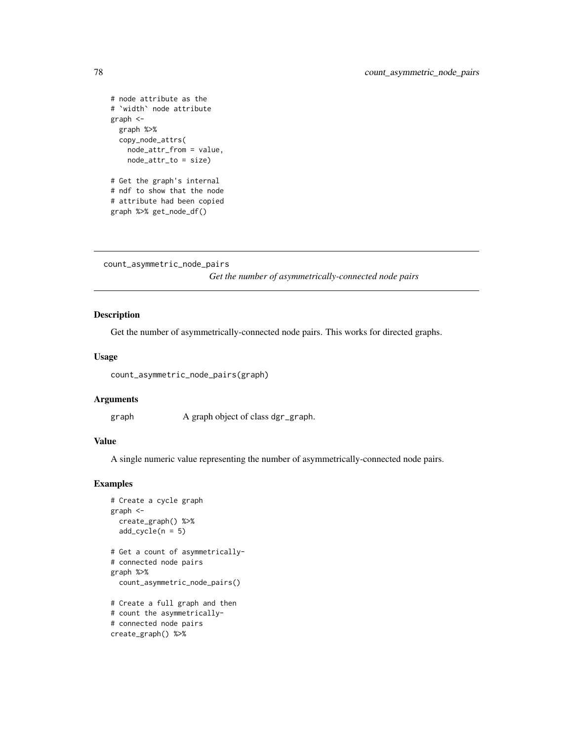```
# node attribute as the
# `width` node attribute
graph <-
  graph %>%
  copy_node_attrs(
   node_attr_from = value,
   node_attr_to = size)
# Get the graph's internal
# ndf to show that the node
# attribute had been copied
graph %>% get_node_df()
```
count\_asymmetric\_node\_pairs

*Get the number of asymmetrically-connected node pairs*

# Description

Get the number of asymmetrically-connected node pairs. This works for directed graphs.

## Usage

```
count_asymmetric_node_pairs(graph)
```
## Arguments

graph A graph object of class dgr\_graph.

# Value

A single numeric value representing the number of asymmetrically-connected node pairs.

```
# Create a cycle graph
graph <-
  create_graph() %>%
  add\_cycle(n = 5)# Get a count of asymmetrically-
# connected node pairs
graph %>%
  count_asymmetric_node_pairs()
# Create a full graph and then
# count the asymmetrically-
# connected node pairs
create_graph() %>%
```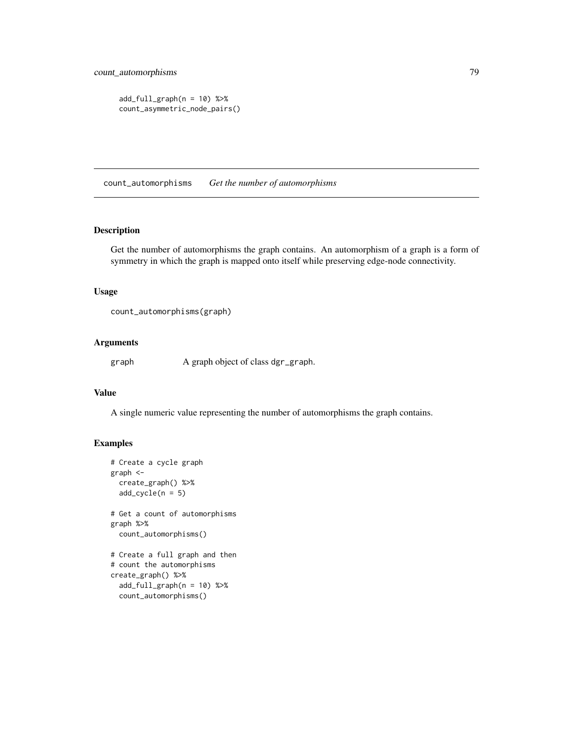```
add_full_{graph}(n = 10) %>%
count_asymmetric_node_pairs()
```
count\_automorphisms *Get the number of automorphisms*

## Description

Get the number of automorphisms the graph contains. An automorphism of a graph is a form of symmetry in which the graph is mapped onto itself while preserving edge-node connectivity.

## Usage

```
count_automorphisms(graph)
```
## Arguments

graph A graph object of class dgr\_graph.

# Value

A single numeric value representing the number of automorphisms the graph contains.

```
# Create a cycle graph
graph <-
 create_graph() %>%
 add\_cycle(n = 5)# Get a count of automorphisms
graph %>%
 count_automorphisms()
# Create a full graph and then
# count the automorphisms
create_graph() %>%
```

```
add_full_{graph}(n = 10) %>%
count_automorphisms()
```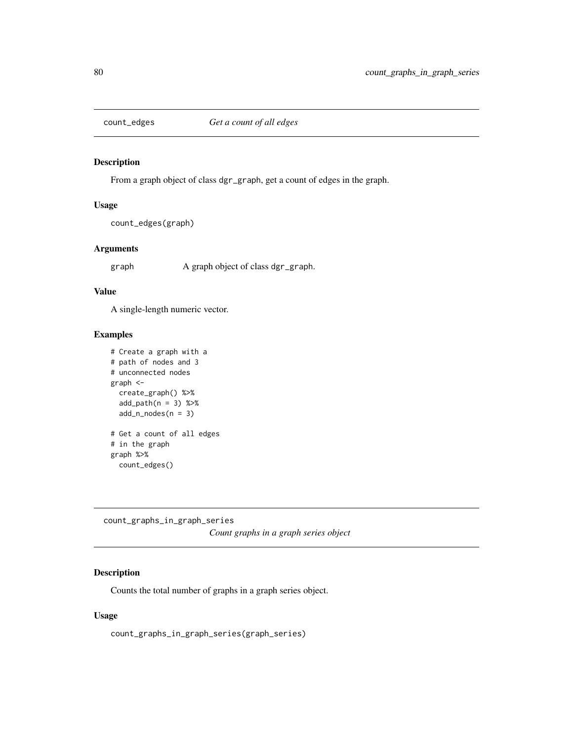# Description

From a graph object of class dgr\_graph, get a count of edges in the graph.

# Usage

count\_edges(graph)

# Arguments

graph A graph object of class dgr\_graph.

## Value

A single-length numeric vector.

## Examples

```
# Create a graph with a
# path of nodes and 3
# unconnected nodes
graph <-
 create_graph() %>%
 add\_path(n = 3) %>%
  add_n nodes(n = 3)# Get a count of all edges
# in the graph
graph %>%
  count_edges()
```
count\_graphs\_in\_graph\_series *Count graphs in a graph series object*

## Description

Counts the total number of graphs in a graph series object.

# Usage

count\_graphs\_in\_graph\_series(graph\_series)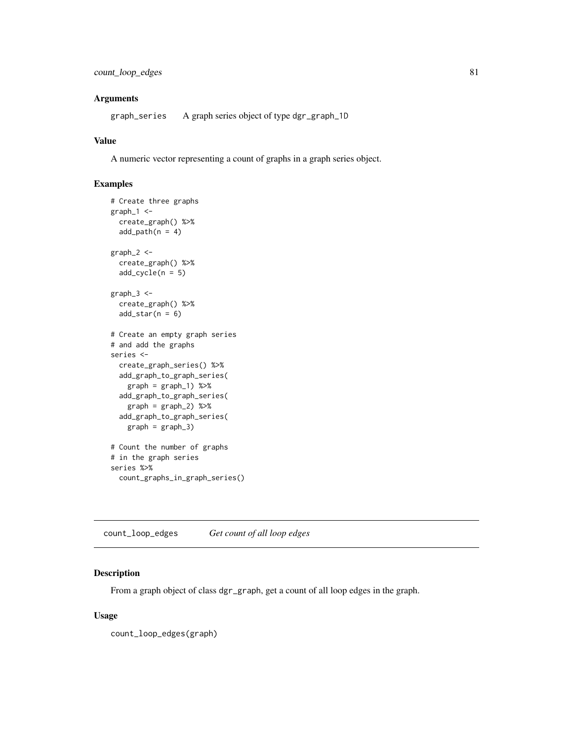# Arguments

graph\_series A graph series object of type dgr\_graph\_1D

# Value

A numeric vector representing a count of graphs in a graph series object.

# Examples

```
# Create three graphs
graph_1 <-
 create_graph() %>%
 add\_path(n = 4)graph_2 <-
 create_graph() %>%
 add_cycle(n = 5)
graph_3 <-
 create_graph() %>%
 add\_star(n = 6)# Create an empty graph series
# and add the graphs
series <-
 create_graph_series() %>%
 add_graph_to_graph_series(
   graph = graph_1) %>%
 add_graph_to_graph_series(
   graph = graph_2) %>%
 add_graph_to_graph_series(
   graph = graph_3)
# Count the number of graphs
# in the graph series
series %>%
 count_graphs_in_graph_series()
```
count\_loop\_edges *Get count of all loop edges*

# Description

From a graph object of class dgr\_graph, get a count of all loop edges in the graph.

## Usage

count\_loop\_edges(graph)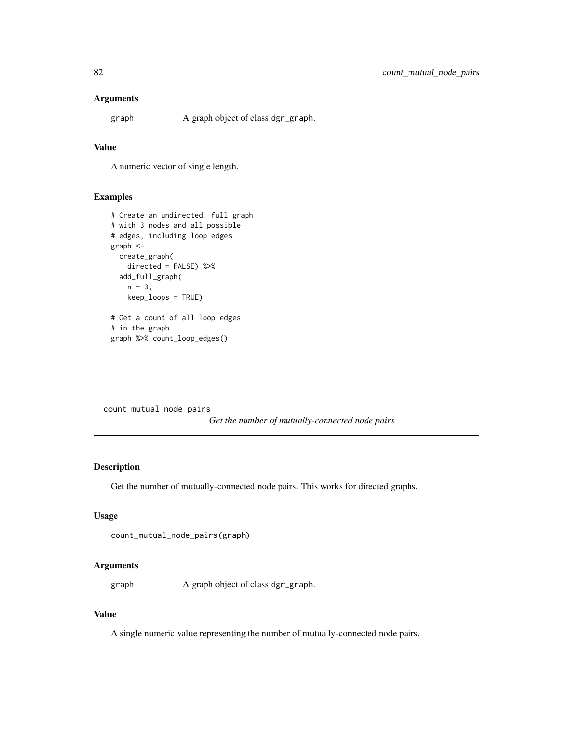## Arguments

graph A graph object of class dgr\_graph.

# Value

A numeric vector of single length.

# Examples

```
# Create an undirected, full graph
# with 3 nodes and all possible
# edges, including loop edges
graph <-
  create_graph(
   directed = FALSE) %>%
  add_full_graph(
   n = 3,
   keep_loops = TRUE)
# Get a count of all loop edges
# in the graph
graph %>% count_loop_edges()
```
count\_mutual\_node\_pairs

*Get the number of mutually-connected node pairs*

## Description

Get the number of mutually-connected node pairs. This works for directed graphs.

#### Usage

```
count_mutual_node_pairs(graph)
```
## Arguments

graph A graph object of class dgr\_graph.

## Value

A single numeric value representing the number of mutually-connected node pairs.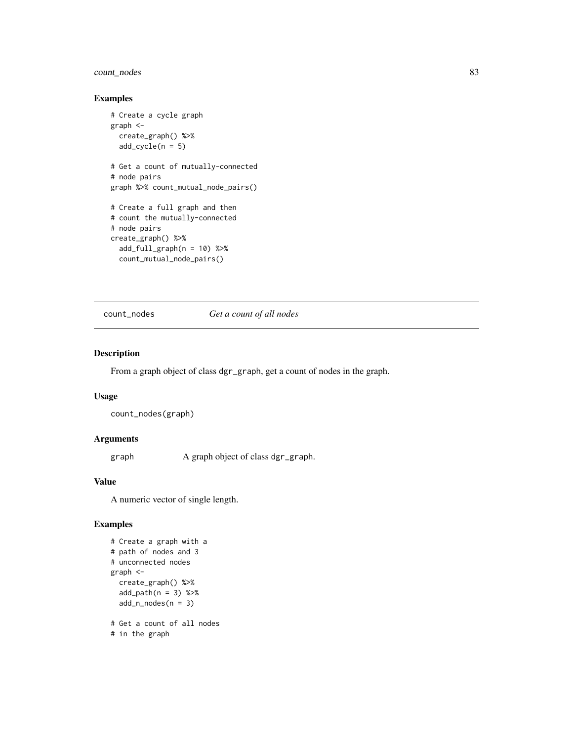# count\_nodes 83

# Examples

```
# Create a cycle graph
graph <-
  create_graph() %>%
  add\_cycle(n = 5)# Get a count of mutually-connected
# node pairs
graph %>% count_mutual_node_pairs()
# Create a full graph and then
# count the mutually-connected
# node pairs
create_graph() %>%
  add_full_{graph}(n = 10) %>%
  count_mutual_node_pairs()
```
count\_nodes *Get a count of all nodes*

# Description

From a graph object of class dgr\_graph, get a count of nodes in the graph.

# Usage

```
count_nodes(graph)
```
## Arguments

graph A graph object of class dgr\_graph.

# Value

A numeric vector of single length.

```
# Create a graph with a
# path of nodes and 3
# unconnected nodes
graph <-
 create_graph() %>%
 add\_path(n = 3) %>%
 add_n nodes(n = 3)# Get a count of all nodes
# in the graph
```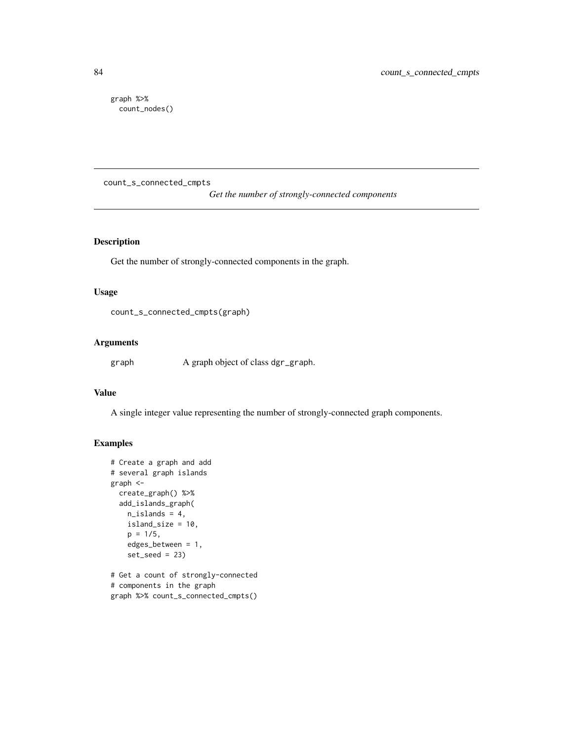graph %>% count\_nodes()

count\_s\_connected\_cmpts

*Get the number of strongly-connected components*

# Description

Get the number of strongly-connected components in the graph.

# Usage

count\_s\_connected\_cmpts(graph)

## Arguments

graph A graph object of class dgr\_graph.

# Value

A single integer value representing the number of strongly-connected graph components.

```
# Create a graph and add
# several graph islands
graph <-
  create_graph() %>%
  add_islands_graph(
   n_islands = 4,
   island_size = 10,
   p = 1/5,
   edges_between = 1,
   set\_seed = 23# Get a count of strongly-connected
# components in the graph
```

```
graph %>% count_s_connected_cmpts()
```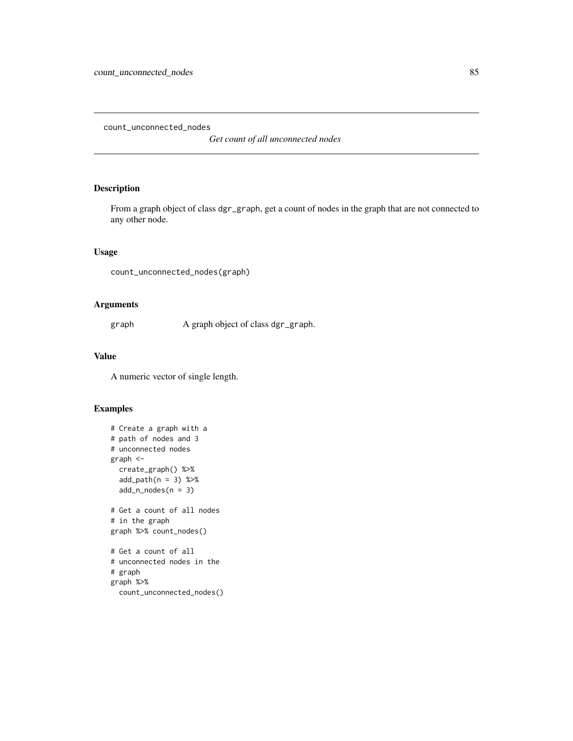count\_unconnected\_nodes

*Get count of all unconnected nodes*

# Description

From a graph object of class dgr\_graph, get a count of nodes in the graph that are not connected to any other node.

# Usage

count\_unconnected\_nodes(graph)

# Arguments

graph A graph object of class dgr\_graph.

# Value

A numeric vector of single length.

```
# Create a graph with a
# path of nodes and 3
# unconnected nodes
graph <-
 create_graph() %>%
  add\_path(n = 3) %>%
  add_n nodes(n = 3)# Get a count of all nodes
# in the graph
graph %>% count_nodes()
# Get a count of all
# unconnected nodes in the
# graph
graph %>%
  count_unconnected_nodes()
```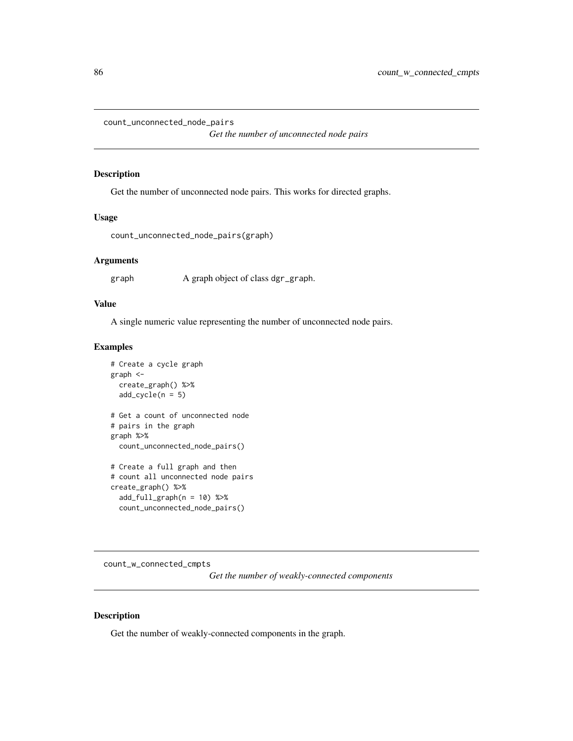```
count_unconnected_node_pairs
```
*Get the number of unconnected node pairs*

# Description

Get the number of unconnected node pairs. This works for directed graphs.

#### Usage

```
count_unconnected_node_pairs(graph)
```
## Arguments

graph A graph object of class dgr\_graph.

# Value

A single numeric value representing the number of unconnected node pairs.

## Examples

```
# Create a cycle graph
graph <-
 create_graph() %>%
 add\_cycle(n = 5)# Get a count of unconnected node
# pairs in the graph
graph %>%
 count_unconnected_node_pairs()
# Create a full graph and then
# count all unconnected node pairs
create_graph() %>%
 add_full\_graph(n = 10) %>%
 count_unconnected_node_pairs()
```
count\_w\_connected\_cmpts

*Get the number of weakly-connected components*

# Description

Get the number of weakly-connected components in the graph.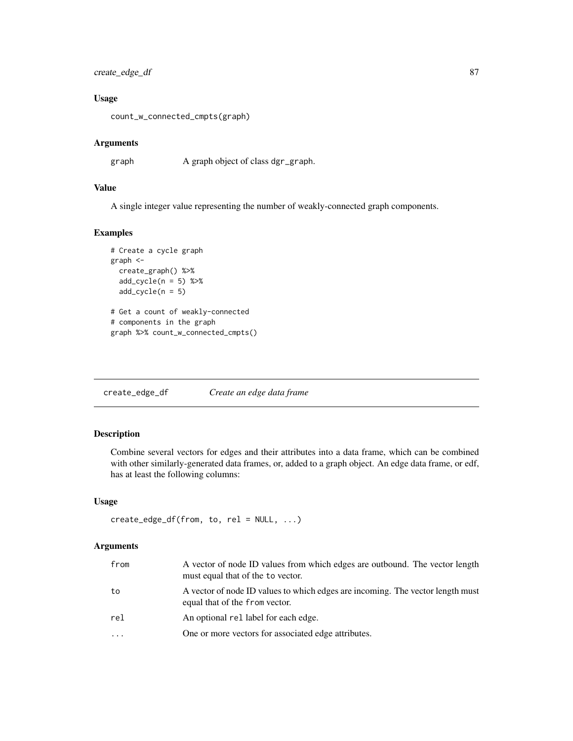create\_edge\_df 87

## Usage

count\_w\_connected\_cmpts(graph)

## Arguments

graph A graph object of class dgr\_graph.

# Value

A single integer value representing the number of weakly-connected graph components.

# Examples

```
# Create a cycle graph
graph <-
  create_graph() %>%
  add\_cycle(n = 5) %>>add\_cycle(n = 5)# Get a count of weakly-connected
# components in the graph
graph %>% count_w_connected_cmpts()
```
<span id="page-86-0"></span>create\_edge\_df *Create an edge data frame*

## Description

Combine several vectors for edges and their attributes into a data frame, which can be combined with other similarly-generated data frames, or, added to a graph object. An edge data frame, or edf, has at least the following columns:

## Usage

```
create_edge_df(from, to, rel = NULL, ...)
```
## Arguments

| from     | A vector of node ID values from which edges are outbound. The vector length<br>must equal that of the to vector. |
|----------|------------------------------------------------------------------------------------------------------------------|
| to       | A vector of node ID values to which edges are incoming. The vector length must<br>equal that of the from vector. |
| rel      | An optional rel label for each edge.                                                                             |
| $\cdots$ | One or more vectors for associated edge attributes.                                                              |
|          |                                                                                                                  |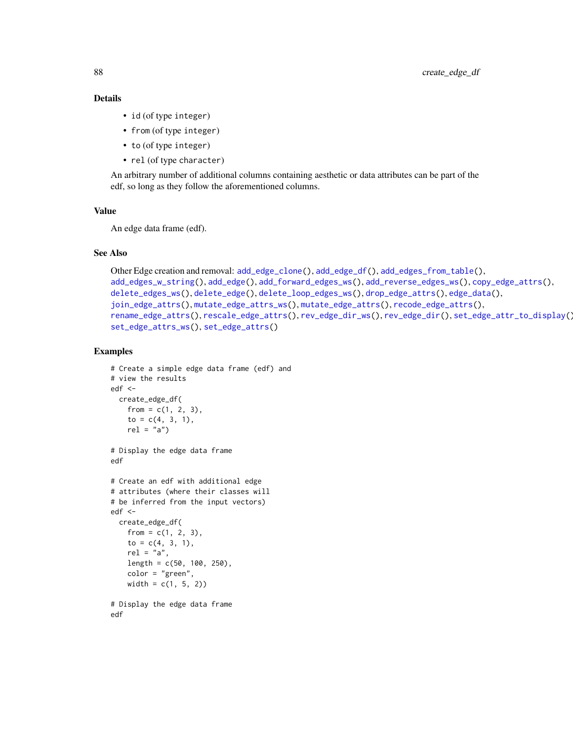## Details

- id (of type integer)
- from (of type integer)
- to (of type integer)
- rel (of type character)

An arbitrary number of additional columns containing aesthetic or data attributes can be part of the edf, so long as they follow the aforementioned columns.

# Value

An edge data frame (edf).

## See Also

```
Other Edge creation and removal: add_edge_clone(), add_edge_df(), add_edges_from_table(),
add_edges_w_string(), add_edge(), add_forward_edges_ws(), add_reverse_edges_ws(), copy_edge_attrs(),
delete_edges_ws(), delete_edge(), delete_loop_edges_ws(), drop_edge_attrs(), edge_data(),
join_edge_attrs(), mutate_edge_attrs_ws(), mutate_edge_attrs(), recode_edge_attrs(),
rename_edge_attrs(), rescale_edge_attrs(), rev_edge_dir_ws(), rev_edge_dir(), set_edge_attr_to_display(),
set_edge_attrs_ws(), set_edge_attrs()
```
#### Examples

```
# Create a simple edge data frame (edf) and
# view the results
edf <-
  create_edge_df(
    from = c(1, 2, 3),
    to = c(4, 3, 1),rel = "a")# Display the edge data frame
edf
# Create an edf with additional edge
# attributes (where their classes will
# be inferred from the input vectors)
edf <-
  create_edge_df(
    from = c(1, 2, 3),
    to = c(4, 3, 1),rel = "a",length = c(50, 100, 250),
    color = "green",
   width = c(1, 5, 2)
```
# Display the edge data frame edf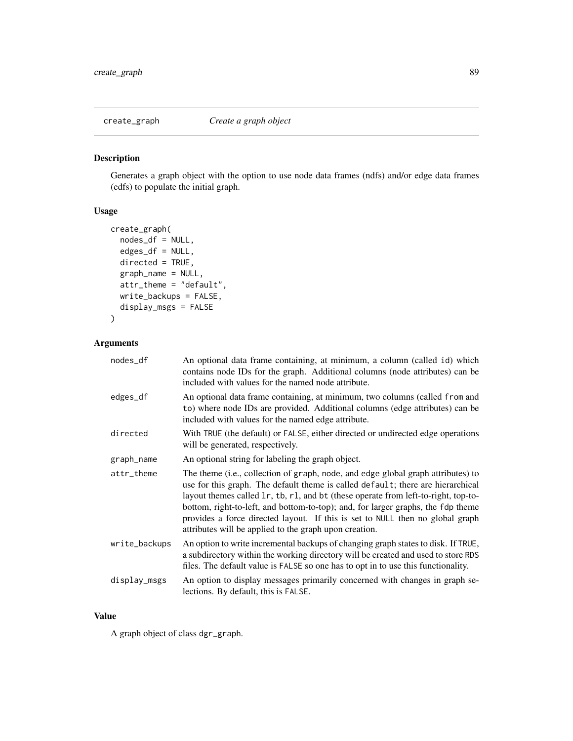# Description

Generates a graph object with the option to use node data frames (ndfs) and/or edge data frames (edfs) to populate the initial graph.

# Usage

```
create_graph(
 nodes_df = NULL,
  edges_df = NULL,
 directed = TRUE,
  graph_name = NULL,
 attr_theme = "default",
 write_backups = FALSE,
 display_msgs = FALSE
)
```
# Arguments

| nodes_df      | An optional data frame containing, at minimum, a column (called id) which<br>contains node IDs for the graph. Additional columns (node attributes) can be<br>included with values for the named node attribute.                                                                                                                                                                                                                                                                          |
|---------------|------------------------------------------------------------------------------------------------------------------------------------------------------------------------------------------------------------------------------------------------------------------------------------------------------------------------------------------------------------------------------------------------------------------------------------------------------------------------------------------|
| edges_df      | An optional data frame containing, at minimum, two columns (called from and<br>to) where node IDs are provided. Additional columns (edge attributes) can be<br>included with values for the named edge attribute.                                                                                                                                                                                                                                                                        |
| directed      | With TRUE (the default) or FALSE, either directed or undirected edge operations<br>will be generated, respectively.                                                                                                                                                                                                                                                                                                                                                                      |
| graph_name    | An optional string for labeling the graph object.                                                                                                                                                                                                                                                                                                                                                                                                                                        |
| attr_theme    | The theme (i.e., collection of graph, node, and edge global graph attributes) to<br>use for this graph. The default theme is called default; there are hierarchical<br>layout themes called 1r, tb, r1, and bt (these operate from left-to-right, top-to-<br>bottom, right-to-left, and bottom-to-top); and, for larger graphs, the fdp theme<br>provides a force directed layout. If this is set to NULL then no global graph<br>attributes will be applied to the graph upon creation. |
| write_backups | An option to write incremental backups of changing graph states to disk. If TRUE,<br>a subdirectory within the working directory will be created and used to store RDS<br>files. The default value is FALSE so one has to opt in to use this functionality.                                                                                                                                                                                                                              |
| display_msgs  | An option to display messages primarily concerned with changes in graph se-<br>lections. By default, this is FALSE.                                                                                                                                                                                                                                                                                                                                                                      |

# Value

A graph object of class dgr\_graph.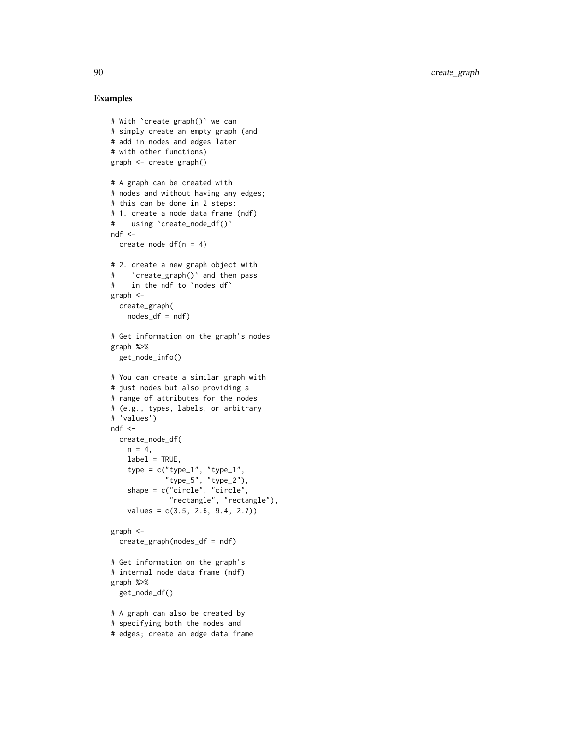```
# With `create_graph()` we can
# simply create an empty graph (and
# add in nodes and edges later
# with other functions)
graph <- create_graph()
# A graph can be created with
# nodes and without having any edges;
# this can be done in 2 steps:
# 1. create a node data frame (ndf)
# using `create_node_df()`
ndf < -create_model(n = 4)# 2. create a new graph object with
# `create_graph()` and then pass
# in the ndf to `nodes_df`
graph <-
  create_graph(
    nodes_df = ndf# Get information on the graph's nodes
graph %>%
  get_node_info()
# You can create a similar graph with
# just nodes but also providing a
# range of attributes for the nodes
# (e.g., types, labels, or arbitrary
# 'values')
ndf <-
 create_node_df(
   n = 4,
   label = TRUE,type = c("type_1", "type_1",
             "type_5", "type_2"),
    shape = c("circle", "circle",
              "rectangle", "rectangle"),
    values = c(3.5, 2.6, 9.4, 2.7)graph <-
  create_graph(nodes_df = ndf)
# Get information on the graph's
# internal node data frame (ndf)
graph %>%
  get_node_df()
# A graph can also be created by
# specifying both the nodes and
# edges; create an edge data frame
```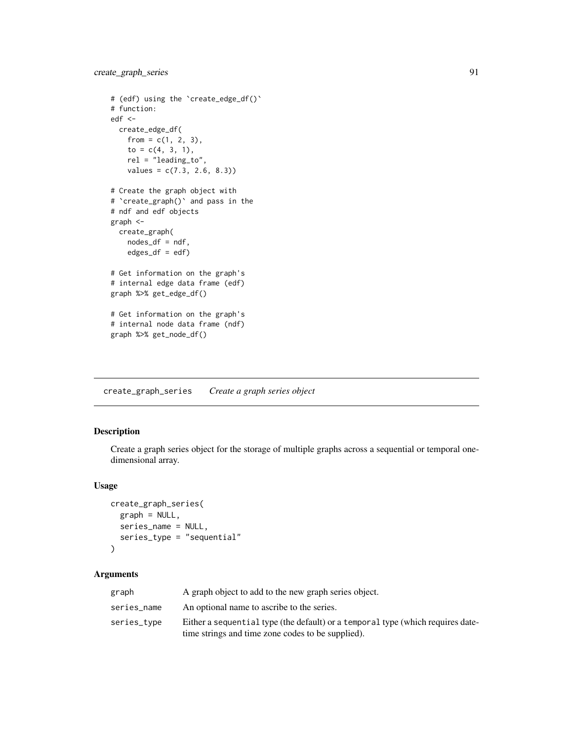```
# (edf) using the 'create_edge_df()'
# function:
edf <-
 create_edge_df(
   from = c(1, 2, 3),
   to = c(4, 3, 1),
   rel = "leading_to",
   values = c(7.3, 2.6, 8.3)# Create the graph object with
# `create_graph()` and pass in the
# ndf and edf objects
graph <-
  create_graph(
   nodes_df = ndf,
   edges_df = edf)
# Get information on the graph's
# internal edge data frame (edf)
graph %>% get_edge_df()
# Get information on the graph's
# internal node data frame (ndf)
graph %>% get_node_df()
```
create\_graph\_series *Create a graph series object*

# Description

Create a graph series object for the storage of multiple graphs across a sequential or temporal onedimensional array.

## Usage

```
create_graph_series(
  graph = NULL,
  series_name = NULL,
  series_type = "sequential"
\lambda
```
# Arguments

| graph       | A graph object to add to the new graph series object.                           |
|-------------|---------------------------------------------------------------------------------|
| series_name | An optional name to ascribe to the series.                                      |
| series_type | Either a sequential type (the default) or a temporal type (which requires date- |
|             | time strings and time zone codes to be supplied).                               |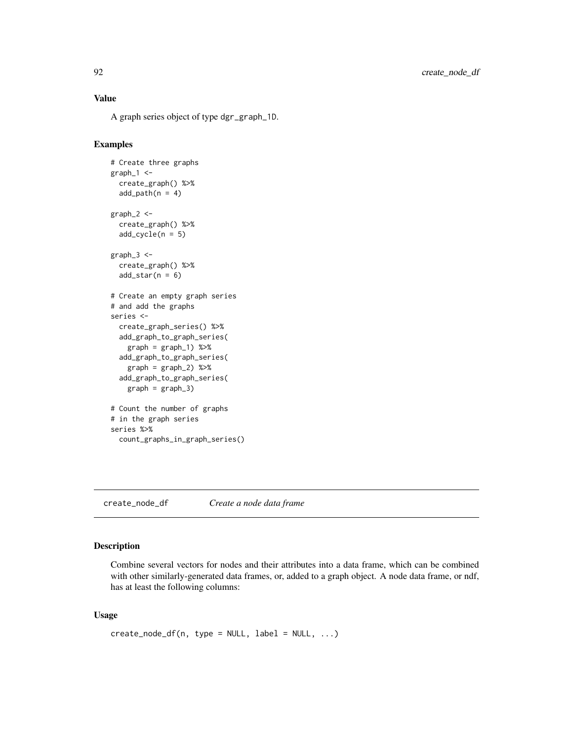# Value

A graph series object of type dgr\_graph\_1D.

# Examples

```
# Create three graphs
graph_1 < -create_graph() %>%
  add\_path(n = 4)graph_2 <-
  create_graph() %>%
  add\_cycle(n = 5)graph_3 < -create_graph() %>%
  add\_star(n = 6)# Create an empty graph series
# and add the graphs
series <-
  create_graph_series() %>%
  add_graph_to_graph_series(
   graph = graph_1) %>%
  add_graph_to_graph_series(
   graph = graph_2) %>%
  add_graph_to_graph_series(
   graph = graph_3)
# Count the number of graphs
# in the graph series
series %>%
  count_graphs_in_graph_series()
```
<span id="page-91-0"></span>create\_node\_df *Create a node data frame*

# Description

Combine several vectors for nodes and their attributes into a data frame, which can be combined with other similarly-generated data frames, or, added to a graph object. A node data frame, or ndf, has at least the following columns:

## Usage

```
create\_node\_df(n, type = NULL, label = NULL, ...)
```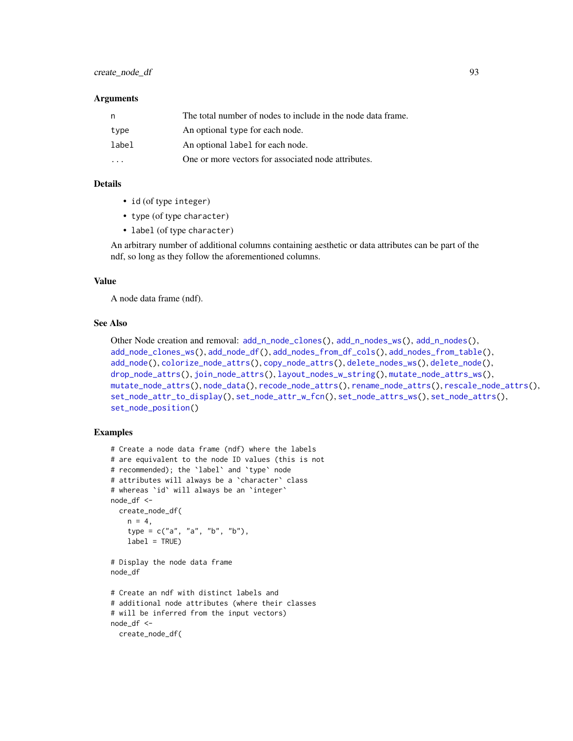#### **Arguments**

| n.    | The total number of nodes to include in the node data frame. |  |
|-------|--------------------------------------------------------------|--|
| type  | An optional type for each node.                              |  |
| label | An optional label for each node.                             |  |
|       | One or more vectors for associated node attributes.          |  |

# Details

- id (of type integer)
- type (of type character)
- label (of type character)

An arbitrary number of additional columns containing aesthetic or data attributes can be part of the ndf, so long as they follow the aforementioned columns.

#### Value

A node data frame (ndf).

# See Also

```
Other Node creation and removal: add_n_node_clones(), add_n_nodes_ws(), add_n_nodes(),
add_node_clones_ws(), add_node_df(), add_nodes_from_df_cols(), add_nodes_from_table(),
add_node(), colorize_node_attrs(), copy_node_attrs(), delete_nodes_ws(), delete_node(),
drop_node_attrs(), join_node_attrs(), layout_nodes_w_string(), mutate_node_attrs_ws(),
mutate_node_attrs(), node_data(), recode_node_attrs(), rename_node_attrs(), rescale_node_attrs(),
set_node_attr_to_display(), set_node_attr_w_fcn(), set_node_attrs_ws(), set_node_attrs(),
set_node_position()
```

```
# Create a node data frame (ndf) where the labels
# are equivalent to the node ID values (this is not
# recommended); the `label` and `type` node
# attributes will always be a `character` class
# whereas `id` will always be an `integer`
node_df <-
  create_node_df(
   n = 4,
    type = c("a", "a", "b", "b"),
    label = TRUE)
# Display the node data frame
node_df
# Create an ndf with distinct labels and
# additional node attributes (where their classes
# will be inferred from the input vectors)
node_df <-
```

```
create_node_df(
```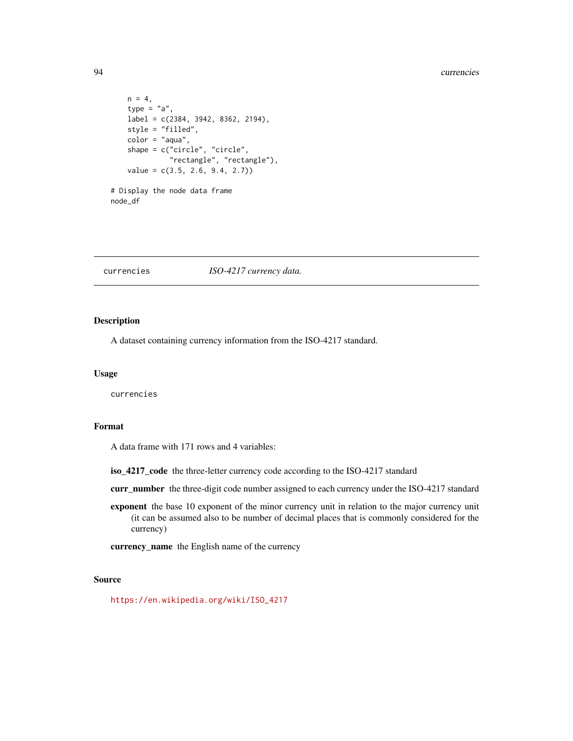#### 94 currencies

```
n = 4,
   type = "a",label = c(2384, 3942, 8362, 2194),
   style = "filled",
   color = "aqua",
   shape = c("circle", "circle",
             "rectangle", "rectangle"),
    value = c(3.5, 2.6, 9.4, 2.7))
# Display the node data frame
node_df
```
#### currencies *ISO-4217 currency data.*

## Description

A dataset containing currency information from the ISO-4217 standard.

#### Usage

currencies

## Format

A data frame with 171 rows and 4 variables:

iso\_4217\_code the three-letter currency code according to the ISO-4217 standard

curr\_number the three-digit code number assigned to each currency under the ISO-4217 standard

exponent the base 10 exponent of the minor currency unit in relation to the major currency unit (it can be assumed also to be number of decimal places that is commonly considered for the currency)

currency\_name the English name of the currency

# Source

[https://en.wikipedia.org/wiki/ISO\\_4217](https://en.wikipedia.org/wiki/ISO_4217)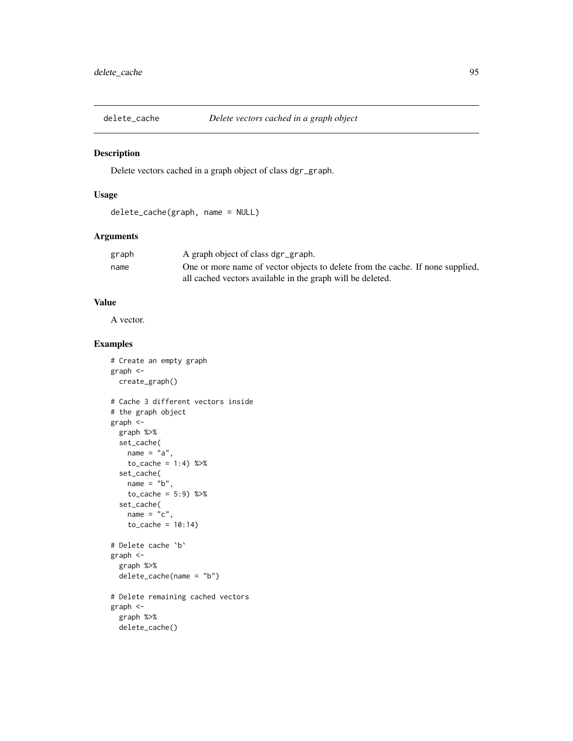## Description

Delete vectors cached in a graph object of class dgr\_graph.

# Usage

```
delete_cache(graph, name = NULL)
```
# Arguments

| graph | A graph object of class dgr_graph.                                             |
|-------|--------------------------------------------------------------------------------|
| name  | One or more name of vector objects to delete from the cache. If none supplied, |
|       | all cached vectors available in the graph will be deleted.                     |

# Value

A vector.

```
# Create an empty graph
graph <-
  create_graph()
# Cache 3 different vectors inside
# the graph object
graph <-
 graph %>%
  set_cache(
   name = "a",to\_cache = 1:4) %>%
  set_cache(
   name = "b",to\_cache = 5:9) %>%
  set_cache(
   name = "c",to_cache = 10:14)
# Delete cache `b`
graph <-
  graph %>%
  delete_cache(name = "b")
# Delete remaining cached vectors
graph <-
  graph %>%
```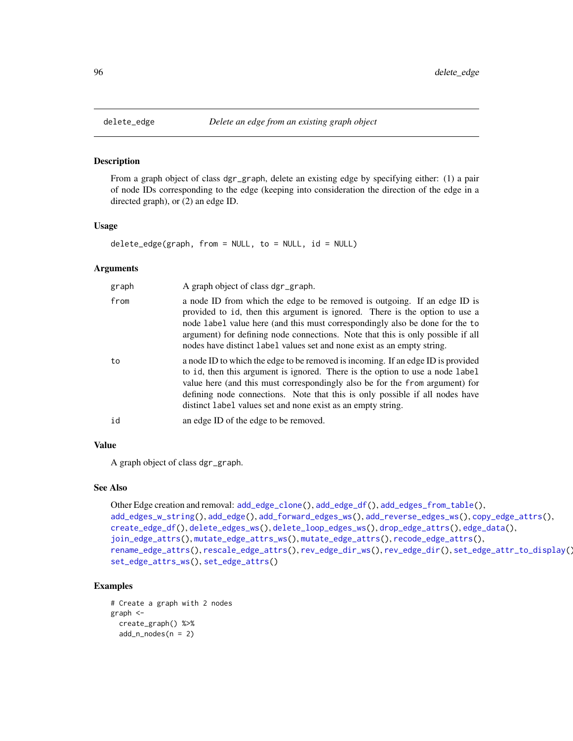## Description

From a graph object of class dgr\_graph, delete an existing edge by specifying either: (1) a pair of node IDs corresponding to the edge (keeping into consideration the direction of the edge in a directed graph), or (2) an edge ID.

## Usage

 $delete\_edge(graph, from = NULL, to = NULL, id = NULL)$ 

#### Arguments

| graph | A graph object of class dgr_graph.                                                                                                                                                                                                                                                                                                                                                                     |  |
|-------|--------------------------------------------------------------------------------------------------------------------------------------------------------------------------------------------------------------------------------------------------------------------------------------------------------------------------------------------------------------------------------------------------------|--|
| from  | a node ID from which the edge to be removed is outgoing. If an edge ID is<br>provided to id, then this argument is ignored. There is the option to use a<br>node label value here (and this must correspondingly also be done for the to<br>argument) for defining node connections. Note that this is only possible if all<br>nodes have distinct label values set and none exist as an empty string. |  |
| to    | a node ID to which the edge to be removed is incoming. If an edge ID is provided<br>to id, then this argument is ignored. There is the option to use a node label<br>value here (and this must correspondingly also be for the from argument) for<br>defining node connections. Note that this is only possible if all nodes have<br>distinct label values set and none exist as an empty string.      |  |
| id    | an edge ID of the edge to be removed.                                                                                                                                                                                                                                                                                                                                                                  |  |

# Value

A graph object of class dgr\_graph.

## See Also

```
Other Edge creation and removal: add_edge_clone(), add_edge_df(), add_edges_from_table(),
add_edges_w_string(), add_edge(), add_forward_edges_ws(), add_reverse_edges_ws(), copy_edge_attrs(),
create_edge_df(), delete_edges_ws(), delete_loop_edges_ws(), drop_edge_attrs(), edge_data(),
join_edge_attrs(), mutate_edge_attrs_ws(), mutate_edge_attrs(), recode_edge_attrs(),
rename_edge_attrs(), rescale_edge_attrs(), rev_edge_dir_ws(), rev_edge_dir(), set_edge_attr_to_display(),
set_edge_attrs_ws(), set_edge_attrs()
```

```
# Create a graph with 2 nodes
graph <-
 create_graph() %>%
 add_n nodes(n = 2)
```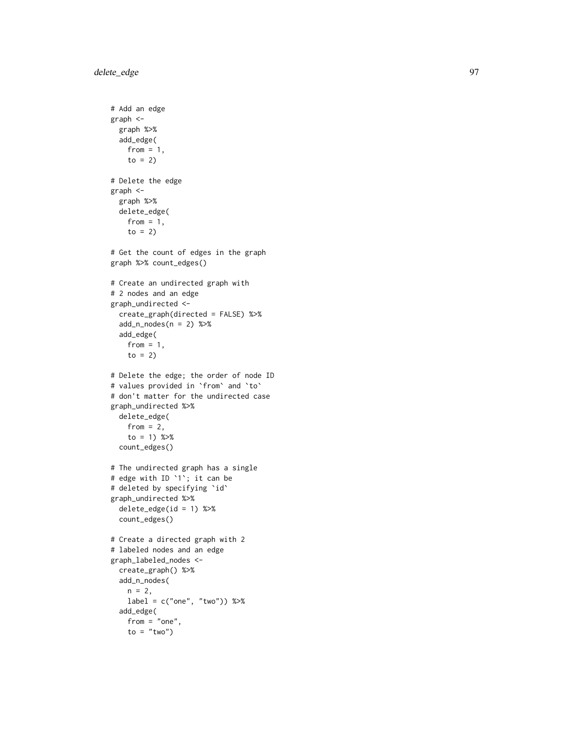```
# Add an edge
graph <-
  graph %>%
  add_edge(
   from = 1,
   to = 2)
# Delete the edge
graph <-
  graph %>%
  delete_edge(
    from = 1,
    to = 2)
# Get the count of edges in the graph
graph %>% count_edges()
# Create an undirected graph with
# 2 nodes and an edge
graph_undirected <-
  create_graph(directed = FALSE) %>%
  add_n_nodes(n = 2) %>%
  add_edge(
   from = 1,
    to = 2)
# Delete the edge; the order of node ID
# values provided in
`from
` and
`to
`
# don't matter for the undirected case
graph_undirected %>%
 delete_edge(
   from = 2,
    to = 1) %count_edges()
# The undirected graph has a single
# edge with ID
`
1
`; it can be
# deleted by specifying
`id
`
graph_undirected %>%
  delete_edge(id = 1) %>%
  count_edges()
# Create a directed graph with 2
# labeled nodes and an edge
graph_labeled_nodes <-
  create_graph() %>%
  add_n_nodes(
   n = 2,label = c("one", "two")) %>%
  add_edge(
    from = "one",
    to = "two")
```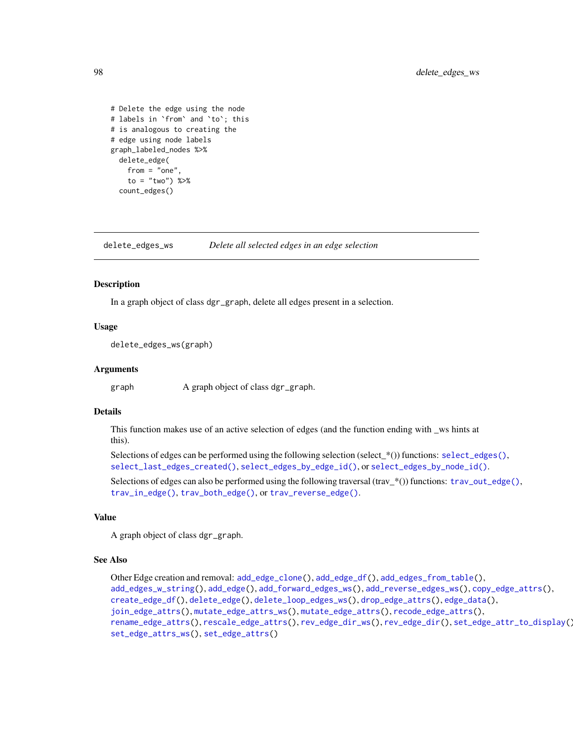```
# Delete the edge using the node
# labels in `from` and `to`; this
# is analogous to creating the
# edge using node labels
graph_labeled_nodes %>%
 delete_edge(
    from = "one",
   to = "two") %>%
 count_edges()
```
<span id="page-97-0"></span>delete\_edges\_ws *Delete all selected edges in an edge selection*

## Description

In a graph object of class dgr\_graph, delete all edges present in a selection.

## Usage

delete\_edges\_ws(graph)

## Arguments

graph A graph object of class dgr\_graph.

## Details

This function makes use of an active selection of edges (and the function ending with \_ws hints at this).

```
select_edges(),
select_last_edges_created(), select_edges_by_edge_id(), or select_edges_by_node_id().
```
Selections of edges can also be performed using the following traversal (trav\_\*()) functions: [trav\\_out\\_edge\(\)](#page-339-0), [trav\\_in\\_edge\(\)](#page-324-0), [trav\\_both\\_edge\(\)](#page-316-0), or [trav\\_reverse\\_edge\(\)](#page-349-0).

## Value

A graph object of class dgr\_graph.

#### See Also

```
Other Edge creation and removal: add_edge_clone(), add_edge_df(), add_edges_from_table(),
add_edges_w_string(), add_edge(), add_forward_edges_ws(), add_reverse_edges_ws(), copy_edge_attrs(),
create_edge_df(), delete_edge(), delete_loop_edges_ws(), drop_edge_attrs(), edge_data(),
join_edge_attrs(), mutate_edge_attrs_ws(), mutate_edge_attrs(), recode_edge_attrs(),
rename_edge_attrs(), rescale_edge_attrs(), rev_edge_dir_ws(), rev_edge_dir(), set_edge_attr_to_display(),
set_edge_attrs_ws(), set_edge_attrs()
```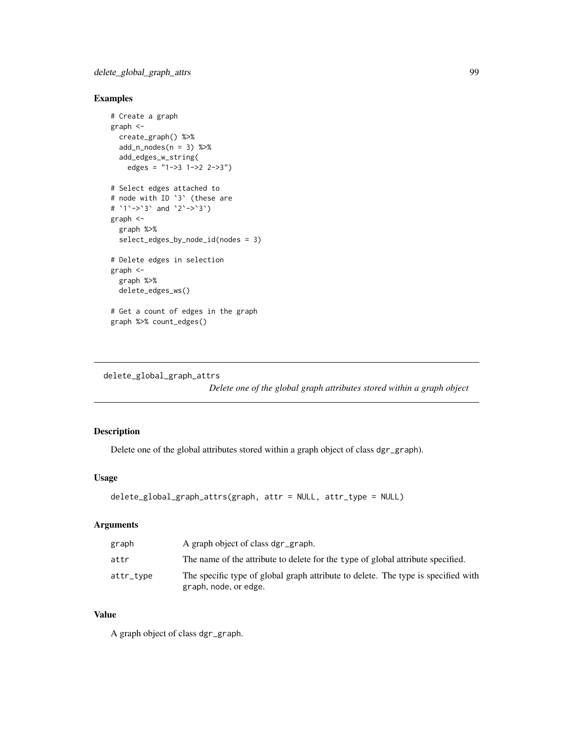# Examples

```
# Create a graph
graph <-
  create_graph() %>%
  add_n\_nodes(n = 3) %>%
  add_edges_w_string(
   edges = "1->3 1->2 2->3")
# Select edges attached to
# node with ID `3` (these are
# `1`->`3` and `2`->`3`)
graph <-
  graph %>%
  select_edges_by_node_id(nodes = 3)
# Delete edges in selection
graph <-
  graph %>%
  delete_edges_ws()
# Get a count of edges in the graph
graph %>% count_edges()
```

```
delete_global_graph_attrs
```
*Delete one of the global graph attributes stored within a graph object*

# Description

Delete one of the global attributes stored within a graph object of class dgr\_graph).

# Usage

```
delete_global_graph_attrs(graph, attr = NULL, attr_type = NULL)
```
# Arguments

| graph     | A graph object of class dgr_graph.                                                                         |
|-----------|------------------------------------------------------------------------------------------------------------|
| attr      | The name of the attribute to delete for the type of global attribute specified.                            |
| attr_type | The specific type of global graph attribute to delete. The type is specified with<br>graph, node, or edge. |

## Value

A graph object of class dgr\_graph.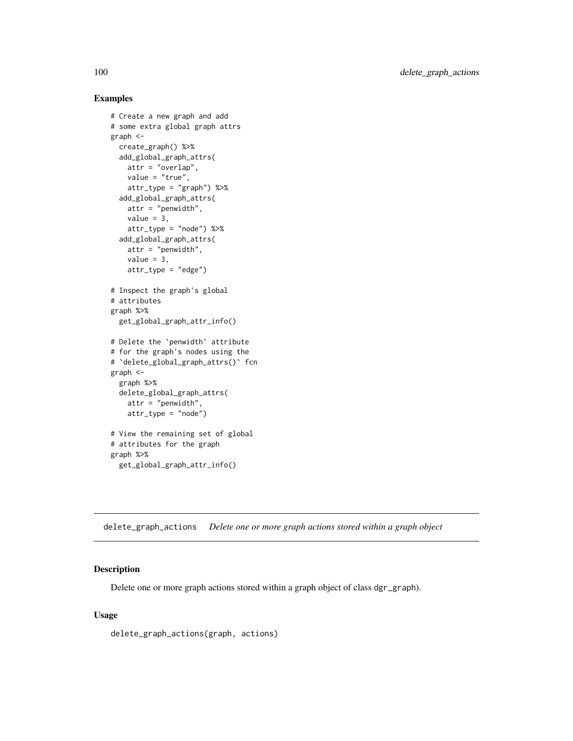## Examples

```
# Create a new graph and add
# some extra global graph attrs
graph <-
  create_graph() %>%
  add_global_graph_attrs(
   attr = "overlap",
   value = "true",
   attr_type = "graph") %>%
  add_global_graph_attrs(
   attr = "penwidth",
   value = 3,attr_type = "node") %>%
  add_global_graph_attrs(
   attr = "penwidth",
   value = 3,
   attr_type = "edge")
# Inspect the graph's global
# attributes
graph %>%
  get_global_graph_attr_info()
# Delete the `penwidth` attribute
# for the graph's nodes using the
# `delete_global_graph_attrs()` fcn
graph <-
 graph %>%
 delete_global_graph_attrs(
   attr = "penwidth".attr_type = "node")
# View the remaining set of global
# attributes for the graph
graph %>%
  get_global_graph_attr_info()
```
delete\_graph\_actions *Delete one or more graph actions stored within a graph object*

## Description

Delete one or more graph actions stored within a graph object of class dgr\_graph).

## Usage

delete\_graph\_actions(graph, actions)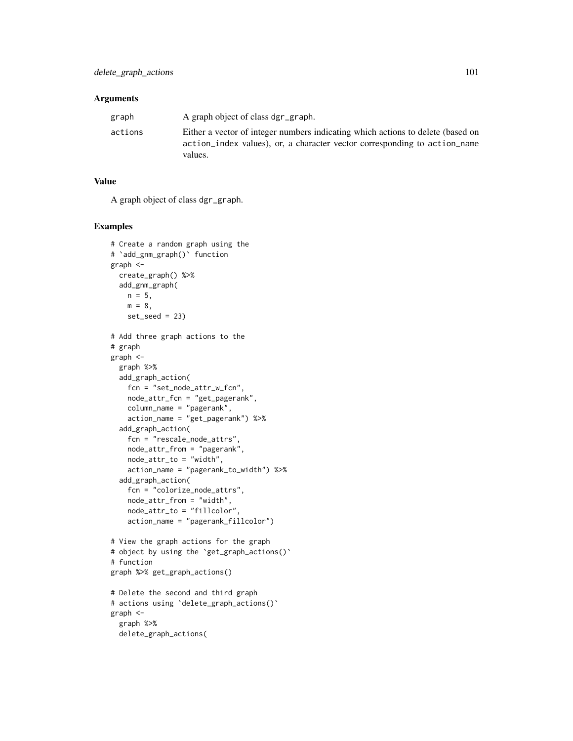## **Arguments**

| graph   | A graph object of class dgr_graph.                                                                                                                                      |
|---------|-------------------------------------------------------------------------------------------------------------------------------------------------------------------------|
| actions | Either a vector of integer numbers indicating which actions to delete (based on<br>action index values), or, a character vector corresponding to action name<br>values. |

# Value

A graph object of class dgr\_graph.

```
# Create a random graph using the
# `add_gnm_graph()` function
graph <-
  create_graph() %>%
  add_gnm_graph(
   n = 5,
   m = 8,
   set\_seed = 23# Add three graph actions to the
# graph
graph <-
  graph %>%
  add_graph_action(
   fcn = "set_node_attr_w_fcn",
   node_attr_fcn = "get_pagerank",
   column_name = "pagerank",
   action_name = "get_pagerank") %>%
  add_graph_action(
   fcn = "rescale_node_attrs",
   node_attr_from = "pagerank",
   node_attr_to = "width",
   action_name = "pagerank_to_width") %>%
  add_graph_action(
    fcn = "colorize_node_attrs",
   node_attr_from = "width",
   node_attr_to = "fillcolor",
    action_name = "pagerank_fillcolor")
# View the graph actions for the graph
# object by using the `get_graph_actions()`
# function
graph %>% get_graph_actions()
# Delete the second and third graph
# actions using `delete_graph_actions()`
graph <-
  graph %>%
  delete_graph_actions(
```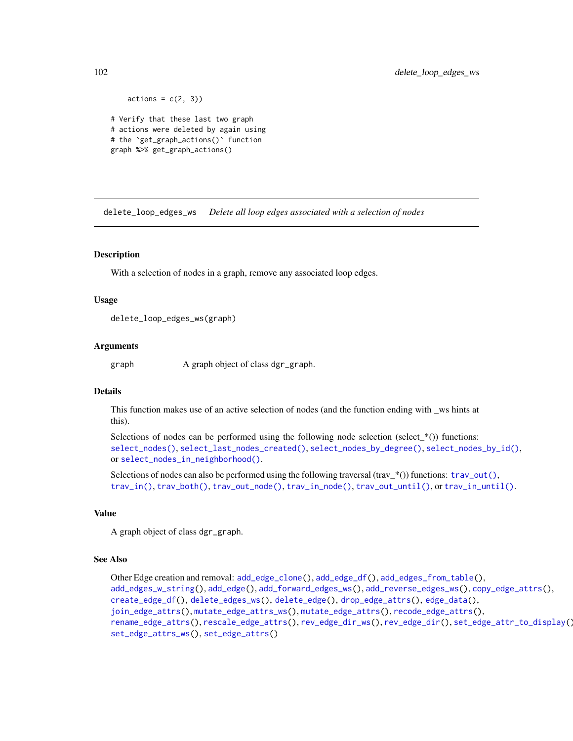```
actions = c(2, 3)# Verify that these last two graph
# actions were deleted by again using
# the `get_graph_actions()` function
graph %>% get_graph_actions()
```
<span id="page-101-0"></span>delete\_loop\_edges\_ws *Delete all loop edges associated with a selection of nodes*

## **Description**

With a selection of nodes in a graph, remove any associated loop edges.

#### Usage

```
delete_loop_edges_ws(graph)
```
## Arguments

graph A graph object of class dgr\_graph.

# Details

This function makes use of an active selection of nodes (and the function ending with \_ws hints at this).

Selections of nodes can be performed using the following node selection (select\_ $*($ )) functions: [select\\_nodes\(\)](#page-282-0), [select\\_last\\_nodes\\_created\(\)](#page-281-0), [select\\_nodes\\_by\\_degree\(\)](#page-284-0), [select\\_nodes\\_by\\_id\(\)](#page-286-0), or [select\\_nodes\\_in\\_neighborhood\(\)](#page-287-0).

Selections of nodes can also be performed using the following traversal (trav\_\*()) functions:  $\text{trav\_out}($ ), [trav\\_in\(\)](#page-320-0), [trav\\_both\(\)](#page-312-0), [trav\\_out\\_node\(\)](#page-343-0), [trav\\_in\\_node\(\)](#page-328-0), [trav\\_out\\_until\(\)](#page-347-0), or [trav\\_in\\_until\(\)](#page-333-0).

## Value

A graph object of class dgr\_graph.

#### See Also

```
Other Edge creation and removal: add_edge_clone(), add_edge_df(), add_edges_from_table(),
add_edges_w_string(), add_edge(), add_forward_edges_ws(), add_reverse_edges_ws(), copy_edge_attrs(),
create_edge_df(), delete_edges_ws(), delete_edge(), drop_edge_attrs(), edge_data(),
join_edge_attrs(), mutate_edge_attrs_ws(), mutate_edge_attrs(), recode_edge_attrs(),
rename_edge_attrs(), rescale_edge_attrs(), rev_edge_dir_ws(), rev_edge_dir(), set_edge_attr_to_display(),
set_edge_attrs_ws(), set_edge_attrs()
```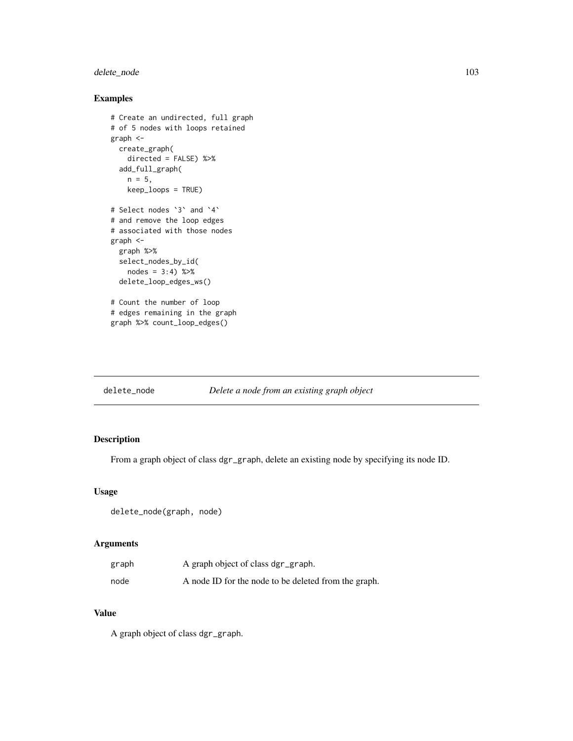# delete\_node 103

# Examples

```
# Create an undirected, full graph
# of 5 nodes with loops retained
graph <-
 create_graph(
   directed = FALSE) %>%
 add_full_graph(
   n = 5,
   keep_loops = TRUE)
# Select nodes `3` and `4`
# and remove the loop edges
# associated with those nodes
graph <-
  graph %>%
  select_nodes_by_id(
   nodes = 3:4) %>%
  delete_loop_edges_ws()
# Count the number of loop
# edges remaining in the graph
graph %>% count_loop_edges()
```
<span id="page-102-0"></span>

|  | delete_node |  | Delete a node from an existing graph object |
|--|-------------|--|---------------------------------------------|
|--|-------------|--|---------------------------------------------|

# Description

From a graph object of class dgr\_graph, delete an existing node by specifying its node ID.

## Usage

```
delete_node(graph, node)
```
# Arguments

| graph | A graph object of class dgr_graph.                   |
|-------|------------------------------------------------------|
| node  | A node ID for the node to be deleted from the graph. |

# Value

A graph object of class dgr\_graph.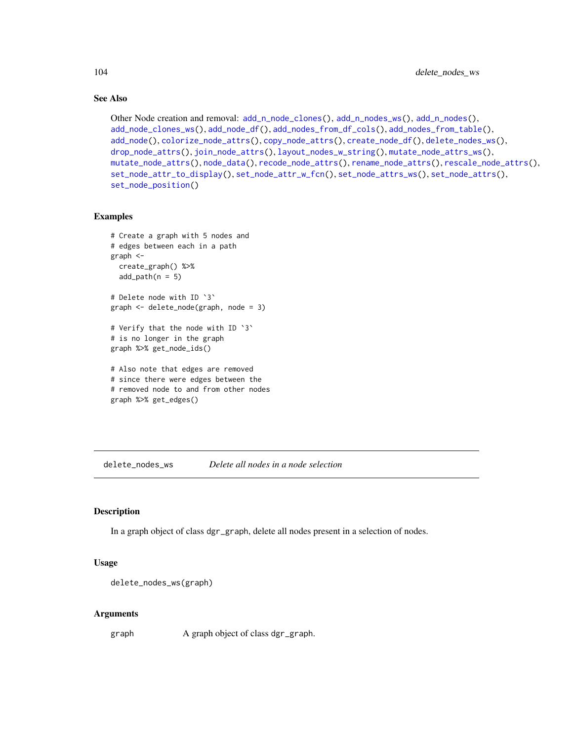# See Also

```
Other Node creation and removal: add_nnode\_clones(), add_n nodes_ws(), add_n nodes(),add_node_clones_ws(), add_node_df(), add_nodes_from_df_cols(), add_nodes_from_table(),
add_node(), colorize_node_attrs(), copy_node_attrs(), create_node_df(), delete_nodes_ws(),
drop_node_attrs(), join_node_attrs(), layout_nodes_w_string(), mutate_node_attrs_ws(),
mutate_node_attrs(), node_data(), recode_node_attrs(), rename_node_attrs(), rescale_node_attrs(),
set_node_attr_to_display(), set_node_attr_w_fcn(), set_node_attrs_ws(), set_node_attrs(),
set_node_position()
```
## Examples

```
# Create a graph with 5 nodes and
# edges between each in a path
graph <-
 create_graph() %>%
 add\_path(n = 5)# Delete node with ID `3`
graph <- delete_node(graph, node = 3)
# Verify that the node with ID `3`
# is no longer in the graph
graph %>% get_node_ids()
# Also note that edges are removed
# since there were edges between the
```

```
# removed node to and from other nodes
graph %>% get_edges()
```
<span id="page-103-0"></span>delete\_nodes\_ws *Delete all nodes in a node selection*

## Description

In a graph object of class dgr\_graph, delete all nodes present in a selection of nodes.

#### Usage

```
delete_nodes_ws(graph)
```
## Arguments

graph A graph object of class dgr\_graph.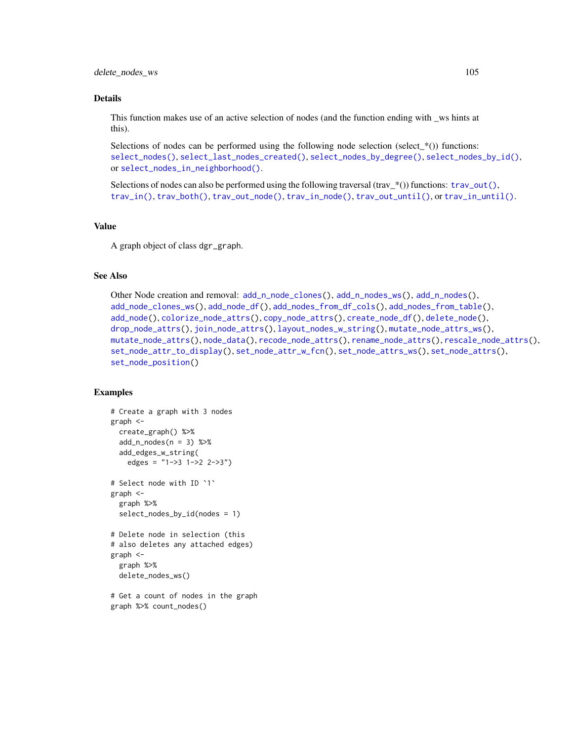#### Details

This function makes use of an active selection of nodes (and the function ending with \_ws hints at this).

Selections of nodes can be performed using the following node selection (select  $*(\cdot)$ ) functions: [select\\_nodes\(\)](#page-282-0), [select\\_last\\_nodes\\_created\(\)](#page-281-0), [select\\_nodes\\_by\\_degree\(\)](#page-284-0), [select\\_nodes\\_by\\_id\(\)](#page-286-0), or [select\\_nodes\\_in\\_neighborhood\(\)](#page-287-0).

Selections of nodes can also be performed using the following traversal (trav\_\*()) functions:  $\text{trav\_out}($ ), [trav\\_in\(\)](#page-320-0), [trav\\_both\(\)](#page-312-0), [trav\\_out\\_node\(\)](#page-343-0), [trav\\_in\\_node\(\)](#page-328-0), [trav\\_out\\_until\(\)](#page-347-0), or [trav\\_in\\_until\(\)](#page-333-0).

# Value

A graph object of class dgr\_graph.

## See Also

```
Other Node creation and removal: add_n_node_clones(), add_n_nodes_ws(), add_n_nodes(),
add_node_clones_ws(), add_node_df(), add_nodes_from_df_cols(), add_nodes_from_table(),
add_node(), colorize_node_attrs(), copy_node_attrs(), create_node_df(), delete_node(),
drop_node_attrs(), join_node_attrs(), layout_nodes_w_string(), mutate_node_attrs_ws(),
mutate_node_attrs(), node_data(), recode_node_attrs(), rename_node_attrs(), rescale_node_attrs(),
set_node_attr_to_display(), set_node_attr_w_fcn(), set_node_attrs_ws(), set_node_attrs(),
set_node_position()
```

```
# Create a graph with 3 nodes
graph <-
 create_graph() %>%
 add_n\_nodes(n = 3) %>%
 add_edges_w_string(
   edges = "1->3 1->2 2->3")
# Select node with ID `1`
graph <-
 graph %>%
 select_nodes_by_id(nodes = 1)
# Delete node in selection (this
# also deletes any attached edges)
graph <-
 graph %>%
 delete_nodes_ws()
# Get a count of nodes in the graph
```

```
graph %>% count_nodes()
```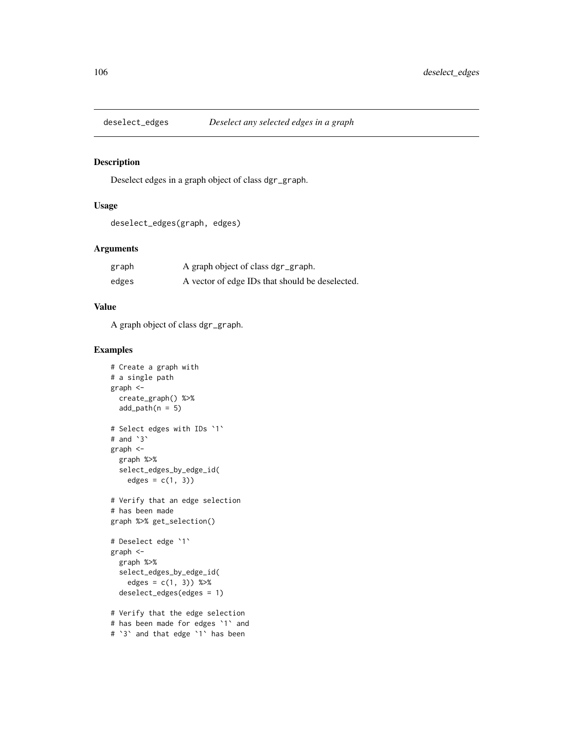## Description

Deselect edges in a graph object of class dgr\_graph.

# Usage

```
deselect_edges(graph, edges)
```
# Arguments

| graph | A graph object of class dgr_graph.              |
|-------|-------------------------------------------------|
| edges | A vector of edge IDs that should be deselected. |

# Value

A graph object of class dgr\_graph.

```
# Create a graph with
# a single path
graph <-
 create_graph() %>%
  add\_path(n = 5)# Select edges with IDs `1`
# and `3`
graph <-
  graph %>%
  select_edges_by_edge_id(
   edges = c(1, 3))
# Verify that an edge selection
# has been made
graph %>% get_selection()
# Deselect edge `1`
graph <-
  graph %>%
  select_edges_by_edge_id(
   edges = c(1, 3)) %>%
  deselect_edges(edges = 1)
# Verify that the edge selection
# has been made for edges `1` and
# `3` and that edge `1` has been
```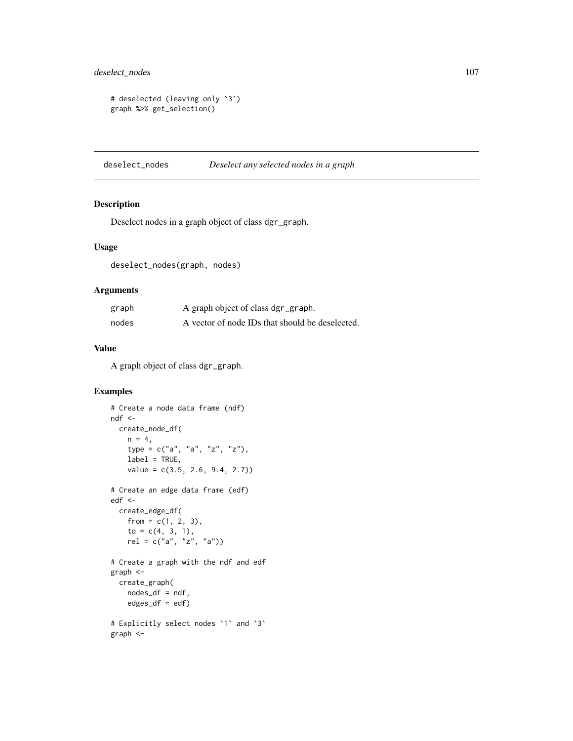```
# deselected (leaving only `3`)
graph %>% get_selection()
```
deselect\_nodes *Deselect any selected nodes in a graph*

# Description

Deselect nodes in a graph object of class dgr\_graph.

# Usage

deselect\_nodes(graph, nodes)

# Arguments

| graph | A graph object of class dgr_graph.              |
|-------|-------------------------------------------------|
| nodes | A vector of node IDs that should be deselected. |

#### Value

A graph object of class dgr\_graph.

```
# Create a node data frame (ndf)
ndf <-
  create_node_df(
    n = 4,
    type = c("a", "a", "z", "z"),
    label = TRUE,value = c(3.5, 2.6, 9.4, 2.7)# Create an edge data frame (edf)
edf <-
  create_edge_df(
   from = c(1, 2, 3),
    to = c(4, 3, 1),rel = c("a", "z", "a")# Create a graph with the ndf and edf
graph <-
  create_graph(
    nodes_df = ndf,
    edges\_df = edf)# Explicitly select nodes `1` and `3`
graph <-
```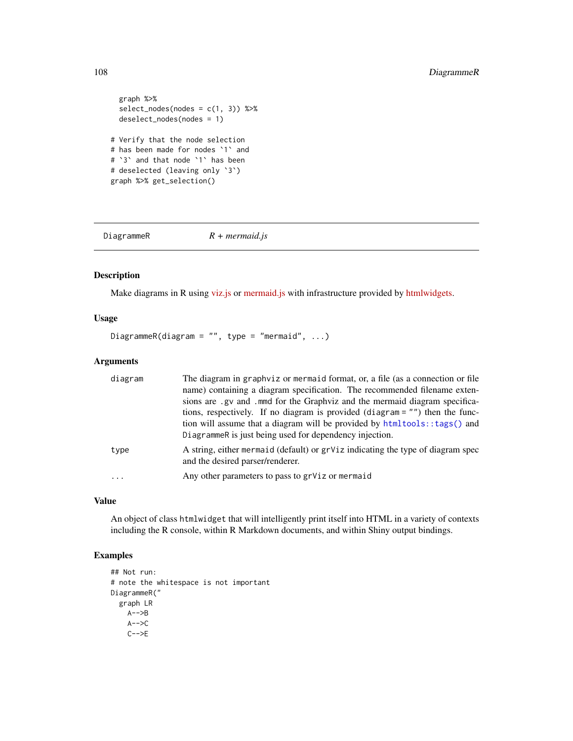```
graph %>%
  select\_nodes(nodes = c(1, 3)) %>%
  deselect_nodes(nodes = 1)
# Verify that the node selection
# has been made for nodes `1` and
# `3` and that node `1` has been
# deselected (leaving only `3`)
graph %>% get_selection()
```
DiagrammeR *R + mermaid.js*

## Description

Make diagrams in R using [viz.js](https://github.com/mdaines/viz.js) or [mermaid.js](https://github.com/mermaid-js/mermaid) with infrastructure provided by [htmlwidgets.](http://www.htmlwidgets.org/)

# Usage

DiagrammeR(diagram =  $"$ , type = "mermaid", ...)

# Arguments

| diagram   | The diagram in graphviz or mermaid format, or, a file (as a connection or file<br>name) containing a diagram specification. The recommended filename exten-<br>sions are .gv and .mmd for the Graphviz and the mermaid diagram specifica-<br>tions, respectively. If no diagram is provided (diagram = "") then the func-<br>tion will assume that a diagram will be provided by htmltools::tags() and<br>DiagrammeR is just being used for dependency injection. |
|-----------|-------------------------------------------------------------------------------------------------------------------------------------------------------------------------------------------------------------------------------------------------------------------------------------------------------------------------------------------------------------------------------------------------------------------------------------------------------------------|
| type      | A string, either mermaid (default) or grViz indicating the type of diagram spec<br>and the desired parser/renderer.                                                                                                                                                                                                                                                                                                                                               |
| $\ddotsc$ | Any other parameters to pass to grViz or mermaid                                                                                                                                                                                                                                                                                                                                                                                                                  |

# Value

An object of class htmlwidget that will intelligently print itself into HTML in a variety of contexts including the R console, within R Markdown documents, and within Shiny output bindings.

```
## Not run:
# note the whitespace is not important
DiagrammeR("
  graph LR
    A-->BA-->CC--\geq E
```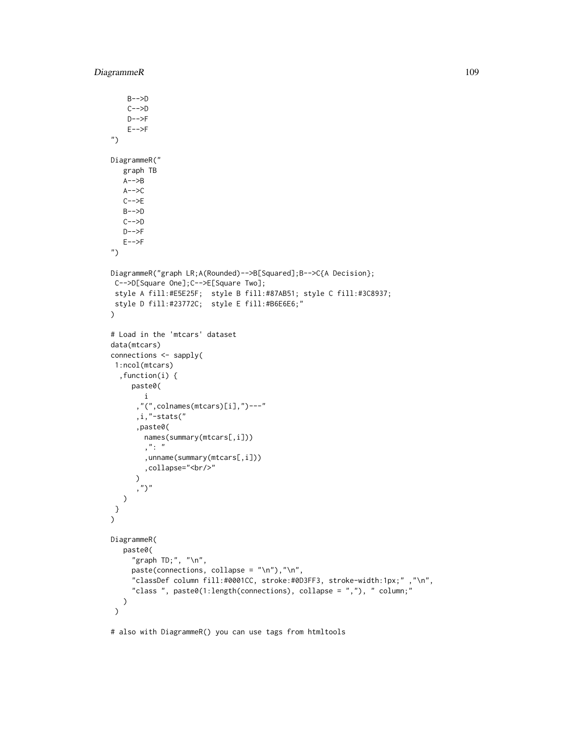```
B-->D
    C--DD--\!\!\succF
    E-->F
")
DiagrammeR("
   graph TB
   A--\gt BA-->CC-->E
   B-->D
   C-->D
   D--\leftarrowF
   E-->F
")
DiagrammeR("graph LR;A(Rounded)-->B[Squared];B-->C{A Decision};
C-->D[Square One];C-->E[Square Two];
 style A fill:#E5E25F; style B fill:#87AB51; style C fill:#3C8937;
style D fill:#23772C; style E fill:#B6E6E6;"
\lambda# Load in the 'mtcars' dataset
data(mtcars)
connections <- sapply(
1:ncol(mtcars)
  ,function(i) {
     paste0(
        i
       ,"(",colnames(mtcars)[i],")---"
      ,i,"-stats("
       ,paste0(
        names(summary(mtcars[,i]))
         , " : ",unname(summary(mtcars[,i]))
        ,collapse="<br/>"
      )
      \left( \begin{array}{c} n \\ j \end{array} \right)\lambda}
)
DiagrammeR(
   paste0(
     "graph TD;", "\n\cdot",
     paste(connections, collapse = "\n"),"\n",
     "classDef column fill:#0001CC, stroke:#0D3FF3, stroke-width:1px;" ,"\n",
      "class ", paste0(1:length(connections), collapse = ","), " column;"
   \lambda\mathcal{L}
```
# also with DiagrammeR() you can use tags from htmltools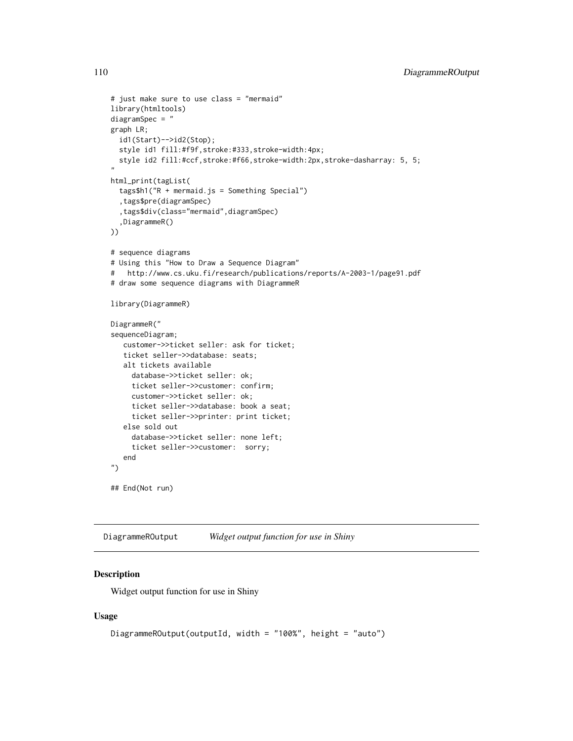```
# just make sure to use class = "mermaid"
library(htmltools)
diagramSpec = "
graph LR;
  id1(Start)-->id2(Stop);
  style id1 fill:#f9f,stroke:#333,stroke-width:4px;
  style id2 fill:#ccf,stroke:#f66,stroke-width:2px,stroke-dasharray: 5, 5;
"
html_print(tagList(
  tags$h1("R + mermaid.js = Something Special")
  ,tags$pre(diagramSpec)
  ,tags$div(class="mermaid",diagramSpec)
  ,DiagrammeR()
))
# sequence diagrams
# Using this "How to Draw a Sequence Diagram"
# http://www.cs.uku.fi/research/publications/reports/A-2003-1/page91.pdf
# draw some sequence diagrams with DiagrammeR
library(DiagrammeR)
DiagrammeR("
sequenceDiagram;
   customer->>ticket seller: ask for ticket;
   ticket seller->>database: seats;
   alt tickets available
     database->>ticket seller: ok;
     ticket seller->>customer: confirm;
     customer->>ticket seller: ok;
     ticket seller->>database: book a seat;
     ticket seller->>printer: print ticket;
   else sold out
     database->>ticket seller: none left;
     ticket seller->>customer: sorry;
   end
")
## End(Not run)
```
DiagrammeROutput *Widget output function for use in Shiny*

## Description

Widget output function for use in Shiny

### Usage

```
DiagrammeROutput(outputId, width = "100%", height = "auto")
```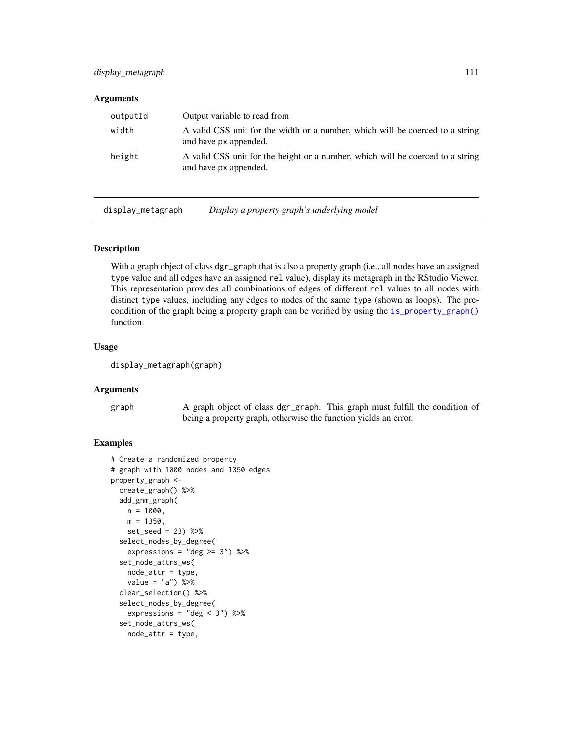### **Arguments**

| outputId | Output variable to read from                                                                            |
|----------|---------------------------------------------------------------------------------------------------------|
| width    | A valid CSS unit for the width or a number, which will be coerced to a string<br>and have px appended.  |
| height   | A valid CSS unit for the height or a number, which will be coerced to a string<br>and have px appended. |

display\_metagraph *Display a property graph's underlying model*

### Description

With a graph object of class dgr\_graph that is also a property graph (i.e., all nodes have an assigned type value and all edges have an assigned rel value), display its metagraph in the RStudio Viewer. This representation provides all combinations of edges of different rel values to all nodes with distinct type values, including any edges to nodes of the same type (shown as loops). The precondition of the graph being a property graph can be verified by using the [is\\_property\\_graph\(\)](#page-227-0) function.

### Usage

```
display_metagraph(graph)
```
### Arguments

graph A graph object of class dgr\_graph. This graph must fulfill the condition of being a property graph, otherwise the function yields an error.

```
# Create a randomized property
# graph with 1000 nodes and 1350 edges
property_graph <-
 create_graph() %>%
 add_gnm_graph(
   n = 1000,
   m = 1350,
   set_seed = 23) %>%
 select_nodes_by_degree(
   expressions = "deg \ge 3") %>%
 set_node_attrs_ws(
   node_attr = type,
   value = "a") %>%
 clear_selection() %>%
 select_nodes_by_degree(
   expressions = "deg < 3") %>%
 set_node_attrs_ws(
   node_attr = type,
```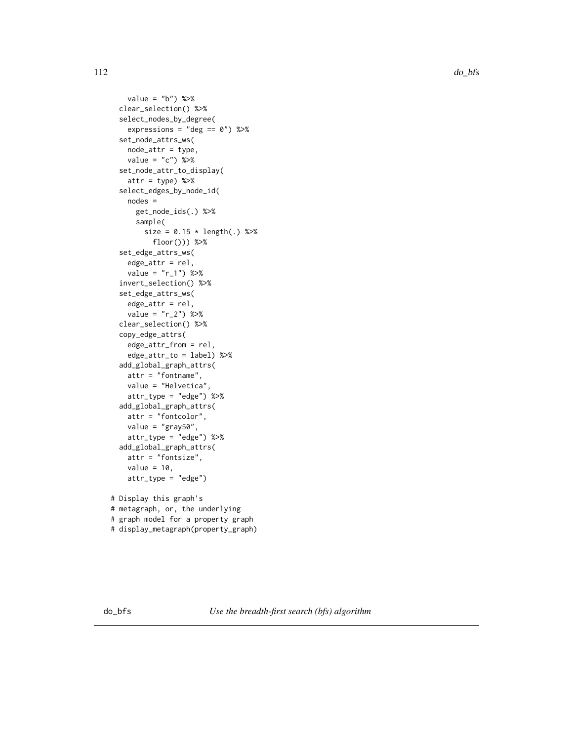```
value = "b") %>%
 clear_selection() %>%
 select_nodes_by_degree(
   expressions = "deg == 0") %>%
 set_node_attrs_ws(
   node_attr = type,
   value = "c") %>%
 set_node_attr_to_display(
   attr = type) %>%
 select_edges_by_node_id(
   nodes =
     get_node_ids(.) %>%
     sample(
       size = 0.15 * length(.) %>%
          floor())) %>%
 set_edge_attrs_ws(
   edge_attr = rel,
    value = "r_1") %>%
 invert_selection() %>%
 set_edge_attrs_ws(
   edge_attr = rel,
   value = "r_2") %>%
 clear_selection() %>%
 copy_edge_attrs(
   edge_attr_from = rel,
    edge_attr_to = label) %>%
 add_global_graph_attrs(
   attr = "fontname",
   value = "Helvetica",
   attr_type = "edge") %>%
 add_global_graph_attrs(
   attr = "fontcolor",
   value = "gray50",
   attr_type = "edge") %>%
 add_global_graph_attrs(
   attr = "fontsize",
   value = 10,
   attr_type = "edge")
# Display this graph's
# metagraph, or, the underlying
# graph model for a property graph
# display_metagraph(property_graph)
```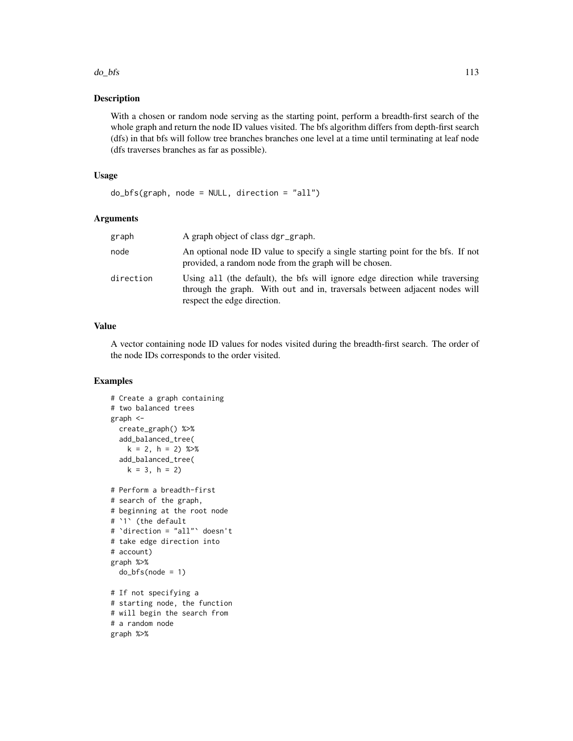### $d$ o $_b$ bfs 113

### Description

With a chosen or random node serving as the starting point, perform a breadth-first search of the whole graph and return the node ID values visited. The bfs algorithm differs from depth-first search (dfs) in that bfs will follow tree branches branches one level at a time until terminating at leaf node (dfs traverses branches as far as possible).

### Usage

```
do_bfs(graph, node = NULL, direction = "all")
```
### Arguments

| graph     | A graph object of class dgr_graph.                                                                                                                                                        |
|-----------|-------------------------------------------------------------------------------------------------------------------------------------------------------------------------------------------|
| node      | An optional node ID value to specify a single starting point for the bfs. If not<br>provided, a random node from the graph will be chosen.                                                |
| direction | Using all (the default), the bfs will ignore edge direction while traversing<br>through the graph. With out and in, traversals between adjacent nodes will<br>respect the edge direction. |

### Value

A vector containing node ID values for nodes visited during the breadth-first search. The order of the node IDs corresponds to the order visited.

```
# Create a graph containing
# two balanced trees
graph <-
  create_graph() %>%
  add_balanced_tree(
   k = 2, h = 2) %>%
  add_balanced_tree(
   k = 3, h = 2# Perform a breadth-first
# search of the graph,
# beginning at the root node
# `1` (the default
# `direction = "all"` doesn't
# take edge direction into
# account)
graph %>%
  do_bfs(node = 1)# If not specifying a
# starting node, the function
# will begin the search from
# a random node
graph %>%
```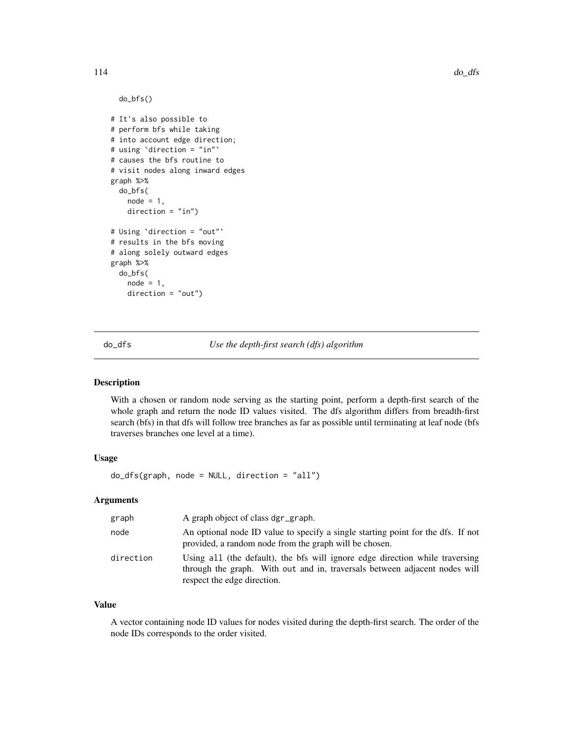```
do_bfs()
# It's also possible to
# perform bfs while taking
# into account edge direction;
# using `direction = "in"`
# causes the bfs routine to
# visit nodes along inward edges
graph %>%
  do_bfs(
   node = 1,direction = "in")
# Using `direction = "out"`
# results in the bfs moving
# along solely outward edges
graph %>%
  do_bfs(
   node = 1,direction = "out")
```
do\_dfs *Use the depth-first search (dfs) algorithm*

### Description

With a chosen or random node serving as the starting point, perform a depth-first search of the whole graph and return the node ID values visited. The dfs algorithm differs from breadth-first search (bfs) in that dfs will follow tree branches as far as possible until terminating at leaf node (bfs traverses branches one level at a time).

## Usage

do\_dfs(graph, node = NULL, direction = "all")

## Arguments

| graph     | A graph object of class dgr_graph.                                                                                                                                                        |
|-----------|-------------------------------------------------------------------------------------------------------------------------------------------------------------------------------------------|
| node      | An optional node ID value to specify a single starting point for the dfs. If not<br>provided, a random node from the graph will be chosen.                                                |
| direction | Using all (the default), the bfs will ignore edge direction while traversing<br>through the graph. With out and in, traversals between adjacent nodes will<br>respect the edge direction. |

### Value

A vector containing node ID values for nodes visited during the depth-first search. The order of the node IDs corresponds to the order visited.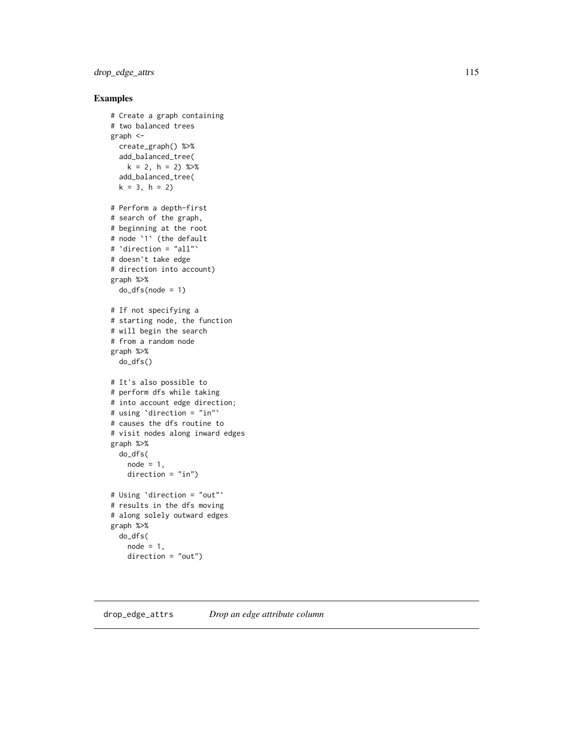## drop\_edge\_attrs 115

## Examples

```
# Create a graph containing
# two balanced trees
graph <-
  create_graph() %>%
  add_balanced_tree(
   k = 2, h = 2) %>%
  add_balanced_tree(
  k = 3, h = 2# Perform a depth-first
# search of the graph,
# beginning at the root
# node `1` (the default
# `direction = "all"`
# doesn't take edge
# direction into account)
graph %>%
  do_dfs(node = 1)# If not specifying a
# starting node, the function
# will begin the search
# from a random node
graph %>%
  do_dfs()
# It's also possible to
# perform dfs while taking
# into account edge direction;
# using `direction = "in"`
# causes the dfs routine to
# visit nodes along inward edges
graph %>%
  do_dfs(
    node = 1,direction = "in")# Using `direction = "out"`
# results in the dfs moving
# along solely outward edges
graph %>%
  do_dfs(
   node = 1,
   direction = "out")
```
### <span id="page-114-0"></span>drop\_edge\_attrs *Drop an edge attribute column*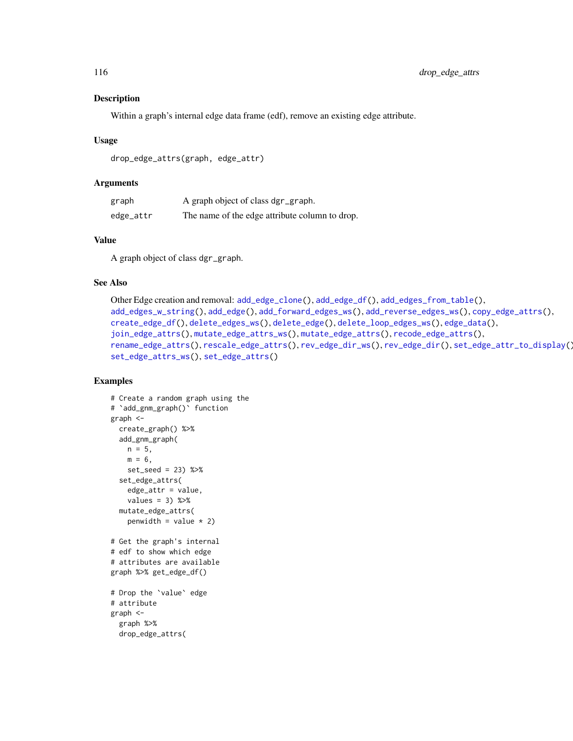### Description

Within a graph's internal edge data frame (edf), remove an existing edge attribute.

### Usage

```
drop_edge_attrs(graph, edge_attr)
```
### Arguments

| graph     | A graph object of class dgr_graph.             |
|-----------|------------------------------------------------|
| edge_attr | The name of the edge attribute column to drop. |

### Value

A graph object of class dgr\_graph.

## See Also

```
Other Edge creation and removal: add_edge_clone(), add_edge_df(), add_edges_from_table(),
add_edges_w_string(), add_edge(), add_forward_edges_ws(), add_reverse_edges_ws(), copy_edge_attrs(),
create_edge_df(), delete_edges_ws(), delete_edge(), delete_loop_edges_ws(), edge_data(),
join_edge_attrs(), mutate_edge_attrs_ws(), mutate_edge_attrs(), recode_edge_attrs(),
rename_edge_attrs(), rescale_edge_attrs(), rev_edge_dir_ws(), rev_edge_dir(), set_edge_attr_to_display(),
set_edge_attrs_ws(), set_edge_attrs()
```

```
# Create a random graph using the
# `add_gnm_graph()` function
graph <-
  create_graph() %>%
  add_gnm_graph(
   n = 5,
   m = 6,
   set_seed = 23) %>%
  set_edge_attrs(
   edge_attr = value,
   values = 3) %>%
  mutate_edge_attrs(
   penwidth = value * 2)
# Get the graph's internal
# edf to show which edge
# attributes are available
graph %>% get_edge_df()
# Drop the `value` edge
# attribute
graph <-
  graph %>%
  drop_edge_attrs(
```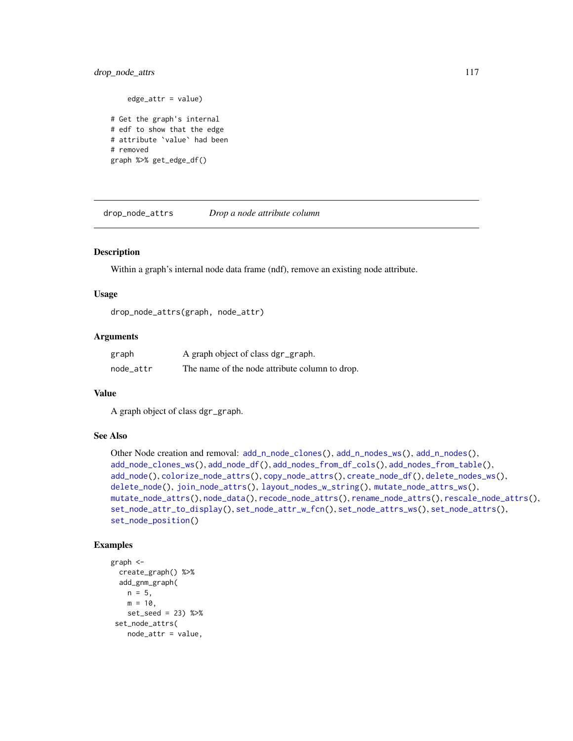## drop\_node\_attrs 117

edge\_attr = value) # Get the graph's internal # edf to show that the edge # attribute `value` had been # removed graph %>% get\_edge\_df()

drop\_node\_attrs *Drop a node attribute column*

## Description

Within a graph's internal node data frame (ndf), remove an existing node attribute.

### Usage

drop\_node\_attrs(graph, node\_attr)

### Arguments

| graph     | A graph object of class dgr_graph.             |
|-----------|------------------------------------------------|
| node attr | The name of the node attribute column to drop. |

## Value

A graph object of class dgr\_graph.

### See Also

```
Other Node creation and removal: add_n_model(), add_n_model(), add_n_model(), add_n_model(),
add_node_clones_ws(), add_node_df(), add_nodes_from_df_cols(), add_nodes_from_table(),
add_node(), colorize_node_attrs(), copy_node_attrs(), create_node_df(), delete_nodes_ws(),
delete_node(), join_node_attrs(), layout_nodes_w_string(), mutate_node_attrs_ws(),
mutate_node_attrs(), node_data(), recode_node_attrs(), rename_node_attrs(), rescale_node_attrs(),
set_node_attr_to_display(), set_node_attr_w_fcn(), set_node_attrs_ws(), set_node_attrs(),
set_node_position()
```

```
graph <-
 create_graph() %>%
 add_gnm_graph(
   n = 5,
   m = 10,
   set_seed = 23) %>%
 set_node_attrs(
   node_attr = value,
```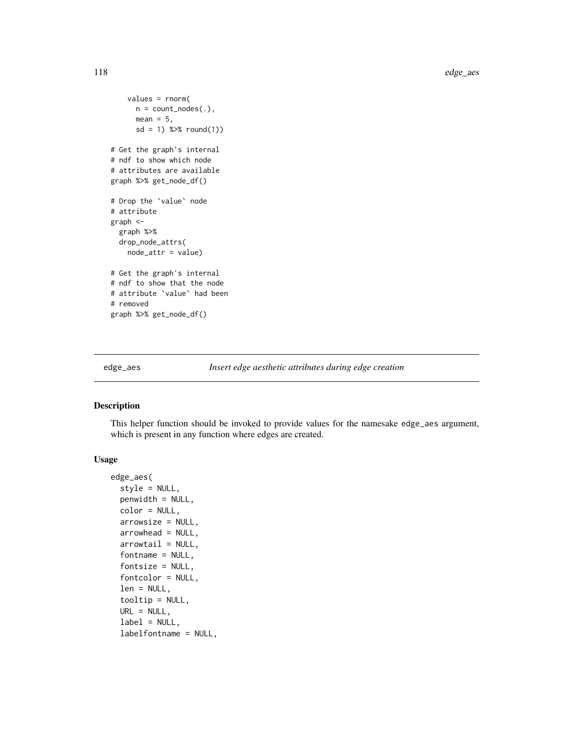```
values = rnorm(
      n = count\_nodes(.),
      mean = 5,
      sd = 1) %>% round(1))
# Get the graph's internal
# ndf to show which node
# attributes are available
graph %>% get_node_df()
# Drop the `value` node
# attribute
graph <-
  graph %>%
  drop_node_attrs(
   node_attr = value)
# Get the graph's internal
# ndf to show that the node
# attribute `value` had been
# removed
graph %>% get_node_df()
```

```
edge_aes Insert edge aesthetic attributes during edge creation
```
## Description

This helper function should be invoked to provide values for the namesake edge\_aes argument, which is present in any function where edges are created.

### Usage

```
edge_aes(
  style = NULL,
 penwidth = NULL,
 color = NULL,
  arrowsize = NULL,
  arrowhead = NULL,
  arrowtail = NULL,fontname = NULL,fontsize = NULL,
  fontcolor = NULL,
  len = NULL,
  tooltip = NULL,
  URL = NULL,
  label = NULL,labelfontname = NULL,
```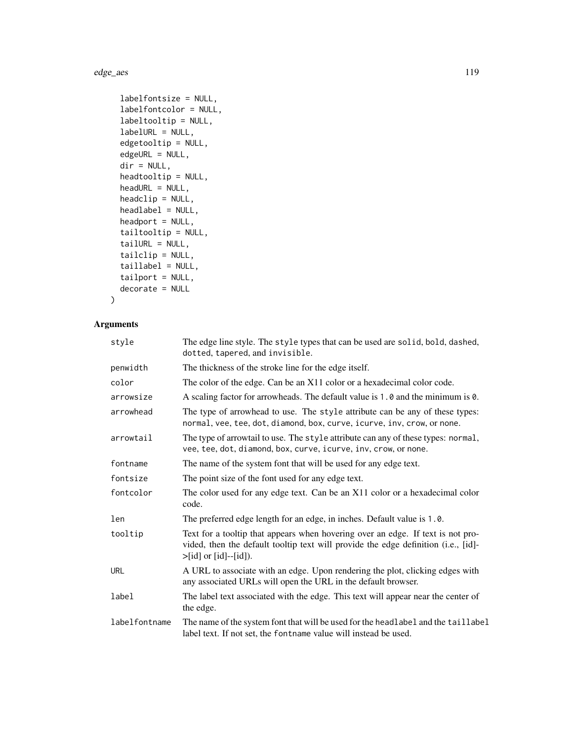edge\_aes 119

```
labelfontsize = NULL,
labelfontcolor = NULL,
labeltooltip = NULL,
labelURL = NULL,
edgetooltip = NULL,
edgeURL = NULL,
dir = NULL,headtooltip = NULL,
headURL = NULL,headclip = NULL,
headlabel = NULL,
headport = NULL,tailtooltip = NULL,
tailURL = NULL,tailclip = NULL,
taillabel = NULL,
tailport = NULL,
decorate = NULL
```
# $\mathcal{L}$

## Arguments

| style         | The edge line style. The style types that can be used are solid, bold, dashed,<br>dotted, tapered, and invisible.                                                                                      |
|---------------|--------------------------------------------------------------------------------------------------------------------------------------------------------------------------------------------------------|
| penwidth      | The thickness of the stroke line for the edge itself.                                                                                                                                                  |
| color         | The color of the edge. Can be an X11 color or a hexadecimal color code.                                                                                                                                |
| arrowsize     | A scaling factor for arrowheads. The default value is 1.0 and the minimum is 0.                                                                                                                        |
| arrowhead     | The type of arrowhead to use. The style attribute can be any of these types:<br>normal, vee, tee, dot, diamond, box, curve, icurve, inv, crow, or none.                                                |
| arrowtail     | The type of arrowtail to use. The style attribute can any of these types: normal,<br>vee, tee, dot, diamond, box, curve, icurve, inv, crow, or none.                                                   |
| fontname      | The name of the system font that will be used for any edge text.                                                                                                                                       |
| fontsize      | The point size of the font used for any edge text.                                                                                                                                                     |
| fontcolor     | The color used for any edge text. Can be an X11 color or a hexadecimal color<br>code.                                                                                                                  |
| len           | The preferred edge length for an edge, in inches. Default value is 1.0.                                                                                                                                |
| tooltip       | Text for a tooltip that appears when hovering over an edge. If text is not pro-<br>vided, then the default tooltip text will provide the edge definition (i.e., [id]-<br>$>[id]$ or $[id]$ - $[id]$ ). |
| URL           | A URL to associate with an edge. Upon rendering the plot, clicking edges with<br>any associated URLs will open the URL in the default browser.                                                         |
| label         | The label text associated with the edge. This text will appear near the center of<br>the edge.                                                                                                         |
| labelfontname | The name of the system font that will be used for the headlabel and the taillabel<br>label text. If not set, the fontname value will instead be used.                                                  |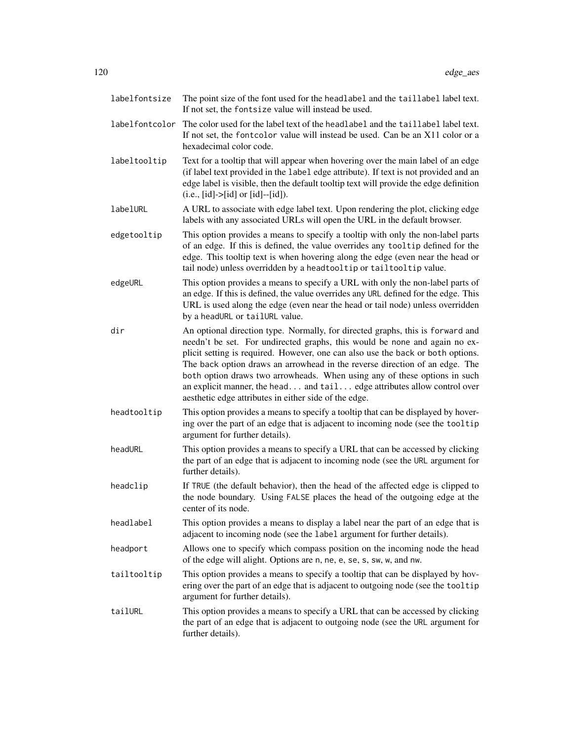| labelfontsize  | The point size of the font used for the headlabel and the taillabel label text.<br>If not set, the fontsize value will instead be used.                                                                                                                                                                                                                                                                                                                                                                                                          |
|----------------|--------------------------------------------------------------------------------------------------------------------------------------------------------------------------------------------------------------------------------------------------------------------------------------------------------------------------------------------------------------------------------------------------------------------------------------------------------------------------------------------------------------------------------------------------|
| labelfontcolor | The color used for the label text of the headlabel and the taillabel label text.<br>If not set, the fontcolor value will instead be used. Can be an X11 color or a<br>hexadecimal color code.                                                                                                                                                                                                                                                                                                                                                    |
| labeltooltip   | Text for a tooltip that will appear when hovering over the main label of an edge<br>(if label text provided in the label edge attribute). If text is not provided and an<br>edge label is visible, then the default tooltip text will provide the edge definition<br>$(i.e., [id] > [id] \text{ or } [id] - [id]).$                                                                                                                                                                                                                              |
| labelURL       | A URL to associate with edge label text. Upon rendering the plot, clicking edge<br>labels with any associated URLs will open the URL in the default browser.                                                                                                                                                                                                                                                                                                                                                                                     |
| edgetooltip    | This option provides a means to specify a tooltip with only the non-label parts<br>of an edge. If this is defined, the value overrides any tooltip defined for the<br>edge. This tooltip text is when hovering along the edge (even near the head or<br>tail node) unless overridden by a headtooltip or tailtooltip value.                                                                                                                                                                                                                      |
| edgeURL        | This option provides a means to specify a URL with only the non-label parts of<br>an edge. If this is defined, the value overrides any URL defined for the edge. This<br>URL is used along the edge (even near the head or tail node) unless overridden<br>by a headURL or tailURL value.                                                                                                                                                                                                                                                        |
| dir            | An optional direction type. Normally, for directed graphs, this is forward and<br>needn't be set. For undirected graphs, this would be none and again no ex-<br>plicit setting is required. However, one can also use the back or both options.<br>The back option draws an arrowhead in the reverse direction of an edge. The<br>both option draws two arrowheads. When using any of these options in such<br>an explicit manner, the head and tail edge attributes allow control over<br>aesthetic edge attributes in either side of the edge. |
| headtooltip    | This option provides a means to specify a tooltip that can be displayed by hover-<br>ing over the part of an edge that is adjacent to incoming node (see the tooltip<br>argument for further details).                                                                                                                                                                                                                                                                                                                                           |
| headURL        | This option provides a means to specify a URL that can be accessed by clicking<br>the part of an edge that is adjacent to incoming node (see the URL argument for<br>further details).                                                                                                                                                                                                                                                                                                                                                           |
| headclip       | If TRUE (the default behavior), then the head of the affected edge is clipped to<br>the node boundary. Using FALSE places the head of the outgoing edge at the<br>center of its node.                                                                                                                                                                                                                                                                                                                                                            |
| headlabel      | This option provides a means to display a label near the part of an edge that is<br>adjacent to incoming node (see the label argument for further details).                                                                                                                                                                                                                                                                                                                                                                                      |
| headport       | Allows one to specify which compass position on the incoming node the head<br>of the edge will alight. Options are n, ne, e, se, s, sw, w, and nw.                                                                                                                                                                                                                                                                                                                                                                                               |
| tailtooltip    | This option provides a means to specify a tooltip that can be displayed by hov-<br>ering over the part of an edge that is adjacent to outgoing node (see the tooltip<br>argument for further details).                                                                                                                                                                                                                                                                                                                                           |
| tailURL        | This option provides a means to specify a URL that can be accessed by clicking<br>the part of an edge that is adjacent to outgoing node (see the URL argument for<br>further details).                                                                                                                                                                                                                                                                                                                                                           |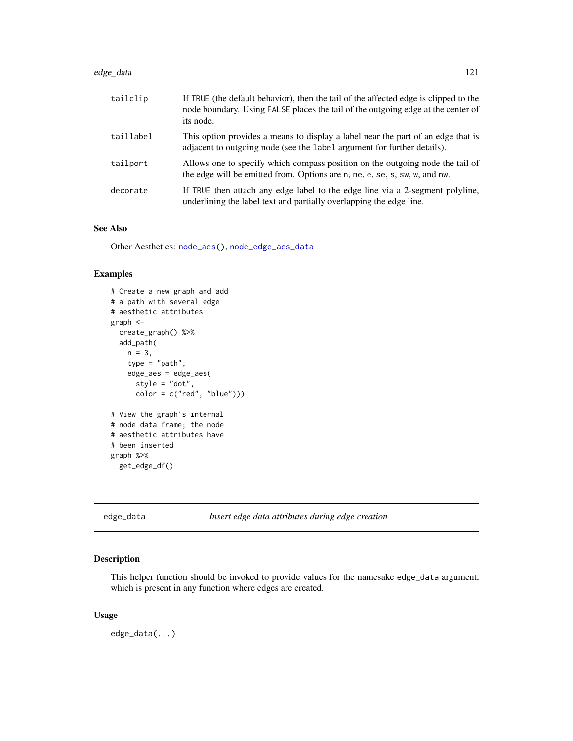### edge\_data 121

| tailclip  | If TRUE (the default behavior), then the tail of the affected edge is clipped to the<br>node boundary. Using FALSE places the tail of the outgoing edge at the center of<br>its node. |
|-----------|---------------------------------------------------------------------------------------------------------------------------------------------------------------------------------------|
| taillabel | This option provides a means to display a label near the part of an edge that is<br>adjacent to outgoing node (see the label argument for further details).                           |
| tailport  | Allows one to specify which compass position on the outgoing node the tail of<br>the edge will be emitted from. Options are n, ne, e, se, s, sw, w, and nw.                           |
| decorate  | If TRUE then attach any edge label to the edge line via a 2-segment polyline,<br>underlining the label text and partially overlapping the edge line.                                  |

## See Also

Other Aesthetics: [node\\_aes\(](#page-245-0)), [node\\_edge\\_aes\\_data](#page-249-0)

## Examples

```
# Create a new graph and add
# a path with several edge
# aesthetic attributes
graph <-
  create_graph() %>%
  add_path(
   n = 3,
    type = "path",edge_aes = edge_aes(
      style = "dot",
      color = c("red", "blue"))# View the graph's internal
# node data frame; the node
# aesthetic attributes have
# been inserted
graph %>%
  get_edge_df()
```
<span id="page-120-0"></span>edge\_data *Insert edge data attributes during edge creation*

### Description

This helper function should be invoked to provide values for the namesake edge\_data argument, which is present in any function where edges are created.

### Usage

edge\_data(...)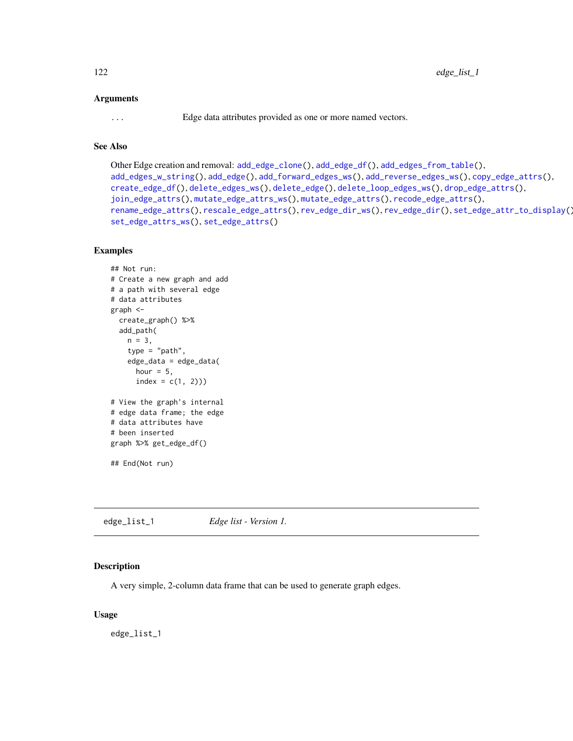### Arguments

... Edge data attributes provided as one or more named vectors.

## See Also

```
Other Edge creation and removal: add_edge_clone(), add_edge_df(), add_edges_from_table(),
add_edges_w_string(), add_edge(), add_forward_edges_ws(), add_reverse_edges_ws(), copy_edge_attrs(),
create_edge_df(), delete_edges_ws(), delete_edge(), delete_loop_edges_ws(), drop_edge_attrs(),
join_edge_attrs(), mutate_edge_attrs_ws(), mutate_edge_attrs(), recode_edge_attrs(),
rename_edge_attrs(), rescale_edge_attrs(), rev_edge_dir_ws(), rev_edge_dir(), set_edge_attr_to_display(),
set_edge_attrs_ws(), set_edge_attrs()
```
## Examples

```
## Not run:
# Create a new graph and add
# a path with several edge
# data attributes
graph <-
 create_graph() %>%
 add_path(
   n = 3,
   type = "path",
   edge_data = edge_data(
     hour = 5,
     index = c(1, 2))# View the graph's internal
# edge data frame; the edge
# data attributes have
# been inserted
graph %>% get_edge_df()
## End(Not run)
```
edge\_list\_1 *Edge list - Version 1.*

### Description

A very simple, 2-column data frame that can be used to generate graph edges.

### Usage

edge\_list\_1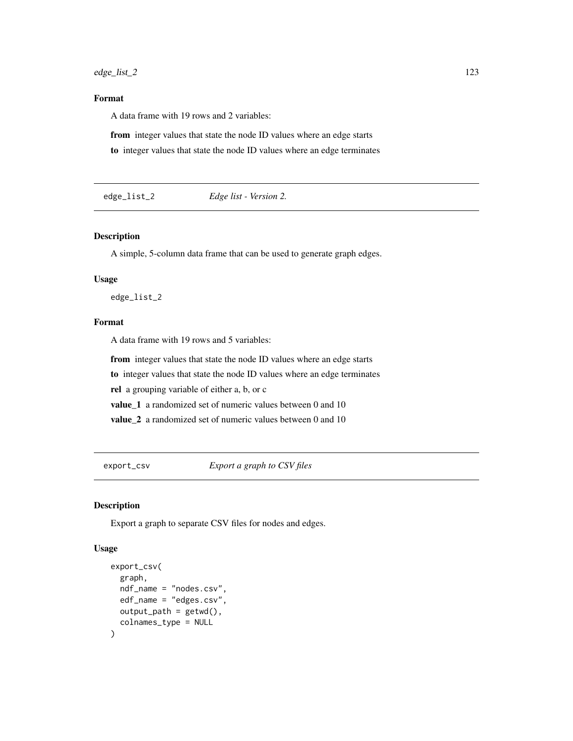## Format

A data frame with 19 rows and 2 variables:

from integer values that state the node ID values where an edge starts

to integer values that state the node ID values where an edge terminates

edge\_list\_2 *Edge list - Version 2.*

## Description

A simple, 5-column data frame that can be used to generate graph edges.

### Usage

edge\_list\_2

## Format

A data frame with 19 rows and 5 variables:

from integer values that state the node ID values where an edge starts

to integer values that state the node ID values where an edge terminates

rel a grouping variable of either a, b, or c

value\_1 a randomized set of numeric values between 0 and 10

value 2 a randomized set of numeric values between 0 and 10

export\_csv *Export a graph to CSV files*

### Description

Export a graph to separate CSV files for nodes and edges.

### Usage

```
export_csv(
  graph,
 ndf_name = "nodes.csv",
 edf_name = "edges.csv",
 output_path = getwd(),
  colnames_type = NULL
)
```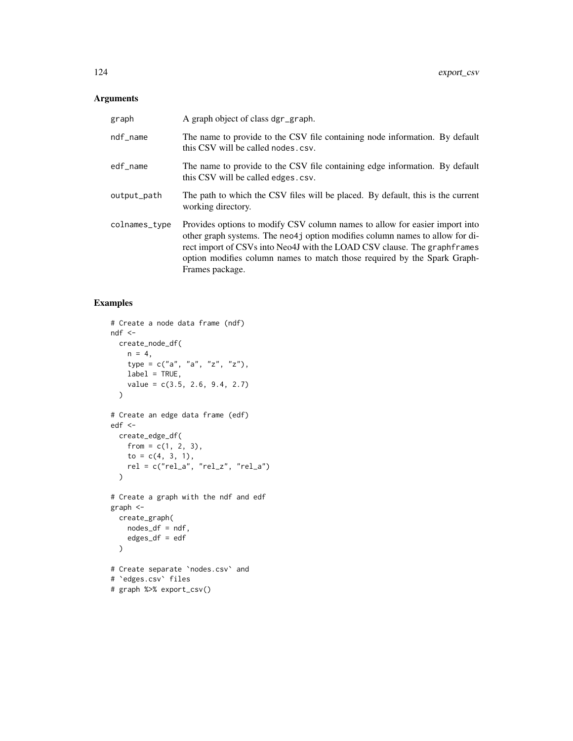## Arguments

| graph         | A graph object of class dgr_graph.                                                                                                                                                                                                                                                                                                      |
|---------------|-----------------------------------------------------------------------------------------------------------------------------------------------------------------------------------------------------------------------------------------------------------------------------------------------------------------------------------------|
| ndf_name      | The name to provide to the CSV file containing node information. By default<br>this CSV will be called nodes.csv.                                                                                                                                                                                                                       |
| edf_name      | The name to provide to the CSV file containing edge information. By default<br>this CSV will be called edges.csv.                                                                                                                                                                                                                       |
| output_path   | The path to which the CSV files will be placed. By default, this is the current<br>working directory.                                                                                                                                                                                                                                   |
| colnames_type | Provides options to modify CSV column names to allow for easier import into<br>other graph systems. The neo4j option modifies column names to allow for di-<br>rect import of CSVs into Neo4J with the LOAD CSV clause. The graph frames<br>option modifies column names to match those required by the Spark Graph-<br>Frames package. |

```
# Create a node data frame (ndf)
ndf <-
 create_node_df(
   n = 4,
   type = c("a", "a", "z", "z"),
   label = TRUE,
    value = c(3.5, 2.6, 9.4, 2.7)
  \mathcal{L}# Create an edge data frame (edf)
edf <-
 create_edge_df(
   from = c(1, 2, 3),
   to = c(4, 3, 1),
    rel = c("rel_a", "rel_z", "rel_a")
  )
# Create a graph with the ndf and edf
graph <-
 create_graph(
    nodes_df = ndf,
    edges_df = edf
  \mathcal{L}# Create separate `nodes.csv` and
# `edges.csv` files
# graph %>% export_csv()
```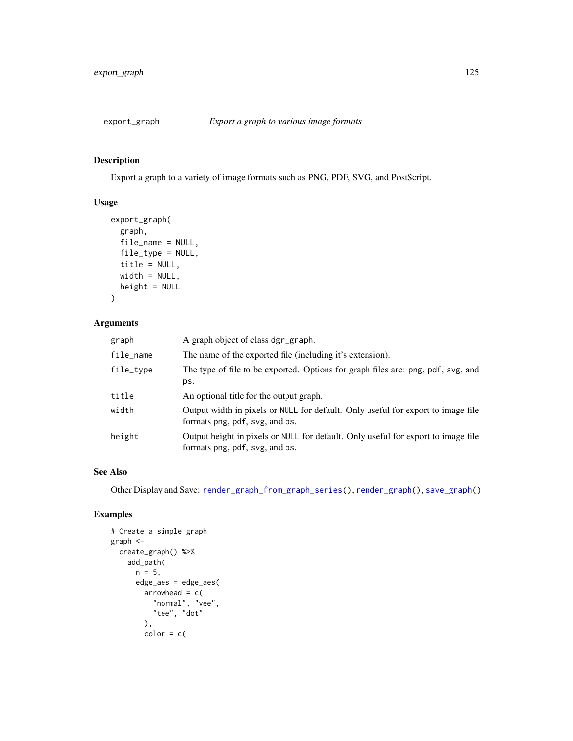## Description

Export a graph to a variety of image formats such as PNG, PDF, SVG, and PostScript.

## Usage

```
export_graph(
 graph,
 file_name = NULL,
 file_type = NULL,
 title = NULL,
 width = NULL,
 height = NULL)
```
## Arguments

| graph     | A graph object of class dgr_graph.                                                                                  |
|-----------|---------------------------------------------------------------------------------------------------------------------|
| file_name | The name of the exported file (including it's extension).                                                           |
| file_type | The type of file to be exported. Options for graph files are: png, pdf, svg, and<br>ps.                             |
| title     | An optional title for the output graph.                                                                             |
| width     | Output width in pixels or NULL for default. Only useful for export to image file<br>formats png, pdf, svg, and ps.  |
| height    | Output height in pixels or NULL for default. Only useful for export to image file<br>formats png, pdf, svg, and ps. |

## See Also

Other Display and Save: [render\\_graph\\_from\\_graph\\_series\(](#page-264-0)), [render\\_graph\(](#page-262-0)), [save\\_graph\(](#page-275-0))

```
# Create a simple graph
graph <-
  create_graph() %>%
   add_path(
     n = 5,
      edge_aes = edge_aes(
       arrowhead = c("normal", "vee",
          "tee", "dot"
       ),
       color = c()
```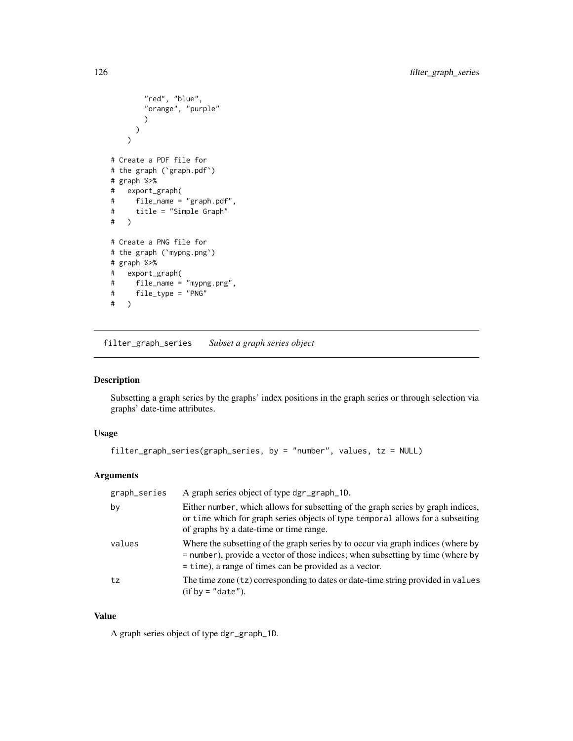```
"red", "blue",
        "orange", "purple"
       )
     )
   \overline{\phantom{a}}# Create a PDF file for
# the graph (`graph.pdf`)
# graph %>%
# export_graph(
# file_name = "graph.pdf",
# title = "Simple Graph"
# )
# Create a PNG file for
# the graph (`mypng.png`)
# graph %>%
# export_graph(
    file_name = "mypng.png",
# file_type = "PNG"
# )
```
filter\_graph\_series *Subset a graph series object*

## Description

Subsetting a graph series by the graphs' index positions in the graph series or through selection via graphs' date-time attributes.

## Usage

```
filter_graph_series(graph_series, by = "number", values, tz = NULL)
```
### Arguments

| graph_series | A graph series object of type dgr_graph_1D.                                                                                                                                                                                     |
|--------------|---------------------------------------------------------------------------------------------------------------------------------------------------------------------------------------------------------------------------------|
| by           | Either number, which allows for subsetting of the graph series by graph indices,<br>or time which for graph series objects of type temporal allows for a subsetting<br>of graphs by a date-time or time range.                  |
| values       | Where the subsetting of the graph series by to occur via graph indices (where by<br>= number), provide a vector of those indices; when subsetting by time (where by<br>$=$ time), a range of times can be provided as a vector. |
| tz           | The time zone (tz) corresponding to dates or date-time string provided in values<br>$(if by = "date").$                                                                                                                         |

## Value

A graph series object of type dgr\_graph\_1D.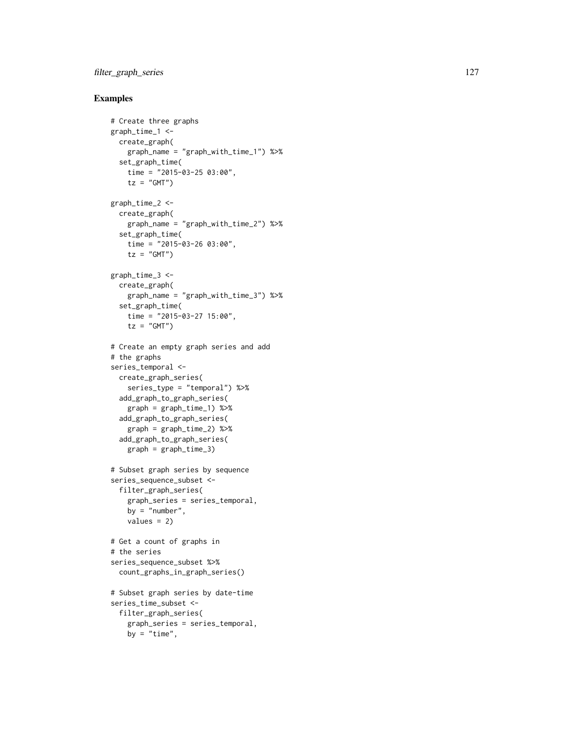## filter\_graph\_series 127

```
# Create three graphs
graph_time_1 <-
 create_graph(
   graph_name = "graph_with_time_1") %>%
  set_graph_time(
   time = "2015-03-25 03:00",
    tz = "GMT")graph_time_2 <-
  create_graph(
   graph_name = "graph_with_time_2") %>%
  set_graph_time(
   time = "2015-03-26 03:00",
   tz = "GMT")graph_time_3 <-
  create_graph(
   graph_name = "graph_with_time_3") %>%
  set_graph_time(
   time = "2015-03-27 15:00",
    tz = "GMT")# Create an empty graph series and add
# the graphs
series_temporal <-
 create_graph_series(
   series_type = "temporal") %>%
 add_graph_to_graph_series(
   graph = graph_time_1) %>%
  add_graph_to_graph_series(
    graph = graph_time_2) %>%
  add_graph_to_graph_series(
    graph = graph_time_3)
# Subset graph series by sequence
series_sequence_subset <-
  filter_graph_series(
    graph_series = series_temporal,
   by = "number",
    values = 2)# Get a count of graphs in
# the series
series_sequence_subset %>%
  count_graphs_in_graph_series()
# Subset graph series by date-time
series_time_subset <-
 filter_graph_series(
   graph_series = series_temporal,
   by = "time",
```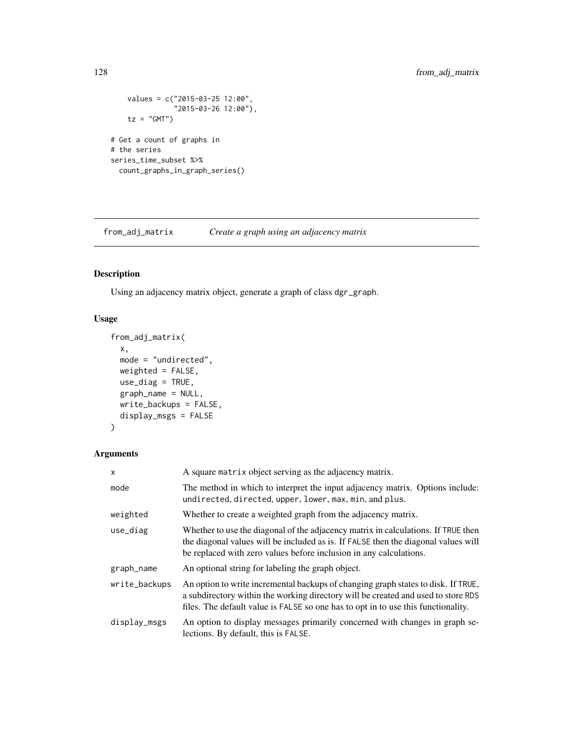```
values = c("2015-03-25 12:00",
              "2015-03-26 12:00"),
    tz = "GMT")# Get a count of graphs in
# the series
series_time_subset %>%
  count_graphs_in_graph_series()
```
from\_adj\_matrix *Create a graph using an adjacency matrix*

## Description

Using an adjacency matrix object, generate a graph of class dgr\_graph.

## Usage

```
from_adj_matrix(
 x,
 mode = "undirected",
 weighted = FALSE,
 use\_diag = TRUE,graph_name = NULL,
 write_backups = FALSE,
 display_msgs = FALSE
)
```
### Arguments

| $\mathsf{x}$  | A square matrix object serving as the adjacency matrix.                                                                                                                                                                                                     |
|---------------|-------------------------------------------------------------------------------------------------------------------------------------------------------------------------------------------------------------------------------------------------------------|
| mode          | The method in which to interpret the input adjacency matrix. Options include:<br>undirected, directed, upper, lower, max, min, and plus.                                                                                                                    |
| weighted      | Whether to create a weighted graph from the adjacency matrix.                                                                                                                                                                                               |
| use_diag      | Whether to use the diagonal of the adjacency matrix in calculations. If TRUE then<br>the diagonal values will be included as is. If FALSE then the diagonal values will<br>be replaced with zero values before inclusion in any calculations.               |
| graph_name    | An optional string for labeling the graph object.                                                                                                                                                                                                           |
| write_backups | An option to write incremental backups of changing graph states to disk. If TRUE,<br>a subdirectory within the working directory will be created and used to store RDS<br>files. The default value is FALSE so one has to opt in to use this functionality. |
| display_msgs  | An option to display messages primarily concerned with changes in graph se-<br>lections. By default, this is FALSE.                                                                                                                                         |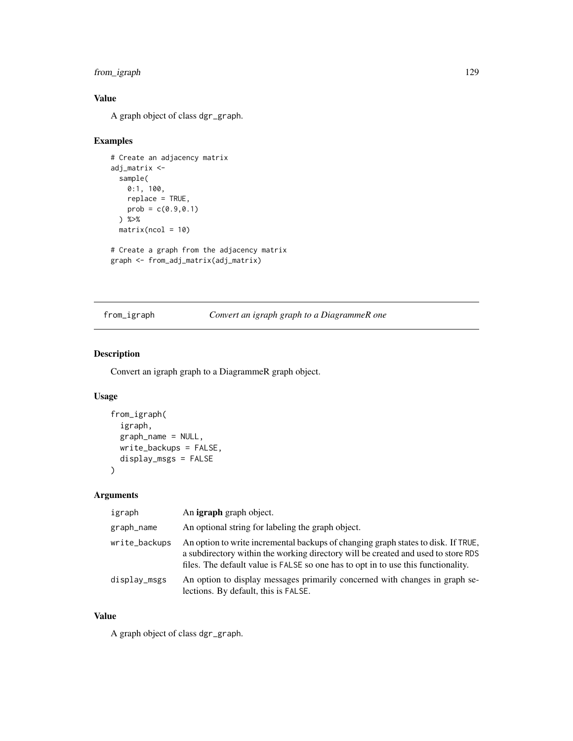## from\_igraph 129

## Value

A graph object of class dgr\_graph.

## Examples

```
# Create an adjacency matrix
adj_matrix <-
  sample(
   0:1, 100,
   replace = TRUE,
   prob = c(0.9, 0.1)) %>%
  matrix(ncol = 10)# Create a graph from the adjacency matrix
```

```
graph <- from_adj_matrix(adj_matrix)
```
## from\_igraph *Convert an igraph graph to a DiagrammeR one*

## Description

Convert an igraph graph to a DiagrammeR graph object.

## Usage

```
from_igraph(
  igraph,
 graph_name = NULL,
 write_backups = FALSE,
 display_msgs = FALSE
)
```
### Arguments

| igraph        | An <b>igraph</b> graph object.                                                                                                                                                                                                                              |
|---------------|-------------------------------------------------------------------------------------------------------------------------------------------------------------------------------------------------------------------------------------------------------------|
| graph_name    | An optional string for labeling the graph object.                                                                                                                                                                                                           |
| write_backups | An option to write incremental backups of changing graph states to disk. If TRUE,<br>a subdirectory within the working directory will be created and used to store RDS<br>files. The default value is FALSE so one has to opt in to use this functionality. |
| display_msgs  | An option to display messages primarily concerned with changes in graph se-<br>lections. By default, this is FALSE.                                                                                                                                         |

## Value

A graph object of class dgr\_graph.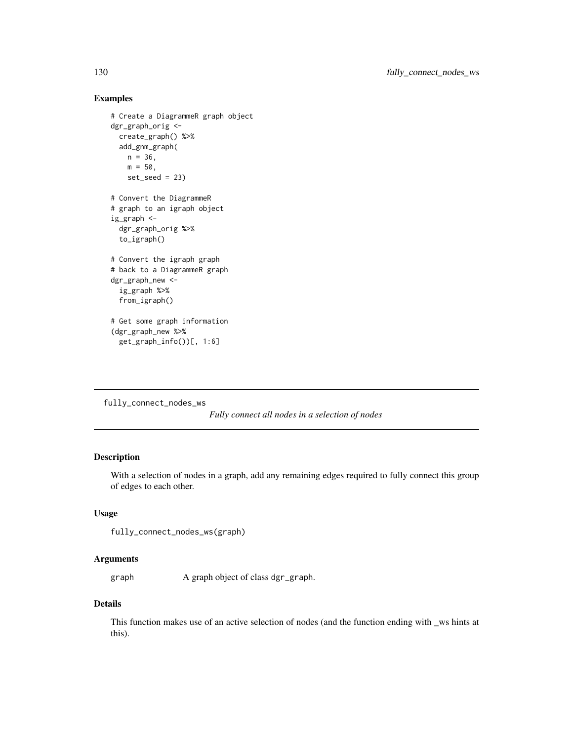## Examples

```
# Create a DiagrammeR graph object
dgr_graph_orig <-
  create_graph() %>%
  add_gnm_graph(
   n = 36,
   m = 50,
   set\_seed = 23# Convert the DiagrammeR
# graph to an igraph object
ig_graph <-
  dgr_graph_orig %>%
  to_igraph()
# Convert the igraph graph
# back to a DiagrammeR graph
dgr_graph_new <-
  ig_graph %>%
  from_igraph()
# Get some graph information
(dgr_graph_new %>%
  get_graph_info())[, 1:6]
```

```
fully_connect_nodes_ws
```
*Fully connect all nodes in a selection of nodes*

## Description

With a selection of nodes in a graph, add any remaining edges required to fully connect this group of edges to each other.

## Usage

```
fully_connect_nodes_ws(graph)
```
### Arguments

graph A graph object of class dgr\_graph.

## Details

This function makes use of an active selection of nodes (and the function ending with \_ws hints at this).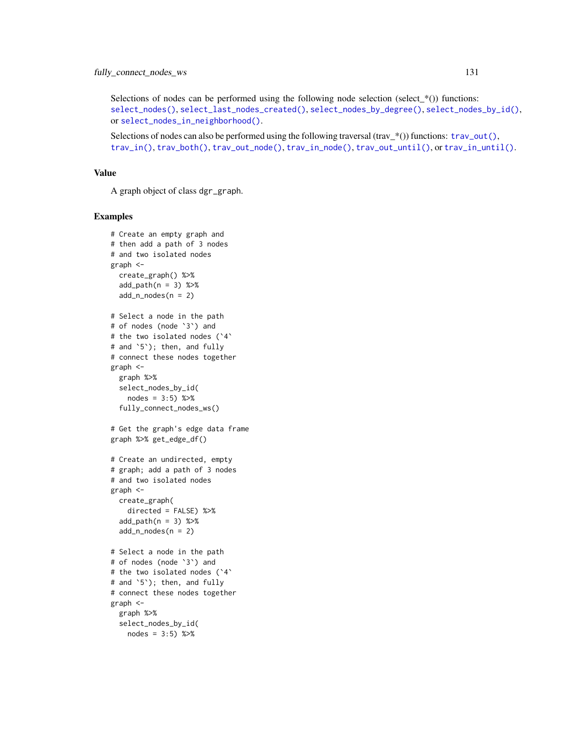Selections of nodes can be performed using the following node selection (select\_ $*($ )) functions: [select\\_nodes\(\)](#page-282-0), [select\\_last\\_nodes\\_created\(\)](#page-281-0), [select\\_nodes\\_by\\_degree\(\)](#page-284-0), [select\\_nodes\\_by\\_id\(\)](#page-286-0), or [select\\_nodes\\_in\\_neighborhood\(\)](#page-287-0).

Selections of nodes can also be performed using the following traversal (trav\_\*()) functions:  $\text{trav\_out}($ ), [trav\\_in\(\)](#page-320-0), [trav\\_both\(\)](#page-312-0), [trav\\_out\\_node\(\)](#page-343-0), [trav\\_in\\_node\(\)](#page-328-0), [trav\\_out\\_until\(\)](#page-347-0), or [trav\\_in\\_until\(\)](#page-333-0).

### Value

A graph object of class dgr\_graph.

```
# Create an empty graph and
# then add a path of 3 nodes
# and two isolated nodes
graph <-
  create_graph() %>%
  add\_path(n = 3) %>%
  add_n nodes(n = 2)# Select a node in the path
# of nodes (node `3`) and
# the two isolated nodes (`4`
# and `5`); then, and fully
# connect these nodes together
graph <-
  graph %>%
 select_nodes_by_id(
   nodes = 3:5) %>%
  fully_connect_nodes_ws()
# Get the graph's edge data frame
graph %>% get_edge_df()
# Create an undirected, empty
# graph; add a path of 3 nodes
# and two isolated nodes
graph <-
 create_graph(
   directed = FALSE) %>%
  add\_path(n = 3) %>%
  add_n nodes(n = 2)# Select a node in the path
# of nodes (node `3`) and
# the two isolated nodes (`4`
# and `5`); then, and fully
# connect these nodes together
graph <-
  graph %>%
  select_nodes_by_id(
   nodes = 3:5) %>%
```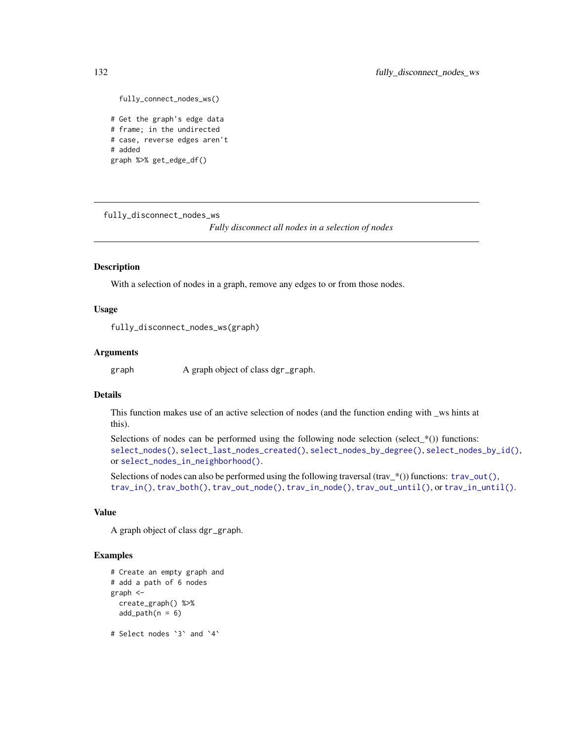```
fully_connect_nodes_ws()
# Get the graph's edge data
# frame; in the undirected
# case, reverse edges aren't
# added
graph %>% get_edge_df()
```
fully\_disconnect\_nodes\_ws

*Fully disconnect all nodes in a selection of nodes*

### Description

With a selection of nodes in a graph, remove any edges to or from those nodes.

### Usage

fully\_disconnect\_nodes\_ws(graph)

### **Arguments**

graph A graph object of class dgr\_graph.

### Details

This function makes use of an active selection of nodes (and the function ending with \_ws hints at this).

Selections of nodes can be performed using the following node selection (select $*$ ) functions: [select\\_nodes\(\)](#page-282-0), [select\\_last\\_nodes\\_created\(\)](#page-281-0), [select\\_nodes\\_by\\_degree\(\)](#page-284-0), [select\\_nodes\\_by\\_id\(\)](#page-286-0), or [select\\_nodes\\_in\\_neighborhood\(\)](#page-287-0).

Selections of nodes can also be performed using the following traversal (trav\_\*()) functions:  $\text{trav\_out}($ ), [trav\\_in\(\)](#page-320-0), [trav\\_both\(\)](#page-312-0), [trav\\_out\\_node\(\)](#page-343-0), [trav\\_in\\_node\(\)](#page-328-0), [trav\\_out\\_until\(\)](#page-347-0), or [trav\\_in\\_until\(\)](#page-333-0).

### Value

A graph object of class dgr\_graph.

```
# Create an empty graph and
# add a path of 6 nodes
graph <-
 create_graph() %>%
 add\_path(n = 6)# Select nodes `3` and `4`
```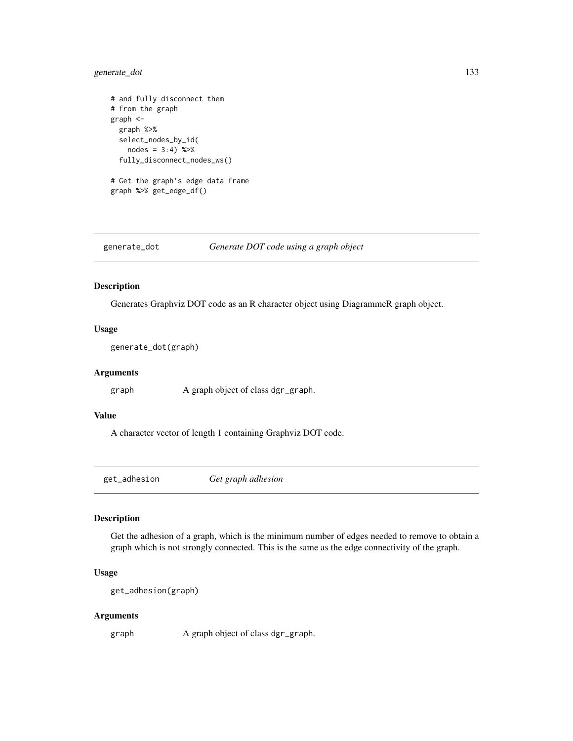## generate\_dot 133

```
# and fully disconnect them
# from the graph
graph <-
  graph %>%
  select_nodes_by_id(
   nodes = 3:4) % >%fully_disconnect_nodes_ws()
# Get the graph's edge data frame
graph %>% get_edge_df()
```
generate\_dot *Generate DOT code using a graph object*

## Description

Generates Graphviz DOT code as an R character object using DiagrammeR graph object.

## Usage

generate\_dot(graph)

### Arguments

graph A graph object of class dgr\_graph.

### Value

A character vector of length 1 containing Graphviz DOT code.

get\_adhesion *Get graph adhesion*

### Description

Get the adhesion of a graph, which is the minimum number of edges needed to remove to obtain a graph which is not strongly connected. This is the same as the edge connectivity of the graph.

## Usage

```
get_adhesion(graph)
```
### Arguments

graph A graph object of class dgr\_graph.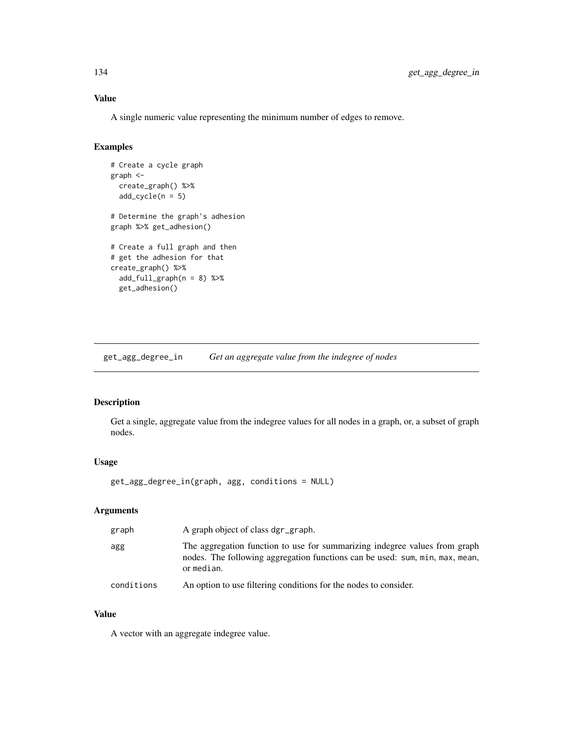## Value

A single numeric value representing the minimum number of edges to remove.

## Examples

```
# Create a cycle graph
graph <-
  create_graph() %>%
  add\_cycle(n = 5)# Determine the graph's adhesion
graph %>% get_adhesion()
# Create a full graph and then
# get the adhesion for that
create_graph() %>%
 add_full\_graph(n = 8) %>%
  get_adhesion()
```
get\_agg\_degree\_in *Get an aggregate value from the indegree of nodes*

## Description

Get a single, aggregate value from the indegree values for all nodes in a graph, or, a subset of graph nodes.

## Usage

get\_agg\_degree\_in(graph, agg, conditions = NULL)

## Arguments

| graph      | A graph object of class dgr_graph.                                                                                                                                       |
|------------|--------------------------------------------------------------------------------------------------------------------------------------------------------------------------|
| agg        | The aggregation function to use for summarizing indegree values from graph<br>nodes. The following aggregation functions can be used: sum, min, max, mean,<br>or median. |
| conditions | An option to use filtering conditions for the nodes to consider.                                                                                                         |

## Value

A vector with an aggregate indegree value.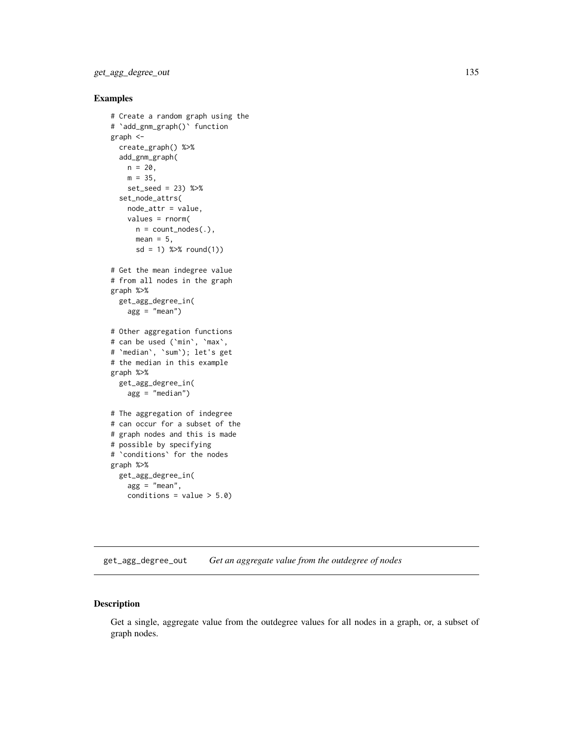### Examples

```
# Create a random graph using the
# `add_gnm_graph()` function
graph <-
  create_graph() %>%
  add_gnm_graph(
   n = 20,
   m = 35,
   set_seed = 23) %>%
  set_node_attrs(
   node_attr = value,
   values = rnorm(
     n = count\_nodes(.),
     mean = 5,
      sd = 1) %>% round(1))
# Get the mean indegree value
# from all nodes in the graph
graph %>%
  get_agg_degree_in(
    agg = "mean")# Other aggregation functions
# can be used (`min`, `max`,
# `median`, `sum`); let's get
# the median in this example
graph %>%
  get_agg_degree_in(
   agg = "median")
# The aggregation of indegree
# can occur for a subset of the
# graph nodes and this is made
# possible by specifying
# `conditions` for the nodes
graph %>%
  get_agg_degree_in(
   agg = "mean",conditions = value > 5.0)
```
get\_agg\_degree\_out *Get an aggregate value from the outdegree of nodes*

## Description

Get a single, aggregate value from the outdegree values for all nodes in a graph, or, a subset of graph nodes.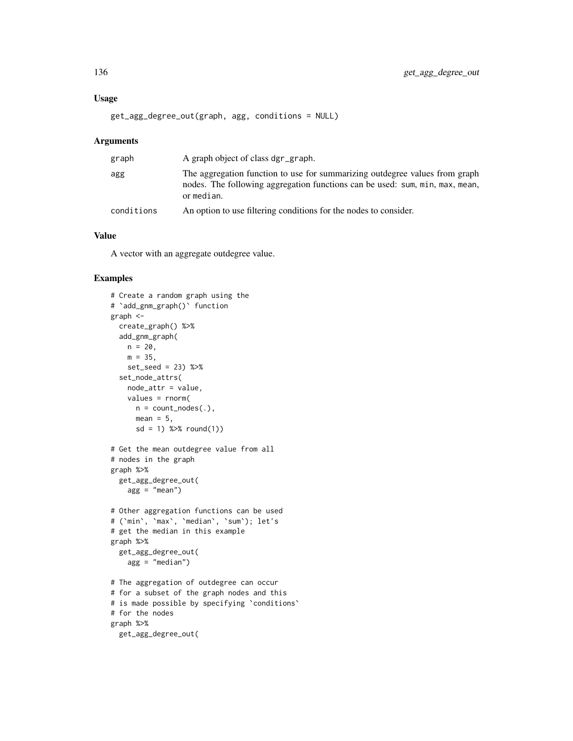### Usage

get\_agg\_degree\_out(graph, agg, conditions = NULL)

### Arguments

| graph      | A graph object of class dgr_graph.                                                                                                                                        |
|------------|---------------------------------------------------------------------------------------------------------------------------------------------------------------------------|
| agg        | The aggregation function to use for summarizing outdegree values from graph<br>nodes. The following aggregation functions can be used: sum, min, max, mean,<br>or median. |
| conditions | An option to use filtering conditions for the nodes to consider.                                                                                                          |

## Value

A vector with an aggregate outdegree value.

```
# Create a random graph using the
# `add_gnm_graph()` function
graph <-
  create_graph() %>%
  add_gnm_graph(
   n = 20,
    m = 35,set_seed = 23) %>%
  set_node_attrs(
    node_attr = value,
    values = rnorm(
     n = count\_nodes(.),
     mean = 5,
      sd = 1) %>% round(1)# Get the mean outdegree value from all
# nodes in the graph
graph %>%
  get_agg_degree_out(
    agg = "mean")
# Other aggregation functions can be used
# (`min`, `max`, `median`, `sum`); let's
# get the median in this example
graph %>%
  get_agg_degree_out(
    agg = "median")
# The aggregation of outdegree can occur
# for a subset of the graph nodes and this
# is made possible by specifying 'conditions'
# for the nodes
graph %>%
  get_agg_degree_out(
```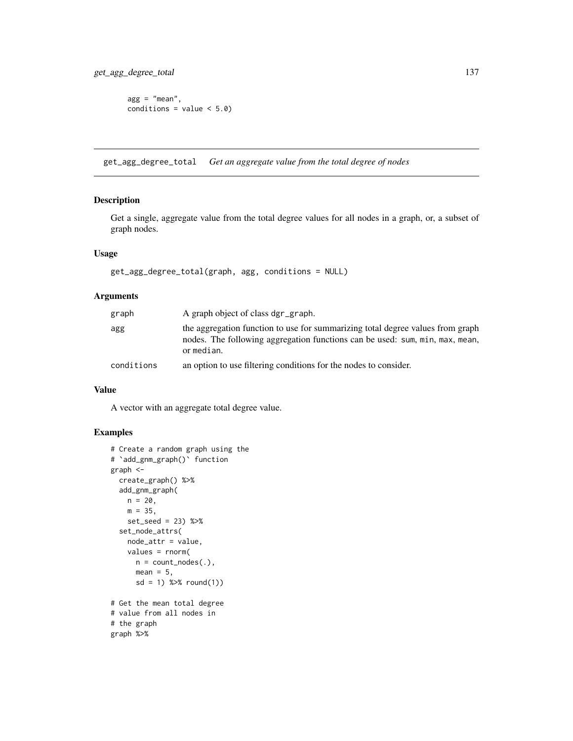$agg = "mean",$ conditions =  $value < 5.0$ )

get\_agg\_degree\_total *Get an aggregate value from the total degree of nodes*

## Description

Get a single, aggregate value from the total degree values for all nodes in a graph, or, a subset of graph nodes.

### Usage

```
get_agg_degree_total(graph, agg, conditions = NULL)
```
### Arguments

| graph      | A graph object of class dgr_graph.                                                                                                                                           |
|------------|------------------------------------------------------------------------------------------------------------------------------------------------------------------------------|
| agg        | the aggregation function to use for summarizing total degree values from graph<br>nodes. The following aggregation functions can be used: sum, min, max, mean,<br>or median. |
| conditions | an option to use filtering conditions for the nodes to consider.                                                                                                             |

## Value

A vector with an aggregate total degree value.

```
# Create a random graph using the
# `add_gnm_graph()` function
graph <-
  create_graph() %>%
  add_gnm_graph(
   n = 20,
   m = 35,
   set_seed = 23) %>%
  set_node_attrs(
   node_attr = value,
   values = rnorm(
     n = count\_nodes(.),
     mean = 5,
      sd = 1) %>% round(1))
# Get the mean total degree
# value from all nodes in
# the graph
graph %>%
```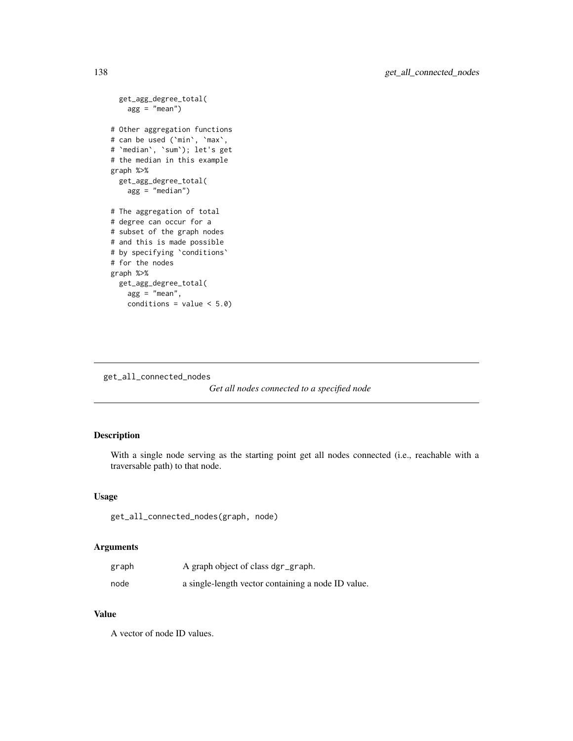```
get_agg_degree_total(
   agg = "mean")# Other aggregation functions
# can be used (`min`, `max`,
# `median`, `sum`); let's get
# the median in this example
graph %>%
  get_agg_degree_total(
   agg = "median")
# The aggregation of total
# degree can occur for a
# subset of the graph nodes
# and this is made possible
# by specifying `conditions`
# for the nodes
graph %>%
  get_agg_degree_total(
   agg = "mean",conditions = value < 5.0)
```
get\_all\_connected\_nodes

```
Get all nodes connected to a specified node
```
## Description

With a single node serving as the starting point get all nodes connected (i.e., reachable with a traversable path) to that node.

### Usage

get\_all\_connected\_nodes(graph, node)

## Arguments

| graph | A graph object of class dgr_graph.                 |
|-------|----------------------------------------------------|
| node  | a single-length vector containing a node ID value. |

## Value

A vector of node ID values.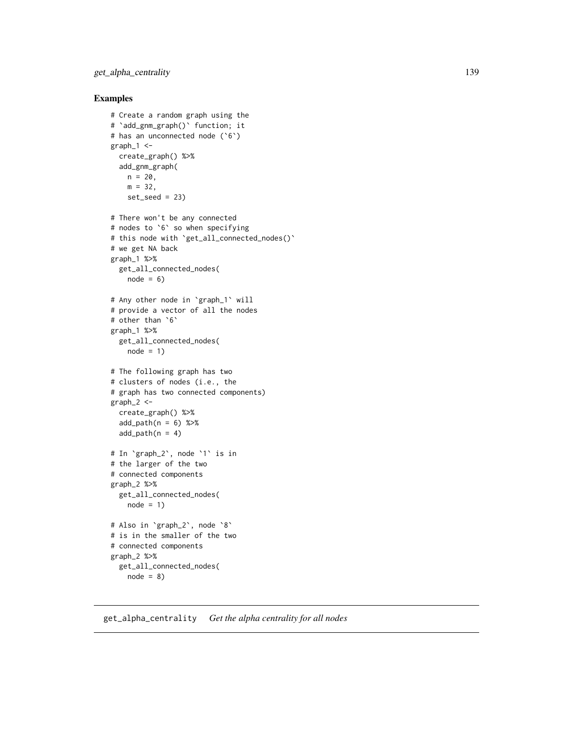## get\_alpha\_centrality 139

### Examples

```
# Create a random graph using the
# `add_gnm_graph()` function; it
# has an unconnected node (`6`)
graph 1 < -create_graph() %>%
  add_gnm_graph(
   n = 20,
   m = 32,
   set\_seed = 23# There won't be any connected
# nodes to `6` so when specifying
# this node with `get_all_connected_nodes()`
# we get NA back
graph_1 %>%
  get_all_connected_nodes(
   node = 6# Any other node in `graph_1` will
# provide a vector of all the nodes
# other than `6`
graph_1 %>%
  get_all_connected_nodes(
   node = 1)# The following graph has two
# clusters of nodes (i.e., the
# graph has two connected components)
graph_2 <-
  create_graph() %>%
  add\_path(n = 6) %>%
  add\_path(n = 4)# In `graph_2`, node `1` is in
# the larger of the two
# connected components
graph_2 %>%
  get_all_connected_nodes(
   node = 1)# Also in `graph_2`, node `8`
# is in the smaller of the two
# connected components
graph_2 %>%
  get_all_connected_nodes(
   node = 8)
```
get\_alpha\_centrality *Get the alpha centrality for all nodes*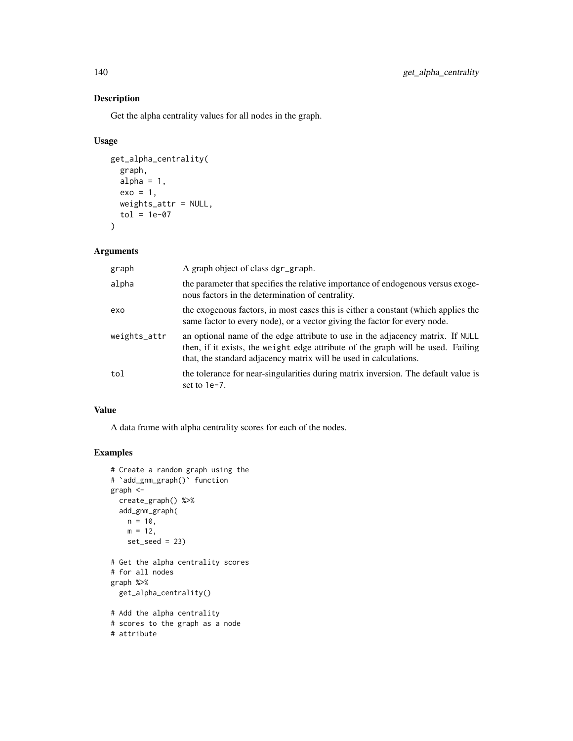## Description

Get the alpha centrality values for all nodes in the graph.

### Usage

```
get_alpha_centrality(
 graph,
 alpha = 1,
 exo = 1,
 weights_attr = NULL,
 tol = 1e-07)
```
### Arguments

| graph        | A graph object of class dgr_graph.                                                                                                                                                                                                      |
|--------------|-----------------------------------------------------------------------------------------------------------------------------------------------------------------------------------------------------------------------------------------|
| alpha        | the parameter that specifies the relative importance of endogenous versus exoge-<br>nous factors in the determination of centrality.                                                                                                    |
| exo          | the exogenous factors, in most cases this is either a constant (which applies the<br>same factor to every node), or a vector giving the factor for every node.                                                                          |
| weights_attr | an optional name of the edge attribute to use in the adjacency matrix. If NULL<br>then, if it exists, the weight edge attribute of the graph will be used. Failing<br>that, the standard adjacency matrix will be used in calculations. |
| tol          | the tolerance for near-singularities during matrix inversion. The default value is<br>set to $1e-7$ .                                                                                                                                   |

### Value

A data frame with alpha centrality scores for each of the nodes.

```
# Create a random graph using the
# `add_gnm_graph()` function
graph <-
 create_graph() %>%
 add_gnm_graph(
   n = 10,
   m = 12,
   set\_seed = 23# Get the alpha centrality scores
# for all nodes
graph %>%
  get_alpha_centrality()
# Add the alpha centrality
# scores to the graph as a node
# attribute
```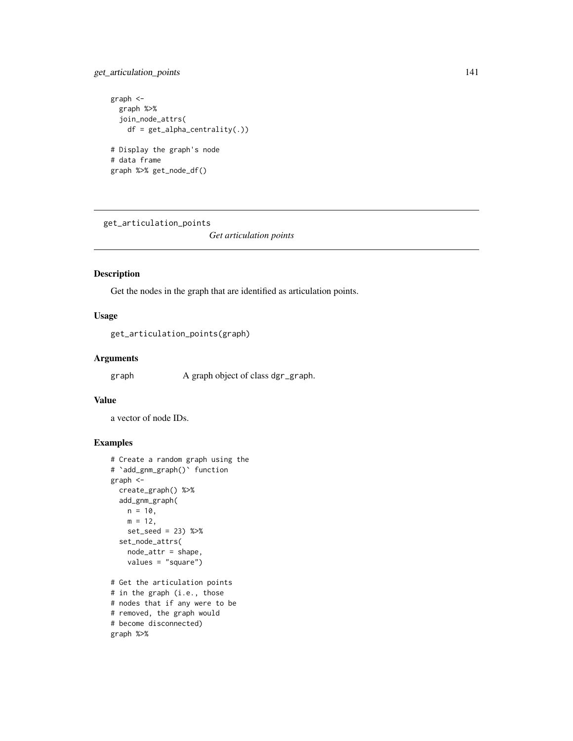## get\_articulation\_points 141

```
graph <-
  graph %>%
  join_node_attrs(
   df = get_alpha\_centrality(.)# Display the graph's node
# data frame
graph %>% get_node_df()
```
get\_articulation\_points

*Get articulation points*

## Description

Get the nodes in the graph that are identified as articulation points.

### Usage

```
get_articulation_points(graph)
```
### Arguments

graph A graph object of class dgr\_graph.

## Value

a vector of node IDs.

```
# Create a random graph using the
# `add_gnm_graph()` function
graph <-
  create_graph() %>%
  add_gnm_graph(
   n = 10,
   m = 12,
   set_seed = 23) %>%
  set_node_attrs(
   node_attr = shape,
   values = "square")
# Get the articulation points
# in the graph (i.e., those
# nodes that if any were to be
# removed, the graph would
# become disconnected)
graph %>%
```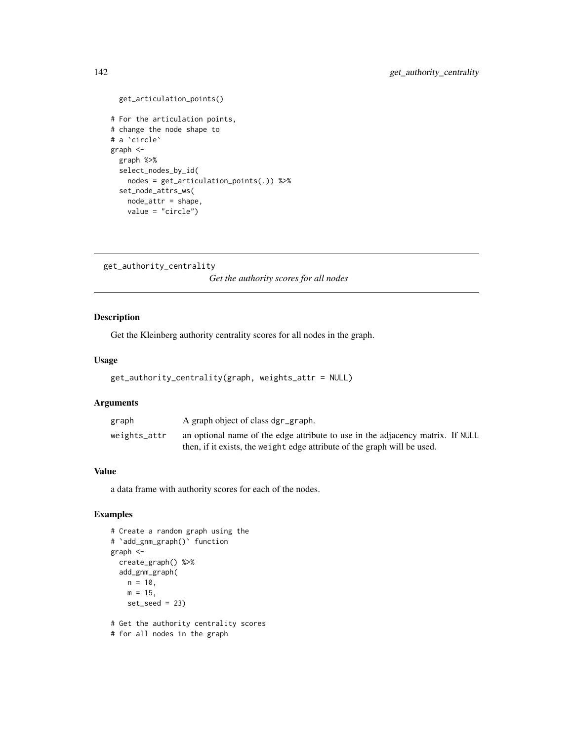```
get_articulation_points()
# For the articulation points,
# change the node shape to
# a `circle`
graph <-
 graph %>%
 select_nodes_by_id(
   nodes = get_articulation_points(.)) %>%
  set_node_attrs_ws(
   node_attr = shape,
   value = "circle")
```
get\_authority\_centrality

*Get the authority scores for all nodes*

### Description

Get the Kleinberg authority centrality scores for all nodes in the graph.

## Usage

```
get_authority_centrality(graph, weights_attr = NULL)
```
## Arguments

| graph        | A graph object of class dgr_graph.                                             |  |
|--------------|--------------------------------------------------------------------------------|--|
| weights_attr | an optional name of the edge attribute to use in the adjacency matrix. If NULL |  |
|              | then, if it exists, the weight edge attribute of the graph will be used.       |  |

### Value

a data frame with authority scores for each of the nodes.

```
# Create a random graph using the
# `add_gnm_graph()` function
graph <-
  create_graph() %>%
  add_gnm_graph(
   n = 10,
   m = 15,
   set\_seed = 23# Get the authority centrality scores
```

```
# for all nodes in the graph
```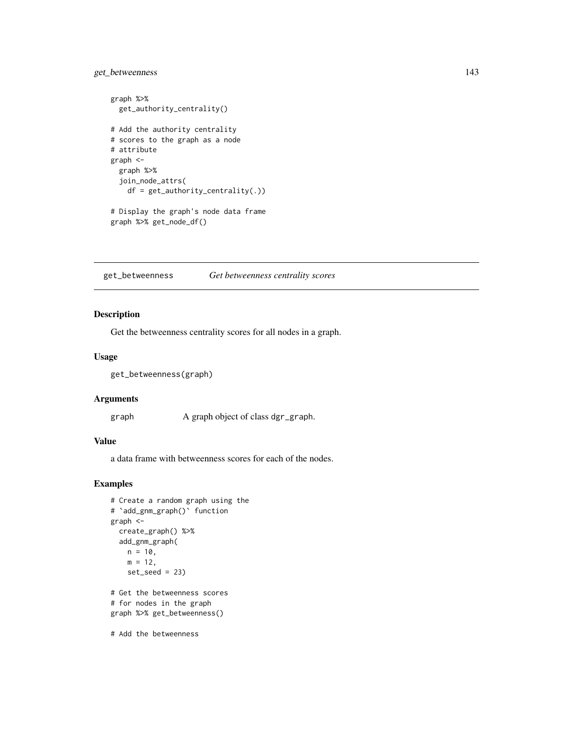## get\_betweenness 143

```
graph %>%
  get_authority_centrality()
# Add the authority centrality
# scores to the graph as a node
# attribute
graph <-
  graph %>%
  join_node_attrs(
    df = get_authority_centrality(.))
# Display the graph's node data frame
graph %>% get_node_df()
```
get\_betweenness *Get betweenness centrality scores*

## Description

Get the betweenness centrality scores for all nodes in a graph.

### Usage

```
get_betweenness(graph)
```
### Arguments

graph A graph object of class dgr\_graph.

## Value

a data frame with betweenness scores for each of the nodes.

```
# Create a random graph using the
# `add_gnm_graph()` function
graph <-
  create_graph() %>%
  add_gnm_graph(
   n = 10,m = 12,
   set\_seed = 23# Get the betweenness scores
# for nodes in the graph
graph %>% get_betweenness()
# Add the betweenness
```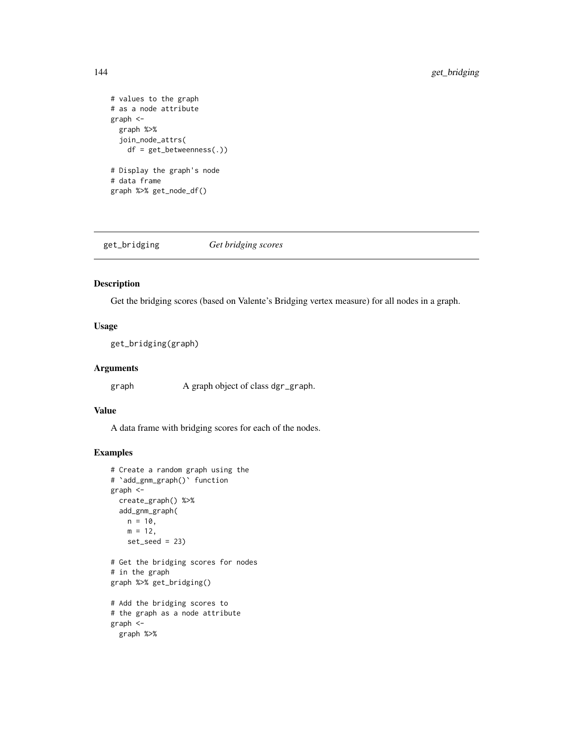```
# values to the graph
# as a node attribute
graph <-
 graph %>%
  join_node_attrs(
   df = get_betweenness(.))
# Display the graph's node
# data frame
graph %>% get_node_df()
```
get\_bridging *Get bridging scores*

## Description

Get the bridging scores (based on Valente's Bridging vertex measure) for all nodes in a graph.

### Usage

get\_bridging(graph)

### Arguments

graph A graph object of class dgr\_graph.

### Value

A data frame with bridging scores for each of the nodes.

```
# Create a random graph using the
# `add_gnm_graph()` function
graph <-
  create_graph() %>%
  add_gnm_graph(
   n = 10,
   m = 12,
   set\_seed = 23# Get the bridging scores for nodes
# in the graph
graph %>% get_bridging()
# Add the bridging scores to
# the graph as a node attribute
graph <-
 graph %>%
```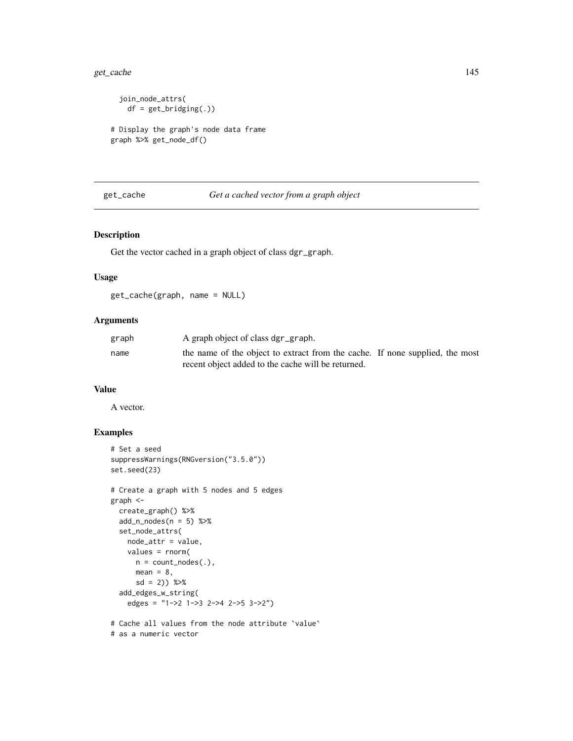#### get\_cache 145

```
join_node_attrs(
   df = get\_bridging(.)# Display the graph's node data frame
graph %>% get_node_df()
```
# get\_cache *Get a cached vector from a graph object*

#### Description

Get the vector cached in a graph object of class dgr\_graph.

# Usage

get\_cache(graph, name = NULL)

#### Arguments

| graph | A graph object of class dgr_graph.                                           |  |
|-------|------------------------------------------------------------------------------|--|
| name  | the name of the object to extract from the cache. If none supplied, the most |  |
|       | recent object added to the cache will be returned.                           |  |

## Value

A vector.

# Examples

```
# Set a seed
suppressWarnings(RNGversion("3.5.0"))
set.seed(23)
# Create a graph with 5 nodes and 5 edges
graph <-
  create_graph() %>%
  add_n\_nodes(n = 5) %>%
  set_node_attrs(
   node_attr = value,
   values = rnorm(
     n = count\_nodes(.),
     mean = 8,
      sd = 2)) %>%
  add_edges_w_string(
   edges = "1->2 1->3 2->4 2->5 3->2")
```
# Cache all values from the node attribute `value`

```
# as a numeric vector
```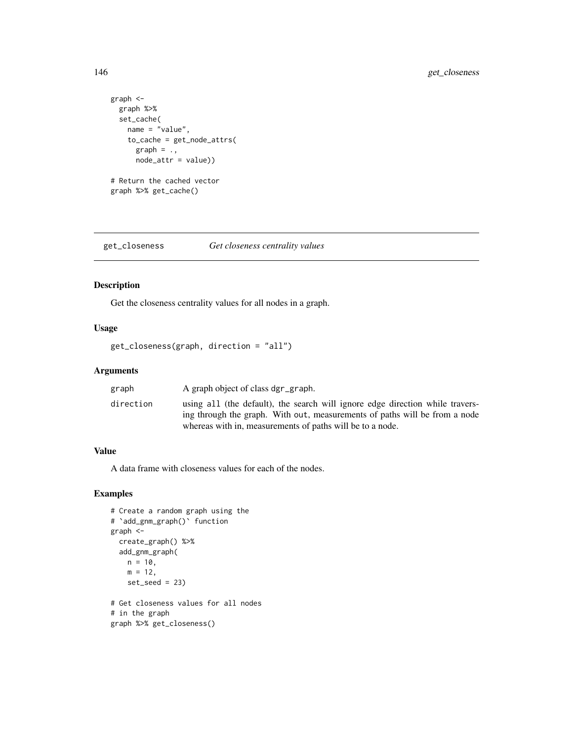```
graph <-
  graph %>%
  set_cache(
   name = "value",
    to_cache = get_node_attrs(
      graph = \cdot,
      node_attr = value))
# Return the cached vector
graph %>% get_cache()
```
get\_closeness *Get closeness centrality values*

# Description

Get the closeness centrality values for all nodes in a graph.

## Usage

```
get_closeness(graph, direction = "all")
```
# Arguments

| direction<br>using all (the default), the search will ignore edge direction while travers-                                              |  |
|-----------------------------------------------------------------------------------------------------------------------------------------|--|
| ing through the graph. With out, measurements of paths will be from a node<br>whereas with in, measurements of paths will be to a node. |  |

# Value

A data frame with closeness values for each of the nodes.

```
# Create a random graph using the
# `add_gnm_graph()` function
graph <-
  create_graph() %>%
  add_gnm_graph(
   n = 10,m = 12,
   set\_seed = 23# Get closeness values for all nodes
# in the graph
graph %>% get_closeness()
```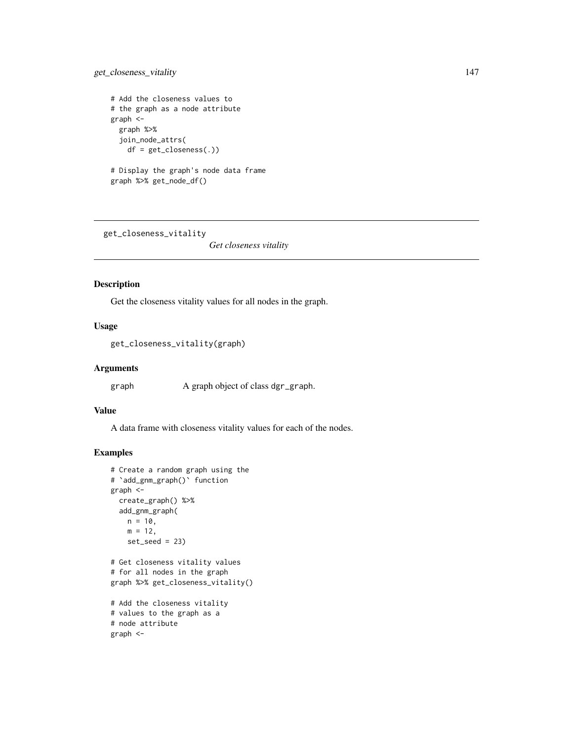# get\_closeness\_vitality 147

```
# Add the closeness values to
# the graph as a node attribute
graph <-
 graph %>%
  join_node_attrs(
   df = get_closeness(.))
# Display the graph's node data frame
graph %>% get_node_df()
```
get\_closeness\_vitality

*Get closeness vitality*

# Description

Get the closeness vitality values for all nodes in the graph.

## Usage

get\_closeness\_vitality(graph)

#### Arguments

graph A graph object of class dgr\_graph.

## Value

A data frame with closeness vitality values for each of the nodes.

```
# Create a random graph using the
# `add_gnm_graph()` function
graph <-
  create_graph() %>%
  add_gnm_graph(
   n = 10,
   m = 12,
   set\_seed = 23# Get closeness vitality values
# for all nodes in the graph
graph %>% get_closeness_vitality()
# Add the closeness vitality
# values to the graph as a
# node attribute
graph <-
```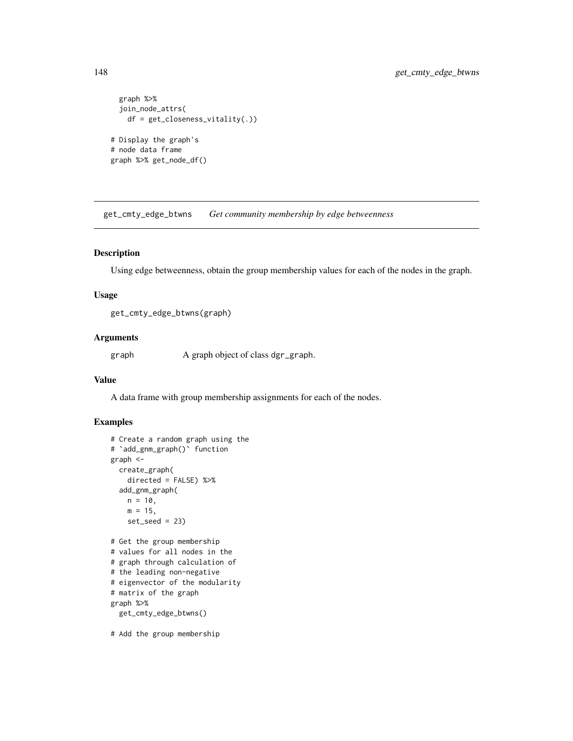```
graph %>%
 join_node_attrs(
   df = get_closeness_vitality(.))
# Display the graph's
# node data frame
graph %>% get_node_df()
```
get\_cmty\_edge\_btwns *Get community membership by edge betweenness*

# Description

Using edge betweenness, obtain the group membership values for each of the nodes in the graph.

#### Usage

get\_cmty\_edge\_btwns(graph)

#### Arguments

graph A graph object of class dgr\_graph.

## Value

A data frame with group membership assignments for each of the nodes.

# Examples

```
# Create a random graph using the
# `add_gnm_graph()` function
graph <-
  create_graph(
   directed = FALSE) %>%
  add_gnm_graph(
   n = 10,
   m = 15,
   set\_seed = 23# Get the group membership
# values for all nodes in the
# graph through calculation of
# the leading non-negative
# eigenvector of the modularity
# matrix of the graph
graph %>%
  get_cmty_edge_btwns()
```
# Add the group membership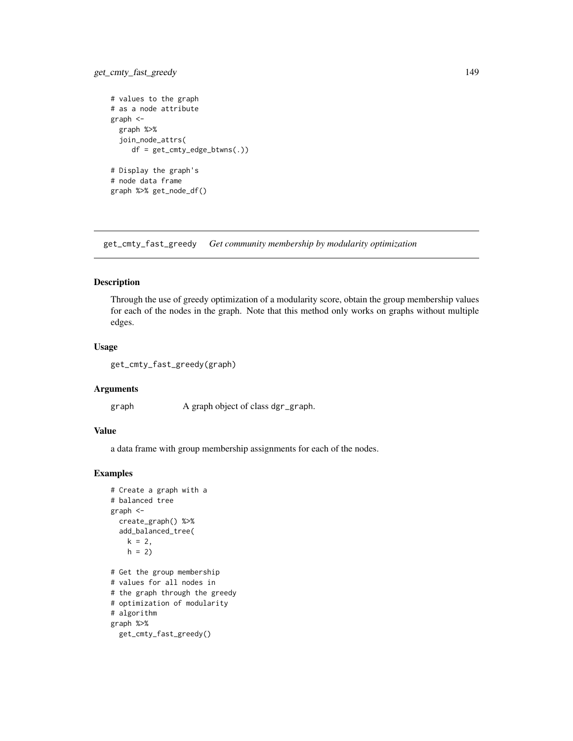# get\_cmty\_fast\_greedy 149

```
# values to the graph
# as a node attribute
graph <-
  graph %>%
  join_node_attrs(
    df = get_cmty_edge_btwns(.))
# Display the graph's
# node data frame
graph %>% get_node_df()
```
get\_cmty\_fast\_greedy *Get community membership by modularity optimization*

#### Description

Through the use of greedy optimization of a modularity score, obtain the group membership values for each of the nodes in the graph. Note that this method only works on graphs without multiple edges.

#### Usage

```
get_cmty_fast_greedy(graph)
```
#### Arguments

graph A graph object of class dgr\_graph.

## Value

a data frame with group membership assignments for each of the nodes.

```
# Create a graph with a
# balanced tree
graph <-
  create_graph() %>%
  add_balanced_tree(
   k = 2,
   h = 2# Get the group membership
# values for all nodes in
# the graph through the greedy
# optimization of modularity
# algorithm
graph %>%
  get_cmty_fast_greedy()
```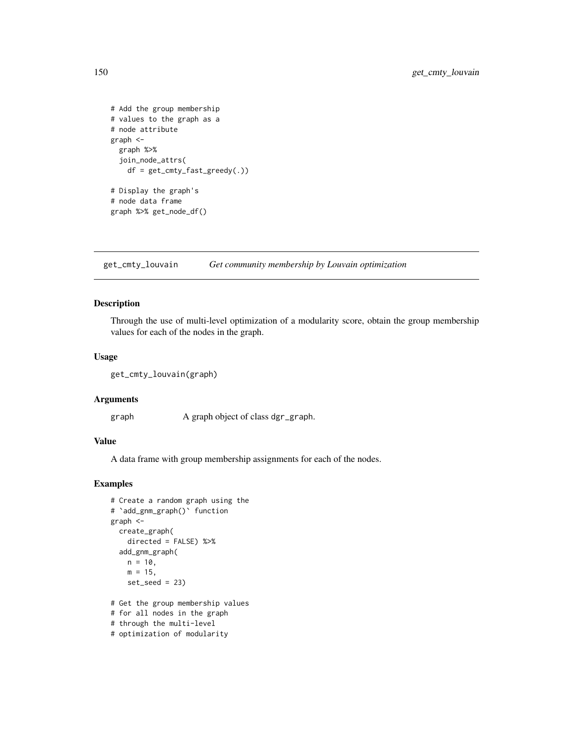```
# Add the group membership
# values to the graph as a
# node attribute
graph <-
  graph %>%
  join_node_attrs(
    df = get_cmty_fast_greedy(.))
# Display the graph's
# node data frame
graph %>% get_node_df()
```
get\_cmty\_louvain *Get community membership by Louvain optimization*

# Description

Through the use of multi-level optimization of a modularity score, obtain the group membership values for each of the nodes in the graph.

## Usage

```
get_cmty_louvain(graph)
```
#### Arguments

graph A graph object of class dgr\_graph.

## Value

A data frame with group membership assignments for each of the nodes.

```
# Create a random graph using the
# `add_gnm_graph()` function
graph <-
  create_graph(
   directed = FALSE) %>%
  add_gnm_graph(
   n = 10,
   m = 15,
   set\_seed = 23)# Get the group membership values
# for all nodes in the graph
# through the multi-level
```

```
# optimization of modularity
```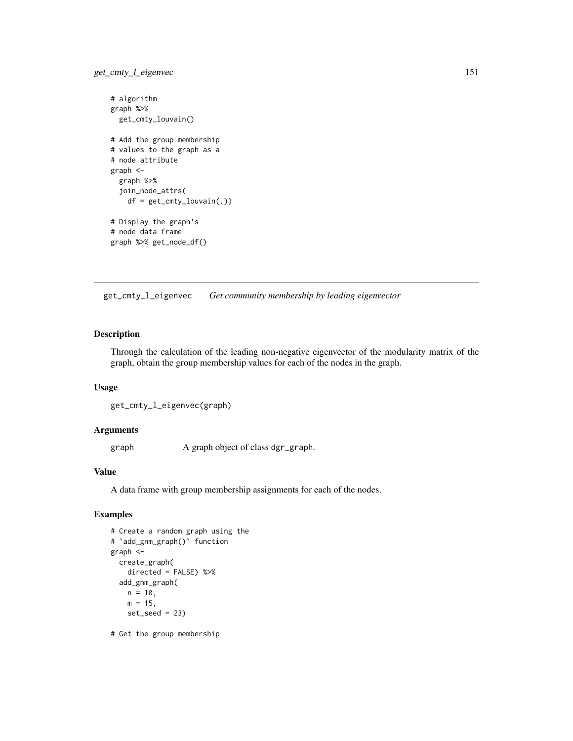# get\_cmty\_l\_eigenvec 151

```
# algorithm
graph %>%
  get_cmty_louvain()
# Add the group membership
# values to the graph as a
# node attribute
graph <-
  graph %>%
  join_node_attrs(
   df = get_cmty_louvain(.))
# Display the graph's
# node data frame
graph %>% get_node_df()
```
get\_cmty\_l\_eigenvec *Get community membership by leading eigenvector*

# Description

Through the calculation of the leading non-negative eigenvector of the modularity matrix of the graph, obtain the group membership values for each of the nodes in the graph.

#### Usage

```
get_cmty_l_eigenvec(graph)
```
#### Arguments

graph A graph object of class dgr\_graph.

#### Value

A data frame with group membership assignments for each of the nodes.

# Examples

```
# Create a random graph using the
# `add_gnm_graph()` function
graph <-
 create_graph(
   directed = FALSE) %>%
 add_gnm_graph(
   n = 10,
   m = 15,
   set_seed = 23)
```
# Get the group membership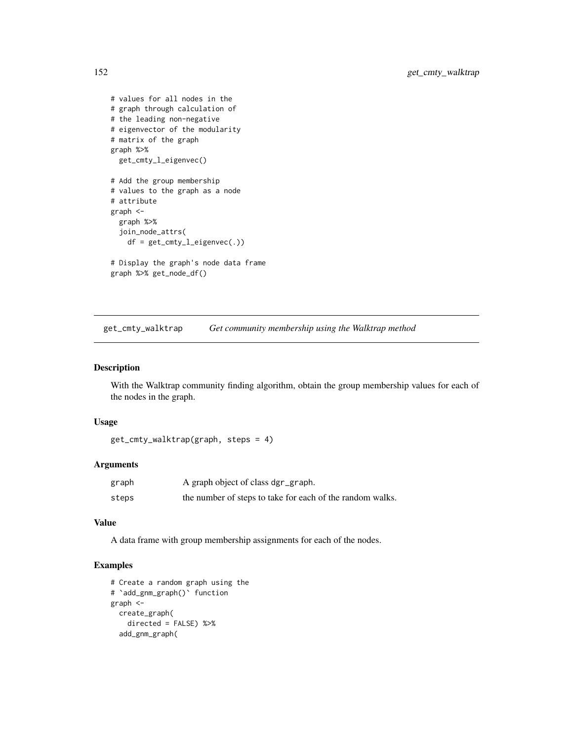```
# values for all nodes in the
# graph through calculation of
# the leading non-negative
# eigenvector of the modularity
# matrix of the graph
graph %>%
  get_cmty_l_eigenvec()
# Add the group membership
# values to the graph as a node
# attribute
graph <-
  graph %>%
  join_node_attrs(
   df = get_cmty_l_eigenvec(.))
# Display the graph's node data frame
```
graph %>% get\_node\_df()

get\_cmty\_walktrap *Get community membership using the Walktrap method*

#### Description

With the Walktrap community finding algorithm, obtain the group membership values for each of the nodes in the graph.

# Usage

```
get_cmty_walktrap(graph, steps = 4)
```
# Arguments

| graph | A graph object of class dgr_graph.                        |
|-------|-----------------------------------------------------------|
| steps | the number of steps to take for each of the random walks. |

# Value

A data frame with group membership assignments for each of the nodes.

```
# Create a random graph using the
# `add_gnm_graph()` function
graph <-
  create_graph(
   directed = FALSE) %>%
  add_gnm_graph(
```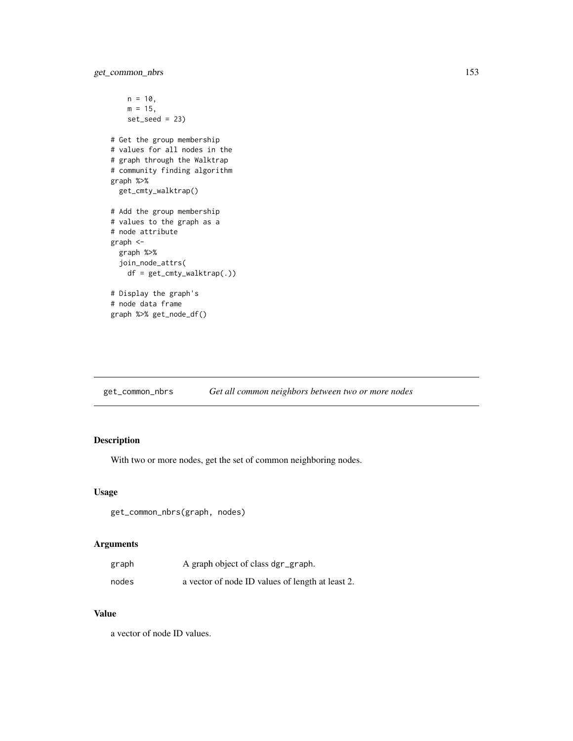get\_common\_nbrs 153

```
n = 10,
   m = 15,
   set_seed = 23)
# Get the group membership
# values for all nodes in the
# graph through the Walktrap
# community finding algorithm
graph %>%
  get_cmty_walktrap()
# Add the group membership
# values to the graph as a
# node attribute
graph <-
  graph %>%
  join_node_attrs(
   df = get_cmty_walktrap(.))
# Display the graph's
# node data frame
graph %>% get_node_df()
```
get\_common\_nbrs *Get all common neighbors between two or more nodes*

# Description

With two or more nodes, get the set of common neighboring nodes.

## Usage

get\_common\_nbrs(graph, nodes)

# Arguments

| graph | A graph object of class dgr_graph.               |
|-------|--------------------------------------------------|
| nodes | a vector of node ID values of length at least 2. |

# Value

a vector of node ID values.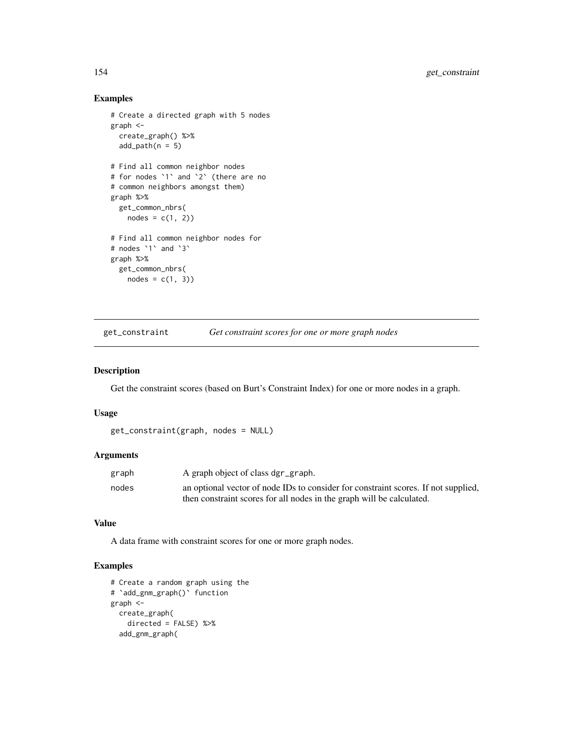# Examples

```
# Create a directed graph with 5 nodes
graph <-
  create_graph() %>%
  add\_path(n = 5)# Find all common neighbor nodes
# for nodes `1` and `2` (there are no
# common neighbors amongst them)
graph %>%
  get_common_nbrs(
   nodes = c(1, 2)# Find all common neighbor nodes for
# nodes `1` and `3`
graph %>%
  get_common_nbrs(
   nodes = c(1, 3)
```
get\_constraint *Get constraint scores for one or more graph nodes*

## Description

Get the constraint scores (based on Burt's Constraint Index) for one or more nodes in a graph.

## Usage

```
get_constraint(graph, nodes = NULL)
```
# Arguments

| graph | A graph object of class dgr_graph.                                                 |
|-------|------------------------------------------------------------------------------------|
| nodes | an optional vector of node IDs to consider for constraint scores. If not supplied, |
|       | then constraint scores for all nodes in the graph will be calculated.              |

#### Value

A data frame with constraint scores for one or more graph nodes.

```
# Create a random graph using the
# `add_gnm_graph()` function
graph <-
  create_graph(
   directed = FALSE) %>%
  add_gnm_graph(
```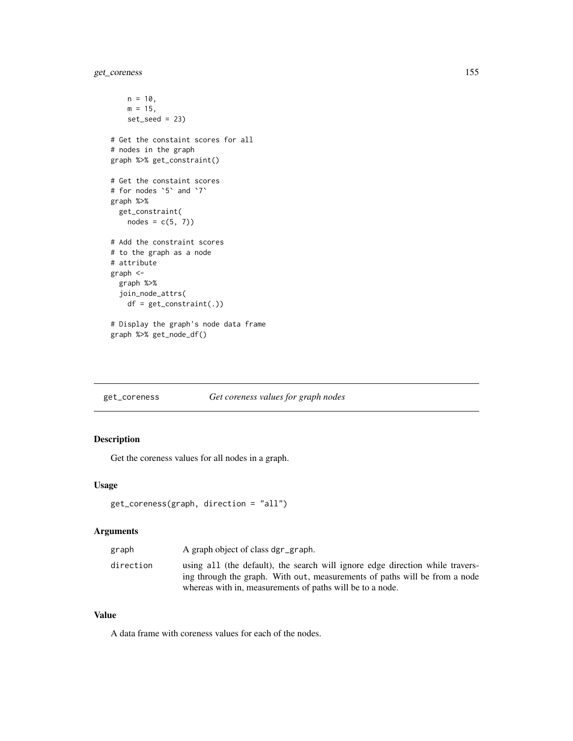# get\_coreness 155

```
n = 10,
   m = 15,
   set_seed = 23)
# Get the constaint scores for all
# nodes in the graph
graph %>% get_constraint()
# Get the constaint scores
# for nodes `5` and `7`
graph %>%
  get_constraint(
   nodes = c(5, 7)# Add the constraint scores
# to the graph as a node
# attribute
graph <-
  graph %>%
  join_node_attrs(
   df = get_constraint(.))
# Display the graph's node data frame
graph %>% get_node_df()
```
get\_coreness *Get coreness values for graph nodes*

# Description

Get the coreness values for all nodes in a graph.

## Usage

```
get_coreness(graph, direction = "all")
```
## Arguments

| graph     | A graph object of class dgr_graph.                                                                                                                          |
|-----------|-------------------------------------------------------------------------------------------------------------------------------------------------------------|
| direction | using all (the default), the search will ignore edge direction while travers-<br>ing through the graph. With out, measurements of paths will be from a node |
|           | whereas with in, measurements of paths will be to a node.                                                                                                   |

#### Value

A data frame with coreness values for each of the nodes.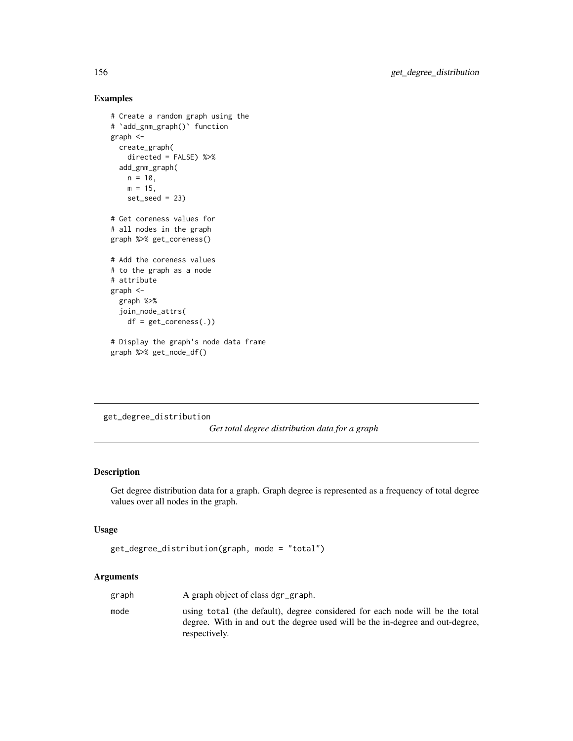# Examples

```
# Create a random graph using the
# `add_gnm_graph()` function
graph <-
  create_graph(
   directed = FALSE) %>%
  add_gnm_graph(
   n = 10,
   m = 15,
   set\_seed = 23# Get coreness values for
# all nodes in the graph
graph %>% get_coreness()
# Add the coreness values
# to the graph as a node
# attribute
graph <-
  graph %>%
  join_node_attrs(
   df = get_coreness(.))
# Display the graph's node data frame
graph %>% get_node_df()
```

```
get_degree_distribution
```
*Get total degree distribution data for a graph*

## Description

Get degree distribution data for a graph. Graph degree is represented as a frequency of total degree values over all nodes in the graph.

# Usage

```
get_degree_distribution(graph, mode = "total")
```
# Arguments

| graph | A graph object of class dgr_graph.                                                                                                                                             |
|-------|--------------------------------------------------------------------------------------------------------------------------------------------------------------------------------|
| mode  | using total (the default), degree considered for each node will be the total<br>degree. With in and out the degree used will be the in-degree and out-degree.<br>respectively. |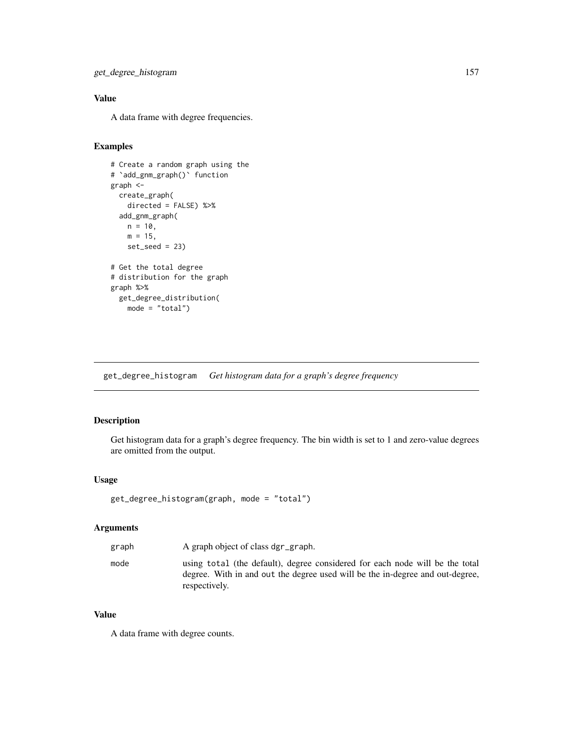# Value

A data frame with degree frequencies.

# Examples

```
# Create a random graph using the
# `add_gnm_graph()` function
graph <-
  create_graph(
   directed = FALSE) %>%
  add_gnm_graph(
   n = 10,
   m = 15,
   set\_seed = 23# Get the total degree
# distribution for the graph
graph %>%
  get_degree_distribution(
   mode = "total")
```
get\_degree\_histogram *Get histogram data for a graph's degree frequency*

# Description

Get histogram data for a graph's degree frequency. The bin width is set to 1 and zero-value degrees are omitted from the output.

# Usage

```
get_degree_histogram(graph, mode = "total")
```
## Arguments

| graph | A graph object of class dgr_graph.                                                                                                                                             |
|-------|--------------------------------------------------------------------------------------------------------------------------------------------------------------------------------|
| mode  | using total (the default), degree considered for each node will be the total<br>degree. With in and out the degree used will be the in-degree and out-degree.<br>respectively. |

#### Value

A data frame with degree counts.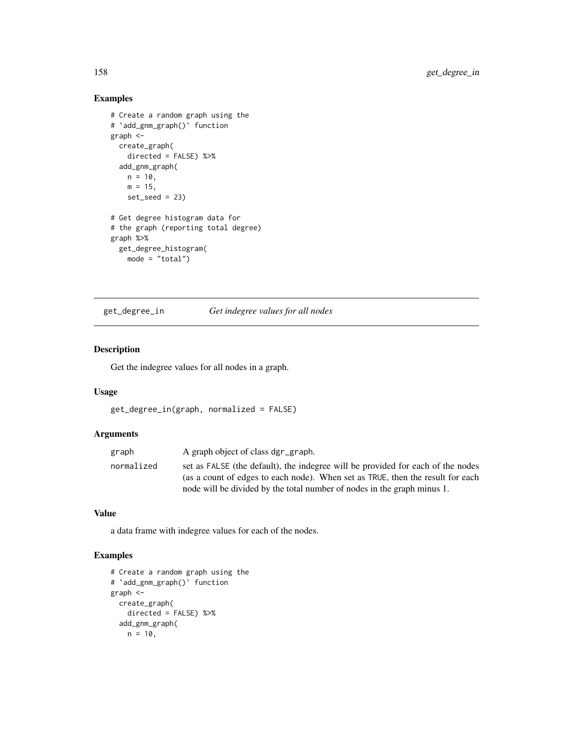# Examples

```
# Create a random graph using the
# `add_gnm_graph()` function
graph <-
  create_graph(
   directed = FALSE) %>%
  add_gnm_graph(
   n = 10,
   m = 15,
   set\_seed = 23# Get degree histogram data for
# the graph (reporting total degree)
graph %>%
 get_degree_histogram(
   mode = "total")
```
get\_degree\_in *Get indegree values for all nodes*

## Description

Get the indegree values for all nodes in a graph.

## Usage

```
get_degree_in(graph, normalized = FALSE)
```
#### Arguments

| graph      | A graph object of class dgr_graph.                                                                                                                                |
|------------|-------------------------------------------------------------------------------------------------------------------------------------------------------------------|
| normalized | set as FALSE (the default), the indegree will be provided for each of the nodes<br>(as a count of edges to each node). When set as TRUE, then the result for each |
|            | node will be divided by the total number of nodes in the graph minus 1.                                                                                           |

#### Value

a data frame with indegree values for each of the nodes.

```
# Create a random graph using the
# `add_gnm_graph()` function
graph <-
 create_graph(
   directed = FALSE) %>%
  add_gnm_graph(
   n = 10,
```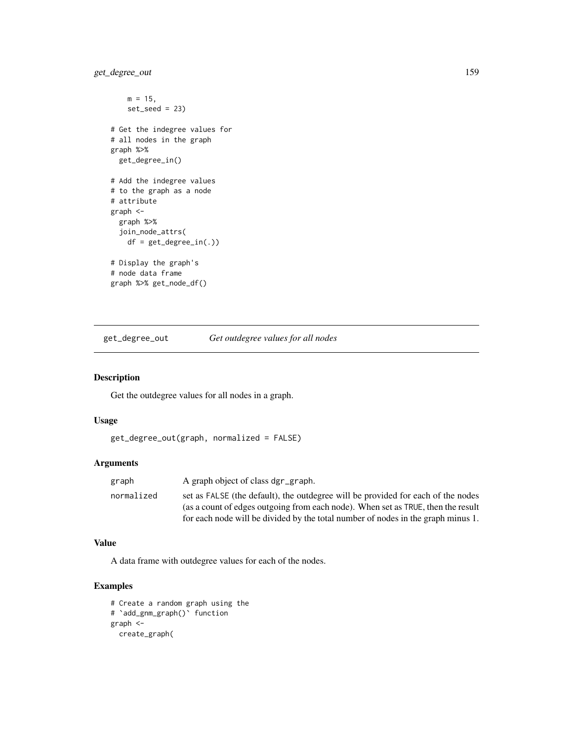# get\_degree\_out 159

```
m = 15,
   set_seed = 23)
# Get the indegree values for
# all nodes in the graph
graph %>%
  get_degree_in()
# Add the indegree values
# to the graph as a node
# attribute
graph <-
  graph %>%
  join_node_attrs(
   df = get_degree_in(.))
# Display the graph's
# node data frame
graph %>% get_node_df()
```
get\_degree\_out *Get outdegree values for all nodes*

#### Description

Get the outdegree values for all nodes in a graph.

## Usage

```
get_degree_out(graph, normalized = FALSE)
```
# Arguments

| graph      | A graph object of class dgr_graph.                                               |
|------------|----------------------------------------------------------------------------------|
| normalized | set as FALSE (the default), the outdegree will be provided for each of the nodes |
|            | (as a count of edges outgoing from each node). When set as TRUE, then the result |
|            | for each node will be divided by the total number of nodes in the graph minus 1. |

## Value

A data frame with outdegree values for each of the nodes.

```
# Create a random graph using the
# `add_gnm_graph()` function
graph <-
  create_graph(
```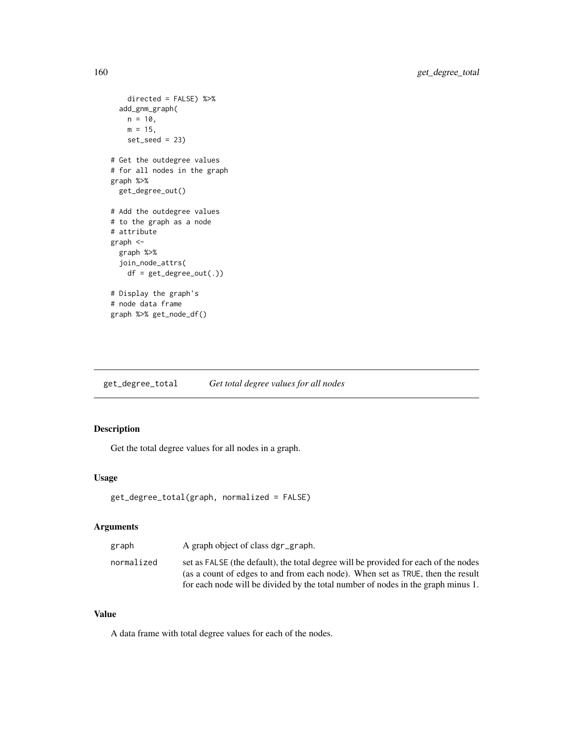```
directed = FALSE) %>%
  add_gnm_graph(
   n = 10,
   m = 15,
   set_seed = 23)
# Get the outdegree values
# for all nodes in the graph
graph %>%
  get_degree_out()
# Add the outdegree values
# to the graph as a node
# attribute
graph <-
  graph %>%
  join_node_attrs(
   df = get_degree_out(.))
# Display the graph's
# node data frame
graph %>% get_node_df()
```
get\_degree\_total *Get total degree values for all nodes*

# Description

Get the total degree values for all nodes in a graph.

# Usage

```
get_degree_total(graph, normalized = FALSE)
```
## Arguments

| normalized | graph | A graph object of class dgr_graph.                                                                                                                                                                                                                        |
|------------|-------|-----------------------------------------------------------------------------------------------------------------------------------------------------------------------------------------------------------------------------------------------------------|
|            |       | set as FALSE (the default), the total degree will be provided for each of the nodes<br>(as a count of edges to and from each node). When set as TRUE, then the result<br>for each node will be divided by the total number of nodes in the graph minus 1. |

#### Value

A data frame with total degree values for each of the nodes.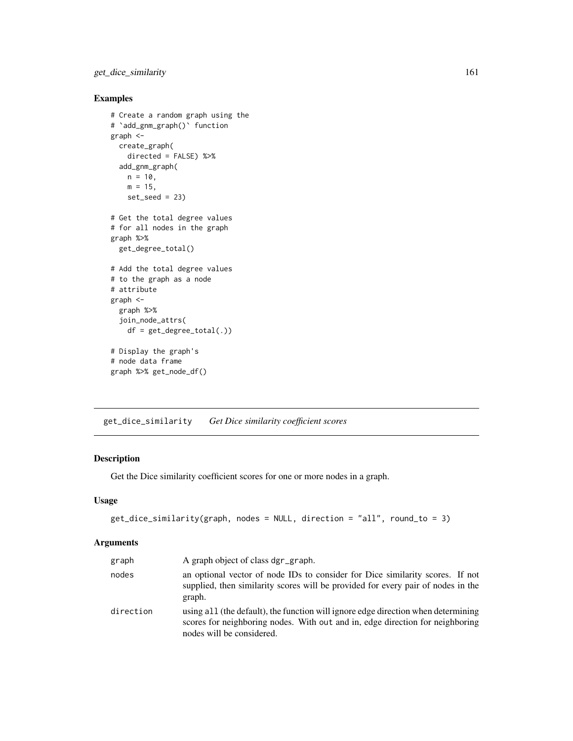get\_dice\_similarity 161

# Examples

```
# Create a random graph using the
# `add_gnm_graph()` function
graph <-
 create_graph(
   directed = FALSE) %>%
 add_gnm_graph(
   n = 10,
   m = 15,
   set\_seed = 23# Get the total degree values
# for all nodes in the graph
graph %>%
  get_degree_total()
# Add the total degree values
# to the graph as a node
# attribute
graph <-
  graph %>%
  join_node_attrs(
   df = get_degree_total(.))
# Display the graph's
# node data frame
graph %>% get_node_df()
```
get\_dice\_similarity *Get Dice similarity coefficient scores*

# Description

Get the Dice similarity coefficient scores for one or more nodes in a graph.

#### Usage

```
get_dice_similarity(graph, nodes = NULL, direction = "all", round_to = 3)
```
#### Arguments

| graph     | A graph object of class dgr_graph.                                                                                                                                                              |
|-----------|-------------------------------------------------------------------------------------------------------------------------------------------------------------------------------------------------|
| nodes     | an optional vector of node IDs to consider for Dice similarity scores. If not<br>supplied, then similarity scores will be provided for every pair of nodes in the<br>graph.                     |
| direction | using all (the default), the function will ignore edge direction when determining<br>scores for neighboring nodes. With out and in, edge direction for neighboring<br>nodes will be considered. |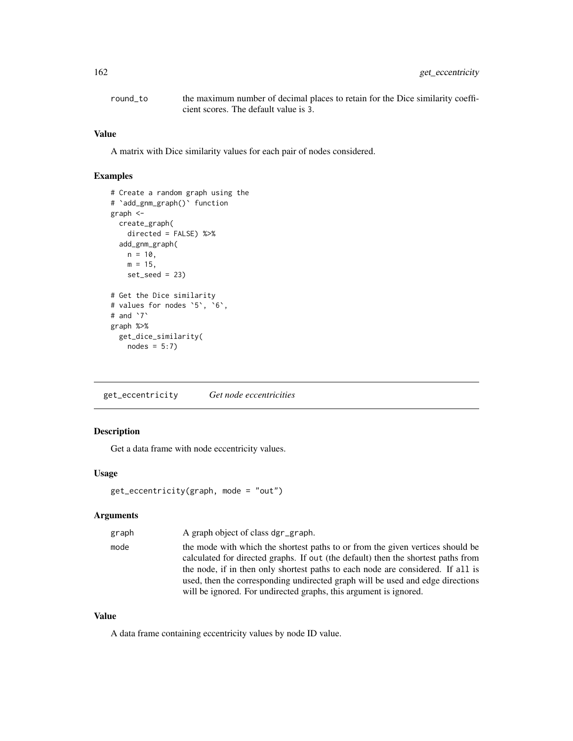| round to | the maximum number of decimal places to retain for the Dice similarity coeffi- |
|----------|--------------------------------------------------------------------------------|
|          | cient scores. The default value is 3.                                          |

#### Value

A matrix with Dice similarity values for each pair of nodes considered.

# Examples

```
# Create a random graph using the
# `add_gnm_graph()` function
graph <-
 create_graph(
   directed = FALSE) %>%
 add_gnm_graph(
   n = 10,
   m = 15,
   set\_seed = 23# Get the Dice similarity
# values for nodes `5`, `6`,
# and `7`
graph %>%
  get_dice_similarity(
   nodes = 5:7)
```
get\_eccentricity *Get node eccentricities*

# Description

Get a data frame with node eccentricity values.

## Usage

```
get_eccentricity(graph, mode = "out")
```
# Arguments

| graph | A graph object of class dgr_graph.                                                |
|-------|-----------------------------------------------------------------------------------|
| mode  | the mode with which the shortest paths to or from the given vertices should be    |
|       | calculated for directed graphs. If out (the default) then the shortest paths from |
|       | the node, if in then only shortest paths to each node are considered. If all is   |
|       | used, then the corresponding undirected graph will be used and edge directions    |
|       | will be ignored. For undirected graphs, this argument is ignored.                 |
|       |                                                                                   |

# Value

A data frame containing eccentricity values by node ID value.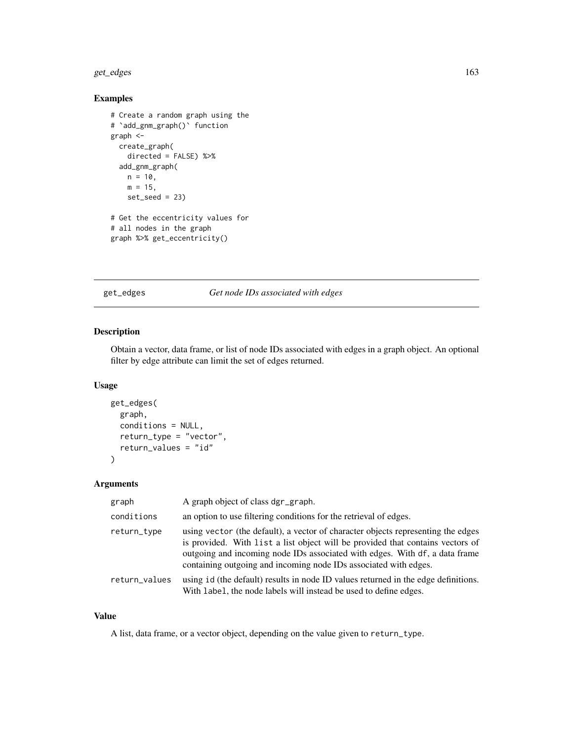#### get\_edges 163

# Examples

```
# Create a random graph using the
# `add_gnm_graph()` function
graph <-
  create_graph(
   directed = FALSE) %>%
  add_gnm_graph(
   n = 10,
   m = 15,
   set\_seed = 23# Get the eccentricity values for
# all nodes in the graph
graph %>% get_eccentricity()
```
get\_edges *Get node IDs associated with edges*

## Description

Obtain a vector, data frame, or list of node IDs associated with edges in a graph object. An optional filter by edge attribute can limit the set of edges returned.

# Usage

```
get_edges(
  graph,
  conditions = NULL,
  return_type = "vector",
  return_values = "id"
\mathcal{L}
```
## Arguments

| graph         | A graph object of class dgr_graph.                                                                                                                                                                                                                                                                                    |
|---------------|-----------------------------------------------------------------------------------------------------------------------------------------------------------------------------------------------------------------------------------------------------------------------------------------------------------------------|
| conditions    | an option to use filtering conditions for the retrieval of edges.                                                                                                                                                                                                                                                     |
| return_type   | using vector (the default), a vector of character objects representing the edges<br>is provided. With list a list object will be provided that contains vectors of<br>outgoing and incoming node IDs associated with edges. With df, a data frame<br>containing outgoing and incoming node IDs associated with edges. |
| return_values | using id (the default) results in node ID values returned in the edge definitions.<br>With label, the node labels will instead be used to define edges.                                                                                                                                                               |

## Value

A list, data frame, or a vector object, depending on the value given to return\_type.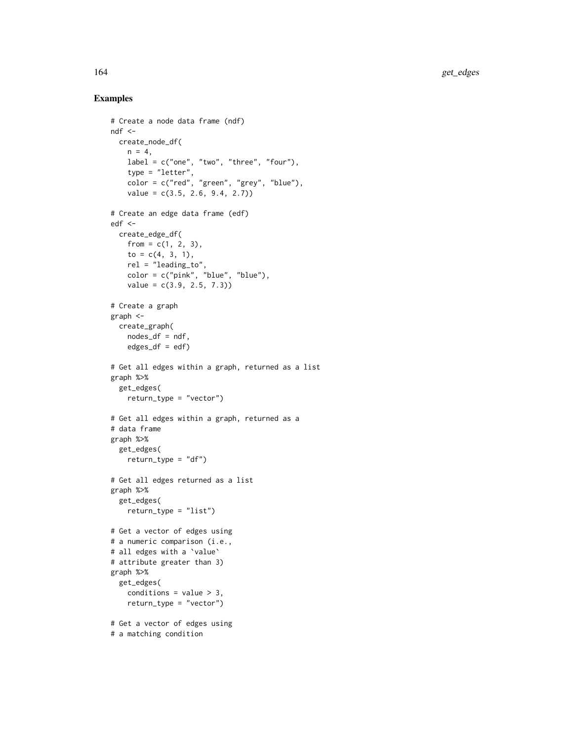```
# Create a node data frame (ndf)
ndf < -create_node_df(
   n = 4,
   label = c("one", "two", "three", "four"),type = "letter"color = c("red", "green", "grey", "blue"),
   value = c(3.5, 2.6, 9.4, 2.7)# Create an edge data frame (edf)
edf <-
 create_edge_df(
   from = c(1, 2, 3),
   to = c(4, 3, 1),
   rel = "leading_to",
   color = c("pink", "blue", "blue"),
   value = c(3.9, 2.5, 7.3)# Create a graph
graph <-
 create_graph(
   nodes_df = ndf,
   edges_df = edf)
# Get all edges within a graph, returned as a list
graph %>%
 get_edges(
   return_type = "vector")
# Get all edges within a graph, returned as a
# data frame
graph %>%
  get_edges(
   return_type = "df")
# Get all edges returned as a list
graph %>%
 get_edges(
   return_type = "list")
# Get a vector of edges using
# a numeric comparison (i.e.,
# all edges with a `value`
# attribute greater than 3)
graph %>%
 get_edges(
    conditions = value > 3,
   return_type = "vector")
# Get a vector of edges using
# a matching condition
```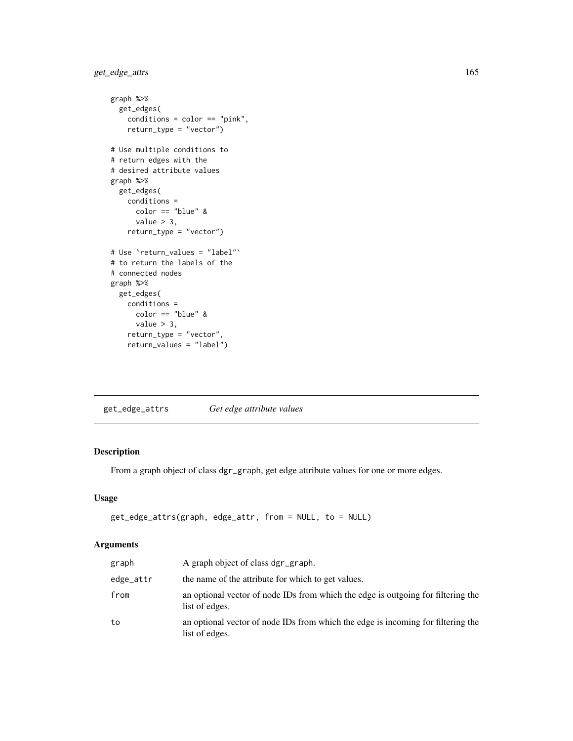```
get_edge_attrs 165
```

```
graph %>%
  get_edges(
   conditions = color == "pink",
   return_type = "vector")
# Use multiple conditions to
# return edges with the
# desired attribute values
graph %>%
  get_edges(
   conditions =
     color == "blue" &
      value > 3,
    return_type = "vector")# Use `return_values = "label"`
# to return the labels of the
# connected nodes
graph %>%
  get_edges(
   conditions =
     color == "blue" &
     value > 3,
   return_type = "vector",
   return_values = "label")
```
get\_edge\_attrs *Get edge attribute values*

## Description

From a graph object of class dgr\_graph, get edge attribute values for one or more edges.

## Usage

```
get_edge_attrs(graph, edge_attr, from = NULL, to = NULL)
```
# Arguments

| graph     | A graph object of class dgr_graph.                                                                 |
|-----------|----------------------------------------------------------------------------------------------------|
| edge_attr | the name of the attribute for which to get values.                                                 |
| from      | an optional vector of node IDs from which the edge is outgoing for filtering the<br>list of edges. |
| to        | an optional vector of node IDs from which the edge is incoming for filtering the<br>list of edges. |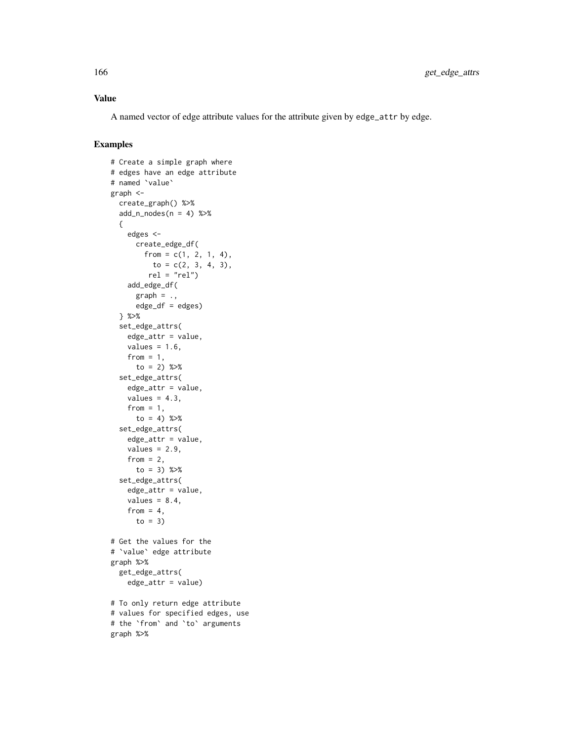## Value

A named vector of edge attribute values for the attribute given by edge\_attr by edge.

```
# Create a simple graph where
# edges have an edge attribute
# named `value`
graph <-
  create_graph() %>%
  add_n\_nodes(n = 4) %>%
  {
    edges <-
      create_edge_df(
       from = c(1, 2, 1, 4),to = c(2, 3, 4, 3),rel = "rel")add_edge_df(
      graph = .edge_df = edges)
  } %>%
  set_edge_attrs(
   edge_attr = value,
   values = 1.6,
   from = 1,
     to = 2) % >set_edge_attrs(
    edge_attr = value,
   values = 4.3,
   from = 1,
     to = 4) % >set_edge_attrs(
    edge_attr = value,
    values = 2.9,
   from = 2,
      to = 3) %>%
  set_edge_attrs(
    edge_attr = value,
   values = 8.4,
   from = 4,
     to = 3)
# Get the values for the
# `value` edge attribute
graph %>%
  get_edge_attrs(
   edge_attr = value)
# To only return edge attribute
# values for specified edges, use
# the `from` and `to` arguments
graph %>%
```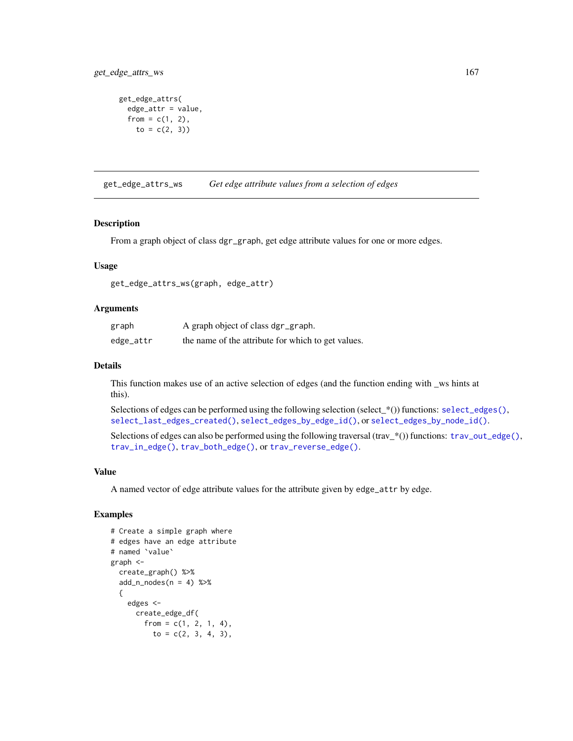```
get_edge_attrs(
 edge_attr = value,
  from = c(1, 2),
   to = c(2, 3))
```
get\_edge\_attrs\_ws *Get edge attribute values from a selection of edges*

## Description

From a graph object of class dgr\_graph, get edge attribute values for one or more edges.

#### Usage

get\_edge\_attrs\_ws(graph, edge\_attr)

#### Arguments

| graph     | A graph object of class dgr_graph.                 |
|-----------|----------------------------------------------------|
| edge_attr | the name of the attribute for which to get values. |

#### Details

This function makes use of an active selection of edges (and the function ending with \_ws hints at this).

Selections of edges can be performed using the following selection (select\_\*()) functions: [select\\_edges\(\)](#page-276-0), [select\\_last\\_edges\\_created\(\)](#page-280-0), [select\\_edges\\_by\\_edge\\_id\(\)](#page-278-0), or [select\\_edges\\_by\\_node\\_id\(\)](#page-279-0).

Selections of edges can also be performed using the following traversal (trav\_\*()) functions: [trav\\_out\\_edge\(\)](#page-339-0), [trav\\_in\\_edge\(\)](#page-324-0), [trav\\_both\\_edge\(\)](#page-316-0), or [trav\\_reverse\\_edge\(\)](#page-349-0).

#### Value

A named vector of edge attribute values for the attribute given by edge\_attr by edge.

```
# Create a simple graph where
# edges have an edge attribute
# named `value`
graph <-
 create_graph() %>%
 add_n nodes(n = 4) %>%
 {
   edges <-
     create_edge_df(
       from = c(1, 2, 1, 4),
         to = c(2, 3, 4, 3),
```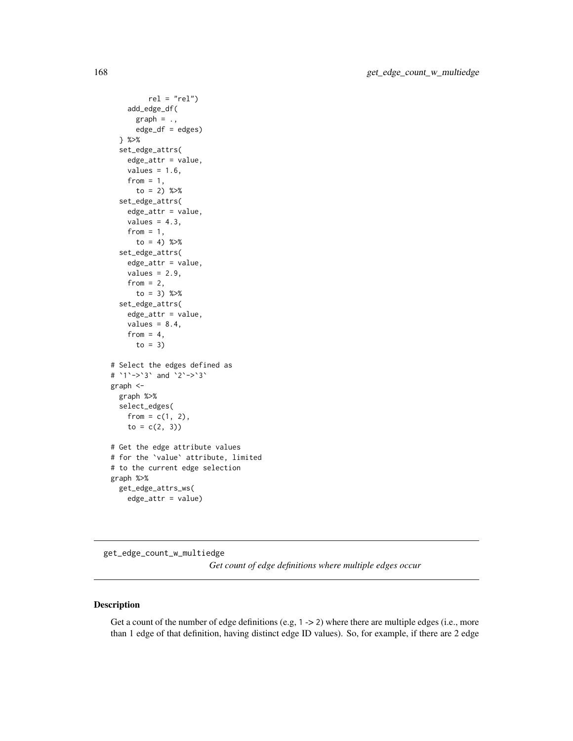```
rel = "rel")add_edge_df(
     graph = .,
     edge_df = edges)
 } %>%
 set_edge_attrs(
   edge_attr = value,
   values = 1.6,
   from = 1,
     to = 2) %>%
 set_edge_attrs(
   edge_attr = value,
   values = 4.3,
   from = 1,
     to = 4) %>%
 set_edge_attrs(
   edge_attr = value,
   values = 2.9,
   from = 2,
     to = 3) %>%
 set_edge_attrs(
   edge_attr = value,
   values = 8.4,
   from = 4,
     to = 3)
# Select the edges defined as
# `1`->`3` and `2`->`3`
graph <-
 graph %>%
 select_edges(
   from = c(1, 2),
   to = c(2, 3))# Get the edge attribute values
# for the `value` attribute, limited
# to the current edge selection
graph %>%
 get_edge_attrs_ws(
   edge_attr = value)
```
get\_edge\_count\_w\_multiedge *Get count of edge definitions where multiple edges occur*

#### Description

Get a count of the number of edge definitions (e.g,  $1 \rightarrow 2$ ) where there are multiple edges (i.e., more than 1 edge of that definition, having distinct edge ID values). So, for example, if there are 2 edge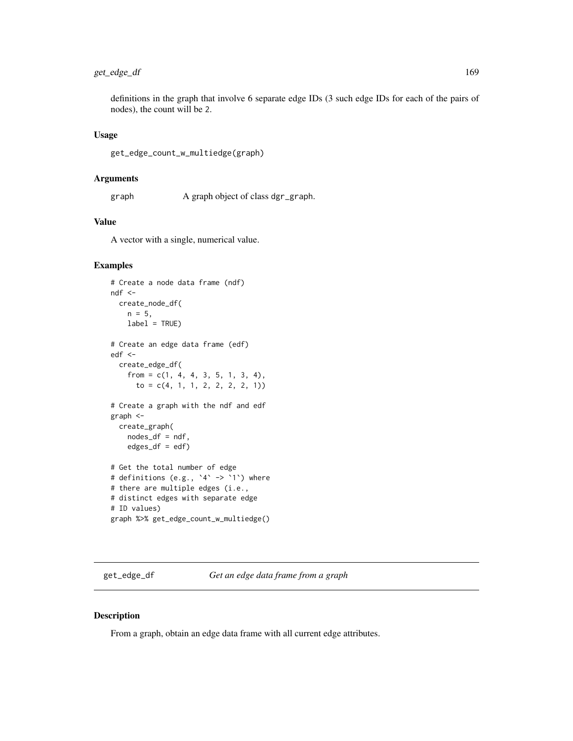# get\_edge\_df 169

definitions in the graph that involve 6 separate edge IDs (3 such edge IDs for each of the pairs of nodes), the count will be 2.

#### Usage

get\_edge\_count\_w\_multiedge(graph)

#### Arguments

graph A graph object of class dgr\_graph.

# Value

A vector with a single, numerical value.

## Examples

```
# Create a node data frame (ndf)
ndf <-
  create_node_df(
   n = 5,
    label = TRUE)
# Create an edge data frame (edf)
edf <-
  create_edge_df(
    from = c(1, 4, 4, 3, 5, 1, 3, 4),
      to = c(4, 1, 1, 2, 2, 2, 2, 1))# Create a graph with the ndf and edf
graph <-
  create_graph(
   nodes_df = ndf,
   edges_df = edf)
# Get the total number of edge
# definitions (e.g., `4` -> `1`) where
# there are multiple edges (i.e.,
# distinct edges with separate edge
# ID values)
graph %>% get_edge_count_w_multiedge()
```
get\_edge\_df *Get an edge data frame from a graph*

#### Description

From a graph, obtain an edge data frame with all current edge attributes.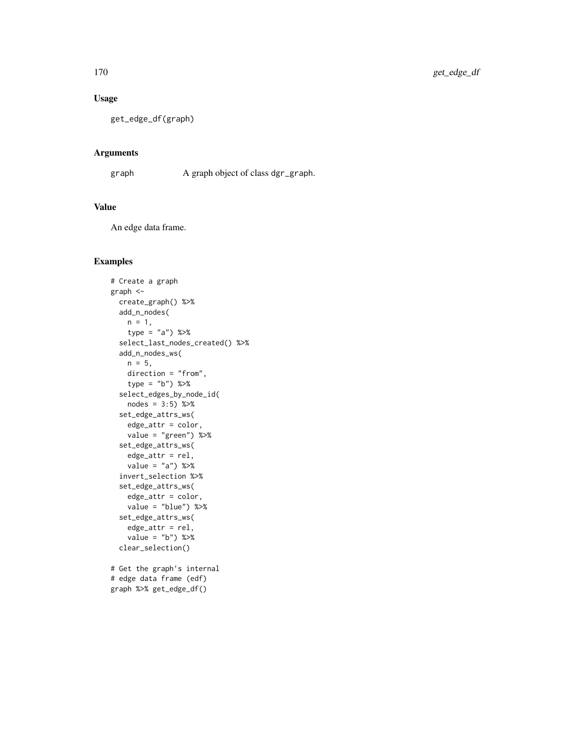# Usage

get\_edge\_df(graph)

## Arguments

graph A graph object of class dgr\_graph.

# Value

An edge data frame.

```
# Create a graph
graph <-
  create_graph() %>%
  add_n_nodes(
   n = 1,
   type = "a") %>%
  select_last_nodes_created() %>%
  add_n_nodes_ws(
   n = 5,
   direction = "from",
   type = "b") %>%
  select_edges_by_node_id(
   nodes = 3:5) %>%
  set_edge_attrs_ws(
   edge_attr = color,
   value = "green") %>%
  set_edge_attrs_ws(
   edge_attr = rel,
   value = "a") %>%
  invert_selection %>%
  set_edge_attrs_ws(
   edge_attr = color,
   value = "blue") %>%
  set_edge_attrs_ws(
   edge_attr = rel,
   value = "b") %>%
  clear_selection()
# Get the graph's internal
# edge data frame (edf)
graph %>% get_edge_df()
```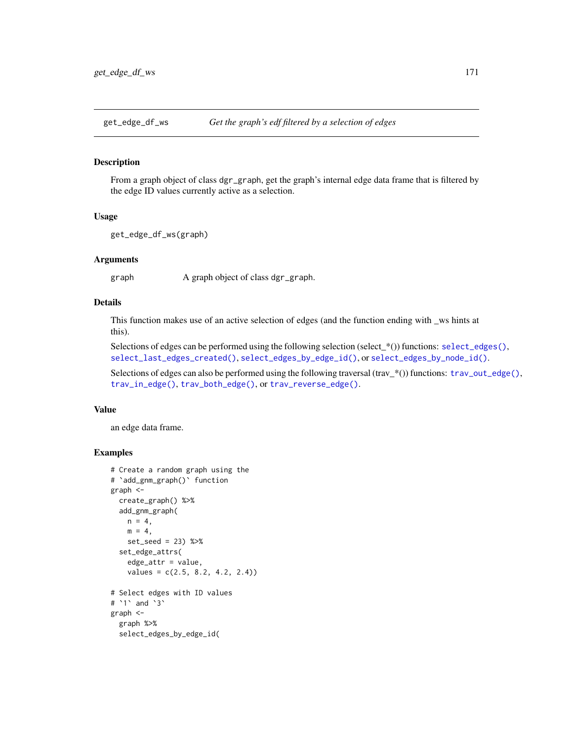#### Description

From a graph object of class dgr\_graph, get the graph's internal edge data frame that is filtered by the edge ID values currently active as a selection.

#### Usage

```
get_edge_df_ws(graph)
```
#### Arguments

graph A graph object of class dgr\_graph.

# Details

This function makes use of an active selection of edges (and the function ending with \_ws hints at this).

Selections of edges can be performed using the following selection (select\_\*()) functions: [select\\_edges\(\)](#page-276-0), [select\\_last\\_edges\\_created\(\)](#page-280-0), [select\\_edges\\_by\\_edge\\_id\(\)](#page-278-0), or [select\\_edges\\_by\\_node\\_id\(\)](#page-279-0).

Selections of edges can also be performed using the following traversal (trav\_\*()) functions: [trav\\_out\\_edge\(\)](#page-339-0), [trav\\_in\\_edge\(\)](#page-324-0), [trav\\_both\\_edge\(\)](#page-316-0), or [trav\\_reverse\\_edge\(\)](#page-349-0).

#### Value

an edge data frame.

```
# Create a random graph using the
# `add_gnm_graph()` function
graph <-
 create_graph() %>%
 add_gnm_graph(
   n = 4,
   m = 4,
   set_seed = 23) %>%
 set_edge_attrs(
   edge_attr = value,
   values = c(2.5, 8.2, 4.2, 2.4)# Select edges with ID values
# `1` and `3`
graph <-
 graph %>%
 select_edges_by_edge_id(
```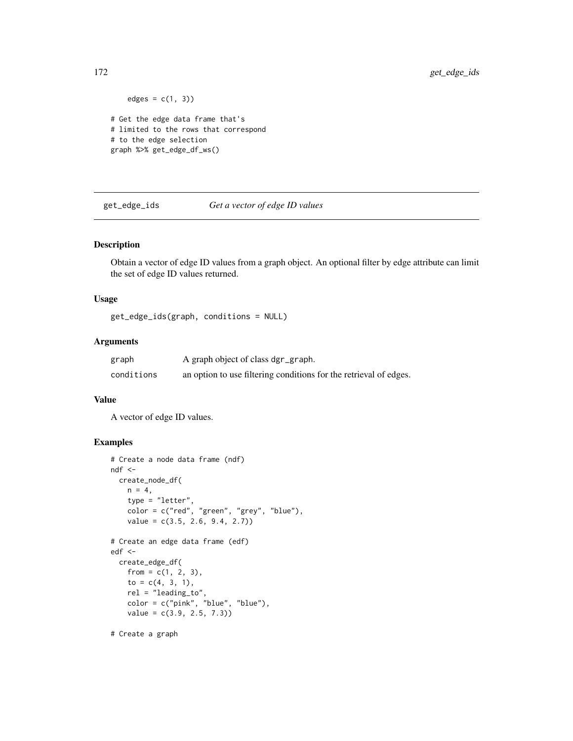```
edges = c(1, 3))
# Get the edge data frame that's
# limited to the rows that correspond
# to the edge selection
graph %>% get_edge_df_ws()
```
get\_edge\_ids *Get a vector of edge ID values*

#### Description

Obtain a vector of edge ID values from a graph object. An optional filter by edge attribute can limit the set of edge ID values returned.

#### Usage

get\_edge\_ids(graph, conditions = NULL)

## Arguments

| graph      | A graph object of class dgr_graph.                                |
|------------|-------------------------------------------------------------------|
| conditions | an option to use filtering conditions for the retrieval of edges. |

#### Value

A vector of edge ID values.

# Examples

```
# Create a node data frame (ndf)
ndf <-
  create_node_df(
   n = 4,
   type = "letter",
   color = c("red", "green", "grey", "blue"),
    value = c(3.5, 2.6, 9.4, 2.7)# Create an edge data frame (edf)
edf <-
  create_edge_df(
   from = c(1, 2, 3),
    to = c(4, 3, 1),
    rel = "leading_to",
    color = c("pink", "blue", "blue"),
   value = c(3.9, 2.5, 7.3)
```
# Create a graph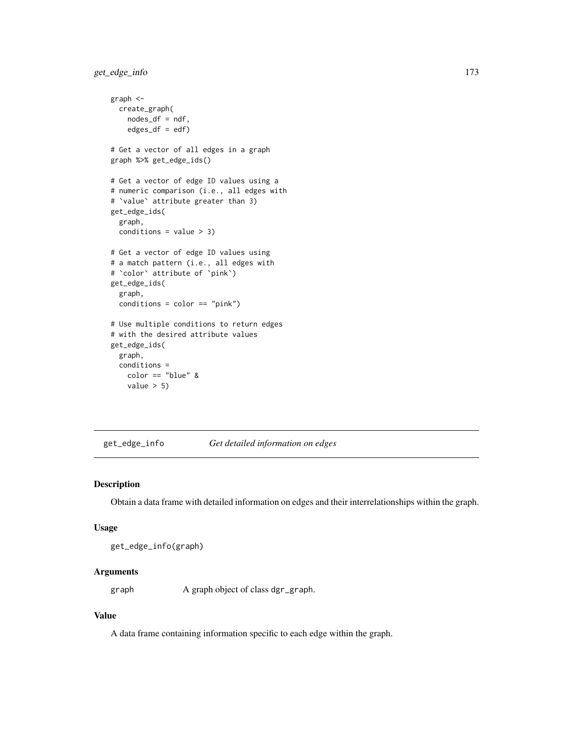get\_edge\_info 173

```
graph <-
 create_graph(
   nodes_df = ndf,
   edges\_df = edf)# Get a vector of all edges in a graph
graph %>% get_edge_ids()
# Get a vector of edge ID values using a
# numeric comparison (i.e., all edges with
# `value` attribute greater than 3)
get_edge_ids(
 graph,
 conditions = value > 3)# Get a vector of edge ID values using
# a match pattern (i.e., all edges with
# `color` attribute of `pink`)
get_edge_ids(
 graph,
 conditions = color == "pink")
# Use multiple conditions to return edges
# with the desired attribute values
get_edge_ids(
 graph,
 conditions =
   color == "blue" &
   value > 5)
```
get\_edge\_info *Get detailed information on edges*

## Description

Obtain a data frame with detailed information on edges and their interrelationships within the graph.

#### Usage

```
get_edge_info(graph)
```
# Arguments

graph A graph object of class dgr\_graph.

# Value

A data frame containing information specific to each edge within the graph.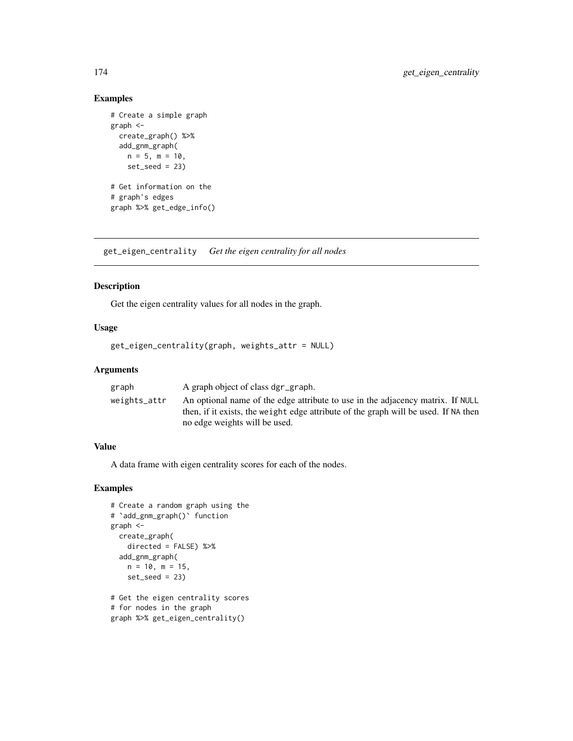# Examples

```
# Create a simple graph
graph <-
 create_graph() %>%
 add_gnm_graph(
   n = 5, m = 10,
   set\_seed = 23)# Get information on the
# graph's edges
graph %>% get_edge_info()
```
get\_eigen\_centrality *Get the eigen centrality for all nodes*

# Description

Get the eigen centrality values for all nodes in the graph.

## Usage

```
get_eigen_centrality(graph, weights_attr = NULL)
```
# Arguments

| graph        | A graph object of class dgr_graph.                                                  |
|--------------|-------------------------------------------------------------------------------------|
| weights_attr | An optional name of the edge attribute to use in the adjacency matrix. If NULL      |
|              | then, if it exists, the weight edge attribute of the graph will be used. If NA then |
|              | no edge weights will be used.                                                       |

## Value

A data frame with eigen centrality scores for each of the nodes.

```
# Create a random graph using the
# `add_gnm_graph()` function
graph <-
 create_graph(
   directed = FALSE) %>%
  add_gnm_graph(
   n = 10, m = 15,
   set\_seed = 23# Get the eigen centrality scores
# for nodes in the graph
graph %>% get_eigen_centrality()
```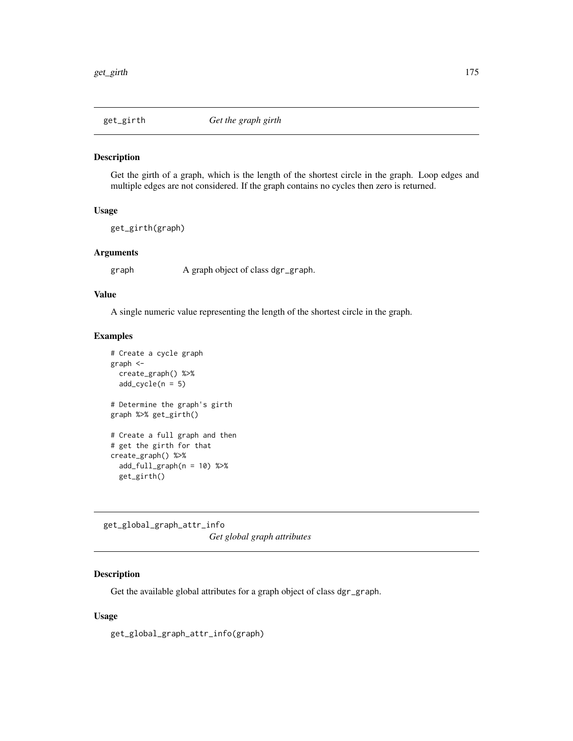#### Description

Get the girth of a graph, which is the length of the shortest circle in the graph. Loop edges and multiple edges are not considered. If the graph contains no cycles then zero is returned.

# Usage

get\_girth(graph)

# Arguments

graph A graph object of class dgr\_graph.

## Value

A single numeric value representing the length of the shortest circle in the graph.

#### Examples

```
# Create a cycle graph
graph <-
  create_graph() %>%
  add\_cycle(n = 5)# Determine the graph's girth
graph %>% get_girth()
# Create a full graph and then
# get the girth for that
create_graph() %>%
  add_full_{graph}(n = 10) %>%
  get_girth()
```
get\_global\_graph\_attr\_info *Get global graph attributes*

# Description

Get the available global attributes for a graph object of class dgr\_graph.

## Usage

get\_global\_graph\_attr\_info(graph)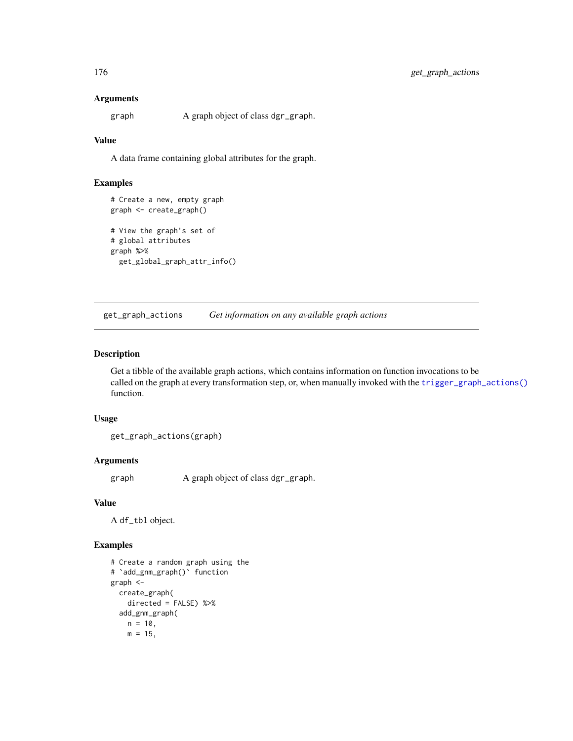#### Arguments

graph A graph object of class dgr\_graph.

#### Value

A data frame containing global attributes for the graph.

## Examples

```
# Create a new, empty graph
graph <- create_graph()
# View the graph's set of
# global attributes
graph %>%
 get_global_graph_attr_info()
```
get\_graph\_actions *Get information on any available graph actions*

#### Description

Get a tibble of the available graph actions, which contains information on function invocations to be called on the graph at every transformation step, or, when manually invoked with the [trigger\\_graph\\_actions\(\)](#page-351-0) function.

## Usage

get\_graph\_actions(graph)

### Arguments

graph A graph object of class dgr\_graph.

## Value

A df\_tbl object.

```
# Create a random graph using the
# `add_gnm_graph()` function
graph <-
 create_graph(
   directed = FALSE) %>%
 add_gnm_graph(
   n = 10,
   m = 15,
```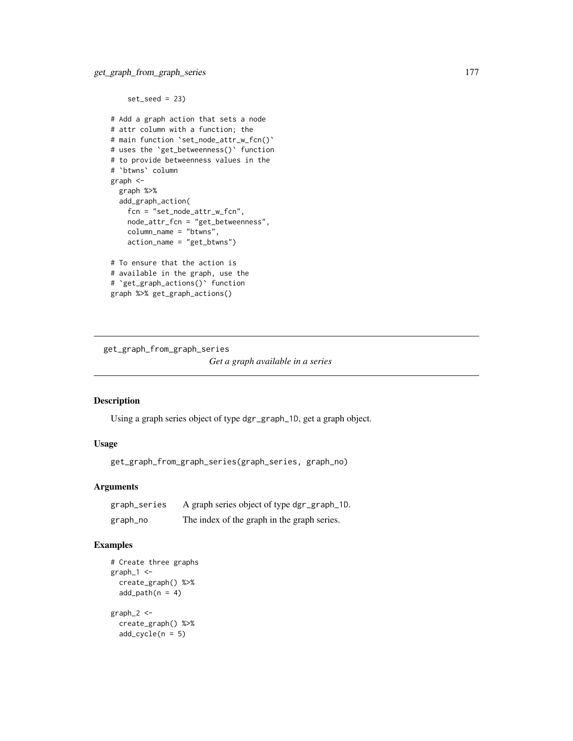```
set\_seed = 23# Add a graph action that sets a node
# attr column with a function; the
# main function `set_node_attr_w_fcn()`
# uses the `get_betweenness()` function
# to provide betweenness values in the
# `btwns` column
graph <-
  graph %>%
  add_graph_action(
   fcn = "set_node_attr_w_fcn",
   node_attr_fcn = "get_betweenness",
   column_name = "btwns",
    action_name = "get_btwns")
# To ensure that the action is
# available in the graph, use the
# `get_graph_actions()` function
graph %>% get_graph_actions()
```
get\_graph\_from\_graph\_series *Get a graph available in a series*

# Description

Using a graph series object of type dgr\_graph\_1D, get a graph object.

# Usage

get\_graph\_from\_graph\_series(graph\_series, graph\_no)

## Arguments

| graph_series | A graph series object of type dgr_graph_1D. |
|--------------|---------------------------------------------|
| graph_no     | The index of the graph in the graph series. |

```
# Create three graphs
graph_1 < -create_graph() %>%
  add\_path(n = 4)graph_2 <-
  create_graph() %>%
  add\_cycle(n = 5)
```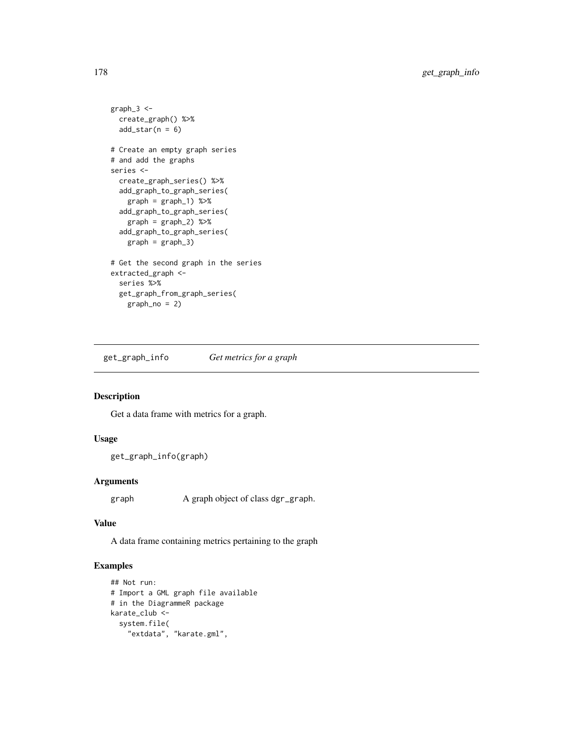```
graph_3 <-
  create_graph() %>%
  add\_star(n = 6)# Create an empty graph series
# and add the graphs
series <-
  create_graph_series() %>%
  add_graph_to_graph_series(
   graph = graph_1) %>%
  add_graph_to_graph_series(
    graph = graph_2) %>%
  add_graph_to_graph_series(
   graph = graph_3)
# Get the second graph in the series
extracted_graph <-
  series %>%
  get_graph_from_graph_series(
    graph_no = 2)
```
get\_graph\_info *Get metrics for a graph*

# Description

Get a data frame with metrics for a graph.

## Usage

```
get_graph_info(graph)
```
## Arguments

graph A graph object of class dgr\_graph.

#### Value

A data frame containing metrics pertaining to the graph

```
## Not run:
# Import a GML graph file available
# in the DiagrammeR package
karate_club <-
  system.file(
    "extdata", "karate.gml",
```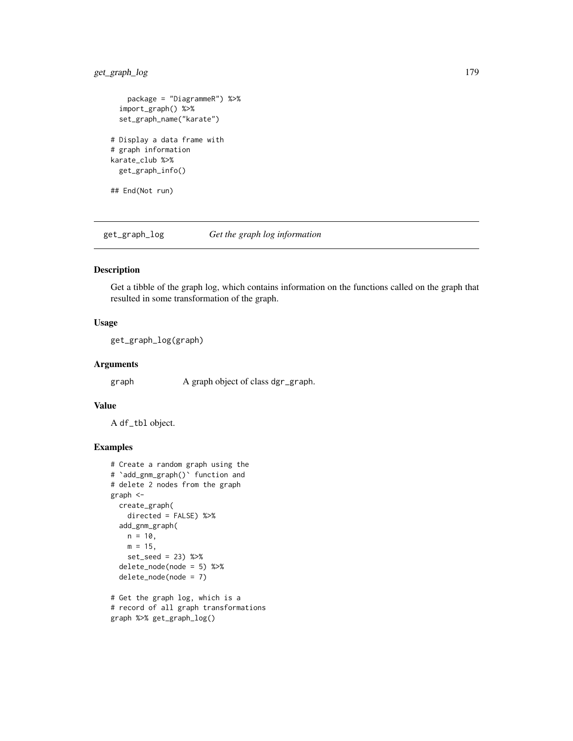# get\_graph\_log 179

```
package = "DiagrammeR") %>%
  import_graph() %>%
  set_graph_name("karate")
# Display a data frame with
# graph information
karate_club %>%
  get_graph_info()
## End(Not run)
```
get\_graph\_log *Get the graph log information*

# Description

Get a tibble of the graph log, which contains information on the functions called on the graph that resulted in some transformation of the graph.

## Usage

get\_graph\_log(graph)

#### Arguments

graph A graph object of class dgr\_graph.

## Value

A df\_tbl object.

```
# Create a random graph using the
# `add_gnm_graph()` function and
# delete 2 nodes from the graph
graph <-
 create_graph(
   directed = FALSE) %>%
  add_gnm_graph(
   n = 10,
   m = 15,
   set_seed = 23) %>%
  delete_node(node = 5) %>%
  delete_node(node = 7)
# Get the graph log, which is a
# record of all graph transformations
```

```
graph %>% get_graph_log()
```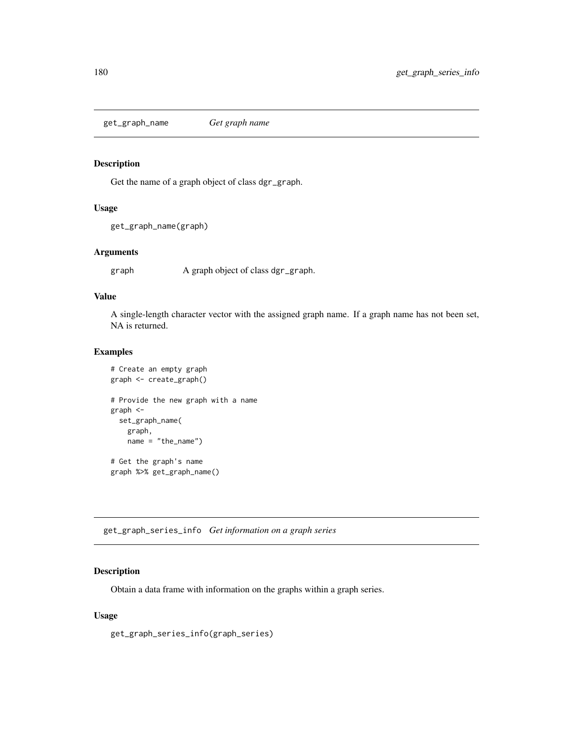get\_graph\_name *Get graph name*

# Description

Get the name of a graph object of class dgr\_graph.

## Usage

```
get_graph_name(graph)
```
# Arguments

graph A graph object of class dgr\_graph.

#### Value

A single-length character vector with the assigned graph name. If a graph name has not been set, NA is returned.

## Examples

```
# Create an empty graph
graph <- create_graph()
# Provide the new graph with a name
graph <-
  set_graph_name(
   graph,
   name = "the_name")
# Get the graph's name
graph %>% get_graph_name()
```
get\_graph\_series\_info *Get information on a graph series*

## Description

Obtain a data frame with information on the graphs within a graph series.

#### Usage

get\_graph\_series\_info(graph\_series)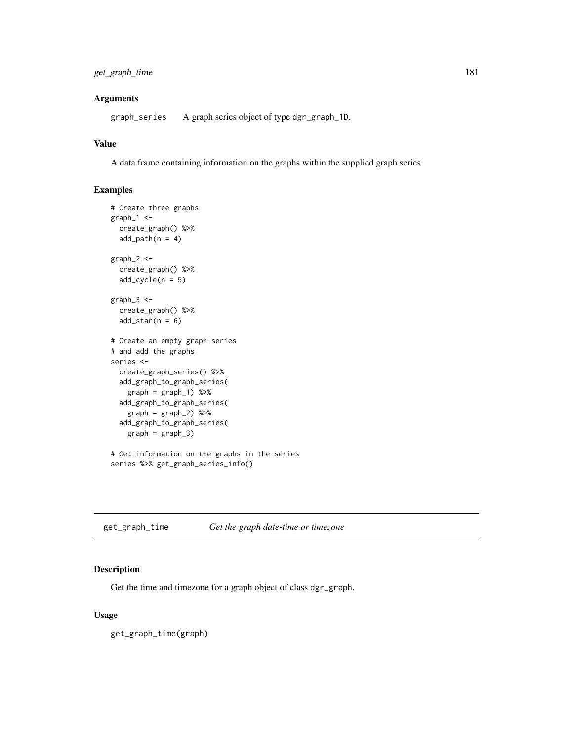## get\_graph\_time 181

## Arguments

graph\_series A graph series object of type dgr\_graph\_1D.

# Value

A data frame containing information on the graphs within the supplied graph series.

# Examples

```
# Create three graphs
graph_1 < -create_graph() %>%
  add\_path(n = 4)graph_2 < -create_graph() %>%
  add\_cycle(n = 5)graph_3 < -create_graph() %>%
  add\_star(n = 6)# Create an empty graph series
# and add the graphs
series <-
 create_graph_series() %>%
  add_graph_to_graph_series(
   graph = graph_1) %>%
  add_graph_to_graph_series(
   graph = graph_2) %>%
  add_graph_to_graph_series(
   graph = graph_3# Get information on the graphs in the series
series %>% get_graph_series_info()
```
get\_graph\_time *Get the graph date-time or timezone*

## Description

Get the time and timezone for a graph object of class dgr\_graph.

#### Usage

get\_graph\_time(graph)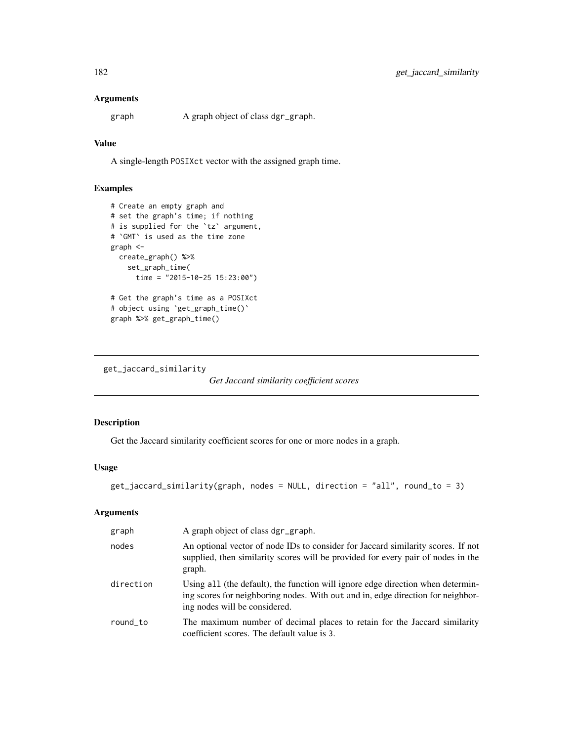## Arguments

graph A graph object of class dgr\_graph.

# Value

A single-length POSIXct vector with the assigned graph time.

# Examples

```
# Create an empty graph and
# set the graph's time; if nothing
# is supplied for the `tz` argument,
# `GMT` is used as the time zone
graph <-
 create_graph() %>%
   set_graph_time(
     time = "2015-10-25 15:23:00")
# Get the graph's time as a POSIXct
# object using `get_graph_time()`
graph %>% get_graph_time()
```
get\_jaccard\_similarity

*Get Jaccard similarity coefficient scores*

## Description

Get the Jaccard similarity coefficient scores for one or more nodes in a graph.

# Usage

```
get_jaccard_similarity(graph, nodes = NULL, direction = "all", round_to = 3)
```
## Arguments

| graph     | A graph object of class dgr_graph.                                                                                                                                                                  |
|-----------|-----------------------------------------------------------------------------------------------------------------------------------------------------------------------------------------------------|
| nodes     | An optional vector of node IDs to consider for Jaccard similarity scores. If not<br>supplied, then similarity scores will be provided for every pair of nodes in the<br>graph.                      |
| direction | Using all (the default), the function will ignore edge direction when determin-<br>ing scores for neighboring nodes. With out and in, edge direction for neighbor-<br>ing nodes will be considered. |
| round to  | The maximum number of decimal places to retain for the Jaccard similarity<br>coefficient scores. The default value is 3.                                                                            |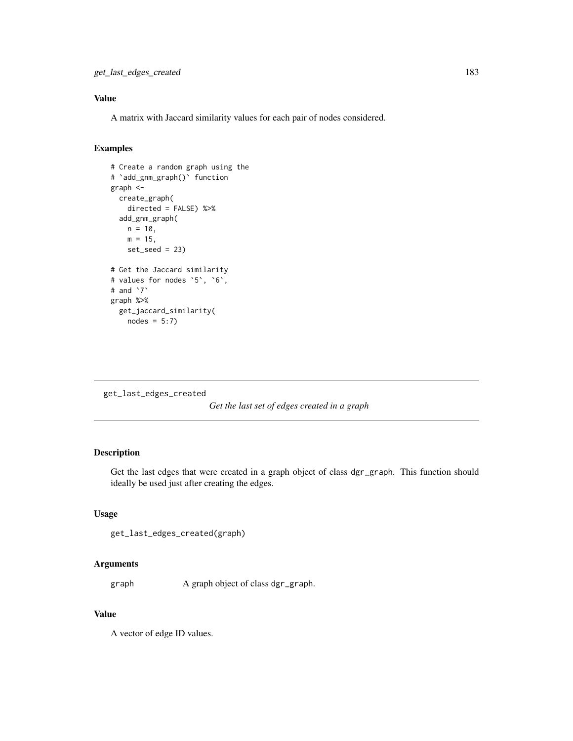# Value

A matrix with Jaccard similarity values for each pair of nodes considered.

## Examples

```
# Create a random graph using the
# `add_gnm_graph()` function
graph <-
  create_graph(
   directed = FALSE) %>%
  add_gnm_graph(
   n = 10,
   m = 15,
   set\_seed = 23# Get the Jaccard similarity
# values for nodes `5`, `6`,
# and `7`
graph %>%
  get_jaccard_similarity(
   nodes = 5:7
```

```
get_last_edges_created
```

```
Get the last set of edges created in a graph
```
## Description

Get the last edges that were created in a graph object of class dgr\_graph. This function should ideally be used just after creating the edges.

## Usage

```
get_last_edges_created(graph)
```
#### Arguments

graph A graph object of class dgr\_graph.

# Value

A vector of edge ID values.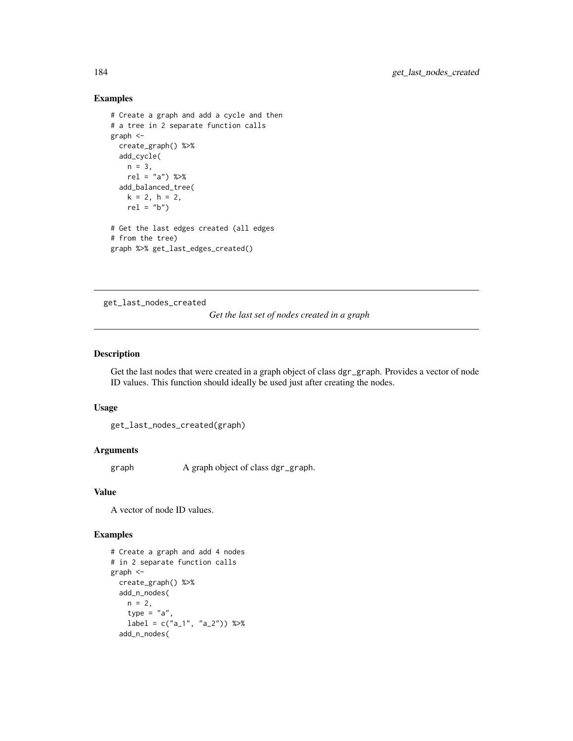# Examples

```
# Create a graph and add a cycle and then
# a tree in 2 separate function calls
graph <-
  create_graph() %>%
  add_cycle(
   n = 3,
   rel = "a") %>%
  add_balanced_tree(
   k = 2, h = 2,rel = "b")# Get the last edges created (all edges
# from the tree)
graph %>% get_last_edges_created()
```
get\_last\_nodes\_created

# *Get the last set of nodes created in a graph*

#### Description

Get the last nodes that were created in a graph object of class dgr\_graph. Provides a vector of node ID values. This function should ideally be used just after creating the nodes.

#### Usage

get\_last\_nodes\_created(graph)

#### Arguments

graph A graph object of class dgr\_graph.

#### Value

A vector of node ID values.

```
# Create a graph and add 4 nodes
# in 2 separate function calls
graph <-
  create_graph() %>%
  add_n_nodes(
   n = 2,
    type = "a"label = c("a_1", "a_2") %>%
  add_n_nodes(
```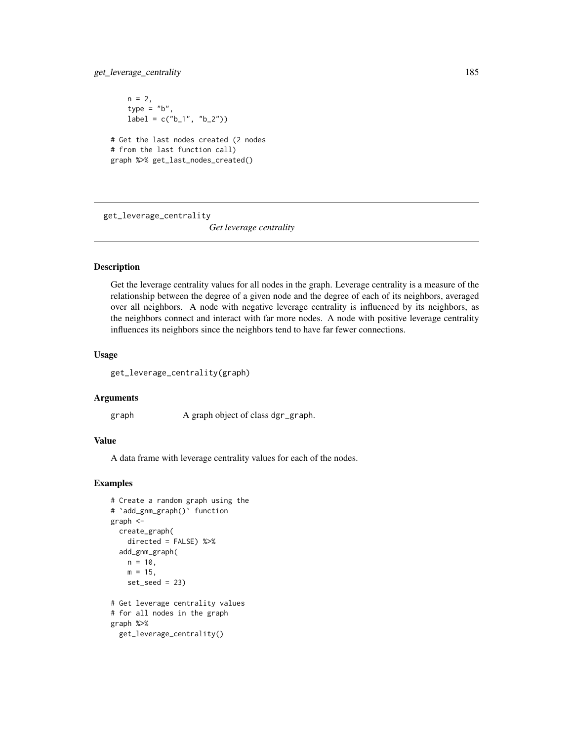## get\_leverage\_centrality 185

 $n = 2,$ type =  $"b"$ ,  $label = c("b_1", "b_2"))$ # Get the last nodes created (2 nodes # from the last function call) graph %>% get\_last\_nodes\_created()

get\_leverage\_centrality

*Get leverage centrality*

## Description

Get the leverage centrality values for all nodes in the graph. Leverage centrality is a measure of the relationship between the degree of a given node and the degree of each of its neighbors, averaged over all neighbors. A node with negative leverage centrality is influenced by its neighbors, as the neighbors connect and interact with far more nodes. A node with positive leverage centrality influences its neighbors since the neighbors tend to have far fewer connections.

#### Usage

get\_leverage\_centrality(graph)

#### Arguments

graph A graph object of class dgr\_graph.

## Value

A data frame with leverage centrality values for each of the nodes.

```
# Create a random graph using the
# `add_gnm_graph()` function
graph <-
  create_graph(
   directed = FALSE) %>%
  add_gnm_graph(
   n = 10,
   m = 15,
    set\_seed = 23)# Get leverage centrality values
# for all nodes in the graph
graph %>%
  get_leverage_centrality()
```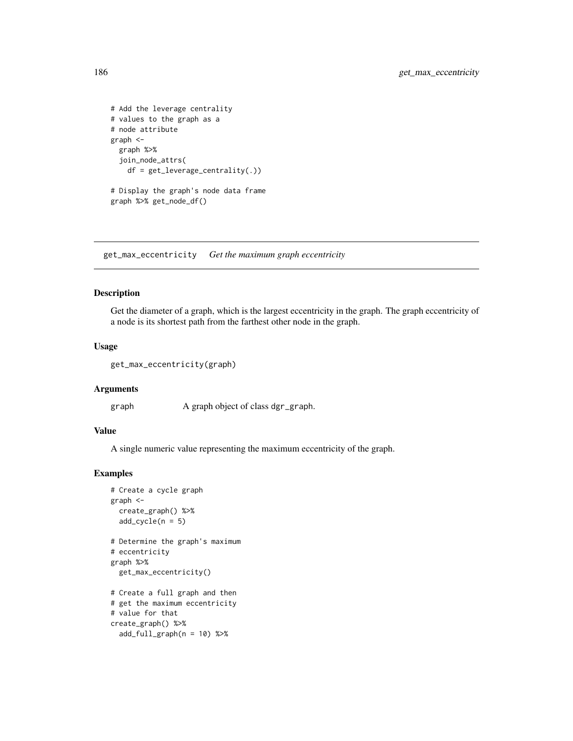```
# Add the leverage centrality
# values to the graph as a
# node attribute
graph <-
  graph %>%
  join_node_attrs(
    df = get_leverage_centrality(.))
# Display the graph's node data frame
graph %>% get_node_df()
```
get\_max\_eccentricity *Get the maximum graph eccentricity*

#### Description

Get the diameter of a graph, which is the largest eccentricity in the graph. The graph eccentricity of a node is its shortest path from the farthest other node in the graph.

## Usage

```
get_max_eccentricity(graph)
```
#### Arguments

graph A graph object of class dgr\_graph.

#### Value

A single numeric value representing the maximum eccentricity of the graph.

```
# Create a cycle graph
graph <-
  create_graph() %>%
  add\_cycle(n = 5)# Determine the graph's maximum
# eccentricity
graph %>%
  get_max_eccentricity()
# Create a full graph and then
# get the maximum eccentricity
# value for that
create_graph() %>%
  add_full_{graph}(n = 10) %>%
```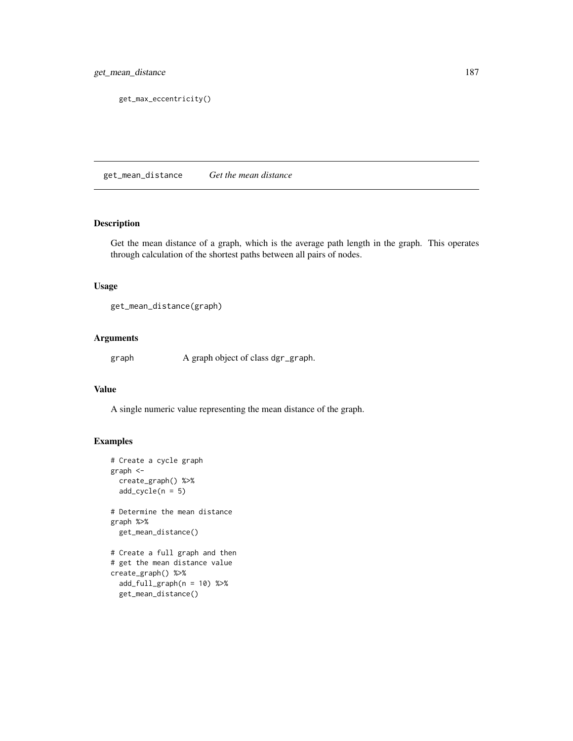get\_max\_eccentricity()

get\_mean\_distance *Get the mean distance*

#### Description

Get the mean distance of a graph, which is the average path length in the graph. This operates through calculation of the shortest paths between all pairs of nodes.

#### Usage

get\_mean\_distance(graph)

#### Arguments

graph A graph object of class dgr\_graph.

#### Value

A single numeric value representing the mean distance of the graph.

```
# Create a cycle graph
graph <-
  create_graph() %>%
  add\_cycle(n = 5)# Determine the mean distance
graph %>%
  get_mean_distance()
# Create a full graph and then
# get the mean distance value
create_graph() %>%
  add_full_graph(n = 10) %>%
  get_mean_distance()
```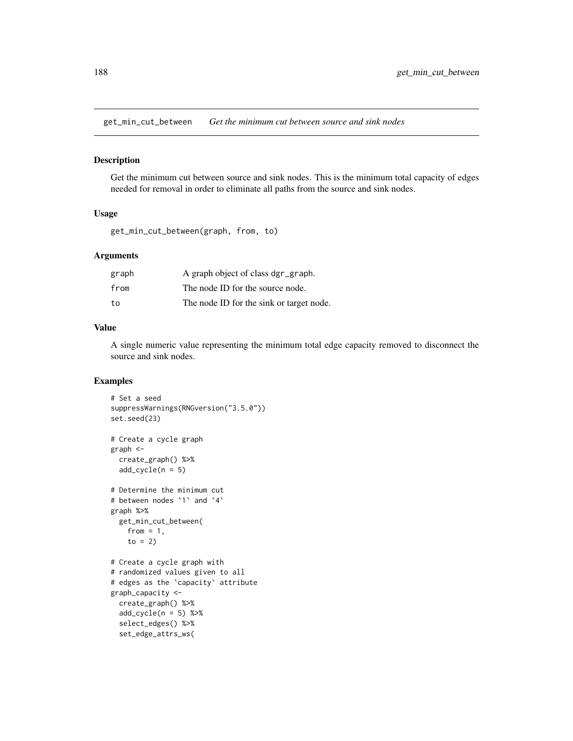get\_min\_cut\_between *Get the minimum cut between source and sink nodes*

#### Description

Get the minimum cut between source and sink nodes. This is the minimum total capacity of edges needed for removal in order to eliminate all paths from the source and sink nodes.

#### Usage

get\_min\_cut\_between(graph, from, to)

#### Arguments

| graph | A graph object of class dgr_graph.       |
|-------|------------------------------------------|
| from  | The node ID for the source node.         |
| to    | The node ID for the sink or target node. |

# Value

A single numeric value representing the minimum total edge capacity removed to disconnect the source and sink nodes.

```
# Set a seed
suppressWarnings(RNGversion("3.5.0"))
set.seed(23)
# Create a cycle graph
graph <-
 create_graph() %>%
 add\_cycle(n = 5)# Determine the minimum cut
# between nodes `1` and `4`
graph %>%
 get_min_cut_between(
   from = 1,
   to = 2)
# Create a cycle graph with
# randomized values given to all
# edges as the `capacity` attribute
graph_capacity <-
 create_graph() %>%
 add\_cycle(n = 5) %>>select_edges() %>%
 set_edge_attrs_ws(
```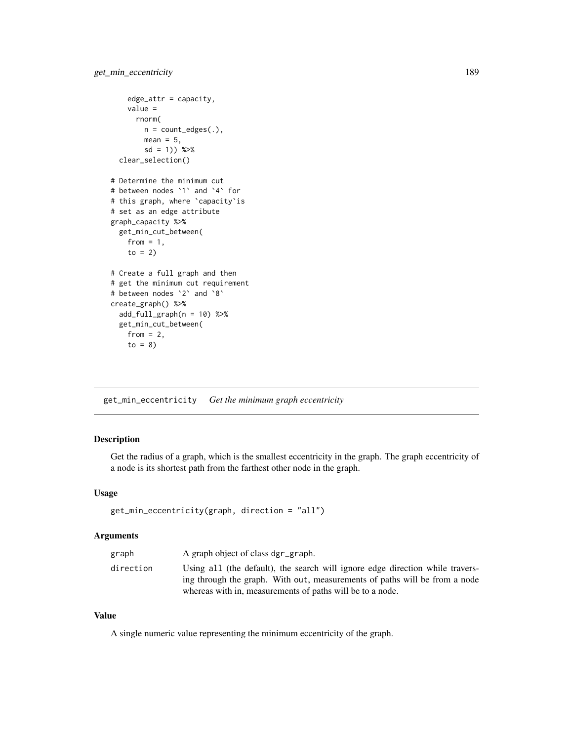```
edge_attr = capacity,
   value =
      rnorm(
       n = count\_edges(.),
       mean = 5,
        sd = 1)) %>%
  clear_selection()
# Determine the minimum cut
# between nodes `1` and `4` for
# this graph, where `capacity`is
# set as an edge attribute
graph_capacity %>%
  get_min_cut_between(
    from = 1,
    to = 2)
# Create a full graph and then
# get the minimum cut requirement
# between nodes `2` and `8`
create_graph() %>%
  add_full_{graph}(n = 10) %>%
  get_min_cut_between(
   from = 2,
    to = 8)
```
get\_min\_eccentricity *Get the minimum graph eccentricity*

# Description

Get the radius of a graph, which is the smallest eccentricity in the graph. The graph eccentricity of a node is its shortest path from the farthest other node in the graph.

#### Usage

```
get_min_eccentricity(graph, direction = "all")
```
#### Arguments

| graph     | A graph object of class dgr_graph.                                            |
|-----------|-------------------------------------------------------------------------------|
| direction | Using all (the default), the search will ignore edge direction while travers- |
|           | ing through the graph. With out, measurements of paths will be from a node    |
|           | whereas with in, measurements of paths will be to a node.                     |

## Value

A single numeric value representing the minimum eccentricity of the graph.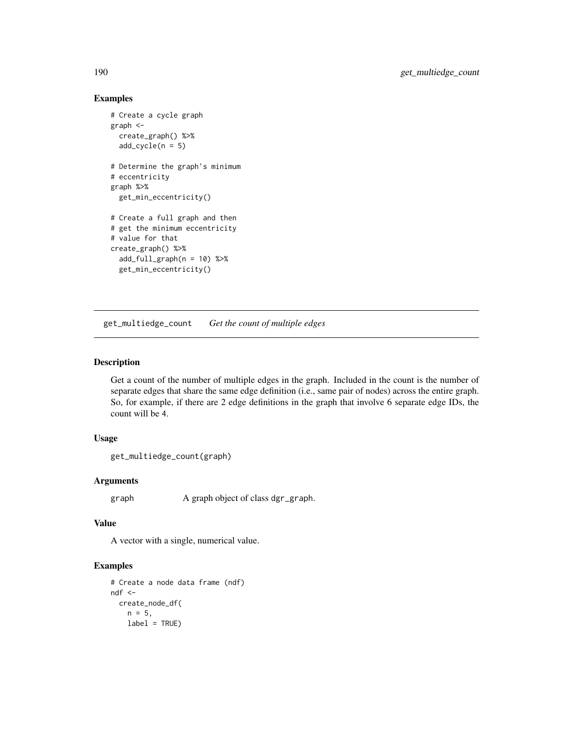# Examples

```
# Create a cycle graph
graph <-
  create_graph() %>%
  add\_cycle(n = 5)# Determine the graph's minimum
# eccentricity
graph %>%
  get_min_eccentricity()
# Create a full graph and then
# get the minimum eccentricity
# value for that
create_graph() %>%
  add_full_{graph}(n = 10) %>%
  get_min_eccentricity()
```
get\_multiedge\_count *Get the count of multiple edges*

#### Description

Get a count of the number of multiple edges in the graph. Included in the count is the number of separate edges that share the same edge definition (i.e., same pair of nodes) across the entire graph. So, for example, if there are 2 edge definitions in the graph that involve 6 separate edge IDs, the count will be 4.

## Usage

```
get_multiedge_count(graph)
```
#### Arguments

graph A graph object of class dgr\_graph.

#### Value

A vector with a single, numerical value.

```
# Create a node data frame (ndf)
ndf <-
  create_node_df(
   n = 5,
   label = TRUE)
```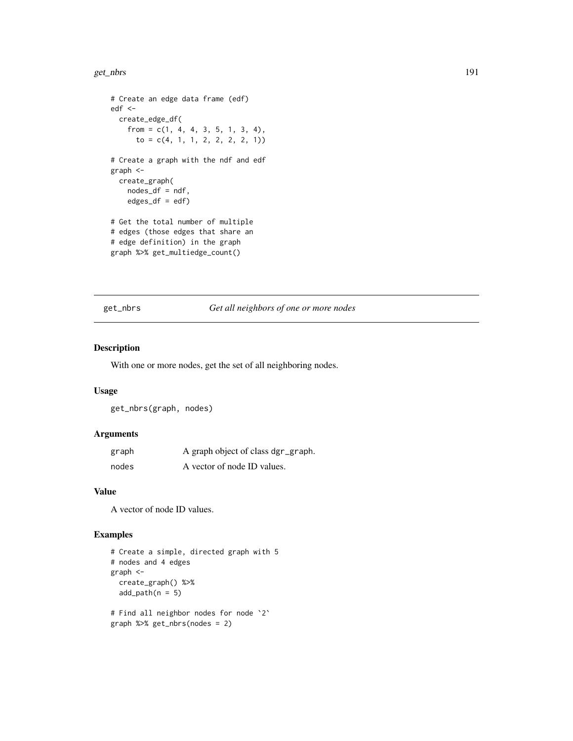#### get\_nbrs 191

```
# Create an edge data frame (edf)
edf <-
  create_edge_df(
   from = c(1, 4, 4, 3, 5, 1, 3, 4),to = c(4, 1, 1, 2, 2, 2, 2, 1))# Create a graph with the ndf and edf
graph <-
  create_graph(
   nodes_df = ndf,
   edges_df = edf)
# Get the total number of multiple
# edges (those edges that share an
# edge definition) in the graph
graph %>% get_multiedge_count()
```
get\_nbrs *Get all neighbors of one or more nodes*

#### Description

With one or more nodes, get the set of all neighboring nodes.

#### Usage

get\_nbrs(graph, nodes)

## Arguments

| graph | A graph object of class dgr_graph. |
|-------|------------------------------------|
| nodes | A vector of node ID values.        |

#### Value

A vector of node ID values.

```
# Create a simple, directed graph with 5
# nodes and 4 edges
graph <-
  create_graph() %>%
  add\_path(n = 5)# Find all neighbor nodes for node `2`
graph %>% get_nbrs(nodes = 2)
```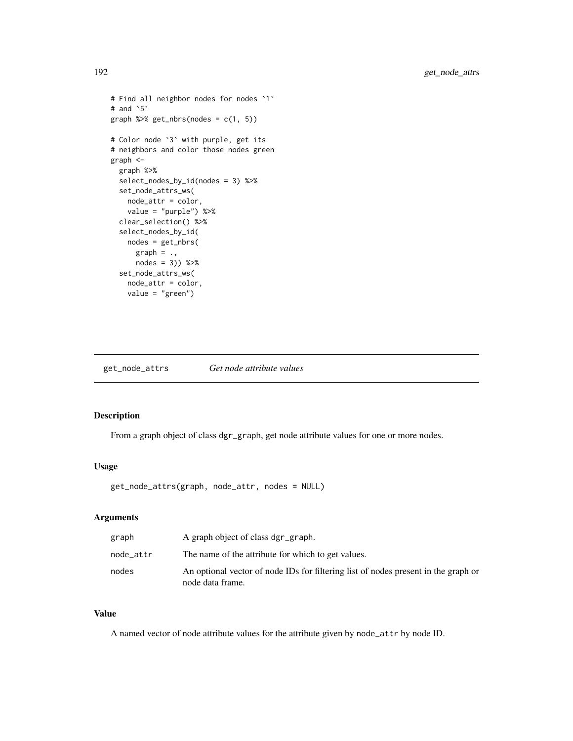```
# Find all neighbor nodes for nodes `1`
# and `5`
graph %\gg get_nbrs(nodes = c(1, 5))
# Color node `3` with purple, get its
# neighbors and color those nodes green
graph <-
  graph %>%
  select_nodes_by_id(nodes = 3) %>%
  set_node_attrs_ws(
   node_attr = color,
   value = "purple") %>%
  clear_selection() %>%
  select_nodes_by_id(
   nodes = get_nbrs(
     graph = .,
     nodes = 3)) %>%
  set_node_attrs_ws(
   node_attr = color,
   value = "green")
```
get\_node\_attrs *Get node attribute values*

# Description

From a graph object of class dgr\_graph, get node attribute values for one or more nodes.

#### Usage

```
get_node_attrs(graph, node_attr, nodes = NULL)
```
## Arguments

| graph     | A graph object of class dgr_graph.                                                                     |
|-----------|--------------------------------------------------------------------------------------------------------|
| node attr | The name of the attribute for which to get values.                                                     |
| nodes     | An optional vector of node IDs for filtering list of nodes present in the graph or<br>node data frame. |

# Value

A named vector of node attribute values for the attribute given by node\_attr by node ID.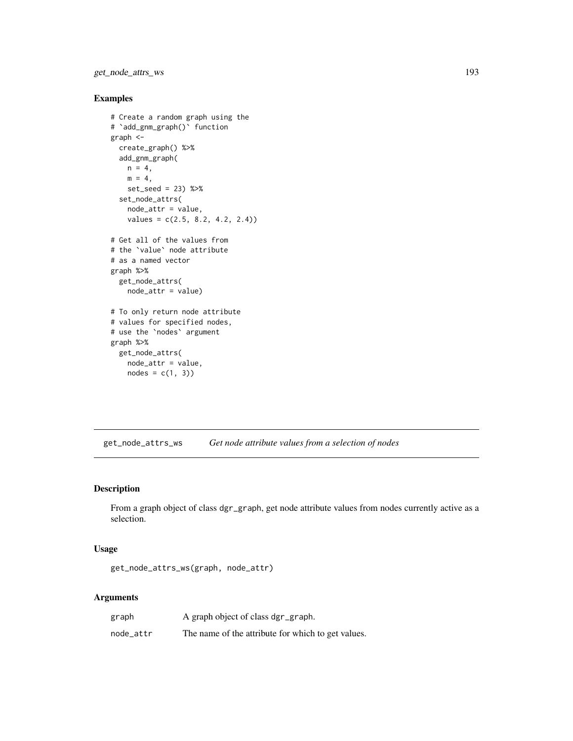get\_node\_attrs\_ws 193

#### Examples

```
# Create a random graph using the
# `add_gnm_graph()` function
graph <-
  create_graph() %>%
  add_gnm_graph(
   n = 4,
   m = 4,
   set_seed = 23) %>%
  set_node_attrs(
   node_attr = value,
   values = c(2.5, 8.2, 4.2, 2.4))
# Get all of the values from
# the `value` node attribute
# as a named vector
graph %>%
  get_node_attrs(
   node_attr = value)
# To only return node attribute
# values for specified nodes,
# use the `nodes` argument
graph %>%
  get_node_attrs(
   node_attr = value,
   nodes = c(1, 3)
```
get\_node\_attrs\_ws *Get node attribute values from a selection of nodes*

#### Description

From a graph object of class dgr\_graph, get node attribute values from nodes currently active as a selection.

#### Usage

```
get_node_attrs_ws(graph, node_attr)
```
#### Arguments

| graph     | A graph object of class dgr_graph.                 |
|-----------|----------------------------------------------------|
| node_attr | The name of the attribute for which to get values. |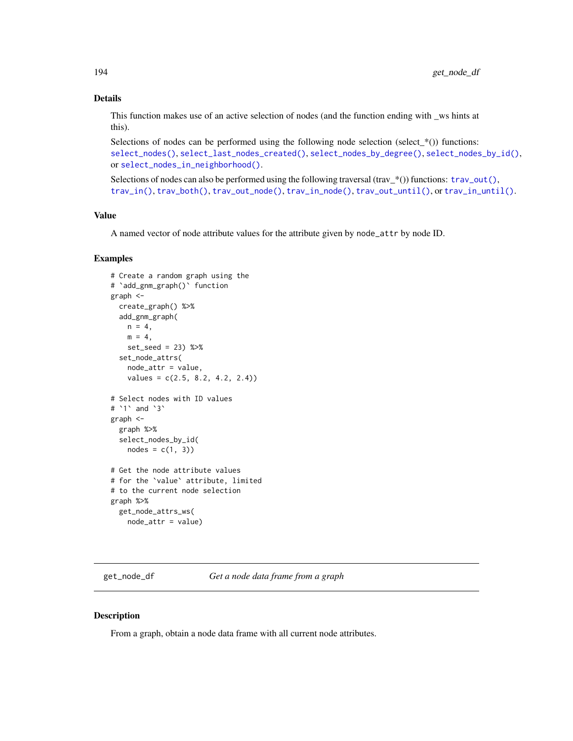## Details

This function makes use of an active selection of nodes (and the function ending with \_ws hints at this).

Selections of nodes can be performed using the following node selection (select\_ $*($ )) functions: [select\\_nodes\(\)](#page-282-0), [select\\_last\\_nodes\\_created\(\)](#page-281-0), [select\\_nodes\\_by\\_degree\(\)](#page-284-0), [select\\_nodes\\_by\\_id\(\)](#page-286-0), or [select\\_nodes\\_in\\_neighborhood\(\)](#page-287-0).

Selections of nodes can also be performed using the following traversal (trav\_\*()) functions:  $\text{trav\_out}($ ), [trav\\_in\(\)](#page-320-0), [trav\\_both\(\)](#page-312-0), [trav\\_out\\_node\(\)](#page-343-0), [trav\\_in\\_node\(\)](#page-328-0), [trav\\_out\\_until\(\)](#page-347-0), or [trav\\_in\\_until\(\)](#page-333-0).

## Value

A named vector of node attribute values for the attribute given by node\_attr by node ID.

#### Examples

```
# Create a random graph using the
# `add_gnm_graph()` function
graph <-
  create_graph() %>%
  add_gnm_graph(
   n = 4.
   m = 4,
   set_seed = 23) %>%
  set_node_attrs(
   node_attr = value,
   values = c(2.5, 8.2, 4.2, 2.4)# Select nodes with ID values
# `1` and `3`
graph <-
  graph %>%
  select_nodes_by_id(
   nodes = c(1, 3)# Get the node attribute values
# for the `value` attribute, limited
# to the current node selection
graph %>%
  get_node_attrs_ws(
   node_attr = value)
```
get\_node\_df *Get a node data frame from a graph*

#### Description

From a graph, obtain a node data frame with all current node attributes.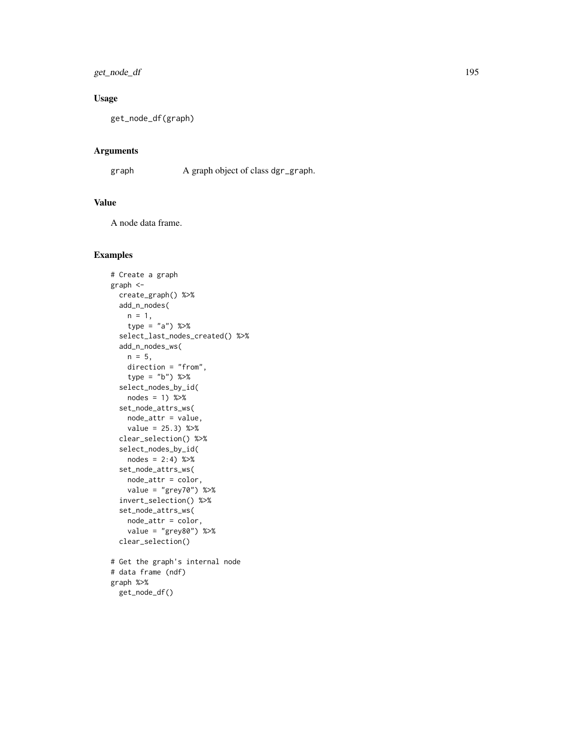get\_node\_df 195

# Usage

get\_node\_df(graph)

#### Arguments

graph A graph object of class dgr\_graph.

## Value

A node data frame.

```
# Create a graph
graph <-
  create_graph() %>%
  add_n_nodes(
   n = 1,
   type = "a") %>%
  select_last_nodes_created() %>%
  add_n_nodes_ws(
   n = 5,
   direction = "from",
   type = "b") %>%
  select_nodes_by_id(
   nodes = 1) %>%
  set_node_attrs_ws(
   node_attr = value,
   value = 25.3) %>%
  clear_selection() %>%
  select_nodes_by_id(
   nodes = 2:4) %>%
  set_node_attrs_ws(
   node_attr = color,
   value = "grey70") %>%
  invert_selection() %>%
  set_node_attrs_ws(
   node_attr = color,
   value = "grey80") %>%
  clear_selection()
# Get the graph's internal node
# data frame (ndf)
graph %>%
```

```
get_node_df()
```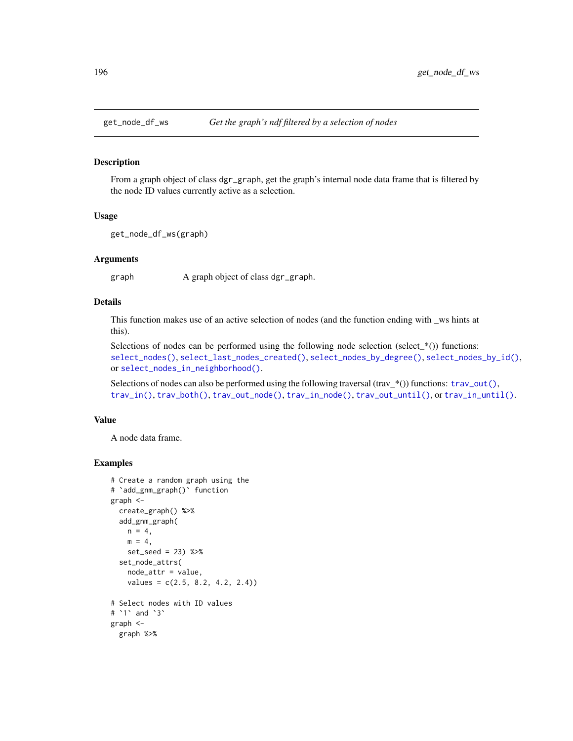#### Description

From a graph object of class dgr\_graph, get the graph's internal node data frame that is filtered by the node ID values currently active as a selection.

## Usage

get\_node\_df\_ws(graph)

#### Arguments

graph A graph object of class dgr\_graph.

## Details

This function makes use of an active selection of nodes (and the function ending with \_ws hints at this).

Selections of nodes can be performed using the following node selection (select  $*(\cdot)$ ) functions: [select\\_nodes\(\)](#page-282-0), [select\\_last\\_nodes\\_created\(\)](#page-281-0), [select\\_nodes\\_by\\_degree\(\)](#page-284-0), [select\\_nodes\\_by\\_id\(\)](#page-286-0), or [select\\_nodes\\_in\\_neighborhood\(\)](#page-287-0).

Selections of nodes can also be performed using the following traversal (trav\_\*()) functions:  $\text{trav\_out}($ ), [trav\\_in\(\)](#page-320-0), [trav\\_both\(\)](#page-312-0), [trav\\_out\\_node\(\)](#page-343-0), [trav\\_in\\_node\(\)](#page-328-0), [trav\\_out\\_until\(\)](#page-347-0), or [trav\\_in\\_until\(\)](#page-333-0).

#### Value

A node data frame.

```
# Create a random graph using the
# `add_gnm_graph()` function
graph <-
  create_graph() %>%
  add_gnm_graph(
   n = 4,
   m = 4,
   set_seed = 23) %>%
  set_node_attrs(
   node_attr = value,
    values = c(2.5, 8.2, 4.2, 2.4)# Select nodes with ID values
# `1` and `3`
graph <-
  graph %>%
```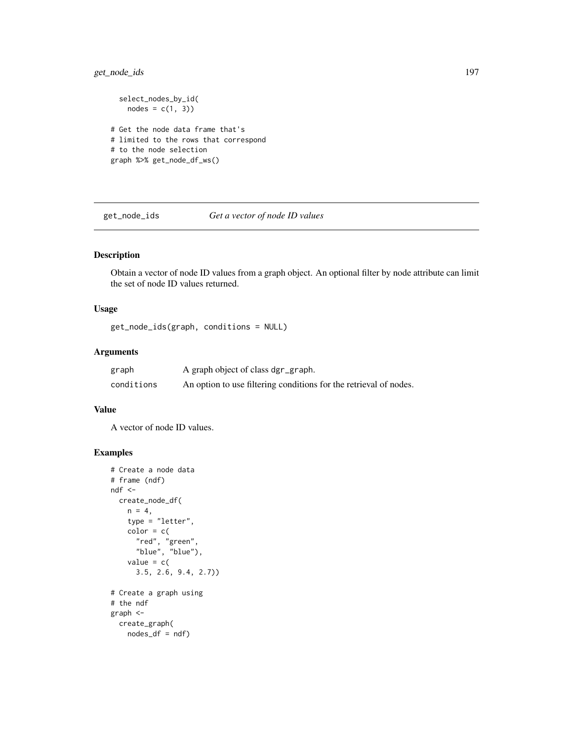## get\_node\_ids 197

```
select_nodes_by_id(
   nodes = c(1, 3)# Get the node data frame that's
# limited to the rows that correspond
# to the node selection
graph %>% get_node_df_ws()
```
get\_node\_ids *Get a vector of node ID values*

# Description

Obtain a vector of node ID values from a graph object. An optional filter by node attribute can limit the set of node ID values returned.

# Usage

get\_node\_ids(graph, conditions = NULL)

### Arguments

| graph      | A graph object of class dgr_graph.                                |
|------------|-------------------------------------------------------------------|
| conditions | An option to use filtering conditions for the retrieval of nodes. |

#### Value

A vector of node ID values.

```
# Create a node data
# frame (ndf)
ndf <-
  create_node_df(
   n = 4,
   type = "letter",
   color = c()"red", "green",
      "blue", "blue"),
   value = c(
      3.5, 2.6, 9.4, 2.7))
# Create a graph using
# the ndf
graph <-
 create_graph(
   nodes_df = ndf
```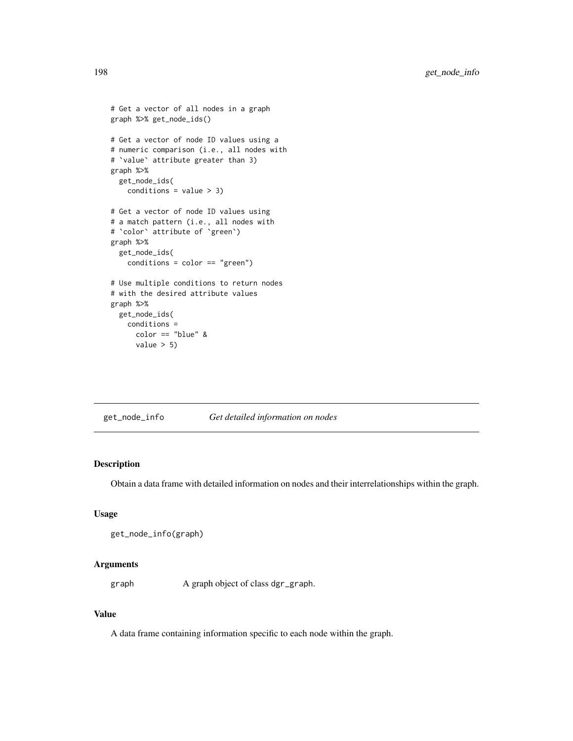```
# Get a vector of all nodes in a graph
graph %>% get_node_ids()
# Get a vector of node ID values using a
# numeric comparison (i.e., all nodes with
# `value` attribute greater than 3)
graph %>%
  get_node_ids(
   conditions = value > 3)# Get a vector of node ID values using
# a match pattern (i.e., all nodes with
# `color` attribute of `green`)
graph %>%
  get_node_ids(
   conditions = color == "green")
# Use multiple conditions to return nodes
# with the desired attribute values
graph %>%
  get_node_ids(
   conditions =
      color == "blue" &
      value > 5)
```
get\_node\_info *Get detailed information on nodes*

## Description

Obtain a data frame with detailed information on nodes and their interrelationships within the graph.

## Usage

```
get_node_info(graph)
```
#### Arguments

graph A graph object of class dgr\_graph.

# Value

A data frame containing information specific to each node within the graph.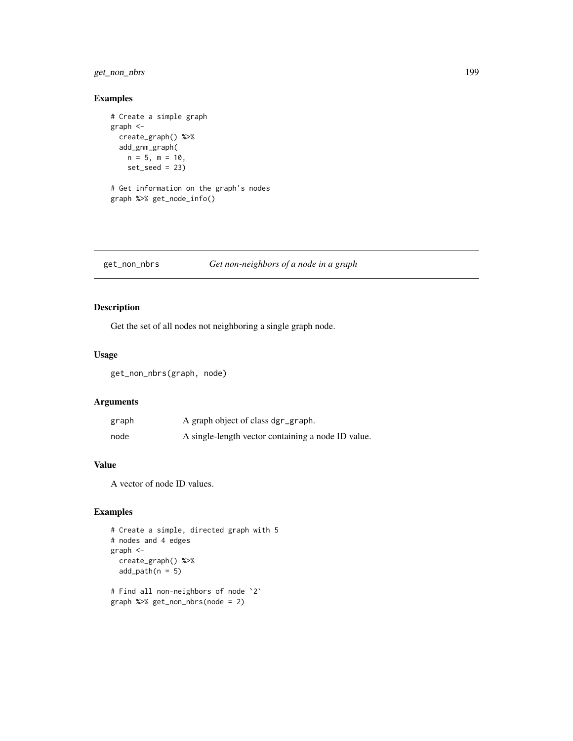## get\_non\_nbrs 199

## Examples

```
# Create a simple graph
graph <-
  create_graph() %>%
  add_gnm_graph(
   n = 5, m = 10,
   set\_seed = 23# Get information on the graph's nodes
graph %>% get_node_info()
```
#### get\_non\_nbrs *Get non-neighbors of a node in a graph*

## Description

Get the set of all nodes not neighboring a single graph node.

## Usage

get\_non\_nbrs(graph, node)

## Arguments

| graph | A graph object of class dgr_graph.                 |
|-------|----------------------------------------------------|
| node  | A single-length vector containing a node ID value. |

## Value

A vector of node ID values.

```
# Create a simple, directed graph with 5
# nodes and 4 edges
graph <-
  create_graph() %>%
  add\_path(n = 5)# Find all non-neighbors of node `2`
graph %>% get_non_nbrs(node = 2)
```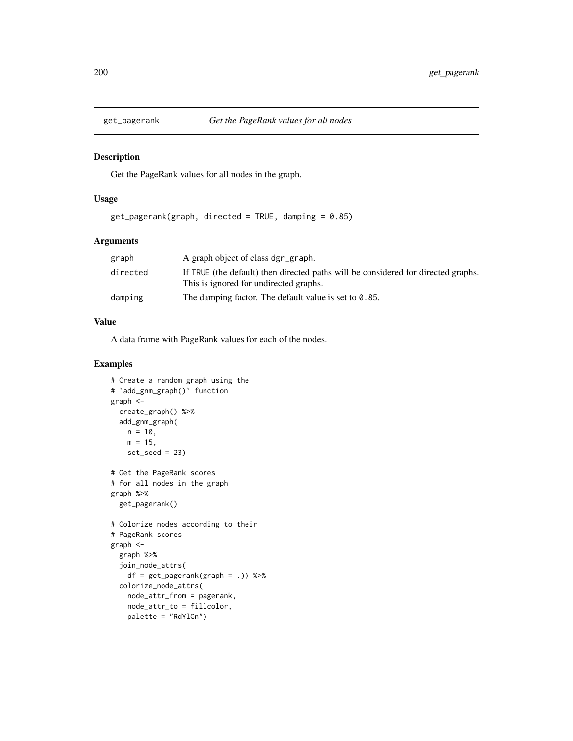#### Description

Get the PageRank values for all nodes in the graph.

#### Usage

 $get_pagerank(graph, directed = TRUE, damping = 0.85)$ 

#### Arguments

| graph    | A graph object of class dgr_graph.                                                                                          |
|----------|-----------------------------------------------------------------------------------------------------------------------------|
| directed | If TRUE (the default) then directed paths will be considered for directed graphs.<br>This is ignored for undirected graphs. |
| damping  | The damping factor. The default value is set to $0.85$ .                                                                    |

#### Value

A data frame with PageRank values for each of the nodes.

```
# Create a random graph using the
# `add_gnm_graph()` function
graph <-
  create_graph() %>%
  add_gnm_graph(
   n = 10,
   m = 15,
   set_seed = 23)
# Get the PageRank scores
# for all nodes in the graph
graph %>%
  get_pagerank()
# Colorize nodes according to their
# PageRank scores
graph <-
  graph %>%
  join_node_attrs(
   df = get_pagerank(graph = .)) %>%
  colorize_node_attrs(
   node_attr_from = pagerank,
   node_attr_to = fillcolor,
   palette = "RdYlGn")
```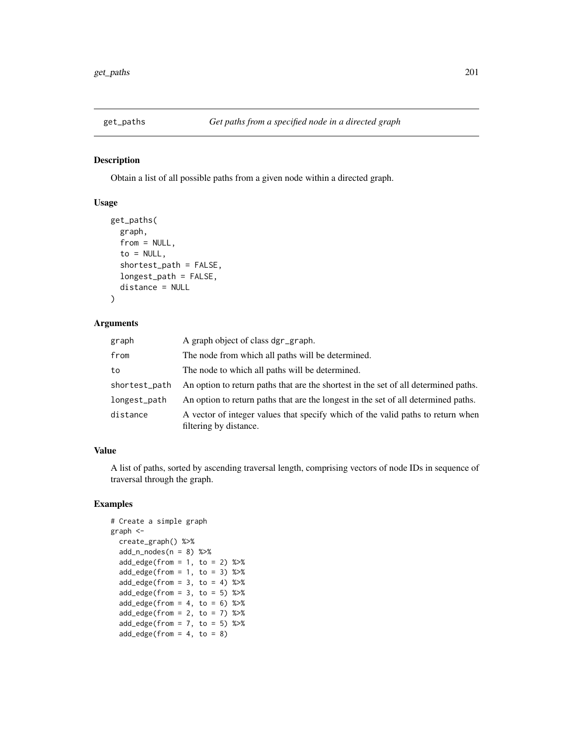## Description

Obtain a list of all possible paths from a given node within a directed graph.

#### Usage

```
get_paths(
  graph,
  from = NULL,
  to = NULL,shortest_path = FALSE,
  longest_path = FALSE,
  distance = NULL
)
```
# Arguments

| graph         | A graph object of class dgr_graph.                                                                        |
|---------------|-----------------------------------------------------------------------------------------------------------|
| from          | The node from which all paths will be determined.                                                         |
| to            | The node to which all paths will be determined.                                                           |
| shortest_path | An option to return paths that are the shortest in the set of all determined paths.                       |
| longest_path  | An option to return paths that are the longest in the set of all determined paths.                        |
| distance      | A vector of integer values that specify which of the valid paths to return when<br>filtering by distance. |

# Value

A list of paths, sorted by ascending traversal length, comprising vectors of node IDs in sequence of traversal through the graph.

```
# Create a simple graph
graph <-
 create_graph() %>%
 add_n\_nodes(n = 8) %>%
 add\_edge(from = 1, to = 2) %>%
 add\_edge(from = 1, to = 3) %>%
 add\_edge(from = 3, to = 4) %>%
 add\_edge(from = 3, to = 5) %>%
 add\_edge(from = 4, to = 6) %>%
 add\_edge(from = 2, to = 7) %>%
 add\_edge(from = 7, to = 5) %>%
 add\_edge(from = 4, to = 8)
```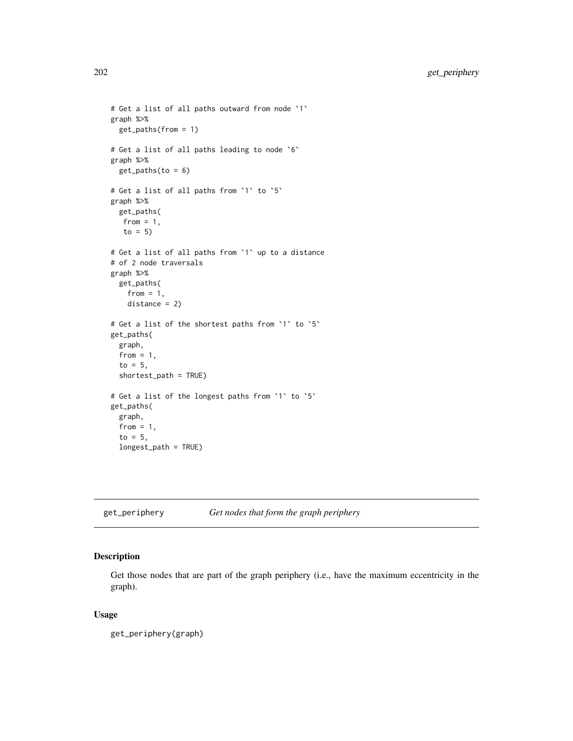```
# Get a list of all paths outward from node `1`
graph %>%
  get_paths(from = 1)
# Get a list of all paths leading to node `6`
graph %>%
  get\_paths(to = 6)# Get a list of all paths from `1` to `5`
graph %>%
  get_paths(
  from = 1,
  to = 5)
# Get a list of all paths from `1` up to a distance
# of 2 node traversals
graph %>%
  get_paths(
   from = 1,
   distance = 2)
# Get a list of the shortest paths from `1` to `5`
get_paths(
  graph,
  from = 1,
  to = 5,
  shortest_path = TRUE)
# Get a list of the longest paths from `1` to `5`
get_paths(
  graph,
  from = 1,
  to = 5,
  longest_path = TRUE)
```
get\_periphery *Get nodes that form the graph periphery*

# Description

Get those nodes that are part of the graph periphery (i.e., have the maximum eccentricity in the graph).

#### Usage

get\_periphery(graph)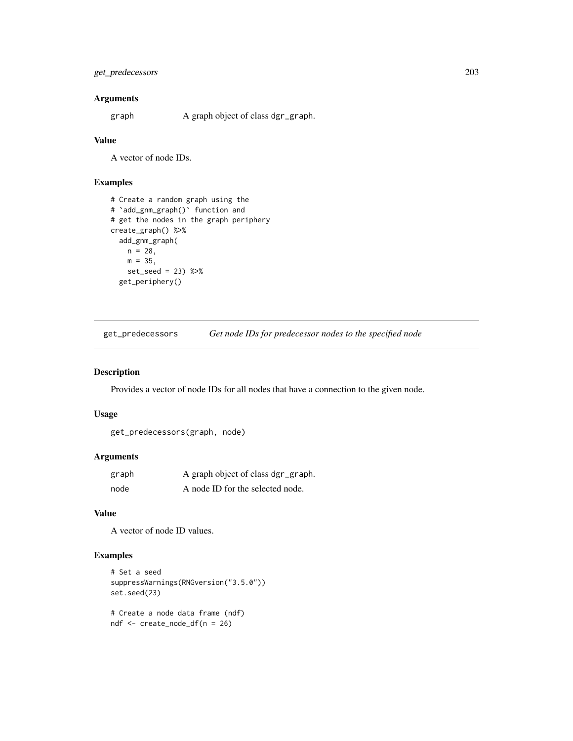## get\_predecessors 203

## Arguments

graph A graph object of class dgr\_graph.

#### Value

A vector of node IDs.

# Examples

```
# Create a random graph using the
# `add_gnm_graph()` function and
# get the nodes in the graph periphery
create_graph() %>%
  add_gnm_graph(
   n = 28,
   m = 35,set_seed = 23) %>%
  get_periphery()
```
get\_predecessors *Get node IDs for predecessor nodes to the specified node*

#### Description

Provides a vector of node IDs for all nodes that have a connection to the given node.

#### Usage

```
get_predecessors(graph, node)
```
#### Arguments

| graph | A graph object of class dgr_graph. |
|-------|------------------------------------|
| node  | A node ID for the selected node.   |

#### Value

A vector of node ID values.

```
# Set a seed
suppressWarnings(RNGversion("3.5.0"))
set.seed(23)
```

```
# Create a node data frame (ndf)
ndf <- create_node_df(n = 26)
```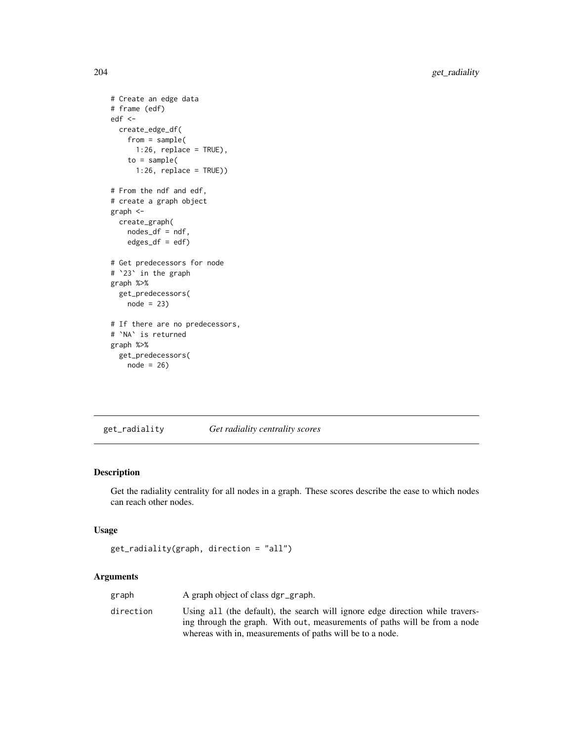```
# Create an edge data
# frame (edf)
edf <-
 create_edge_df(
   from = sample(
     1:26, replace = TRUE),
    to = sample(1:26, replace = TRUE))
# From the ndf and edf,
# create a graph object
graph <-
  create_graph(
   nodes_df = ndf,
   edges\_df = edf)# Get predecessors for node
# `23` in the graph
graph %>%
  get_predecessors(
   node = 23)
# If there are no predecessors,
# `NA` is returned
graph %>%
  get_predecessors(
   node = 26
```
get\_radiality *Get radiality centrality scores*

## Description

Get the radiality centrality for all nodes in a graph. These scores describe the ease to which nodes can reach other nodes.

## Usage

```
get_radiality(graph, direction = "all")
```
# Arguments

| graph     | A graph object of class dgr_graph.                                                                                                                          |
|-----------|-------------------------------------------------------------------------------------------------------------------------------------------------------------|
| direction | Using all (the default), the search will ignore edge direction while travers-<br>ing through the graph. With out, measurements of paths will be from a node |
|           | whereas with in, measurements of paths will be to a node.                                                                                                   |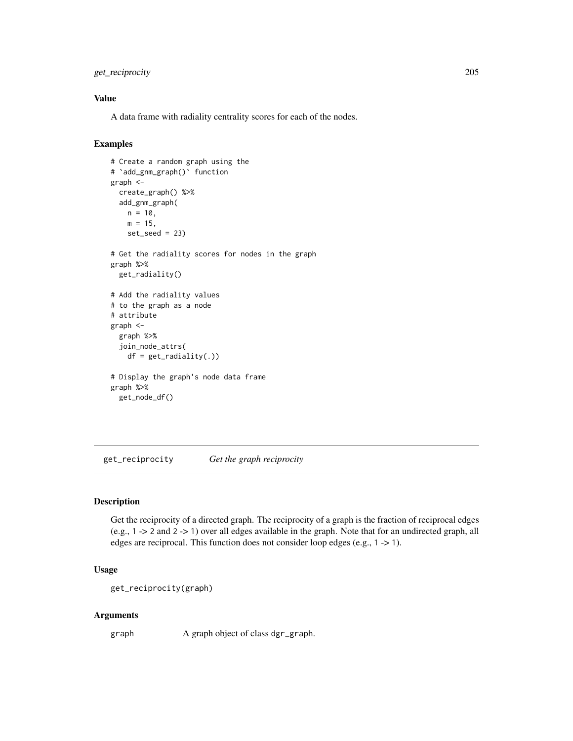## get\_reciprocity 205

## Value

A data frame with radiality centrality scores for each of the nodes.

## Examples

```
# Create a random graph using the
# `add_gnm_graph()` function
graph <-
  create_graph() %>%
  add_gnm_graph(
   n = 10,
   m = 15,
   set\_seed = 23# Get the radiality scores for nodes in the graph
graph %>%
  get_radiality()
# Add the radiality values
# to the graph as a node
# attribute
graph <-
  graph %>%
  join_node_attrs(
   df = get\_radiality(.)# Display the graph's node data frame
graph %>%
  get_node_df()
```
get\_reciprocity *Get the graph reciprocity*

# Description

Get the reciprocity of a directed graph. The reciprocity of a graph is the fraction of reciprocal edges (e.g., 1 -> 2 and 2 -> 1) over all edges available in the graph. Note that for an undirected graph, all edges are reciprocal. This function does not consider loop edges (e.g., 1 -> 1).

#### Usage

```
get_reciprocity(graph)
```
#### Arguments

graph A graph object of class dgr\_graph.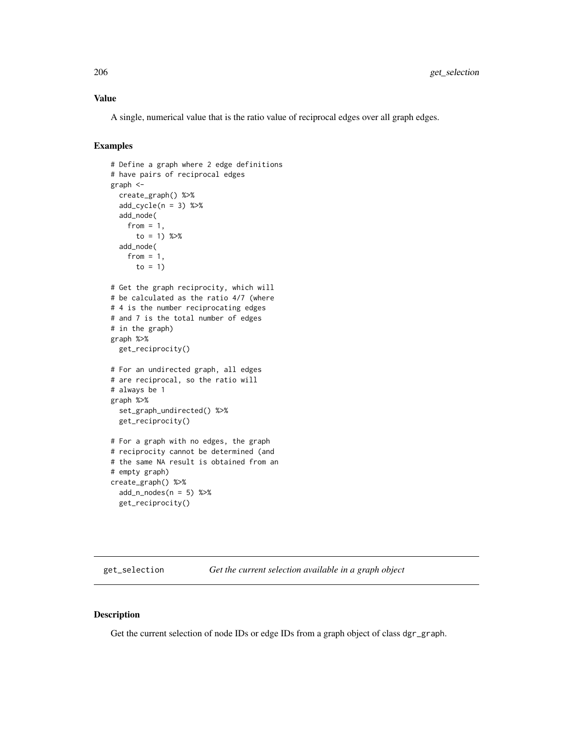## Value

A single, numerical value that is the ratio value of reciprocal edges over all graph edges.

## Examples

```
# Define a graph where 2 edge definitions
# have pairs of reciprocal edges
graph <-
  create_graph() %>%
  add_cycle(n = 3) %>%
  add_node(
    from = 1,
      to = 1) %>%
  add_node(
    from = 1,
     to = 1)
# Get the graph reciprocity, which will
# be calculated as the ratio 4/7 (where
# 4 is the number reciprocating edges
# and 7 is the total number of edges
# in the graph)
graph %>%
  get_reciprocity()
# For an undirected graph, all edges
# are reciprocal, so the ratio will
# always be 1
graph %>%
  set_graph_undirected() %>%
  get_reciprocity()
# For a graph with no edges, the graph
# reciprocity cannot be determined (and
# the same NA result is obtained from an
# empty graph)
create_graph() %>%
  add_n\_nodes(n = 5) %>>get_reciprocity()
```
get\_selection *Get the current selection available in a graph object*

#### Description

Get the current selection of node IDs or edge IDs from a graph object of class dgr\_graph.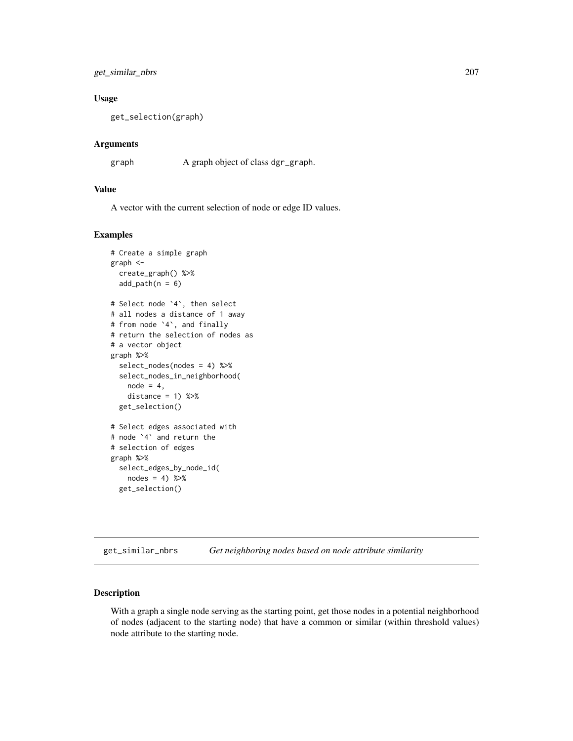get\_similar\_nbrs 207

#### Usage

get\_selection(graph)

## Arguments

graph A graph object of class dgr\_graph.

## Value

A vector with the current selection of node or edge ID values.

#### Examples

```
# Create a simple graph
graph <-
 create_graph() %>%
 add\_path(n = 6)# Select node `4`, then select
# all nodes a distance of 1 away
# from node `4`, and finally
# return the selection of nodes as
# a vector object
graph %>%
 select_nodes(nodes = 4) %>%
 select_nodes_in_neighborhood(
   node = 4,distance = 1) %>%
 get_selection()
# Select edges associated with
# node `4` and return the
# selection of edges
graph %>%
 select_edges_by_node_id(
   nodes = 4) % >%get_selection()
```
get\_similar\_nbrs *Get neighboring nodes based on node attribute similarity*

#### Description

With a graph a single node serving as the starting point, get those nodes in a potential neighborhood of nodes (adjacent to the starting node) that have a common or similar (within threshold values) node attribute to the starting node.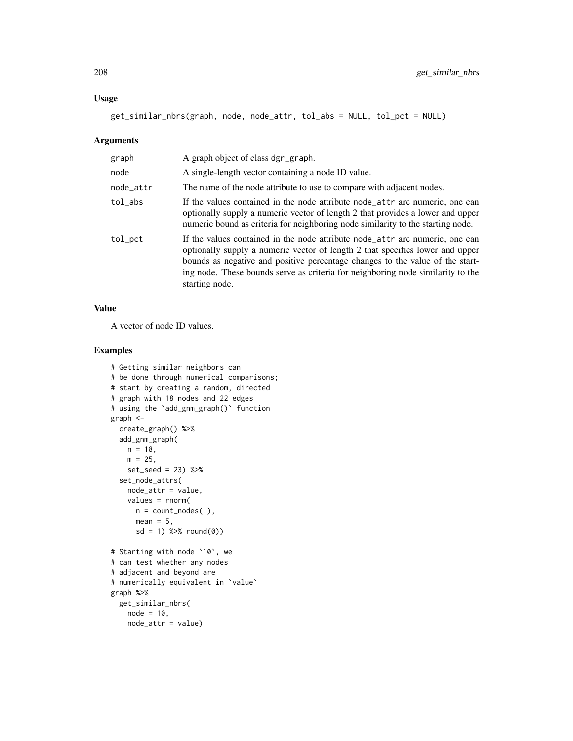#### Usage

get\_similar\_nbrs(graph, node, node\_attr, tol\_abs = NULL, tol\_pct = NULL)

#### Arguments

| graph     | A graph object of class dgr_graph.                                                                                                                                                                                                                                                                                                                  |
|-----------|-----------------------------------------------------------------------------------------------------------------------------------------------------------------------------------------------------------------------------------------------------------------------------------------------------------------------------------------------------|
| node      | A single-length vector containing a node ID value.                                                                                                                                                                                                                                                                                                  |
| node_attr | The name of the node attribute to use to compare with adjacent nodes.                                                                                                                                                                                                                                                                               |
| tol_abs   | If the values contained in the node attribute node_attr are numeric, one can<br>optionally supply a numeric vector of length 2 that provides a lower and upper<br>numeric bound as criteria for neighboring node similarity to the starting node.                                                                                                   |
| tol_pct   | If the values contained in the node attribute node_attr are numeric, one can<br>optionally supply a numeric vector of length 2 that specifies lower and upper<br>bounds as negative and positive percentage changes to the value of the start-<br>ing node. These bounds serve as criteria for neighboring node similarity to the<br>starting node. |

## Value

A vector of node ID values.

```
# Getting similar neighbors can
# be done through numerical comparisons;
# start by creating a random, directed
# graph with 18 nodes and 22 edges
# using the `add_gnm_graph()` function
graph <-
 create_graph() %>%
 add_gnm_graph(
   n = 18,
   m = 25,
   set_seed = 23) %>%
  set_node_attrs(
   node_attr = value,
   values = rnorm(
     n = count\_nodes(.),
     mean = 5,
     sd = 1) %>% round(0)# Starting with node `10`, we
# can test whether any nodes
# adjacent and beyond are
# numerically equivalent in `value`
graph %>%
 get_similar_nbrs(
   node = 10,
   node_attr = value)
```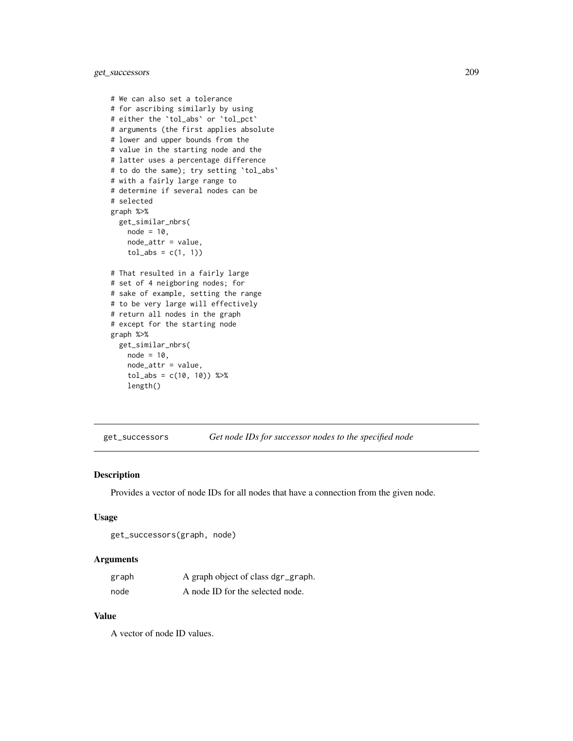get\_successors 209

```
# We can also set a tolerance
# for ascribing similarly by using
# either the `tol_abs` or `tol_pct`
# arguments (the first applies absolute
# lower and upper bounds from the
# value in the starting node and the
# latter uses a percentage difference
# to do the same); try setting `tol_abs`
# with a fairly large range to
# determine if several nodes can be
# selected
graph %>%
  get_similar_nbrs(
   node = 10,node_attr = value,
    tol_abs = c(1, 1))# That resulted in a fairly large
# set of 4 neigboring nodes; for
# sake of example, setting the range
# to be very large will effectively
# return all nodes in the graph
# except for the starting node
graph %>%
  get_similar_nbrs(
   node = 10,node_attr = value,
    tol_abs = c(10, 10) %>%
    length()
```
get\_successors *Get node IDs for successor nodes to the specified node*

## Description

Provides a vector of node IDs for all nodes that have a connection from the given node.

#### Usage

```
get_successors(graph, node)
```
#### Arguments

| graph | A graph object of class dgr_graph. |
|-------|------------------------------------|
| node  | A node ID for the selected node.   |

#### Value

A vector of node ID values.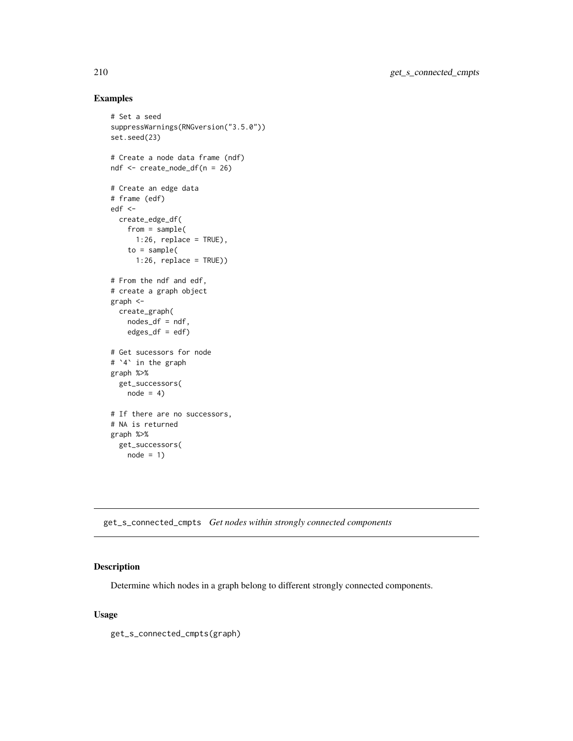## Examples

```
# Set a seed
suppressWarnings(RNGversion("3.5.0"))
set.seed(23)
# Create a node data frame (ndf)
ndf <- create_node_df(n = 26)
# Create an edge data
# frame (edf)
edf <-
 create_edge_df(
   from = sample(
     1:26, replace = TRUE),
   to = sample(1:26, replace = TRUE))
# From the ndf and edf,
# create a graph object
graph <-
 create_graph(
   nodes_df = ndf,
   edges\_df = edf)# Get sucessors for node
# `4` in the graph
graph %>%
  get_successors(
   node = 4)# If there are no successors,
# NA is returned
graph %>%
  get_successors(
   node = 1)
```
get\_s\_connected\_cmpts *Get nodes within strongly connected components*

## Description

Determine which nodes in a graph belong to different strongly connected components.

#### Usage

get\_s\_connected\_cmpts(graph)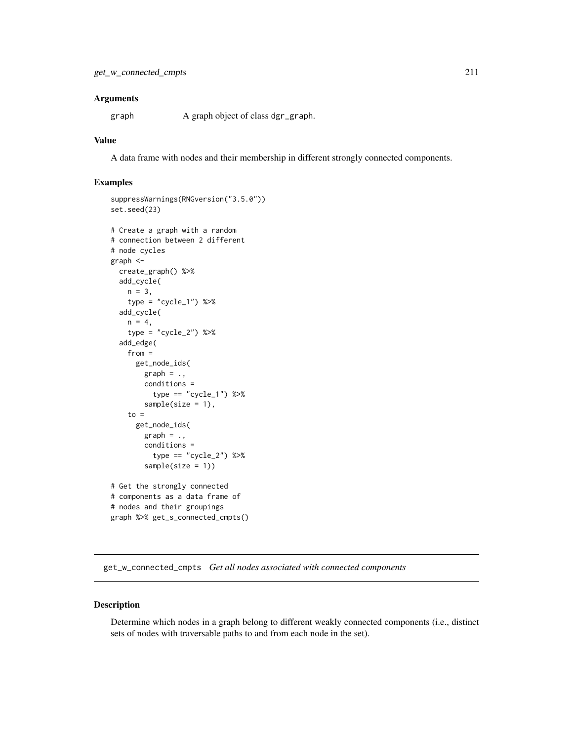#### **Arguments**

graph A graph object of class dgr\_graph.

#### Value

A data frame with nodes and their membership in different strongly connected components.

#### Examples

```
suppressWarnings(RNGversion("3.5.0"))
set.seed(23)
# Create a graph with a random
# connection between 2 different
# node cycles
graph <-
  create_graph() %>%
  add_cycle(
   n = 3,
    type = "cycle_1") %>%
  add_cycle(
   n = 4,
    type = "cycle_2") %>%
  add_edge(
    from =
      get_node_ids(
       graph = .conditions =
         type == "cycle_1") %>%
        sample(size = 1),to =get_node_ids(
       graph = .,
       conditions =
         type == "cycle_2") %>%
        sample(size = 1))
# Get the strongly connected
# components as a data frame of
# nodes and their groupings
graph %>% get_s_connected_cmpts()
```
get\_w\_connected\_cmpts *Get all nodes associated with connected components*

#### Description

Determine which nodes in a graph belong to different weakly connected components (i.e., distinct sets of nodes with traversable paths to and from each node in the set).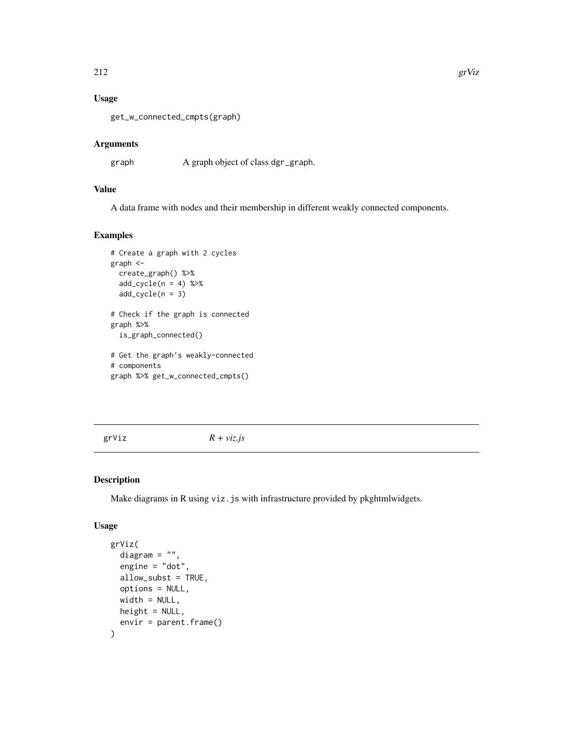# Usage

get\_w\_connected\_cmpts(graph)

# Arguments

graph A graph object of class dgr\_graph.

# Value

A data frame with nodes and their membership in different weakly connected components.

#### Examples

```
# Create a graph with 2 cycles
graph <-
  create_graph() %>%
  add\_cycle(n = 4) %>>add_cycle(n = 3)
# Check if the graph is connected
graph %>%
  is_graph_connected()
# Get the graph's weakly-connected
# components
graph %>% get_w_connected_cmpts()
```
grViz *R + viz.js*

#### Description

Make diagrams in R using viz.js with infrastructure provided by pkghtmlwidgets.

#### Usage

```
grViz(
  diagram = ",
  engine = "dot",
 allow_subst = TRUE,
 options = NULL,
 width = NULL,
 height = NULL,envir = parent.frame()
)
```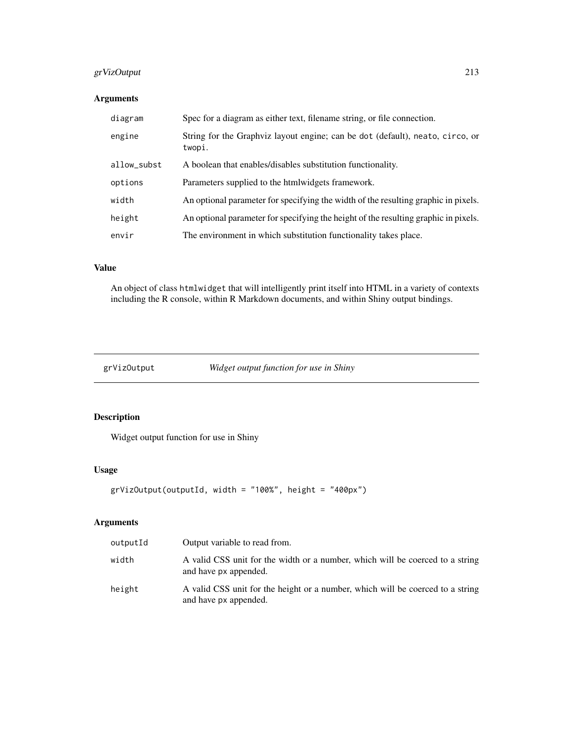## grVizOutput 213

# Arguments

| diagram     | Spec for a diagram as either text, filename string, or file connection.                 |
|-------------|-----------------------------------------------------------------------------------------|
| engine      | String for the Graphyiz layout engine; can be dot (default), neato, circo, or<br>twopi. |
| allow_subst | A boolean that enables/disables substitution functionality.                             |
| options     | Parameters supplied to the htmlwidgets framework.                                       |
| width       | An optional parameter for specifying the width of the resulting graphic in pixels.      |
| height      | An optional parameter for specifying the height of the resulting graphic in pixels.     |
| envir       | The environment in which substitution functionality takes place.                        |

# Value

An object of class htmlwidget that will intelligently print itself into HTML in a variety of contexts including the R console, within R Markdown documents, and within Shiny output bindings.

grVizOutput *Widget output function for use in Shiny*

# Description

Widget output function for use in Shiny

## Usage

```
grVizOutput(outputId, width = "100%", height = "400px")
```
# Arguments

| outputId | Output variable to read from.                                                                           |
|----------|---------------------------------------------------------------------------------------------------------|
| width    | A valid CSS unit for the width or a number, which will be coerced to a string<br>and have px appended.  |
| height   | A valid CSS unit for the height or a number, which will be coerced to a string<br>and have px appended. |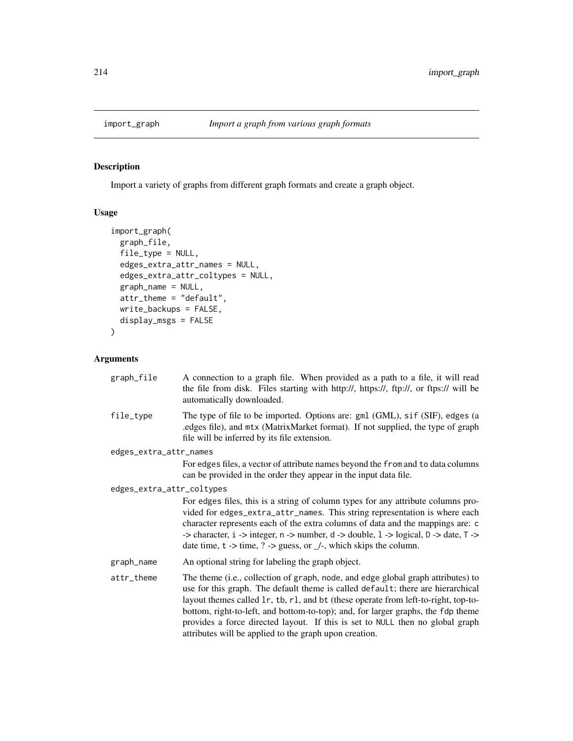## Description

Import a variety of graphs from different graph formats and create a graph object.

## Usage

```
import_graph(
 graph_file,
 file_type = NULL,
 edges_extra_attr_names = NULL,
 edges_extra_attr_coltypes = NULL,
 graph_name = NULL,
 attr_theme = "default",
 write_backups = FALSE,
 display_msgs = FALSE
)
```
## Arguments

| graph_file                | A connection to a graph file. When provided as a path to a file, it will read<br>the file from disk. Files starting with http://, https://, ftp://, or ftps:// will be<br>automatically downloaded.                                                                                                                                                                                                                                                                                                         |
|---------------------------|-------------------------------------------------------------------------------------------------------------------------------------------------------------------------------------------------------------------------------------------------------------------------------------------------------------------------------------------------------------------------------------------------------------------------------------------------------------------------------------------------------------|
| file_type                 | The type of file to be imported. Options are: gml (GML), sif (SIF), edges (a<br>.edges file), and mtx (MatrixMarket format). If not supplied, the type of graph<br>file will be inferred by its file extension.                                                                                                                                                                                                                                                                                             |
| edges_extra_attr_names    |                                                                                                                                                                                                                                                                                                                                                                                                                                                                                                             |
|                           | For edges files, a vector of attribute names beyond the from and to data columns<br>can be provided in the order they appear in the input data file.                                                                                                                                                                                                                                                                                                                                                        |
| edges_extra_attr_coltypes |                                                                                                                                                                                                                                                                                                                                                                                                                                                                                                             |
|                           | For edges files, this is a string of column types for any attribute columns pro-<br>vided for edges_extra_attr_names. This string representation is where each<br>character represents each of the extra columns of data and the mappings are: c<br>-> character, $i \rightarrow$ integer, $n \rightarrow$ number, $d \rightarrow$ double, $l \rightarrow$ logical, $D \rightarrow$ date, $T \rightarrow$<br>date time, $t \rightarrow$ time, $? \rightarrow$ guess, or $\angle$ -, which skips the column. |
| graph_name                | An optional string for labeling the graph object.                                                                                                                                                                                                                                                                                                                                                                                                                                                           |
| attr_theme                | The theme (i.e., collection of graph, node, and edge global graph attributes) to<br>use for this graph. The default theme is called default; there are hierarchical<br>layout themes called 1r, tb, r1, and bt (these operate from left-to-right, top-to-<br>bottom, right-to-left, and bottom-to-top); and, for larger graphs, the fdp theme<br>provides a force directed layout. If this is set to NULL then no global graph<br>attributes will be applied to the graph upon creation.                    |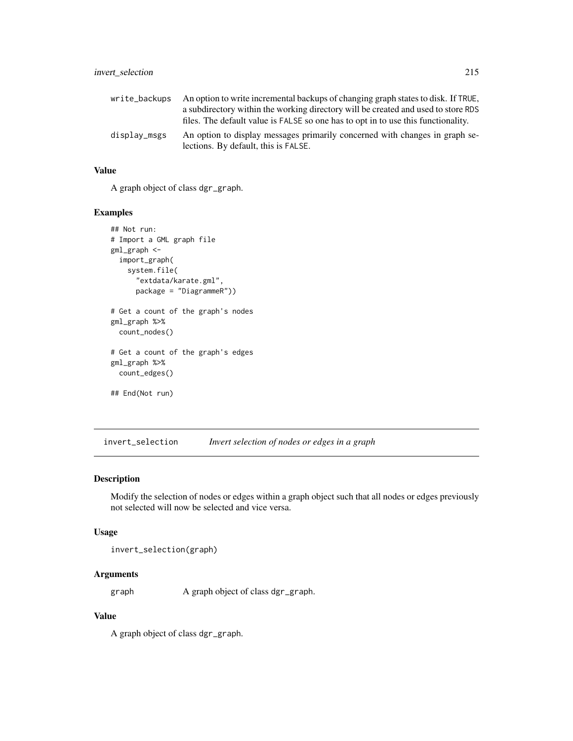| An option to write incremental backups of changing graph states to disk. If TRUE,                                   |
|---------------------------------------------------------------------------------------------------------------------|
| a subdirectory within the working directory will be created and used to store RDS                                   |
| files. The default value is FALSE so one has to opt in to use this functionality.                                   |
| An option to display messages primarily concerned with changes in graph se-<br>lections. By default, this is FALSE. |
|                                                                                                                     |

## Value

A graph object of class dgr\_graph.

#### Examples

```
## Not run:
# Import a GML graph file
gml_graph <-
 import_graph(
   system.file(
     "extdata/karate.gml",
     package = "DiagrammeR"))
# Get a count of the graph's nodes
gml_graph %>%
 count_nodes()
# Get a count of the graph's edges
gml_graph %>%
 count_edges()
## End(Not run)
```
invert\_selection *Invert selection of nodes or edges in a graph*

## Description

Modify the selection of nodes or edges within a graph object such that all nodes or edges previously not selected will now be selected and vice versa.

## Usage

invert\_selection(graph)

## Arguments

graph A graph object of class dgr\_graph.

## Value

A graph object of class dgr\_graph.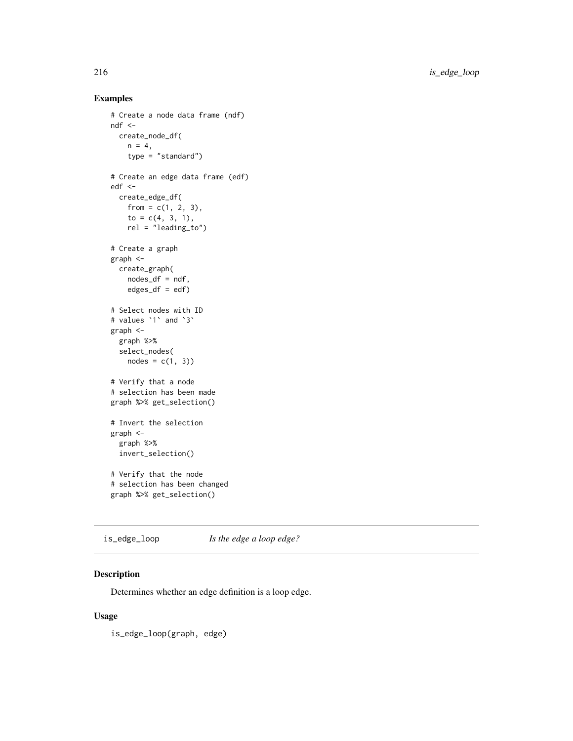216 is\_edge\_loop

# Examples

```
# Create a node data frame (ndf)
ndf <-
  create_node_df(
   n = 4,
    type = "standard")
# Create an edge data frame (edf)
edf <-
  create_edge_df(
   from = c(1, 2, 3),
   to = c(4, 3, 1),rel = "leading_to")
# Create a graph
graph <-
  create_graph(
   nodes_df = ndf,
   edges\_df = edf)# Select nodes with ID
# values `1` and `3`
graph <-
  graph %>%
  select_nodes(
   nodes = c(1, 3)# Verify that a node
# selection has been made
graph %>% get_selection()
# Invert the selection
graph <-
  graph %>%
  invert_selection()
# Verify that the node
# selection has been changed
graph %>% get_selection()
```
is\_edge\_loop *Is the edge a loop edge?*

## Description

Determines whether an edge definition is a loop edge.

#### Usage

is\_edge\_loop(graph, edge)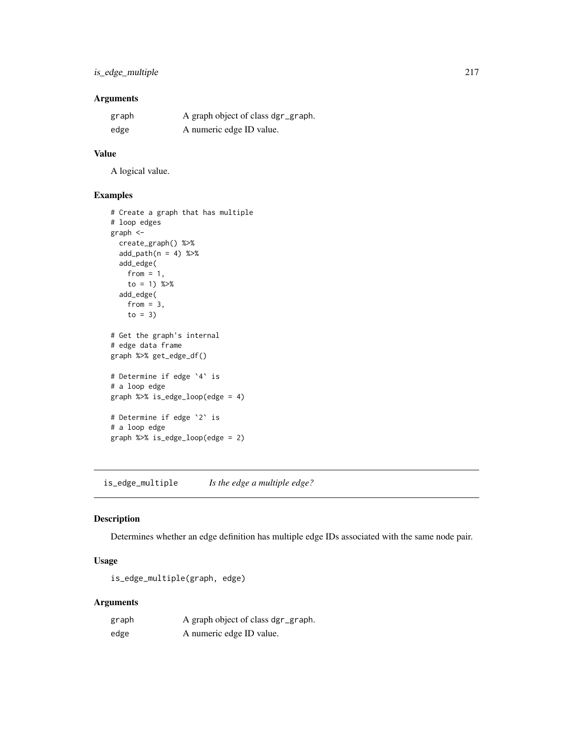## Arguments

| graph | A graph object of class dgr_graph. |
|-------|------------------------------------|
| edge  | A numeric edge ID value.           |

## Value

A logical value.

## Examples

```
# Create a graph that has multiple
# loop edges
graph <-
 create_graph() %>%
 add\_path(n = 4) %>%
 add_edge(
   from = 1,
   to = 1) % >add_edge(
   from = 3,
   to = 3)
# Get the graph's internal
# edge data frame
graph %>% get_edge_df()
# Determine if edge `4` is
# a loop edge
graph %>% is_edge_loop(edge = 4)
# Determine if edge `2` is
# a loop edge
graph %>% is_edge_loop(edge = 2)
```
is\_edge\_multiple *Is the edge a multiple edge?*

## Description

Determines whether an edge definition has multiple edge IDs associated with the same node pair.

## Usage

is\_edge\_multiple(graph, edge)

## Arguments

| graph | A graph object of class dgr_graph. |
|-------|------------------------------------|
| edge  | A numeric edge ID value.           |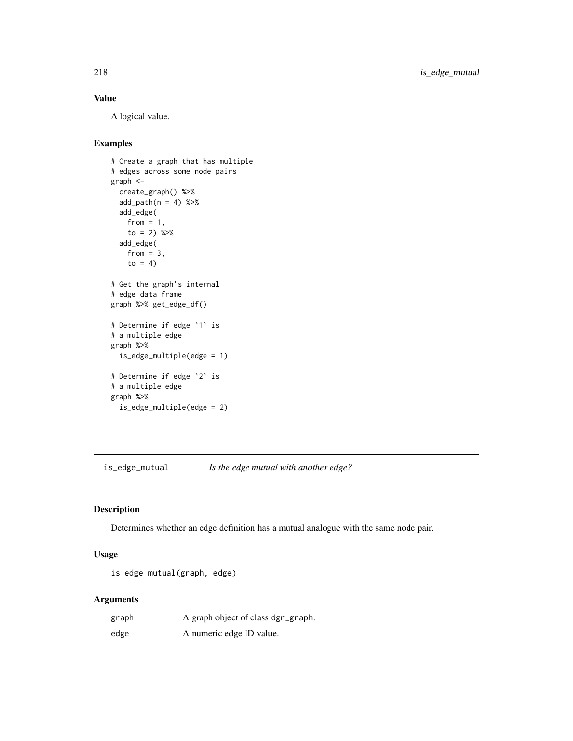## Value

A logical value.

## Examples

```
# Create a graph that has multiple
# edges across some node pairs
graph <-
  create_graph() %>%
  add\_path(n = 4) %>%
  add_edge(
   from = 1,
    to = 2) %>%
  add_edge(
   from = 3,
   to = 4)
# Get the graph's internal
# edge data frame
graph %>% get_edge_df()
# Determine if edge `1` is
# a multiple edge
graph %>%
  is_edge_multiple(edge = 1)
# Determine if edge `2` is
# a multiple edge
graph %>%
  is_edge_multiple(edge = 2)
```
is\_edge\_mutual *Is the edge mutual with another edge?*

## Description

Determines whether an edge definition has a mutual analogue with the same node pair.

## Usage

```
is_edge_mutual(graph, edge)
```
## Arguments

| graph | A graph object of class dgr_graph. |
|-------|------------------------------------|
| edge  | A numeric edge ID value.           |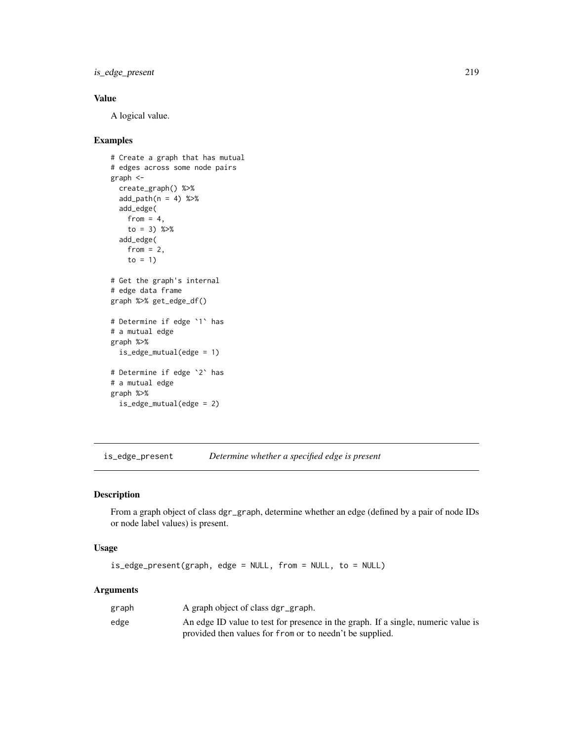is\_edge\_present 219

## Value

A logical value.

#### Examples

```
# Create a graph that has mutual
# edges across some node pairs
graph <-
 create_graph() %>%
 add\_path(n = 4) %>%
 add_edge(
   from = 4,
   to = 3) %>%
  add_edge(
   from = 2,
   to = 1)
# Get the graph's internal
# edge data frame
graph %>% get_edge_df()
# Determine if edge `1` has
# a mutual edge
graph %>%
  is_edge_mutual(edge = 1)
# Determine if edge `2` has
# a mutual edge
graph %>%
  is_edge_mutual(edge = 2)
```
is\_edge\_present *Determine whether a specified edge is present*

## Description

From a graph object of class dgr\_graph, determine whether an edge (defined by a pair of node IDs or node label values) is present.

#### Usage

```
is_edge_present(graph, edge = NULL, from = NULL, to = NULL)
```
#### Arguments

| graph | A graph object of class dgr_graph.                                                |
|-------|-----------------------------------------------------------------------------------|
| edge  | An edge ID value to test for presence in the graph. If a single, numeric value is |
|       | provided then values for from or to needn't be supplied.                          |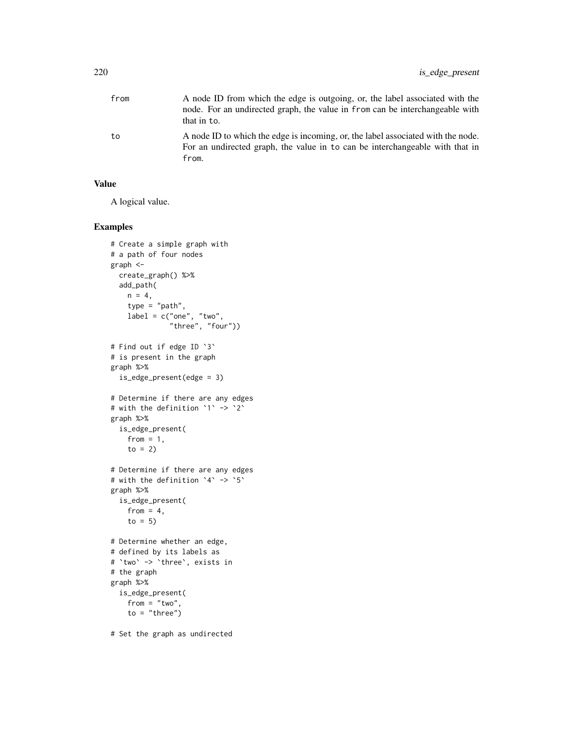| from | A node ID from which the edge is outgoing, or, the label associated with the<br>node. For an undirected graph, the value in from can be interchangeable with<br>that in to. |
|------|-----------------------------------------------------------------------------------------------------------------------------------------------------------------------------|
| to   | A node ID to which the edge is incoming, or, the label associated with the node.<br>For an undirected graph, the value in to can be interchangeable with that in<br>from.   |

## Value

A logical value.

```
# Create a simple graph with
# a path of four nodes
graph <-
 create_graph() %>%
 add_path(
   n = 4,
   type = "path",
   label = c("one", "two","three", "four"))
# Find out if edge ID `3`
# is present in the graph
graph %>%
  is_edge_present(edge = 3)
# Determine if there are any edges
# with the definition `1` -> `2`
graph %>%
 is_edge_present(
   from = 1,
   to = 2)
# Determine if there are any edges
# with the definition `4` -> `5`
graph %>%
 is_edge_present(
   from = 4,
   to = 5)
# Determine whether an edge,
# defined by its labels as
# `two` -> `three`, exists in
# the graph
graph %>%
 is_edge_present(
   from = "two",to = "three")
# Set the graph as undirected
```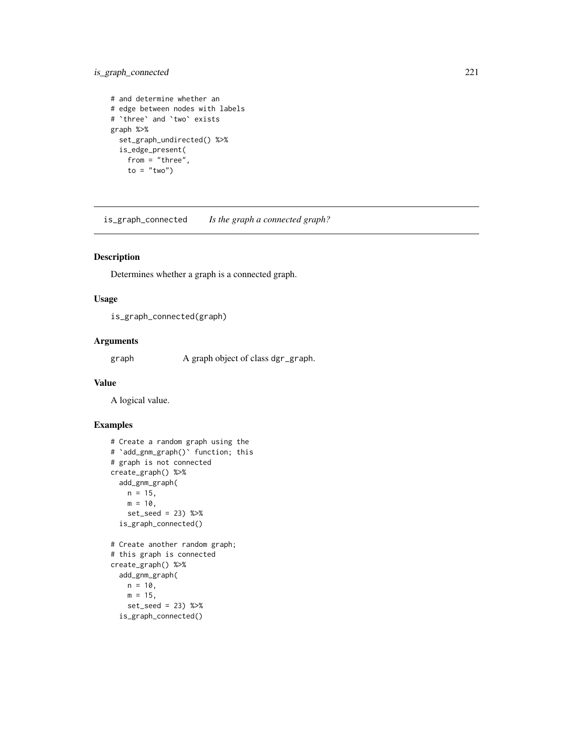## is\_graph\_connected 221

```
# and determine whether an
# edge between nodes with labels
# `three` and `two` exists
graph %>%
  set_graph_undirected() %>%
  is_edge_present(
   from = "three",
    to = "two")
```
is\_graph\_connected *Is the graph a connected graph?*

## Description

Determines whether a graph is a connected graph.

## Usage

is\_graph\_connected(graph)

## Arguments

graph A graph object of class dgr\_graph.

#### Value

A logical value.

#### Examples

```
# Create a random graph using the
# `add_gnm_graph()` function; this
# graph is not connected
create_graph() %>%
  add_gnm_graph(
   n = 15,
   m = 10,
   set_seed = 23) %>%
  is_graph_connected()
# Create another random graph;
# this graph is connected
create_graph() %>%
  add_gnm_graph(
   n = 10,
   m = 15,
   set_seed = 23) %>%
```
is\_graph\_connected()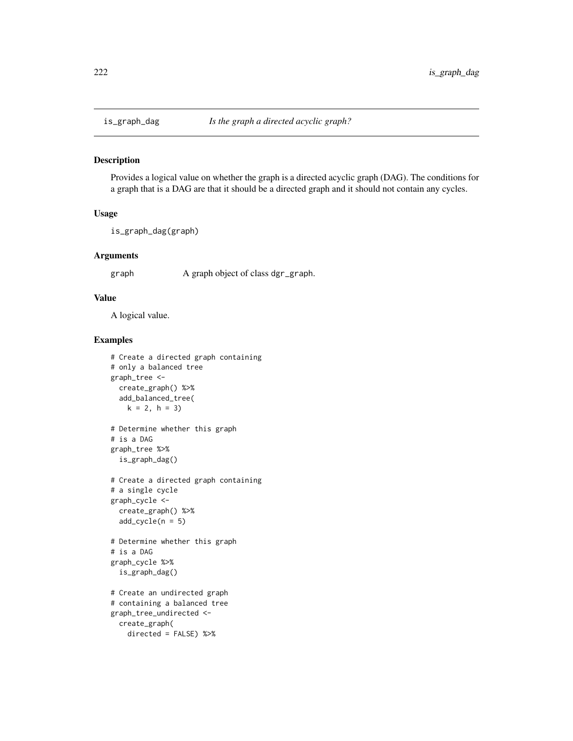## Description

Provides a logical value on whether the graph is a directed acyclic graph (DAG). The conditions for a graph that is a DAG are that it should be a directed graph and it should not contain any cycles.

#### Usage

```
is_graph_dag(graph)
```
#### Arguments

graph A graph object of class dgr\_graph.

## Value

A logical value.

```
# Create a directed graph containing
# only a balanced tree
graph_tree <-
 create_graph() %>%
 add_balanced_tree(
   k = 2, h = 3)# Determine whether this graph
# is a DAG
graph_tree %>%
 is_graph_dag()
# Create a directed graph containing
# a single cycle
graph_cycle <-
 create_graph() %>%
 add\_cycle(n = 5)# Determine whether this graph
# is a DAG
graph_cycle %>%
 is_graph_dag()
# Create an undirected graph
# containing a balanced tree
graph_tree_undirected <-
 create_graph(
   directed = FALSE) %>%
```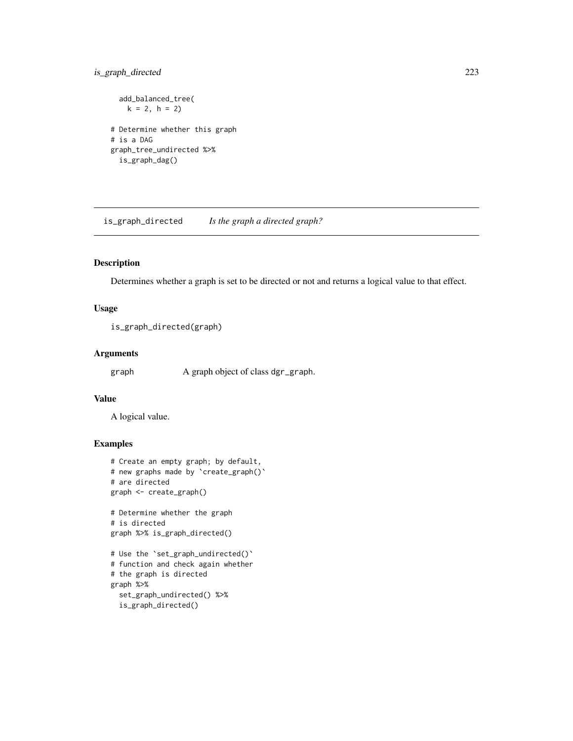## is\_graph\_directed 223

```
add_balanced_tree(
   k = 2, h = 2)# Determine whether this graph
# is a DAG
graph_tree_undirected %>%
  is_graph_dag()
```
is\_graph\_directed *Is the graph a directed graph?*

## Description

Determines whether a graph is set to be directed or not and returns a logical value to that effect.

## Usage

is\_graph\_directed(graph)

#### Arguments

graph A graph object of class dgr\_graph.

## Value

A logical value.

```
# Create an empty graph; by default,
# new graphs made by `create_graph()`
# are directed
graph <- create_graph()
# Determine whether the graph
# is directed
graph %>% is_graph_directed()
# Use the `set_graph_undirected()`
# function and check again whether
# the graph is directed
graph %>%
  set_graph_undirected() %>%
  is_graph_directed()
```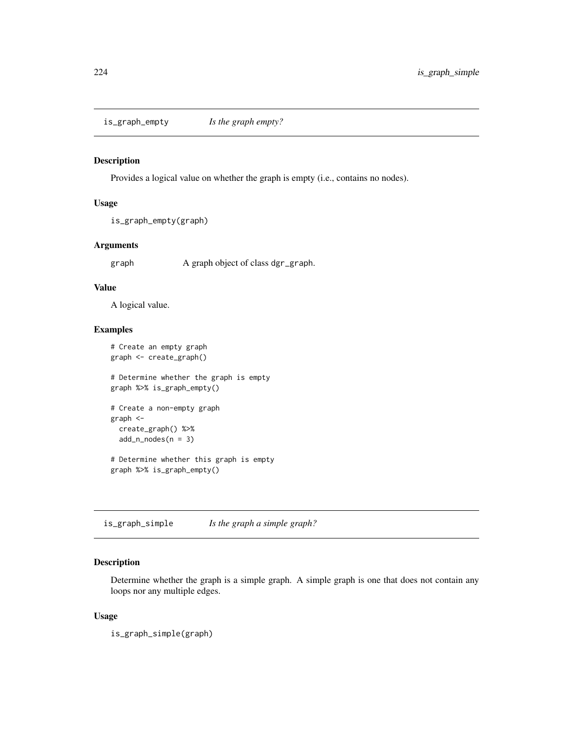is\_graph\_empty *Is the graph empty?*

# Description

Provides a logical value on whether the graph is empty (i.e., contains no nodes).

## Usage

```
is_graph_empty(graph)
```
## Arguments

graph A graph object of class dgr\_graph.

## Value

A logical value.

## Examples

```
# Create an empty graph
graph <- create_graph()
# Determine whether the graph is empty
graph %>% is_graph_empty()
# Create a non-empty graph
graph <-
  create_graph() %>%
  add_n nodes(n = 3)# Determine whether this graph is empty
graph %>% is_graph_empty()
```
is\_graph\_simple *Is the graph a simple graph?*

## Description

Determine whether the graph is a simple graph. A simple graph is one that does not contain any loops nor any multiple edges.

#### Usage

is\_graph\_simple(graph)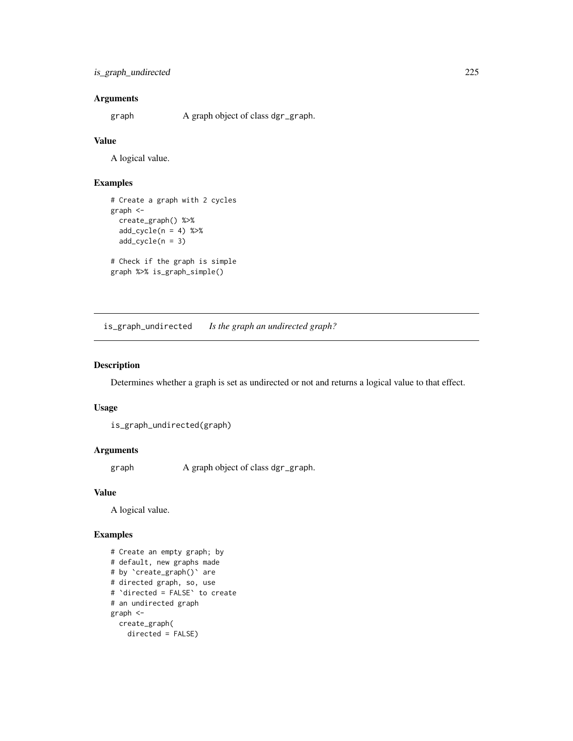## Arguments

graph A graph object of class dgr\_graph.

#### Value

A logical value.

## Examples

```
# Create a graph with 2 cycles
graph <-
  create_graph() %>%
  add\_cycle(n = 4) %>%
  add_cycle(n = 3)
# Check if the graph is simple
graph %>% is_graph_simple()
```
is\_graph\_undirected *Is the graph an undirected graph?*

## Description

Determines whether a graph is set as undirected or not and returns a logical value to that effect.

#### Usage

```
is_graph_undirected(graph)
```
## Arguments

graph A graph object of class dgr\_graph.

## Value

A logical value.

```
# Create an empty graph; by
# default, new graphs made
# by `create_graph()` are
# directed graph, so, use
# `directed = FALSE` to create
# an undirected graph
graph <-
 create_graph(
   directed = FALSE)
```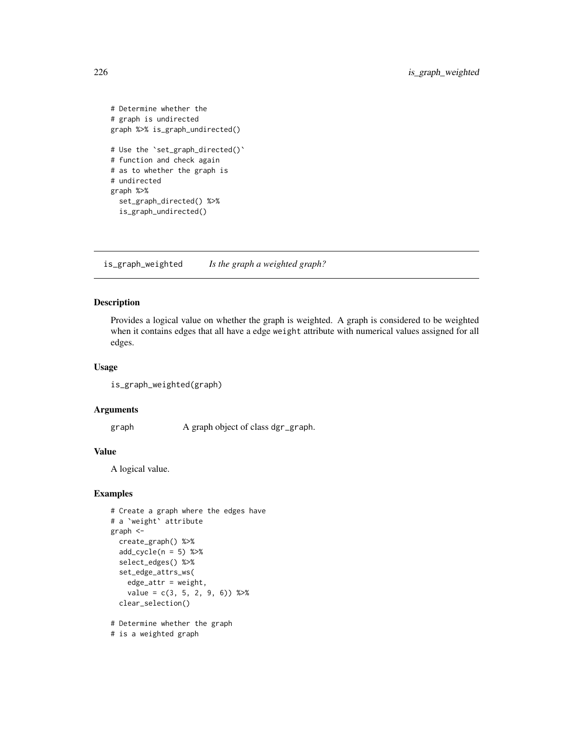```
# Determine whether the
# graph is undirected
graph %>% is_graph_undirected()
# Use the `set_graph_directed()`
# function and check again
# as to whether the graph is
# undirected
graph %>%
  set_graph_directed() %>%
  is_graph_undirected()
```
is\_graph\_weighted *Is the graph a weighted graph?*

## Description

Provides a logical value on whether the graph is weighted. A graph is considered to be weighted when it contains edges that all have a edge weight attribute with numerical values assigned for all edges.

#### Usage

```
is_graph_weighted(graph)
```
#### Arguments

graph A graph object of class dgr\_graph.

#### Value

A logical value.

## Examples

```
# Create a graph where the edges have
# a `weight` attribute
graph <-
 create_graph() %>%
 add\_cycle(n = 5) %>>select_edges() %>%
 set_edge_attrs_ws(
   edge_value = c(3, 5, 2, 9, 6) %>%
 clear_selection()
# Determine whether the graph
```
# is a weighted graph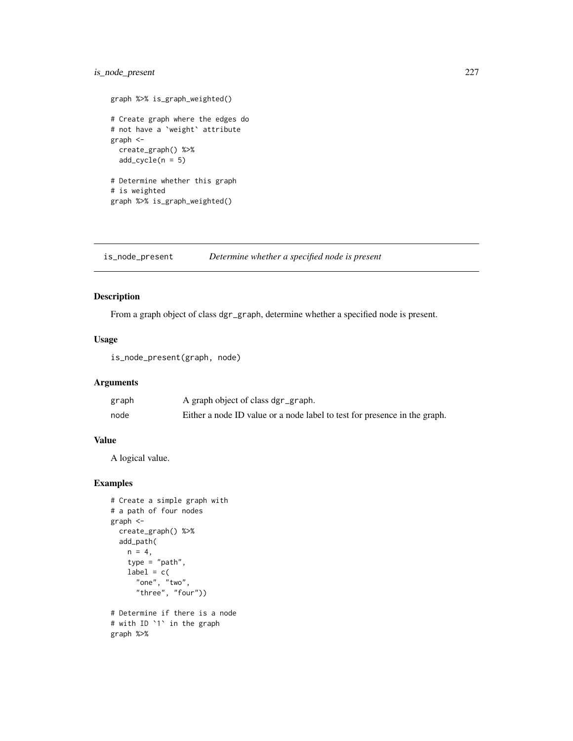## is\_node\_present 227

```
graph %>% is_graph_weighted()
# Create graph where the edges do
# not have a `weight` attribute
graph <-
  create_graph() %>%
  add\_cycle(n = 5)# Determine whether this graph
# is weighted
graph %>% is_graph_weighted()
```
is\_node\_present *Determine whether a specified node is present*

#### Description

From a graph object of class dgr\_graph, determine whether a specified node is present.

## Usage

is\_node\_present(graph, node)

## Arguments

| graph | A graph object of class dgr_graph.                                        |
|-------|---------------------------------------------------------------------------|
| node  | Either a node ID value or a node label to test for presence in the graph. |

#### Value

A logical value.

```
# Create a simple graph with
# a path of four nodes
graph <-
  create_graph() %>%
  add_path(
   n = 4,
    type = "path",
   label = c("one", "two",
      "three", "four"))
# Determine if there is a node
# with ID `1` in the graph
graph %>%
```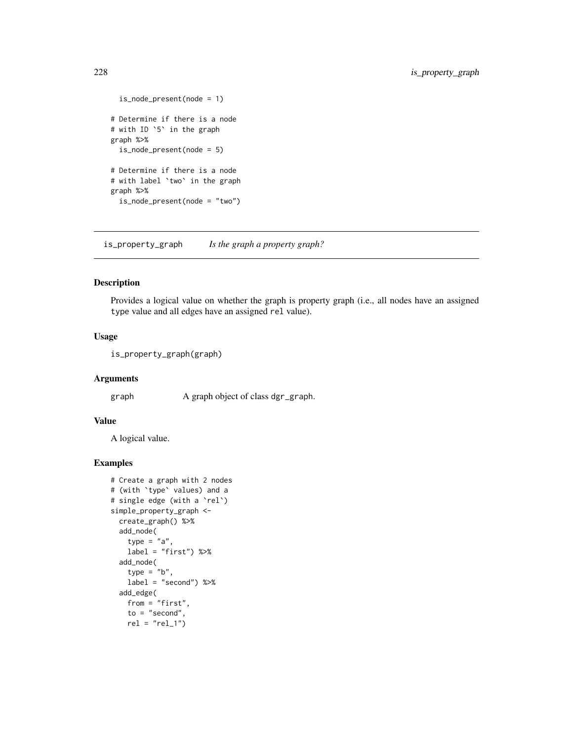```
is_node_present(node = 1)
# Determine if there is a node
# with ID `5` in the graph
graph %>%
  is_node_present(node = 5)
# Determine if there is a node
# with label `two` in the graph
graph %>%
  is_node_present(node = "two")
```
is\_property\_graph *Is the graph a property graph?*

## Description

Provides a logical value on whether the graph is property graph (i.e., all nodes have an assigned type value and all edges have an assigned rel value).

## Usage

is\_property\_graph(graph)

#### Arguments

graph A graph object of class dgr\_graph.

## Value

A logical value.

```
# Create a graph with 2 nodes
# (with `type` values) and a
# single edge (with a `rel`)
simple_property_graph <-
  create_graph() %>%
  add_node(
    type = "a"label = "first") %>%
  add_node(
   type = "b",
   label = "second") %>%
  add_edge(
   from = "first",
   to = "second",rel = "rel_1")
```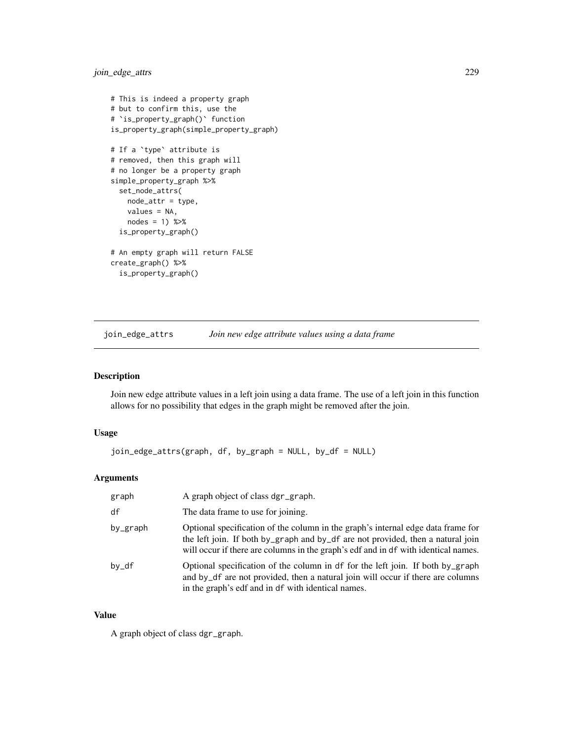join\_edge\_attrs 229

```
# This is indeed a property graph
# but to confirm this, use the
# `is_property_graph()` function
is_property_graph(simple_property_graph)
# If a `type` attribute is
# removed, then this graph will
# no longer be a property graph
simple_property_graph %>%
  set_node_attrs(
   node_attr = type,
   values = NA,
   nodes = 1) %>%
  is_property_graph()
# An empty graph will return FALSE
create_graph() %>%
  is_property_graph()
```
<span id="page-228-0"></span>join\_edge\_attrs *Join new edge attribute values using a data frame*

## Description

Join new edge attribute values in a left join using a data frame. The use of a left join in this function allows for no possibility that edges in the graph might be removed after the join.

## Usage

```
join_edge_attrs(graph, df, by_graph = NULL, by_df = NULL)
```
## Arguments

| graph    | A graph object of class dgr_graph.                                                                                                                                                                                                                        |
|----------|-----------------------------------------------------------------------------------------------------------------------------------------------------------------------------------------------------------------------------------------------------------|
| df       | The data frame to use for joining.                                                                                                                                                                                                                        |
| by_graph | Optional specification of the column in the graph's internal edge data frame for<br>the left join. If both by_graph and by_df are not provided, then a natural join<br>will occur if there are columns in the graph's edf and in df with identical names. |
| $by_d$ f | Optional specification of the column in df for the left join. If both by_graph<br>and by_df are not provided, then a natural join will occur if there are columns<br>in the graph's edf and in df with identical names.                                   |

#### Value

A graph object of class dgr\_graph.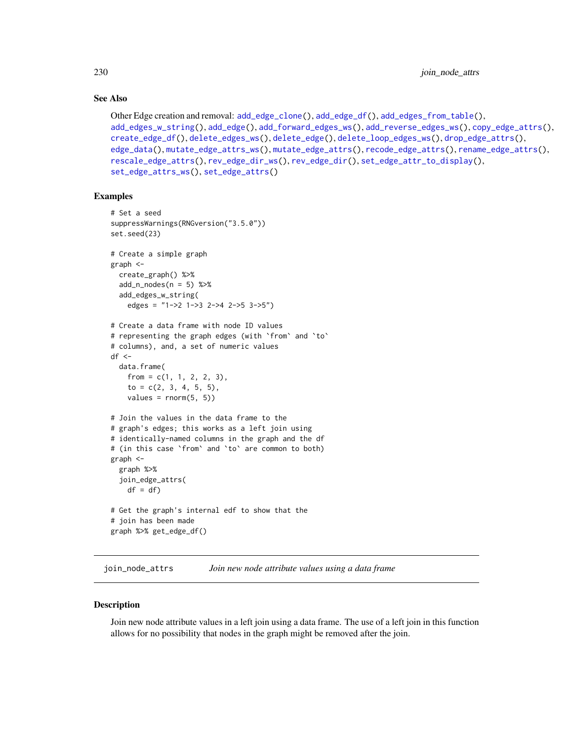## See Also

```
Other Edge creation and removal: add_edge_clone(), add_edge_df(), add_edges_from_table(),
add_edges_w_string(), add_edge(), add_forward_edges_ws(), add_reverse_edges_ws(), copy_edge_attrs(),
create_edge_df(), delete_edges_ws(), delete_edge(), delete_loop_edges_ws(), drop_edge_attrs(),
edge_data(), mutate_edge_attrs_ws(), mutate_edge_attrs(), recode_edge_attrs(), rename_edge_attrs(),
rescale_edge_attrs(), rev_edge_dir_ws(), rev_edge_dir(), set_edge_attr_to_display(),
set_edge_attrs_ws(), set_edge_attrs()
```
## Examples

```
# Set a seed
suppressWarnings(RNGversion("3.5.0"))
set.seed(23)
# Create a simple graph
graph <-
  create_graph() %>%
  add_n nodes(n = 5) %>%
  add_edges_w_string(
   edges = "1->2 1->3 2->4 2->5 3->5")
# Create a data frame with node ID values
# representing the graph edges (with `from` and `to`
# columns), and, a set of numeric values
df \leftarrowdata.frame(
    from = c(1, 1, 2, 2, 3),to = c(2, 3, 4, 5, 5),
   values = rnorm(5, 5)# Join the values in the data frame to the
# graph's edges; this works as a left join using
# identically-named columns in the graph and the df
# (in this case `from` and `to` are common to both)
graph <-
  graph %>%
  join_edge_attrs(
    df = df# Get the graph's internal edf to show that the
# join has been made
graph %>% get_edge_df()
```
<span id="page-229-0"></span>join\_node\_attrs *Join new node attribute values using a data frame*

#### **Description**

Join new node attribute values in a left join using a data frame. The use of a left join in this function allows for no possibility that nodes in the graph might be removed after the join.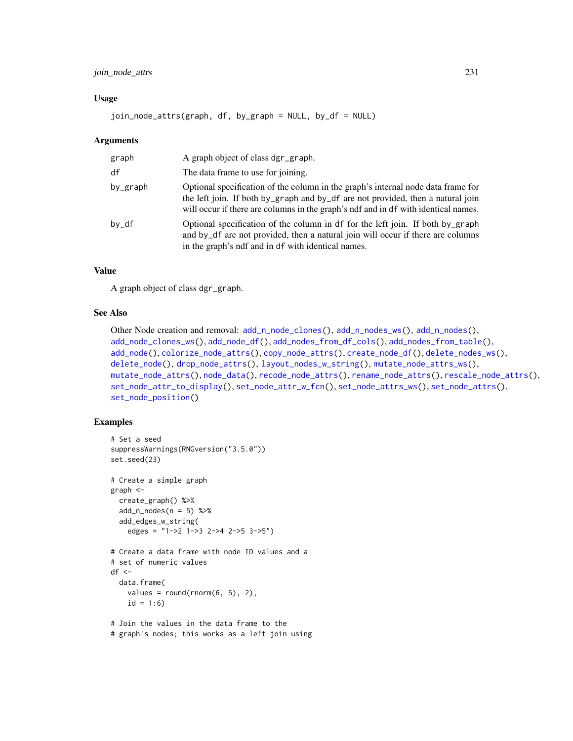## join\_node\_attrs 231

#### Usage

join\_node\_attrs(graph, df, by\_graph = NULL, by\_df = NULL)

#### **Arguments**

| graph    | A graph object of class dgr_graph.                                                                                                                                                                                                                        |
|----------|-----------------------------------------------------------------------------------------------------------------------------------------------------------------------------------------------------------------------------------------------------------|
| df       | The data frame to use for joining.                                                                                                                                                                                                                        |
| by_graph | Optional specification of the column in the graph's internal node data frame for<br>the left join. If both by_graph and by_df are not provided, then a natural join<br>will occur if there are columns in the graph's ndf and in df with identical names. |
| by_df    | Optional specification of the column in df for the left join. If both by_graph<br>and by_df are not provided, then a natural join will occur if there are columns<br>in the graph's ndf and in df with identical names.                                   |

#### Value

A graph object of class dgr\_graph.

#### See Also

```
Other Node creation and removal: add_n_node_clones(), add_n_nodes_ws(), add_n_nodes(),
add_node_clones_ws(), add_node_df(), add_nodes_from_df_cols(), add_nodes_from_table(),
add_node(), colorize_node_attrs(), copy_node_attrs(), create_node_df(), delete_nodes_ws(),
delete_node(), drop_node_attrs(), layout_nodes_w_string(), mutate_node_attrs_ws(),
mutate_node_attrs(), node_data(), recode_node_attrs(), rename_node_attrs(), rescale_node_attrs(),
set_node_attr_to_display(), set_node_attr_w_fcn(), set_node_attrs_ws(), set_node_attrs(),
set_node_position()
```

```
# Set a seed
suppressWarnings(RNGversion("3.5.0"))
set.seed(23)
# Create a simple graph
graph <-
  create_graph() %>%
  add_n\_nodes(n = 5) %>%
  add_edges_w_string(
   edges = "1->2 1->3 2->4 2->5 3->5")
# Create a data frame with node ID values and a
# set of numeric values
df < -data.frame(
    values = round(rnorm(6, 5), 2),
    id = 1:6# Join the values in the data frame to the
# graph's nodes; this works as a left join using
```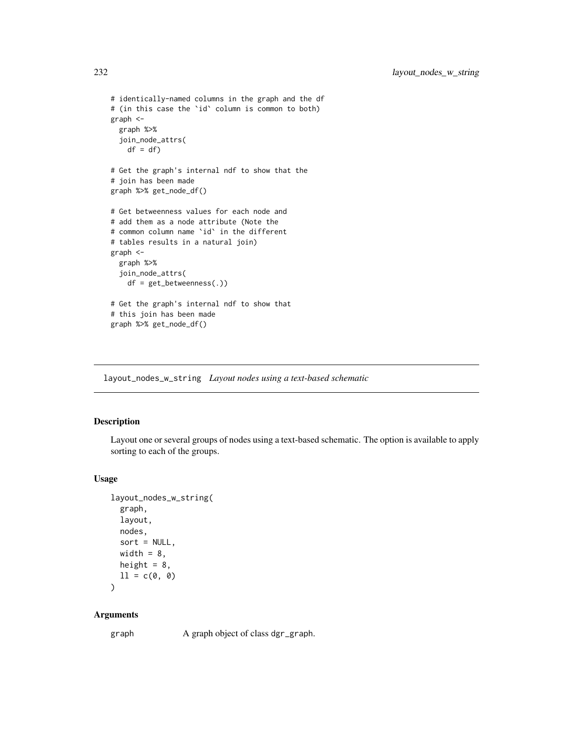```
# identically-named columns in the graph and the df
# (in this case the `id` column is common to both)
graph <-
  graph %>%
  join_node_attrs(
   df = df# Get the graph's internal ndf to show that the
# join has been made
graph %>% get_node_df()
# Get betweenness values for each node and
# add them as a node attribute (Note the
# common column name `id` in the different
# tables results in a natural join)
graph <-
  graph %>%
  join_node_attrs(
    df = get_betweenness(.))
# Get the graph's internal ndf to show that
# this join has been made
graph %>% get_node_df()
```
<span id="page-231-0"></span>layout\_nodes\_w\_string *Layout nodes using a text-based schematic*

## Description

Layout one or several groups of nodes using a text-based schematic. The option is available to apply sorting to each of the groups.

#### Usage

```
layout_nodes_w_string(
  graph,
 layout,
 nodes,
  sort = NULL,width = 8,
 height = 8,
 11 = c(0, 0)
```
)

#### Arguments

graph A graph object of class dgr\_graph.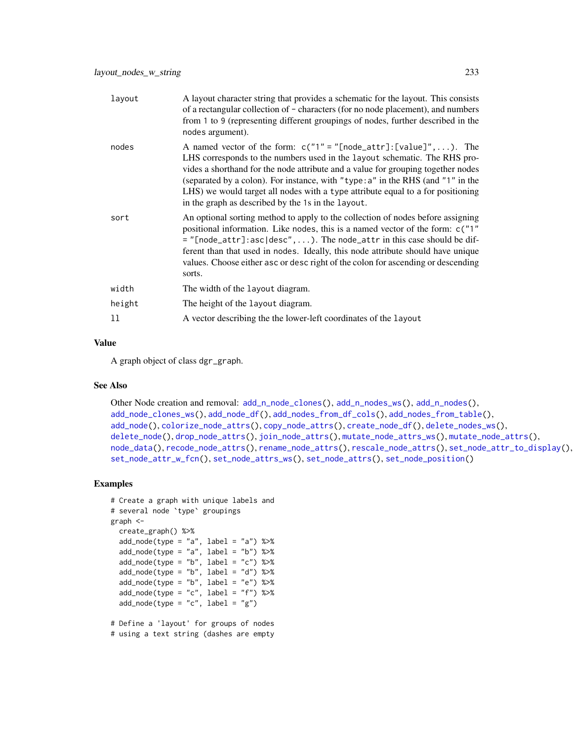| layout | A layout character string that provides a schematic for the layout. This consists<br>of a rectangular collection of - characters (for no node placement), and numbers<br>from 1 to 9 (representing different groupings of nodes, further described in the<br>nodes argument).                                                                                                                                                                                            |
|--------|--------------------------------------------------------------------------------------------------------------------------------------------------------------------------------------------------------------------------------------------------------------------------------------------------------------------------------------------------------------------------------------------------------------------------------------------------------------------------|
| nodes  | A named vector of the form: $c("1" = "[node_attr] : [value]", \dots)$ . The<br>LHS corresponds to the numbers used in the layout schematic. The RHS pro-<br>vides a shorthand for the node attribute and a value for grouping together nodes<br>(separated by a colon). For instance, with "type: a" in the RHS (and "1" in the<br>LHS) we would target all nodes with a type attribute equal to a for positioning<br>in the graph as described by the 1s in the layout. |
| sort   | An optional sorting method to apply to the collection of nodes before assigning<br>positional information. Like nodes, this is a named vector of the form: c("1"<br>$=$ "[node_attr]: asc desc",). The node_attr in this case should be dif-<br>ferent than that used in nodes. Ideally, this node attribute should have unique<br>values. Choose either asc or desc right of the colon for ascending or descending<br>sorts.                                            |
| width  | The width of the layout diagram.                                                                                                                                                                                                                                                                                                                                                                                                                                         |
| height | The height of the layout diagram.                                                                                                                                                                                                                                                                                                                                                                                                                                        |
| 11     | A vector describing the the lower-left coordinates of the layout                                                                                                                                                                                                                                                                                                                                                                                                         |

#### Value

A graph object of class dgr\_graph.

## See Also

```
Other Node creation and removal: add_nnode_clones(), add_n nodes_ws(), add_n nodes(),add_node_clones_ws(), add_node_df(), add_nodes_from_df_cols(), add_nodes_from_table(),
add_node(), colorize_node_attrs(), copy_node_attrs(), create_node_df(), delete_nodes_ws(),
delete_node(), drop_node_attrs(), join_node_attrs(), mutate_node_attrs_ws(), mutate_node_attrs(),
node_data(), recode_node_attrs(), rename_node_attrs(), rescale_node_attrs(), set_node_attr_to_display(),
set_node_attr_w_fcn(), set_node_attrs_ws(), set_node_attrs(), set_node_position()
```
#### Examples

```
# Create a graph with unique labels and
# several node `type` groupings
graph <-
  create_graph() %>%
  add\_node(type = "a", label = "a") %>%
  add\_node(type = "a", label = "b") %>%
  add\_node(type = "b", label = "c") %>%
  add\_node(type = "b", label = "d") %>%
  add\_node(type = "b", label = "e") %>%
  add\_node(type = "c", label = "f") %>%
  add\_node(type = "c", label = "g")
```
# Define a 'layout' for groups of nodes # using a text string (dashes are empty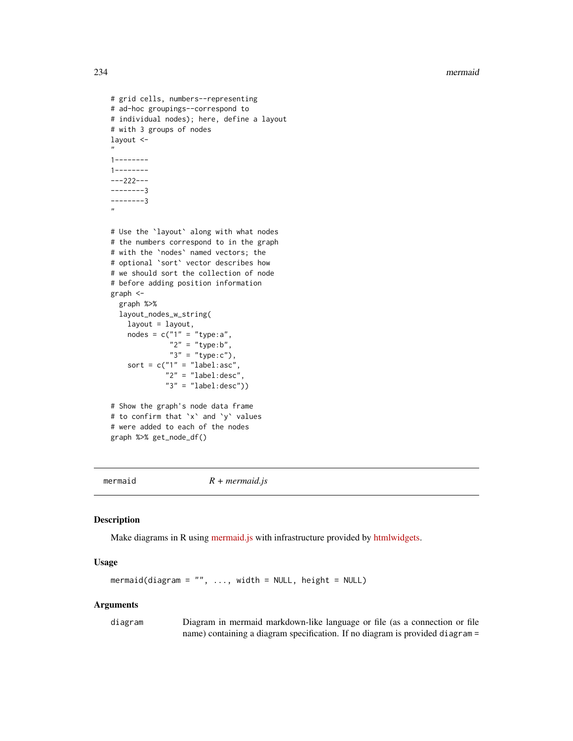```
# grid cells, numbers--representing
# ad-hoc groupings--correspond to
# individual nodes); here, define a layout
# with 3 groups of nodes
layout <-
"
1--------
1--------
---222---
--------3
--------3
"
# Use the `layout` along with what nodes
# the numbers correspond to in the graph
# with the `nodes` named vectors; the
# optional `sort` vector describes how
# we should sort the collection of node
# before adding position information
graph <-
  graph %>%
  layout_nodes_w_string(
   layout = layout,
   nodes = c("1" = "type:a","2" = "type:b","3" = "type:c"),
    sort = c("1" = "label:sec""2" = "label:cd}"3" = "label:cd:cd:desc")# Show the graph's node data frame
# to confirm that `x` and `y` values
# were added to each of the nodes
graph %>% get_node_df()
```
mermaid *R + mermaid.js*

## Description

Make diagrams in R using [mermaid.js](https://github.com/mermaid-js/mermaid/wiki) with infrastructure provided by [htmlwidgets.](http://www.htmlwidgets.org/)

#### Usage

 $mermaid(diagram = "", ...$ , width = NULL, height = NULL)

#### Arguments

diagram Diagram in mermaid markdown-like language or file (as a connection or file name) containing a diagram specification. If no diagram is provided diagram =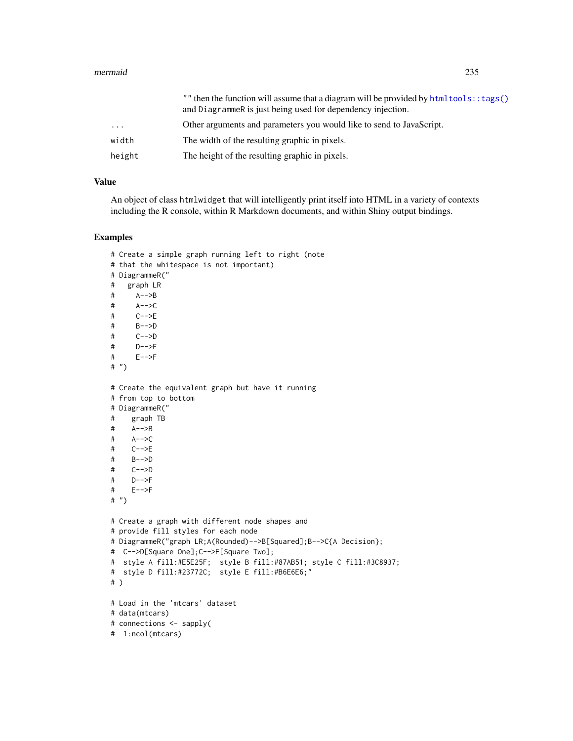#### mermaid 235

|        | "" then the function will assume that a diagram will be provided by html tools: : tags()<br>and DiagrammeR is just being used for dependency injection. |
|--------|---------------------------------------------------------------------------------------------------------------------------------------------------------|
| .      | Other arguments and parameters you would like to send to JavaScript.                                                                                    |
| width  | The width of the resulting graphic in pixels.                                                                                                           |
| height | The height of the resulting graphic in pixels.                                                                                                          |

## Value

An object of class htmlwidget that will intelligently print itself into HTML in a variety of contexts including the R console, within R Markdown documents, and within Shiny output bindings.

```
# Create a simple graph running left to right (note
# that the whitespace is not important)
# DiagrammeR("
# graph LR
# A-->B
# A-->C
# C-->E
# B-->D
# C-->D
# D-->F
# E-->F
#''# Create the equivalent graph but have it running
# from top to bottom
# DiagrammeR("
# graph TB
# A-->B
# A-->C
# C-->E
# B-->D
# C-->D
# D-->F
# E-->F
# ")
# Create a graph with different node shapes and
# provide fill styles for each node
# DiagrammeR("graph LR;A(Rounded)-->B[Squared];B-->C{A Decision};
# C-->D[Square One];C-->E[Square Two];
# style A fill:#E5E25F; style B fill:#87AB51; style C fill:#3C8937;
# style D fill:#23772C; style E fill:#B6E6E6;"
# )
# Load in the 'mtcars' dataset
# data(mtcars)
# connections <- sapply(
# 1:ncol(mtcars)
```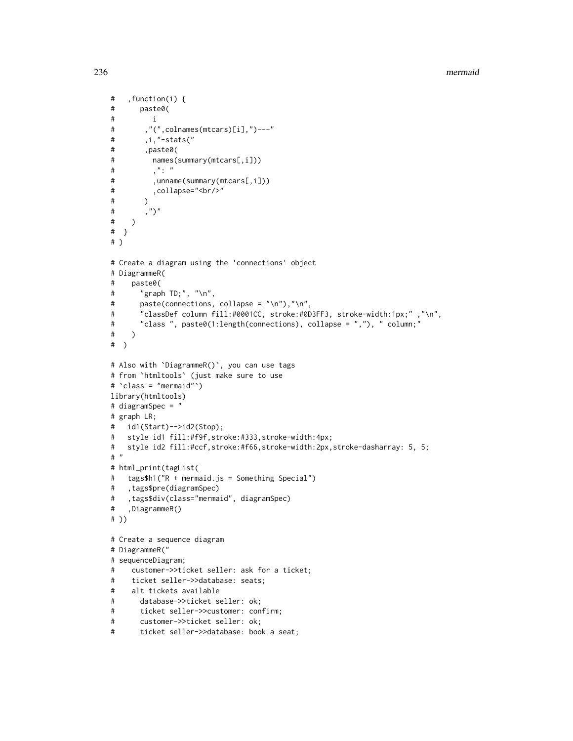```
# ,function(i) {
# paste0(
# i
# ,"(",colnames(mtcars)[i],")---"
# ,i,"-stats("
# ,paste0(
# names(summary(mtcars[,i]))
# , ": "# ,unname(summary(mtcars[,i]))
# ,collapse="<br/>"
# )
^{\#},")"
# )
# }
# )
# Create a diagram using the 'connections' object
# DiagrammeR(
# paste0(
# "graph TD;", "\n",
# paste(connections, collapse = "\n"),"\n",
# "classDef column fill:#0001CC, stroke:#0D3FF3, stroke-width:1px;" ,"\n",
# "class ", paste0(1:length(connections), collapse = ","), " column;"
# )
# )
# Also with `DiagrammeR()`, you can use tags
# from `htmltools` (just make sure to use
# `class = "mermaid"`)
library(htmltools)
# diagramSpec = "
# graph LR;
# id1(Start)-->id2(Stop);
# style id1 fill:#f9f,stroke:#333,stroke-width:4px;
# style id2 fill:#ccf,stroke:#f66,stroke-width:2px,stroke-dasharray: 5, 5;
# "
# html_print(tagList(
# tags$h1("R + mermaid.js = Something Special")
# ,tags$pre(diagramSpec)
# ,tags$div(class="mermaid", diagramSpec)
# ,DiagrammeR()
# ))
# Create a sequence diagram
# DiagrammeR("
# sequenceDiagram;
# customer->>ticket seller: ask for a ticket;
# ticket seller->>database: seats;
# alt tickets available
# database->>ticket seller: ok;
# ticket seller->>customer: confirm;
# customer->>ticket seller: ok;
# ticket seller->>database: book a seat;
```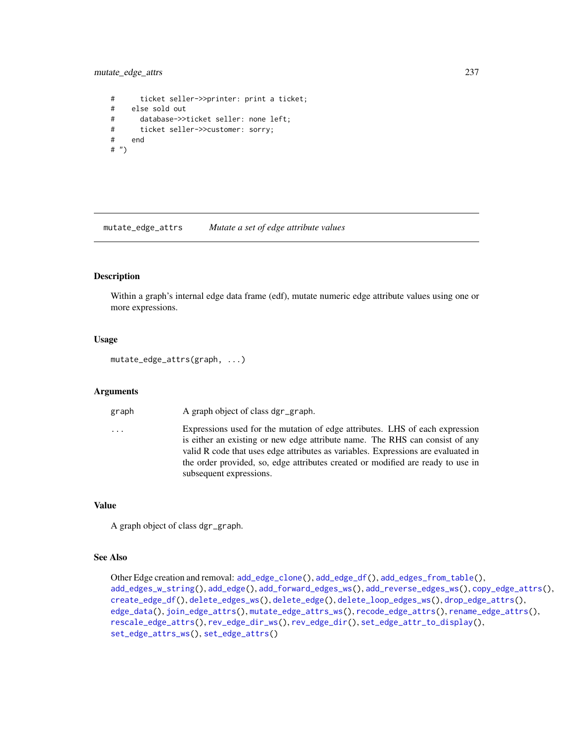mutate\_edge\_attrs 237

# ticket seller->>printer: print a ticket; # else sold out # database->>ticket seller: none left; # ticket seller->>customer: sorry; # end # ")

<span id="page-236-0"></span>mutate\_edge\_attrs *Mutate a set of edge attribute values*

#### Description

Within a graph's internal edge data frame (edf), mutate numeric edge attribute values using one or more expressions.

#### Usage

mutate\_edge\_attrs(graph, ...)

#### Arguments

graph A graph object of class dgr\_graph.

... Expressions used for the mutation of edge attributes. LHS of each expression is either an existing or new edge attribute name. The RHS can consist of any valid R code that uses edge attributes as variables. Expressions are evaluated in the order provided, so, edge attributes created or modified are ready to use in subsequent expressions.

#### Value

A graph object of class dgr\_graph.

#### See Also

```
Other Edge creation and removal: add_edge_clone(), add_edge_df(), add_edges_from_table(),
add_edges_w_string(), add_edge(), add_forward_edges_ws(), add_reverse_edges_ws(), copy_edge_attrs(),
create_edge_df(), delete_edges_ws(), delete_edge(), delete_loop_edges_ws(), drop_edge_attrs(),
edge_data(), join_edge_attrs(), mutate_edge_attrs_ws(), recode_edge_attrs(), rename_edge_attrs(),
rescale_edge_attrs(), rev_edge_dir_ws(), rev_edge_dir(), set_edge_attr_to_display(),
set_edge_attrs_ws(), set_edge_attrs()
```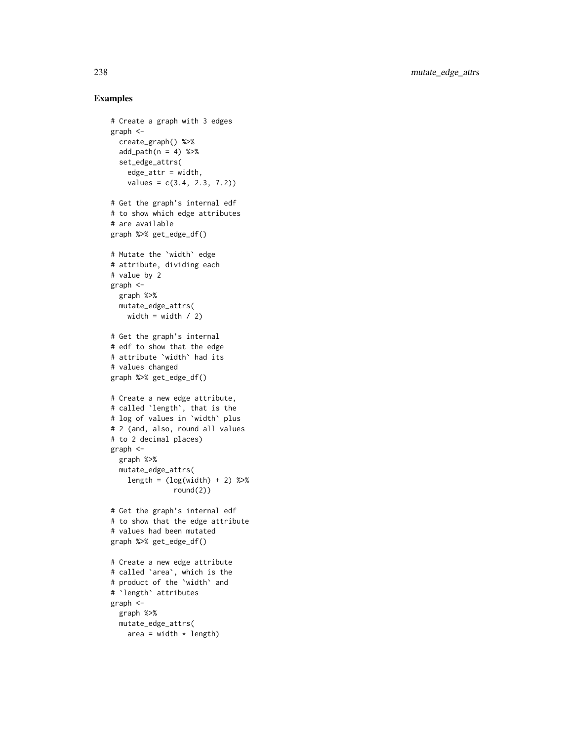```
# Create a graph with 3 edges
graph <-
  create_graph() %>%
  add\_path(n = 4) %>%
  set_edge_attrs(
    edge_2attr = width,
    values = c(3.4, 2.3, 7.2)# Get the graph's internal edf
# to show which edge attributes
# are available
graph %>% get_edge_df()
# Mutate the `width` edge
# attribute, dividing each
# value by 2
graph <-
  graph %>%
  mutate_edge_attrs(
   width = width / 2)
# Get the graph's internal
# edf to show that the edge
# attribute `width` had its
# values changed
graph %>% get_edge_df()
# Create a new edge attribute,
# called `length`, that is the
# log of values in `width` plus
# 2 (and, also, round all values
# to 2 decimal places)
graph <-
  graph %>%
  mutate_edge_attrs(
    length = (\log(\text{width}) + 2) %>%
               round(2))
# Get the graph's internal edf
# to show that the edge attribute
# values had been mutated
graph %>% get_edge_df()
# Create a new edge attribute
# called `area`, which is the
# product of the `width` and
# `length` attributes
graph <-
  graph %>%
 mutate_edge_attrs(
   area = width * length)
```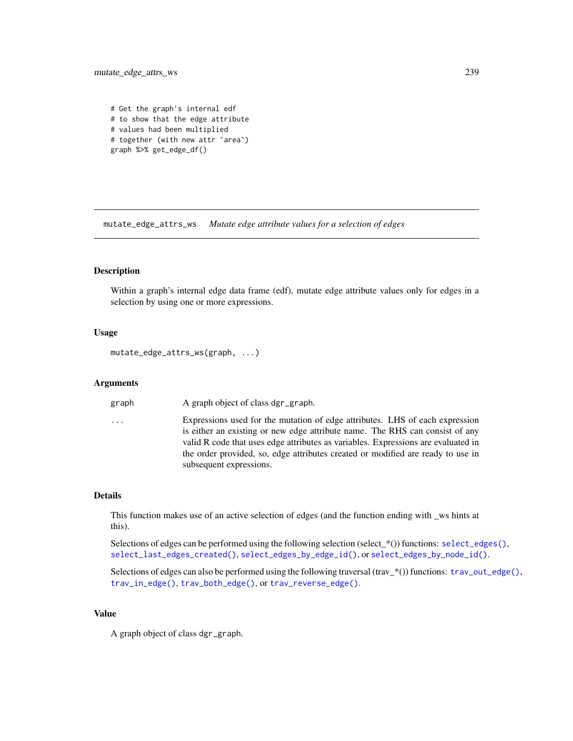mutate\_edge\_attrs\_ws 239

# Get the graph's internal edf # to show that the edge attribute # values had been multiplied # together (with new attr `area`) graph %>% get\_edge\_df()

<span id="page-238-0"></span>mutate\_edge\_attrs\_ws *Mutate edge attribute values for a selection of edges*

#### Description

Within a graph's internal edge data frame (edf), mutate edge attribute values only for edges in a selection by using one or more expressions.

#### Usage

mutate\_edge\_attrs\_ws(graph, ...)

#### Arguments

graph A graph object of class dgr\_graph.

... Expressions used for the mutation of edge attributes. LHS of each expression is either an existing or new edge attribute name. The RHS can consist of any valid R code that uses edge attributes as variables. Expressions are evaluated in the order provided, so, edge attributes created or modified are ready to use in subsequent expressions.

#### Details

This function makes use of an active selection of edges (and the function ending with \_ws hints at this).

Selections of edges can be performed using the following selection (select\_\*()) functions: [select\\_edges\(\)](#page-276-0), [select\\_last\\_edges\\_created\(\)](#page-280-0), [select\\_edges\\_by\\_edge\\_id\(\)](#page-278-0), or [select\\_edges\\_by\\_node\\_id\(\)](#page-279-0).

Selections of edges can also be performed using the following traversal (trav\_\*()) functions: [trav\\_out\\_edge\(\)](#page-339-0), [trav\\_in\\_edge\(\)](#page-324-0), [trav\\_both\\_edge\(\)](#page-316-0), or [trav\\_reverse\\_edge\(\)](#page-349-0).

## Value

A graph object of class dgr\_graph.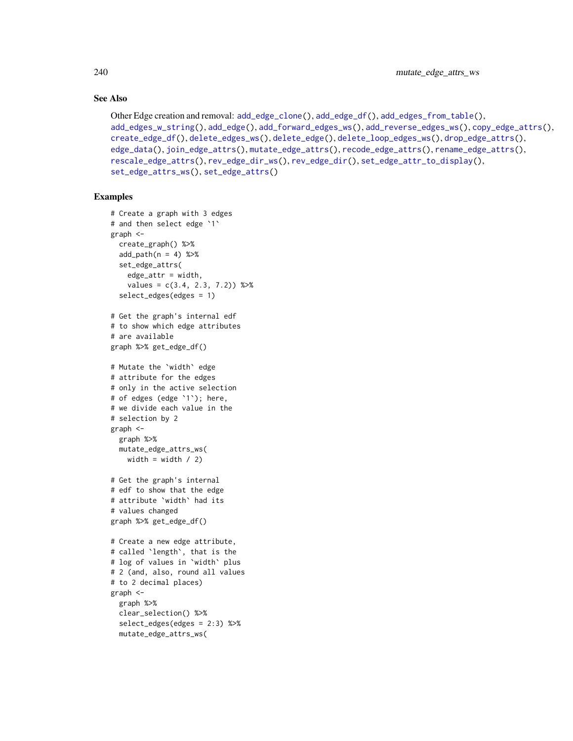## See Also

```
Other Edge creation and removal: add_edge_clone(), add_edge_df(), add_edges_from_table(),
add_edges_w_string(), add_edge(), add_forward_edges_ws(), add_reverse_edges_ws(), copy_edge_attrs(),
create_edge_df(), delete_edges_ws(), delete_edge(), delete_loop_edges_ws(), drop_edge_attrs(),
edge_data(), join_edge_attrs(), mutate_edge_attrs(), recode_edge_attrs(), rename_edge_attrs(),
rescale_edge_attrs(), rev_edge_dir_ws(), rev_edge_dir(), set_edge_attr_to_display(),
set_edge_attrs_ws(), set_edge_attrs()
```

```
# Create a graph with 3 edges
# and then select edge `1`
graph <-
  create_graph() %>%
  add_path(n = 4) %>%
 set_edge_attrs(
    edge_attr = width,
    values = c(3.4, 2.3, 7.2) %>%
  select_edges(edges = 1)
# Get the graph's internal edf
# to show which edge attributes
# are available
graph %>% get_edge_df()
# Mutate the `width` edge
# attribute for the edges
# only in the active selection
# of edges (edge `1`); here,
# we divide each value in the
# selection by 2
graph <-
  graph %>%
  mutate_edge_attrs_ws(
   width = width / 2)
# Get the graph's internal
# edf to show that the edge
# attribute `width` had its
# values changed
graph %>% get_edge_df()
# Create a new edge attribute,
# called `length`, that is the
# log of values in `width` plus
# 2 (and, also, round all values
# to 2 decimal places)
graph <-
  graph %>%
  clear_selection() %>%
  select_edges(edges = 2:3) %>%
  mutate_edge_attrs_ws(
```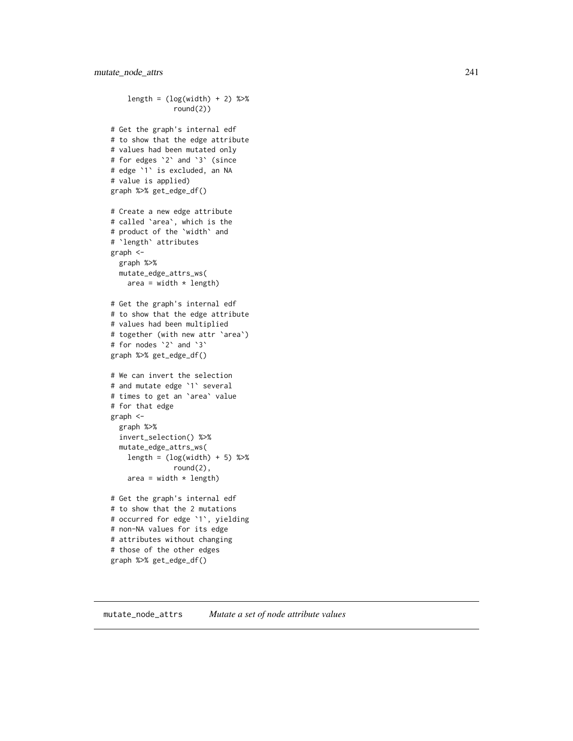```
length = (\log(\text{width}) + 2) %>%
               round(2))
# Get the graph's internal edf
# to show that the edge attribute
# values had been mutated only
# for edges `2` and `3` (since
# edge `1` is excluded, an NA
# value is applied)
graph %>% get_edge_df()
# Create a new edge attribute
# called `area`, which is the
# product of the `width` and
# `length` attributes
graph <-
  graph %>%
  mutate_edge_attrs_ws(
   area = width * length)
# Get the graph's internal edf
# to show that the edge attribute
# values had been multiplied
# together (with new attr `area`)
# for nodes `2` and `3`
graph %>% get_edge_df()
# We can invert the selection
# and mutate edge `1` several
# times to get an `area` value
# for that edge
graph <-
  graph %>%
  invert_selection() %>%
  mutate_edge_attrs_ws(
   length = (log(width) + 5) %>%
               round(2),
    area = width * length)
# Get the graph's internal edf
# to show that the 2 mutations
# occurred for edge `1`, yielding
# non-NA values for its edge
# attributes without changing
# those of the other edges
graph %>% get_edge_df()
```
#### <span id="page-240-0"></span>mutate\_node\_attrs *Mutate a set of node attribute values*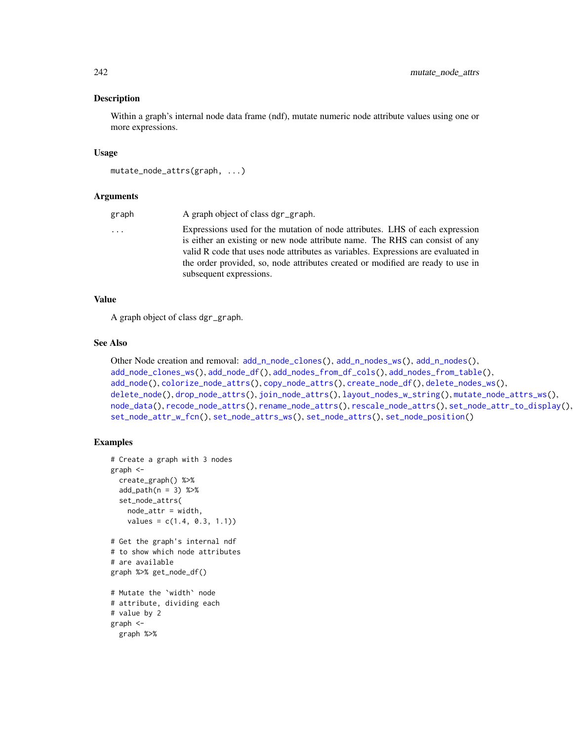#### Description

Within a graph's internal node data frame (ndf), mutate numeric node attribute values using one or more expressions.

#### Usage

```
mutate_node_attrs(graph, ...)
```
#### Arguments

| graph | A graph object of class dgr_graph.                                                                                                                           |
|-------|--------------------------------------------------------------------------------------------------------------------------------------------------------------|
| .     | Expressions used for the mutation of node attributes. LHS of each expression<br>is either an existing or new node attribute name. The RHS can consist of any |
|       | valid R code that uses node attributes as variables. Expressions are evaluated in                                                                            |
|       | the order provided, so, node attributes created or modified are ready to use in<br>subsequent expressions.                                                   |
|       |                                                                                                                                                              |

## Value

A graph object of class dgr\_graph.

#### See Also

```
Other Node creation and removal: add_nnode_clones(), add_n nodes_ws(), add_n nodes(),add_node_clones_ws(), add_node_df(), add_nodes_from_df_cols(), add_nodes_from_table(),
add_node(), colorize_node_attrs(), copy_node_attrs(), create_node_df(), delete_nodes_ws(),
delete_node(), drop_node_attrs(), join_node_attrs(), layout_nodes_w_string(), mutate_node_attrs_ws(),
node_data(), recode_node_attrs(), rename_node_attrs(), rescale_node_attrs(), set_node_attr_to_display(),
set_node_attr_w_fcn(), set_node_attrs_ws(), set_node_attrs(), set_node_position()
```

```
# Create a graph with 3 nodes
graph <-
  create_graph() %>%
  add\_path(n = 3) %>%
  set_node_attrs(
   node_attr = width,
    values = c(1.4, 0.3, 1.1))# Get the graph's internal ndf
# to show which node attributes
# are available
graph %>% get_node_df()
# Mutate the `width` node
# attribute, dividing each
# value by 2
graph <-
  graph %>%
```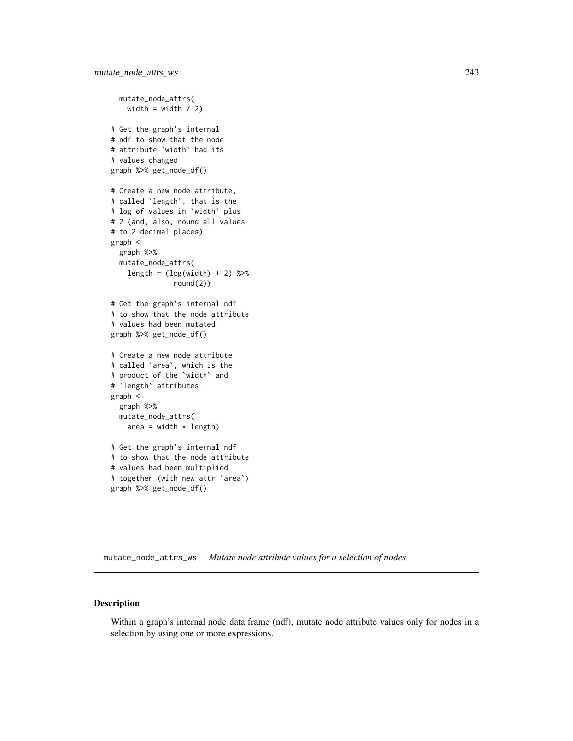```
mutate_node_attrs(
   width = width / 2)
# Get the graph's internal
# ndf to show that the node
# attribute `width` had its
# values changed
graph %>% get_node_df()
# Create a new node attribute,
# called `length`, that is the
# log of values in `width` plus
# 2 (and, also, round all values
# to 2 decimal places)
graph <-
  graph %>%
  mutate_node_attrs(
    length = (\log(\text{width}) + 2) %>%
               round(2))
# Get the graph's internal ndf
# to show that the node attribute
# values had been mutated
graph %>% get_node_df()
# Create a new node attribute
# called `area`, which is the
# product of the `width` and
# `length` attributes
graph <-
  graph %>%
  mutate_node_attrs(
   area = width * length)
# Get the graph's internal ndf
# to show that the node attribute
# values had been multiplied
# together (with new attr `area`)
graph %>% get_node_df()
```
<span id="page-242-0"></span>mutate\_node\_attrs\_ws *Mutate node attribute values for a selection of nodes*

## Description

Within a graph's internal node data frame (ndf), mutate node attribute values only for nodes in a selection by using one or more expressions.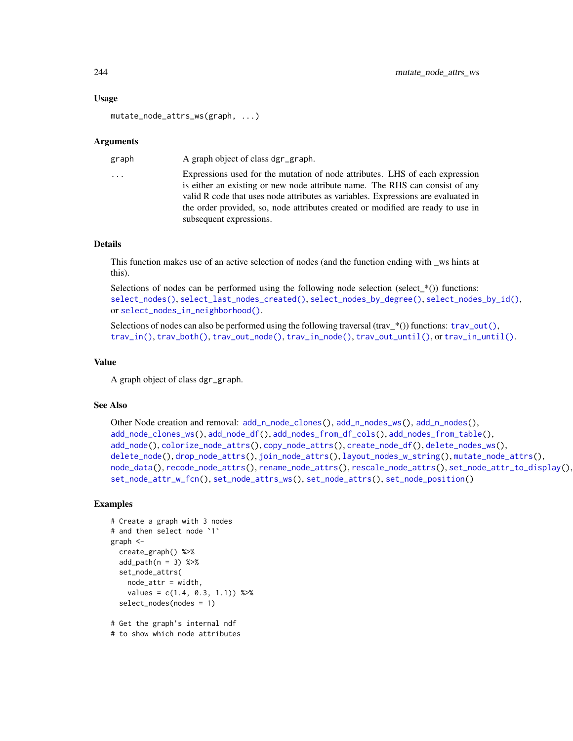#### Usage

```
mutate_node_attrs_ws(graph, ...)
```
#### Arguments

graph A graph object of class dgr\_graph.

... Expressions used for the mutation of node attributes. LHS of each expression is either an existing or new node attribute name. The RHS can consist of any valid R code that uses node attributes as variables. Expressions are evaluated in the order provided, so, node attributes created or modified are ready to use in subsequent expressions.

#### Details

This function makes use of an active selection of nodes (and the function ending with \_ws hints at this).

Selections of nodes can be performed using the following node selection (select\_ $*($ )) functions: [select\\_nodes\(\)](#page-282-0), [select\\_last\\_nodes\\_created\(\)](#page-281-0), [select\\_nodes\\_by\\_degree\(\)](#page-284-0), [select\\_nodes\\_by\\_id\(\)](#page-286-0), or [select\\_nodes\\_in\\_neighborhood\(\)](#page-287-0).

Selections of nodes can also be performed using the following traversal (trav  $*(\cdot)$ ) functions: [trav\\_out\(\)](#page-335-0), [trav\\_in\(\)](#page-320-0), [trav\\_both\(\)](#page-312-0), [trav\\_out\\_node\(\)](#page-343-0), [trav\\_in\\_node\(\)](#page-328-0), [trav\\_out\\_until\(\)](#page-347-0), or [trav\\_in\\_until\(\)](#page-333-0).

## Value

A graph object of class dgr\_graph.

#### See Also

```
Other Node creation and removal: add_nnode\_clones(), add_n nodes_ws(), add_n nodes(),add_node_clones_ws(), add_node_df(), add_nodes_from_df_cols(), add_nodes_from_table(),
add_node(), colorize_node_attrs(), copy_node_attrs(), create_node_df(), delete_nodes_ws(),
delete_node(), drop_node_attrs(), join_node_attrs(), layout_nodes_w_string(), mutate_node_attrs(),
node_data(), recode_node_attrs(), rename_node_attrs(), rescale_node_attrs(), set_node_attr_to_display(),
set_node_attr_w_fcn(), set_node_attrs_ws(), set_node_attrs(), set_node_position()
```

```
# Create a graph with 3 nodes
# and then select node `1`
graph <-
 create_graph() %>%
 add\_path(n = 3) %>%
 set_node_attrs(
   node_attr = width,
    values = c(1.4, 0.3, 1.1)) %>%
 select_nodes(nodes = 1)
# Get the graph's internal ndf
# to show which node attributes
```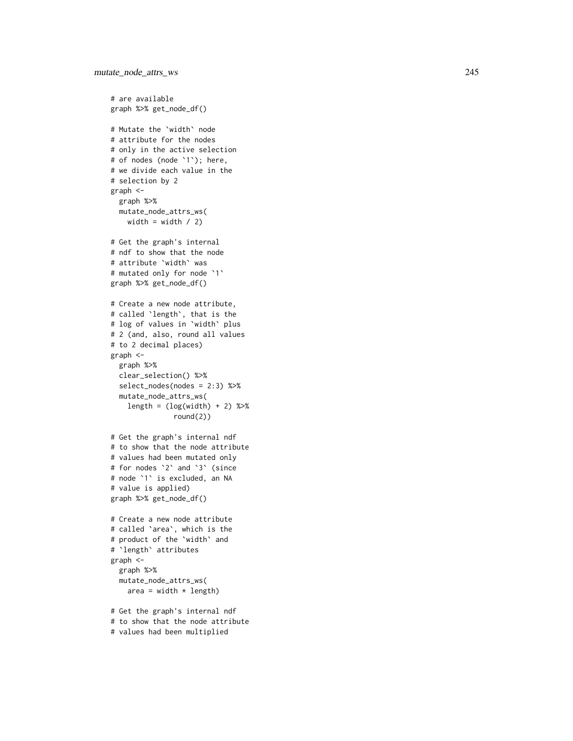```
# are available
graph %>% get_node_df()
# Mutate the
`width
` node
# attribute for the nodes
# only in the active selection
# of nodes (node
`
1
`); here,
# we divide each value in the
# selection by 2
graph <-
  graph %>%
  mutate_node_attrs_ws(
   width = width / 2)
# Get the graph's internal
# ndf to show that the node
# attribute
`width
` was
# mutated only for node
`
1
`
graph %>% get_node_df()
# Create a new node attribute,
# called
`length
`, that is the
# log of values in
`width
` plus
# 2 (and, also, round all values
# to 2 decimal places)
graph <-
  graph %>%
  clear_selection() %>%
  select_nodes(nodes = 2:3) %>%
  mutate_node_attrs_ws(
    length = (log(width) + 2) %>%
               round(2))
# Get the graph's internal ndf
# to show that the node attribute
# values had been mutated only
# for nodes
`
2
` and
`
3
` (since
# node
`
1
` is excluded, an NA
# value is applied)
graph %>% get_node_df()
# Create a new node attribute
# called
`area
`, which is the
# product of the
`width
` and
#
`length
` attributes
graph <-
  graph %>%
  mutate_node_attrs_ws(
    area = width * length)
# Get the graph's internal ndf
# to show that the node attribute
```

```
# values had been multiplied
```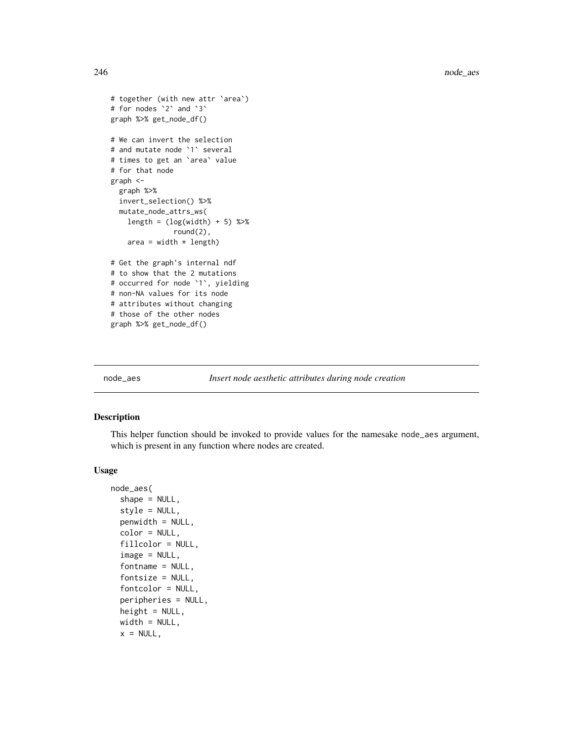```
# together (with new attr `area`)
# for nodes `2` and `3`
graph %>% get_node_df()
# We can invert the selection
# and mutate node `1` several
# times to get an `area` value
# for that node
graph <-
  graph %>%
  invert_selection() %>%
  mutate_node_attrs_ws(
    length = (\log(\text{width}) + 5) %>%
               round(2),
   area = width * length)
# Get the graph's internal ndf
# to show that the 2 mutations
# occurred for node `1`, yielding
# non-NA values for its node
# attributes without changing
# those of the other nodes
graph %>% get_node_df()
```
<span id="page-245-0"></span>node\_aes *Insert node aesthetic attributes during node creation*

#### Description

This helper function should be invoked to provide values for the namesake node\_aes argument, which is present in any function where nodes are created.

#### Usage

```
node_aes(
  shape = NULL,style = NULL,
 penwidth = NULL,
  color = NULL,
  fillcolor = NULL,
  image = NULL,
  fontname = NULL,
  fontsize = NULL,
  fontcolor = NULL,
  peripheries = NULL,
  height = NULL,width = NULL,
  x = NULL,
```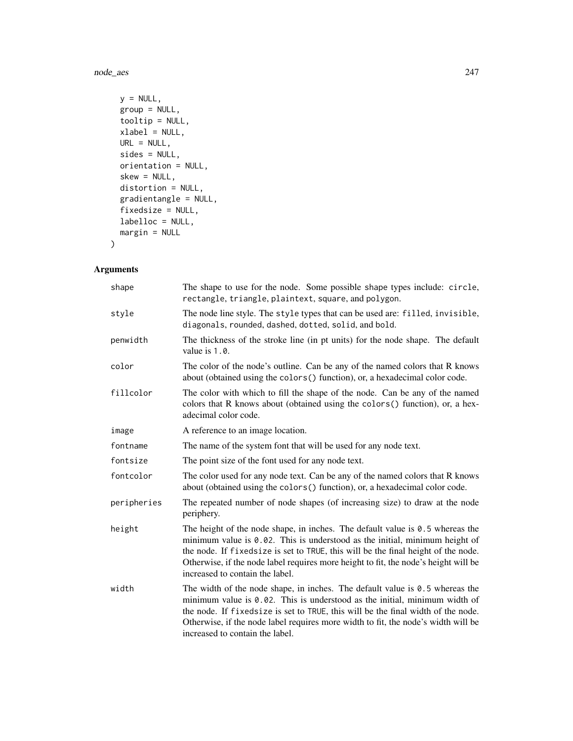node\_aes 247

```
y = NULL,group = NULL,
tooltip = NULL,
xlabel = NULL,URL = NULL,
sides = NULL,
orientation = NULL,
skew = NULL,
distortion = NULL,
gradientangle = NULL,
fixedsize = NULL,
labelloc = NULL,
margin = NULL
```
## Arguments

)

| shape       | The shape to use for the node. Some possible shape types include: circle,<br>rectangle, triangle, plaintext, square, and polygon.                                                                                                                                                                                                                                             |
|-------------|-------------------------------------------------------------------------------------------------------------------------------------------------------------------------------------------------------------------------------------------------------------------------------------------------------------------------------------------------------------------------------|
| style       | The node line style. The style types that can be used are: filled, invisible,<br>diagonals, rounded, dashed, dotted, solid, and bold.                                                                                                                                                                                                                                         |
| penwidth    | The thickness of the stroke line (in pt units) for the node shape. The default<br>value is 1.0.                                                                                                                                                                                                                                                                               |
| color       | The color of the node's outline. Can be any of the named colors that R knows<br>about (obtained using the colors () function), or, a hexadecimal color code.                                                                                                                                                                                                                  |
| fillcolor   | The color with which to fill the shape of the node. Can be any of the named<br>colors that R knows about (obtained using the colors () function), or, a hex-<br>adecimal color code.                                                                                                                                                                                          |
| image       | A reference to an image location.                                                                                                                                                                                                                                                                                                                                             |
| fontname    | The name of the system font that will be used for any node text.                                                                                                                                                                                                                                                                                                              |
| fontsize    | The point size of the font used for any node text.                                                                                                                                                                                                                                                                                                                            |
| fontcolor   | The color used for any node text. Can be any of the named colors that R knows<br>about (obtained using the colors () function), or, a hexadecimal color code.                                                                                                                                                                                                                 |
| peripheries | The repeated number of node shapes (of increasing size) to draw at the node<br>periphery.                                                                                                                                                                                                                                                                                     |
| height      | The height of the node shape, in inches. The default value is $0.5$ whereas the<br>minimum value is 0.02. This is understood as the initial, minimum height of<br>the node. If fixedsize is set to TRUE, this will be the final height of the node.<br>Otherwise, if the node label requires more height to fit, the node's height will be<br>increased to contain the label. |
| width       | The width of the node shape, in inches. The default value is $0.5$ whereas the<br>minimum value is 0.02. This is understood as the initial, minimum width of<br>the node. If fixedsize is set to TRUE, this will be the final width of the node.<br>Otherwise, if the node label requires more width to fit, the node's width will be<br>increased to contain the label.      |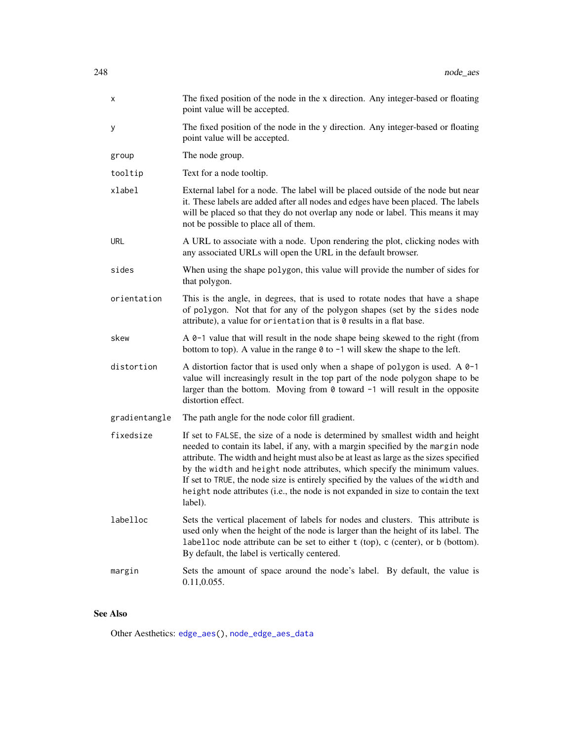| х             | The fixed position of the node in the x direction. Any integer-based or floating<br>point value will be accepted.                                                                                                                                                                                                                                                                                                                                                                                                               |
|---------------|---------------------------------------------------------------------------------------------------------------------------------------------------------------------------------------------------------------------------------------------------------------------------------------------------------------------------------------------------------------------------------------------------------------------------------------------------------------------------------------------------------------------------------|
| у             | The fixed position of the node in the y direction. Any integer-based or floating<br>point value will be accepted.                                                                                                                                                                                                                                                                                                                                                                                                               |
| group         | The node group.                                                                                                                                                                                                                                                                                                                                                                                                                                                                                                                 |
| tooltip       | Text for a node tooltip.                                                                                                                                                                                                                                                                                                                                                                                                                                                                                                        |
| xlabel        | External label for a node. The label will be placed outside of the node but near<br>it. These labels are added after all nodes and edges have been placed. The labels<br>will be placed so that they do not overlap any node or label. This means it may<br>not be possible to place all of them.                                                                                                                                                                                                                               |
| <b>URL</b>    | A URL to associate with a node. Upon rendering the plot, clicking nodes with<br>any associated URLs will open the URL in the default browser.                                                                                                                                                                                                                                                                                                                                                                                   |
| sides         | When using the shape polygon, this value will provide the number of sides for<br>that polygon.                                                                                                                                                                                                                                                                                                                                                                                                                                  |
| orientation   | This is the angle, in degrees, that is used to rotate nodes that have a shape<br>of polygon. Not that for any of the polygon shapes (set by the sides node<br>attribute), a value for orientation that is $\theta$ results in a flat base.                                                                                                                                                                                                                                                                                      |
| skew          | A 0-1 value that will result in the node shape being skewed to the right (from<br>bottom to top). A value in the range $\theta$ to $-1$ will skew the shape to the left.                                                                                                                                                                                                                                                                                                                                                        |
| distortion    | A distortion factor that is used only when a shape of polygon is used. A $0-1$<br>value will increasingly result in the top part of the node polygon shape to be<br>larger than the bottom. Moving from $\theta$ toward $\neg$ 1 will result in the opposite<br>distortion effect.                                                                                                                                                                                                                                              |
| gradientangle | The path angle for the node color fill gradient.                                                                                                                                                                                                                                                                                                                                                                                                                                                                                |
| fixedsize     | If set to FALSE, the size of a node is determined by smallest width and height<br>needed to contain its label, if any, with a margin specified by the margin node<br>attribute. The width and height must also be at least as large as the sizes specified<br>by the width and height node attributes, which specify the minimum values.<br>If set to TRUE, the node size is entirely specified by the values of the width and<br>height node attributes (i.e., the node is not expanded in size to contain the text<br>label). |
| labelloc      | Sets the vertical placement of labels for nodes and clusters. This attribute is<br>used only when the height of the node is larger than the height of its label. The<br>labelloc node attribute can be set to either $t$ (top), $c$ (center), or $b$ (bottom).<br>By default, the label is vertically centered.                                                                                                                                                                                                                 |
| margin        | Sets the amount of space around the node's label. By default, the value is<br>0.11, 0.055.                                                                                                                                                                                                                                                                                                                                                                                                                                      |

## See Also

Other Aesthetics: [edge\\_aes\(](#page-117-0)), [node\\_edge\\_aes\\_data](#page-249-0)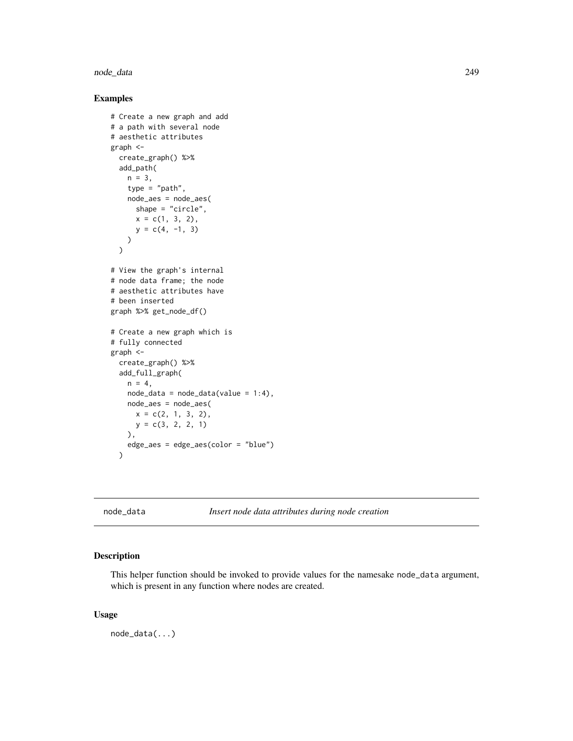#### node\_data 249

## Examples

```
# Create a new graph and add
# a path with several node
# aesthetic attributes
graph <-
  create_graph() %>%
  add_path(
   n = 3,
   type = "path",
   node_aes = node_aes(
     shape = "circle",
     x = c(1, 3, 2),
      y = c(4, -1, 3)\lambda\lambda# View the graph's internal
# node data frame; the node
# aesthetic attributes have
# been inserted
graph %>% get_node_df()
# Create a new graph which is
# fully connected
graph <-
  create_graph() %>%
  add_full_graph(
   n = 4,
   node_data = node_data(value = 1:4),node_aes = node_aes(
     x = c(2, 1, 3, 2),
     y = c(3, 2, 2, 1)),
    edge_aes = edge_aes(color = "blue")
  )
```
<span id="page-248-0"></span>node\_data *Insert node data attributes during node creation*

## Description

This helper function should be invoked to provide values for the namesake node\_data argument, which is present in any function where nodes are created.

#### Usage

node\_data(...)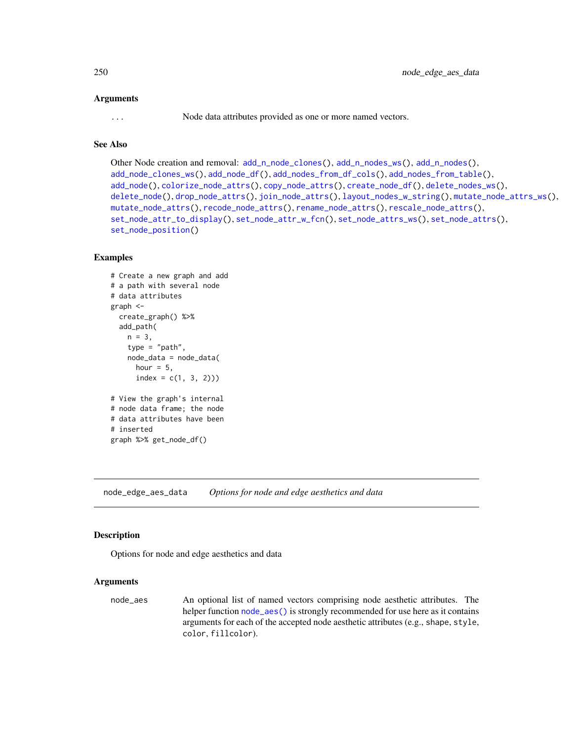#### Arguments

... Node data attributes provided as one or more named vectors.

## See Also

```
Other Node creation and removal: add_n_node_clones(), add_n_nodes_ws(), add_n_nodes(),
add_node_clones_ws(), add_node_df(), add_nodes_from_df_cols(), add_nodes_from_table(),
add_node(), colorize_node_attrs(), copy_node_attrs(), create_node_df(), delete_nodes_ws(),
delete_node(), drop_node_attrs(), join_node_attrs(), layout_nodes_w_string(), mutate_node_attrs_ws(),
mutate_node_attrs(), recode_node_attrs(), rename_node_attrs(), rescale_node_attrs(),
set_node_attr_to_display(), set_node_attr_w_fcn(), set_node_attrs_ws(), set_node_attrs(),
set_node_position()
```
#### Examples

```
# Create a new graph and add
# a path with several node
# data attributes
graph <-
  create_graph() %>%
  add_path(
   n = 3,
    type = "path",
   node_data = node_data(
     hour = 5,
      index = c(1, 3, 2))# View the graph's internal
# node data frame; the node
# data attributes have been
# inserted
graph %>% get_node_df()
```
<span id="page-249-0"></span>node\_edge\_aes\_data *Options for node and edge aesthetics and data*

#### Description

Options for node and edge aesthetics and data

#### Arguments

node\_aes An optional list of named vectors comprising node aesthetic attributes. The helper function [node\\_aes\(\)](#page-245-0) is strongly recommended for use here as it contains arguments for each of the accepted node aesthetic attributes (e.g., shape, style, color, fillcolor).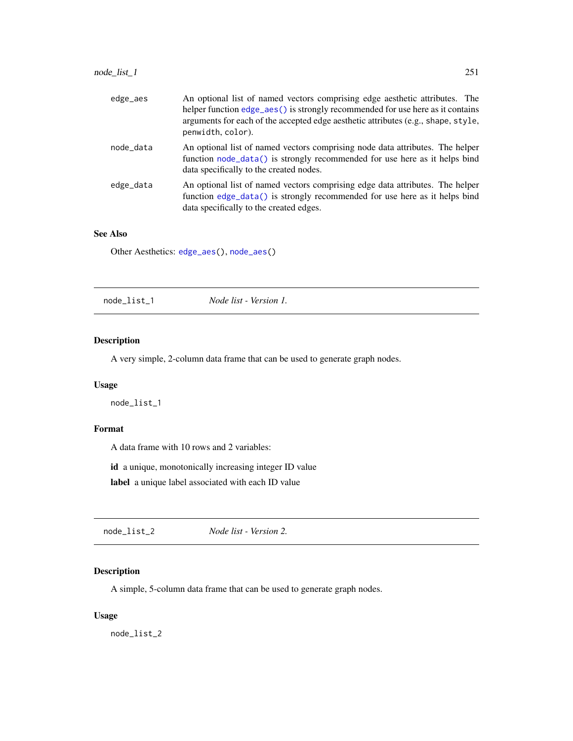## node\_list\_1 251

| edge_aes  | An optional list of named vectors comprising edge aesthetic attributes. The<br>helper function edge_aes() is strongly recommended for use here as it contains<br>arguments for each of the accepted edge aesthetic attributes (e.g., shape, style,<br>penwidth, color). |
|-----------|-------------------------------------------------------------------------------------------------------------------------------------------------------------------------------------------------------------------------------------------------------------------------|
| node data | An optional list of named vectors comprising node data attributes. The helper<br>function node_data() is strongly recommended for use here as it helps bind<br>data specifically to the created nodes.                                                                  |
| edge_data | An optional list of named vectors comprising edge data attributes. The helper<br>function edge_data() is strongly recommended for use here as it helps bind<br>data specifically to the created edges.                                                                  |

#### See Also

Other Aesthetics: [edge\\_aes\(](#page-117-0)), [node\\_aes\(](#page-245-0))

## Description

A very simple, 2-column data frame that can be used to generate graph nodes.

## Usage

node\_list\_1

## Format

A data frame with 10 rows and 2 variables:

id a unique, monotonically increasing integer ID value

label a unique label associated with each ID value

node\_list\_2 *Node list - Version 2.*

## Description

A simple, 5-column data frame that can be used to generate graph nodes.

#### Usage

node\_list\_2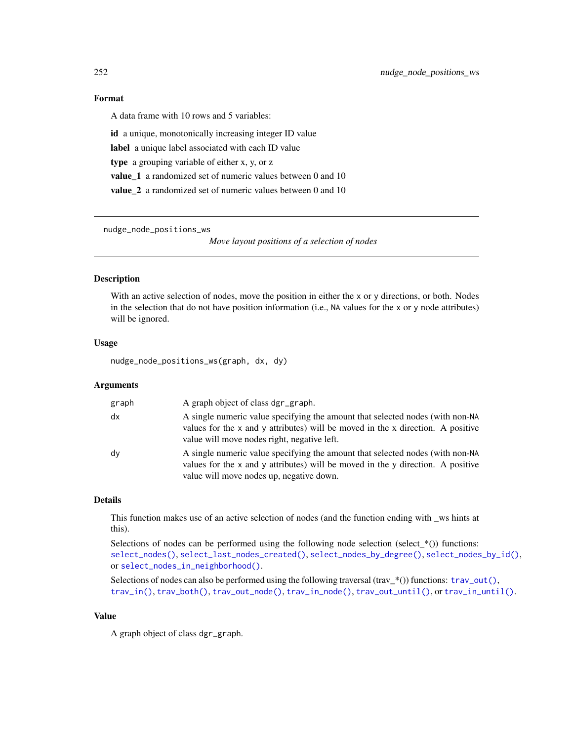## Format

A data frame with 10 rows and 5 variables:

id a unique, monotonically increasing integer ID value label a unique label associated with each ID value type a grouping variable of either x, y, or z

value\_1 a randomized set of numeric values between 0 and 10

value\_2 a randomized set of numeric values between 0 and 10

nudge\_node\_positions\_ws

*Move layout positions of a selection of nodes*

#### Description

With an active selection of nodes, move the position in either the x or y directions, or both. Nodes in the selection that do not have position information (i.e., NA values for the x or y node attributes) will be ignored.

#### Usage

nudge\_node\_positions\_ws(graph, dx, dy)

#### Arguments

| graph | A graph object of class dgr_graph.                                                                                                                                                                                    |
|-------|-----------------------------------------------------------------------------------------------------------------------------------------------------------------------------------------------------------------------|
| dx    | A single numeric value specifying the amount that selected nodes (with non-NA<br>values for the $x$ and $y$ attributes) will be moved in the $x$ direction. A positive<br>value will move nodes right, negative left. |
| dy    | A single numeric value specifying the amount that selected nodes (with non-NA<br>values for the x and y attributes) will be moved in the y direction. A positive<br>value will move nodes up, negative down.          |

## Details

This function makes use of an active selection of nodes (and the function ending with \_ws hints at this).

Selections of nodes can be performed using the following node selection (select\_ $*($ )) functions: [select\\_nodes\(\)](#page-282-0), [select\\_last\\_nodes\\_created\(\)](#page-281-0), [select\\_nodes\\_by\\_degree\(\)](#page-284-0), [select\\_nodes\\_by\\_id\(\)](#page-286-0), or [select\\_nodes\\_in\\_neighborhood\(\)](#page-287-0).

Selections of nodes can also be performed using the following traversal (trav\_\*()) functions:  $\text{trav\_out}($ ), [trav\\_in\(\)](#page-320-0), [trav\\_both\(\)](#page-312-0), [trav\\_out\\_node\(\)](#page-343-0), [trav\\_in\\_node\(\)](#page-328-0), [trav\\_out\\_until\(\)](#page-347-0), or [trav\\_in\\_until\(\)](#page-333-0).

#### Value

A graph object of class dgr\_graph.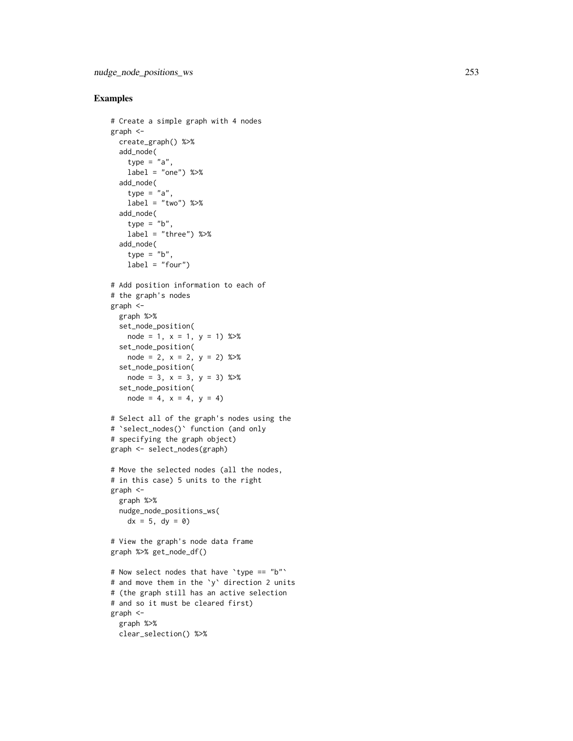```
# Create a simple graph with 4 nodes
graph <-
  create_graph() %>%
  add_node(
   type = "a",label = "one") %>>add_node(
   type = "a",
   label = "two") %>%
  add_node(
   type = "b",
   label = "three") %>>add_node(
   type = "b",
   label = "four"# Add position information to each of
# the graph's nodes
graph <-
  graph %>%
 set_node_position(
   node = 1, x = 1, y = 1) %>%
 set_node_position(
   node = 2, x = 2, y = 2) %>%
  set_node_position(
   node = 3, x = 3, y = 3) %>%
  set_node_position(
   node = 4, x = 4, y = 4)
# Select all of the graph's nodes using the # `select_nodes()` function (and only
# specifying the graph object)
graph <- select_nodes(graph)
# Move the selected nodes (all the nodes,
# in this case) 5 units to the right
graph <-
 graph %>%
 nudge_node_positions_ws(
   dx = 5, dy = 0# View the graph's node data frame
graph %>% get_node_df()
# Now select nodes that have
`type == "b"
`
# and move them in the
`
y
` direction 2 units
# (the graph still has an active selection
# and so it must be cleared first)
graph <-
 graph %>%
  clear_selection() %>%
```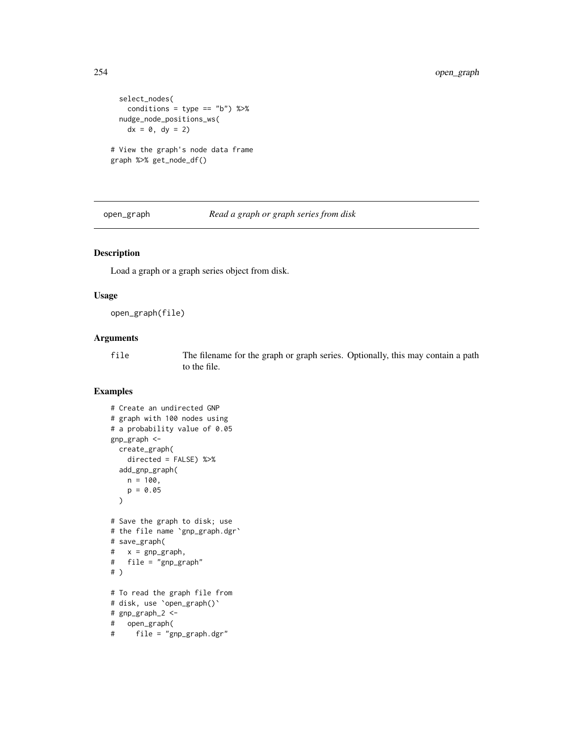```
select_nodes(
   conditions = type == "b") %>%
 nudge_node_positions_ws(
   dx = 0, dy = 2# View the graph's node data frame
graph %>% get_node_df()
```
open\_graph *Read a graph or graph series from disk*

# Description

Load a graph or a graph series object from disk.

#### Usage

```
open_graph(file)
```
#### Arguments

file The filename for the graph or graph series. Optionally, this may contain a path to the file.

```
# Create an undirected GNP
# graph with 100 nodes using
# a probability value of 0.05
gnp_graph <-
 create_graph(
   directed = FALSE) %>%
 add_gnp_graph(
   n = 100,
   p = 0.05)
# Save the graph to disk; use
# the file name `gnp_graph.dgr`
# save_graph(
# x = gnp_graph,
# file = "gnp_graph"
# )
# To read the graph file from
# disk, use `open_graph()`
# gnp_graph_2 <-
# open_graph(
# file = "gnp_graph.dgr"
```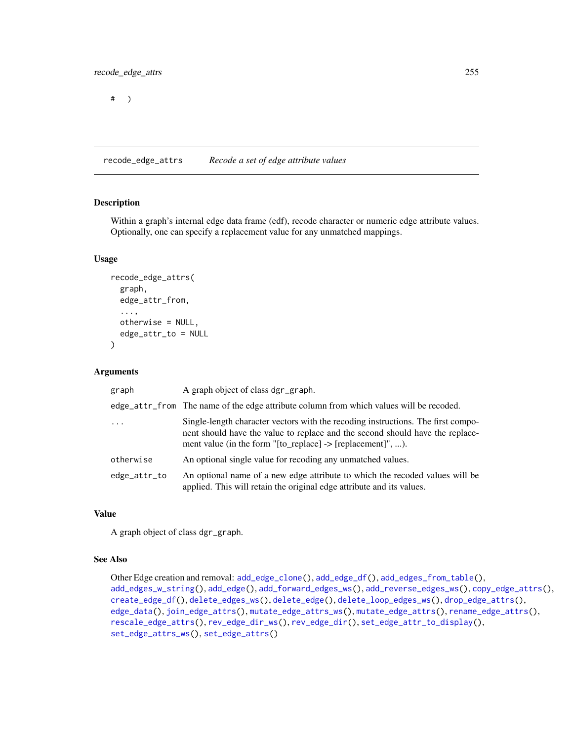# )

<span id="page-254-0"></span>recode\_edge\_attrs *Recode a set of edge attribute values*

#### Description

Within a graph's internal edge data frame (edf), recode character or numeric edge attribute values. Optionally, one can specify a replacement value for any unmatched mappings.

#### Usage

```
recode_edge_attrs(
  graph,
  edge_attr_from,
  ...,
 otherwise = NULL,
  edge_attr_to = NULL
\mathcal{L}
```
#### Arguments

| graph        | A graph object of class dgr_graph.                                                                                                                                                                                                                                                |
|--------------|-----------------------------------------------------------------------------------------------------------------------------------------------------------------------------------------------------------------------------------------------------------------------------------|
|              | edge_attr_from The name of the edge attribute column from which values will be recoded.                                                                                                                                                                                           |
| $\cdot$      | Single-length character vectors with the recoding instructions. The first compo-<br>nent should have the value to replace and the second should have the replace-<br>ment value (in the form $\lceil \text{to\_replace} \rceil$ -> $\lceil \text{replacement} \rceil \rceil$ , ). |
| otherwise    | An optional single value for recoding any unmatched values.                                                                                                                                                                                                                       |
| edge_attr_to | An optional name of a new edge attribute to which the recoded values will be<br>applied. This will retain the original edge attribute and its values.                                                                                                                             |

# Value

A graph object of class dgr\_graph.

## See Also

```
Other Edge creation and removal: add_edge_clone(), add_edge_df(), add_edges_from_table(),
add_edges_w_string(), add_edge(), add_forward_edges_ws(), add_reverse_edges_ws(), copy_edge_attrs(),
create_edge_df(), delete_edges_ws(), delete_edge(), delete_loop_edges_ws(), drop_edge_attrs(),
edge_data(), join_edge_attrs(), mutate_edge_attrs_ws(), mutate_edge_attrs(), rename_edge_attrs(),
rescale_edge_attrs(), rev_edge_dir_ws(), rev_edge_dir(), set_edge_attr_to_display(),
set_edge_attrs_ws(), set_edge_attrs()
```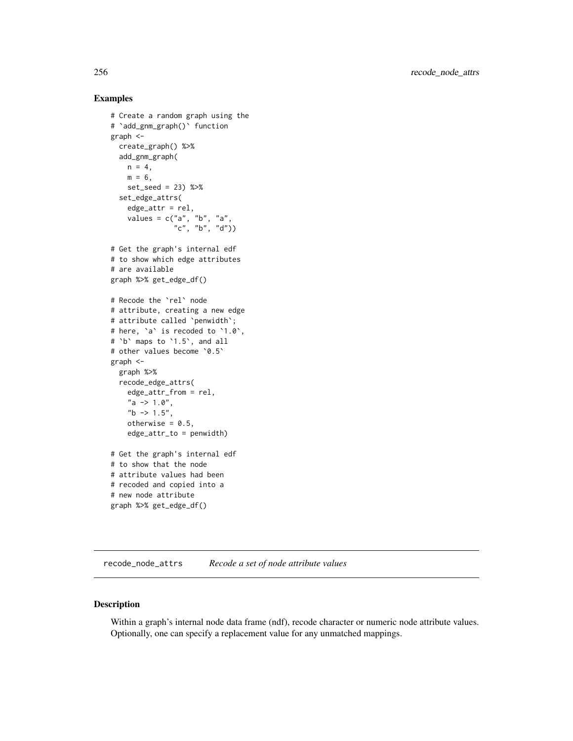## Examples

```
# Create a random graph using the
# `add_gnm_graph()` function
graph <-
  create_graph() %>%
  add_gnm_graph(
    n = 4,
    m = 6,
    set_seed = 23) %>%
  set_edge_attrs(
    edge_attr = rel,
    values = c("a", "b", "a",
                "c", "b", "d"))
# Get the graph's internal edf
# to show which edge attributes
# are available
graph %>% get_edge_df()
# Recode the `rel` node
# attribute, creating a new edge
# attribute called `penwidth`;
# here, `a` is recoded to `1.0`,
# `b` maps to `1.5`, and all
# other values become '0.5'
graph <-
  graph %>%
  recode_edge_attrs(
    edge_attr_from = rel,
    "a \rightarrow 1.0",nb \rightarrow 1.5",
    otherwise = 0.5,
    edge_attr_to = penwidth)
# Get the graph's internal edf
# to show that the node
# attribute values had been
# recoded and copied into a
# new node attribute
graph %>% get_edge_df()
```
<span id="page-255-0"></span>recode\_node\_attrs *Recode a set of node attribute values*

## Description

Within a graph's internal node data frame (ndf), recode character or numeric node attribute values. Optionally, one can specify a replacement value for any unmatched mappings.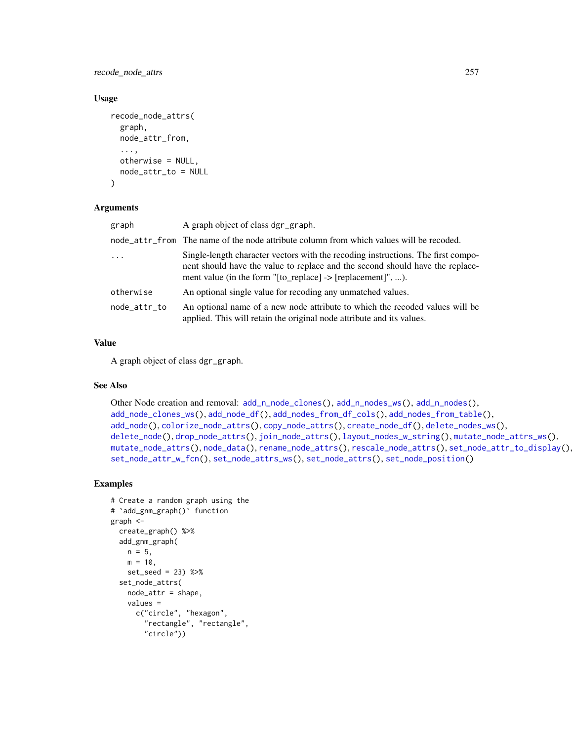recode\_node\_attrs 257

#### Usage

```
recode_node_attrs(
  graph,
 node_attr_from,
  ...,
 otherwise = NULL,
 node_attr_to = NULL
)
```
#### **Arguments**

| graph        | A graph object of class dgr_graph.                                                                                                                                                                                                                         |
|--------------|------------------------------------------------------------------------------------------------------------------------------------------------------------------------------------------------------------------------------------------------------------|
|              | node_attr_from The name of the node attribute column from which values will be recoded.                                                                                                                                                                    |
| $\ddots$ .   | Single-length character vectors with the recoding instructions. The first compo-<br>nent should have the value to replace and the second should have the replace-<br>ment value (in the form $\text{"[to\_replace]} \rightarrow \text{[replacement"}$ , ). |
| otherwise    | An optional single value for recoding any unmatched values.                                                                                                                                                                                                |
| node_attr_to | An optional name of a new node attribute to which the recoded values will be<br>applied. This will retain the original node attribute and its values.                                                                                                      |

## Value

A graph object of class dgr\_graph.

# See Also

```
Other Node creation and removal: add_nnode\_clones(), add_n nodes_ws(), add_n nodes(),add_node_clones_ws(), add_node_df(), add_nodes_from_df_cols(), add_nodes_from_table(),
add_node(), colorize_node_attrs(), copy_node_attrs(), create_node_df(), delete_nodes_ws(),
delete_node(), drop_node_attrs(), join_node_attrs(), layout_nodes_w_string(), mutate_node_attrs_ws(),
mutate_node_attrs(), node_data(), rename_node_attrs(), rescale_node_attrs(), set_node_attr_to_display(),
set_node_attr_w_fcn(), set_node_attrs_ws(), set_node_attrs(), set_node_position()
```

```
# Create a random graph using the
# `add_gnm_graph()` function
graph <-
  create_graph() %>%
  add_gnm_graph(
   n = 5,
   m = 10,
   set_seed = 23) %>%
  set_node_attrs(
   node_attr = shape,
   values =
      c("circle", "hexagon",
        "rectangle", "rectangle",
        "circle"))
```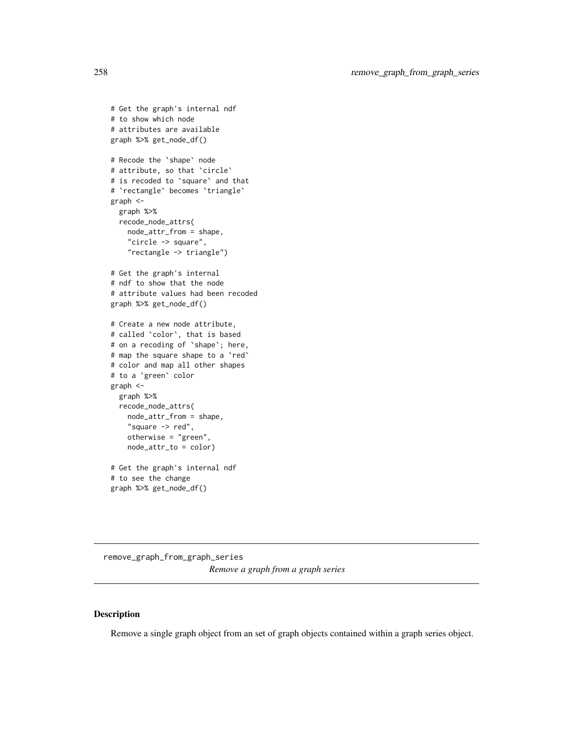```
# Get the graph's internal ndf
# to show which node
# attributes are available
graph %>% get_node_df()
# Recode the `shape` node
# attribute, so that `circle`
# is recoded to `square` and that
# `rectangle` becomes `triangle`
graph <-
  graph %>%
  recode_node_attrs(
   node_attr_from = shape,
    "circle -> square",
    "rectangle -> triangle")
# Get the graph's internal
# ndf to show that the node
# attribute values had been recoded
graph %>% get_node_df()
# Create a new node attribute,
# called `color`, that is based
# on a recoding of `shape`; here,
# map the square shape to a `red`
# color and map all other shapes
# to a `green` color
graph <-
  graph %>%
  recode_node_attrs(
   node_attr_from = shape,
   "square -> red",
   otherwise = "green",
   node_attr_to = color)
# Get the graph's internal ndf
# to see the change
graph %>% get_node_df()
```

```
remove_graph_from_graph_series
                        Remove a graph from a graph series
```
## Description

Remove a single graph object from an set of graph objects contained within a graph series object.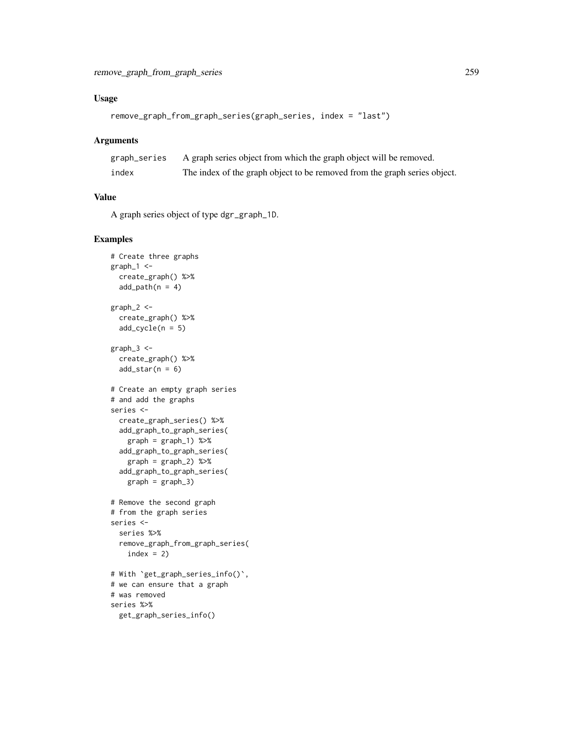# Usage

```
remove_graph_from_graph_series(graph_series, index = "last")
```
#### Arguments

| graph_series | A graph series object from which the graph object will be removed.        |
|--------------|---------------------------------------------------------------------------|
| index        | The index of the graph object to be removed from the graph series object. |

## Value

A graph series object of type dgr\_graph\_1D.

```
# Create three graphs
graph_1 < -create_graph() %>%
  add\_path(n = 4)graph_2 <-
  create_graph() %>%
  add\_cycle(n = 5)graph_3 < -create_graph() %>%
  add\_star(n = 6)# Create an empty graph series
# and add the graphs
series <-
  create_graph_series() %>%
  add_graph_to_graph_series(
   graph = graph_1) %>%
  add_graph_to_graph_series(
   graph = graph_2) %>%
  add_graph_to_graph_series(
   graph = graph_3# Remove the second graph
# from the graph series
series <-
  series %>%
  remove_graph_from_graph_series(
   index = 2# With `get_graph_series_info()`,
# we can ensure that a graph
# was removed
series %>%
  get_graph_series_info()
```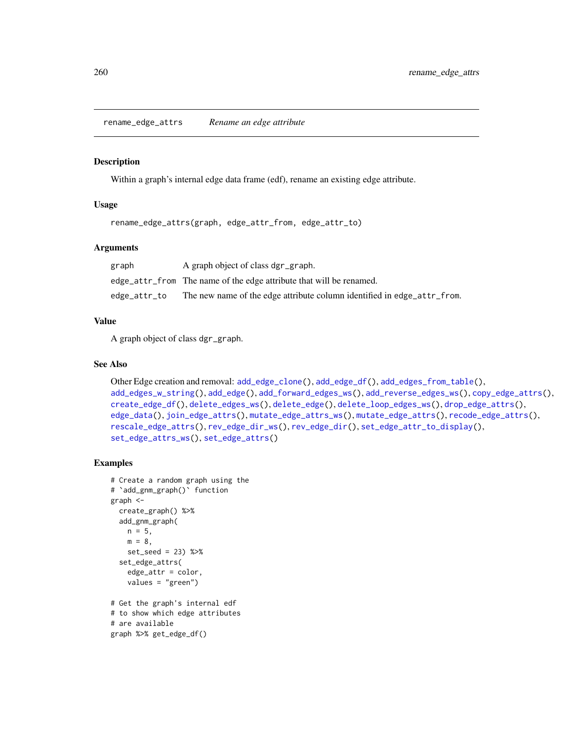<span id="page-259-0"></span>rename\_edge\_attrs *Rename an edge attribute*

#### Description

Within a graph's internal edge data frame (edf), rename an existing edge attribute.

## Usage

rename\_edge\_attrs(graph, edge\_attr\_from, edge\_attr\_to)

#### Arguments

| graph        | A graph object of class dgr_graph.                                      |
|--------------|-------------------------------------------------------------------------|
|              | edge_attr_from The name of the edge attribute that will be renamed.     |
| edge_attr_to | The new name of the edge attribute column identified in edge_attr_from. |

#### Value

A graph object of class dgr\_graph.

## See Also

```
Other Edge creation and removal: add_edge_clone(), add_edge_df(), add_edges_from_table(),
add_edges_w_string(), add_edge(), add_forward_edges_ws(), add_reverse_edges_ws(), copy_edge_attrs(),
create_edge_df(), delete_edges_ws(), delete_edge(), delete_loop_edges_ws(), drop_edge_attrs(),
edge_data(), join_edge_attrs(), mutate_edge_attrs_ws(), mutate_edge_attrs(), recode_edge_attrs(),
rescale_edge_attrs(), rev_edge_dir_ws(), rev_edge_dir(), set_edge_attr_to_display(),
set_edge_attrs_ws(), set_edge_attrs()
```

```
# Create a random graph using the
# `add_gnm_graph()` function
graph <-
  create_graph() %>%
  add_gnm_graph(
   n = 5,
   m = 8,set_seed = 23) %>%
  set_edge_attrs(
    edge_attr = color,
    values = "green")
# Get the graph's internal edf
# to show which edge attributes
# are available
graph %>% get_edge_df()
```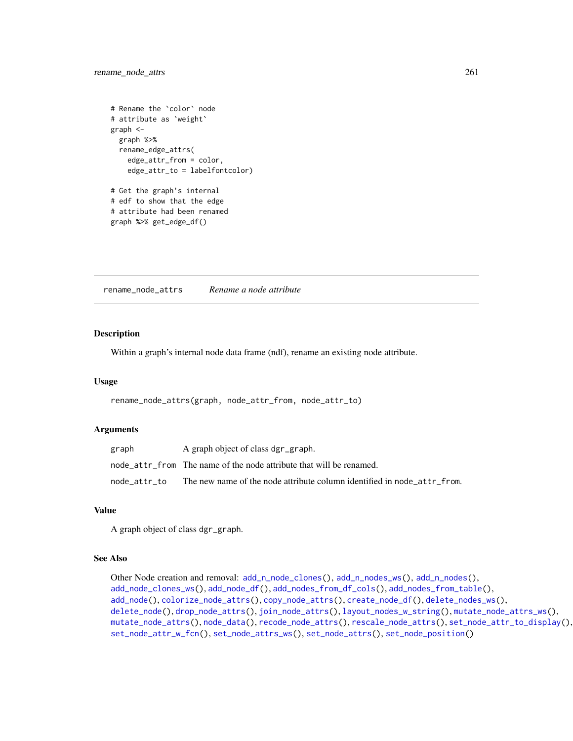```
# Rename the `color` node
# attribute as `weight`
graph <-
  graph %>%
  rename_edge_attrs(
   edge_attr_from = color,
    edge_attr_to = labelfontcolor)
# Get the graph's internal
# edf to show that the edge
# attribute had been renamed
graph %>% get_edge_df()
```
<span id="page-260-0"></span>rename\_node\_attrs *Rename a node attribute*

#### Description

Within a graph's internal node data frame (ndf), rename an existing node attribute.

# Usage

rename\_node\_attrs(graph, node\_attr\_from, node\_attr\_to)

#### Arguments

| graph        | A graph object of class dgr_graph.                                      |
|--------------|-------------------------------------------------------------------------|
|              | node attr from The name of the node attribute that will be renamed.     |
| node attr to | The new name of the node attribute column identified in node attr from. |

#### Value

A graph object of class dgr\_graph.

#### See Also

```
Other Node creation and removal: add_n_node_clones(), add_n_nodes_ws(), add_n_nodes(),
add_node_clones_ws(), add_node_df(), add_nodes_from_df_cols(), add_nodes_from_table(),
add_node(), colorize_node_attrs(), copy_node_attrs(), create_node_df(), delete_nodes_ws(),
delete_node(), drop_node_attrs(), join_node_attrs(), layout_nodes_w_string(), mutate_node_attrs_ws(),
mutate_node_attrs(), node_data(), recode_node_attrs(), rescale_node_attrs(), set_node_attr_to_display(),
set_node_attr_w_fcn(), set_node_attrs_ws(), set_node_attrs(), set_node_position()
```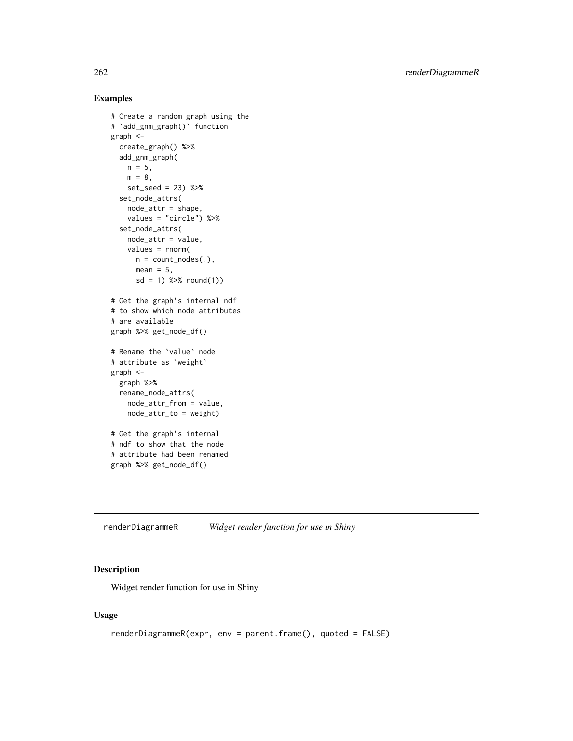## Examples

```
# Create a random graph using the
# `add_gnm_graph()` function
graph <-
  create_graph() %>%
  add_gnm_graph(
   n = 5,
   m = 8,
   set_seed = 23) %>%
  set_node_attrs(
   node_attr = shape,
   values = "circle") %>%
  set_node_attrs(
   node_attr = value,
   values = rnorm(
     n = count\_nodes(.),
     mean = 5,
      sd = 1) %>% round(1))
# Get the graph's internal ndf
# to show which node attributes
# are available
graph %>% get_node_df()
# Rename the `value` node
# attribute as `weight`
graph <-
  graph %>%
  rename_node_attrs(
   node_attr_from = value,
   node_attr_to = weight)
# Get the graph's internal
# ndf to show that the node
# attribute had been renamed
graph %>% get_node_df()
```
renderDiagrammeR *Widget render function for use in Shiny*

# Description

Widget render function for use in Shiny

#### Usage

```
renderDiagrammeR(expr, env = parent.frame(), quoted = FALSE)
```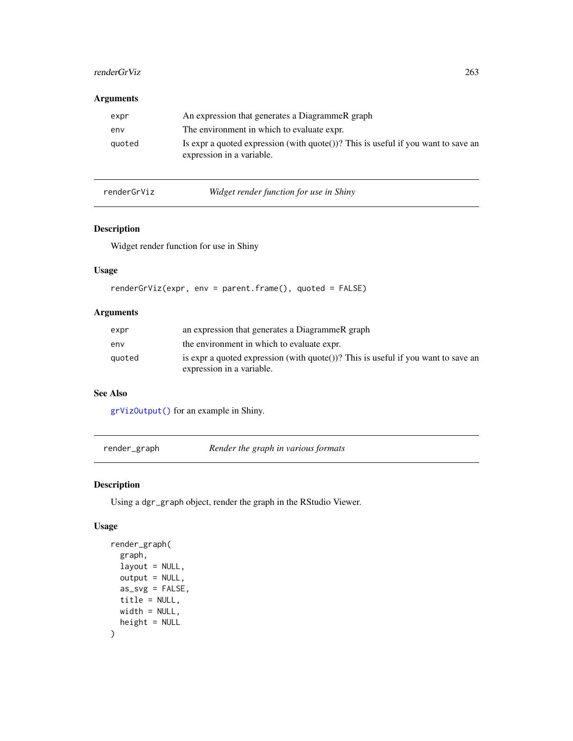## renderGrViz 263

# Arguments

| expr   | An expression that generates a DiagrammeR graph                                                                          |
|--------|--------------------------------------------------------------------------------------------------------------------------|
| env    | The environment in which to evaluate expr.                                                                               |
| quoted | Is expr a quoted expression (with $\text{quote}()$ )? This is useful if you want to save an<br>expression in a variable. |

renderGrViz *Widget render function for use in Shiny*

# Description

Widget render function for use in Shiny

# Usage

```
renderGrViz(expr, env = parent.frame(), quoted = FALSE)
```
# Arguments

| expr   | an expression that generates a DiagrammeR graph                                                                |
|--------|----------------------------------------------------------------------------------------------------------------|
| env    | the environment in which to evaluate expr.                                                                     |
| quoted | is expr a quoted expression (with quote())? This is useful if you want to save an<br>expression in a variable. |

# See Also

[grVizOutput\(\)](#page-212-0) for an example in Shiny.

<span id="page-262-0"></span>render\_graph *Render the graph in various formats*

# Description

Using a dgr\_graph object, render the graph in the RStudio Viewer.

## Usage

```
render_graph(
  graph,
 layout = NULL,
 output = NULL,
 as_svg = FALSE,
 title = NULL,
 width = NULL,
 height = NULL\mathcal{L}
```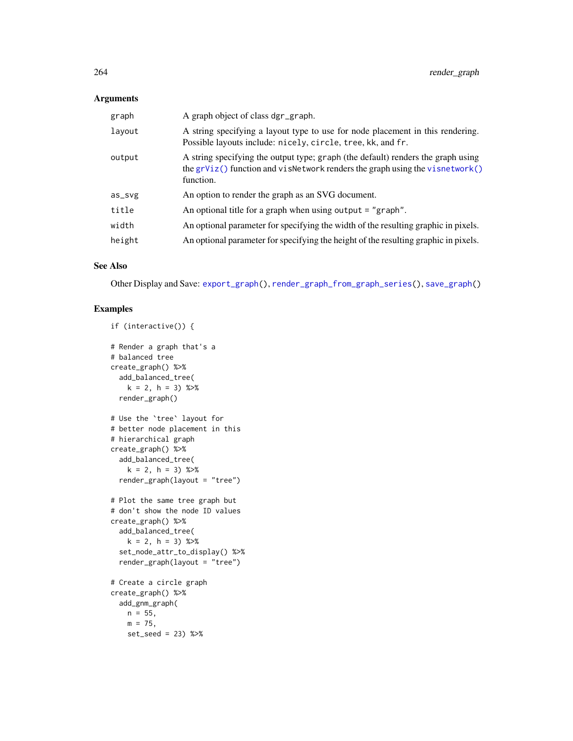# Arguments

| graph  | A graph object of class dgr_graph.                                                                                                                                              |
|--------|---------------------------------------------------------------------------------------------------------------------------------------------------------------------------------|
| layout | A string specifying a layout type to use for node placement in this rendering.<br>Possible layouts include: nicely, circle, tree, kk, and fr.                                   |
| output | A string specifying the output type; graph (the default) renders the graph using<br>the $grViz()$ function and visNetwork renders the graph using the visnetwork()<br>function. |
| as_svg | An option to render the graph as an SVG document.                                                                                                                               |
| title  | An optional title for a graph when using output $=$ "graph".                                                                                                                    |
| width  | An optional parameter for specifying the width of the resulting graphic in pixels.                                                                                              |
| height | An optional parameter for specifying the height of the resulting graphic in pixels.                                                                                             |
|        |                                                                                                                                                                                 |

# See Also

Other Display and Save: [export\\_graph\(](#page-124-0)), [render\\_graph\\_from\\_graph\\_series\(](#page-264-0)), [save\\_graph\(](#page-275-0))

```
if (interactive()) {
# Render a graph that's a
# balanced tree
create_graph() %>%
 add_balanced_tree(
   k = 2, h = 3) %>%
 render_graph()
# Use the `tree` layout for
# better node placement in this
# hierarchical graph
create_graph() %>%
  add_balanced_tree(
    k = 2, h = 3) %>%
  render_graph(layout = "tree")
# Plot the same tree graph but
# don't show the node ID values
create_graph() %>%
  add_balanced_tree(
    k = 2, h = 3) %>%
  set_node_attr_to_display() %>%
  render_graph(layout = "tree")
# Create a circle graph
create_graph() %>%
  add_gnm_graph(
    n = 55,
    m = 75,
    set_seed = 23) %>%
```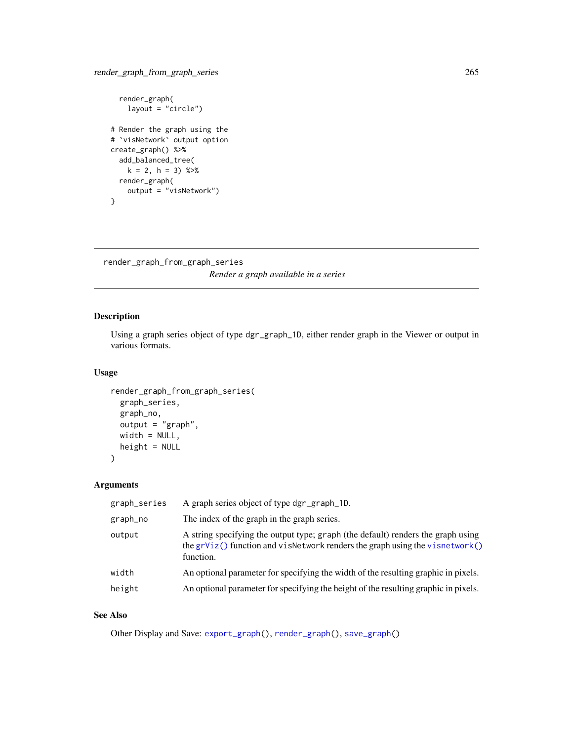```
render_graph(
   layout = "circle")
# Render the graph using the
# `visNetwork` output option
create_graph() %>%
  add_balanced_tree(
   k = 2, h = 3) %>%
  render_graph(
   output = "visNetwork")
}
```
<span id="page-264-0"></span>render\_graph\_from\_graph\_series *Render a graph available in a series*

# Description

Using a graph series object of type dgr\_graph\_1D, either render graph in the Viewer or output in various formats.

#### Usage

```
render_graph_from_graph_series(
  graph_series,
 graph_no,
 output = "graph",
 width = NULL,
 height = NULL\mathcal{L}
```
# Arguments

| graph_series | A graph series object of type dgr_graph_1D.                                                                                                                                   |
|--------------|-------------------------------------------------------------------------------------------------------------------------------------------------------------------------------|
| graph_no     | The index of the graph in the graph series.                                                                                                                                   |
| output       | A string specifying the output type; graph (the default) renders the graph using<br>the grViz() function and visNetwork renders the graph using the visnetwork()<br>function. |
| width        | An optional parameter for specifying the width of the resulting graphic in pixels.                                                                                            |
| height       | An optional parameter for specifying the height of the resulting graphic in pixels.                                                                                           |

## See Also

Other Display and Save: [export\\_graph\(](#page-124-0)), [render\\_graph\(](#page-262-0)), [save\\_graph\(](#page-275-0))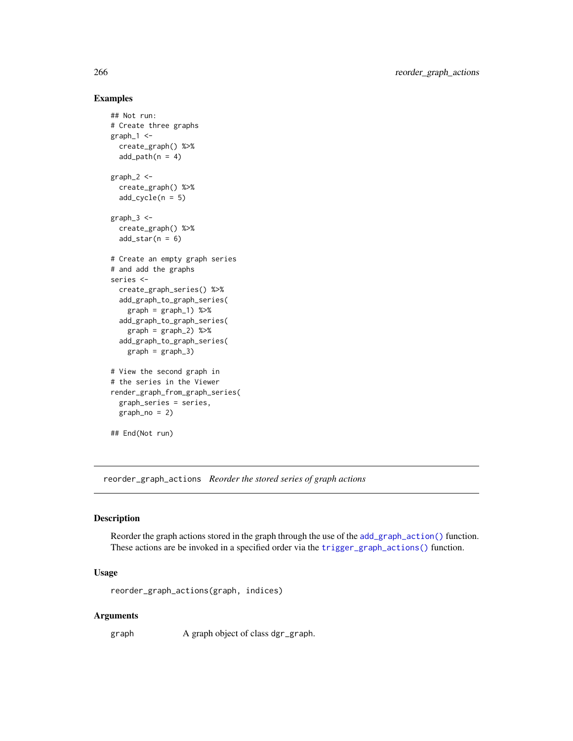## Examples

```
## Not run:
# Create three graphs
graph_1 <-
 create_graph() %>%
  add\_path(n = 4)graph_2 <-
  create_graph() %>%
  add\_cycle(n = 5)graph-3 < -create_graph() %>%
  add\_star(n = 6)# Create an empty graph series
# and add the graphs
series <-
  create_graph_series() %>%
  add_graph_to_graph_series(
   graph = graph_1) %>%
  add_graph_to_graph_series(
   graph = graph_2) %>%
  add_graph_to_graph_series(
   graph = graph_3# View the second graph in
# the series in the Viewer
render_graph_from_graph_series(
  graph_series = series,
  graph_no = 2)
## End(Not run)
```
reorder\_graph\_actions *Reorder the stored series of graph actions*

## Description

Reorder the graph actions stored in the graph through the use of the [add\\_graph\\_action\(\)](#page-29-0) function. These actions are be invoked in a specified order via the [trigger\\_graph\\_actions\(\)](#page-351-0) function.

## Usage

reorder\_graph\_actions(graph, indices)

#### Arguments

graph A graph object of class dgr\_graph.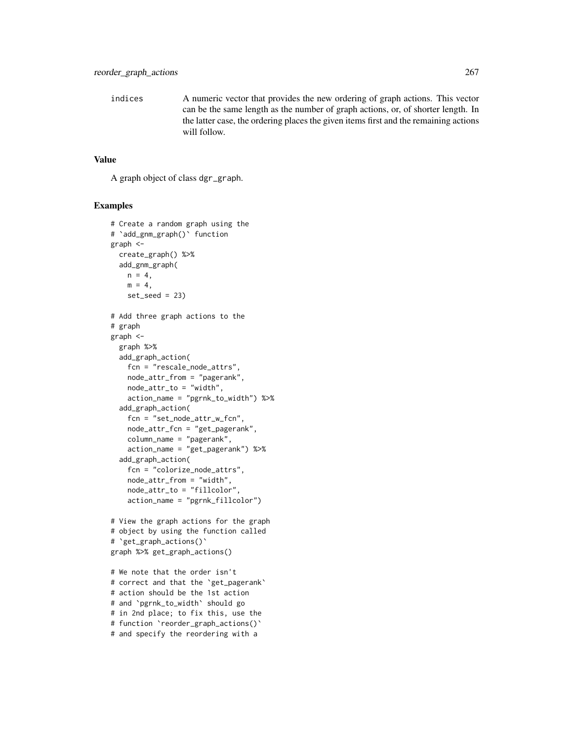indices A numeric vector that provides the new ordering of graph actions. This vector can be the same length as the number of graph actions, or, of shorter length. In the latter case, the ordering places the given items first and the remaining actions will follow.

#### Value

A graph object of class dgr\_graph.

```
# Create a random graph using the
# `add_gnm_graph()` function
graph <-
  create_graph() %>%
  add_gnm_graph(
   n = 4,
   m = 4.
    set\_seed = 23# Add three graph actions to the
# graph
graph <-
  graph %>%
  add_graph_action(
   fcn = "rescale_node_attrs",
   node_attr_from = "pagerank",
   node_attr_to = "width",
   action_name = "pgrnk_to_width") %>%
  add_graph_action(
    fcn = "set_node_attr_w_fcn",
   node_attr_fcn = "get_pagerank",
   column_name = "pagerank",
    action_name = "get_pagerank") %>%
  add_graph_action(
    fcn = "colorize_node_attrs",
    node_attr_from = "width",
    node_attr_to = "fillcolor",
    action_name = "pgrnk_fillcolor")
# View the graph actions for the graph
# object by using the function called
# `get_graph_actions()`
graph %>% get_graph_actions()
```

```
# We note that the order isn't
# correct and that the `get_pagerank`
# action should be the 1st action
# and `pgrnk_to_width` should go
# in 2nd place; to fix this, use the
# function `reorder_graph_actions()`
# and specify the reordering with a
```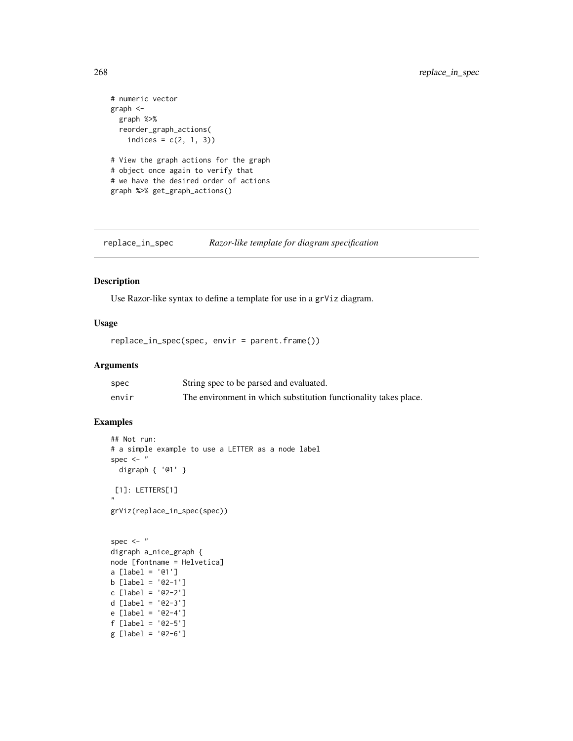```
# numeric vector
graph <-
  graph %>%
  reorder_graph_actions(
   indices = c(2, 1, 3))
# View the graph actions for the graph
# object once again to verify that
# we have the desired order of actions
graph %>% get_graph_actions()
```
replace\_in\_spec *Razor-like template for diagram specification*

## Description

Use Razor-like syntax to define a template for use in a grViz diagram.

# Usage

replace\_in\_spec(spec, envir = parent.frame())

# Arguments

| spec  | String spec to be parsed and evaluated.                          |
|-------|------------------------------------------------------------------|
| envir | The environment in which substitution functionality takes place. |

```
## Not run:
# a simple example to use a LETTER as a node label
spec <- "
  digraph { '@1' }
[1]: LETTERS[1]
"
grViz(replace_in_spec(spec))
```

```
spec \leq - "
digraph a_nice_graph {
node [fontname = Helvetica]
a [label = '@1']
b [label = '@2-1']
c [label = '@2-2']
d [label = '@2-3']
e [label = '@2-4']
f [label = '@2-5']
g [label = '@2-6']
```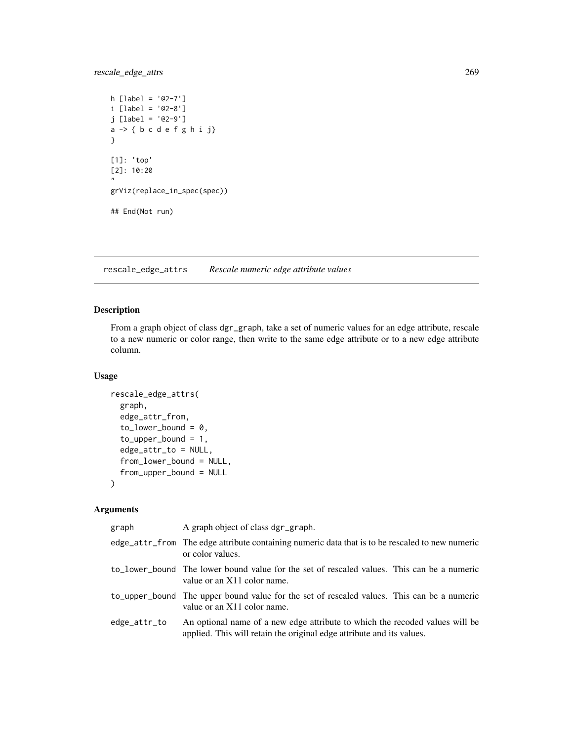rescale\_edge\_attrs 269

```
h [label = '@2-7']
i [label = '@2-8']
j [label = '@2-9']
a \rightarrow \{ b \ c \ d \ e \ f \ g \ h \ i \ j \}}
[1]: 'top'
[2]: 10:20
"
grViz(replace_in_spec(spec))
## End(Not run)
```
<span id="page-268-0"></span>rescale\_edge\_attrs *Rescale numeric edge attribute values*

# Description

From a graph object of class dgr\_graph, take a set of numeric values for an edge attribute, rescale to a new numeric or color range, then write to the same edge attribute or to a new edge attribute column.

### Usage

```
rescale_edge_attrs(
  graph,
  edge_attr_from,
  to_lower_bound = 0,
  to\_upper\_bound = 1,
  edge_attr_to = NULL,
  from_lower_bound = NULL,
  from_upper_bound = NULL
\mathcal{L}
```
# Arguments

| graph        | A graph object of class dgr_graph.                                                                                                                    |
|--------------|-------------------------------------------------------------------------------------------------------------------------------------------------------|
|              | edge_attr_from The edge attribute containing numeric data that is to be rescaled to new numeric<br>or color values.                                   |
|              | to lower bound The lower bound value for the set of rescaled values. This can be a numeric<br>value or an X11 color name.                             |
|              | to_upper_bound The upper bound value for the set of rescaled values. This can be a numeric<br>value or an X11 color name.                             |
| edge_attr_to | An optional name of a new edge attribute to which the recoded values will be<br>applied. This will retain the original edge attribute and its values. |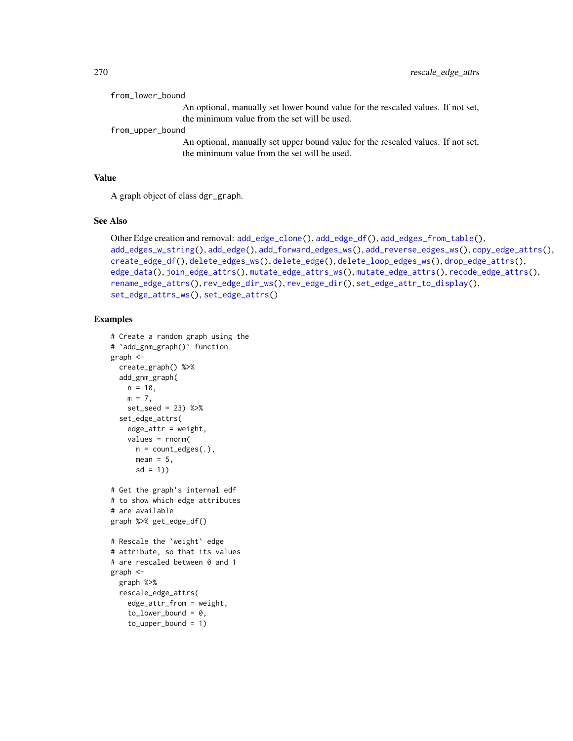| from_lower_bound                                                                 |
|----------------------------------------------------------------------------------|
| An optional, manually set lower bound value for the rescaled values. If not set, |
| the minimum value from the set will be used.                                     |
| from_upper_bound                                                                 |
| An optional, manually set upper bound value for the rescaled values. If not set, |
| the minimum value from the set will be used.                                     |

#### Value

A graph object of class dgr\_graph.

## See Also

```
Other Edge creation and removal: add_edge_clone(), add_edge_df(), add_edges_from_table(),
add_edges_w_string(), add_edge(), add_forward_edges_ws(), add_reverse_edges_ws(), copy_edge_attrs(),
create_edge_df(), delete_edges_ws(), delete_edge(), delete_loop_edges_ws(), drop_edge_attrs(),
edge_data(), join_edge_attrs(), mutate_edge_attrs_ws(), mutate_edge_attrs(), recode_edge_attrs(),
rename_edge_attrs(), rev_edge_dir_ws(), rev_edge_dir(), set_edge_attr_to_display(),
set_edge_attrs_ws(), set_edge_attrs()
```

```
# Create a random graph using the
# `add_gnm_graph()` function
graph <-
 create_graph() %>%
  add_gnm_graph(
   n = 10,
   m = 7.
   set_seed = 23) %>%
  set_edge_attrs(
   edge_values = rnorm(
     n = count_e edges(.),
     mean = 5,
      sd = 1)# Get the graph's internal edf
# to show which edge attributes
# are available
graph %>% get_edge_df()
# Rescale the `weight` edge
# attribute, so that its values
# are rescaled between 0 and 1
graph <-
  graph %>%
  rescale_edge_attrs(
   edge_attr_from = weight,
    to _ lower_bound = 0,
    to\_upper\_bound = 1)
```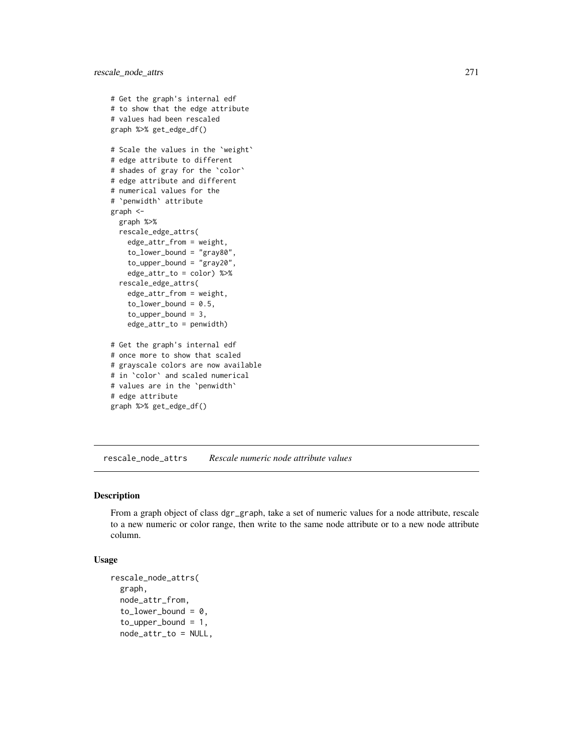```
# Get the graph's internal edf
# to show that the edge attribute
# values had been rescaled
graph %>% get_edge_df()
# Scale the values in the `weight`
# edge attribute to different
# shades of gray for the `color`
# edge attribute and different
# numerical values for the
# `penwidth` attribute
graph <-
  graph %>%
  rescale_edge_attrs(
    edge_attr_from = weight,
    to_lower_bound = "gray80",
    to_upper_bound = "gray20",
    edge_attr_to = color) %>%
  rescale_edge_attrs(
    edge_attr_from = weight,
    to lower bound = 0.5,
    to_upper_bound = 3,
    edge_attr_to = penwidth)
# Get the graph's internal edf
# once more to show that scaled
# grayscale colors are now available
# in `color` and scaled numerical
# values are in the `penwidth`
# edge attribute
```

```
graph %>% get_edge_df()
```
<span id="page-270-0"></span>rescale\_node\_attrs *Rescale numeric node attribute values*

#### Description

From a graph object of class dgr\_graph, take a set of numeric values for a node attribute, rescale to a new numeric or color range, then write to the same node attribute or to a new node attribute column.

## Usage

```
rescale_node_attrs(
  graph,
  node_attr_from,
  to_lower_bound = 0,
  to\_upper\_bound = 1,
  node_attr_to = NULL,
```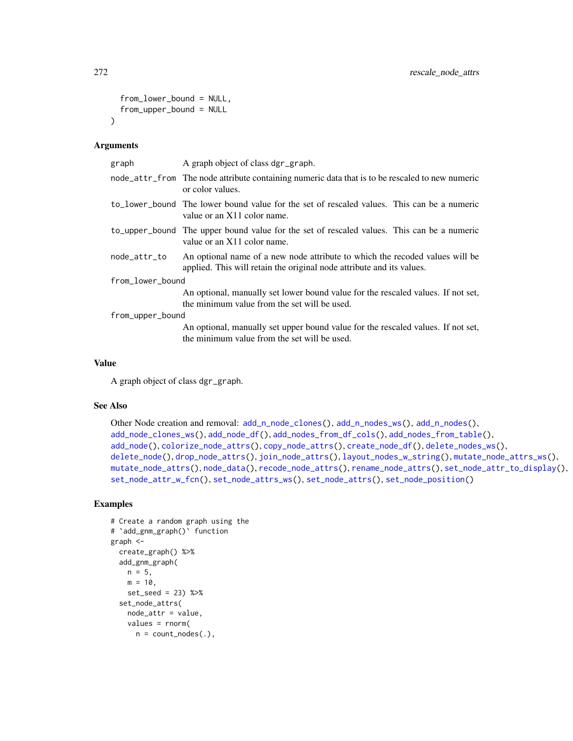```
from_lower_bound = NULL,
  from_upper_bound = NULL
\lambda
```
## Arguments

| graph            | A graph object of class dgr_graph.                                                                                                                    |
|------------------|-------------------------------------------------------------------------------------------------------------------------------------------------------|
|                  | node_attr_from The node attribute containing numeric data that is to be rescaled to new numeric<br>or color values.                                   |
|                  | to lower bound The lower bound value for the set of rescaled values. This can be a numeric<br>value or an X11 color name.                             |
|                  | to upper bound The upper bound value for the set of rescaled values. This can be a numeric<br>value or an $X11$ color name.                           |
| node_attr_to     | An optional name of a new node attribute to which the recoded values will be<br>applied. This will retain the original node attribute and its values. |
| from_lower_bound |                                                                                                                                                       |
|                  | An optional, manually set lower bound value for the rescaled values. If not set,<br>the minimum value from the set will be used.                      |
| from_upper_bound |                                                                                                                                                       |
|                  | An optional, manually set upper bound value for the rescaled values. If not set,<br>the minimum value from the set will be used.                      |

#### Value

A graph object of class dgr\_graph.

# See Also

```
Other Node creation and removal: add_n\_node\_clones(), add_n\_nodes\_ws(), add_n\_nodes(),add_node_clones_ws(), add_node_df(), add_nodes_from_df_cols(), add_nodes_from_table(),
add_node(), colorize_node_attrs(), copy_node_attrs(), create_node_df(), delete_nodes_ws(),
delete_node(), drop_node_attrs(), join_node_attrs(), layout_nodes_w_string(), mutate_node_attrs_ws(),
mutate_node_attrs(), node_data(), recode_node_attrs(), rename_node_attrs(), set_node_attr_to_display(),
set_node_attr_w_fcn(), set_node_attrs_ws(), set_node_attrs(), set_node_position()
```

```
# Create a random graph using the
# `add_gnm_graph()` function
graph <-
  create_graph() %>%
  add_gnm_graph(
   n = 5,
   m = 10,
   set_seed = 23) %>%
  set_node_attrs(
   node_attr = value,
   values = rnorm(
     n = count\_nodes(.),
```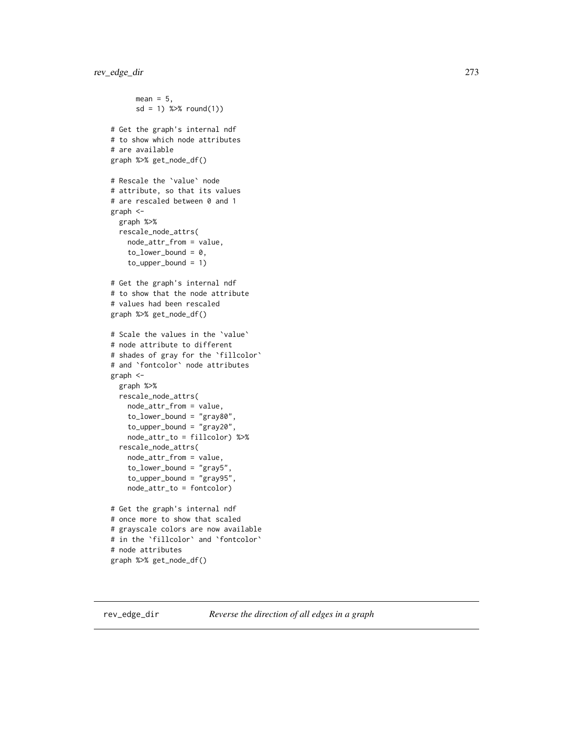```
mean = 5,
      sd = 1) %>% round(1))
# Get the graph's internal ndf
# to show which node attributes
# are available
graph %>% get_node_df()
# Rescale the `value` node
# attribute, so that its values
# are rescaled between 0 and 1
graph <-
  graph %>%
  rescale_node_attrs(
    node_attr_from = value,
    to_lower\_bound = 0,
    to_upper_bound = 1)
# Get the graph's internal ndf
# to show that the node attribute
# values had been rescaled
graph %>% get_node_df()
# Scale the values in the `value`
# node attribute to different
# shades of gray for the `fillcolor`
# and `fontcolor` node attributes
graph <-
  graph %>%
  rescale_node_attrs(
   node_attr_from = value,
    to_lower_bound = "gray80",
    to\_upper\_bound = "gray20",node_attr_to = fillcolor) %>%
  rescale_node_attrs(
    node_attr_from = value,
    to_lower_bound = "gray5",
    to_upper_bound = "gray95",
    node_attr_to = fontcolor)
# Get the graph's internal ndf
# once more to show that scaled
# grayscale colors are now available
# in the `fillcolor` and `fontcolor`
# node attributes
graph %>% get_node_df()
```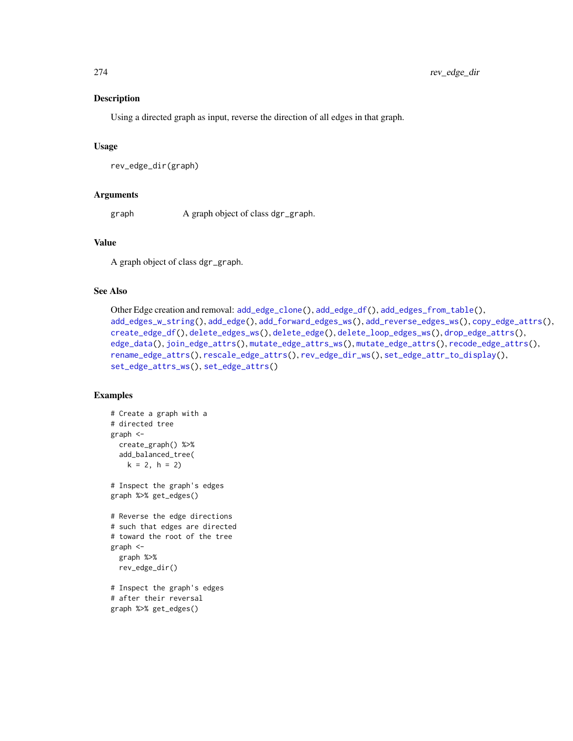# Description

Using a directed graph as input, reverse the direction of all edges in that graph.

#### Usage

```
rev_edge_dir(graph)
```
#### Arguments

graph A graph object of class dgr\_graph.

# Value

A graph object of class dgr\_graph.

## See Also

```
Other Edge creation and removal: add_edge_clone(), add_edge_df(), add_edges_from_table(),
add_edges_w_string(), add_edge(), add_forward_edges_ws(), add_reverse_edges_ws(), copy_edge_attrs(),
create_edge_df(), delete_edges_ws(), delete_edge(), delete_loop_edges_ws(), drop_edge_attrs(),
edge_data(), join_edge_attrs(), mutate_edge_attrs_ws(), mutate_edge_attrs(), recode_edge_attrs(),
rename_edge_attrs(), rescale_edge_attrs(), rev_edge_dir_ws(), set_edge_attr_to_display(),
set_edge_attrs_ws(), set_edge_attrs()
```

```
# Create a graph with a
# directed tree
graph <-
  create_graph() %>%
  add_balanced_tree(
   k = 2, h = 2# Inspect the graph's edges
graph %>% get_edges()
# Reverse the edge directions
# such that edges are directed
# toward the root of the tree
graph <-
  graph %>%
  rev_edge_dir()
# Inspect the graph's edges
# after their reversal
graph %>% get_edges()
```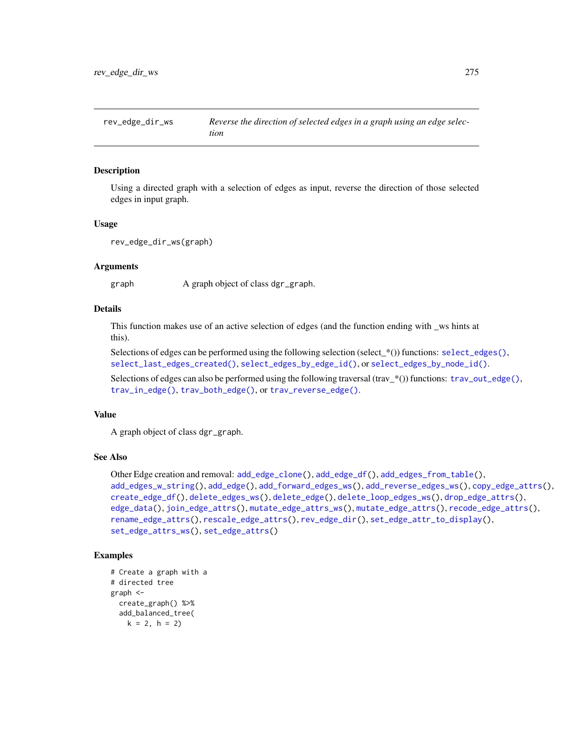<span id="page-274-0"></span>

## Description

Using a directed graph with a selection of edges as input, reverse the direction of those selected edges in input graph.

#### Usage

rev\_edge\_dir\_ws(graph)

#### Arguments

graph A graph object of class dgr\_graph.

#### Details

This function makes use of an active selection of edges (and the function ending with \_ws hints at this).

Selections of edges can be performed using the following selection (select\_\*()) functions: [select\\_edges\(\)](#page-276-0), [select\\_last\\_edges\\_created\(\)](#page-280-0), [select\\_edges\\_by\\_edge\\_id\(\)](#page-278-0), or [select\\_edges\\_by\\_node\\_id\(\)](#page-279-0).

Selections of edges can also be performed using the following traversal (trav\_\*()) functions: [trav\\_out\\_edge\(\)](#page-339-0), [trav\\_in\\_edge\(\)](#page-324-0), [trav\\_both\\_edge\(\)](#page-316-0), or [trav\\_reverse\\_edge\(\)](#page-349-0).

## Value

A graph object of class dgr\_graph.

## See Also

```
Other Edge creation and removal: add_edge_clone(), add_edge_df(), add_edges_from_table(),
add_edges_w_string(), add_edge(), add_forward_edges_ws(), add_reverse_edges_ws(), copy_edge_attrs(),
create_edge_df(), delete_edges_ws(), delete_edge(), delete_loop_edges_ws(), drop_edge_attrs(),
edge_data(), join_edge_attrs(), mutate_edge_attrs_ws(), mutate_edge_attrs(), recode_edge_attrs(),
rename_edge_attrs(), rescale_edge_attrs(), rev_edge_dir(), set_edge_attr_to_display(),
set_edge_attrs_ws(), set_edge_attrs()
```

```
# Create a graph with a
# directed tree
graph <-
 create_graph() %>%
 add_balanced_tree(
   k = 2, h = 2)
```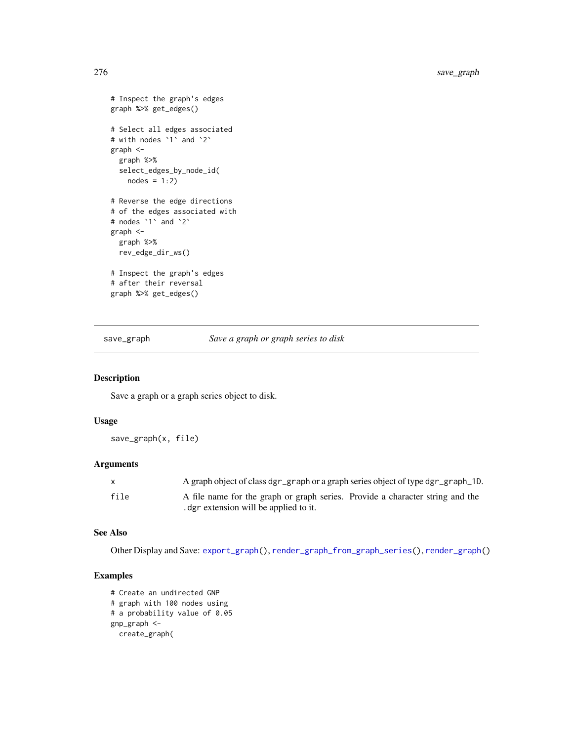```
# Inspect the graph's edges
graph %>% get_edges()
# Select all edges associated
# with nodes `1` and `2`
graph <-
  graph %>%
  select_edges_by_node_id(
   nodes = 1:2)# Reverse the edge directions
# of the edges associated with
# nodes `1` and `2`
graph <-
  graph %>%
  rev_edge_dir_ws()
# Inspect the graph's edges
# after their reversal
graph %>% get_edges()
```
<span id="page-275-0"></span>save\_graph *Save a graph or graph series to disk*

#### Description

Save a graph or a graph series object to disk.

# Usage

save\_graph(x, file)

# Arguments

| $\mathsf{X}$ | A graph object of class dgr_graph or a graph series object of type dgr_graph_1D. |
|--------------|----------------------------------------------------------------------------------|
| file         | A file name for the graph or graph series. Provide a character string and the    |
|              | . dgr extension will be applied to it.                                           |

## See Also

Other Display and Save: [export\\_graph\(](#page-124-0)), [render\\_graph\\_from\\_graph\\_series\(](#page-264-0)), [render\\_graph\(](#page-262-0))

```
# Create an undirected GNP
# graph with 100 nodes using
# a probability value of 0.05
gnp_graph <-
 create_graph(
```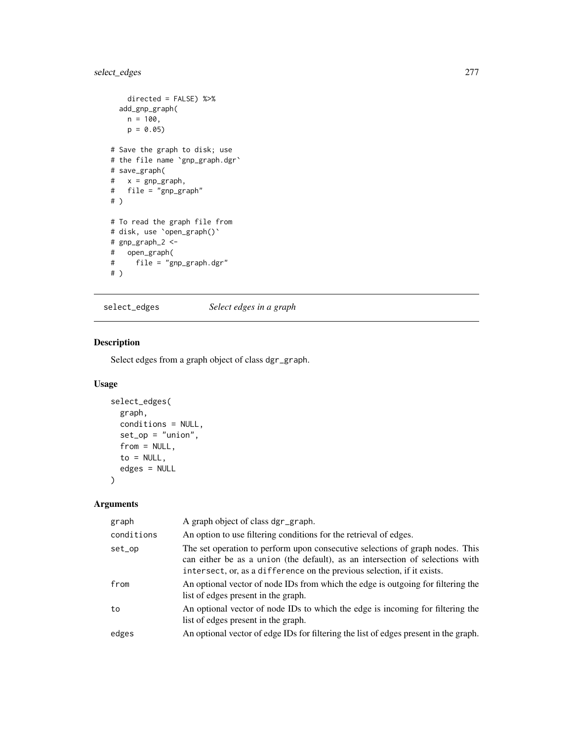# select\_edges 277

```
directed = FALSE) %>%
 add_gnp_graph(
   n = 100,p = 0.05# Save the graph to disk; use
# the file name `gnp_graph.dgr`
# save_graph(
# x = gnp_graph,
# file = "gnp_graph"
# )
# To read the graph file from
# disk, use `open_graph()`
# gnp_graph_2 <-
# open_graph(
     file = "gnp\_graph.dgr"# )
```
<span id="page-276-0"></span>select\_edges *Select edges in a graph*

# Description

Select edges from a graph object of class dgr\_graph.

# Usage

```
select_edges(
 graph,
 conditions = NULL,
  set\_op = "union",from = NULL,to = NULL,edges = NULL
)
```
# Arguments

| graph      | A graph object of class dgr_graph.                                                                                                                                                                                                        |
|------------|-------------------------------------------------------------------------------------------------------------------------------------------------------------------------------------------------------------------------------------------|
| conditions | An option to use filtering conditions for the retrieval of edges.                                                                                                                                                                         |
| set_op     | The set operation to perform upon consecutive selections of graph nodes. This<br>can either be as a union (the default), as an intersection of selections with<br>intersect, or, as a difference on the previous selection, if it exists. |
| from       | An optional vector of node IDs from which the edge is outgoing for filtering the<br>list of edges present in the graph.                                                                                                                   |
| to         | An optional vector of node IDs to which the edge is incoming for filtering the<br>list of edges present in the graph.                                                                                                                     |
| edges      | An optional vector of edge IDs for filtering the list of edges present in the graph.                                                                                                                                                      |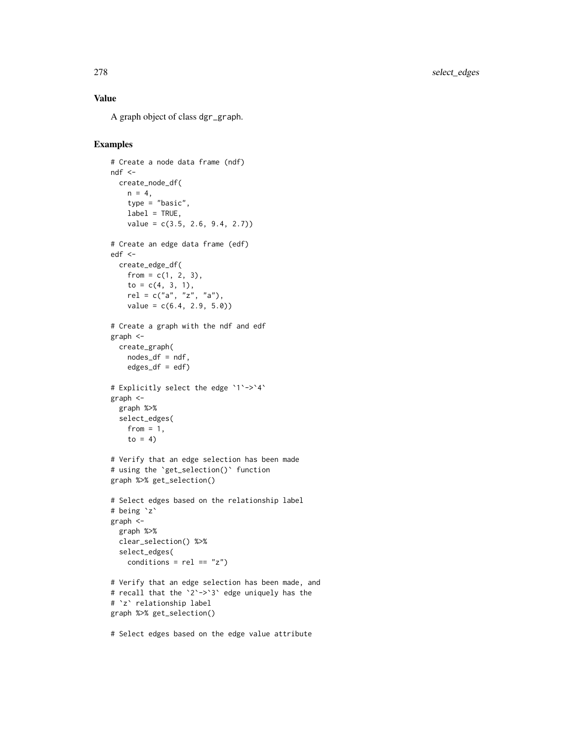# Value

A graph object of class dgr\_graph.

```
# Create a node data frame (ndf)
ndf < -create_node_df(
   n = 4,
   type = "basic",
   label = TRUE,
   value = c(3.5, 2.6, 9.4, 2.7))
# Create an edge data frame (edf)
edf <-
  create_edge_df(
   from = c(1, 2, 3),
   to = c(4, 3, 1),
   rel = c("a", "z", "a"),
   value = c(6.4, 2.9, 5.0)# Create a graph with the ndf and edf
graph <-
 create_graph(
   nodes_df = ndf,
   edges\_df = edf)# Explicitly select the edge `1`->`4`
graph <-
  graph %>%
  select_edges(
   from = 1,
    to = 4)
# Verify that an edge selection has been made
# using the `get_selection()` function
graph %>% get_selection()
# Select edges based on the relationship label
# being `z`
graph <-
  graph %>%
  clear_selection() %>%
  select_edges(
   conditions = rel == "z")# Verify that an edge selection has been made, and
# recall that the `2`->`3` edge uniquely has the
# `z` relationship label
graph %>% get_selection()
# Select edges based on the edge value attribute
```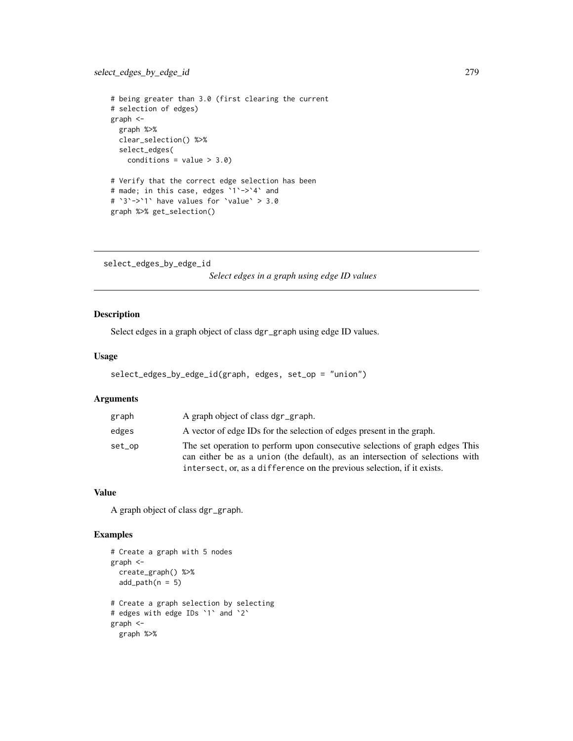```
# being greater than 3.0 (first clearing the current
# selection of edges)
graph <-
 graph %>%
 clear_selection() %>%
  select_edges(
   conditions = value > 3.0)
# Verify that the correct edge selection has been
# made; in this case, edges `1`->`4` and
# `3`->`1` have values for `value` > 3.0
graph %>% get_selection()
```
<span id="page-278-0"></span>select\_edges\_by\_edge\_id *Select edges in a graph using edge ID values*

# Description

Select edges in a graph object of class dgr\_graph using edge ID values.

# Usage

```
select_edges_by_edge_id(graph, edges, set_op = "union")
```
#### Arguments

| graph  | A graph object of class dgr_graph.                                                                                                                                                                                                       |
|--------|------------------------------------------------------------------------------------------------------------------------------------------------------------------------------------------------------------------------------------------|
| edges  | A vector of edge IDs for the selection of edges present in the graph.                                                                                                                                                                    |
| set_op | The set operation to perform upon consecutive selections of graph edges This<br>can either be as a union (the default), as an intersection of selections with<br>intersect, or, as a difference on the previous selection, if it exists. |

# Value

A graph object of class dgr\_graph.

```
# Create a graph with 5 nodes
graph <-
  create_graph() %>%
  add\_path(n = 5)# Create a graph selection by selecting
# edges with edge IDs `1` and `2`
graph <-
  graph %>%
```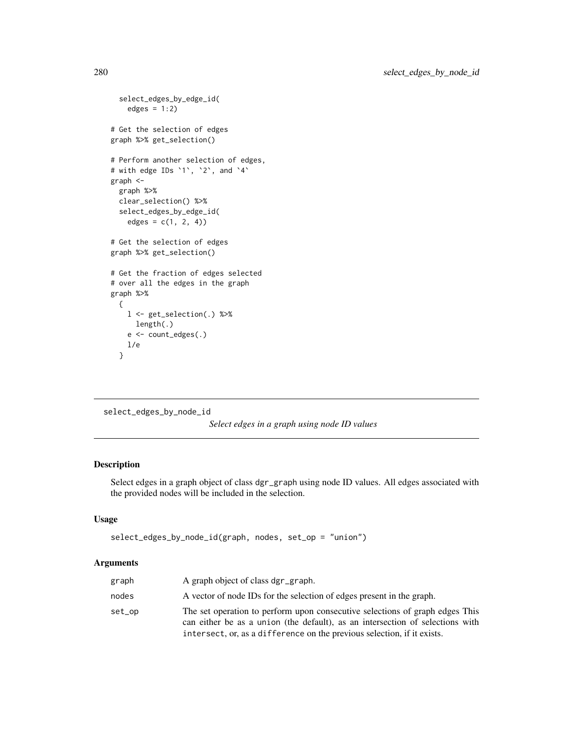```
select_edges_by_edge_id(
    edges = 1:2)
# Get the selection of edges
graph %>% get_selection()
# Perform another selection of edges,
# with edge IDs `1`, `2`, and `4`
graph <-
  graph %>%
  clear_selection() %>%
  select_edges_by_edge_id(
    edges = c(1, 2, 4))# Get the selection of edges
graph %>% get_selection()
# Get the fraction of edges selected
# over all the edges in the graph
graph %>%
  {
   l <- get_selection(.) %>%
     length(.)
   e <- count_edges(.)
   l/e
  }
```
<span id="page-279-0"></span>select\_edges\_by\_node\_id

*Select edges in a graph using node ID values*

# Description

Select edges in a graph object of class dgr\_graph using node ID values. All edges associated with the provided nodes will be included in the selection.

# Usage

```
select_edges_by_node_id(graph, nodes, set_op = "union")
```
#### Arguments

| graph  | A graph object of class dgr_graph.                                                                                                                                                                                                       |
|--------|------------------------------------------------------------------------------------------------------------------------------------------------------------------------------------------------------------------------------------------|
| nodes  | A vector of node IDs for the selection of edges present in the graph.                                                                                                                                                                    |
| set_op | The set operation to perform upon consecutive selections of graph edges This<br>can either be as a union (the default), as an intersection of selections with<br>intersect, or, as a difference on the previous selection, if it exists. |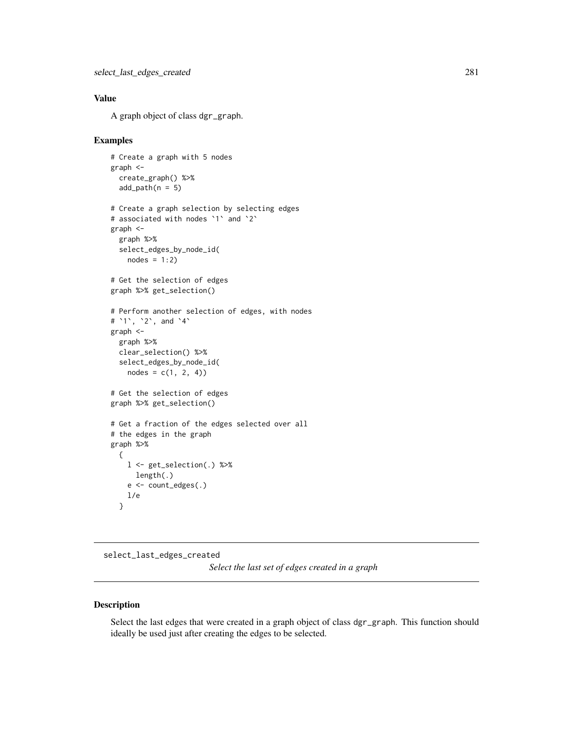# Value

A graph object of class dgr\_graph.

### Examples

```
# Create a graph with 5 nodes
graph <-
  create_graph() %>%
  add\_path(n = 5)# Create a graph selection by selecting edges
# associated with nodes `1` and `2`
graph <-
  graph %>%
  select_edges_by_node_id(
   nodes = 1:2)# Get the selection of edges
graph %>% get_selection()
# Perform another selection of edges, with nodes
# `1`, `2`, and `4`
graph <-
  graph %>%
  clear_selection() %>%
  select_edges_by_node_id(
   nodes = c(1, 2, 4)# Get the selection of edges
graph %>% get_selection()
# Get a fraction of the edges selected over all
# the edges in the graph
graph %>%
  {
   l <- get_selection(.) %>%
     length(.)
   e <- count_edges(.)
   l/e
  }
```
<span id="page-280-0"></span>select\_last\_edges\_created

*Select the last set of edges created in a graph*

## Description

Select the last edges that were created in a graph object of class dgr\_graph. This function should ideally be used just after creating the edges to be selected.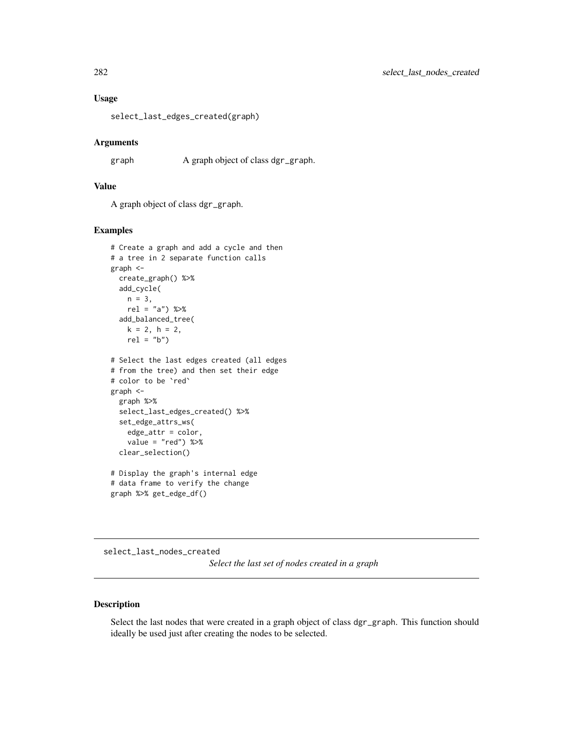#### Usage

select\_last\_edges\_created(graph)

## Arguments

graph A graph object of class dgr\_graph.

# Value

A graph object of class dgr\_graph.

## Examples

```
# Create a graph and add a cycle and then
# a tree in 2 separate function calls
graph <-
  create_graph() %>%
  add_cycle(
   n = 3,
   rel = "a") %>%
  add_balanced_tree(
   k = 2, h = 2,rel = "b")# Select the last edges created (all edges
# from the tree) and then set their edge
# color to be `red`
graph <-
  graph %>%
  select_last_edges_created() %>%
  set_edge_attrs_ws(
   edge_attr = color,
   value = "red") %>%
  clear_selection()
# Display the graph's internal edge
# data frame to verify the change
```
graph %>% get\_edge\_df()

select\_last\_nodes\_created *Select the last set of nodes created in a graph*

#### Description

Select the last nodes that were created in a graph object of class dgr\_graph. This function should ideally be used just after creating the nodes to be selected.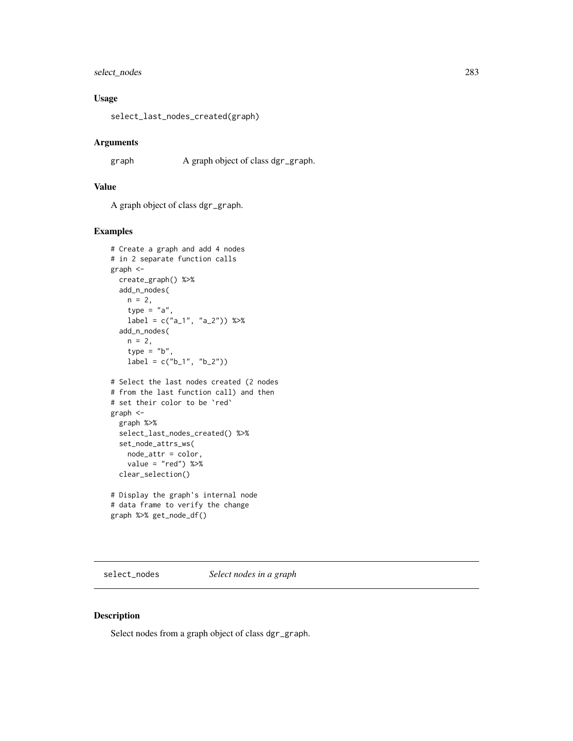# select\_nodes 283

# Usage

select\_last\_nodes\_created(graph)

#### Arguments

graph A graph object of class dgr\_graph.

# Value

A graph object of class dgr\_graph.

# Examples

```
# Create a graph and add 4 nodes
# in 2 separate function calls
graph <-
 create_graph() %>%
 add_n_nodes(
   n = 2,
   type = "a",label = c("a_1", "a_2")) %>%
  add_n_nodes(
   n = 2,
   type = "b"label = c("b_1", "b_2")# Select the last nodes created (2 nodes
# from the last function call) and then
# set their color to be `red`
graph <-
  graph %>%
  select_last_nodes_created() %>%
  set_node_attrs_ws(
   node_attr = color,
   value = "red") %>%
  clear_selection()
# Display the graph's internal node
# data frame to verify the change
graph %>% get_node_df()
```
select\_nodes *Select nodes in a graph*

#### Description

Select nodes from a graph object of class dgr\_graph.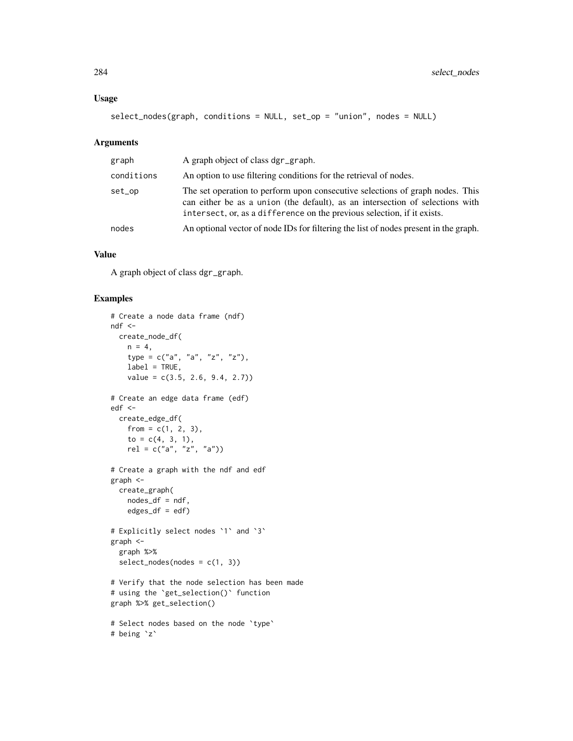# Usage

```
select_nodes(graph, conditions = NULL, set_op = "union", nodes = NULL)
```
#### Arguments

| graph      | A graph object of class dgr_graph.                                                                                                                                                                                                        |
|------------|-------------------------------------------------------------------------------------------------------------------------------------------------------------------------------------------------------------------------------------------|
| conditions | An option to use filtering conditions for the retrieval of nodes.                                                                                                                                                                         |
| set_op     | The set operation to perform upon consecutive selections of graph nodes. This<br>can either be as a union (the default), as an intersection of selections with<br>intersect, or, as a difference on the previous selection, if it exists. |
| nodes      | An optional vector of node IDs for filtering the list of nodes present in the graph.                                                                                                                                                      |

#### Value

A graph object of class dgr\_graph.

```
# Create a node data frame (ndf)
ndf <-
 create_node_df(
   n = 4,
   type = c("a", "a", "z", "z"),
    label = TRUE,value = c(3.5, 2.6, 9.4, 2.7)# Create an edge data frame (edf)
edf <-
  create_edge_df(
    from = c(1, 2, 3),
    to = c(4, 3, 1),
    rel = c("a", "z", "a")# Create a graph with the ndf and edf
graph <-
  create_graph(
   nodes_df = ndf,
    edges\_df = edf)# Explicitly select nodes `1` and `3`
graph <-
  graph %>%
  select\_nodes(nodes = c(1, 3))# Verify that the node selection has been made
# using the `get_selection()` function
graph %>% get_selection()
# Select nodes based on the node `type`
# being `z`
```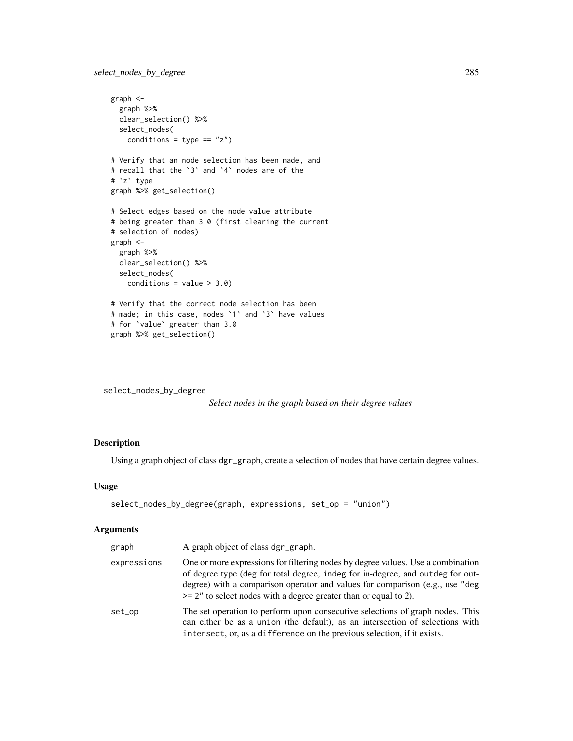```
graph <-
  graph %>%
  clear_selection() %>%
  select_nodes(
   conditions = type == "z")
# Verify that an node selection has been made, and
# recall that the `3` and `4` nodes are of the
# `z` type
graph %>% get_selection()
# Select edges based on the node value attribute
# being greater than 3.0 (first clearing the current
# selection of nodes)
graph <-
 graph %>%
  clear_selection() %>%
  select_nodes(
   conditions = value > 3.0)
# Verify that the correct node selection has been
# made; in this case, nodes `1` and `3` have values
# for `value` greater than 3.0
graph %>% get_selection()
```
select\_nodes\_by\_degree

*Select nodes in the graph based on their degree values*

# Description

Using a graph object of class dgr\_graph, create a selection of nodes that have certain degree values.

#### Usage

```
select_nodes_by_degree(graph, expressions, set_op = "union")
```
# Arguments

| graph       | A graph object of class dgr_graph.                                                                                                                                                                                                                                                                                       |
|-------------|--------------------------------------------------------------------------------------------------------------------------------------------------------------------------------------------------------------------------------------------------------------------------------------------------------------------------|
| expressions | One or more expressions for filtering nodes by degree values. Use a combination<br>of degree type (deg for total degree, indeg for in-degree, and outdeg for out-<br>degree) with a comparison operator and values for comparison (e.g., use "deg<br>$\ge$ 2" to select nodes with a degree greater than or equal to 2). |
| set_op      | The set operation to perform upon consecutive selections of graph nodes. This<br>can either be as a union (the default), as an intersection of selections with<br>intersect, or, as a difference on the previous selection, if it exists.                                                                                |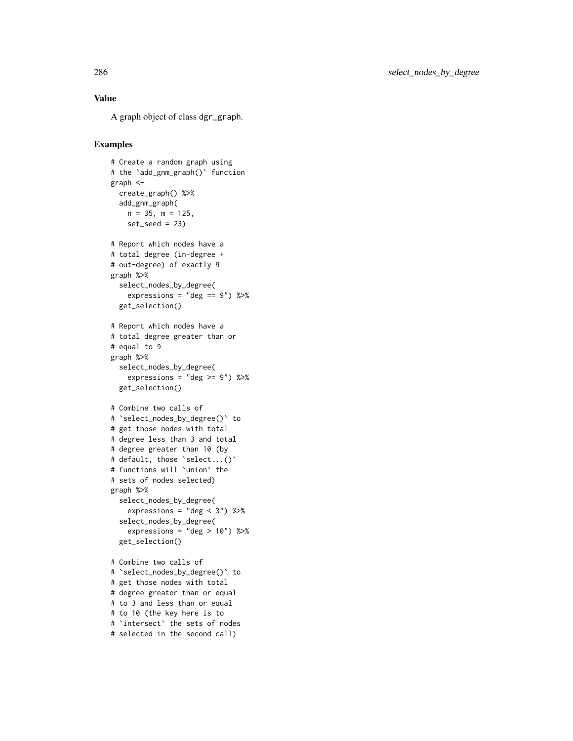# Value

A graph object of class dgr\_graph.

```
# Create a random graph using
# the `add_gnm_graph()` function
graph <-
  create_graph() %>%
  add_gnm_graph(
   n = 35, m = 125,
   set_seed = 23)
# Report which nodes have a
# total degree (in-degree +
# out-degree) of exactly 9
graph %>%
  select_nodes_by_degree(
    expressions = "deg == 9") %>%
  get_selection()
# Report which nodes have a
# total degree greater than or
# equal to 9
graph %>%
 select_nodes_by_degree(
   expressions = "deg \ge 9") %>%
  get_selection()
# Combine two calls of
# `select_nodes_by_degree()` to
# get those nodes with total
# degree less than 3 and total
# degree greater than 10 (by
# default, those `select...()`
# functions will `union` the
# sets of nodes selected)
graph %>%
  select_nodes_by_degree(
    expressions = "deg < 3") %>%
  select_nodes_by_degree(
    expressions = "deg > 10") %>%
  get_selection()
# Combine two calls of
# `select_nodes_by_degree()` to
# get those nodes with total
# degree greater than or equal
# to 3 and less than or equal
# to 10 (the key here is to
# `intersect` the sets of nodes
# selected in the second call)
```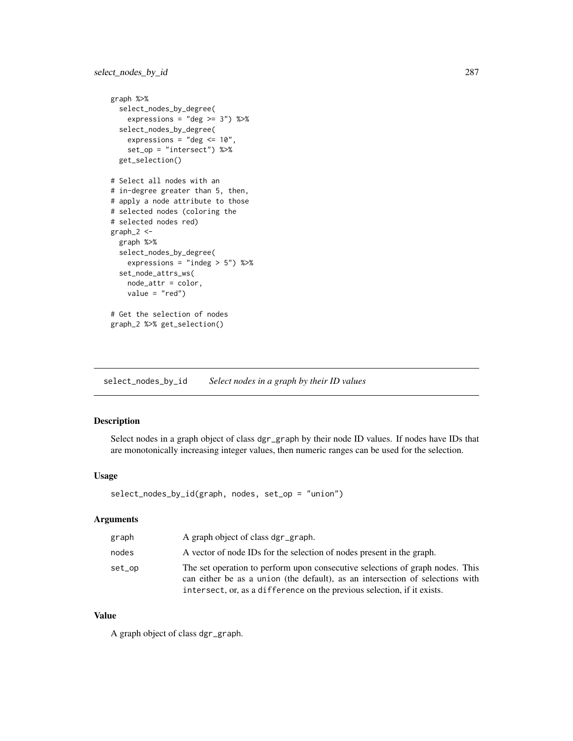```
graph %>%
  select_nodes_by_degree(
   expressions = "deg \ge 3") %>%
  select_nodes_by_degree(
   expressions = "deg \le 10",
   set_op = "intersect") %>%
  get_selection()
# Select all nodes with an
# in-degree greater than 5, then,
# apply a node attribute to those
# selected nodes (coloring the
# selected nodes red)
graph_2 < -graph %>%
  select_nodes_by_degree(
   expressions = "indeg > 5") %>%
  set_node_attrs_ws(
   node_attr = color,
   value = "red")
# Get the selection of nodes
graph_2 %>% get_selection()
```
select\_nodes\_by\_id *Select nodes in a graph by their ID values*

# Description

Select nodes in a graph object of class dgr\_graph by their node ID values. If nodes have IDs that are monotonically increasing integer values, then numeric ranges can be used for the selection.

## Usage

select\_nodes\_by\_id(graph, nodes, set\_op = "union")

# Arguments

| graph  | A graph object of class dgr_graph.                                                                                                                                                                                                        |
|--------|-------------------------------------------------------------------------------------------------------------------------------------------------------------------------------------------------------------------------------------------|
| nodes  | A vector of node IDs for the selection of nodes present in the graph.                                                                                                                                                                     |
| set_op | The set operation to perform upon consecutive selections of graph nodes. This<br>can either be as a union (the default), as an intersection of selections with<br>intersect, or, as a difference on the previous selection, if it exists. |

# Value

A graph object of class dgr\_graph.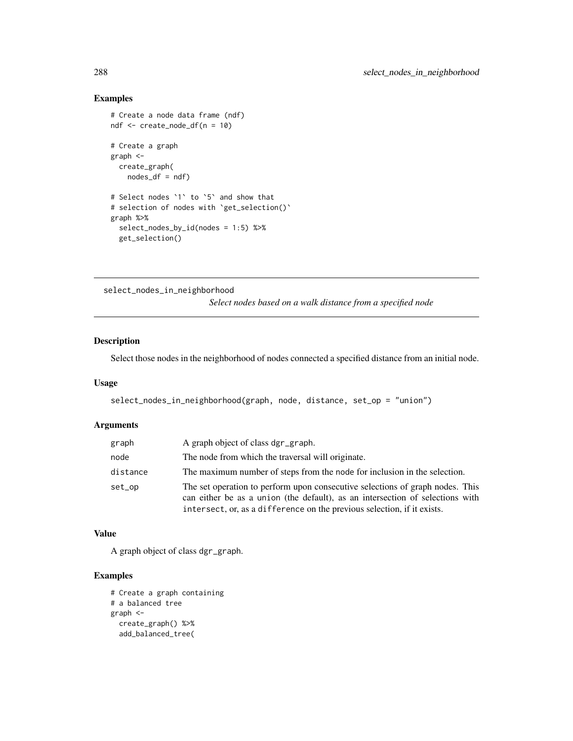# Examples

```
# Create a node data frame (ndf)
ndf <- create_node_df(n = 10)
# Create a graph
graph <-
  create_graph(
    nodes_df = ndf)
# Select nodes `1` to `5` and show that
# selection of nodes with `get_selection()`
graph %>%
  select_nodes_by_id(nodes = 1:5) %>%
  get_selection()
```
select\_nodes\_in\_neighborhood

*Select nodes based on a walk distance from a specified node*

# Description

Select those nodes in the neighborhood of nodes connected a specified distance from an initial node.

#### Usage

select\_nodes\_in\_neighborhood(graph, node, distance, set\_op = "union")

#### Arguments

| graph    | A graph object of class dgr_graph.                                                                                                                                                                                                        |
|----------|-------------------------------------------------------------------------------------------------------------------------------------------------------------------------------------------------------------------------------------------|
| node     | The node from which the traversal will originate.                                                                                                                                                                                         |
| distance | The maximum number of steps from the node for inclusion in the selection.                                                                                                                                                                 |
| set_op   | The set operation to perform upon consecutive selections of graph nodes. This<br>can either be as a union (the default), as an intersection of selections with<br>intersect, or, as a difference on the previous selection, if it exists. |

#### Value

A graph object of class dgr\_graph.

```
# Create a graph containing
# a balanced tree
graph <-
 create_graph() %>%
 add_balanced_tree(
```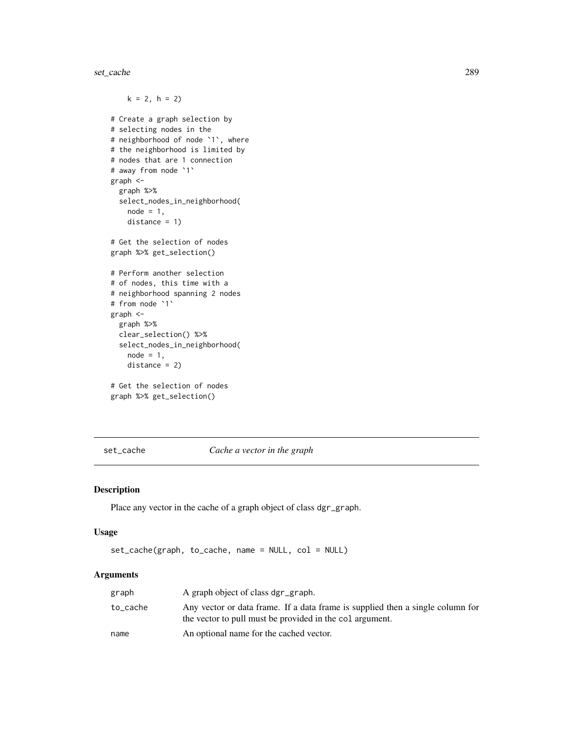set\_cache 289

```
k = 2, h = 2# Create a graph selection by
# selecting nodes in the
# neighborhood of node `1`, where
# the neighborhood is limited by
# nodes that are 1 connection
# away from node `1`
graph <-
  graph %>%
  select_nodes_in_neighborhood(
   node = 1,distance = 1)
# Get the selection of nodes
graph %>% get_selection()
# Perform another selection
# of nodes, this time with a
# neighborhood spanning 2 nodes
# from node `1`
graph <-
  graph %>%
  clear_selection() %>%
  select_nodes_in_neighborhood(
   node = 1,distance = 2)
# Get the selection of nodes
graph %>% get_selection()
```
set\_cache *Cache a vector in the graph*

## Description

Place any vector in the cache of a graph object of class dgr\_graph.

## Usage

```
set_cache(graph, to_cache, name = NULL, col = NULL)
```
## Arguments

| graph    | A graph object of class dgr_graph.                                                                                                        |
|----------|-------------------------------------------------------------------------------------------------------------------------------------------|
| to_cache | Any vector or data frame. If a data frame is supplied then a single column for<br>the vector to pull must be provided in the colargument. |
| name     | An optional name for the cached vector.                                                                                                   |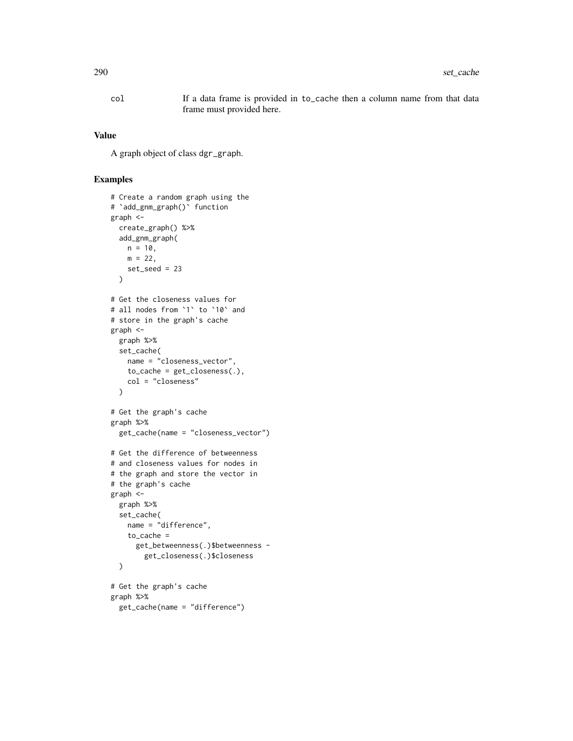col If a data frame is provided in to\_cache then a column name from that data frame must provided here.

#### Value

A graph object of class dgr\_graph.

```
# Create a random graph using the
# `add_gnm_graph()` function
graph <-
  create_graph() %>%
 add_gnm_graph(
    n = 10,
    m = 22,
    set_seed = 23
  \mathcal{L}# Get the closeness values for
# all nodes from `1` to `10` and
# store in the graph's cache
graph <-
  graph %>%
  set_cache(
    name = "closeness_vector",
    to cache = get closeness(.),
    col = "closeness"
  )
# Get the graph's cache
graph %>%
  get_cache(name = "closeness_vector")
# Get the difference of betweenness
# and closeness values for nodes in
# the graph and store the vector in
# the graph's cache
graph <-
  graph %>%
  set_cache(
    name = "difference",
    to_cache =
      get_betweenness(.)$betweenness -
        get_closeness(.)$closeness
  \lambda# Get the graph's cache
graph %>%
  get_cache(name = "difference")
```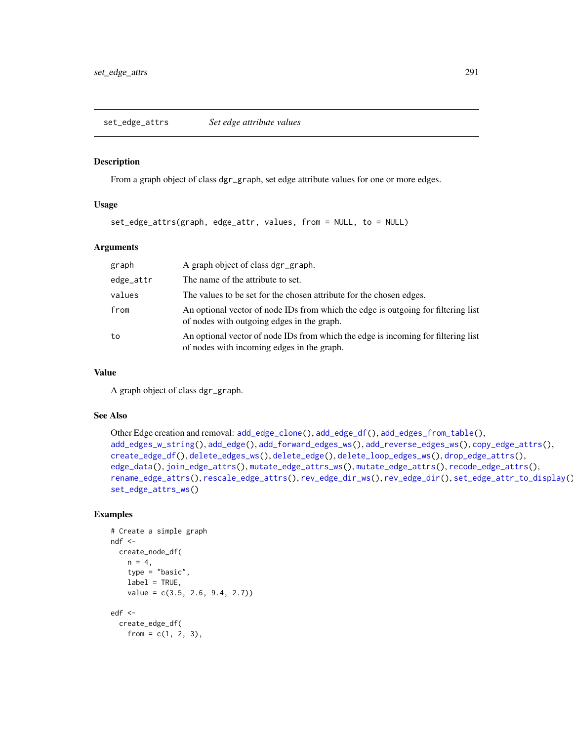#### <span id="page-290-0"></span>Description

From a graph object of class dgr\_graph, set edge attribute values for one or more edges.

## Usage

```
set_edge_attrs(graph, edge_attr, values, from = NULL, to = NULL)
```
# Arguments

| graph     | A graph object of class dgr_graph.                                                                                              |
|-----------|---------------------------------------------------------------------------------------------------------------------------------|
| edge_attr | The name of the attribute to set.                                                                                               |
| values    | The values to be set for the chosen attribute for the chosen edges.                                                             |
| from      | An optional vector of node IDs from which the edge is outgoing for filtering list<br>of nodes with outgoing edges in the graph. |
| to        | An optional vector of node IDs from which the edge is incoming for filtering list<br>of nodes with incoming edges in the graph. |

#### Value

A graph object of class dgr\_graph.

## See Also

```
Other Edge creation and removal: add_edge_clone(), add_edge_df(), add_edges_from_table(),
add_edges_w_string(), add_edge(), add_forward_edges_ws(), add_reverse_edges_ws(), copy_edge_attrs(),
create_edge_df(), delete_edges_ws(), delete_edge(), delete_loop_edges_ws(), drop_edge_attrs(),
edge_data(), join_edge_attrs(), mutate_edge_attrs_ws(), mutate_edge_attrs(), recode_edge_attrs(),
rename_edge_attrs(), rescale_edge_attrs(), rev_edge_dir_ws(), rev_edge_dir(), set_edge_attr_to_display(),
set_edge_attrs_ws()
```

```
# Create a simple graph
ndf <-
  create_node_df(
   n = 4,
    type = "basic",
    label = TRUE,value = c(3.5, 2.6, 9.4, 2.7))
edf <-
  create_edge_df(
   from = c(1, 2, 3),
```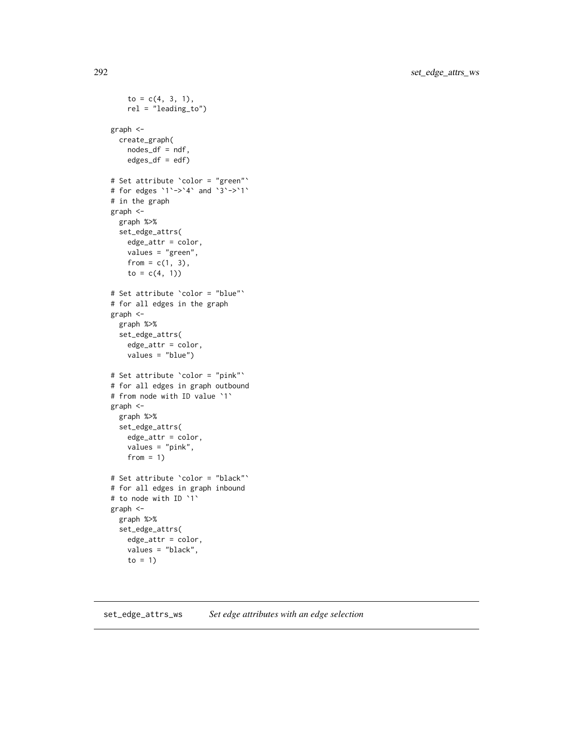```
to = c(4, 3, 1),
    rel = "leading_to")
graph <-
  create_graph(
   nodes_df = ndf,
   edges\_df = edf)# Set attribute `color = "green"`
# for edges `1`->`4` and `3`->`1`
# in the graph
graph <-
  graph %>%
  set_edge_attrs(
   edge_attr = color,
   values = "green",
   from = c(1, 3),
   to = c(4, 1))# Set attribute `color = "blue"`
# for all edges in the graph
graph <-
  graph %>%
  set_edge_attrs(
    edge_attr = color,
    values = "blue")
# Set attribute `color = "pink"`
# for all edges in graph outbound
# from node with ID value `1`
graph <-
  graph %>%
  set_edge_attrs(
   edge_attr = color,
   values = "pink",
   from = 1)
# Set attribute `color = "black"`
# for all edges in graph inbound
# to node with ID `1`
graph <-
  graph %>%
  set_edge_attrs(
   edge_attr = color,
   values = "black",
   to = 1)
```
#### <span id="page-291-0"></span>set\_edge\_attrs\_ws *Set edge attributes with an edge selection*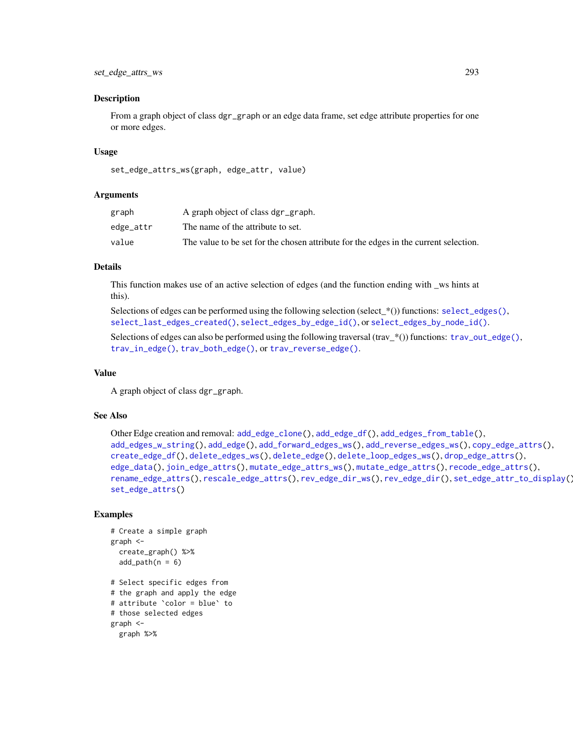#### Description

From a graph object of class dgr\_graph or an edge data frame, set edge attribute properties for one or more edges.

#### Usage

```
set_edge_attrs_ws(graph, edge_attr, value)
```
#### Arguments

| graph     | A graph object of class dgr_graph.                                                   |
|-----------|--------------------------------------------------------------------------------------|
| edge_attr | The name of the attribute to set.                                                    |
| value     | The value to be set for the chosen attribute for the edges in the current selection. |

# Details

This function makes use of an active selection of edges (and the function ending with \_ws hints at this).

Selections of edges can be performed using the following selection (select  $*(\cdot)$ ) functions: [select\\_edges\(\)](#page-276-0), [select\\_last\\_edges\\_created\(\)](#page-280-0), [select\\_edges\\_by\\_edge\\_id\(\)](#page-278-0), or [select\\_edges\\_by\\_node\\_id\(\)](#page-279-0).

Selections of edges can also be performed using the following traversal (trav\_\*()) functions: [trav\\_out\\_edge\(\)](#page-339-0), [trav\\_in\\_edge\(\)](#page-324-0), [trav\\_both\\_edge\(\)](#page-316-0), or [trav\\_reverse\\_edge\(\)](#page-349-0).

#### Value

A graph object of class dgr\_graph.

# See Also

```
Other Edge creation and removal: add_edge_clone(), add_edge_df(), add_edges_from_table(),
add_edges_w_string(), add_edge(), add_forward_edges_ws(), add_reverse_edges_ws(), copy_edge_attrs(),
create_edge_df(), delete_edges_ws(), delete_edge(), delete_loop_edges_ws(), drop_edge_attrs(),
edge_data(), join_edge_attrs(), mutate_edge_attrs_ws(), mutate_edge_attrs(), recode_edge_attrs(),
rename_edge_attrs(), rescale_edge_attrs(), rev_edge_dir_ws(), rev_edge_dir(), set_edge_attr_to_display(),
set_edge_attrs()
```

```
# Create a simple graph
graph <-
 create_graph() %>%
 add\_path(n = 6)# Select specific edges from
# the graph and apply the edge
# attribute `color = blue` to
```

```
# those selected edges
graph <-
```

```
graph %>%
```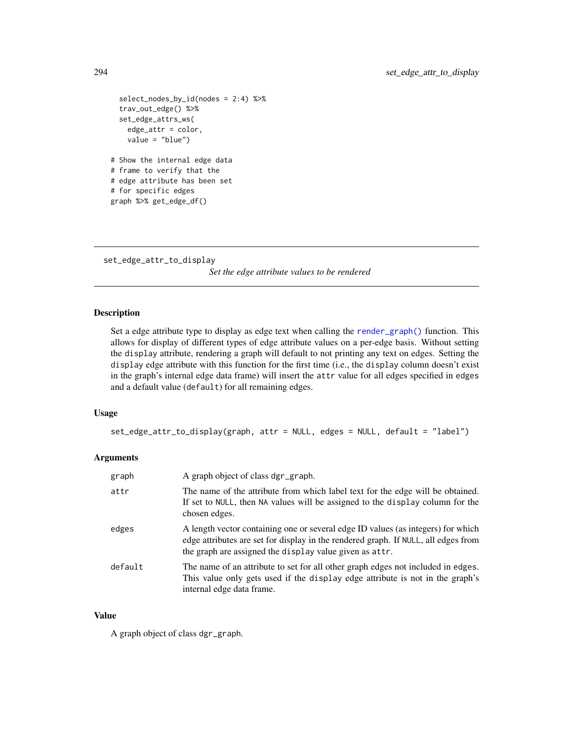```
select_nodes_by_id(nodes = 2:4) %>%
 trav_out_edge() %>%
 set_edge_attrs_ws(
   edge_attr = color,
   value = "blue")
# Show the internal edge data
# frame to verify that the
# edge attribute has been set
# for specific edges
graph %>% get_edge_df()
```
<span id="page-293-0"></span>set\_edge\_attr\_to\_display *Set the edge attribute values to be rendered*

## Description

Set a edge attribute type to display as edge text when calling the [render\\_graph\(\)](#page-262-0) function. This allows for display of different types of edge attribute values on a per-edge basis. Without setting the display attribute, rendering a graph will default to not printing any text on edges. Setting the display edge attribute with this function for the first time (i.e., the display column doesn't exist in the graph's internal edge data frame) will insert the attr value for all edges specified in edges and a default value (default) for all remaining edges.

## Usage

```
set_edge_attr_to_display(graph, attr = NULL, edges = NULL, default = "label")
```
# Arguments

| graph   | A graph object of class dgr_graph.                                                                                                                                                                                                |
|---------|-----------------------------------------------------------------------------------------------------------------------------------------------------------------------------------------------------------------------------------|
| attr    | The name of the attribute from which label text for the edge will be obtained.<br>If set to NULL, then NA values will be assigned to the display column for the<br>chosen edges.                                                  |
| edges   | A length vector containing one or several edge ID values (as integers) for which<br>edge attributes are set for display in the rendered graph. If NULL, all edges from<br>the graph are assigned the display value given as attr. |
| default | The name of an attribute to set for all other graph edges not included in edges.<br>This value only gets used if the display edge attribute is not in the graph's<br>internal edge data frame.                                    |

#### Value

A graph object of class dgr\_graph.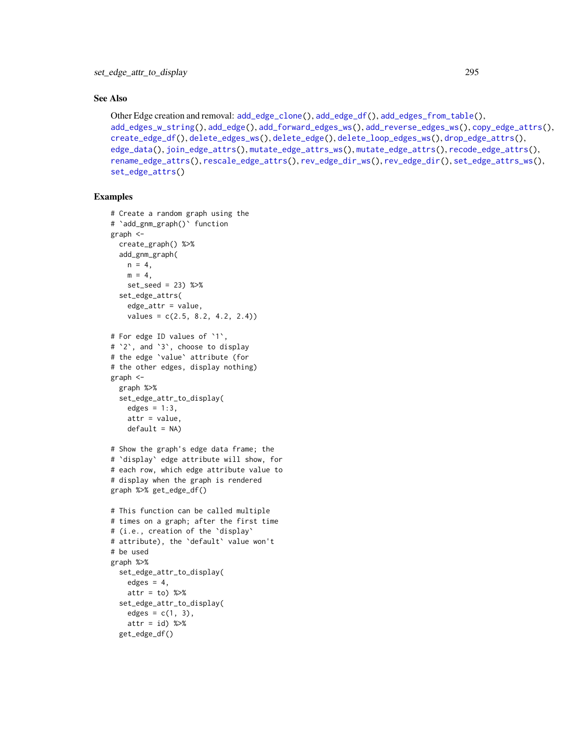#### See Also

```
Other Edge creation and removal: add_edge_clone(), add_edge_df(), add_edges_from_table(),
add_edges_w_string(), add_edge(), add_forward_edges_ws(), add_reverse_edges_ws(), copy_edge_attrs(),
create_edge_df(), delete_edges_ws(), delete_edge(), delete_loop_edges_ws(), drop_edge_attrs(),
edge_data(), join_edge_attrs(), mutate_edge_attrs_ws(), mutate_edge_attrs(), recode_edge_attrs(),
rename_edge_attrs(), rescale_edge_attrs(), rev_edge_dir_ws(), rev_edge_dir(), set_edge_attrs_ws(),
set_edge_attrs()
```

```
# Create a random graph using the
# `add_gnm_graph()` function
graph <-
  create_graph() %>%
  add_gnm_graph(
   n = 4.
   m = 4,
   set_seed = 23) %>%
  set_edge_attrs(
    edge_attr = value,
    values = c(2.5, 8.2, 4.2, 2.4)# For edge ID values of `1`,
# `2`, and `3`, choose to display
# the edge `value` attribute (for
# the other edges, display nothing)
graph <-
 graph %>%
  set_edge_attr_to_display(
   edges = 1:3,
   attr = value,
   default = NA)# Show the graph's edge data frame; the
# `display` edge attribute will show, for
# each row, which edge attribute value to
# display when the graph is rendered
graph %>% get_edge_df()
# This function can be called multiple
# times on a graph; after the first time
# (i.e., creation of the `display`
# attribute), the `default` value won't
# be used
graph %>%
  set_edge_attr_to_display(
   edges = 4,
   attr = to) %>%
  set_edge_attr_to_display(
    edges = c(1, 3),attr = id) %>%
  get_edge_df()
```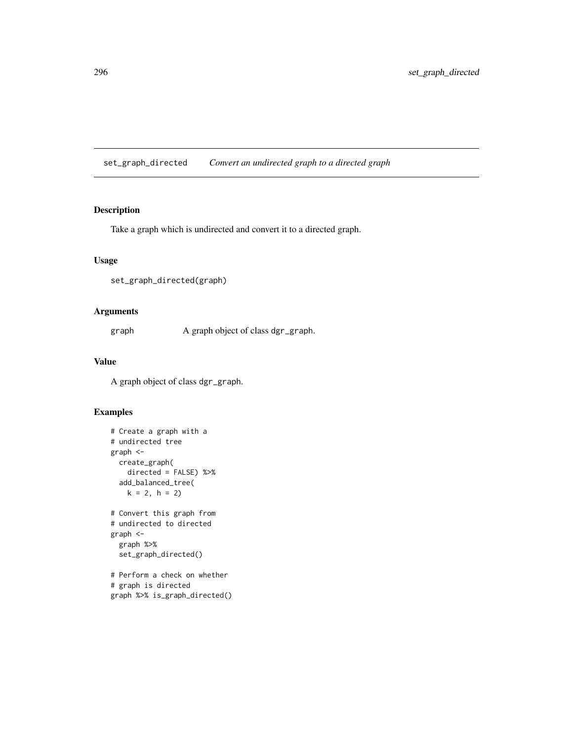set\_graph\_directed *Convert an undirected graph to a directed graph*

# Description

Take a graph which is undirected and convert it to a directed graph.

## Usage

```
set_graph_directed(graph)
```
# Arguments

graph A graph object of class dgr\_graph.

# Value

A graph object of class dgr\_graph.

## Examples

```
# Create a graph with a
# undirected tree
graph <-
  create_graph(
   directed = FALSE) %>%
  add_balanced_tree(
   k = 2, h = 2)# Convert this graph from
# undirected to directed
graph <-
  graph %>%
  set_graph_directed()
# Perform a check on whether
```
# graph is directed graph %>% is\_graph\_directed()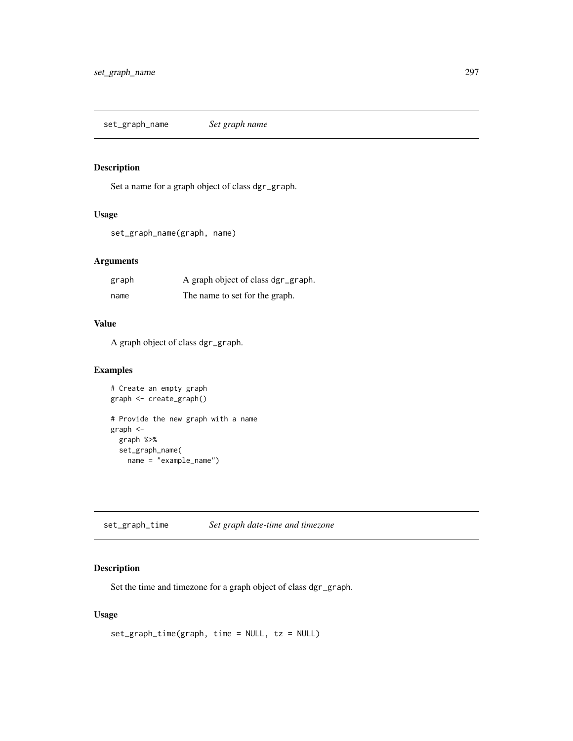set\_graph\_name *Set graph name*

# Description

Set a name for a graph object of class dgr\_graph.

#### Usage

set\_graph\_name(graph, name)

# Arguments

| graph | A graph object of class dgr_graph. |
|-------|------------------------------------|
| name  | The name to set for the graph.     |

# Value

A graph object of class dgr\_graph.

# Examples

```
# Create an empty graph
graph <- create_graph()
# Provide the new graph with a name
graph <-
 graph %>%
 set_graph_name(
   name = "example_name")
```
set\_graph\_time *Set graph date-time and timezone*

# Description

Set the time and timezone for a graph object of class dgr\_graph.

# Usage

```
set_graph_time(graph, time = NULL, tz = NULL)
```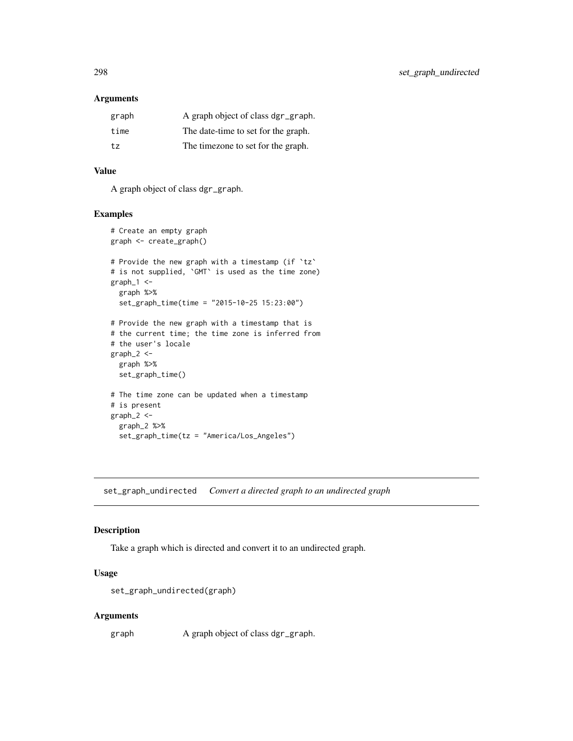# Arguments

| graph | A graph object of class dgr_graph.  |
|-------|-------------------------------------|
| time  | The date-time to set for the graph. |
| tz    | The timezone to set for the graph.  |

# Value

A graph object of class dgr\_graph.

## Examples

```
# Create an empty graph
graph <- create_graph()
# Provide the new graph with a timestamp (if `tz`
# is not supplied, `GMT` is used as the time zone)
graph_1 <-
  graph %>%
  set_graph_time(time = "2015-10-25 15:23:00")
# Provide the new graph with a timestamp that is
# the current time; the time zone is inferred from
# the user's locale
graph_2 < -graph %>%
  set_graph_time()
# The time zone can be updated when a timestamp
# is present
graph_2 <-
  graph_2 %>%
  set_graph_time(tz = "America/Los_Angeles")
```
set\_graph\_undirected *Convert a directed graph to an undirected graph*

## Description

Take a graph which is directed and convert it to an undirected graph.

#### Usage

```
set_graph_undirected(graph)
```
#### Arguments

graph A graph object of class dgr\_graph.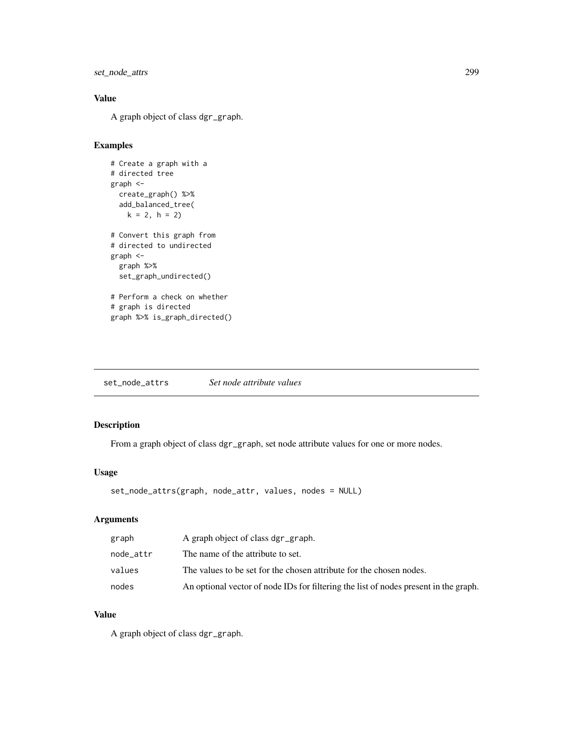set\_node\_attrs 299

# Value

A graph object of class dgr\_graph.

# Examples

```
# Create a graph with a
# directed tree
graph <-
 create_graph() %>%
  add_balanced_tree(
   k = 2, h = 2)# Convert this graph from
# directed to undirected
graph <-
  graph %>%
  set_graph_undirected()
# Perform a check on whether
# graph is directed
graph %>% is_graph_directed()
```
<span id="page-298-0"></span>

# Description

From a graph object of class dgr\_graph, set node attribute values for one or more nodes.

#### Usage

```
set_node_attrs(graph, node_attr, values, nodes = NULL)
```
# Arguments

| graph     | A graph object of class dgr_graph.                                                   |
|-----------|--------------------------------------------------------------------------------------|
| node attr | The name of the attribute to set.                                                    |
| values    | The values to be set for the chosen attribute for the chosen nodes.                  |
| nodes     | An optional vector of node IDs for filtering the list of nodes present in the graph. |

## Value

A graph object of class dgr\_graph.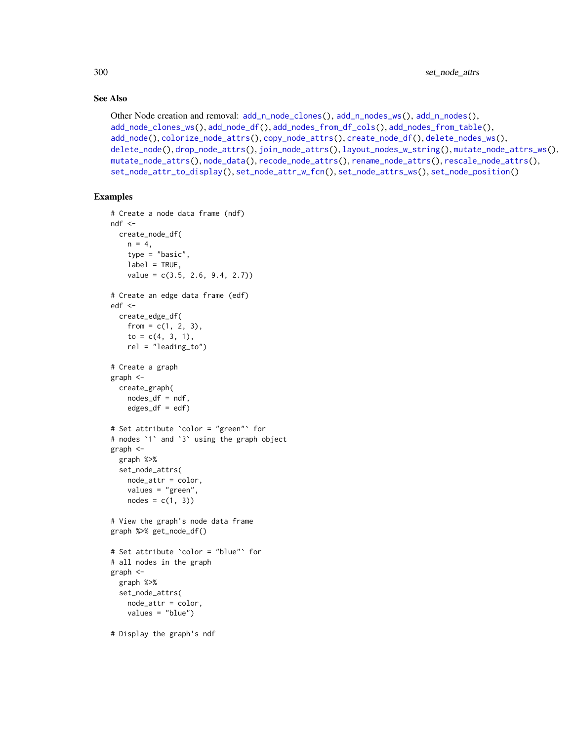## See Also

```
Other Node creation and removal: add_n_node_clones(), add_n_nodes_ws(), add_n_nodes(),
add_node_clones_ws(), add_node_df(), add_nodes_from_df_cols(), add_nodes_from_table(),
add_node(), colorize_node_attrs(), copy_node_attrs(), create_node_df(), delete_nodes_ws(),
delete_node(), drop_node_attrs(), join_node_attrs(), layout_nodes_w_string(), mutate_node_attrs_ws(),
mutate_node_attrs(), node_data(), recode_node_attrs(), rename_node_attrs(), rescale_node_attrs(),
set_node_attr_to_display(), set_node_attr_w_fcn(), set_node_attrs_ws(), set_node_position()
```

```
# Create a node data frame (ndf)
ndf < -create_node_df(
   n = 4,
   type = "basic",
   label = TRUE,value = c(3.5, 2.6, 9.4, 2.7))
# Create an edge data frame (edf)
edf <-
 create_edge_df(
   from = c(1, 2, 3),
   to = c(4, 3, 1),
   rel = "leading_to")
# Create a graph
graph <-
  create_graph(
   nodes_df = ndf,
   edges_df = edf)
# Set attribute `color = "green"` for
# nodes `1` and `3` using the graph object
graph <-
  graph %>%
  set_node_attrs(
   node_attr = color,
   values = "green",
   nodes = c(1, 3)# View the graph's node data frame
graph %>% get_node_df()
# Set attribute `color = "blue"` for
# all nodes in the graph
graph <-
  graph %>%
  set_node_attrs(
   node_attr = color,
   values = "blue")
# Display the graph's ndf
```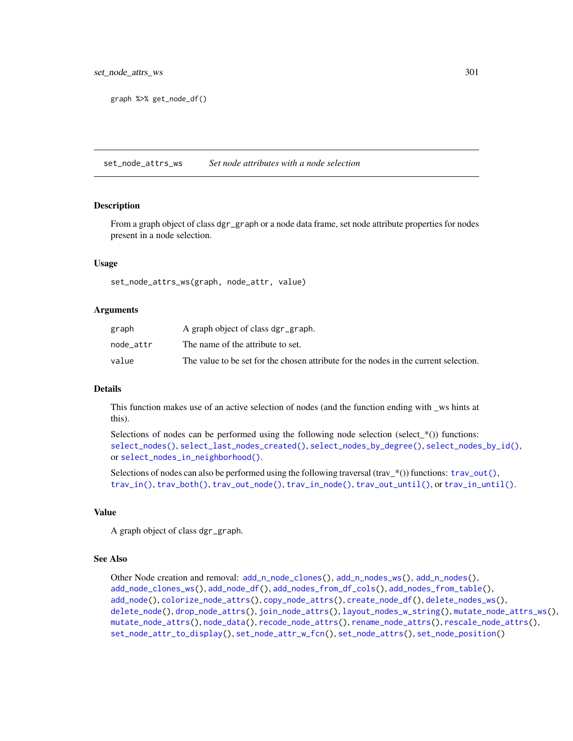graph %>% get\_node\_df()

<span id="page-300-0"></span>set\_node\_attrs\_ws *Set node attributes with a node selection*

## Description

From a graph object of class dgr\_graph or a node data frame, set node attribute properties for nodes present in a node selection.

#### Usage

set\_node\_attrs\_ws(graph, node\_attr, value)

#### Arguments

| graph     | A graph object of class dgr_graph.                                                   |
|-----------|--------------------------------------------------------------------------------------|
| node attr | The name of the attribute to set.                                                    |
| value     | The value to be set for the chosen attribute for the nodes in the current selection. |

#### **Details**

This function makes use of an active selection of nodes (and the function ending with \_ws hints at this).

Selections of nodes can be performed using the following node selection (select\_ $*($ )) functions: [select\\_nodes\(\)](#page-282-0), [select\\_last\\_nodes\\_created\(\)](#page-281-0), [select\\_nodes\\_by\\_degree\(\)](#page-284-0), [select\\_nodes\\_by\\_id\(\)](#page-286-0), or [select\\_nodes\\_in\\_neighborhood\(\)](#page-287-0).

Selections of nodes can also be performed using the following traversal (trav\_\*()) functions:  $\text{trav\_out}($ ), [trav\\_in\(\)](#page-320-0), [trav\\_both\(\)](#page-312-0), [trav\\_out\\_node\(\)](#page-343-0), [trav\\_in\\_node\(\)](#page-328-0), [trav\\_out\\_until\(\)](#page-347-0), or [trav\\_in\\_until\(\)](#page-333-0).

## Value

A graph object of class dgr\_graph.

#### See Also

```
Other Node creation and removal: add_n_node_clones(), add_n_nodes_ws(), add_n_nodes(),
add_node_clones_ws(), add_node_df(), add_nodes_from_df_cols(), add_nodes_from_table(),
add_node(), colorize_node_attrs(), copy_node_attrs(), create_node_df(), delete_nodes_ws(),
delete_node(), drop_node_attrs(), join_node_attrs(), layout_nodes_w_string(), mutate_node_attrs_ws(),
mutate_node_attrs(), node_data(), recode_node_attrs(), rename_node_attrs(), rescale_node_attrs(),
set_node_attr_to_display(), set_node_attr_w_fcn(), set_node_attrs(), set_node_position()
```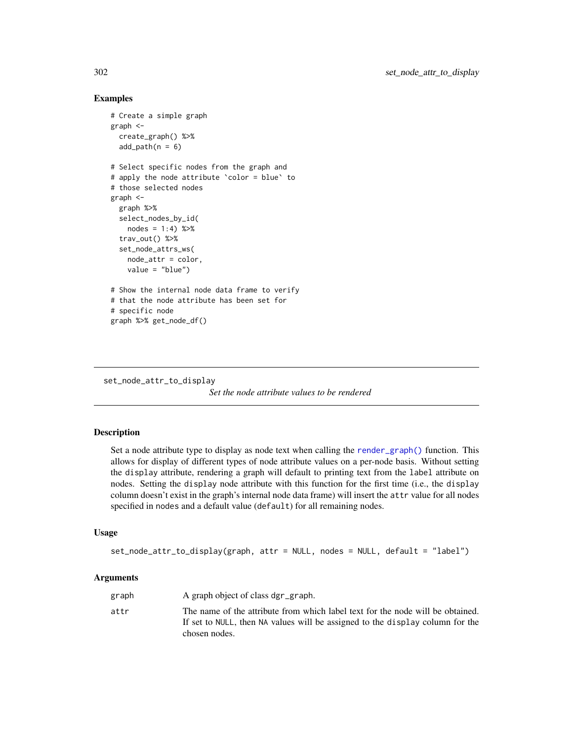## Examples

```
# Create a simple graph
graph <-
  create_graph() %>%
  add\_path(n = 6)# Select specific nodes from the graph and
# apply the node attribute `color = blue` to
# those selected nodes
graph <-
  graph %>%
  select_nodes_by_id(
   nodes = 1:4) %>trav_out() %>%
  set_node_attrs_ws(
   node_attr = color,
   value = "blue")
# Show the internal node data frame to verify
# that the node attribute has been set for
# specific node
graph %>% get_node_df()
```

```
set_node_attr_to_display
```
*Set the node attribute values to be rendered*

#### Description

Set a node attribute type to display as node text when calling the [render\\_graph\(\)](#page-262-0) function. This allows for display of different types of node attribute values on a per-node basis. Without setting the display attribute, rendering a graph will default to printing text from the label attribute on nodes. Setting the display node attribute with this function for the first time (i.e., the display column doesn't exist in the graph's internal node data frame) will insert the attr value for all nodes specified in nodes and a default value (default) for all remaining nodes.

#### Usage

```
set_node_attr_to_display(graph, attr = NULL, nodes = NULL, default = "label")
```
## Arguments

| graph | A graph object of class dgr_graph.                                                                                                                                               |
|-------|----------------------------------------------------------------------------------------------------------------------------------------------------------------------------------|
| attr  | The name of the attribute from which label text for the node will be obtained.<br>If set to NULL, then NA values will be assigned to the display column for the<br>chosen nodes. |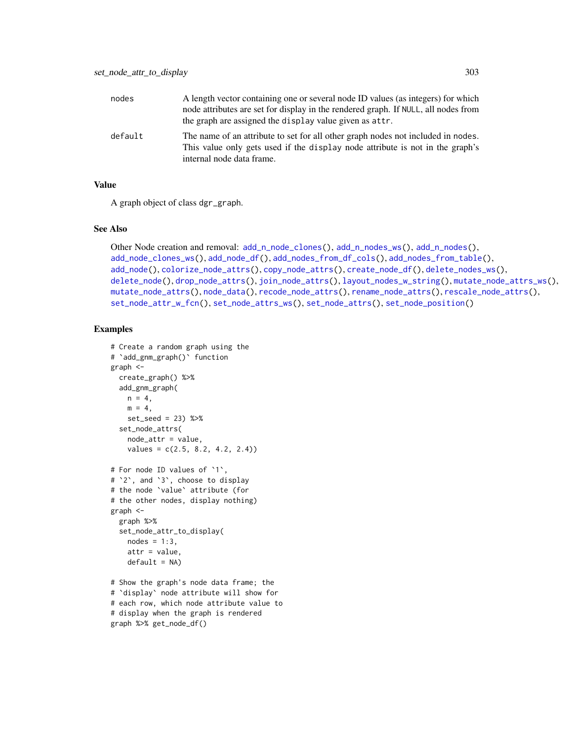| nodes   | A length vector containing one or several node ID values (as integers) for which<br>node attributes are set for display in the rendered graph. If NULL, all nodes from<br>the graph are assigned the display value given as attr. |
|---------|-----------------------------------------------------------------------------------------------------------------------------------------------------------------------------------------------------------------------------------|
| default | The name of an attribute to set for all other graph nodes not included in nodes.<br>This value only gets used if the display node attribute is not in the graph's<br>internal node data frame.                                    |

# Value

A graph object of class dgr\_graph.

#### See Also

```
Other Node creation and removal: add_nnode_clones(), add_n nodes_ws(), add_n nodes(),add_node_clones_ws(), add_node_df(), add_nodes_from_df_cols(), add_nodes_from_table(),
add_node(), colorize_node_attrs(), copy_node_attrs(), create_node_df(), delete_nodes_ws(),
delete_node(), drop_node_attrs(), join_node_attrs(), layout_nodes_w_string(), mutate_node_attrs_ws(),
mutate_node_attrs(), node_data(), recode_node_attrs(), rename_node_attrs(), rescale_node_attrs(),
set_node_attr_w_fcn(), set_node_attrs_ws(), set_node_attrs(), set_node_position()
```

```
# Create a random graph using the
# `add_gnm_graph()` function
graph <-
 create_graph() %>%
 add_gnm_graph(
   n = 4,
   m = 4,
   set_seed = 23) %>%
 set_node_attrs(
   node_attr = value,
   values = c(2.5, 8.2, 4.2, 2.4)# For node ID values of `1`,
# `2`, and `3`, choose to display
# the node `value` attribute (for
# the other nodes, display nothing)
graph <-
 graph %>%
 set_node_attr_to_display(
   nodes = 1:3,attr = value,
   default = NA)# Show the graph's node data frame; the
```

```
# `display` node attribute will show for
# each row, which node attribute value to
# display when the graph is rendered
graph %>% get_node_df()
```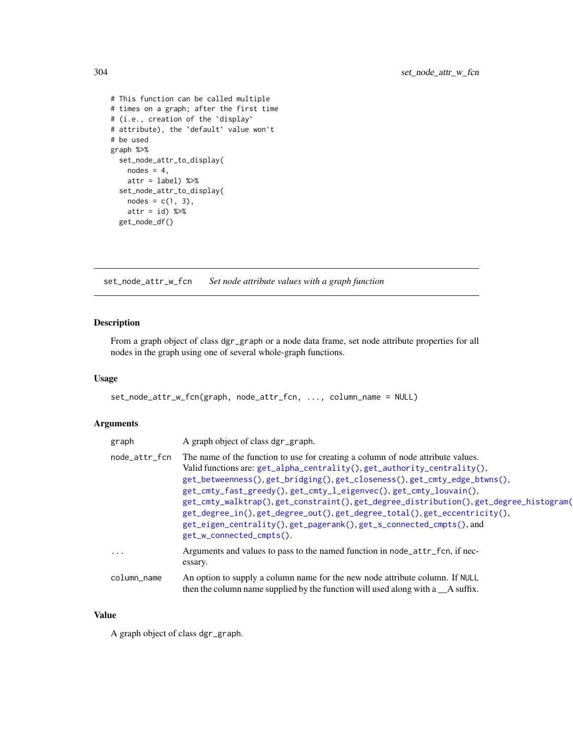```
# This function can be called multiple
# times on a graph; after the first time
# (i.e., creation of the `display`
# attribute), the `default` value won't
# be used
graph %>%
  set_node_attr_to_display(
   nodes = 4,attr = label) %>%
  set_node_attr_to_display(
   nodes = c(1, 3),attr = id) %>%
  get_node_df()
```
<span id="page-303-0"></span>set\_node\_attr\_w\_fcn *Set node attribute values with a graph function*

# Description

From a graph object of class dgr\_graph or a node data frame, set node attribute properties for all nodes in the graph using one of several whole-graph functions.

## Usage

```
set_node_attr_w_fcn(graph, node_attr_fcn, ..., column_name = NULL)
```
## Arguments

| graph         | A graph object of class dgr_graph.                                                                                                                                                                                                                                                                                                                                                                                                                                                                                                                                                       |
|---------------|------------------------------------------------------------------------------------------------------------------------------------------------------------------------------------------------------------------------------------------------------------------------------------------------------------------------------------------------------------------------------------------------------------------------------------------------------------------------------------------------------------------------------------------------------------------------------------------|
| node_attr_fcn | The name of the function to use for creating a column of node attribute values.<br>Valid functions are: $get_a1pha_centrality(), get_authority_centrality(),$<br>get_betweenness(), get_bridging(), get_closeness(), get_cmty_edge_btwns(),<br>get_cmty_fast_greedy(), get_cmty_l_eigenvec(), get_cmty_louvain(),<br>get_cmty_walktrap(),get_constraint(),get_degree_distribution(),get_degree_histogram(<br>get_degree_in(),get_degree_out(),get_degree_total(),get_eccentricity(),<br>get_eigen_centrality(), get_pagerank(), get_s_connected_cmpts(), and<br>get_w_connected_cmpts(). |
| .             | Arguments and values to pass to the named function in node_attr_fcn, if nec-<br>essary.                                                                                                                                                                                                                                                                                                                                                                                                                                                                                                  |
| column_name   | An option to supply a column name for the new node attribute column. If NULL<br>then the column name supplied by the function will used along with a _A suffix.                                                                                                                                                                                                                                                                                                                                                                                                                          |

#### Value

A graph object of class dgr\_graph.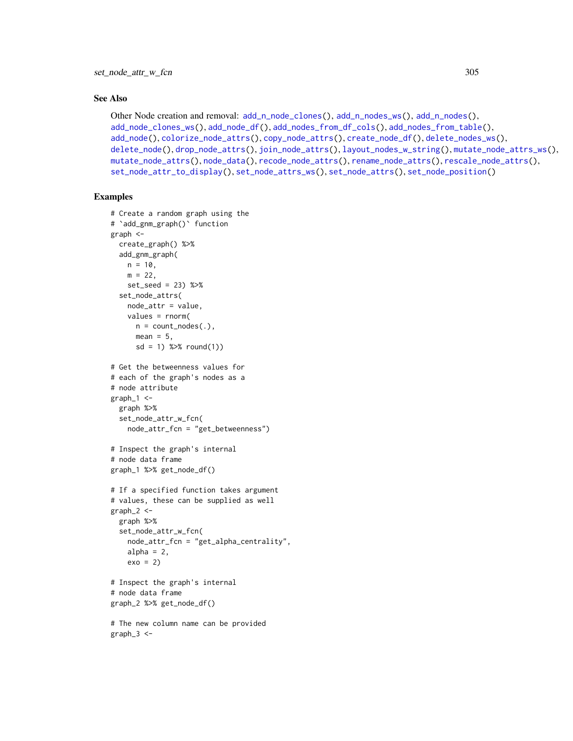## See Also

```
Other Node creation and removal: add_n_node_clones(), add_n_nodes_ws(), add_n_nodes(),
add_node_clones_ws(), add_node_df(), add_nodes_from_df_cols(), add_nodes_from_table(),
add_node(), colorize_node_attrs(), copy_node_attrs(), create_node_df(), delete_nodes_ws(),
delete_node(), drop_node_attrs(), join_node_attrs(), layout_nodes_w_string(), mutate_node_attrs_ws(),
mutate_node_attrs(), node_data(), recode_node_attrs(), rename_node_attrs(), rescale_node_attrs(),
set_node_attr_to_display(), set_node_attrs_ws(), set_node_attrs(), set_node_position()
```

```
# Create a random graph using the
# `add_gnm_graph()` function
graph <-
  create_graph() %>%
  add_gnm_graph(
   n = 10.
   m = 22,
   set_seed = 23) %>%
  set_node_attrs(
   node_attr = value,
   values = rnorm(
     n = count\_nodes(.),
     mean = 5,
     sd = 1) %>% round(1))
# Get the betweenness values for
# each of the graph's nodes as a
# node attribute
graph_1 < -graph %>%
  set_node_attr_w_fcn(
   node_attr_fcn = "get_betweenness")
# Inspect the graph's internal
# node data frame
graph_1 %>% get_node_df()
# If a specified function takes argument
# values, these can be supplied as well
graph_2 < -graph %>%
  set_node_attr_w_fcn(
    node_attr_fcn = "get_alpha_centrality",
   alpha = 2,
    exo = 2)# Inspect the graph's internal
# node data frame
graph_2 %>% get_node_df()
# The new column name can be provided
graph_3 < -
```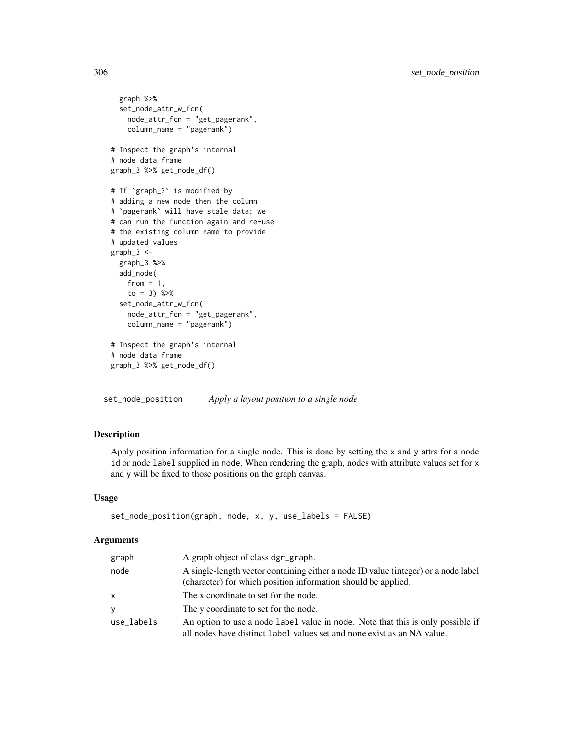```
graph %>%
 set_node_attr_w_fcn(
   node_attr_fcn = "get_pagerank",
   column_name = "pagerank")
# Inspect the graph's internal
# node data frame
graph_3 %>% get_node_df()
# If `graph_3` is modified by
# adding a new node then the column
# `pagerank` will have stale data; we
# can run the function again and re-use
# the existing column name to provide
# updated values
graph_3 <-
 graph_3 %>%
 add_node(
   from = 1,
   to = 3) %>%
 set_node_attr_w_fcn(
   node_attr_fcn = "get_pagerank",
   column_name = "pagerank")
# Inspect the graph's internal
# node data frame
graph_3 %>% get_node_df()
```
<span id="page-305-0"></span>set\_node\_position *Apply a layout position to a single node*

## Description

Apply position information for a single node. This is done by setting the x and y attrs for a node id or node label supplied in node. When rendering the graph, nodes with attribute values set for x and y will be fixed to those positions on the graph canvas.

#### Usage

```
set_node_position(graph, node, x, y, use_labels = FALSE)
```
## Arguments

| graph      | A graph object of class dgr_graph.                                                                                                                         |
|------------|------------------------------------------------------------------------------------------------------------------------------------------------------------|
| node       | A single-length vector containing either a node ID value (integer) or a node label<br>(character) for which position information should be applied.        |
| x          | The x coordinate to set for the node.                                                                                                                      |
| V          | The y coordinate to set for the node.                                                                                                                      |
| use labels | An option to use a node label value in node. Note that this is only possible if<br>all nodes have distinct label values set and none exist as an NA value. |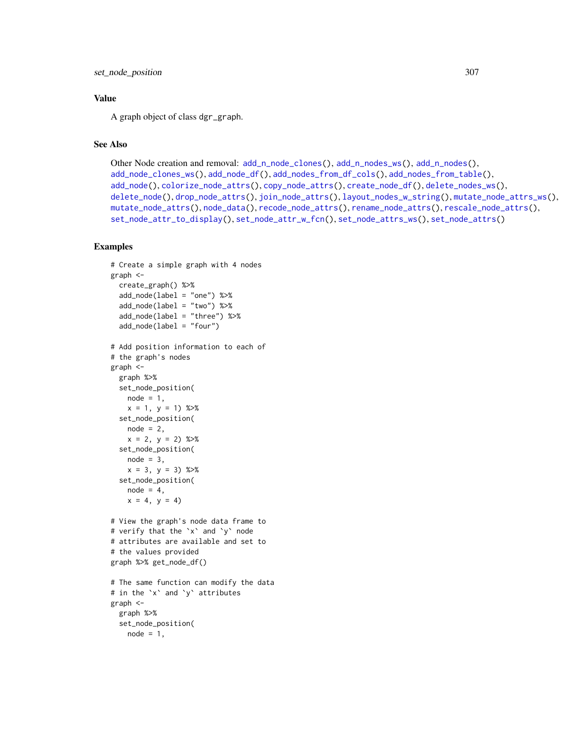set\_node\_position 307

## Value

A graph object of class dgr\_graph.

# See Also

```
Other Node creation and removal: add_nnode\_clones(), add_n nodes_ws(), add_n nodes(),add_node_clones_ws(), add_node_df(), add_nodes_from_df_cols(), add_nodes_from_table(),
add_node(), colorize_node_attrs(), copy_node_attrs(), create_node_df(), delete_nodes_ws(),
delete_node(), drop_node_attrs(), join_node_attrs(), layout_nodes_w_string(), mutate_node_attrs_ws(),
mutate_node_attrs(), node_data(), recode_node_attrs(), rename_node_attrs(), rescale_node_attrs(),
set_node_attr_to_display(), set_node_attr_w_fcn(), set_node_attrs_ws(), set_node_attrs()
```

```
# Create a simple graph with 4 nodes
graph <-
  create_graph() %>%
  add_node(label = "one") %>%
  add_node(label = "two") %>%
  add_node(label = "three") %>%
  add_node(label = "four")
# Add position information to each of
# the graph's nodes
graph <-
 graph %>%
 set_node_position(
   node = 1.
   x = 1, y = 1) %>%
  set_node_position(
   node = 2,
   x = 2, y = 2) %>%
  set_node_position(
   node = 3,
   x = 3, y = 3) %>%
  set_node_position(
   node = 4,
   x = 4, y = 4# View the graph's node data frame to
# verify that the `x` and `y` node
# attributes are available and set to
# the values provided
graph %>% get_node_df()
# The same function can modify the data
# in the `x` and `y` attributes
graph <-
  graph %>%
 set_node_position(
   node = 1,
```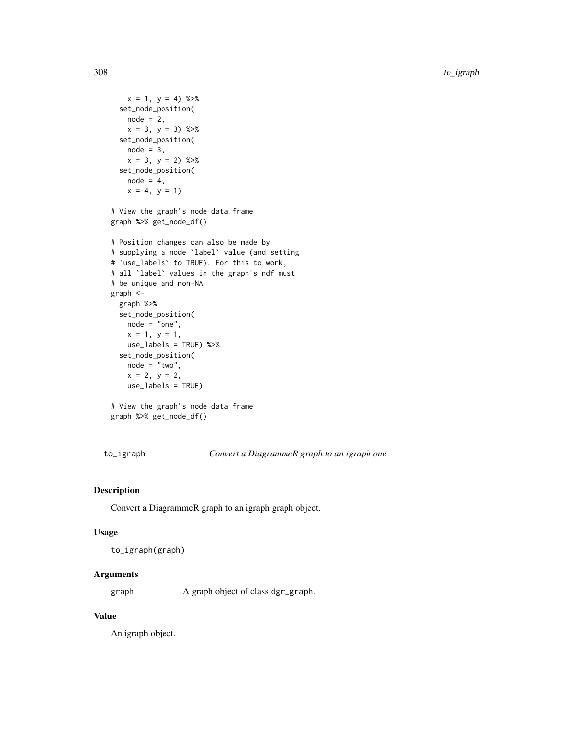```
x = 1, y = 4) %>%
 set_node_position(
   node = 2,x = 3, y = 3) %>%
 set_node_position(
   node = 3,x = 3, y = 2) %>%
 set_node_position(
   node = 4,
   x = 4, y = 1# View the graph's node data frame
graph %>% get_node_df()
# Position changes can also be made by
# supplying a node `label` value (and setting
# `use_labels` to TRUE). For this to work,
# all `label` values in the graph's ndf must
# be unique and non-NA
graph <-
 graph %>%
 set_node_position(
   node = "one",x = 1, y = 1,use_labels = TRUE) %>%
 set_node_position(
   node = "two",
   x = 2, y = 2,use_labels = TRUE)
# View the graph's node data frame
graph %>% get_node_df()
```
to\_igraph *Convert a DiagrammeR graph to an igraph one*

## Description

Convert a DiagrammeR graph to an igraph graph object.

## Usage

to\_igraph(graph)

## Arguments

graph A graph object of class dgr\_graph.

# Value

An igraph object.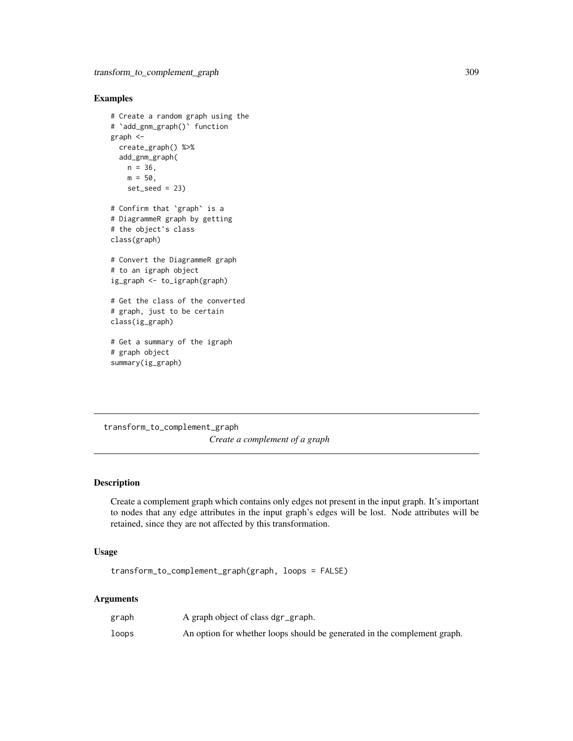# Examples

```
# Create a random graph using the
# `add_gnm_graph()` function
graph <-
  create_graph() %>%
  add_gnm_graph(
   n = 36,
   m = 50,
   set\_seed = 23# Confirm that `graph` is a
# DiagrammeR graph by getting
# the object's class
class(graph)
# Convert the DiagrammeR graph
# to an igraph object
ig_graph <- to_igraph(graph)
# Get the class of the converted
# graph, just to be certain
class(ig_graph)
# Get a summary of the igraph
# graph object
```
transform\_to\_complement\_graph *Create a complement of a graph*

## Description

summary(ig\_graph)

Create a complement graph which contains only edges not present in the input graph. It's important to nodes that any edge attributes in the input graph's edges will be lost. Node attributes will be retained, since they are not affected by this transformation.

# Usage

transform\_to\_complement\_graph(graph, loops = FALSE)

## Arguments

| graph | A graph object of class dgr_graph.                                       |
|-------|--------------------------------------------------------------------------|
| loops | An option for whether loops should be generated in the complement graph. |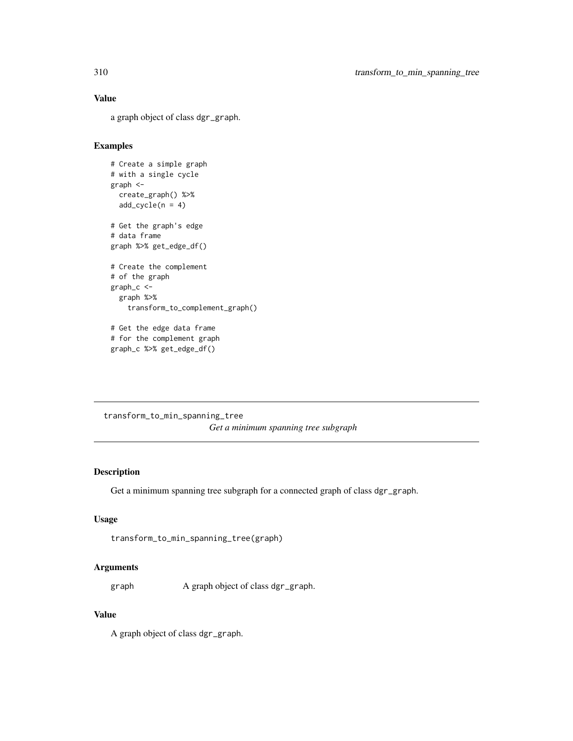## Value

a graph object of class dgr\_graph.

## Examples

```
# Create a simple graph
# with a single cycle
graph <-
  create_graph() %>%
  add\_cycle(n = 4)# Get the graph's edge
# data frame
graph %>% get_edge_df()
# Create the complement
# of the graph
graph_c <-
  graph %>%
   transform_to_complement_graph()
# Get the edge data frame
# for the complement graph
graph_c %>% get_edge_df()
```

```
transform_to_min_spanning_tree
                        Get a minimum spanning tree subgraph
```
#### Description

Get a minimum spanning tree subgraph for a connected graph of class dgr\_graph.

# Usage

```
transform_to_min_spanning_tree(graph)
```
## Arguments

graph A graph object of class dgr\_graph.

## Value

A graph object of class dgr\_graph.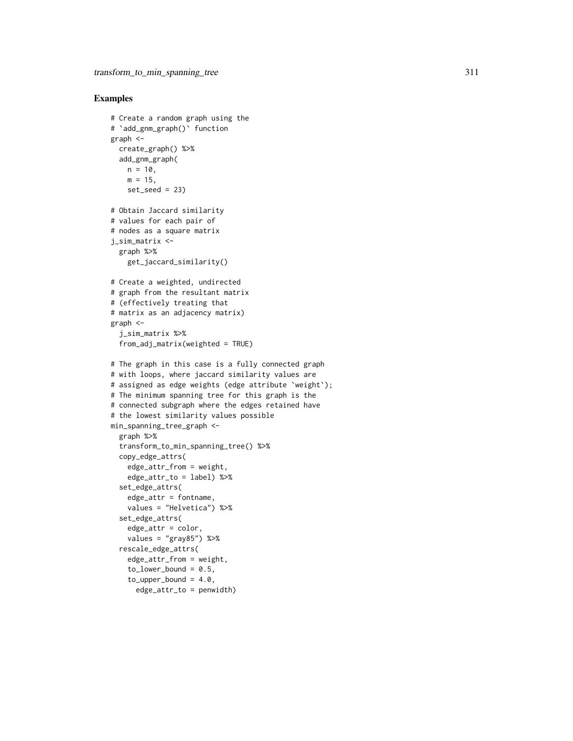```
# Create a random graph using the
# `add_gnm_graph()` function
graph <-
  create_graph() %>%
  add_gnm_graph(
   n = 10,
   m = 15,
   set\_seed = 23# Obtain Jaccard similarity
# values for each pair of
# nodes as a square matrix
j_sim_matrix <-
  graph %>%
    get_jaccard_similarity()
# Create a weighted, undirected
# graph from the resultant matrix
# (effectively treating that
# matrix as an adjacency matrix)
graph <-
  j_sim_matrix %>%
  from_adj_matrix(weighted = TRUE)
# The graph in this case is a fully connected graph
# with loops, where jaccard similarity values are
# assigned as edge weights (edge attribute `weight`);
# The minimum spanning tree for this graph is the
# connected subgraph where the edges retained have
# the lowest similarity values possible
min_spanning_tree_graph <-
  graph %>%
  transform_to_min_spanning_tree() %>%
  copy_edge_attrs(
   edge_attr_from = weight,
    edge_attr_to = label) %>%
  set_edge_attrs(
    edge_attr = fontname,
    values = "Helvetica") %>%
  set_edge_attrs(
    edge_attr = color,
    values = "gray85") %>%
  rescale_edge_attrs(
    edge_attr_from = weight,
    to lower bound = 0.5,
    to\_upper\_bound = 4.0,
      edge_attr_to = penwidth)
```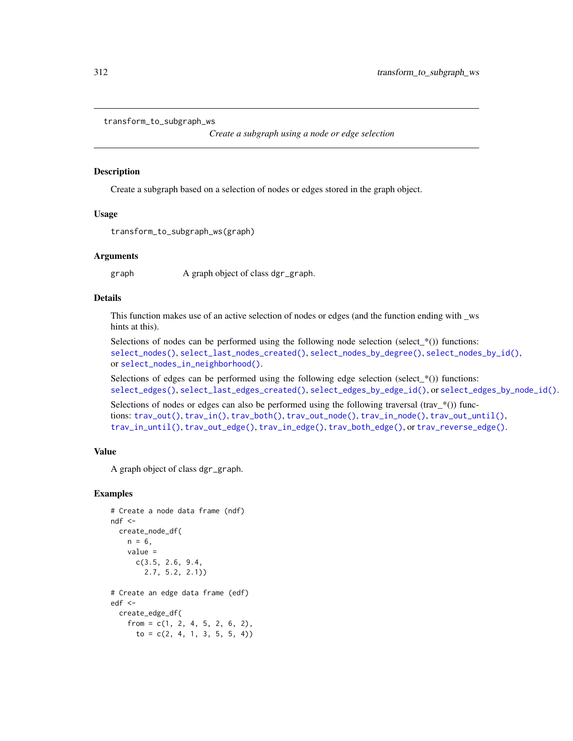```
transform_to_subgraph_ws
```
*Create a subgraph using a node or edge selection*

#### Description

Create a subgraph based on a selection of nodes or edges stored in the graph object.

#### Usage

transform\_to\_subgraph\_ws(graph)

### Arguments

graph A graph object of class dgr\_graph.

## Details

This function makes use of an active selection of nodes or edges (and the function ending with \_ws hints at this).

Selections of nodes can be performed using the following node selection (select\_ $*($ )) functions: [select\\_nodes\(\)](#page-282-0), [select\\_last\\_nodes\\_created\(\)](#page-281-0), [select\\_nodes\\_by\\_degree\(\)](#page-284-0), [select\\_nodes\\_by\\_id\(\)](#page-286-0), or [select\\_nodes\\_in\\_neighborhood\(\)](#page-287-0).

Selections of edges can be performed using the following edge selection (select\_ $*($ )) functions: [select\\_edges\(\)](#page-276-0), [select\\_last\\_edges\\_created\(\)](#page-280-0), [select\\_edges\\_by\\_edge\\_id\(\)](#page-278-0), or [select\\_edges\\_by\\_node\\_id\(\)](#page-279-0).

Selections of nodes or edges can also be performed using the following traversal  $(\text{trav}^*())$  functions: [trav\\_out\(\)](#page-335-0), [trav\\_in\(\)](#page-320-0), [trav\\_both\(\)](#page-312-0), [trav\\_out\\_node\(\)](#page-343-0), [trav\\_in\\_node\(\)](#page-328-0), [trav\\_out\\_until\(\)](#page-347-0), [trav\\_in\\_until\(\)](#page-333-0), [trav\\_out\\_edge\(\)](#page-339-0), [trav\\_in\\_edge\(\)](#page-324-0), [trav\\_both\\_edge\(\)](#page-316-0), or [trav\\_reverse\\_edge\(\)](#page-349-0).

## Value

A graph object of class dgr\_graph.

```
# Create a node data frame (ndf)
ndf <-
  create_node_df(
   n = 6,
    value =
      c(3.5, 2.6, 9.4,
        2.7, 5.2, 2.1))
# Create an edge data frame (edf)
edf <-
  create_edge_df(
   from = c(1, 2, 4, 5, 2, 6, 2),
     to = c(2, 4, 1, 3, 5, 5, 4)
```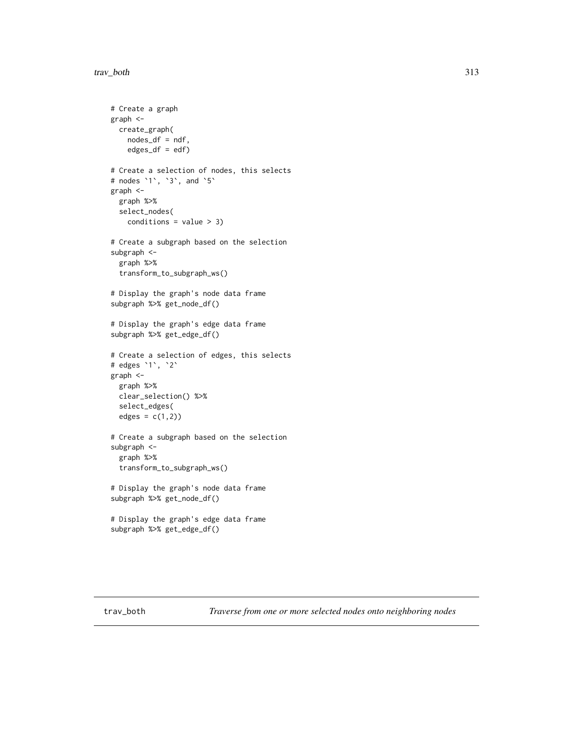```
# Create a graph
graph <-
  create_graph(
   nodes_df = ndf,
   edges_df = edf)
# Create a selection of nodes, this selects
# nodes `1`, `3`, and `5`
graph <-
  graph %>%
  select_nodes(
    conditions = value > 3)# Create a subgraph based on the selection
subgraph <-
  graph %>%
  transform_to_subgraph_ws()
# Display the graph's node data frame
subgraph %>% get_node_df()
# Display the graph's edge data frame
subgraph %>% get_edge_df()
# Create a selection of edges, this selects
# edges `1`, `2`
graph <-
  graph %>%
  clear_selection() %>%
  select_edges(
  edges = c(1,2))# Create a subgraph based on the selection
subgraph <-
  graph %>%
  transform_to_subgraph_ws()
# Display the graph's node data frame
subgraph %>% get_node_df()
# Display the graph's edge data frame
subgraph %>% get_edge_df()
```
<span id="page-312-0"></span>trav\_both *Traverse from one or more selected nodes onto neighboring nodes*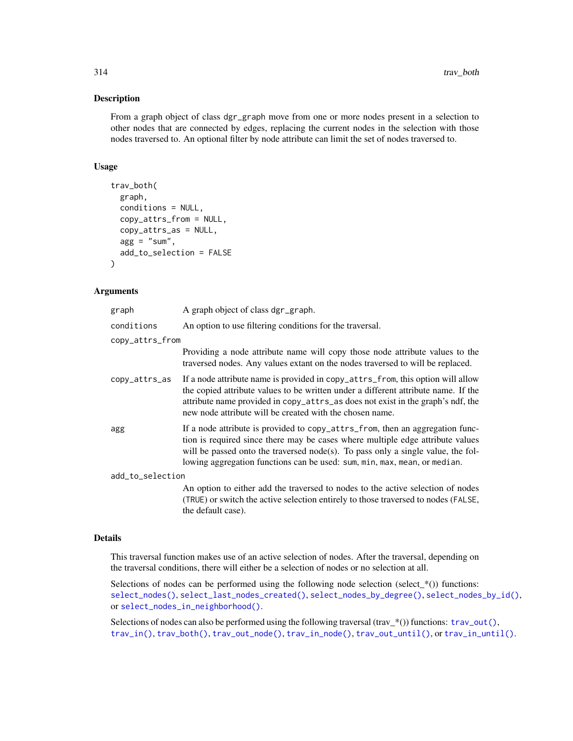#### Description

From a graph object of class dgr\_graph move from one or more nodes present in a selection to other nodes that are connected by edges, replacing the current nodes in the selection with those nodes traversed to. An optional filter by node attribute can limit the set of nodes traversed to.

## Usage

```
trav_both(
  graph,
  conditions = NULL,
  copy_attrs_from = NULL,
  copy_attrs_as = NULL,
  agg = "sum",add_to_selection = FALSE
)
```
## Arguments

| graph            | A graph object of class dgr_graph.                                                                                                                                                                                                                                                                                               |  |
|------------------|----------------------------------------------------------------------------------------------------------------------------------------------------------------------------------------------------------------------------------------------------------------------------------------------------------------------------------|--|
| conditions       | An option to use filtering conditions for the traversal.                                                                                                                                                                                                                                                                         |  |
| copy_attrs_from  |                                                                                                                                                                                                                                                                                                                                  |  |
|                  | Providing a node attribute name will copy those node attribute values to the<br>traversed nodes. Any values extant on the nodes traversed to will be replaced.                                                                                                                                                                   |  |
| copy_attrs_as    | If a node attribute name is provided in copy_attrs_from, this option will allow<br>the copied attribute values to be written under a different attribute name. If the<br>attribute name provided in copy_attrs_as does not exist in the graph's ndf, the<br>new node attribute will be created with the chosen name.             |  |
| agg              | If a node attribute is provided to copy_attrs_from, then an aggregation func-<br>tion is required since there may be cases where multiple edge attribute values<br>will be passed onto the traversed node(s). To pass only a single value, the fol-<br>lowing aggregation functions can be used: sum, min, max, mean, or median. |  |
| add_to_selection |                                                                                                                                                                                                                                                                                                                                  |  |
|                  | An option to either add the traversed to nodes to the active selection of nodes<br>(TRUE) or switch the active selection entirely to those traversed to nodes (FALSE,<br>the default case).                                                                                                                                      |  |

#### Details

This traversal function makes use of an active selection of nodes. After the traversal, depending on the traversal conditions, there will either be a selection of nodes or no selection at all.

Selections of nodes can be performed using the following node selection (select\_ $*($ )) functions: [select\\_nodes\(\)](#page-282-0), [select\\_last\\_nodes\\_created\(\)](#page-281-0), [select\\_nodes\\_by\\_degree\(\)](#page-284-0), [select\\_nodes\\_by\\_id\(\)](#page-286-0), or [select\\_nodes\\_in\\_neighborhood\(\)](#page-287-0).

Selections of nodes can also be performed using the following traversal (trav\_\*()) functions:  $\text{trav\_out}($ ), [trav\\_in\(\)](#page-320-0), [trav\\_both\(\)](#page-312-0), [trav\\_out\\_node\(\)](#page-343-0), [trav\\_in\\_node\(\)](#page-328-0), [trav\\_out\\_until\(\)](#page-347-0), or [trav\\_in\\_until\(\)](#page-333-0).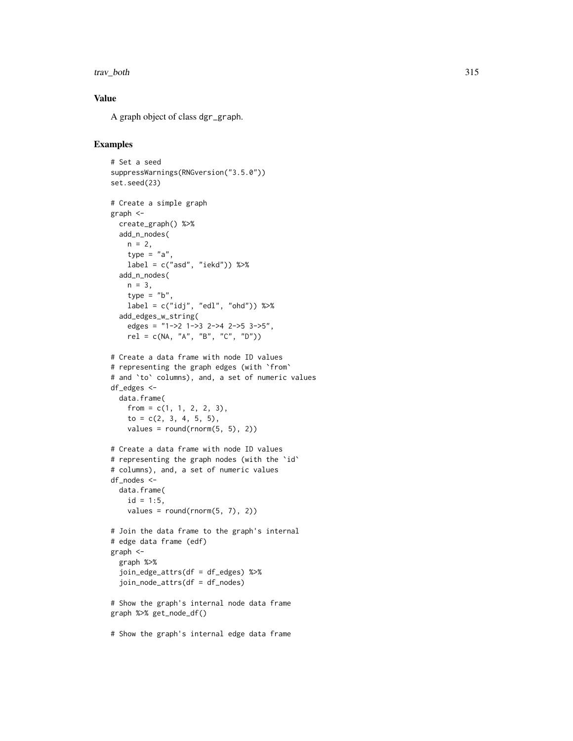#### trav\_both 315

# Value

A graph object of class dgr\_graph.

```
# Set a seed
suppressWarnings(RNGversion("3.5.0"))
set.seed(23)
# Create a simple graph
graph <-
  create_graph() %>%
  add_n_nodes(
   n = 2,
   type = "a".
   label = c("asd", "iekd")) %>%
  add_n_nodes(
   n = 3,
    type = "b",
    label = c("idj", "edl", "ohd")) %>%
  add_edges_w_string(
    edges = "1->2 1->3 2->4 2->5 3->5",
   rel = c(NA, "A", "B", "C", "D"))
# Create a data frame with node ID values
# representing the graph edges (with `from`
# and `to` columns), and, a set of numeric values
df_edges <-
 data.frame(
   from = c(1, 1, 2, 2, 3),to = c(2, 3, 4, 5, 5),values = round(rnorm(5, 5), 2)# Create a data frame with node ID values
# representing the graph nodes (with the `id`
# columns), and, a set of numeric values
df_nodes <-
  data.frame(
   id = 1:5,
    values = round(rnorm(5, 7), 2)# Join the data frame to the graph's internal
# edge data frame (edf)
graph <-
  graph %>%
  join_edge_attrs(df = df_edges) %>%
  join_node_attrs(df = df_nodes)
# Show the graph's internal node data frame
graph %>% get_node_df()
# Show the graph's internal edge data frame
```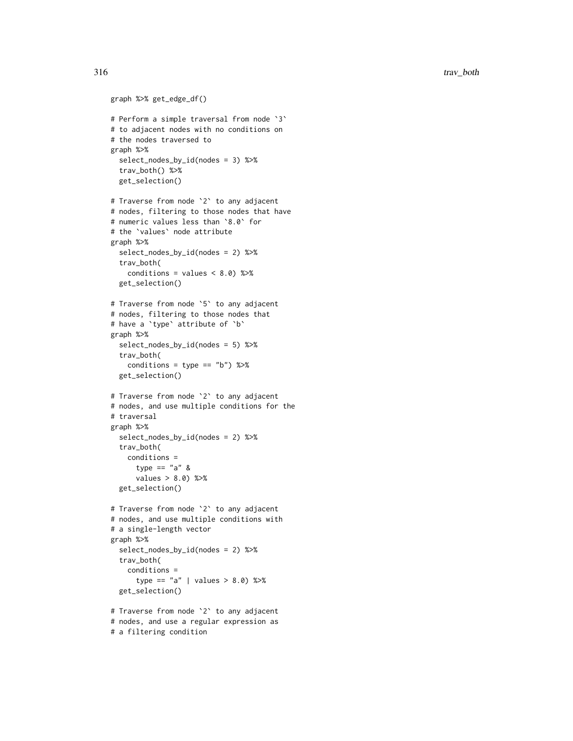316 trav\_both

```
graph %>% get_edge_df()
# Perform a simple traversal from node `3`
# to adjacent nodes with no conditions on
# the nodes traversed to
graph %>%
  select_nodes_by_id(nodes = 3) %>%
  trav_both() %>%
  get_selection()
# Traverse from node `2` to any adjacent
# nodes, filtering to those nodes that have
# numeric values less than `8.0` for
# the `values` node attribute
graph %>%
  select_nodes_by_id(nodes = 2) %>%
  trav_both(
    conditions = values < 8.0) %>%
  get_selection()
# Traverse from node `5` to any adjacent
# nodes, filtering to those nodes that
# have a `type` attribute of `b`
graph %>%
  select_nodes_by_id(nodes = 5) %>%
  trav_both(
    conditions = type == "b") %>%
  get_selection()
# Traverse from node `2` to any adjacent
# nodes, and use multiple conditions for the
# traversal
graph %>%
  select_nodes_by_id(nodes = 2) %>%
  trav_both(
    conditions =
      type == "a" &
      values > 8.0) %>%
  get_selection()
# Traverse from node `2` to any adjacent
# nodes, and use multiple conditions with
# a single-length vector
graph %>%
  select_nodes_by_id(nodes = 2) %>%
  trav_both(
    conditions =
      type == "a" | values > 8.0 %>>get_selection()
# Traverse from node `2` to any adjacent
# nodes, and use a regular expression as
```

```
# a filtering condition
```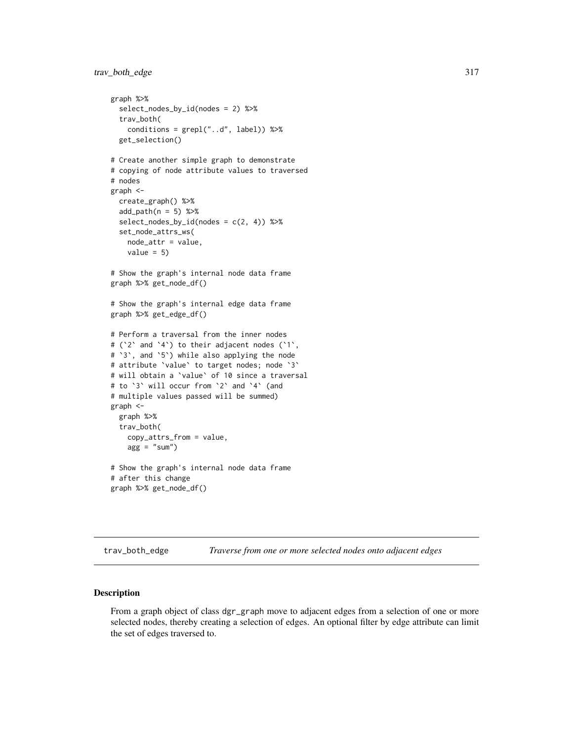```
graph %>%
 select_nodes_by_id(nodes = 2) %>%
 trav_both(
   conditions = \text{grepl}("..d", \text{ label})) %>%
 get_selection()
# Create another simple graph to demonstrate
# copying of node attribute values to traversed
# nodes
graph <-
 create_graph() %>%
 add\_path(n = 5) %>%
 select\_nodes_by_id(nodes = c(2, 4)) %>%
 set_node_attrs_ws(
   node_attr = value,
   value = 5)
# Show the graph's internal node data frame
graph %>% get_node_df()
# Show the graph's internal edge data frame
graph %>% get_edge_df()
# Perform a traversal from the inner nodes
# (`2` and `4`) to their adjacent nodes (`1`,
# `3`, and `5`) while also applying the node
# attribute `value` to target nodes; node `3`
# will obtain a `value` of 10 since a traversal
# to `3` will occur from `2` and `4` (and
# multiple values passed will be summed)
graph <-
 graph %>%
 trav_both(
   copy_attrs_from = value,
   agg = "sum")# Show the graph's internal node data frame
# after this change
graph %>% get_node_df()
```
<span id="page-316-0"></span>trav\_both\_edge *Traverse from one or more selected nodes onto adjacent edges*

#### **Description**

From a graph object of class dgr\_graph move to adjacent edges from a selection of one or more selected nodes, thereby creating a selection of edges. An optional filter by edge attribute can limit the set of edges traversed to.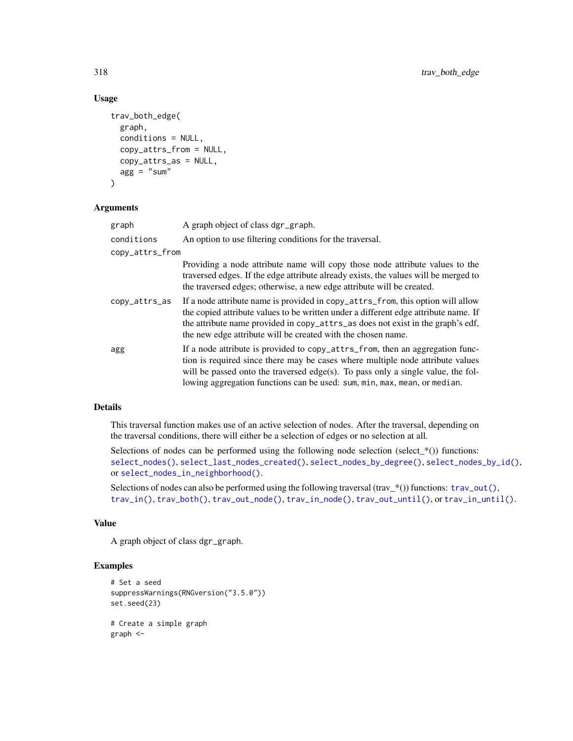# Usage

```
trav_both_edge(
 graph,
  conditions = NULL,
  copy_attrs_from = NULL,
 copy_attrs_as = NULL,
 agg = "sum")
```
#### Arguments

| graph           | A graph object of class dgr_graph.                                                                                                                                                                                                                                                                                               |
|-----------------|----------------------------------------------------------------------------------------------------------------------------------------------------------------------------------------------------------------------------------------------------------------------------------------------------------------------------------|
| conditions      | An option to use filtering conditions for the traversal.                                                                                                                                                                                                                                                                         |
| copy_attrs_from |                                                                                                                                                                                                                                                                                                                                  |
|                 | Providing a node attribute name will copy those node attribute values to the<br>traversed edges. If the edge attribute already exists, the values will be merged to<br>the traversed edges; otherwise, a new edge attribute will be created.                                                                                     |
| copy_attrs_as   | If a node attribute name is provided in copy_attrs_from, this option will allow<br>the copied attribute values to be written under a different edge attribute name. If<br>the attribute name provided in copy_attrs_as does not exist in the graph's edf,<br>the new edge attribute will be created with the chosen name.        |
| agg             | If a node attribute is provided to copy_attrs_from, then an aggregation func-<br>tion is required since there may be cases where multiple node attribute values<br>will be passed onto the traversed edge(s). To pass only a single value, the fol-<br>lowing aggregation functions can be used: sum, min, max, mean, or median. |

## Details

This traversal function makes use of an active selection of nodes. After the traversal, depending on the traversal conditions, there will either be a selection of edges or no selection at all.

Selections of nodes can be performed using the following node selection (select $*$ ()) functions: [select\\_nodes\(\)](#page-282-0), [select\\_last\\_nodes\\_created\(\)](#page-281-0), [select\\_nodes\\_by\\_degree\(\)](#page-284-0), [select\\_nodes\\_by\\_id\(\)](#page-286-0), or [select\\_nodes\\_in\\_neighborhood\(\)](#page-287-0).

Selections of nodes can also be performed using the following traversal (trav\_\*()) functions:  $\text{trav\_out}()$ , [trav\\_in\(\)](#page-320-0), [trav\\_both\(\)](#page-312-0), [trav\\_out\\_node\(\)](#page-343-0), [trav\\_in\\_node\(\)](#page-328-0), [trav\\_out\\_until\(\)](#page-347-0), or [trav\\_in\\_until\(\)](#page-333-0).

#### Value

A graph object of class dgr\_graph.

```
# Set a seed
suppressWarnings(RNGversion("3.5.0"))
set.seed(23)
# Create a simple graph
graph <-
```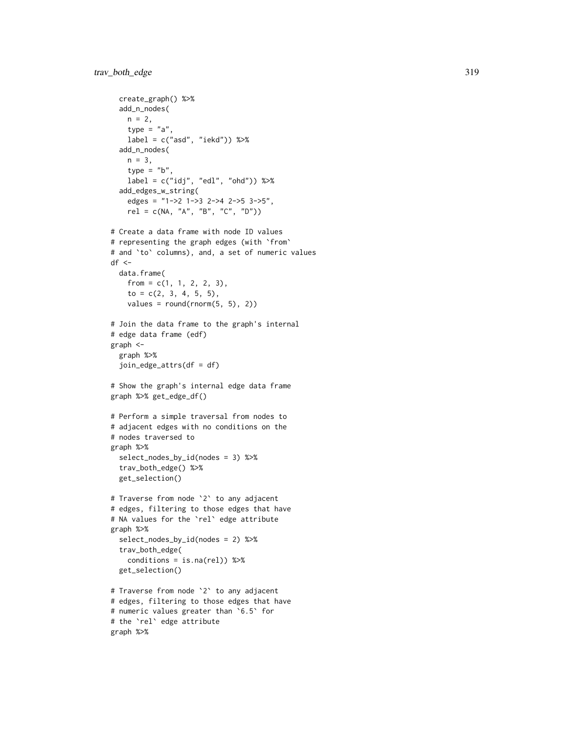```
create_graph() %>%
  add_n_nodes(
   n = 2,type = "a"label = c("asd", "iekd")) %>%
  add_n_nodes(
   n = 3,
   type = "b",
   label = c("idj", "edl", "ohd")) %>%
  add_edges_w_string(
    edges = "1->2 1->3 2->4 2->5 3->5",
    rel = c(NA, 'A'', 'B'', 'C'', 'D''))# Create a data frame with node ID values
# representing the graph edges (with `from`
# and `to` columns), and, a set of numeric values
df \leftarrowdata.frame(
   from = c(1, 1, 2, 2, 3),to = c(2, 3, 4, 5, 5),
    values = round(rnorm(5, 5), 2)# Join the data frame to the graph's internal
# edge data frame (edf)
graph <-
  graph %>%
  join_edge_attrs(df = df)
# Show the graph's internal edge data frame
graph %>% get_edge_df()
# Perform a simple traversal from nodes to
# adjacent edges with no conditions on the
# nodes traversed to
graph %>%
  select_nodes_by_id(nodes = 3) %>%
  trav_both_edge() %>%
  get_selection()
# Traverse from node `2` to any adjacent
# edges, filtering to those edges that have
# NA values for the `rel` edge attribute
graph %>%
  select_nodes_by_id(nodes = 2) %>%
  trav_both_edge(
    conditions = is.na(rel)) %>%
  get_selection()
# Traverse from node `2` to any adjacent
# edges, filtering to those edges that have
# numeric values greater than `6.5` for
# the `rel` edge attribute
graph %>%
```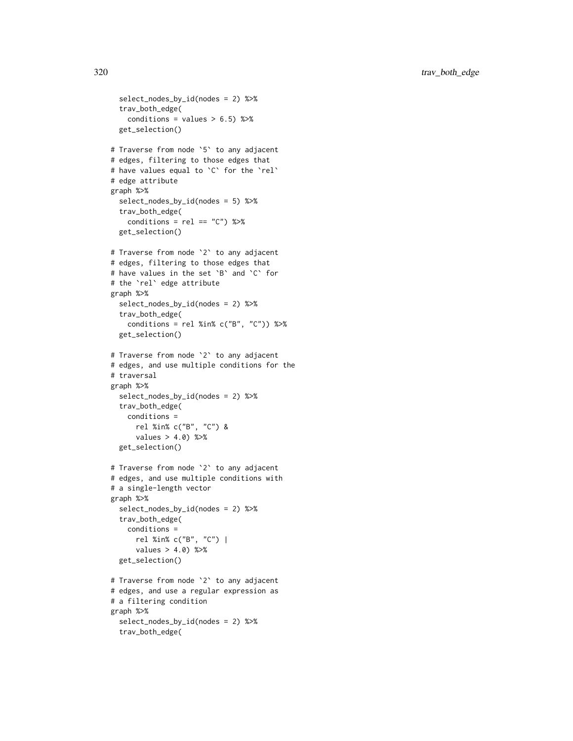```
select_nodes_by_id(nodes = 2) %>%
  trav_both_edge(
    conditions = values > 6.5) %>%
  get_selection()
# Traverse from node `5` to any adjacent
# edges, filtering to those edges that
# have values equal to `C` for the `rel`
# edge attribute
graph %>%
  select_nodes_by_id(nodes = 5) %>%
  trav_both_edge(
    conditions = rel == "C") %>%
  get_selection()
# Traverse from node `2` to any adjacent
# edges, filtering to those edges that
# have values in the set `B` and `C` for
# the `rel` edge attribute
graph %>%
  select_nodes_by_id(nodes = 2) %>%
  trav_both_edge(
    conditions = rel %in% c("B", "C")) %>%
  get_selection()
# Traverse from node `2` to any adjacent
# edges, and use multiple conditions for the
# traversal
graph %>%
  select_nodes_by_id(nodes = 2) %>%
  trav_both_edge(
   conditions =
      rel %in% c("B", "C") &
      values > 4.0) %>%
  get_selection()
# Traverse from node `2` to any adjacent
# edges, and use multiple conditions with
# a single-length vector
graph %>%
  select_nodes_by_id(nodes = 2) %>%
  trav_both_edge(
    conditions =
      rel %in% c("B", "C") |
      values > 4.0) %>%
  get_selection()
# Traverse from node `2` to any adjacent
# edges, and use a regular expression as
# a filtering condition
graph %>%
  select_nodes_by_id(nodes = 2) %>%
  trav_both_edge(
```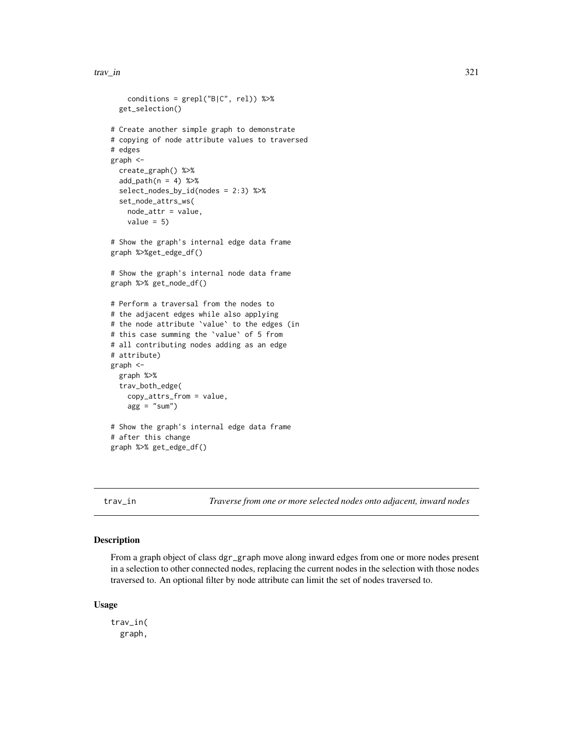#### trav\_in 321

```
conditions = grepl("B|C", rel)) %>%
  get_selection()
# Create another simple graph to demonstrate
# copying of node attribute values to traversed
# edges
graph <-
  create_graph() %>%
  add\_path(n = 4) %>%
  select_nodes_by_id(nodes = 2:3) %>%
  set_node_attrs_ws(
    node_attr = value,
    value = 5)
# Show the graph's internal edge data frame
graph %>%get_edge_df()
# Show the graph's internal node data frame
graph %>% get_node_df()
# Perform a traversal from the nodes to
# the adjacent edges while also applying
# the node attribute `value` to the edges (in
# this case summing the `value` of 5 from
# all contributing nodes adding as an edge
# attribute)
graph <-
  graph %>%
  trav_both_edge(
   copy_attrs_from = value,
   agg = "sum"# Show the graph's internal edge data frame
# after this change
graph %>% get_edge_df()
```
<span id="page-320-0"></span>

trav\_in *Traverse from one or more selected nodes onto adjacent, inward nodes*

# Description

From a graph object of class dgr\_graph move along inward edges from one or more nodes present in a selection to other connected nodes, replacing the current nodes in the selection with those nodes traversed to. An optional filter by node attribute can limit the set of nodes traversed to.

#### Usage

trav\_in( graph,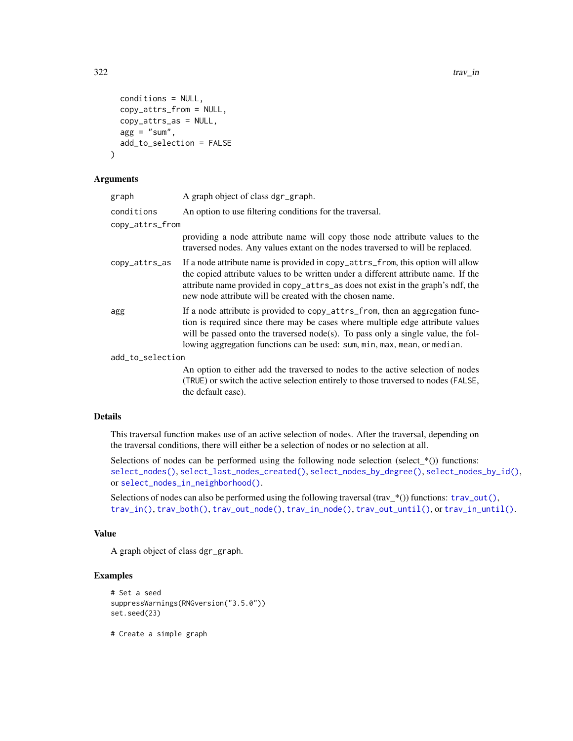```
conditions = NULL,
  copy_attrs_from = NULL,
  copy_attrs_as = NULL,
  agg = "sum",add_to_selection = FALSE
)
```
#### Arguments

| graph            | A graph object of class dgr_graph.                                                                                                                                                                                                                                                                                               |  |
|------------------|----------------------------------------------------------------------------------------------------------------------------------------------------------------------------------------------------------------------------------------------------------------------------------------------------------------------------------|--|
| conditions       | An option to use filtering conditions for the traversal.                                                                                                                                                                                                                                                                         |  |
| copy_attrs_from  |                                                                                                                                                                                                                                                                                                                                  |  |
|                  | providing a node attribute name will copy those node attribute values to the<br>traversed nodes. Any values extant on the nodes traversed to will be replaced.                                                                                                                                                                   |  |
| copy_attrs_as    | If a node attribute name is provided in copy_attrs_from, this option will allow<br>the copied attribute values to be written under a different attribute name. If the<br>attribute name provided in copy_attrs_as does not exist in the graph's ndf, the<br>new node attribute will be created with the chosen name.             |  |
| agg              | If a node attribute is provided to copy_attrs_from, then an aggregation func-<br>tion is required since there may be cases where multiple edge attribute values<br>will be passed onto the traversed node(s). To pass only a single value, the fol-<br>lowing aggregation functions can be used: sum, min, max, mean, or median. |  |
| add_to_selection |                                                                                                                                                                                                                                                                                                                                  |  |
|                  | An option to either add the traversed to nodes to the active selection of nodes<br>(TRUE) or switch the active selection entirely to those traversed to nodes (FALSE,<br>the default case).                                                                                                                                      |  |

## Details

This traversal function makes use of an active selection of nodes. After the traversal, depending on the traversal conditions, there will either be a selection of nodes or no selection at all.

Selections of nodes can be performed using the following node selection (select\_ $*($ )) functions: [select\\_nodes\(\)](#page-282-0), [select\\_last\\_nodes\\_created\(\)](#page-281-0), [select\\_nodes\\_by\\_degree\(\)](#page-284-0), [select\\_nodes\\_by\\_id\(\)](#page-286-0), or [select\\_nodes\\_in\\_neighborhood\(\)](#page-287-0).

Selections of nodes can also be performed using the following traversal (trav\_\*()) functions:  $\text{trav\_out}($ ), [trav\\_in\(\)](#page-320-0), [trav\\_both\(\)](#page-312-0), [trav\\_out\\_node\(\)](#page-343-0), [trav\\_in\\_node\(\)](#page-328-0), [trav\\_out\\_until\(\)](#page-347-0), or [trav\\_in\\_until\(\)](#page-333-0).

#### Value

A graph object of class dgr\_graph.

# Examples

```
# Set a seed
suppressWarnings(RNGversion("3.5.0"))
set.seed(23)
```
# Create a simple graph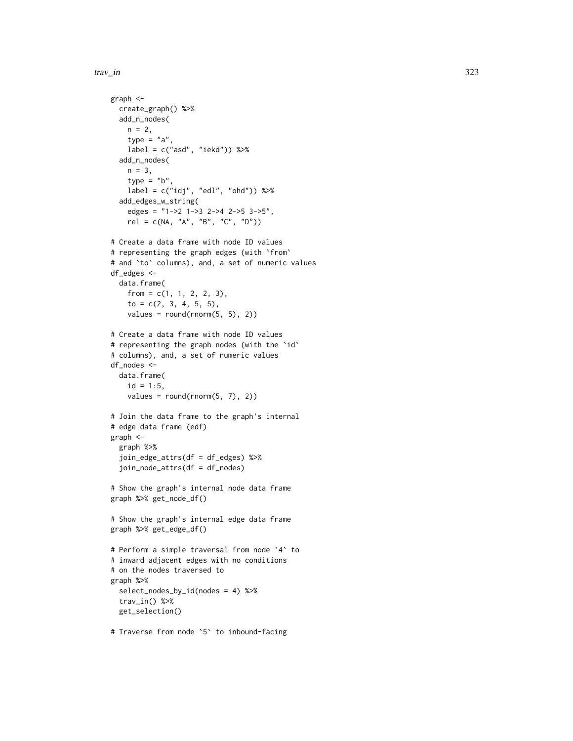#### trav\_in 323

```
graph <-
  create_graph() %>%
  add_n_nodes(
   n = 2,
   type = "a",label = c("asd", "iekd")) %>%
  add_n_nodes(
   n = 3,
    type = "b",
   label = c("idj", "edl", "ohd")) %>%
  add_edges_w_string(
    edges = "1->2 1->3 2->4 2->5 3->5",
    rel = c(NA, "A", "B", "C", "D")# Create a data frame with node ID values
# representing the graph edges (with `from`
# and `to` columns), and, a set of numeric values
df_edges <-
  data.frame(
   from = c(1, 1, 2, 2, 3),to = c(2, 3, 4, 5, 5),values = round(rnorm(5, 5), 2)# Create a data frame with node ID values
# representing the graph nodes (with the `id`
# columns), and, a set of numeric values
df_nodes <-
 data.frame(
   id = 1:5,
    values = round(rnorm(5, 7), 2)# Join the data frame to the graph's internal
# edge data frame (edf)
graph <-
  graph %>%
  join_edge_attrs(df = df_edges) %>%
  join_node_attrs(df = df_nodes)
# Show the graph's internal node data frame
graph %>% get_node_df()
# Show the graph's internal edge data frame
graph %>% get_edge_df()
# Perform a simple traversal from node `4` to
# inward adjacent edges with no conditions
# on the nodes traversed to
graph %>%
  select_nodes_by_id(nodes = 4) %>%
  trav_in() %>%
  get_selection()
```
# Traverse from node `5` to inbound-facing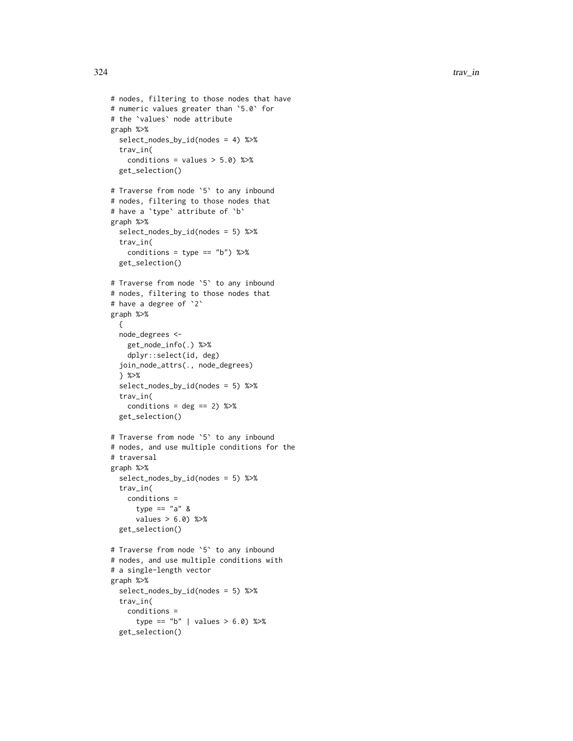```
# nodes, filtering to those nodes that have
# numeric values greater than
`5.0
` for
# the
`values
` node attribute
graph %>%
  select_nodes_by_id(nodes = 4) %>%
 trav_in(
   conditions = values > 5.0) %>%
  get_selection()
# Traverse from node
`
5
` to any inbound
# nodes, filtering to those nodes that
# have a `type` attribute of `b`
graph %>%
  select_nodes_by_id(nodes = 5) %>%
  trav_in(
    conditions = type == "b") %>%
  get_selection()
# Traverse from node
`
5
` to any inbound
# nodes, filtering to those nodes that
# have a degree of
`
2
`
graph %>% {
  node_degrees <-
    get_node_info(.) %>%
    dplyr::select(id, deg)
  join_node_attrs(., node_degrees)
  } %>%
  select_nodes_by_id(nodes = 5) %>%
  trav_in(
   conditions = deg == 2) %>%
  get_selection()
# Traverse from node
`
5
` to any inbound
# nodes, and use multiple conditions for the
# traversal
graph %>%
  select_nodes_by_id(nodes = 5) %>%
  trav_in(
    conditions =
      type == "a" &
      values > 6.0) %>%
  get_selection()
# Traverse from node
`
5
` to any inbound
# nodes, and use multiple conditions with
# a single-length vector
graph %>%
  select_nodes_by_id(nodes = 5) %>%
  trav_in(
    conditions =
      type == "b" | values > 6.0) %>%
```

```
get_selection()
```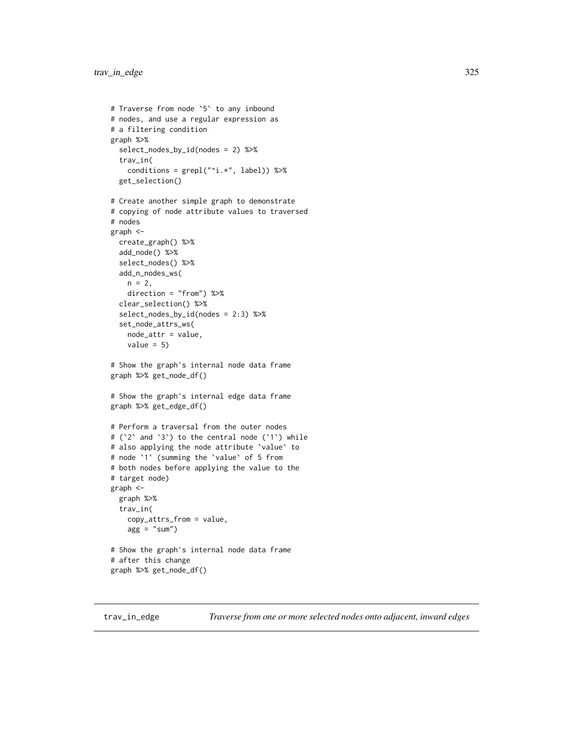```
# Traverse from node `5` to any inbound
# nodes, and use a regular expression as
# a filtering condition
graph %>%
 select_nodes_by_id(nodes = 2) %>%
 trav_in(
   conditions = grepl("^i.*", label)) %>%
 get_selection()
# Create another simple graph to demonstrate
# copying of node attribute values to traversed
# nodes
graph <-
 create_graph() %>%
 add_node() %>%
 select_nodes() %>%
 add_n_nodes_ws(
   n = 2,
   direction = "from") %>%
 clear_selection() %>%
 select_nodes_by_id(nodes = 2:3) %>%
 set_node_attrs_ws(
   node_attr = value,
   value = 5)
# Show the graph's internal node data frame
graph %>% get_node_df()
# Show the graph's internal edge data frame
graph %>% get_edge_df()
# Perform a traversal from the outer nodes
# (`2` and `3`) to the central node (`1`) while
# also applying the node attribute `value` to
# node `1` (summing the `value` of 5 from
# both nodes before applying the value to the
# target node)
graph <-
 graph %>%
 trav_in(
   copy_attrs_from = value,
    agg = "sum")# Show the graph's internal node data frame
# after this change
graph %>% get_node_df()
```
<span id="page-324-0"></span>trav\_in\_edge *Traverse from one or more selected nodes onto adjacent, inward edges*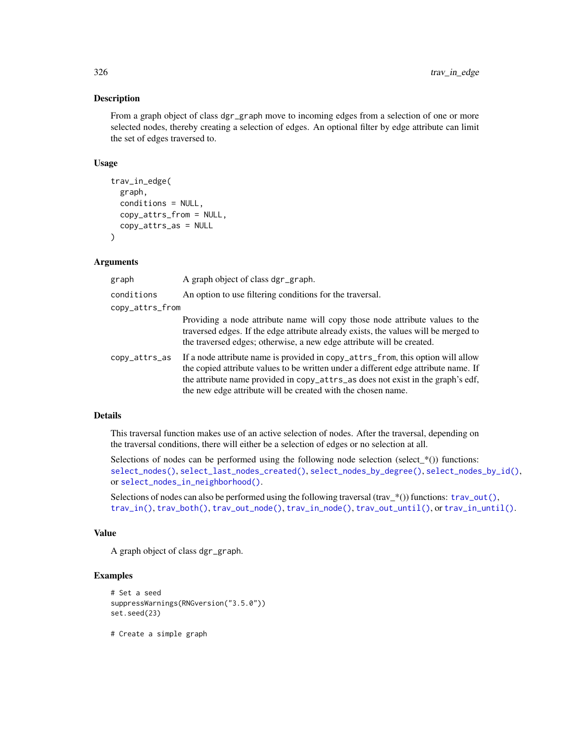# Description

From a graph object of class dgr\_graph move to incoming edges from a selection of one or more selected nodes, thereby creating a selection of edges. An optional filter by edge attribute can limit the set of edges traversed to.

# Usage

```
trav_in_edge(
  graph,
  conditions = NULL,
  copy_attrs_from = NULL,
  copy_attrs_as = NULL
\lambda
```
# Arguments

| graph           | A graph object of class dgr_graph.                                                                                                                                                                                                                                                                                        |
|-----------------|---------------------------------------------------------------------------------------------------------------------------------------------------------------------------------------------------------------------------------------------------------------------------------------------------------------------------|
| conditions      | An option to use filtering conditions for the traversal.                                                                                                                                                                                                                                                                  |
| copy_attrs_from |                                                                                                                                                                                                                                                                                                                           |
|                 | Providing a node attribute name will copy those node attribute values to the<br>traversed edges. If the edge attribute already exists, the values will be merged to<br>the traversed edges; otherwise, a new edge attribute will be created.                                                                              |
| copy_attrs_as   | If a node attribute name is provided in copy_attrs_from, this option will allow<br>the copied attribute values to be written under a different edge attribute name. If<br>the attribute name provided in copy_attrs_as does not exist in the graph's edf,<br>the new edge attribute will be created with the chosen name. |

# Details

This traversal function makes use of an active selection of nodes. After the traversal, depending on the traversal conditions, there will either be a selection of edges or no selection at all.

Selections of nodes can be performed using the following node selection (select  $*(\cdot)$ ) functions: [select\\_nodes\(\)](#page-282-0), [select\\_last\\_nodes\\_created\(\)](#page-281-0), [select\\_nodes\\_by\\_degree\(\)](#page-284-0), [select\\_nodes\\_by\\_id\(\)](#page-286-0), or [select\\_nodes\\_in\\_neighborhood\(\)](#page-287-0).

Selections of nodes can also be performed using the following traversal (trav\_\*()) functions:  $\text{trav\_out}($ ), [trav\\_in\(\)](#page-320-0), [trav\\_both\(\)](#page-312-0), [trav\\_out\\_node\(\)](#page-343-0), [trav\\_in\\_node\(\)](#page-328-0), [trav\\_out\\_until\(\)](#page-347-0), or [trav\\_in\\_until\(\)](#page-333-0).

### Value

A graph object of class dgr\_graph.

# Examples

```
# Set a seed
suppressWarnings(RNGversion("3.5.0"))
set.seed(23)
```
# Create a simple graph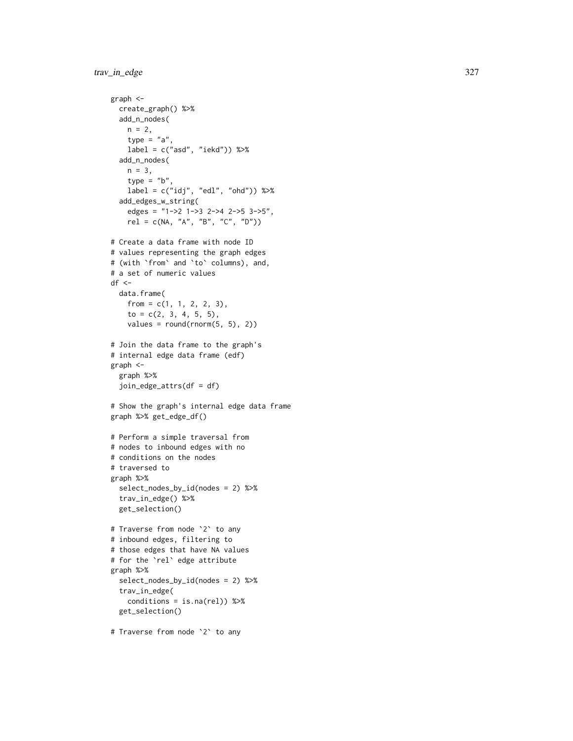```
graph <-
  create_graph() %>%
 add_n_nodes(
   n = 2,
   type = "a",label = c("asd", "iekd")) %>%
  add_n_nodes(
   n = 3,
   type = "b",
   label = c("idj", "edl", "ohd")) %>%
  add_edges_w_string(
    edges = "1->2 1->3 2->4 2->5 3->5",
    rel = c(NA, "A", "B", "C", "D")# Create a data frame with node ID
# values representing the graph edges
# (with
`from
` and
`to
` columns), and,
# a set of numeric values
df < -data.frame(
    from = c(1, 1, 2, 2, 3),to = c(2, 3, 4, 5, 5),values = round(rnorm(5, 5), 2)# Join the data frame to the graph's
# internal edge data frame (edf)
graph <-
  graph %>%
  join_edge_attrs(df = df)
# Show the graph's internal edge data frame
graph %>% get_edge_df()
# Perform a simple traversal from
# nodes to inbound edges with no
# conditions on the nodes
# traversed to
graph %>%
  select_nodes_by_id(nodes = 2) %>%
  trav_in_edge() %>%
  get_selection()
# Traverse from node
`
2
` to any
# inbound edges, filtering to
# those edges that have NA values
# for the
`rel
` edge attribute
graph %>%
  select_nodes_by_id(nodes = 2) %>%
  trav_in_edge(
   conditions = is.na(rel)) %>%
  get_selection()
```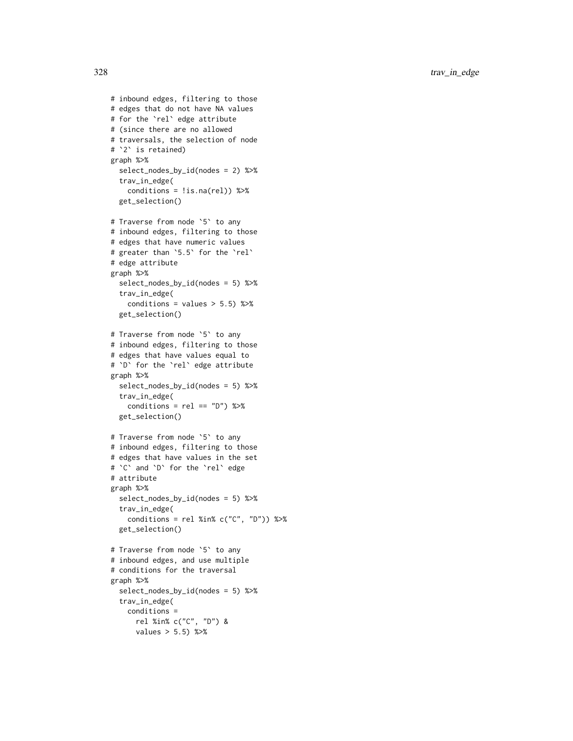```
# inbound edges, filtering to those
# edges that do not have NA values
# for the `rel` edge attribute
# (since there are no allowed
# traversals, the selection of node
# `2` is retained)
graph %>%
  select_nodes_by_id(nodes = 2) %>%
  trav_in_edge(
    conditions = !is.na(rel)) %>%
  get_selection()
# Traverse from node `5` to any
# inbound edges, filtering to those
# edges that have numeric values
# greater than `5.5` for the `rel`
# edge attribute
graph %>%
  select_nodes_by_id(nodes = 5) %>%
  trav_in_edge(
    conditions = values > 5.5) %>%
  get_selection()
# Traverse from node `5` to any
# inbound edges, filtering to those
# edges that have values equal to
# `D` for the `rel` edge attribute
graph %>%
  select_nodes_by_id(nodes = 5) %>%
  trav_in_edge(
   conditions = rel == "D") %>%
  get_selection()
# Traverse from node `5` to any
# inbound edges, filtering to those
# edges that have values in the set
# `C` and `D` for the `rel` edge
# attribute
graph %>%
  select_nodes_by_id(nodes = 5) %>%
  trav_in_edge(
    conditions = rel %in% c("C", "D")) %>%
  get_selection()
# Traverse from node `5` to any
# inbound edges, and use multiple
# conditions for the traversal
graph %>%
  select_nodes_by_id(nodes = 5) %>%
  trav_in_edge(
    conditions =
      rel %in% c("C", "D") &
      values > 5.5) %>%
```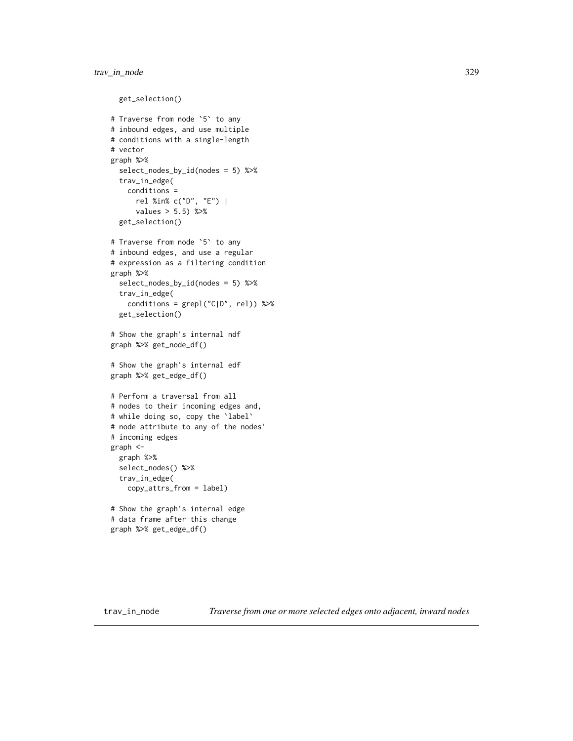```
get_selection()
# Traverse from node `5` to any
# inbound edges, and use multiple
# conditions with a single-length
# vector
graph %>%
 select_nodes_by_id(nodes = 5) %>%
 trav_in_edge(
   conditions =
     rel %in% c("D", "E") |
     values > 5.5) %>%
 get_selection()
# Traverse from node `5` to any
# inbound edges, and use a regular
# expression as a filtering condition
graph %>%
 select_nodes_by_id(nodes = 5) %>%
 trav_in_edge(
    conditions = grepl("C|D", rel)) %>%
 get_selection()
# Show the graph's internal ndf
graph %>% get_node_df()
# Show the graph's internal edf
graph %>% get_edge_df()
# Perform a traversal from all
# nodes to their incoming edges and,
# while doing so, copy the `label`
# node attribute to any of the nodes'
# incoming edges
graph <-
 graph %>%
 select_nodes() %>%
 trav_in_edge(
    copy_attrs_from = label)
# Show the graph's internal edge
# data frame after this change
graph %>% get_edge_df()
```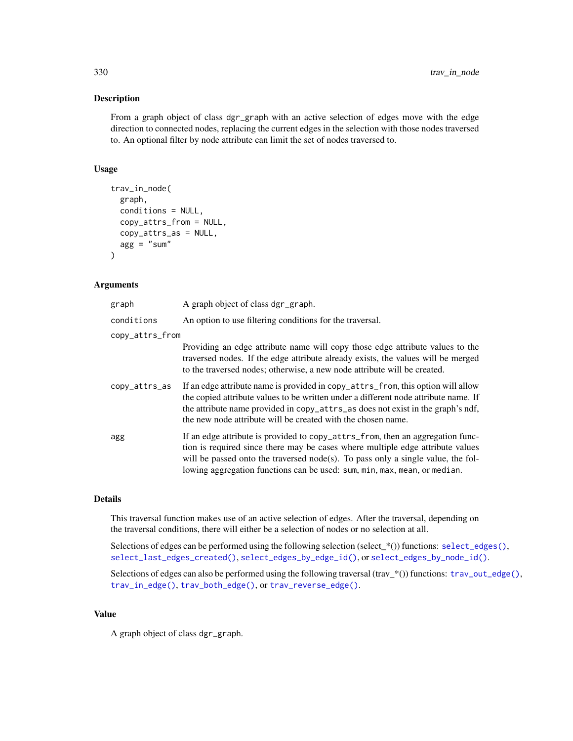#### Description

From a graph object of class dgr\_graph with an active selection of edges move with the edge direction to connected nodes, replacing the current edges in the selection with those nodes traversed to. An optional filter by node attribute can limit the set of nodes traversed to.

# Usage

```
trav_in_node(
  graph,
  conditions = NULL,
  copy_attrs_from = NULL,
  copy_attrs_as = NULL,
  agg = "sum"\lambda
```
# Arguments

| graph           | A graph object of class dgr_graph.                                                                                                                                                                                                                                                                                                |
|-----------------|-----------------------------------------------------------------------------------------------------------------------------------------------------------------------------------------------------------------------------------------------------------------------------------------------------------------------------------|
| conditions      | An option to use filtering conditions for the traversal.                                                                                                                                                                                                                                                                          |
| copy_attrs_from |                                                                                                                                                                                                                                                                                                                                   |
|                 | Providing an edge attribute name will copy those edge attribute values to the<br>traversed nodes. If the edge attribute already exists, the values will be merged<br>to the traversed nodes; otherwise, a new node attribute will be created.                                                                                     |
| copy_attrs_as   | If an edge attribute name is provided in copy_attrs_from, this option will allow<br>the copied attribute values to be written under a different node attribute name. If<br>the attribute name provided in copy_attrs_as does not exist in the graph's ndf,<br>the new node attribute will be created with the chosen name.        |
| agg             | If an edge attribute is provided to copy_attrs_from, then an aggregation func-<br>tion is required since there may be cases where multiple edge attribute values<br>will be passed onto the traversed node(s). To pass only a single value, the fol-<br>lowing aggregation functions can be used: sum, min, max, mean, or median. |

# Details

This traversal function makes use of an active selection of edges. After the traversal, depending on the traversal conditions, there will either be a selection of nodes or no selection at all.

Selections of edges can be performed using the following selection (select\_\*()) functions: [select\\_edges\(\)](#page-276-0), [select\\_last\\_edges\\_created\(\)](#page-280-0), [select\\_edges\\_by\\_edge\\_id\(\)](#page-278-0), or [select\\_edges\\_by\\_node\\_id\(\)](#page-279-0).

Selections of edges can also be performed using the following traversal (trav\_\*()) functions:  $\text{trav\_out\_edge}($ ), [trav\\_in\\_edge\(\)](#page-324-0), [trav\\_both\\_edge\(\)](#page-316-0), or [trav\\_reverse\\_edge\(\)](#page-349-0).

#### Value

A graph object of class dgr\_graph.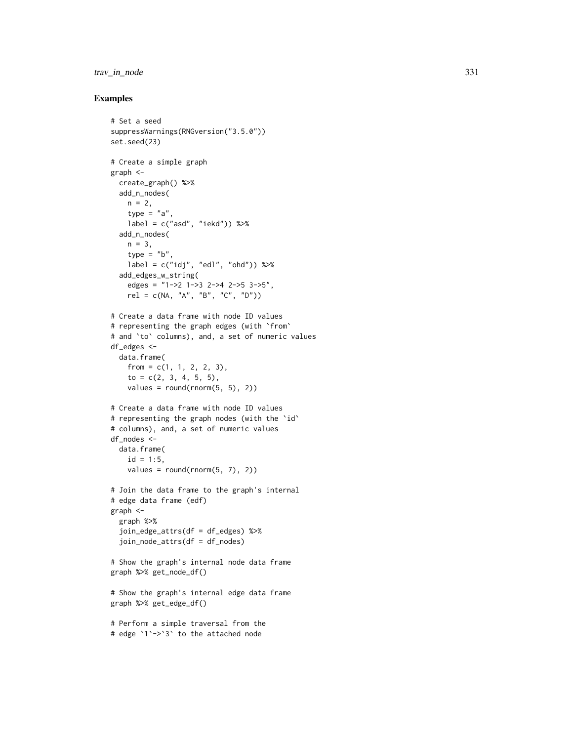# trav\_in\_node 331

```
# Set a seed
suppressWarnings(RNGversion("3.5.0"))
set.seed(23)
# Create a simple graph
graph <-
  create_graph() %>%
  add_n_nodes(
   n = 2.
   type = "a",
    label = c("asd", "iekd")) %>%
  add_n_nodes(
   n = 3,
    type = "b",
   label = c("idj", "edl", "ohd")) %>%
  add_edges_w_string(
   edges = "1->2 1->3 2->4 2->5 3->5",
    rel = c(NA, "A", "B", "C", "D")# Create a data frame with node ID values
# representing the graph edges (with `from`
# and `to` columns), and, a set of numeric values
df_edges <-
 data.frame(
   from = c(1, 1, 2, 2, 3),to = c(2, 3, 4, 5, 5),values = round(rnorm(5, 5), 2)# Create a data frame with node ID values
# representing the graph nodes (with the `id`
# columns), and, a set of numeric values
df_nodes <-
  data.frame(
    id = 1:5,
    values = round(rnorm(5, 7), 2))
# Join the data frame to the graph's internal
# edge data frame (edf)
graph <-
  graph %>%
  join_edge_attrs(df = df_edges) %>%
  join_node_attrs(df = df_nodes)
# Show the graph's internal node data frame
graph %>% get_node_df()
# Show the graph's internal edge data frame
graph %>% get_edge_df()
# Perform a simple traversal from the
# edge `1`->`3` to the attached node
```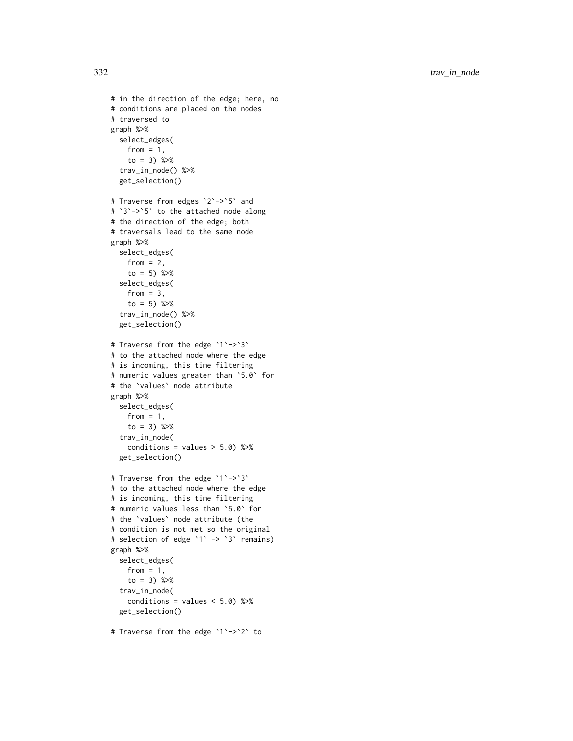```
# in the direction of the edge; here, no
# conditions are placed on the nodes
# traversed to
graph %>%
 select_edges(
   from = 1,
   to = 3) %>%
  trav_in_node() %>%
  get_selection()
# Traverse from edges `2`->`5` and
#
`
3
`->
`
5
` to the attached node along
# the direction of the edge; both
# traversals lead to the same node
graph %>%
  select_edges(
   from = 2,
    to = 5) %>%
  select_edges(
    from = 3,
    to = 5) %>%
  trav_in_node() %>%
  get_selection()
# Traverse from the edge `1`->`3`
# to the attached node where the edge
# is incoming, this time filtering
# numeric values greater than
`5.0
` for
# the
`values
` node attribute
graph %>%
  select_edges(
   from = 1,
    to = 3) % >trav_in_node(
    conditions = values > 5.0) %>%
  get_selection()
# Traverse from the edge `1`->`3`
# to the attached node where the edge
# is incoming, this time filtering
# numeric values less than
`5.0
` for
# the
`values
` node attribute (the
# condition is not met so the original
# selection of edge
`
1
` ->
`
3
` remains)
graph %>%
  select_edges(
    from = 1,
    to = 3) %>%
  trav_in_node(
    conditions = values < 5.0) %>%
  get_selection()
```
# Traverse from the edge ` 1 `-> ` 2 ` to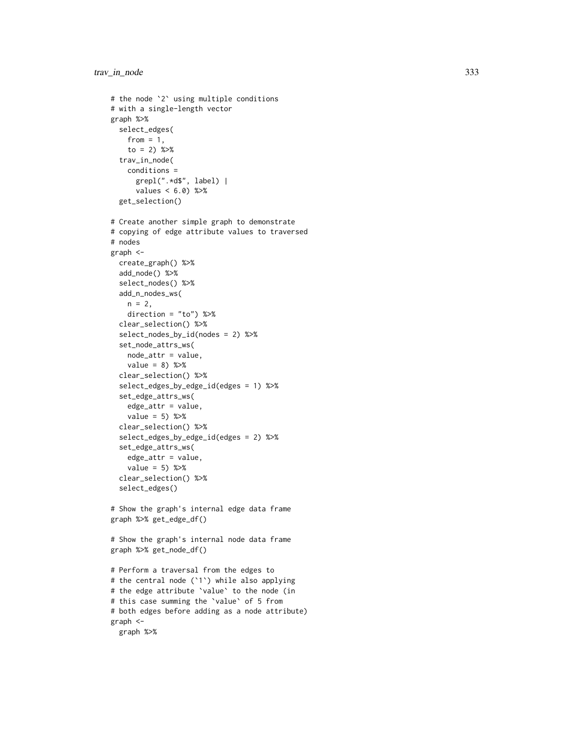```
# the node
`
2
` using multiple conditions
# with a single-length vector
graph %>%
  select_edges(
    from = 1,
    to = 2) %>%
  trav_in_node(
    conditions =
      grepl(".*d$", label) |
      values < 6.0) %>%
  get_selection()
# Create another simple graph to demonstrate
# copying of edge attribute values to traversed
# nodes
graph <-
  create_graph() %>%
  add_node() %>%
  select_nodes() %>%
  add_n_nodes_ws(
   n = 2,
    direction = "to") %>%
  clear_selection() %>%
  select_nodes_by_id(nodes = 2) %>%
  set_node_attrs_ws(
   node_attr = value,
    value = 8) %>%
  clear_selection() %>%
  select_edges_by_edge_id(edges = 1) %>%
  set_edge_attrs_ws(
    edge_attr = value,
   value = 5) %>%
  clear_selection() %>%
  select_edges_by_edge_id(edges = 2) %>%
  set_edge_attrs_ws(
    edge_attr = value,
    value = 5) %>%
  clear_selection() %>%
  select_edges()
# Show the graph's internal edge data frame
graph %>% get_edge_df()
# Show the graph's internal node data frame
graph %>% get_node_df()
# Perform a traversal from the edges to
# the central node (
`
1
`) while also applying
# the edge attribute
`value
` to the node (in
# this case summing the
`value
` of 5 from
# both edges before adding as a node attribute)
graph <-
  graph %>%
```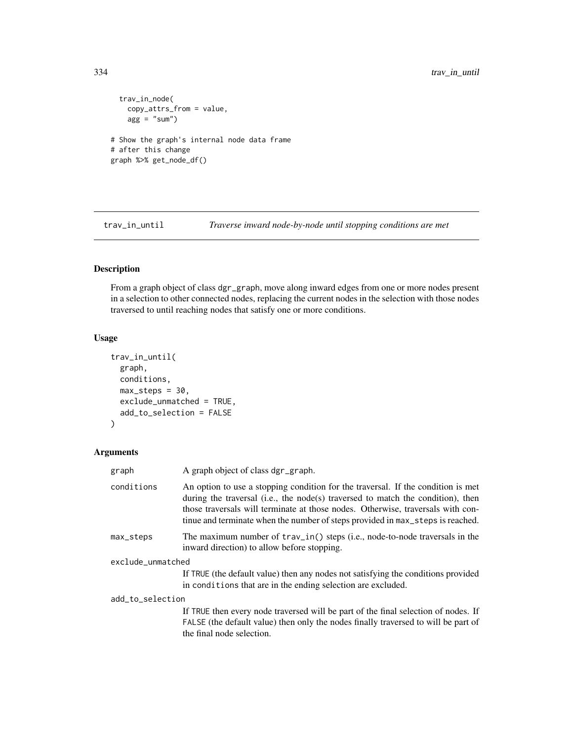```
trav_in_node(
   copy_attrs_from = value,
   agg = "sum"# Show the graph's internal node data frame
# after this change
graph %>% get_node_df()
```
<span id="page-333-0"></span>trav\_in\_until *Traverse inward node-by-node until stopping conditions are met*

# Description

From a graph object of class dgr\_graph, move along inward edges from one or more nodes present in a selection to other connected nodes, replacing the current nodes in the selection with those nodes traversed to until reaching nodes that satisfy one or more conditions.

#### Usage

```
trav_in_until(
  graph,
 conditions,
 max\_steps = 30,
  exclude_unmatched = TRUE,
  add_to_selection = FALSE
\mathcal{L}
```
#### Arguments

| graph             | A graph object of class dgr_graph.                                                                                                                                                                                                                                                                                                       |
|-------------------|------------------------------------------------------------------------------------------------------------------------------------------------------------------------------------------------------------------------------------------------------------------------------------------------------------------------------------------|
| conditions        | An option to use a stopping condition for the traversal. If the condition is met<br>during the traversal (i.e., the node(s) traversed to match the condition), then<br>those traversals will terminate at those nodes. Otherwise, traversals with con-<br>tinue and terminate when the number of steps provided in max_steps is reached. |
| max_steps         | The maximum number of $\text{trav}_\text{in}()$ steps (i.e., node-to-node traversals in the<br>inward direction) to allow before stopping.                                                                                                                                                                                               |
| exclude_unmatched |                                                                                                                                                                                                                                                                                                                                          |
|                   | If TRUE (the default value) then any nodes not satisfying the conditions provided<br>in conditions that are in the ending selection are excluded.                                                                                                                                                                                        |
| add_to_selection  |                                                                                                                                                                                                                                                                                                                                          |
|                   | If TRUE then every node traversed will be part of the final selection of nodes. If<br>FALSE (the default value) then only the nodes finally traversed to will be part of<br>the final node selection.                                                                                                                                    |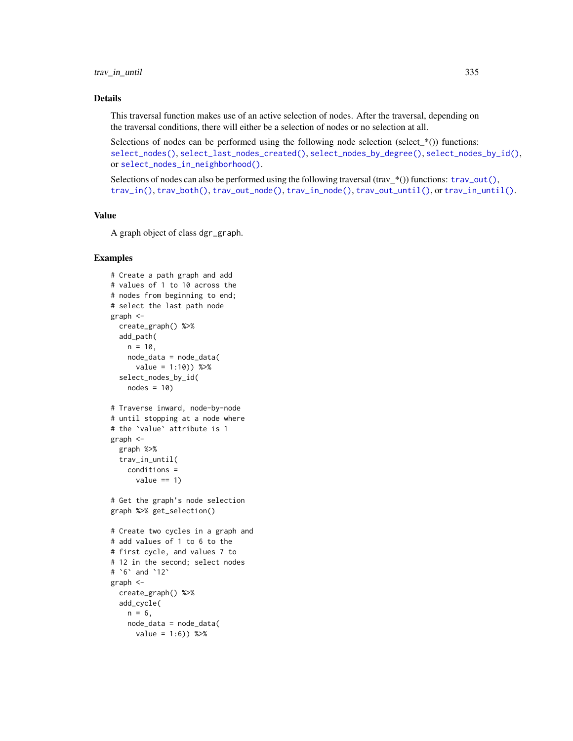# Details

This traversal function makes use of an active selection of nodes. After the traversal, depending on the traversal conditions, there will either be a selection of nodes or no selection at all.

Selections of nodes can be performed using the following node selection (select\_ $*($ )) functions: [select\\_nodes\(\)](#page-282-0), [select\\_last\\_nodes\\_created\(\)](#page-281-0), [select\\_nodes\\_by\\_degree\(\)](#page-284-0), [select\\_nodes\\_by\\_id\(\)](#page-286-0), or [select\\_nodes\\_in\\_neighborhood\(\)](#page-287-0).

Selections of nodes can also be performed using the following traversal (trav\_\*()) functions:  $\text{trav\_out}($ ), [trav\\_in\(\)](#page-320-0), [trav\\_both\(\)](#page-312-0), [trav\\_out\\_node\(\)](#page-343-0), [trav\\_in\\_node\(\)](#page-328-0), [trav\\_out\\_until\(\)](#page-347-0), or [trav\\_in\\_until\(\)](#page-333-0).

# Value

A graph object of class dgr\_graph.

```
# Create a path graph and add
# values of 1 to 10 across the
# nodes from beginning to end;
# select the last path node
graph <-
  create_graph() %>%
 add_path(
   n = 10.
   node_data = node_data(
     value = 1:10) %>%
  select_nodes_by_id(
   nodes = 10# Traverse inward, node-by-node
# until stopping at a node where
# the `value` attribute is 1
graph <-
  graph %>%
  trav_in_until(
    conditions =
      value == 1)# Get the graph's node selection
graph %>% get_selection()
# Create two cycles in a graph and
# add values of 1 to 6 to the
# first cycle, and values 7 to
# 12 in the second; select nodes
# `6` and `12`
graph <-
  create_graph() %>%
  add_cycle(
   n = 6,
   node_data = node_data(
      value = 1:6) %>%
```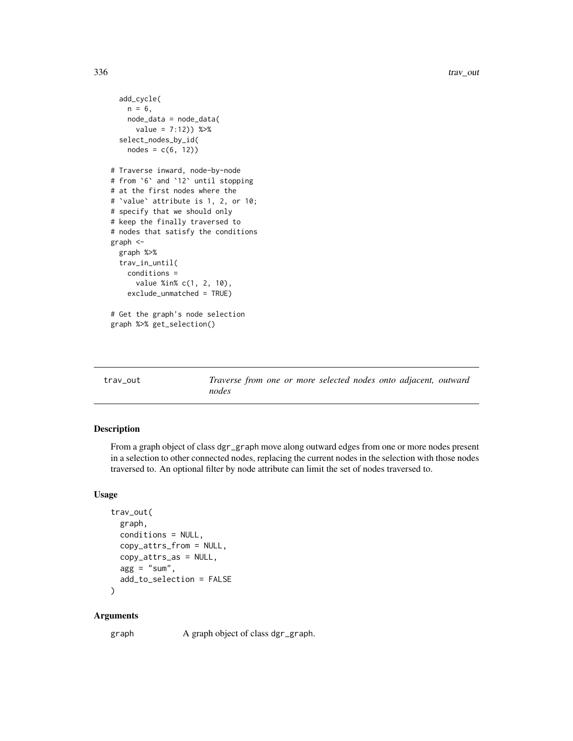```
add_cycle(
   n = 6,
   node_data = node_data(
     value = 7:12) %>%
 select_nodes_by_id(
   nodes = c(6, 12)# Traverse inward, node-by-node
# from `6` and `12` until stopping
# at the first nodes where the
# `value` attribute is 1, 2, or 10;
# specify that we should only
# keep the finally traversed to
# nodes that satisfy the conditions
graph <-
 graph %>%
 trav_in_until(
   conditions =
     value %in% c(1, 2, 10),
   exclude_unmatched = TRUE)
# Get the graph's node selection
graph %>% get_selection()
```
<span id="page-335-0"></span>trav\_out *Traverse from one or more selected nodes onto adjacent, outward nodes*

# Description

From a graph object of class dgr\_graph move along outward edges from one or more nodes present in a selection to other connected nodes, replacing the current nodes in the selection with those nodes traversed to. An optional filter by node attribute can limit the set of nodes traversed to.

# Usage

```
trav_out(
  graph,
  conditions = NULL,
  copy_attrs_from = NULL,
  copy_attrs_as = NULL,
  agg = "sum",add_to_selection = FALSE
\lambda
```
# Arguments

graph A graph object of class dgr\_graph.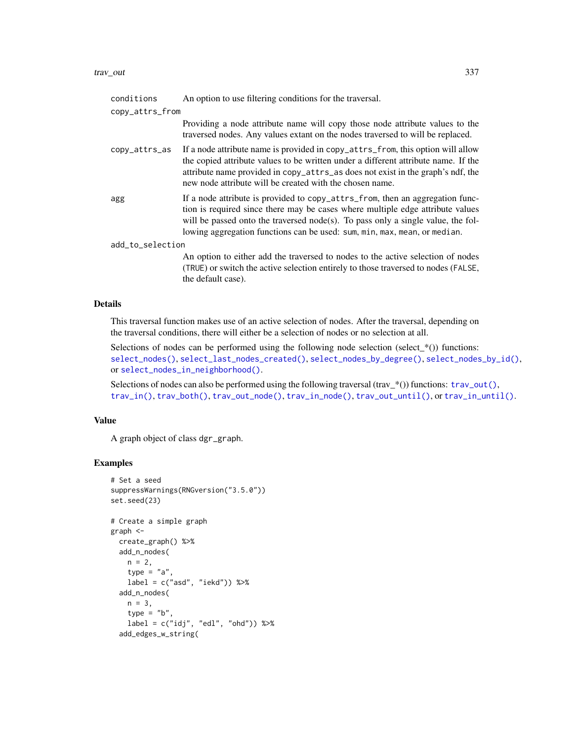#### trav\_out 337

| conditions       | An option to use filtering conditions for the traversal.                                                                                                                                                                                                                                                                         |
|------------------|----------------------------------------------------------------------------------------------------------------------------------------------------------------------------------------------------------------------------------------------------------------------------------------------------------------------------------|
| copy_attrs_from  |                                                                                                                                                                                                                                                                                                                                  |
|                  | Providing a node attribute name will copy those node attribute values to the<br>traversed nodes. Any values extant on the nodes traversed to will be replaced.                                                                                                                                                                   |
| copy_attrs_as    | If a node attribute name is provided in copy_attrs_from, this option will allow<br>the copied attribute values to be written under a different attribute name. If the<br>attribute name provided in copy_attrs_as does not exist in the graph's ndf, the<br>new node attribute will be created with the chosen name.             |
| agg              | If a node attribute is provided to copy_attrs_from, then an aggregation func-<br>tion is required since there may be cases where multiple edge attribute values<br>will be passed onto the traversed node(s). To pass only a single value, the fol-<br>lowing aggregation functions can be used: sum, min, max, mean, or median. |
| add_to_selection |                                                                                                                                                                                                                                                                                                                                  |
|                  | An option to either add the traversed to nodes to the active selection of nodes<br>(TRUE) or switch the active selection entirely to those traversed to nodes (FALSE,<br>the default case).                                                                                                                                      |

## Details

This traversal function makes use of an active selection of nodes. After the traversal, depending on the traversal conditions, there will either be a selection of nodes or no selection at all.

Selections of nodes can be performed using the following node selection (select\_ $*($ )) functions: [select\\_nodes\(\)](#page-282-0), [select\\_last\\_nodes\\_created\(\)](#page-281-0), [select\\_nodes\\_by\\_degree\(\)](#page-284-0), [select\\_nodes\\_by\\_id\(\)](#page-286-0), or [select\\_nodes\\_in\\_neighborhood\(\)](#page-287-0).

Selections of nodes can also be performed using the following traversal (trav\_\*()) functions: [trav\\_out\(\)](#page-335-0), [trav\\_in\(\)](#page-320-0), [trav\\_both\(\)](#page-312-0), [trav\\_out\\_node\(\)](#page-343-0), [trav\\_in\\_node\(\)](#page-328-0), [trav\\_out\\_until\(\)](#page-347-0), or [trav\\_in\\_until\(\)](#page-333-0).

# Value

A graph object of class dgr\_graph.

```
# Set a seed
suppressWarnings(RNGversion("3.5.0"))
set.seed(23)
# Create a simple graph
graph <-
  create_graph() %>%
  add_n_nodes(
   n = 2,type = "a",
   label = c("asd", "iekd")) %>%
  add_n_nodes(
   n = 3,
    type = "b"label = c("idj", "edl", "ohd")) %>%
  add_edges_w_string(
```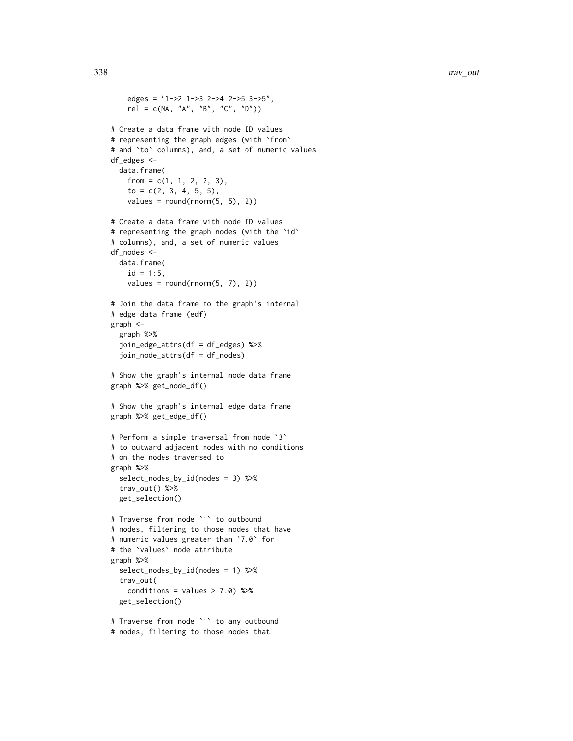```
edges = "1->2 1->3 2->4 2->5 3->5",
   rel = c(NA, "A", "B", "C", "D"))
# Create a data frame with node ID values
# representing the graph edges (with `from`
# and `to` columns), and, a set of numeric values
df_edges <-
 data.frame(
    from = c(1, 1, 2, 2, 3),
   to = c(2, 3, 4, 5, 5),values = round(rnorm(5, 5), 2))
# Create a data frame with node ID values
# representing the graph nodes (with the `id`
# columns), and, a set of numeric values
df_nodes <-
 data.frame(
    id = 1:5,
   values = round(rnorm(5, 7), 2))
# Join the data frame to the graph's internal
# edge data frame (edf)
graph <-
 graph %>%
 join_edge_attrs(df = df_edges) %>%
 join_node_attrs(df = df_nodes)
# Show the graph's internal node data frame
graph %>% get_node_df()
# Show the graph's internal edge data frame
graph %>% get_edge_df()
# Perform a simple traversal from node `3`
# to outward adjacent nodes with no conditions
# on the nodes traversed to
graph %>%
 select_nodes_by_id(nodes = 3) %>%
 trav_out() %>%
 get_selection()
# Traverse from node `1` to outbound
# nodes, filtering to those nodes that have
# numeric values greater than `7.0` for
# the `values` node attribute
graph %>%
 select_nodes_by_id(nodes = 1) %>%
 trav_out(
   conditions = values > 7.0) %>%
 get_selection()
# Traverse from node `1` to any outbound
```

```
# nodes, filtering to those nodes that
```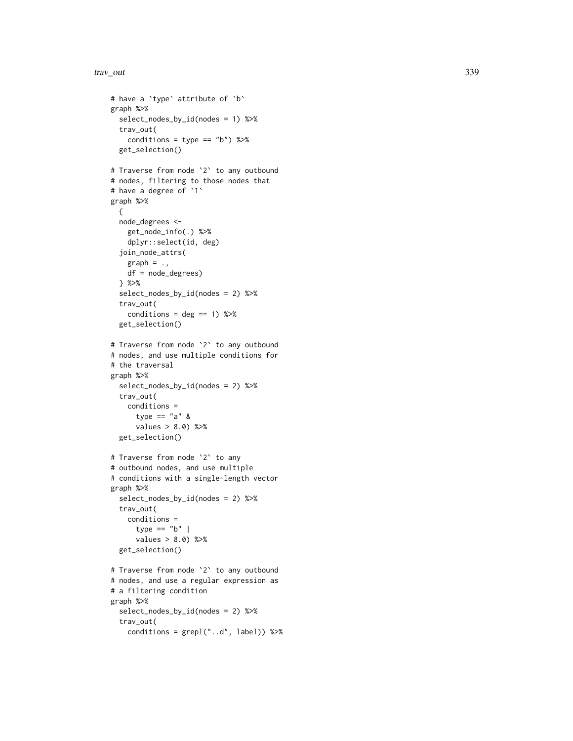```
# have a 'type' attribute of 'b'
graph %>%
  select_nodes_by_id(nodes = 1) %>%
  trav_out(
   conditions = type == "b") %>%
  get_selection()
# Traverse from node
`
2
` to any outbound
# nodes, filtering to those nodes that
# have a degree of
`
1
`
graph %>% {
  node_degrees <-
    get_node_info(.) %>%
    dplyr::select(id, deg)
  join_node_attrs(
   graph = .,
    df = node_degrees)
  } %>%
  select_nodes_by_id(nodes = 2) %>%
  trav_out(
    conditions = deg == 1) %>%
  get_selection()
# Traverse from node
`
2
` to any outbound
# nodes, and use multiple conditions for
# the traversal
graph %>%
  select_nodes_by_id(nodes = 2) %>%
  trav_out(
   conditions =
      type == "a" &
      values > 8.0) %>%
  get_selection()
# Traverse from node
`
2
` to any
# outbound nodes, and use multiple
# conditions with a single-length vector
graph %>%
  select_nodes_by_id(nodes = 2) %>%
  trav_out(
    conditions =
      type == "b" |
      values > 8.0) %>%
  get_selection()
# Traverse from node
`
2
` to any outbound
# nodes, and use a regular expression as
# a filtering condition
graph %>%
  select_nodes_by_id(nodes = 2) %>%
  trav_out(
    conditions = grepl("..d", label)) %>%
```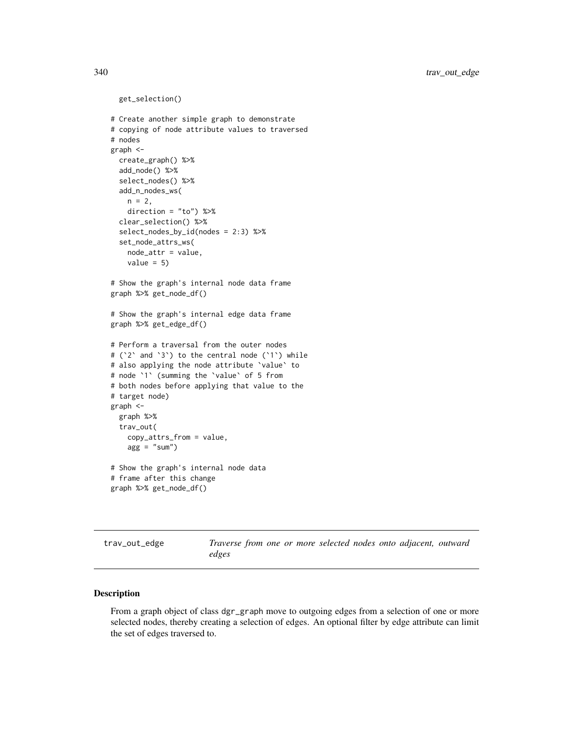```
get_selection()
# Create another simple graph to demonstrate
# copying of node attribute values to traversed
# nodes
graph <-
 create_graph() %>%
 add_node() %>%
 select_nodes() %>%
 add_n_nodes_ws(
   n = 2,direction = "to") %>%
 clear_selection() %>%
 select_nodes_by_id(nodes = 2:3) %>%
 set_node_attrs_ws(
   node_attr = value,
   value = 5)
# Show the graph's internal node data frame
graph %>% get_node_df()
# Show the graph's internal edge data frame
graph %>% get_edge_df()
# Perform a traversal from the outer nodes
# (`2` and `3`) to the central node (`1`) while
# also applying the node attribute `value` to
# node `1` (summing the `value` of 5 from
# both nodes before applying that value to the
# target node)
graph <-
 graph %>%
 trav_out(
   copy_attrs_from = value,
   agg = "sum"# Show the graph's internal node data
# frame after this change
graph %>% get_node_df()
```
<span id="page-339-0"></span>trav\_out\_edge *Traverse from one or more selected nodes onto adjacent, outward edges*

# Description

From a graph object of class dgr\_graph move to outgoing edges from a selection of one or more selected nodes, thereby creating a selection of edges. An optional filter by edge attribute can limit the set of edges traversed to.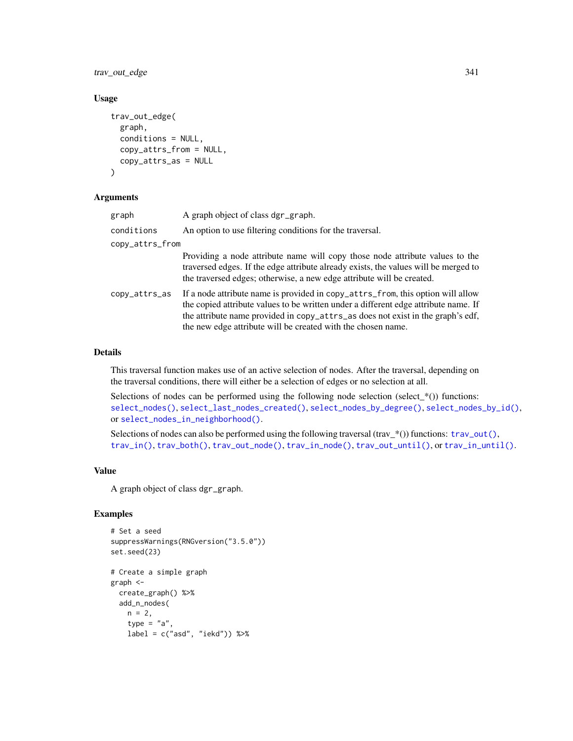trav\_out\_edge 341

#### Usage

```
trav_out_edge(
  graph,
  conditions = NULL,
  copy_attrs_from = NULL,
  copy_attrs_as = NULL
\lambda
```
# Arguments

| graph           | A graph object of class dgr_graph.                                                                                                                                                                                                                                                                                        |
|-----------------|---------------------------------------------------------------------------------------------------------------------------------------------------------------------------------------------------------------------------------------------------------------------------------------------------------------------------|
| conditions      | An option to use filtering conditions for the traversal.                                                                                                                                                                                                                                                                  |
| copy_attrs_from |                                                                                                                                                                                                                                                                                                                           |
|                 | Providing a node attribute name will copy those node attribute values to the<br>traversed edges. If the edge attribute already exists, the values will be merged to<br>the traversed edges; otherwise, a new edge attribute will be created.                                                                              |
| copy_attrs_as   | If a node attribute name is provided in copy_attrs_from, this option will allow<br>the copied attribute values to be written under a different edge attribute name. If<br>the attribute name provided in copy_attrs_as does not exist in the graph's edf,<br>the new edge attribute will be created with the chosen name. |

# Details

This traversal function makes use of an active selection of nodes. After the traversal, depending on the traversal conditions, there will either be a selection of edges or no selection at all.

Selections of nodes can be performed using the following node selection (select $*$ ()) functions: [select\\_nodes\(\)](#page-282-0), [select\\_last\\_nodes\\_created\(\)](#page-281-0), [select\\_nodes\\_by\\_degree\(\)](#page-284-0), [select\\_nodes\\_by\\_id\(\)](#page-286-0), or [select\\_nodes\\_in\\_neighborhood\(\)](#page-287-0).

Selections of nodes can also be performed using the following traversal (trav\_\*()) functions:  $\text{trav\_out}($ ), [trav\\_in\(\)](#page-320-0), [trav\\_both\(\)](#page-312-0), [trav\\_out\\_node\(\)](#page-343-0), [trav\\_in\\_node\(\)](#page-328-0), [trav\\_out\\_until\(\)](#page-347-0), or [trav\\_in\\_until\(\)](#page-333-0).

# Value

A graph object of class dgr\_graph.

```
# Set a seed
suppressWarnings(RNGversion("3.5.0"))
set.seed(23)
# Create a simple graph
graph <-
  create_graph() %>%
  add_n_nodes(
   n = 2,type = "a",label = c("asd", "iekd")) %>%
```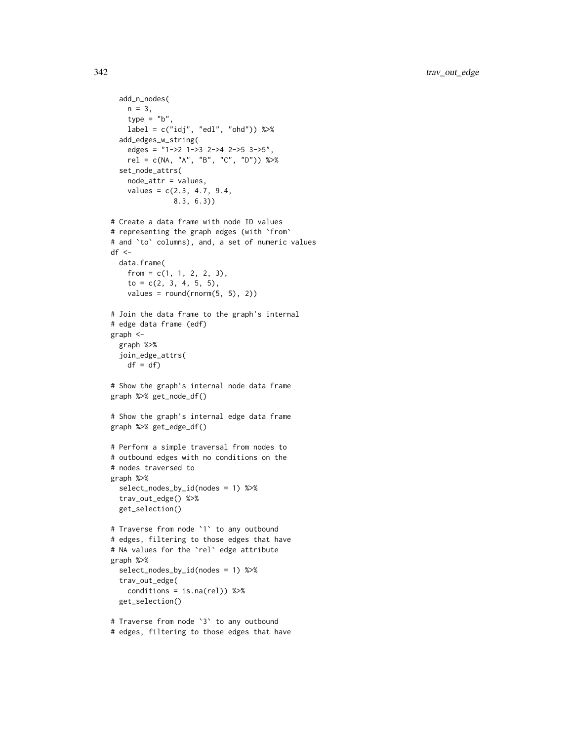```
add_n_nodes(
   n = 3,
    type = "b"label = c("idj", "edl", "ohd")) %>%
  add_edges_w_string(
   edges = "1->2 1->3 2->4 2->5 3->5",
    rel = c(NA, "A", "B", "C", "D")) %>%
  set_node_attrs(
    node_attr = values,
    values = c(2.3, 4.7, 9.4,8.3, 6.3))
# Create a data frame with node ID values
# representing the graph edges (with `from`
# and `to` columns), and, a set of numeric values
df \leftarrowdata.frame(
    from = c(1, 1, 2, 2, 3),to = c(2, 3, 4, 5, 5),values = round(rnorm(5, 5), 2)# Join the data frame to the graph's internal
# edge data frame (edf)
graph <-
  graph %>%
  join_edge_attrs(
   df = df# Show the graph's internal node data frame
graph %>% get_node_df()
# Show the graph's internal edge data frame
graph %>% get_edge_df()
# Perform a simple traversal from nodes to
# outbound edges with no conditions on the
# nodes traversed to
graph %>%
  select_nodes_by_id(nodes = 1) %>%
  trav_out_edge() %>%
  get_selection()
# Traverse from node `1` to any outbound
# edges, filtering to those edges that have
# NA values for the `rel` edge attribute
graph %>%
  select_nodes_by_id(nodes = 1) %>%
  trav_out_edge(
    conditions = is.na(rel)) %get_selection()
# Traverse from node `3` to any outbound
```
# edges, filtering to those edges that have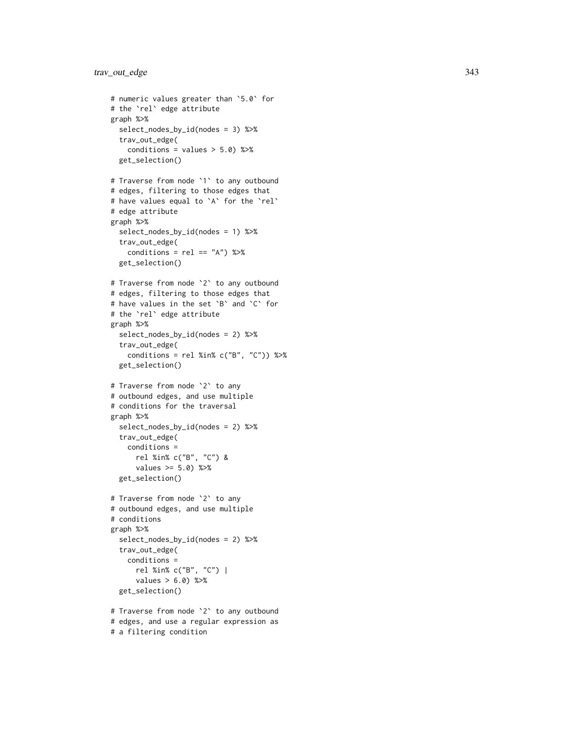```
# numeric values greater than
`5.0
` for
# the
`rel
` edge attribute
graph %>%
  select_nodes_by_id(nodes = 3) %>%
  trav_out_edge(
    conditions = values > 5.0) %>%
  get_selection()
# Traverse from node
`
1
` to any outbound
# edges, filtering to those edges that
# have values equal to
`
A
` for the
`rel
`
# edge attribute
graph %>%
  select_nodes_by_id(nodes = 1) %>%
  trav_out_edge(
    conditions = rel == "A") %>%
  get_selection()
# Traverse from node
`
2
` to any outbound
# edges, filtering to those edges that
# have values in the set
`
B
` and
`
C
` for
# the
`rel
` edge attribute
graph %>%
  select_nodes_by_id(nodes = 2) %>%
  trav_out_edge(
    conditions = rel %in% c("B", "C")) %>%
  get_selection()
# Traverse from node
`
2
` to any
# outbound edges, and use multiple
# conditions for the traversal
graph %>%
  select_nodes_by_id(nodes = 2) %>%
  trav_out_edge(
    conditions =
      rel %in% c("B", "C") &
      values >= 5.0) %>%
  get_selection()
# Traverse from node
`
2
` to any
# outbound edges, and use multiple
# conditions
graph %>%
  select_nodes_by_id(nodes = 2) %>%
  trav_out_edge(
    conditions =
      rel %in% c("B", "C") |
      values > 6.0) %>%
  get_selection()
```

```
# Traverse from node
`
2
` to any outbound
# edges, and use a regular expression as
# a filtering condition
```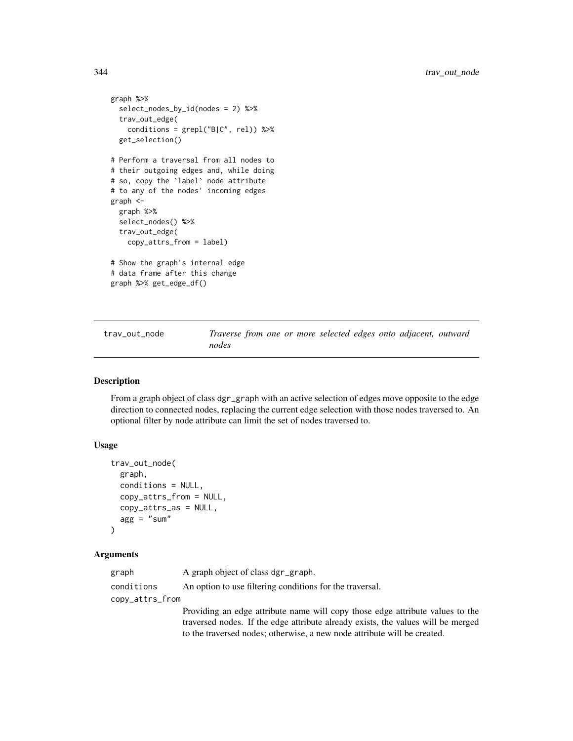```
graph %>%
 select_nodes_by_id(nodes = 2) %>%
 trav_out_edge(
   conditions = \text{grepl}("B|C", rel)) %>%
 get_selection()
# Perform a traversal from all nodes to
# their outgoing edges and, while doing
# so, copy the `label` node attribute
# to any of the nodes' incoming edges
graph <-
 graph %>%
 select_nodes() %>%
 trav_out_edge(
   copy_attrs_from = label)
# Show the graph's internal edge
# data frame after this change
graph %>% get_edge_df()
```
<span id="page-343-0"></span>trav\_out\_node *Traverse from one or more selected edges onto adjacent, outward nodes*

# Description

From a graph object of class dgr\_graph with an active selection of edges move opposite to the edge direction to connected nodes, replacing the current edge selection with those nodes traversed to. An optional filter by node attribute can limit the set of nodes traversed to.

# Usage

```
trav_out_node(
  graph,
  conditions = NULL,
  copy_attrs_from = NULL,
  copy_attrs_as = NULL,
  agg = "sum")
```
# Arguments

| graph           | A graph object of class dgr_graph.                                               |
|-----------------|----------------------------------------------------------------------------------|
| conditions      | An option to use filtering conditions for the traversal.                         |
| copy_attrs_from |                                                                                  |
|                 | Providing an edge attribute name will copy those edge attribute values to the    |
|                 | traversed nodes. If the edge attribute already exists, the values will be merged |
|                 | to the traversed nodes; otherwise, a new node attribute will be created.         |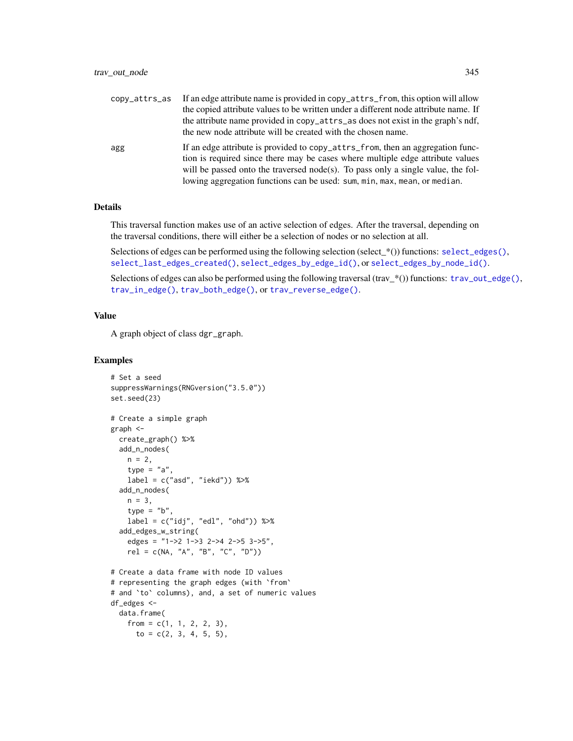| copy_attrs_as | If an edge attribute name is provided in copy_attrs_from, this option will allow<br>the copied attribute values to be written under a different node attribute name. If<br>the attribute name provided in copy_attrs_as does not exist in the graph's ndf,<br>the new node attribute will be created with the chosen name.        |
|---------------|-----------------------------------------------------------------------------------------------------------------------------------------------------------------------------------------------------------------------------------------------------------------------------------------------------------------------------------|
| agg           | If an edge attribute is provided to copy_attrs_from, then an aggregation func-<br>tion is required since there may be cases where multiple edge attribute values<br>will be passed onto the traversed node(s). To pass only a single value, the fol-<br>lowing aggregation functions can be used: sum, min, max, mean, or median. |

# Details

This traversal function makes use of an active selection of edges. After the traversal, depending on the traversal conditions, there will either be a selection of nodes or no selection at all.

Selections of edges can be performed using the following selection (select\_\*()) functions: [select\\_edges\(\)](#page-276-0), [select\\_last\\_edges\\_created\(\)](#page-280-0), [select\\_edges\\_by\\_edge\\_id\(\)](#page-278-0), or [select\\_edges\\_by\\_node\\_id\(\)](#page-279-0).

Selections of edges can also be performed using the following traversal (trav\_\*()) functions: [trav\\_out\\_edge\(\)](#page-339-0), [trav\\_in\\_edge\(\)](#page-324-0), [trav\\_both\\_edge\(\)](#page-316-0), or [trav\\_reverse\\_edge\(\)](#page-349-0).

#### Value

A graph object of class dgr\_graph.

```
# Set a seed
suppressWarnings(RNGversion("3.5.0"))
set.seed(23)
# Create a simple graph
graph <-
  create_graph() %>%
  add_n_nodes(
   n = 2,
   type = "a".
   label = c("asd", "iekd")) %>%
  add_n_nodes(
   n = 3,
   type = "b".
   label = c("idj", "edl", "ohd")) %>%
  add_edges_w_string(
    edges = "1->2 1->3 2->4 2->5 3->5",
   rel = c(NA, "A", "B", "C", "D"))# Create a data frame with node ID values
# representing the graph edges (with `from`
# and `to` columns), and, a set of numeric values
df_edges <-
 data.frame(
   from = c(1, 1, 2, 2, 3),
     to = c(2, 3, 4, 5, 5),
```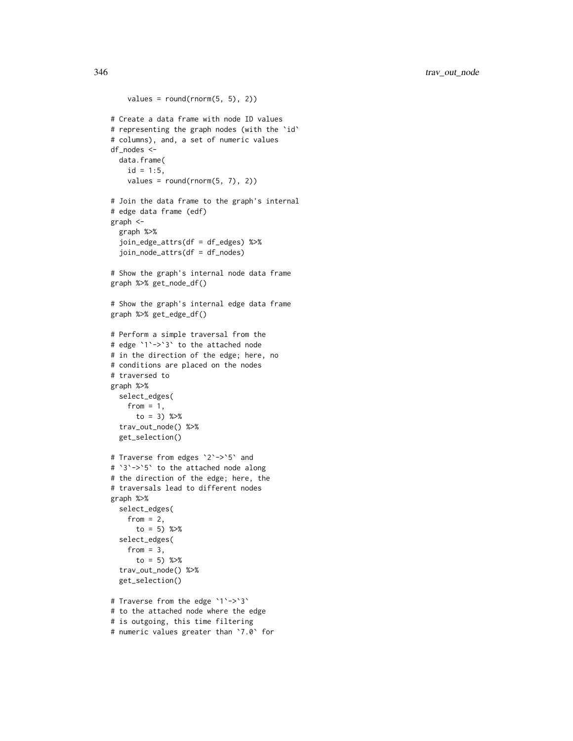346 trav\_out\_node

```
values = round(rnorm(5, 5), 2)# Create a data frame with node ID values
# representing the graph nodes (with the `id`
# columns), and, a set of numeric values
df_nodes <-
 data.frame(
    id = 1:5,
    values = round(rnorm(5, 7), 2)# Join the data frame to the graph's internal
# edge data frame (edf)
graph <-
  graph %>%
  join_edge_attrs(df = df_edges) %>%
  join_node_attrs(df = df_nodes)
# Show the graph's internal node data frame
graph %>% get_node_df()
# Show the graph's internal edge data frame
graph %>% get_edge_df()
# Perform a simple traversal from the
# edge `1`->`3` to the attached node
# in the direction of the edge; here, no
# conditions are placed on the nodes
# traversed to
graph %>%
  select_edges(
    from = 1,
      to = 3) %>%
  trav_out_node() %>%
  get_selection()
# Traverse from edges `2`->`5` and
# `3`->`5` to the attached node along
# the direction of the edge; here, the
# traversals lead to different nodes
graph %>%
  select_edges(
    from = 2,
      to = 5) %>%
  select_edges(
    from = 3,
      to = 5) %>%
  trav_out_node() %>%
  get_selection()
# Traverse from the edge `1`->`3`
# to the attached node where the edge
# is outgoing, this time filtering
```

```
# numeric values greater than `7.0` for
```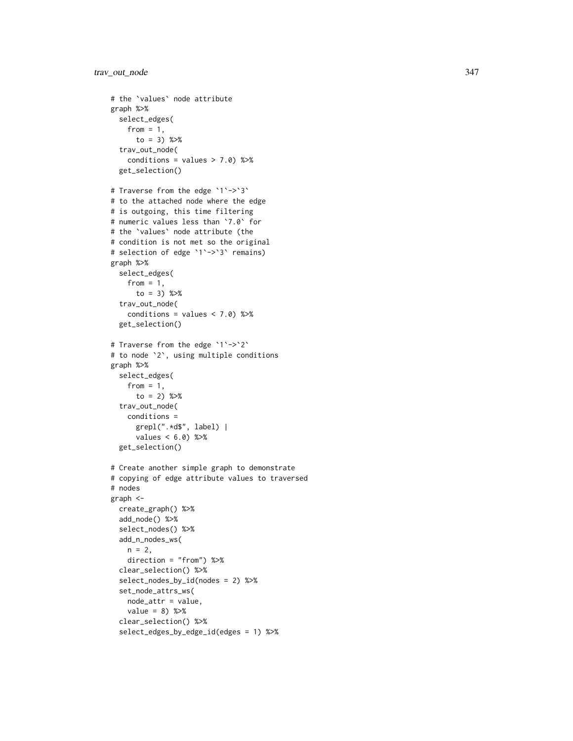```
# the
`values
` node attribute
graph %>%
  select_edges(
   from = 1,
      to = 3) %>%
  trav_out_node(
    conditions = values > 7.0) %>%
  get_selection()
# Traverse from the edge `1`->`3`
# to the attached node where the edge
# is outgoing, this time filtering
# numeric values less than
`7.0
` for
# the
`values
` node attribute (the
# condition is not met so the original
# selection of edge
`
1
`->
`
3
` remains)
graph %>%
  select_edges(
    from = 1,
      to = 3) %>%
  trav_out_node(
    conditions = values < 7.0) %>%
  get_selection()
# Traverse from the edge
`
1
`->
`
2
`
# to node
`
2
`, using multiple conditions
graph %>%
  select_edges(
    from = 1,
      to = 2) %>%
  trav_out_node(
   conditions =
      grepl(".*d$", label) |
      values < 6.0) %>%
  get_selection()
# Create another simple graph to demonstrate
# copying of edge attribute values to traversed
# nodes
graph <-
  create_graph() %>%
  add_node() %>%
  select_nodes() %>%
  add_n_nodes_ws(
   n = 2,
    direction = "from") %>%
  clear_selection() %>%
  select_nodes_by_id(nodes = 2) %>%
  set_node_attrs_ws(
   node_attr = value,
   value = 8) %>%
  clear_selection() %>%
  select_edges_by_edge_id(edges = 1) %>%
```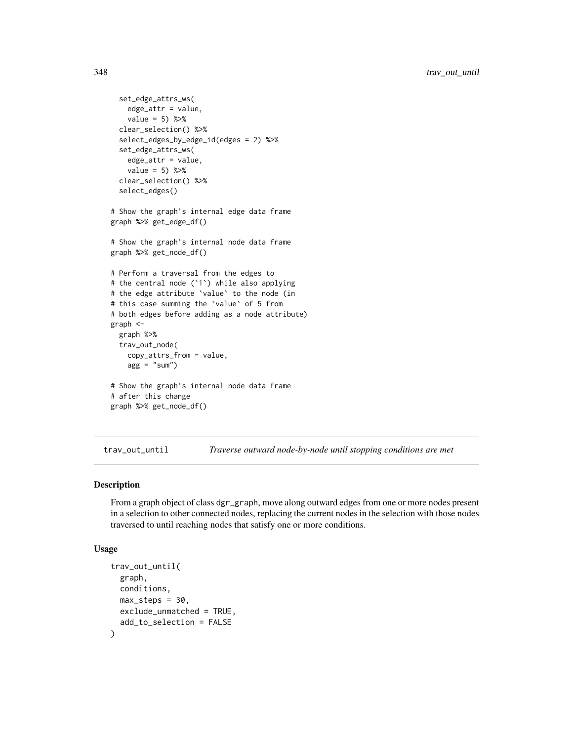```
set_edge_attrs_ws(
   edge_attr = value,
    value = 5) %>%
  clear_selection() %>%
  select_edges_by_edge_id(edges = 2) %>%
  set_edge_attrs_ws(
   edge_attr = value,
    value = 5) %>%
  clear_selection() %>%
  select_edges()
# Show the graph's internal edge data frame
graph %>% get_edge_df()
# Show the graph's internal node data frame
graph %>% get_node_df()
# Perform a traversal from the edges to
# the central node (`1`) while also applying
# the edge attribute `value` to the node (in
# this case summing the `value` of 5 from
# both edges before adding as a node attribute)
graph <-
  graph %>%
  trav_out_node(
    copy_attrs_from = value,
    agg = "sum"# Show the graph's internal node data frame
# after this change
graph %>% get_node_df()
```
<span id="page-347-0"></span>trav\_out\_until *Traverse outward node-by-node until stopping conditions are met*

# Description

From a graph object of class dgr\_graph, move along outward edges from one or more nodes present in a selection to other connected nodes, replacing the current nodes in the selection with those nodes traversed to until reaching nodes that satisfy one or more conditions.

#### Usage

```
trav_out_until(
  graph,
 conditions,
 max\_steps = 30,
 exclude_unmatched = TRUE,
  add_to_selection = FALSE
)
```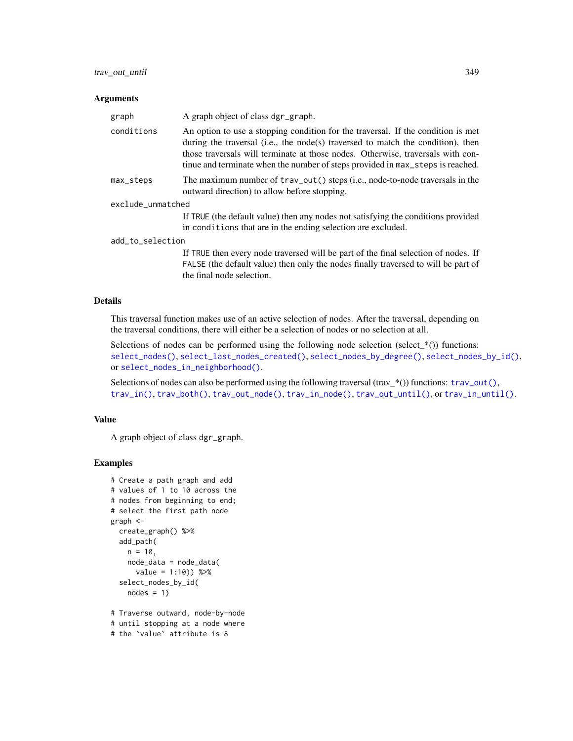#### Arguments

| graph             | A graph object of class dgr_graph.                                                                                                                                                                                                                                                                                                       |
|-------------------|------------------------------------------------------------------------------------------------------------------------------------------------------------------------------------------------------------------------------------------------------------------------------------------------------------------------------------------|
| conditions        | An option to use a stopping condition for the traversal. If the condition is met<br>during the traversal (i.e., the node(s) traversed to match the condition), then<br>those traversals will terminate at those nodes. Otherwise, traversals with con-<br>tinue and terminate when the number of steps provided in max_steps is reached. |
| max_steps         | The maximum number of trav_out() steps (i.e., node-to-node traversals in the<br>outward direction) to allow before stopping.                                                                                                                                                                                                             |
| exclude_unmatched |                                                                                                                                                                                                                                                                                                                                          |
|                   | If TRUE (the default value) then any nodes not satisfying the conditions provided<br>in conditions that are in the ending selection are excluded.                                                                                                                                                                                        |
| add_to_selection  |                                                                                                                                                                                                                                                                                                                                          |
|                   | If TRUE then every node traversed will be part of the final selection of nodes. If<br>EALSE (the default value) then only the nodes finally traversed to will be part of                                                                                                                                                                 |

FALSE (the default value) then only the nodes finally traversed to will be part of the final node selection.

# Details

This traversal function makes use of an active selection of nodes. After the traversal, depending on the traversal conditions, there will either be a selection of nodes or no selection at all.

Selections of nodes can be performed using the following node selection (select\_ $*($ )) functions: [select\\_nodes\(\)](#page-282-0), [select\\_last\\_nodes\\_created\(\)](#page-281-0), [select\\_nodes\\_by\\_degree\(\)](#page-284-0), [select\\_nodes\\_by\\_id\(\)](#page-286-0), or [select\\_nodes\\_in\\_neighborhood\(\)](#page-287-0).

Selections of nodes can also be performed using the following traversal (trav\_\*()) functions:  $\text{trav\_out}($ ), [trav\\_in\(\)](#page-320-0), [trav\\_both\(\)](#page-312-0), [trav\\_out\\_node\(\)](#page-343-0), [trav\\_in\\_node\(\)](#page-328-0), [trav\\_out\\_until\(\)](#page-347-0), or [trav\\_in\\_until\(\)](#page-333-0).

# Value

A graph object of class dgr\_graph.

```
# Create a path graph and add
# values of 1 to 10 across the
# nodes from beginning to end;
# select the first path node
graph <-
 create_graph() %>%
  add_path(
   n = 10,
   node_data = node_data(
     value = 1:10) %>%
  select_nodes_by_id(
   nodes = 1)# Traverse outward, node-by-node
# until stopping at a node where
```

```
# the `value` attribute is 8
```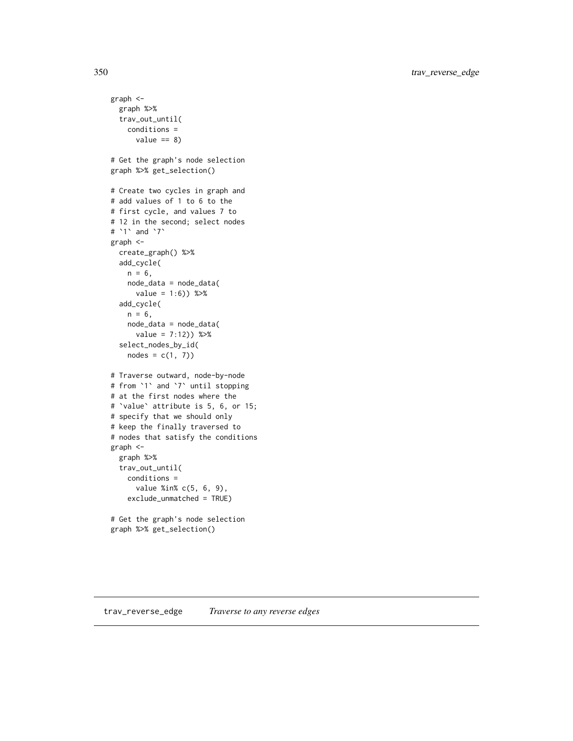350 trav\_reverse\_edge

```
graph <-
  graph %>%
  trav_out_until(
   conditions =
      value == 8)# Get the graph's node selection
graph %>% get_selection()
# Create two cycles in graph and
# add values of 1 to 6 to the
# first cycle, and values 7 to
# 12 in the second; select nodes
# `1` and `7`
graph <-
  create_graph() %>%
  add_cycle(
   n = 6,
   node_data = node_data(
      value = 1:6) %>%
  add_cycle(
   n = 6,
   node_data = node_data(
      value = 7:12)) %>%
  select_nodes_by_id(
   nodes = c(1, 7)# Traverse outward, node-by-node
# from `1` and `7` until stopping
# at the first nodes where the
# `value` attribute is 5, 6, or 15;
# specify that we should only
# keep the finally traversed to
# nodes that satisfy the conditions
graph <-
  graph %>%
  trav_out_until(
   conditions =
      value %in% c(5, 6, 9),
    exclude_unmatched = TRUE)
# Get the graph's node selection
graph %>% get_selection()
```
<span id="page-349-0"></span>trav\_reverse\_edge *Traverse to any reverse edges*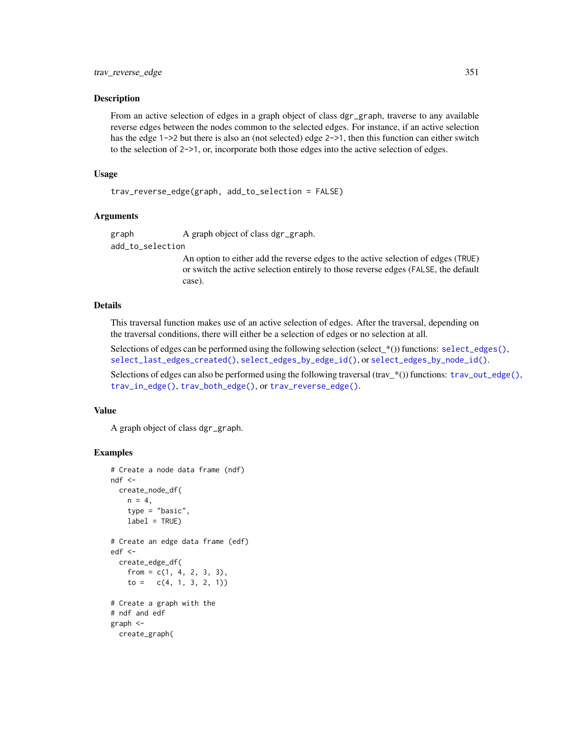# Description

From an active selection of edges in a graph object of class dgr\_graph, traverse to any available reverse edges between the nodes common to the selected edges. For instance, if an active selection has the edge 1->2 but there is also an (not selected) edge 2->1, then this function can either switch to the selection of 2->1, or, incorporate both those edges into the active selection of edges.

# Usage

```
trav_reverse_edge(graph, add_to_selection = FALSE)
```
# Arguments

graph A graph object of class dgr\_graph.

add\_to\_selection

An option to either add the reverse edges to the active selection of edges (TRUE) or switch the active selection entirely to those reverse edges (FALSE, the default case).

# Details

This traversal function makes use of an active selection of edges. After the traversal, depending on the traversal conditions, there will either be a selection of edges or no selection at all.

Selections of edges can be performed using the following selection (select\_\*()) functions: [select\\_edges\(\)](#page-276-0), [select\\_last\\_edges\\_created\(\)](#page-280-0), [select\\_edges\\_by\\_edge\\_id\(\)](#page-278-0), or [select\\_edges\\_by\\_node\\_id\(\)](#page-279-0).

Selections of edges can also be performed using the following traversal (trav\_\*()) functions:  $\text{trav\_out\_edge}($ ), [trav\\_in\\_edge\(\)](#page-324-0), [trav\\_both\\_edge\(\)](#page-316-0), or [trav\\_reverse\\_edge\(\)](#page-349-0).

# Value

A graph object of class dgr\_graph.

```
# Create a node data frame (ndf)
ndf < -create_node_df(
   n = 4,
    type = "basic",
    label = TRUE)
# Create an edge data frame (edf)
edf <-
  create_edge_df(
    from = c(1, 4, 2, 3, 3),
    to = c(4, 1, 3, 2, 1)# Create a graph with the
# ndf and edf
graph <-
  create_graph(
```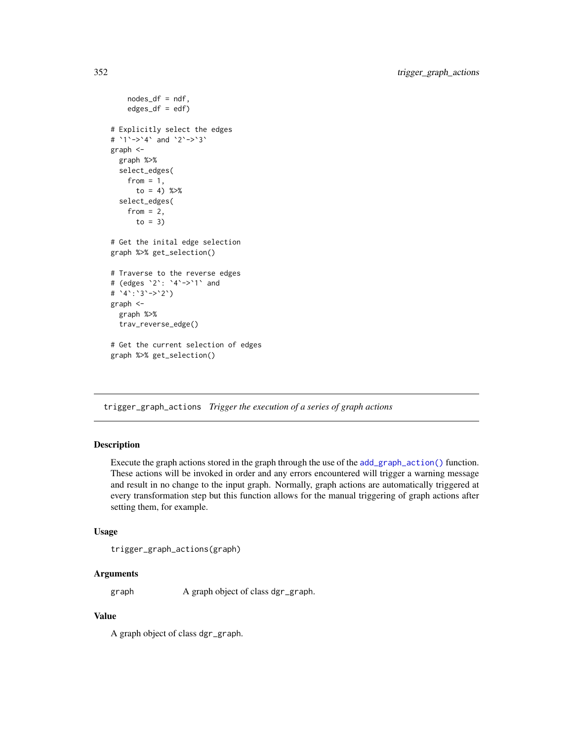```
nodes_df = ndf,
    edges\_df = edf)# Explicitly select the edges
# `1`->`4` and `2`->`3`
graph <-
  graph %>%
  select_edges(
   from = 1,
     to = 4) %>%
  select_edges(
    from = 2,
      to = 3)
# Get the inital edge selection
graph %>% get_selection()
# Traverse to the reverse edges
# (edges `2`: `4`->`1` and
# `4`:`3`->`2`)
graph <-
  graph %>%
  trav_reverse_edge()
# Get the current selection of edges
graph %>% get_selection()
```
trigger\_graph\_actions *Trigger the execution of a series of graph actions*

# Description

Execute the graph actions stored in the graph through the use of the [add\\_graph\\_action\(\)](#page-29-0) function. These actions will be invoked in order and any errors encountered will trigger a warning message and result in no change to the input graph. Normally, graph actions are automatically triggered at every transformation step but this function allows for the manual triggering of graph actions after setting them, for example.

#### Usage

```
trigger_graph_actions(graph)
```
# Arguments

graph A graph object of class dgr\_graph.

# Value

A graph object of class dgr\_graph.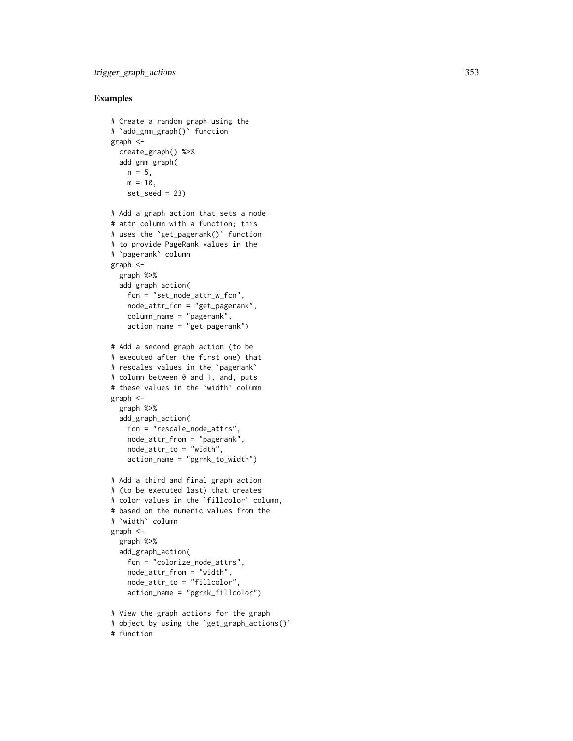```
# Create a random graph using the # `add_gnm_graph()` function
graph <-
  create_graph() %>%
  add_gnm_graph(
   n = 5,
   m = 10,
   set\_seed = 23# Add a graph action that sets a node
# attr column with a function; this
# uses the
`get_pagerank()
` function
# to provide PageRank values in the # `pagerank` column
graph <-
  graph %>%
  add_graph_action(
   fcn = "set_node_attr_w_fcn",
    node_attr_fcn = "get_pagerank",
    column_name = "pagerank",
    action_name = "get_pagerank")
# Add a second graph action (to be
# executed after the first one) that
# rescales values in the
`pagerank
`
# column between 0 and 1, and, puts
# these values in the
`width
` column
graph <-
  graph %>%
  add_graph_action(
   fcn = "rescale_node_attrs",
   node_attr_from = "pagerank",
   node_attr_to = "width",
    action_name = "pgrnk_to_width")
# Add a third and final graph action
# (to be executed last) that creates
# color values in the
`fillcolor
` column,
# based on the numeric values from the # `width` column
graph <-
  graph %>%
  add_graph_action(
   fcn = "colorize_node_attrs",
   node_attr_from = "width",
   node_attr_to = "fillcolor",
    action_name = "pgrnk_fillcolor")
# View the graph actions for the graph
# object by using the
`get_graph_actions()
`
# function
```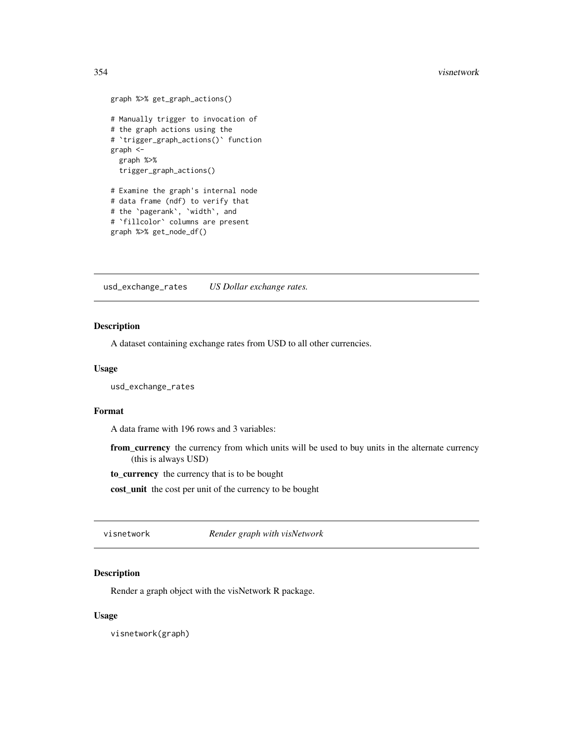#### <span id="page-353-0"></span>354 visnetwork

```
graph %>% get_graph_actions()
# Manually trigger to invocation of
# the graph actions using the
# `trigger_graph_actions()` function
graph <-
  graph %>%
  trigger_graph_actions()
# Examine the graph's internal node
# data frame (ndf) to verify that
# the `pagerank`, `width`, and
# `fillcolor` columns are present
graph %>% get_node_df()
```
usd\_exchange\_rates *US Dollar exchange rates.*

# Description

A dataset containing exchange rates from USD to all other currencies.

#### Usage

usd\_exchange\_rates

# Format

A data frame with 196 rows and 3 variables:

from\_currency the currency from which units will be used to buy units in the alternate currency (this is always USD)

to\_currency the currency that is to be bought

cost\_unit the cost per unit of the currency to be bought

visnetwork *Render graph with visNetwork*

# Description

Render a graph object with the visNetwork R package.

## Usage

visnetwork(graph)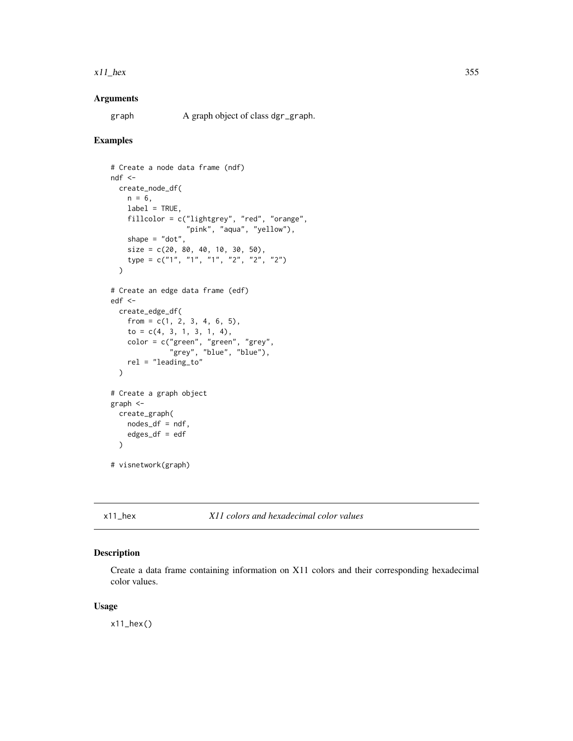#### x11\_hex 355

# Arguments

graph A graph object of class dgr\_graph.

### Examples

```
# Create a node data frame (ndf)
ndf <-
  create_node_df(
   n = 6,
   label = TRUE,fillcolor = c("lightgrey", "red", "orange",
                  "pink", "aqua", "yellow"),
    shape = "dot",size = c(20, 80, 40, 10, 30, 50),
   type = c("1", "1", "1", "2", "2", "2")
  \lambda# Create an edge data frame (edf)
edf <-
  create_edge_df(
   from = c(1, 2, 3, 4, 6, 5),to = c(4, 3, 1, 3, 1, 4),color = c("green", "green", "grey",
              "grey", "blue", "blue"),
   rel = "leading_to"
  )
# Create a graph object
graph <-
  create_graph(
   nodes_df = ndf,edges_df = edf
  )
# visnetwork(graph)
```
x11\_hex *X11 colors and hexadecimal color values*

#### Description

Create a data frame containing information on X11 colors and their corresponding hexadecimal color values.

# Usage

 $x11$ \_hex()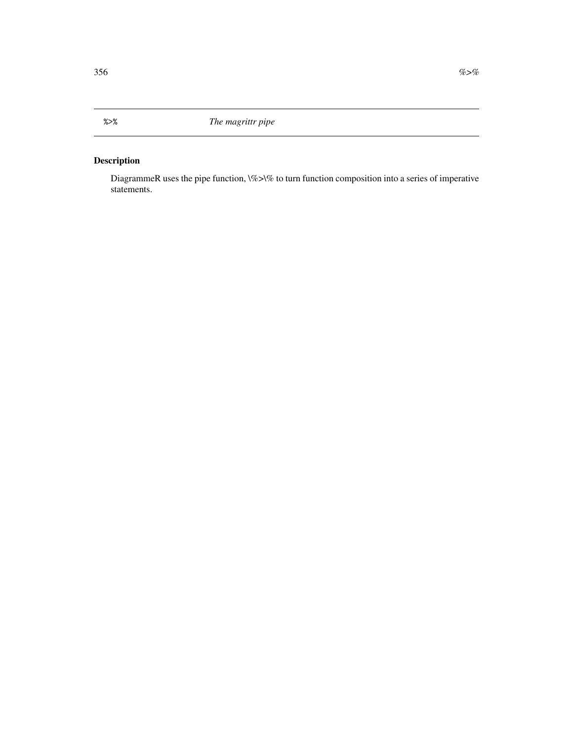# <span id="page-355-0"></span>Description

DiagrammeR uses the pipe function, \%>\% to turn function composition into a series of imperative statements.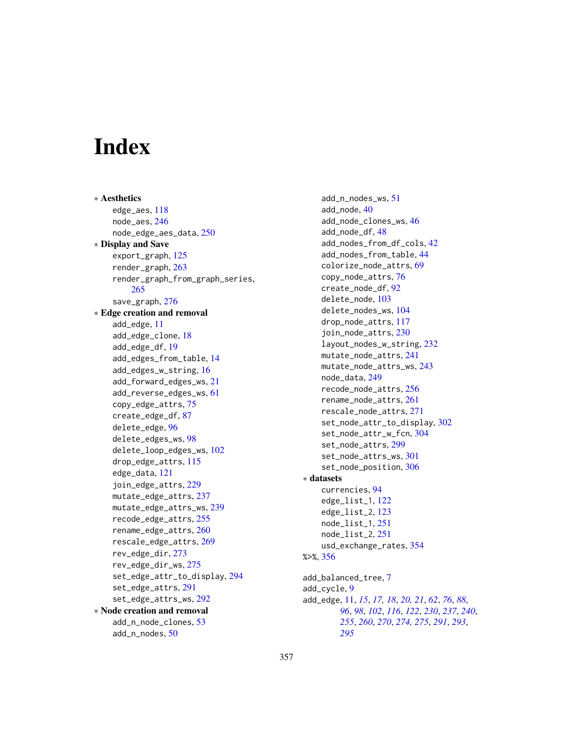# **Index**

∗ Aesthetics edge\_aes, [118](#page-117-0) node\_aes, [246](#page-245-0) node\_edge\_aes\_data, [250](#page-249-0) ∗ Display and Save export\_graph, [125](#page-124-0) render\_graph, [263](#page-262-0) render\_graph\_from\_graph\_series, [265](#page-264-0) save\_graph, [276](#page-275-0) ∗ Edge creation and removal add\_edge, [11](#page-10-0) add\_edge\_clone, [18](#page-17-0) add\_edge\_df, [19](#page-18-0) add\_edges\_from\_table, [14](#page-13-0) add\_edges\_w\_string, [16](#page-15-0) add\_forward\_edges\_ws, [21](#page-20-0) add\_reverse\_edges\_ws, [61](#page-60-0) copy\_edge\_attrs, [75](#page-74-0) create\_edge\_df, [87](#page-86-0) delete\_edge, [96](#page-95-0) delete\_edges\_ws, [98](#page-97-0) delete\_loop\_edges\_ws, [102](#page-101-0) drop\_edge\_attrs, [115](#page-114-0) edge\_data, [121](#page-120-0) join\_edge\_attrs, [229](#page-228-0) mutate\_edge\_attrs, [237](#page-236-0) mutate\_edge\_attrs\_ws, [239](#page-238-0) recode\_edge\_attrs, [255](#page-254-0) rename\_edge\_attrs, [260](#page-259-0) rescale\_edge\_attrs, [269](#page-268-0) rev\_edge\_dir, [273](#page-272-0) rev\_edge\_dir\_ws, [275](#page-274-0) set\_edge\_attr\_to\_display, [294](#page-293-0) set\_edge\_attrs, [291](#page-290-0) set\_edge\_attrs\_ws, [292](#page-291-0) ∗ Node creation and removal add\_n\_node\_clones, [53](#page-52-0) add\_n\_nodes, [50](#page-49-0)

add\_n\_nodes\_ws, [51](#page-50-0) add\_node, [40](#page-39-0) add\_node\_clones\_ws, [46](#page-45-0) add\_node\_df, [48](#page-47-0) add\_nodes\_from\_df\_cols, [42](#page-41-0) add\_nodes\_from\_table, [44](#page-43-0) colorize\_node\_attrs, [69](#page-68-0) copy\_node\_attrs, [76](#page-75-0) create\_node\_df, [92](#page-91-0) delete\_node, [103](#page-102-0) delete\_nodes\_ws, [104](#page-103-0) drop\_node\_attrs, [117](#page-116-0) join\_node\_attrs, [230](#page-229-0) layout\_nodes\_w\_string, [232](#page-231-0) mutate\_node\_attrs, [241](#page-240-0) mutate\_node\_attrs\_ws, [243](#page-242-0) node\_data, [249](#page-248-0) recode\_node\_attrs, [256](#page-255-0) rename\_node\_attrs, [261](#page-260-0) rescale\_node\_attrs, [271](#page-270-0) set\_node\_attr\_to\_display, [302](#page-301-0) set\_node\_attr\_w\_fcn, [304](#page-303-0) set\_node\_attrs, [299](#page-298-0) set\_node\_attrs\_ws, [301](#page-300-0) set\_node\_position, [306](#page-305-0) ∗ datasets currencies, [94](#page-93-0) edge\_list\_1, [122](#page-121-0) edge\_list\_2, [123](#page-122-0) node\_list\_1, [251](#page-250-0) node\_list\_2, [251](#page-250-0) usd\_exchange\_rates, [354](#page-353-0) %>%, [356](#page-355-0) add\_balanced\_tree, [7](#page-6-0) add\_cycle, [9](#page-8-0) add\_edge, [11,](#page-10-0) *[15](#page-14-0)*, *[17,](#page-16-0) [18](#page-17-0)*, *[20,](#page-19-0) [21](#page-20-0)*, *[62](#page-61-0)*, *[76](#page-75-0)*, *[88](#page-87-0)*, *[96](#page-95-0)*, *[98](#page-97-0)*, *[102](#page-101-0)*, *[116](#page-115-0)*, *[122](#page-121-0)*, *[230](#page-229-0)*, *[237](#page-236-0)*, *[240](#page-239-0)*, *[255](#page-254-0)*, *[260](#page-259-0)*, *[270](#page-269-0)*, *[274,](#page-273-0) [275](#page-274-0)*, *[291](#page-290-0)*, *[293](#page-292-0)*, *[295](#page-294-0)*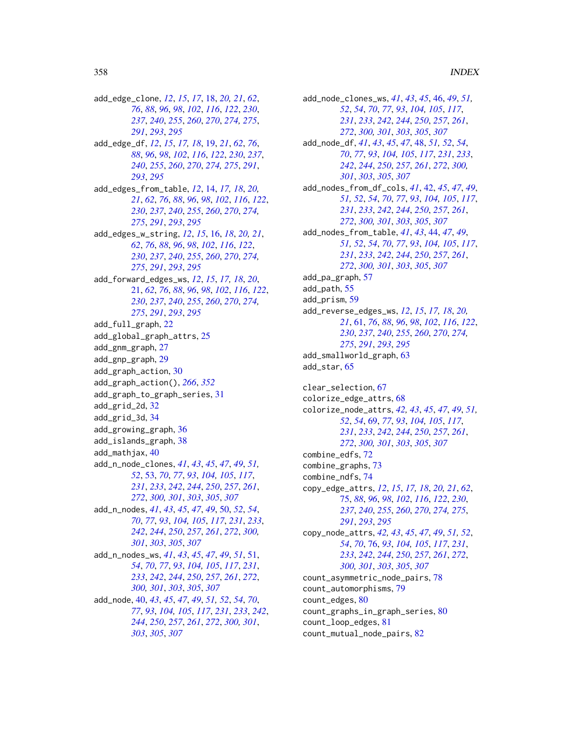add\_edge\_clone, *[12](#page-11-0)*, *[15](#page-14-0)*, *[17](#page-16-0)*, [18,](#page-17-0) *[20,](#page-19-0) [21](#page-20-0)*, *[62](#page-61-0)*, , *[88](#page-87-0)*, *[96](#page-95-0)*, *[98](#page-97-0)*, *[102](#page-101-0)*, *[116](#page-115-0)*, *[122](#page-121-0)*, *[230](#page-229-0)*, , *[240](#page-239-0)*, *[255](#page-254-0)*, *[260](#page-259-0)*, *[270](#page-269-0)*, *[274,](#page-273-0) [275](#page-274-0)*, , *[293](#page-292-0)*, *[295](#page-294-0)*

- add\_edge\_df, *[12](#page-11-0)*, *[15](#page-14-0)*, *[17,](#page-16-0) [18](#page-17-0)*, [19,](#page-18-0) *[21](#page-20-0)*, *[62](#page-61-0)*, *[76](#page-75-0)*, *[88](#page-87-0)*, *[96](#page-95-0)*, *[98](#page-97-0)*, *[102](#page-101-0)*, *[116](#page-115-0)*, *[122](#page-121-0)*, *[230](#page-229-0)*, *[237](#page-236-0)*, *[240](#page-239-0)*, *[255](#page-254-0)*, *[260](#page-259-0)*, *[270](#page-269-0)*, *[274,](#page-273-0) [275](#page-274-0)*, *[291](#page-290-0)*, *[293](#page-292-0)*, *[295](#page-294-0)*
- add\_edges\_from\_table, *[12](#page-11-0)*, [14,](#page-13-0) *[17,](#page-16-0) [18](#page-17-0)*, *[20,](#page-19-0) [21](#page-20-0)*, *[62](#page-61-0)*, *[76](#page-75-0)*, *[88](#page-87-0)*, *[96](#page-95-0)*, *[98](#page-97-0)*, *[102](#page-101-0)*, *[116](#page-115-0)*, *[122](#page-121-0)*, *[230](#page-229-0)*, *[237](#page-236-0)*, *[240](#page-239-0)*, *[255](#page-254-0)*, *[260](#page-259-0)*, *[270](#page-269-0)*, *[274,](#page-273-0) [275](#page-274-0)*, *[291](#page-290-0)*, *[293](#page-292-0)*, *[295](#page-294-0)*
- add\_edges\_w\_string, *[12](#page-11-0)*, *[15](#page-14-0)*, [16,](#page-15-0) *[18](#page-17-0)*, *[20,](#page-19-0) [21](#page-20-0)*, *[62](#page-61-0)*, *[76](#page-75-0)*, *[88](#page-87-0)*, *[96](#page-95-0)*, *[98](#page-97-0)*, *[102](#page-101-0)*, *[116](#page-115-0)*, *[122](#page-121-0)*, *[230](#page-229-0)*, *[237](#page-236-0)*, *[240](#page-239-0)*, *[255](#page-254-0)*, *[260](#page-259-0)*, *[270](#page-269-0)*, *[274,](#page-273-0) [275](#page-274-0)*, *[291](#page-290-0)*, *[293](#page-292-0)*, *[295](#page-294-0)*
- add\_forward\_edges\_ws, *[12](#page-11-0)*, *[15](#page-14-0)*, *[17,](#page-16-0) [18](#page-17-0)*, *[20](#page-19-0)*, [21,](#page-20-0) *[62](#page-61-0)*, *[76](#page-75-0)*, *[88](#page-87-0)*, *[96](#page-95-0)*, *[98](#page-97-0)*, *[102](#page-101-0)*, *[116](#page-115-0)*, *[122](#page-121-0)*, *[230](#page-229-0)*, *[237](#page-236-0)*, *[240](#page-239-0)*, *[255](#page-254-0)*, *[260](#page-259-0)*, *[270](#page-269-0)*, *[274,](#page-273-0) [275](#page-274-0)*, *[291](#page-290-0)*, *[293](#page-292-0)*, *[295](#page-294-0)*

add\_full\_graph, [22](#page-21-0)

- add\_global\_graph\_attrs, [25](#page-24-0) add\_gnm\_graph, [27](#page-26-0)
- add\_gnp\_graph, [29](#page-28-0)
- add\_graph\_action, [30](#page-29-1)
- add\_graph\_action(), *[266](#page-265-0)*, *[352](#page-351-0)*
- add\_graph\_to\_graph\_series, [31](#page-30-0)
- add\_grid\_2d, [32](#page-31-0)
- add\_grid\_3d, [34](#page-33-0)
- add\_growing\_graph, [36](#page-35-0)
- add\_islands\_graph, [38](#page-37-0)
- add\_mathjax, [40](#page-39-0)
- add\_n\_node\_clones, *[41](#page-40-0)*, *[43](#page-42-0)*, *[45](#page-44-0)*, *[47](#page-46-0)*, *[49](#page-48-0)*, *[51,](#page-50-0) [52](#page-51-0)*, [53,](#page-52-0) *[70](#page-69-0)*, *[77](#page-76-0)*, *[93](#page-92-0)*, *[104,](#page-103-0) [105](#page-104-0)*, *[117](#page-116-0)*, *[231](#page-230-0)*, *[233](#page-232-0)*, *[242](#page-241-0)*, *[244](#page-243-0)*, *[250](#page-249-0)*, *[257](#page-256-0)*, *[261](#page-260-0)*, *[272](#page-271-0)*, *[300,](#page-299-0) [301](#page-300-0)*, *[303](#page-302-0)*, *[305](#page-304-0)*, *[307](#page-306-0)* add\_n\_nodes, *[41](#page-40-0)*, *[43](#page-42-0)*, *[45](#page-44-0)*, *[47](#page-46-0)*, *[49](#page-48-0)*, [50,](#page-49-0) *[52](#page-51-0)*, *[54](#page-53-0)*,
	- *[70](#page-69-0)*, *[77](#page-76-0)*, *[93](#page-92-0)*, *[104,](#page-103-0) [105](#page-104-0)*, *[117](#page-116-0)*, *[231](#page-230-0)*, *[233](#page-232-0)*, *[242](#page-241-0)*, *[244](#page-243-0)*, *[250](#page-249-0)*, *[257](#page-256-0)*, *[261](#page-260-0)*, *[272](#page-271-0)*, *[300,](#page-299-0) [301](#page-300-0)*, *[303](#page-302-0)*, *[305](#page-304-0)*, *[307](#page-306-0)*
- add\_n\_nodes\_ws, *[41](#page-40-0)*, *[43](#page-42-0)*, *[45](#page-44-0)*, *[47](#page-46-0)*, *[49](#page-48-0)*, *[51](#page-50-0)*, [51,](#page-50-0) *[54](#page-53-0)*, *[70](#page-69-0)*, *[77](#page-76-0)*, *[93](#page-92-0)*, *[104,](#page-103-0) [105](#page-104-0)*, *[117](#page-116-0)*, *[231](#page-230-0)*, *[233](#page-232-0)*, *[242](#page-241-0)*, *[244](#page-243-0)*, *[250](#page-249-0)*, *[257](#page-256-0)*, *[261](#page-260-0)*, *[272](#page-271-0)*, *[300,](#page-299-0) [301](#page-300-0)*, *[303](#page-302-0)*, *[305](#page-304-0)*, *[307](#page-306-0)*
- add\_node, [40,](#page-39-0) *[43](#page-42-0)*, *[45](#page-44-0)*, *[47](#page-46-0)*, *[49](#page-48-0)*, *[51,](#page-50-0) [52](#page-51-0)*, *[54](#page-53-0)*, *[70](#page-69-0)*, *[77](#page-76-0)*, *[93](#page-92-0)*, *[104,](#page-103-0) [105](#page-104-0)*, *[117](#page-116-0)*, *[231](#page-230-0)*, *[233](#page-232-0)*, *[242](#page-241-0)*, *[244](#page-243-0)*, *[250](#page-249-0)*, *[257](#page-256-0)*, *[261](#page-260-0)*, *[272](#page-271-0)*, *[300,](#page-299-0) [301](#page-300-0)*, *[303](#page-302-0)*, *[305](#page-304-0)*, *[307](#page-306-0)*

add\_node\_clones\_ws, *[41](#page-40-0)*, *[43](#page-42-0)*, *[45](#page-44-0)*, [46,](#page-45-0) *[49](#page-48-0)*, *[51,](#page-50-0) [52](#page-51-0)*, *[54](#page-53-0)*, *[70](#page-69-0)*, *[77](#page-76-0)*, *[93](#page-92-0)*, *[104,](#page-103-0) [105](#page-104-0)*, *[117](#page-116-0)*, *[231](#page-230-0)*, *[233](#page-232-0)*, *[242](#page-241-0)*, *[244](#page-243-0)*, *[250](#page-249-0)*, *[257](#page-256-0)*, *[261](#page-260-0)*, *[272](#page-271-0)*, *[300,](#page-299-0) [301](#page-300-0)*, *[303](#page-302-0)*, *[305](#page-304-0)*, *[307](#page-306-0)* add\_node\_df, *[41](#page-40-0)*, *[43](#page-42-0)*, *[45](#page-44-0)*, *[47](#page-46-0)*, [48,](#page-47-0) *[51,](#page-50-0) [52](#page-51-0)*, *[54](#page-53-0)*, *[70](#page-69-0)*, *[77](#page-76-0)*, *[93](#page-92-0)*, *[104,](#page-103-0) [105](#page-104-0)*, *[117](#page-116-0)*, *[231](#page-230-0)*, *[233](#page-232-0)*, *[242](#page-241-0)*, *[244](#page-243-0)*, *[250](#page-249-0)*, *[257](#page-256-0)*, *[261](#page-260-0)*, *[272](#page-271-0)*, *[300,](#page-299-0) [301](#page-300-0)*, *[303](#page-302-0)*, *[305](#page-304-0)*, *[307](#page-306-0)* add\_nodes\_from\_df\_cols, *[41](#page-40-0)*, [42,](#page-41-0) *[45](#page-44-0)*, *[47](#page-46-0)*, *[49](#page-48-0)*, *[51,](#page-50-0) [52](#page-51-0)*, *[54](#page-53-0)*, *[70](#page-69-0)*, *[77](#page-76-0)*, *[93](#page-92-0)*, *[104,](#page-103-0) [105](#page-104-0)*, *[117](#page-116-0)*, *[231](#page-230-0)*, *[233](#page-232-0)*, *[242](#page-241-0)*, *[244](#page-243-0)*, *[250](#page-249-0)*, *[257](#page-256-0)*, *[261](#page-260-0)*, *[272](#page-271-0)*, *[300,](#page-299-0) [301](#page-300-0)*, *[303](#page-302-0)*, *[305](#page-304-0)*, *[307](#page-306-0)* add\_nodes\_from\_table, *[41](#page-40-0)*, *[43](#page-42-0)*, [44,](#page-43-0) *[47](#page-46-0)*, *[49](#page-48-0)*, *[51,](#page-50-0) [52](#page-51-0)*, *[54](#page-53-0)*, *[70](#page-69-0)*, *[77](#page-76-0)*, *[93](#page-92-0)*, *[104,](#page-103-0) [105](#page-104-0)*, *[117](#page-116-0)*, *[231](#page-230-0)*, *[233](#page-232-0)*, *[242](#page-241-0)*, *[244](#page-243-0)*, *[250](#page-249-0)*, *[257](#page-256-0)*, *[261](#page-260-0)*, *[272](#page-271-0)*, *[300,](#page-299-0) [301](#page-300-0)*, *[303](#page-302-0)*, *[305](#page-304-0)*, *[307](#page-306-0)* add\_pa\_graph, [57](#page-56-0) add\_path, [55](#page-54-0) add\_prism, [59](#page-58-0) add\_reverse\_edges\_ws, *[12](#page-11-0)*, *[15](#page-14-0)*, *[17,](#page-16-0) [18](#page-17-0)*, *[20,](#page-19-0) [21](#page-20-0)*, [61,](#page-60-0) *[76](#page-75-0)*, *[88](#page-87-0)*, *[96](#page-95-0)*, *[98](#page-97-0)*, *[102](#page-101-0)*, *[116](#page-115-0)*, *[122](#page-121-0)*, *[230](#page-229-0)*, *[237](#page-236-0)*, *[240](#page-239-0)*, *[255](#page-254-0)*, *[260](#page-259-0)*, *[270](#page-269-0)*, *[274,](#page-273-0) [275](#page-274-0)*, *[291](#page-290-0)*, *[293](#page-292-0)*, *[295](#page-294-0)*

add\_smallworld\_graph, [63](#page-62-0) add\_star, [65](#page-64-0)

clear\_selection, [67](#page-66-0) colorize\_edge\_attrs, [68](#page-67-0) colorize\_node\_attrs, *[42,](#page-41-0) [43](#page-42-0)*, *[45](#page-44-0)*, *[47](#page-46-0)*, *[49](#page-48-0)*, *[51,](#page-50-0) [52](#page-51-0)*, *[54](#page-53-0)*, [69,](#page-68-0) *[77](#page-76-0)*, *[93](#page-92-0)*, *[104,](#page-103-0) [105](#page-104-0)*, *[117](#page-116-0)*, *[231](#page-230-0)*, *[233](#page-232-0)*, *[242](#page-241-0)*, *[244](#page-243-0)*, *[250](#page-249-0)*, *[257](#page-256-0)*, *[261](#page-260-0)*, *[272](#page-271-0)*, *[300,](#page-299-0) [301](#page-300-0)*, *[303](#page-302-0)*, *[305](#page-304-0)*, *[307](#page-306-0)* combine\_edfs, [72](#page-71-0) combine\_graphs, [73](#page-72-0) combine\_ndfs, [74](#page-73-0) copy\_edge\_attrs, *[12](#page-11-0)*, *[15](#page-14-0)*, *[17,](#page-16-0) [18](#page-17-0)*, *[20,](#page-19-0) [21](#page-20-0)*, *[62](#page-61-0)*, [75,](#page-74-0) *[88](#page-87-0)*, *[96](#page-95-0)*, *[98](#page-97-0)*, *[102](#page-101-0)*, *[116](#page-115-0)*, *[122](#page-121-0)*, *[230](#page-229-0)*, *[237](#page-236-0)*, *[240](#page-239-0)*, *[255](#page-254-0)*, *[260](#page-259-0)*, *[270](#page-269-0)*, *[274,](#page-273-0) [275](#page-274-0)*, *[291](#page-290-0)*, *[293](#page-292-0)*, *[295](#page-294-0)* copy\_node\_attrs, *[42,](#page-41-0) [43](#page-42-0)*, *[45](#page-44-0)*, *[47](#page-46-0)*, *[49](#page-48-0)*, *[51,](#page-50-0) [52](#page-51-0)*, *[54](#page-53-0)*, *[70](#page-69-0)*, [76,](#page-75-0) *[93](#page-92-0)*, *[104,](#page-103-0) [105](#page-104-0)*, *[117](#page-116-0)*, *[231](#page-230-0)*, *[233](#page-232-0)*, *[242](#page-241-0)*, *[244](#page-243-0)*, *[250](#page-249-0)*, *[257](#page-256-0)*, *[261](#page-260-0)*, *[272](#page-271-0)*, *[300,](#page-299-0) [301](#page-300-0)*, *[303](#page-302-0)*, *[305](#page-304-0)*, *[307](#page-306-0)* count\_asymmetric\_node\_pairs, [78](#page-77-0)

count\_automorphisms, [79](#page-78-0)

count\_edges, [80](#page-79-0)

- count\_graphs\_in\_graph\_series, [80](#page-79-0) count\_loop\_edges, [81](#page-80-0)
- count\_mutual\_node\_pairs, [82](#page-81-0)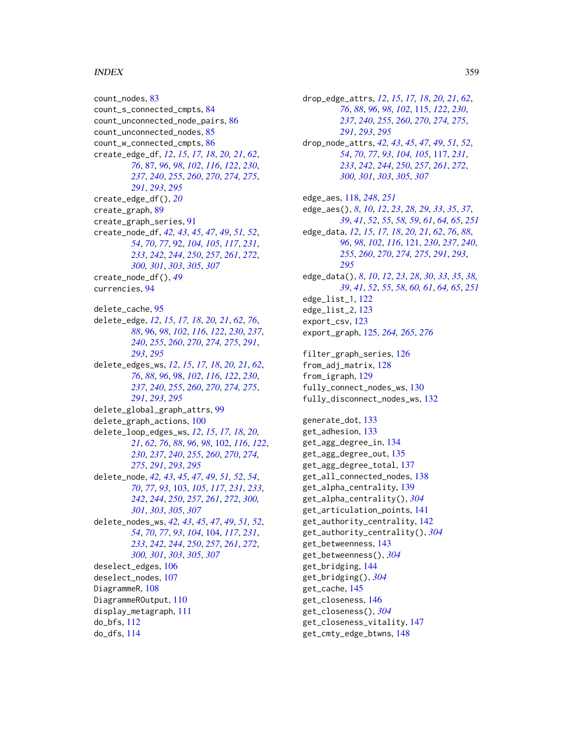## INDEX  $359$

count\_nodes, [83](#page-82-0) count\_s\_connected\_cmpts, [84](#page-83-0) count\_unconnected\_node\_pairs, [86](#page-85-0) count\_unconnected\_nodes, [85](#page-84-0) count\_w\_connected\_cmpts, [86](#page-85-0) create\_edge\_df, *[12](#page-11-0)*, *[15](#page-14-0)*, *[17,](#page-16-0) [18](#page-17-0)*, *[20,](#page-19-0) [21](#page-20-0)*, *[62](#page-61-0)*, *[76](#page-75-0)*, [87,](#page-86-0) *[96](#page-95-0)*, *[98](#page-97-0)*, *[102](#page-101-0)*, *[116](#page-115-0)*, *[122](#page-121-0)*, *[230](#page-229-0)*, *[237](#page-236-0)*, *[240](#page-239-0)*, *[255](#page-254-0)*, *[260](#page-259-0)*, *[270](#page-269-0)*, *[274,](#page-273-0) [275](#page-274-0)*, *[291](#page-290-0)*, *[293](#page-292-0)*, *[295](#page-294-0)* create\_edge\_df(), *[20](#page-19-0)* create\_graph, [89](#page-88-0) create\_graph\_series, [91](#page-90-0) create\_node\_df, *[42,](#page-41-0) [43](#page-42-0)*, *[45](#page-44-0)*, *[47](#page-46-0)*, *[49](#page-48-0)*, *[51,](#page-50-0) [52](#page-51-0)*, *[54](#page-53-0)*, *[70](#page-69-0)*, *[77](#page-76-0)*, [92,](#page-91-0) *[104,](#page-103-0) [105](#page-104-0)*, *[117](#page-116-0)*, *[231](#page-230-0)*, *[233](#page-232-0)*, *[242](#page-241-0)*, *[244](#page-243-0)*, *[250](#page-249-0)*, *[257](#page-256-0)*, *[261](#page-260-0)*, *[272](#page-271-0)*, *[300,](#page-299-0) [301](#page-300-0)*, *[303](#page-302-0)*, *[305](#page-304-0)*, *[307](#page-306-0)* create\_node\_df(), *[49](#page-48-0)* currencies, [94](#page-93-0) delete\_cache, [95](#page-94-0) delete\_edge, *[12](#page-11-0)*, *[15](#page-14-0)*, *[17,](#page-16-0) [18](#page-17-0)*, *[20,](#page-19-0) [21](#page-20-0)*, *[62](#page-61-0)*, *[76](#page-75-0)*, *[88](#page-87-0)*, [96,](#page-95-0) *[98](#page-97-0)*, *[102](#page-101-0)*, *[116](#page-115-0)*, *[122](#page-121-0)*, *[230](#page-229-0)*, *[237](#page-236-0)*, *[240](#page-239-0)*, *[255](#page-254-0)*, *[260](#page-259-0)*, *[270](#page-269-0)*, *[274,](#page-273-0) [275](#page-274-0)*, *[291](#page-290-0)*, *[293](#page-292-0)*, *[295](#page-294-0)* delete\_edges\_ws, *[12](#page-11-0)*, *[15](#page-14-0)*, *[17,](#page-16-0) [18](#page-17-0)*, *[20,](#page-19-0) [21](#page-20-0)*, *[62](#page-61-0)*, *[76](#page-75-0)*, *[88](#page-87-0)*, *[96](#page-95-0)*, [98,](#page-97-0) *[102](#page-101-0)*, *[116](#page-115-0)*, *[122](#page-121-0)*, *[230](#page-229-0)*, *[237](#page-236-0)*, *[240](#page-239-0)*, *[255](#page-254-0)*, *[260](#page-259-0)*, *[270](#page-269-0)*, *[274,](#page-273-0) [275](#page-274-0)*, *[291](#page-290-0)*, *[293](#page-292-0)*, *[295](#page-294-0)* delete\_global\_graph\_attrs, [99](#page-98-0) delete\_graph\_actions, [100](#page-99-0) delete\_loop\_edges\_ws, *[12](#page-11-0)*, *[15](#page-14-0)*, *[17,](#page-16-0) [18](#page-17-0)*, *[20,](#page-19-0) [21](#page-20-0)*, *[62](#page-61-0)*, *[76](#page-75-0)*, *[88](#page-87-0)*, *[96](#page-95-0)*, *[98](#page-97-0)*, [102,](#page-101-0) *[116](#page-115-0)*, *[122](#page-121-0)*, *[230](#page-229-0)*, *[237](#page-236-0)*, *[240](#page-239-0)*, *[255](#page-254-0)*, *[260](#page-259-0)*, *[270](#page-269-0)*, *[274,](#page-273-0) [275](#page-274-0)*, *[291](#page-290-0)*, *[293](#page-292-0)*, *[295](#page-294-0)* delete\_node, *[42,](#page-41-0) [43](#page-42-0)*, *[45](#page-44-0)*, *[47](#page-46-0)*, *[49](#page-48-0)*, *[51,](#page-50-0) [52](#page-51-0)*, *[54](#page-53-0)*, *[70](#page-69-0)*, *[77](#page-76-0)*, *[93](#page-92-0)*, [103,](#page-102-0) *[105](#page-104-0)*, *[117](#page-116-0)*, *[231](#page-230-0)*, *[233](#page-232-0)*, *[242](#page-241-0)*, *[244](#page-243-0)*, *[250](#page-249-0)*, *[257](#page-256-0)*, *[261](#page-260-0)*, *[272](#page-271-0)*, *[300,](#page-299-0) [301](#page-300-0)*, *[303](#page-302-0)*, *[305](#page-304-0)*, *[307](#page-306-0)* delete\_nodes\_ws, *[42,](#page-41-0) [43](#page-42-0)*, *[45](#page-44-0)*, *[47](#page-46-0)*, *[49](#page-48-0)*, *[51,](#page-50-0) [52](#page-51-0)*, *[54](#page-53-0)*, *[70](#page-69-0)*, *[77](#page-76-0)*, *[93](#page-92-0)*, *[104](#page-103-0)*, [104,](#page-103-0) *[117](#page-116-0)*, *[231](#page-230-0)*, *[233](#page-232-0)*, *[242](#page-241-0)*, *[244](#page-243-0)*, *[250](#page-249-0)*, *[257](#page-256-0)*, *[261](#page-260-0)*, *[272](#page-271-0)*, *[300,](#page-299-0) [301](#page-300-0)*, *[303](#page-302-0)*, *[305](#page-304-0)*, *[307](#page-306-0)* deselect\_edges, [106](#page-105-0) deselect\_nodes, [107](#page-106-0) DiagrammeR, [108](#page-107-0) DiagrammeROutput, [110](#page-109-0) display\_metagraph, [111](#page-110-0) do\_bfs, [112](#page-111-0) do\_dfs, [114](#page-113-0)

drop\_edge\_attrs, *[12](#page-11-0)*, *[15](#page-14-0)*, *[17,](#page-16-0) [18](#page-17-0)*, *[20,](#page-19-0) [21](#page-20-0)*, *[62](#page-61-0)*, *[76](#page-75-0)*, *[88](#page-87-0)*, *[96](#page-95-0)*, *[98](#page-97-0)*, *[102](#page-101-0)*, [115,](#page-114-0) *[122](#page-121-0)*, *[230](#page-229-0)*, *[237](#page-236-0)*, *[240](#page-239-0)*, *[255](#page-254-0)*, *[260](#page-259-0)*, *[270](#page-269-0)*, *[274,](#page-273-0) [275](#page-274-0)*, *[291](#page-290-0)*, *[293](#page-292-0)*, *[295](#page-294-0)* drop\_node\_attrs, *[42,](#page-41-0) [43](#page-42-0)*, *[45](#page-44-0)*, *[47](#page-46-0)*, *[49](#page-48-0)*, *[51,](#page-50-0) [52](#page-51-0)*, *[54](#page-53-0)*, *[70](#page-69-0)*, *[77](#page-76-0)*, *[93](#page-92-0)*, *[104,](#page-103-0) [105](#page-104-0)*, [117,](#page-116-0) *[231](#page-230-0)*, *[233](#page-232-0)*, *[242](#page-241-0)*, *[244](#page-243-0)*, *[250](#page-249-0)*, *[257](#page-256-0)*, *[261](#page-260-0)*, *[272](#page-271-0)*, *[300,](#page-299-0) [301](#page-300-0)*, *[303](#page-302-0)*, *[305](#page-304-0)*, *[307](#page-306-0)* edge\_aes, [118,](#page-117-0) *[248](#page-247-0)*, *[251](#page-250-0)* edge\_aes(), *[8](#page-7-0)*, *[10](#page-9-0)*, *[12](#page-11-0)*, *[23](#page-22-0)*, *[28,](#page-27-0) [29](#page-28-0)*, *[33](#page-32-0)*, *[35](#page-34-0)*, *[37](#page-36-0)*, *[39](#page-38-0)*, *[41](#page-40-0)*, *[52](#page-51-0)*, *[55](#page-54-0)*, *[58,](#page-57-0) [59](#page-58-0)*, *[61](#page-60-0)*, *[64,](#page-63-0) [65](#page-64-0)*, *[251](#page-250-0)* edge\_data, *[12](#page-11-0)*, *[15](#page-14-0)*, *[17,](#page-16-0) [18](#page-17-0)*, *[20,](#page-19-0) [21](#page-20-0)*, *[62](#page-61-0)*, *[76](#page-75-0)*, *[88](#page-87-0)*, *[96](#page-95-0)*, *[98](#page-97-0)*, *[102](#page-101-0)*, *[116](#page-115-0)*, [121,](#page-120-0) *[230](#page-229-0)*, *[237](#page-236-0)*, *[240](#page-239-0)*, *[255](#page-254-0)*, *[260](#page-259-0)*, *[270](#page-269-0)*, *[274,](#page-273-0) [275](#page-274-0)*, *[291](#page-290-0)*, *[293](#page-292-0)*, *[295](#page-294-0)* edge\_data(), *[8](#page-7-0)*, *[10](#page-9-0)*, *[12](#page-11-0)*, *[23](#page-22-0)*, *[28](#page-27-0)*, *[30](#page-29-1)*, *[33](#page-32-0)*, *[35](#page-34-0)*, *[38,](#page-37-0) [39](#page-38-0)*, *[41](#page-40-0)*, *[52](#page-51-0)*, *[55](#page-54-0)*, *[58](#page-57-0)*, *[60,](#page-59-0) [61](#page-60-0)*, *[64,](#page-63-0) [65](#page-64-0)*, *[251](#page-250-0)* edge\_list\_1, [122](#page-121-0) edge\_list\_2, [123](#page-122-0) export\_csv, [123](#page-122-0) export\_graph, [125,](#page-124-0) *[264,](#page-263-0) [265](#page-264-0)*, *[276](#page-275-0)* filter\_graph\_series, [126](#page-125-0) from\_adj\_matrix, [128](#page-127-0) from\_igraph, [129](#page-128-0) fully\_connect\_nodes\_ws, [130](#page-129-0) fully\_disconnect\_nodes\_ws, [132](#page-131-0) generate\_dot, [133](#page-132-0) get\_adhesion, [133](#page-132-0) get\_agg\_degree\_in, [134](#page-133-0) get\_agg\_degree\_out, [135](#page-134-0) get\_agg\_degree\_total, [137](#page-136-0) get\_all\_connected\_nodes, [138](#page-137-0) get\_alpha\_centrality, [139](#page-138-0) get\_alpha\_centrality(), *[304](#page-303-0)* get\_articulation\_points, [141](#page-140-0) get\_authority\_centrality, [142](#page-141-0) get\_authority\_centrality(), *[304](#page-303-0)* get\_betweenness, [143](#page-142-0) get\_betweenness(), *[304](#page-303-0)* get\_bridging, [144](#page-143-0) get\_bridging(), *[304](#page-303-0)* get\_cache, [145](#page-144-0) get\_closeness, [146](#page-145-0) get\_closeness(), *[304](#page-303-0)* get\_closeness\_vitality, [147](#page-146-0) get\_cmty\_edge\_btwns, [148](#page-147-0)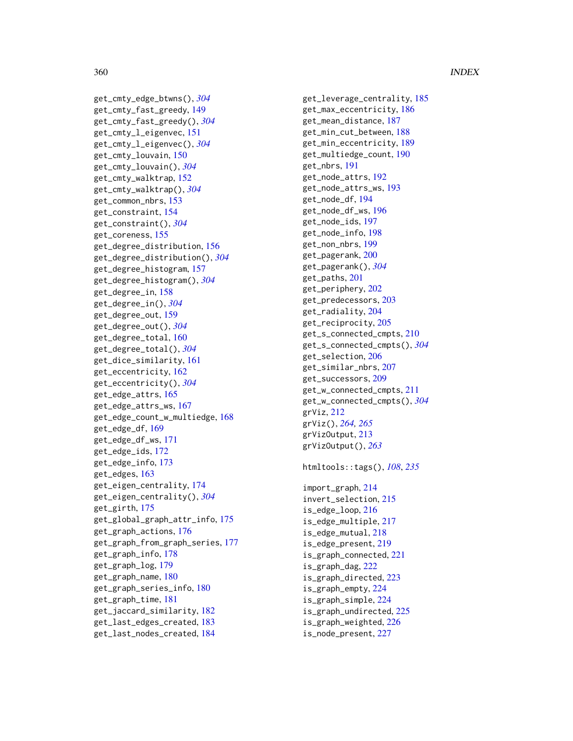# 360 INDEX

```
get_cmty_edge_btwns()
, 304
get_cmty_fast_greedy
, 149
get_cmty_fast_greedy()
, 304
get_cmty_l_eigenvec
, 151
get_cmty_l_eigenvec()
, 304
get_cmty_louvain
, 150
get_cmty_louvain()
, 304
get_cmty_walktrap
, 152
get_cmty_walktrap()
, 304
get_common_nbrs
, 153
get_constraint
, 154
get_constraint()
, 304
get_coreness
, 155
get_degree_distribution
, 156
get_degree_distribution()
, 304
get_degree_histogram
, 157
get_degree_histogram()
, 304
get_degree_in
, 158
get_degree_in()
, 304
get_degree_out
, 159
get_degree_out()
, 304
get_degree_total
, 160
get_degree_total()
, 304
get_dice_similarity
, 161
get_eccentricity
, 162
get_eccentricity()
, 304
get_edge_attrs
, 165
get_edge_attrs_ws
, 167
get_edge_count_w_multiedge
, 168
get_edge_df
, 169
get_edge_df_ws
, 171
get_edge_ids
, 172
get_edge_info
, 173
get_edges
, 163
get_eigen_centrality
, 174
get_eigen_centrality()
, 304
get_girth
, 175
get_global_graph_attr_info
, 175
get_graph_actions
, 176
get_graph_from_graph_series
, 177
get_graph_info
, 178
get_graph_log
, 179
get_graph_name
, 180
get_graph_series_info
, 180
get_graph_time
, 181
get_jaccard_similarity
, 182
get_last_edges_created
, 183
get_last_nodes_created
, 184
```
get\_leverage\_centrality , [185](#page-184-0) get\_max\_eccentricity , [186](#page-185-0) get\_mean\_distance , [187](#page-186-0) get\_min\_cut\_between , [188](#page-187-0) get\_min\_eccentricity , [189](#page-188-0) get\_multiedge\_count , [190](#page-189-0) get\_nbrs , [191](#page-190-0) get\_node\_attrs , [192](#page-191-0) get\_node\_attrs\_ws , [193](#page-192-0) get\_node\_df , [194](#page-193-0) get\_node\_df\_ws , [196](#page-195-0) get\_node\_ids , [197](#page-196-0) get\_node\_info , [198](#page-197-0) get\_non\_nbrs , [199](#page-198-0) get\_pagerank , [200](#page-199-0) get\_pagerank() , *[304](#page-303-0)* get\_paths , [201](#page-200-0) get\_periphery , [202](#page-201-0) get\_predecessors , [203](#page-202-0) get\_radiality , [204](#page-203-0) get\_reciprocity , [205](#page-204-0) get\_s\_connected\_cmpts , [210](#page-209-0) get\_s\_connected\_cmpts() , *[304](#page-303-0)* get\_selection , [206](#page-205-0) get\_similar\_nbrs , [207](#page-206-0) get\_successors , [209](#page-208-0) get\_w\_connected\_cmpts , [211](#page-210-0) get\_w\_connected\_cmpts() , *[304](#page-303-0)* grViz , [212](#page-211-0) grViz() , *[264](#page-263-0) , [265](#page-264-0)* grVizOutput , [213](#page-212-0) grVizOutput() , *[263](#page-262-0)* htmltools::tags() , *[108](#page-107-0)* , *[235](#page-234-0)*

import\_graph , [214](#page-213-0) invert\_selection , [215](#page-214-0) is\_edge\_loop , [216](#page-215-0) is\_edge\_multiple , [217](#page-216-0) is\_edge\_mutual , [218](#page-217-0) is\_edge\_present , [219](#page-218-0) is\_graph\_connected , [221](#page-220-0) is\_graph\_dag , [222](#page-221-0) is\_graph\_directed , [223](#page-222-0) is\_graph\_empty , [224](#page-223-0) is\_graph\_simple , [224](#page-223-0) is\_graph\_undirected , [225](#page-224-0) is\_graph\_weighted , [226](#page-225-0) is\_node\_present , [227](#page-226-0)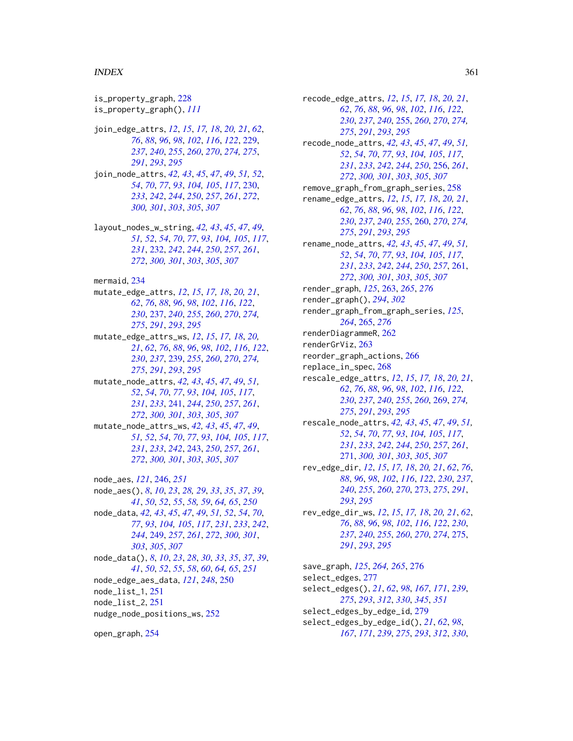## INDEX  $361$

is\_property\_graph, [228](#page-227-0) is\_property\_graph(), *[111](#page-110-0)* join\_edge\_attrs, *[12](#page-11-0)*, *[15](#page-14-0)*, *[17,](#page-16-0) [18](#page-17-0)*, *[20,](#page-19-0) [21](#page-20-0)*, *[62](#page-61-0)*, *[76](#page-75-0)*, *[88](#page-87-0)*, *[96](#page-95-0)*, *[98](#page-97-0)*, *[102](#page-101-0)*, *[116](#page-115-0)*, *[122](#page-121-0)*, [229,](#page-228-0) *[237](#page-236-0)*, *[240](#page-239-0)*, *[255](#page-254-0)*, *[260](#page-259-0)*, *[270](#page-269-0)*, *[274,](#page-273-0) [275](#page-274-0)*, *[291](#page-290-0)*, *[293](#page-292-0)*, *[295](#page-294-0)* join\_node\_attrs, *[42,](#page-41-0) [43](#page-42-0)*, *[45](#page-44-0)*, *[47](#page-46-0)*, *[49](#page-48-0)*, *[51,](#page-50-0) [52](#page-51-0)*, *[54](#page-53-0)*, *[70](#page-69-0)*, *[77](#page-76-0)*, *[93](#page-92-0)*, *[104,](#page-103-0) [105](#page-104-0)*, *[117](#page-116-0)*, [230,](#page-229-0) *[233](#page-232-0)*, *[242](#page-241-0)*, *[244](#page-243-0)*, *[250](#page-249-0)*, *[257](#page-256-0)*, *[261](#page-260-0)*, *[272](#page-271-0)*, *[300,](#page-299-0) [301](#page-300-0)*, *[303](#page-302-0)*, *[305](#page-304-0)*, *[307](#page-306-0)* layout\_nodes\_w\_string, *[42,](#page-41-0) [43](#page-42-0)*, *[45](#page-44-0)*, *[47](#page-46-0)*, *[49](#page-48-0)*, *[51,](#page-50-0) [52](#page-51-0)*, *[54](#page-53-0)*, *[70](#page-69-0)*, *[77](#page-76-0)*, *[93](#page-92-0)*, *[104,](#page-103-0) [105](#page-104-0)*, *[117](#page-116-0)*, *[231](#page-230-0)*, [232,](#page-231-0) *[242](#page-241-0)*, *[244](#page-243-0)*, *[250](#page-249-0)*, *[257](#page-256-0)*, *[261](#page-260-0)*, *[272](#page-271-0)*, *[300,](#page-299-0) [301](#page-300-0)*, *[303](#page-302-0)*, *[305](#page-304-0)*, *[307](#page-306-0)* mermaid, [234](#page-233-0) mutate\_edge\_attrs, *[12](#page-11-0)*, *[15](#page-14-0)*, *[17,](#page-16-0) [18](#page-17-0)*, *[20,](#page-19-0) [21](#page-20-0)*, *[62](#page-61-0)*, *[76](#page-75-0)*, *[88](#page-87-0)*, *[96](#page-95-0)*, *[98](#page-97-0)*, *[102](#page-101-0)*, *[116](#page-115-0)*, *[122](#page-121-0)*, *[230](#page-229-0)*, [237,](#page-236-0) *[240](#page-239-0)*, *[255](#page-254-0)*, *[260](#page-259-0)*, *[270](#page-269-0)*, *[274,](#page-273-0) [275](#page-274-0)*, *[291](#page-290-0)*, *[293](#page-292-0)*, *[295](#page-294-0)* mutate\_edge\_attrs\_ws, *[12](#page-11-0)*, *[15](#page-14-0)*, *[17,](#page-16-0) [18](#page-17-0)*, *[20,](#page-19-0) [21](#page-20-0)*, *[62](#page-61-0)*, *[76](#page-75-0)*, *[88](#page-87-0)*, *[96](#page-95-0)*, *[98](#page-97-0)*, *[102](#page-101-0)*, *[116](#page-115-0)*, *[122](#page-121-0)*, *[230](#page-229-0)*, *[237](#page-236-0)*, [239,](#page-238-0) *[255](#page-254-0)*, *[260](#page-259-0)*, *[270](#page-269-0)*, *[274,](#page-273-0) [275](#page-274-0)*, *[291](#page-290-0)*, *[293](#page-292-0)*, *[295](#page-294-0)* mutate\_node\_attrs, *[42,](#page-41-0) [43](#page-42-0)*, *[45](#page-44-0)*, *[47](#page-46-0)*, *[49](#page-48-0)*, *[51,](#page-50-0) [52](#page-51-0)*, *[54](#page-53-0)*, *[70](#page-69-0)*, *[77](#page-76-0)*, *[93](#page-92-0)*, *[104,](#page-103-0) [105](#page-104-0)*, *[117](#page-116-0)*, *[231](#page-230-0)*, *[233](#page-232-0)*, [241,](#page-240-0) *[244](#page-243-0)*, *[250](#page-249-0)*, *[257](#page-256-0)*, *[261](#page-260-0)*, *[272](#page-271-0)*, *[300,](#page-299-0) [301](#page-300-0)*, *[303](#page-302-0)*, *[305](#page-304-0)*, *[307](#page-306-0)* mutate\_node\_attrs\_ws, *[42,](#page-41-0) [43](#page-42-0)*, *[45](#page-44-0)*, *[47](#page-46-0)*, *[49](#page-48-0)*, *[51,](#page-50-0) [52](#page-51-0)*, *[54](#page-53-0)*, *[70](#page-69-0)*, *[77](#page-76-0)*, *[93](#page-92-0)*, *[104,](#page-103-0) [105](#page-104-0)*, *[117](#page-116-0)*, *[231](#page-230-0)*, *[233](#page-232-0)*, *[242](#page-241-0)*, [243,](#page-242-0) *[250](#page-249-0)*, *[257](#page-256-0)*, *[261](#page-260-0)*, *[272](#page-271-0)*, *[300,](#page-299-0) [301](#page-300-0)*, *[303](#page-302-0)*, *[305](#page-304-0)*, *[307](#page-306-0)* node\_aes, *[121](#page-120-0)*, [246,](#page-245-0) *[251](#page-250-0)* node\_aes(), *[8](#page-7-0)*, *[10](#page-9-0)*, *[23](#page-22-0)*, *[28,](#page-27-0) [29](#page-28-0)*, *[33](#page-32-0)*, *[35](#page-34-0)*, *[37](#page-36-0)*, *[39](#page-38-0)*, *[41](#page-40-0)*, *[50](#page-49-0)*, *[52](#page-51-0)*, *[55](#page-54-0)*, *[58,](#page-57-0) [59](#page-58-0)*, *[64,](#page-63-0) [65](#page-64-0)*, *[250](#page-249-0)* node\_data, *[42,](#page-41-0) [43](#page-42-0)*, *[45](#page-44-0)*, *[47](#page-46-0)*, *[49](#page-48-0)*, *[51,](#page-50-0) [52](#page-51-0)*, *[54](#page-53-0)*, *[70](#page-69-0)*, *[77](#page-76-0)*, *[93](#page-92-0)*, *[104,](#page-103-0) [105](#page-104-0)*, *[117](#page-116-0)*, *[231](#page-230-0)*, *[233](#page-232-0)*, *[242](#page-241-0)*, *[244](#page-243-0)*, [249,](#page-248-0) *[257](#page-256-0)*, *[261](#page-260-0)*, *[272](#page-271-0)*, *[300,](#page-299-0) [301](#page-300-0)*, *[303](#page-302-0)*, *[305](#page-304-0)*, *[307](#page-306-0)* node\_data(), *[8](#page-7-0)*, *[10](#page-9-0)*, *[23](#page-22-0)*, *[28](#page-27-0)*, *[30](#page-29-0)*, *[33](#page-32-0)*, *[35](#page-34-0)*, *[37](#page-36-0)*, *[39](#page-38-0)*, *[41](#page-40-0)*, *[50](#page-49-0)*, *[52](#page-51-0)*, *[55](#page-54-0)*, *[58](#page-57-0)*, *[60](#page-59-0)*, *[64,](#page-63-0) [65](#page-64-0)*, *[251](#page-250-0)* node\_edge\_aes\_data, *[121](#page-120-0)*, *[248](#page-247-0)*, [250](#page-249-0) node\_list\_1, [251](#page-250-0) node\_list\_2, [251](#page-250-0) nudge\_node\_positions\_ws, [252](#page-251-0)

recode\_edge\_attrs, *[12](#page-11-0)*, *[15](#page-14-0)*, *[17,](#page-16-0) [18](#page-17-0)*, *[20,](#page-19-0) [21](#page-20-0)*, *[62](#page-61-0)*, *[76](#page-75-0)*, *[88](#page-87-0)*, *[96](#page-95-0)*, *[98](#page-97-0)*, *[102](#page-101-0)*, *[116](#page-115-0)*, *[122](#page-121-0)*, *[230](#page-229-0)*, *[237](#page-236-0)*, *[240](#page-239-0)*, [255,](#page-254-0) *[260](#page-259-0)*, *[270](#page-269-0)*, *[274,](#page-273-0) [275](#page-274-0)*, *[291](#page-290-0)*, *[293](#page-292-0)*, *[295](#page-294-0)* recode\_node\_attrs, *[42,](#page-41-0) [43](#page-42-0)*, *[45](#page-44-0)*, *[47](#page-46-0)*, *[49](#page-48-0)*, *[51,](#page-50-0) [52](#page-51-0)*, *[54](#page-53-0)*, *[70](#page-69-0)*, *[77](#page-76-0)*, *[93](#page-92-0)*, *[104,](#page-103-0) [105](#page-104-0)*, *[117](#page-116-0)*, *[231](#page-230-0)*, *[233](#page-232-0)*, *[242](#page-241-0)*, *[244](#page-243-0)*, *[250](#page-249-0)*, [256,](#page-255-0) *[261](#page-260-0)*, *[272](#page-271-0)*, *[300,](#page-299-0) [301](#page-300-0)*, *[303](#page-302-0)*, *[305](#page-304-0)*, *[307](#page-306-0)* remove\_graph\_from\_graph\_series, [258](#page-257-0) rename\_edge\_attrs, *[12](#page-11-0)*, *[15](#page-14-0)*, *[17,](#page-16-0) [18](#page-17-0)*, *[20,](#page-19-0) [21](#page-20-0)*, *[62](#page-61-0)*, *[76](#page-75-0)*, *[88](#page-87-0)*, *[96](#page-95-0)*, *[98](#page-97-0)*, *[102](#page-101-0)*, *[116](#page-115-0)*, *[122](#page-121-0)*, *[230](#page-229-0)*, *[237](#page-236-0)*, *[240](#page-239-0)*, *[255](#page-254-0)*, [260,](#page-259-0) *[270](#page-269-0)*, *[274,](#page-273-0) [275](#page-274-0)*, *[291](#page-290-0)*, *[293](#page-292-0)*, *[295](#page-294-0)* rename\_node\_attrs, *[42,](#page-41-0) [43](#page-42-0)*, *[45](#page-44-0)*, *[47](#page-46-0)*, *[49](#page-48-0)*, *[51,](#page-50-0) [52](#page-51-0)*, *[54](#page-53-0)*, *[70](#page-69-0)*, *[77](#page-76-0)*, *[93](#page-92-0)*, *[104,](#page-103-0) [105](#page-104-0)*, *[117](#page-116-0)*, *[231](#page-230-0)*, *[233](#page-232-0)*, *[242](#page-241-0)*, *[244](#page-243-0)*, *[250](#page-249-0)*, *[257](#page-256-0)*, [261,](#page-260-0) *[272](#page-271-0)*, *[300,](#page-299-0) [301](#page-300-0)*, *[303](#page-302-0)*, *[305](#page-304-0)*, *[307](#page-306-0)* render\_graph, *[125](#page-124-0)*, [263,](#page-262-0) *[265](#page-264-0)*, *[276](#page-275-0)* render\_graph(), *[294](#page-293-0)*, *[302](#page-301-0)* render\_graph\_from\_graph\_series, *[125](#page-124-0)*, *[264](#page-263-0)*, [265,](#page-264-0) *[276](#page-275-0)* renderDiagrammeR, [262](#page-261-0) renderGrViz, [263](#page-262-0) reorder\_graph\_actions, [266](#page-265-0) replace\_in\_spec, [268](#page-267-0) rescale\_edge\_attrs, *[12](#page-11-0)*, *[15](#page-14-0)*, *[17,](#page-16-0) [18](#page-17-0)*, *[20,](#page-19-0) [21](#page-20-0)*, *[62](#page-61-0)*, *[76](#page-75-0)*, *[88](#page-87-0)*, *[96](#page-95-0)*, *[98](#page-97-0)*, *[102](#page-101-0)*, *[116](#page-115-0)*, *[122](#page-121-0)*, *[230](#page-229-0)*, *[237](#page-236-0)*, *[240](#page-239-0)*, *[255](#page-254-0)*, *[260](#page-259-0)*, [269,](#page-268-0) *[274,](#page-273-0) [275](#page-274-0)*, *[291](#page-290-0)*, *[293](#page-292-0)*, *[295](#page-294-0)* rescale\_node\_attrs, *[42,](#page-41-0) [43](#page-42-0)*, *[45](#page-44-0)*, *[47](#page-46-0)*, *[49](#page-48-0)*, *[51,](#page-50-0) [52](#page-51-0)*, *[54](#page-53-0)*, *[70](#page-69-0)*, *[77](#page-76-0)*, *[93](#page-92-0)*, *[104,](#page-103-0) [105](#page-104-0)*, *[117](#page-116-0)*, *[231](#page-230-0)*, *[233](#page-232-0)*, *[242](#page-241-0)*, *[244](#page-243-0)*, *[250](#page-249-0)*, *[257](#page-256-0)*, *[261](#page-260-0)*, [271,](#page-270-0) *[300,](#page-299-0) [301](#page-300-0)*, *[303](#page-302-0)*, *[305](#page-304-0)*, *[307](#page-306-0)* rev\_edge\_dir, *[12](#page-11-0)*, *[15](#page-14-0)*, *[17,](#page-16-0) [18](#page-17-0)*, *[20,](#page-19-0) [21](#page-20-0)*, *[62](#page-61-0)*, *[76](#page-75-0)*, *[88](#page-87-0)*, *[96](#page-95-0)*, *[98](#page-97-0)*, *[102](#page-101-0)*, *[116](#page-115-0)*, *[122](#page-121-0)*, *[230](#page-229-0)*, *[237](#page-236-0)*, *[240](#page-239-0)*, *[255](#page-254-0)*, *[260](#page-259-0)*, *[270](#page-269-0)*, [273,](#page-272-0) *[275](#page-274-0)*, *[291](#page-290-0)*, *[293](#page-292-0)*, *[295](#page-294-0)* rev\_edge\_dir\_ws, *[12](#page-11-0)*, *[15](#page-14-0)*, *[17,](#page-16-0) [18](#page-17-0)*, *[20,](#page-19-0) [21](#page-20-0)*, *[62](#page-61-0)*, *[76](#page-75-0)*, *[88](#page-87-0)*, *[96](#page-95-0)*, *[98](#page-97-0)*, *[102](#page-101-0)*, *[116](#page-115-0)*, *[122](#page-121-0)*, *[230](#page-229-0)*, *[237](#page-236-0)*, *[240](#page-239-0)*, *[255](#page-254-0)*, *[260](#page-259-0)*, *[270](#page-269-0)*, *[274](#page-273-0)*, [275,](#page-274-0) *[291](#page-290-0)*, *[293](#page-292-0)*, *[295](#page-294-0)* save\_graph, *[125](#page-124-0)*, *[264,](#page-263-0) [265](#page-264-0)*, [276](#page-275-0) select\_edges, [277](#page-276-0) select\_edges(), *[21](#page-20-0)*, *[62](#page-61-0)*, *[98](#page-97-0)*, *[167](#page-166-0)*, *[171](#page-170-0)*, *[239](#page-238-0)*, *[275](#page-274-0)*, *[293](#page-292-0)*, *[312](#page-311-0)*, *[330](#page-329-0)*, *[345](#page-344-0)*, *[351](#page-350-0)*

open\_graph, [254](#page-253-0)

select\_edges\_by\_edge\_id, [279](#page-278-0) select\_edges\_by\_edge\_id(), *[21](#page-20-0)*, *[62](#page-61-0)*, *[98](#page-97-0)*, *[167](#page-166-0)*, *[171](#page-170-0)*, *[239](#page-238-0)*, *[275](#page-274-0)*, *[293](#page-292-0)*, *[312](#page-311-0)*, *[330](#page-329-0)*,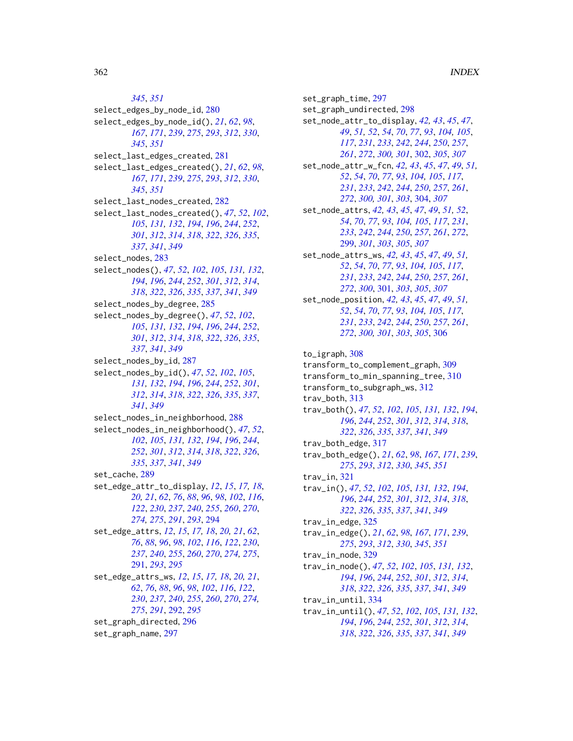*[345](#page-344-0)*, *[351](#page-350-0)* select\_edges\_by\_node\_id, [280](#page-279-0) select\_edges\_by\_node\_id(), *[21](#page-20-0)*, *[62](#page-61-0)*, *[98](#page-97-0)*, *[167](#page-166-0)*, *[171](#page-170-0)*, *[239](#page-238-0)*, *[275](#page-274-0)*, *[293](#page-292-0)*, *[312](#page-311-0)*, *[330](#page-329-0)*, *[345](#page-344-0)*, *[351](#page-350-0)* select\_last\_edges\_created, [281](#page-280-0) select\_last\_edges\_created(), *[21](#page-20-0)*, *[62](#page-61-0)*, *[98](#page-97-0)*, *[167](#page-166-0)*, *[171](#page-170-0)*, *[239](#page-238-0)*, *[275](#page-274-0)*, *[293](#page-292-0)*, *[312](#page-311-0)*, *[330](#page-329-0)*, *[345](#page-344-0)*, *[351](#page-350-0)* select\_last\_nodes\_created, [282](#page-281-0) select\_last\_nodes\_created(), *[47](#page-46-0)*, *[52](#page-51-0)*, *[102](#page-101-0)*, *[105](#page-104-0)*, *[131,](#page-130-0) [132](#page-131-0)*, *[194](#page-193-0)*, *[196](#page-195-0)*, *[244](#page-243-0)*, *[252](#page-251-0)*, *[301](#page-300-0)*, *[312](#page-311-0)*, *[314](#page-313-0)*, *[318](#page-317-0)*, *[322](#page-321-0)*, *[326](#page-325-0)*, *[335](#page-334-0)*, *[337](#page-336-0)*, *[341](#page-340-0)*, *[349](#page-348-0)* select\_nodes, [283](#page-282-0) select\_nodes(), *[47](#page-46-0)*, *[52](#page-51-0)*, *[102](#page-101-0)*, *[105](#page-104-0)*, *[131,](#page-130-0) [132](#page-131-0)*, *[194](#page-193-0)*, *[196](#page-195-0)*, *[244](#page-243-0)*, *[252](#page-251-0)*, *[301](#page-300-0)*, *[312](#page-311-0)*, *[314](#page-313-0)*, *[318](#page-317-0)*, *[322](#page-321-0)*, *[326](#page-325-0)*, *[335](#page-334-0)*, *[337](#page-336-0)*, *[341](#page-340-0)*, *[349](#page-348-0)* select\_nodes\_by\_degree, [285](#page-284-0) select\_nodes\_by\_degree(), *[47](#page-46-0)*, *[52](#page-51-0)*, *[102](#page-101-0)*, *[105](#page-104-0)*, *[131,](#page-130-0) [132](#page-131-0)*, *[194](#page-193-0)*, *[196](#page-195-0)*, *[244](#page-243-0)*, *[252](#page-251-0)*, *[301](#page-300-0)*, *[312](#page-311-0)*, *[314](#page-313-0)*, *[318](#page-317-0)*, *[322](#page-321-0)*, *[326](#page-325-0)*, *[335](#page-334-0)*, *[337](#page-336-0)*, *[341](#page-340-0)*, *[349](#page-348-0)* select\_nodes\_by\_id, [287](#page-286-0) select\_nodes\_by\_id(), *[47](#page-46-0)*, *[52](#page-51-0)*, *[102](#page-101-0)*, *[105](#page-104-0)*, *[131,](#page-130-0) [132](#page-131-0)*, *[194](#page-193-0)*, *[196](#page-195-0)*, *[244](#page-243-0)*, *[252](#page-251-0)*, *[301](#page-300-0)*, *[312](#page-311-0)*, *[314](#page-313-0)*, *[318](#page-317-0)*, *[322](#page-321-0)*, *[326](#page-325-0)*, *[335](#page-334-0)*, *[337](#page-336-0)*, *[341](#page-340-0)*, *[349](#page-348-0)* select\_nodes\_in\_neighborhood, [288](#page-287-0) select\_nodes\_in\_neighborhood(), *[47](#page-46-0)*, *[52](#page-51-0)*, *[102](#page-101-0)*, *[105](#page-104-0)*, *[131,](#page-130-0) [132](#page-131-0)*, *[194](#page-193-0)*, *[196](#page-195-0)*, *[244](#page-243-0)*, *[252](#page-251-0)*, *[301](#page-300-0)*, *[312](#page-311-0)*, *[314](#page-313-0)*, *[318](#page-317-0)*, *[322](#page-321-0)*, *[326](#page-325-0)*, *[335](#page-334-0)*, *[337](#page-336-0)*, *[341](#page-340-0)*, *[349](#page-348-0)* set\_cache, [289](#page-288-0) set\_edge\_attr\_to\_display, *[12](#page-11-0)*, *[15](#page-14-0)*, *[17,](#page-16-0) [18](#page-17-0)*, *[20,](#page-19-0) [21](#page-20-0)*, *[62](#page-61-0)*, *[76](#page-75-0)*, *[88](#page-87-0)*, *[96](#page-95-0)*, *[98](#page-97-0)*, *[102](#page-101-0)*, *[116](#page-115-0)*, *[122](#page-121-0)*, *[230](#page-229-0)*, *[237](#page-236-0)*, *[240](#page-239-0)*, *[255](#page-254-0)*, *[260](#page-259-0)*, *[270](#page-269-0)*, *[274,](#page-273-0) [275](#page-274-0)*, *[291](#page-290-0)*, *[293](#page-292-0)*, [294](#page-293-0) set\_edge\_attrs, *[12](#page-11-0)*, *[15](#page-14-0)*, *[17,](#page-16-0) [18](#page-17-0)*, *[20,](#page-19-0) [21](#page-20-0)*, *[62](#page-61-0)*, *[76](#page-75-0)*, *[88](#page-87-0)*, *[96](#page-95-0)*, *[98](#page-97-0)*, *[102](#page-101-0)*, *[116](#page-115-0)*, *[122](#page-121-0)*, *[230](#page-229-0)*, *[237](#page-236-0)*, *[240](#page-239-0)*, *[255](#page-254-0)*, *[260](#page-259-0)*, *[270](#page-269-0)*, *[274,](#page-273-0) [275](#page-274-0)*, [291,](#page-290-0) *[293](#page-292-0)*, *[295](#page-294-0)* set\_edge\_attrs\_ws, *[12](#page-11-0)*, *[15](#page-14-0)*, *[17,](#page-16-0) [18](#page-17-0)*, *[20,](#page-19-0) [21](#page-20-0)*, *[62](#page-61-0)*, *[76](#page-75-0)*, *[88](#page-87-0)*, *[96](#page-95-0)*, *[98](#page-97-0)*, *[102](#page-101-0)*, *[116](#page-115-0)*, *[122](#page-121-0)*, *[230](#page-229-0)*, *[237](#page-236-0)*, *[240](#page-239-0)*, *[255](#page-254-0)*, *[260](#page-259-0)*, *[270](#page-269-0)*, *[274,](#page-273-0) [275](#page-274-0)*, *[291](#page-290-0)*, [292,](#page-291-0) *[295](#page-294-0)* set\_graph\_directed, [296](#page-295-0) set\_graph\_name, [297](#page-296-0)

set\_graph\_time, [297](#page-296-0) set\_graph\_undirected, [298](#page-297-0) set\_node\_attr\_to\_display, *[42,](#page-41-0) [43](#page-42-0)*, *[45](#page-44-0)*, *[47](#page-46-0)*, *[49](#page-48-0)*, *[51,](#page-50-0) [52](#page-51-0)*, *[54](#page-53-0)*, *[70](#page-69-0)*, *[77](#page-76-0)*, *[93](#page-92-0)*, *[104,](#page-103-0) [105](#page-104-0)*, *[117](#page-116-0)*, *[231](#page-230-0)*, *[233](#page-232-0)*, *[242](#page-241-0)*, *[244](#page-243-0)*, *[250](#page-249-0)*, *[257](#page-256-0)*, *[261](#page-260-0)*, *[272](#page-271-0)*, *[300,](#page-299-0) [301](#page-300-0)*, [302,](#page-301-0) *[305](#page-304-0)*, *[307](#page-306-0)* set\_node\_attr\_w\_fcn, *[42,](#page-41-0) [43](#page-42-0)*, *[45](#page-44-0)*, *[47](#page-46-0)*, *[49](#page-48-0)*, *[51,](#page-50-0) [52](#page-51-0)*, *[54](#page-53-0)*, *[70](#page-69-0)*, *[77](#page-76-0)*, *[93](#page-92-0)*, *[104,](#page-103-0) [105](#page-104-0)*, *[117](#page-116-0)*, *[231](#page-230-0)*, *[233](#page-232-0)*, *[242](#page-241-0)*, *[244](#page-243-0)*, *[250](#page-249-0)*, *[257](#page-256-0)*, *[261](#page-260-0)*, *[272](#page-271-0)*, *[300,](#page-299-0) [301](#page-300-0)*, *[303](#page-302-0)*, [304,](#page-303-0) *[307](#page-306-0)* set\_node\_attrs, *[42,](#page-41-0) [43](#page-42-0)*, *[45](#page-44-0)*, *[47](#page-46-0)*, *[49](#page-48-0)*, *[51,](#page-50-0) [52](#page-51-0)*, *[54](#page-53-0)*, *[70](#page-69-0)*, *[77](#page-76-0)*, *[93](#page-92-0)*, *[104,](#page-103-0) [105](#page-104-0)*, *[117](#page-116-0)*, *[231](#page-230-0)*, *[233](#page-232-0)*, *[242](#page-241-0)*, *[244](#page-243-0)*, *[250](#page-249-0)*, *[257](#page-256-0)*, *[261](#page-260-0)*, *[272](#page-271-0)*, [299,](#page-298-0) *[301](#page-300-0)*, *[303](#page-302-0)*, *[305](#page-304-0)*, *[307](#page-306-0)* set\_node\_attrs\_ws, *[42,](#page-41-0) [43](#page-42-0)*, *[45](#page-44-0)*, *[47](#page-46-0)*, *[49](#page-48-0)*, *[51,](#page-50-0) [52](#page-51-0)*, *[54](#page-53-0)*, *[70](#page-69-0)*, *[77](#page-76-0)*, *[93](#page-92-0)*, *[104,](#page-103-0) [105](#page-104-0)*, *[117](#page-116-0)*, *[231](#page-230-0)*, *[233](#page-232-0)*, *[242](#page-241-0)*, *[244](#page-243-0)*, *[250](#page-249-0)*, *[257](#page-256-0)*, *[261](#page-260-0)*, *[272](#page-271-0)*, *[300](#page-299-0)*, [301,](#page-300-0) *[303](#page-302-0)*, *[305](#page-304-0)*, *[307](#page-306-0)* set\_node\_position, *[42,](#page-41-0) [43](#page-42-0)*, *[45](#page-44-0)*, *[47](#page-46-0)*, *[49](#page-48-0)*, *[51,](#page-50-0) [52](#page-51-0)*, *[54](#page-53-0)*, *[70](#page-69-0)*, *[77](#page-76-0)*, *[93](#page-92-0)*, *[104,](#page-103-0) [105](#page-104-0)*, *[117](#page-116-0)*, *[231](#page-230-0)*, *[233](#page-232-0)*, *[242](#page-241-0)*, *[244](#page-243-0)*, *[250](#page-249-0)*, *[257](#page-256-0)*, *[261](#page-260-0)*, *[272](#page-271-0)*, *[300,](#page-299-0) [301](#page-300-0)*, *[303](#page-302-0)*, *[305](#page-304-0)*, [306](#page-305-0) to\_igraph, [308](#page-307-0) transform\_to\_complement\_graph, [309](#page-308-0) transform\_to\_min\_spanning\_tree, [310](#page-309-0) transform\_to\_subgraph\_ws, [312](#page-311-0) trav\_both, [313](#page-312-0) trav\_both(), *[47](#page-46-0)*, *[52](#page-51-0)*, *[102](#page-101-0)*, *[105](#page-104-0)*, *[131,](#page-130-0) [132](#page-131-0)*, *[194](#page-193-0)*, *[196](#page-195-0)*, *[244](#page-243-0)*, *[252](#page-251-0)*, *[301](#page-300-0)*, *[312](#page-311-0)*, *[314](#page-313-0)*, *[318](#page-317-0)*, *[322](#page-321-0)*, *[326](#page-325-0)*, *[335](#page-334-0)*, *[337](#page-336-0)*, *[341](#page-340-0)*, *[349](#page-348-0)* trav\_both\_edge, [317](#page-316-0) trav\_both\_edge(), *[21](#page-20-0)*, *[62](#page-61-0)*, *[98](#page-97-0)*, *[167](#page-166-0)*, *[171](#page-170-0)*, *[239](#page-238-0)*, *[275](#page-274-0)*, *[293](#page-292-0)*, *[312](#page-311-0)*, *[330](#page-329-0)*, *[345](#page-344-0)*, *[351](#page-350-0)* trav\_in, [321](#page-320-0) trav\_in(), *[47](#page-46-0)*, *[52](#page-51-0)*, *[102](#page-101-0)*, *[105](#page-104-0)*, *[131,](#page-130-0) [132](#page-131-0)*, *[194](#page-193-0)*, *[196](#page-195-0)*, *[244](#page-243-0)*, *[252](#page-251-0)*, *[301](#page-300-0)*, *[312](#page-311-0)*, *[314](#page-313-0)*, *[318](#page-317-0)*, *[322](#page-321-0)*, *[326](#page-325-0)*, *[335](#page-334-0)*, *[337](#page-336-0)*, *[341](#page-340-0)*, *[349](#page-348-0)* trav\_in\_edge, [325](#page-324-0) trav\_in\_edge(), *[21](#page-20-0)*, *[62](#page-61-0)*, *[98](#page-97-0)*, *[167](#page-166-0)*, *[171](#page-170-0)*, *[239](#page-238-0)*, *[275](#page-274-0)*, *[293](#page-292-0)*, *[312](#page-311-0)*, *[330](#page-329-0)*, *[345](#page-344-0)*, *[351](#page-350-0)* trav\_in\_node, [329](#page-328-0) trav\_in\_node(), *[47](#page-46-0)*, *[52](#page-51-0)*, *[102](#page-101-0)*, *[105](#page-104-0)*, *[131,](#page-130-0) [132](#page-131-0)*, *[194](#page-193-0)*, *[196](#page-195-0)*, *[244](#page-243-0)*, *[252](#page-251-0)*, *[301](#page-300-0)*, *[312](#page-311-0)*, *[314](#page-313-0)*, *[318](#page-317-0)*, *[322](#page-321-0)*, *[326](#page-325-0)*, *[335](#page-334-0)*, *[337](#page-336-0)*, *[341](#page-340-0)*, *[349](#page-348-0)* trav\_in\_until, [334](#page-333-0) trav\_in\_until(), *[47](#page-46-0)*, *[52](#page-51-0)*, *[102](#page-101-0)*, *[105](#page-104-0)*, *[131,](#page-130-0) [132](#page-131-0)*, *[194](#page-193-0)*, *[196](#page-195-0)*, *[244](#page-243-0)*, *[252](#page-251-0)*, *[301](#page-300-0)*, *[312](#page-311-0)*, *[314](#page-313-0)*, *[318](#page-317-0)*, *[322](#page-321-0)*, *[326](#page-325-0)*, *[335](#page-334-0)*, *[337](#page-336-0)*, *[341](#page-340-0)*, *[349](#page-348-0)*